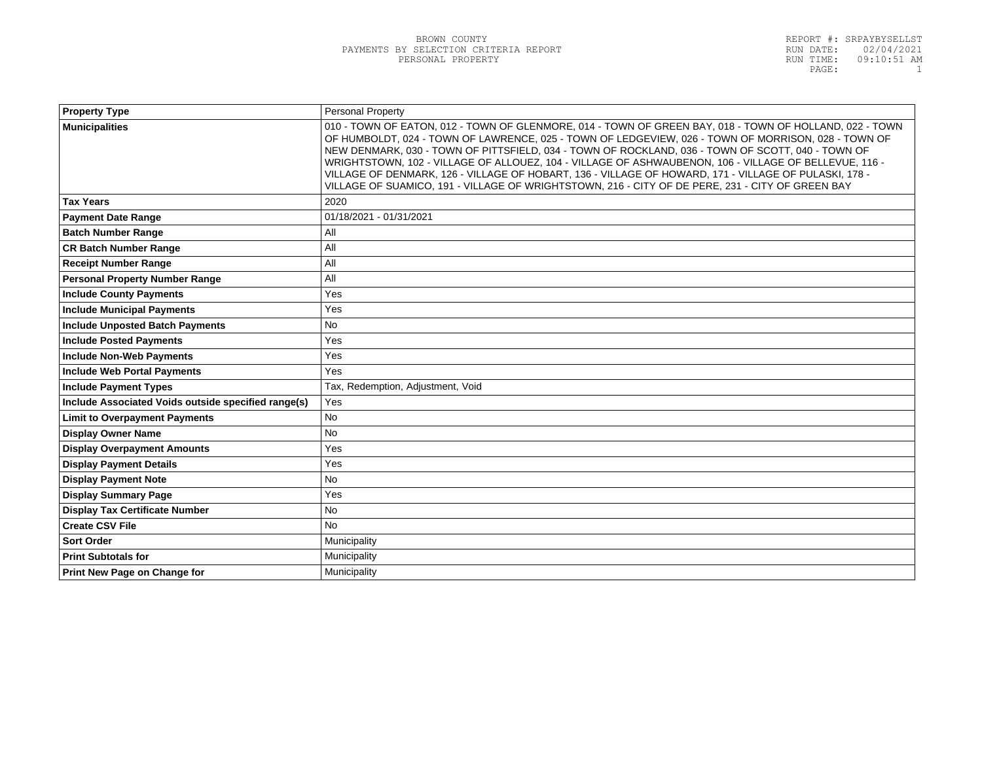| <b>Property Type</b>                                | Personal Property                                                                                                                                                                                                                                                                                                                                                                                                                                                                                                                                                                                                                         |  |
|-----------------------------------------------------|-------------------------------------------------------------------------------------------------------------------------------------------------------------------------------------------------------------------------------------------------------------------------------------------------------------------------------------------------------------------------------------------------------------------------------------------------------------------------------------------------------------------------------------------------------------------------------------------------------------------------------------------|--|
| <b>Municipalities</b>                               | 010 - TOWN OF EATON, 012 - TOWN OF GLENMORE, 014 - TOWN OF GREEN BAY, 018 - TOWN OF HOLLAND, 022 - TOWN<br>OF HUMBOLDT, 024 - TOWN OF LAWRENCE, 025 - TOWN OF LEDGEVIEW, 026 - TOWN OF MORRISON, 028 - TOWN OF<br>NEW DENMARK, 030 - TOWN OF PITTSFIELD, 034 - TOWN OF ROCKLAND, 036 - TOWN OF SCOTT, 040 - TOWN OF<br>WRIGHTSTOWN, 102 - VILLAGE OF ALLOUEZ, 104 - VILLAGE OF ASHWAUBENON, 106 - VILLAGE OF BELLEVUE, 116 -<br>VILLAGE OF DENMARK, 126 - VILLAGE OF HOBART, 136 - VILLAGE OF HOWARD, 171 - VILLAGE OF PULASKI, 178 -<br>VILLAGE OF SUAMICO, 191 - VILLAGE OF WRIGHTSTOWN, 216 - CITY OF DE PERE, 231 - CITY OF GREEN BAY |  |
| <b>Tax Years</b>                                    | 2020                                                                                                                                                                                                                                                                                                                                                                                                                                                                                                                                                                                                                                      |  |
| <b>Payment Date Range</b>                           | 01/18/2021 - 01/31/2021                                                                                                                                                                                                                                                                                                                                                                                                                                                                                                                                                                                                                   |  |
| <b>Batch Number Range</b>                           | All                                                                                                                                                                                                                                                                                                                                                                                                                                                                                                                                                                                                                                       |  |
| <b>CR Batch Number Range</b>                        | All                                                                                                                                                                                                                                                                                                                                                                                                                                                                                                                                                                                                                                       |  |
| <b>Receipt Number Range</b>                         | All                                                                                                                                                                                                                                                                                                                                                                                                                                                                                                                                                                                                                                       |  |
| <b>Personal Property Number Range</b>               | All                                                                                                                                                                                                                                                                                                                                                                                                                                                                                                                                                                                                                                       |  |
| <b>Include County Payments</b>                      | Yes                                                                                                                                                                                                                                                                                                                                                                                                                                                                                                                                                                                                                                       |  |
| <b>Include Municipal Payments</b>                   | Yes                                                                                                                                                                                                                                                                                                                                                                                                                                                                                                                                                                                                                                       |  |
| <b>Include Unposted Batch Payments</b>              | <b>No</b>                                                                                                                                                                                                                                                                                                                                                                                                                                                                                                                                                                                                                                 |  |
| <b>Include Posted Payments</b>                      | Yes                                                                                                                                                                                                                                                                                                                                                                                                                                                                                                                                                                                                                                       |  |
| <b>Include Non-Web Payments</b>                     | Yes                                                                                                                                                                                                                                                                                                                                                                                                                                                                                                                                                                                                                                       |  |
| <b>Include Web Portal Payments</b>                  | Yes                                                                                                                                                                                                                                                                                                                                                                                                                                                                                                                                                                                                                                       |  |
| <b>Include Payment Types</b>                        | Tax, Redemption, Adjustment, Void                                                                                                                                                                                                                                                                                                                                                                                                                                                                                                                                                                                                         |  |
| Include Associated Voids outside specified range(s) | Yes                                                                                                                                                                                                                                                                                                                                                                                                                                                                                                                                                                                                                                       |  |
| <b>Limit to Overpayment Payments</b>                | <b>No</b>                                                                                                                                                                                                                                                                                                                                                                                                                                                                                                                                                                                                                                 |  |
| <b>Display Owner Name</b>                           | <b>No</b>                                                                                                                                                                                                                                                                                                                                                                                                                                                                                                                                                                                                                                 |  |
| <b>Display Overpayment Amounts</b>                  | Yes                                                                                                                                                                                                                                                                                                                                                                                                                                                                                                                                                                                                                                       |  |
| <b>Display Payment Details</b>                      | Yes                                                                                                                                                                                                                                                                                                                                                                                                                                                                                                                                                                                                                                       |  |
| <b>Display Payment Note</b>                         | <b>No</b>                                                                                                                                                                                                                                                                                                                                                                                                                                                                                                                                                                                                                                 |  |
| <b>Display Summary Page</b>                         | Yes                                                                                                                                                                                                                                                                                                                                                                                                                                                                                                                                                                                                                                       |  |
| <b>Display Tax Certificate Number</b>               | <b>No</b>                                                                                                                                                                                                                                                                                                                                                                                                                                                                                                                                                                                                                                 |  |
| <b>Create CSV File</b>                              | <b>No</b>                                                                                                                                                                                                                                                                                                                                                                                                                                                                                                                                                                                                                                 |  |
| <b>Sort Order</b>                                   | Municipality                                                                                                                                                                                                                                                                                                                                                                                                                                                                                                                                                                                                                              |  |
| <b>Print Subtotals for</b>                          | Municipality                                                                                                                                                                                                                                                                                                                                                                                                                                                                                                                                                                                                                              |  |
| Print New Page on Change for                        | Municipality                                                                                                                                                                                                                                                                                                                                                                                                                                                                                                                                                                                                                              |  |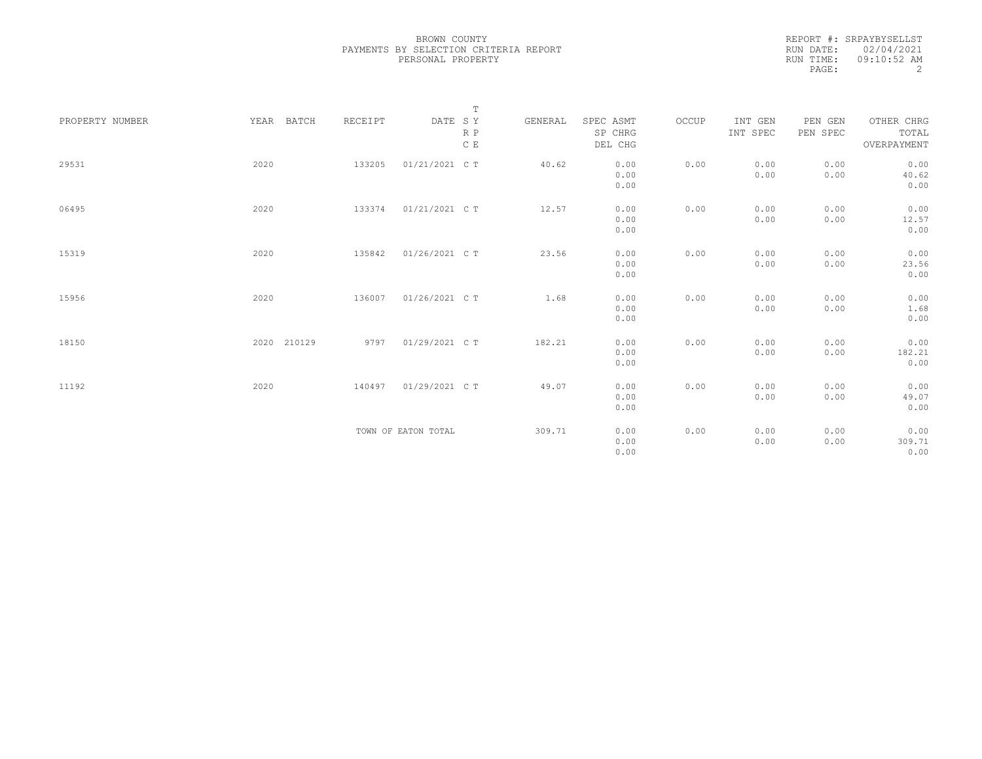| REPORT #: SRPAYBYSELLST |
|-------------------------|
| RUN DATE: 02/04/2021    |
| $09:10:52$ AM           |
| 2                       |
|                         |

|                 |             |         | $\mathbb T$                     |         |                                 |       |                     |                     |                                    |
|-----------------|-------------|---------|---------------------------------|---------|---------------------------------|-------|---------------------|---------------------|------------------------------------|
| PROPERTY NUMBER | YEAR BATCH  | RECEIPT | DATE SY<br>R P<br>$\,$ C $\,$ E | GENERAL | SPEC ASMT<br>SP CHRG<br>DEL CHG | OCCUP | INT GEN<br>INT SPEC | PEN GEN<br>PEN SPEC | OTHER CHRG<br>TOTAL<br>OVERPAYMENT |
| 29531           | 2020        | 133205  | 01/21/2021 C T                  | 40.62   | 0.00<br>0.00<br>0.00            | 0.00  | 0.00<br>0.00        | 0.00<br>0.00        | 0.00<br>40.62<br>0.00              |
| 06495           | 2020        | 133374  | 01/21/2021 C T                  | 12.57   | 0.00<br>0.00<br>0.00            | 0.00  | 0.00<br>0.00        | 0.00<br>0.00        | 0.00<br>12.57<br>0.00              |
| 15319           | 2020        | 135842  | 01/26/2021 C T                  | 23.56   | 0.00<br>0.00<br>0.00            | 0.00  | 0.00<br>0.00        | 0.00<br>0.00        | 0.00<br>23.56<br>0.00              |
| 15956           | 2020        | 136007  | 01/26/2021 C T                  | 1.68    | 0.00<br>0.00<br>0.00            | 0.00  | 0.00<br>0.00        | 0.00<br>0.00        | 0.00<br>1.68<br>0.00               |
| 18150           | 2020 210129 | 9797    | 01/29/2021 C T                  | 182.21  | 0.00<br>0.00<br>0.00            | 0.00  | 0.00<br>0.00        | 0.00<br>0.00        | 0.00<br>182.21<br>0.00             |
| 11192           | 2020        | 140497  | 01/29/2021 C T                  | 49.07   | 0.00<br>0.00<br>0.00            | 0.00  | 0.00<br>0.00        | 0.00<br>0.00        | 0.00<br>49.07<br>0.00              |
|                 |             |         | TOWN OF EATON TOTAL             | 309.71  | 0.00<br>0.00<br>0.00            | 0.00  | 0.00<br>0.00        | 0.00<br>0.00        | 0.00<br>309.71<br>0.00             |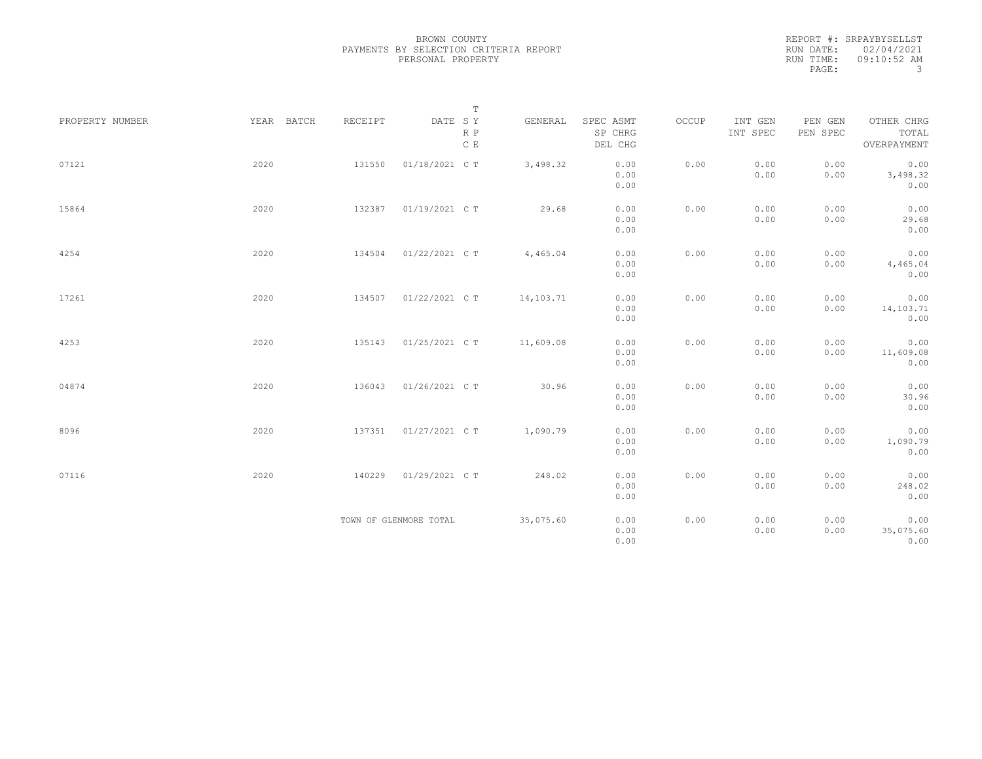REPORT #: SRPAYBYSELLST RUN DATE: 02/04/2021 RUN TIME: 09:10:52 AM PAGE: 3

|                 |            |         | $\mathbb T$                     |           |                                 |       |                     |                     |                                    |
|-----------------|------------|---------|---------------------------------|-----------|---------------------------------|-------|---------------------|---------------------|------------------------------------|
| PROPERTY NUMBER | YEAR BATCH | RECEIPT | DATE SY<br>R P<br>$\,$ C $\,$ E | GENERAL   | SPEC ASMT<br>SP CHRG<br>DEL CHG | OCCUP | INT GEN<br>INT SPEC | PEN GEN<br>PEN SPEC | OTHER CHRG<br>TOTAL<br>OVERPAYMENT |
| 07121           | 2020       | 131550  | 01/18/2021 C T                  | 3,498.32  | 0.00<br>0.00<br>0.00            | 0.00  | 0.00<br>0.00        | 0.00<br>0.00        | 0.00<br>3,498.32<br>0.00           |
| 15864           | 2020       | 132387  | 01/19/2021 C T                  | 29.68     | 0.00<br>0.00<br>0.00            | 0.00  | 0.00<br>0.00        | 0.00<br>0.00        | 0.00<br>29.68<br>0.00              |
| 4254            | 2020       | 134504  | 01/22/2021 C T                  | 4,465.04  | 0.00<br>0.00<br>0.00            | 0.00  | 0.00<br>0.00        | 0.00<br>0.00        | 0.00<br>4,465.04<br>0.00           |
| 17261           | 2020       | 134507  | 01/22/2021 C T                  | 14,103.71 | 0.00<br>0.00<br>0.00            | 0.00  | 0.00<br>0.00        | 0.00<br>0.00        | 0.00<br>14,103.71<br>0.00          |
| 4253            | 2020       | 135143  | 01/25/2021 C T                  | 11,609.08 | 0.00<br>0.00<br>0.00            | 0.00  | 0.00<br>0.00        | 0.00<br>0.00        | 0.00<br>11,609.08<br>0.00          |
| 04874           | 2020       | 136043  | 01/26/2021 C T                  | 30.96     | 0.00<br>0.00<br>0.00            | 0.00  | 0.00<br>0.00        | 0.00<br>0.00        | 0.00<br>30.96<br>0.00              |
| 8096            | 2020       | 137351  | 01/27/2021 C T                  | 1,090.79  | 0.00<br>0.00<br>0.00            | 0.00  | 0.00<br>0.00        | 0.00<br>0.00        | 0.00<br>1,090.79<br>0.00           |
| 07116           | 2020       | 140229  | 01/29/2021 C T                  | 248.02    | 0.00<br>0.00<br>0.00            | 0.00  | 0.00<br>0.00        | 0.00<br>0.00        | 0.00<br>248.02<br>0.00             |
|                 |            |         | TOWN OF GLENMORE TOTAL          | 35,075.60 | 0.00<br>0.00<br>0.00            | 0.00  | 0.00<br>0.00        | 0.00<br>0.00        | 0.00<br>35,075.60<br>0.00          |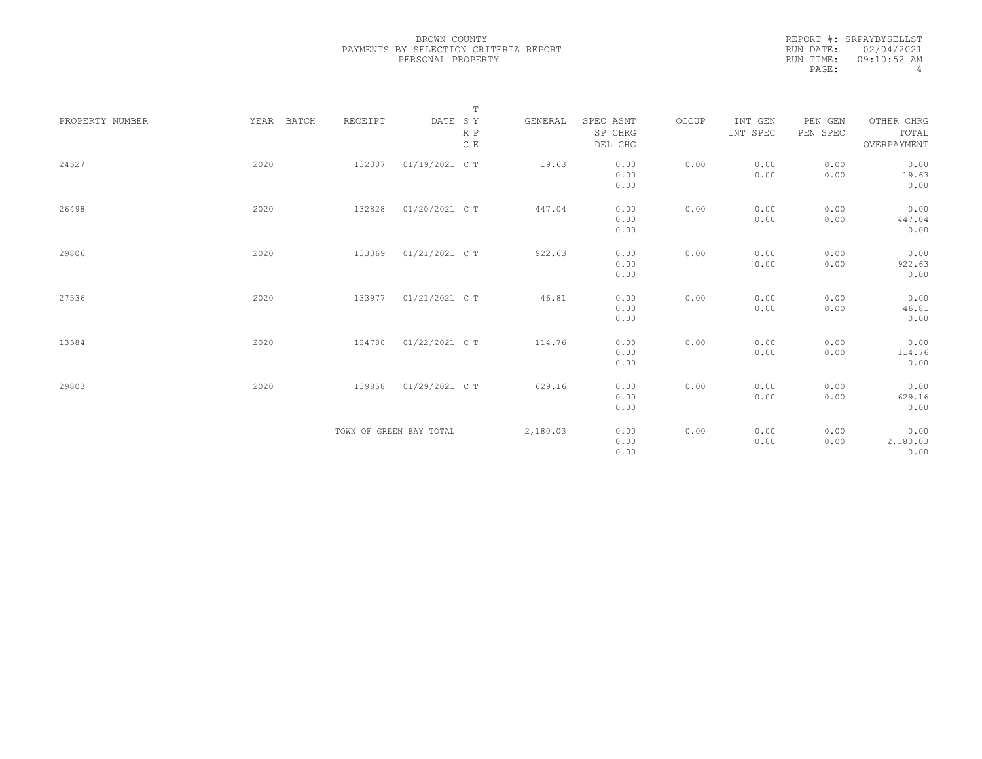| REPORT #: SRPAYBYSELLST |
|-------------------------|
| RUN DATE: 02/04/2021    |
| $09:10:52$ AM           |
| 4                       |
|                         |

|                 |            |         | $\mathbb T$             |          |                                 |       |                     |                     |                                    |
|-----------------|------------|---------|-------------------------|----------|---------------------------------|-------|---------------------|---------------------|------------------------------------|
| PROPERTY NUMBER | YEAR BATCH | RECEIPT | DATE SY<br>R P<br>C E   | GENERAL  | SPEC ASMT<br>SP CHRG<br>DEL CHG | OCCUP | INT GEN<br>INT SPEC | PEN GEN<br>PEN SPEC | OTHER CHRG<br>TOTAL<br>OVERPAYMENT |
| 24527           | 2020       | 132307  | 01/19/2021 C T          | 19.63    | 0.00                            | 0.00  | 0.00                | 0.00                | 0.00                               |
|                 |            |         |                         |          | 0.00                            |       | 0.00                | 0.00                | 19.63                              |
|                 |            |         |                         |          | 0.00                            |       |                     |                     | 0.00                               |
|                 |            |         |                         |          |                                 |       |                     |                     |                                    |
| 26498           | 2020       | 132828  | 01/20/2021 C T          | 447.04   | 0.00                            | 0.00  | 0.00                | 0.00                | 0.00                               |
|                 |            |         |                         |          | 0.00                            |       | 0.00                | 0.00                | 447.04                             |
|                 |            |         |                         |          | 0.00                            |       |                     |                     | 0.00                               |
| 29806           | 2020       | 133369  | 01/21/2021 C T          | 922.63   | 0.00                            | 0.00  | 0.00                | 0.00                | 0.00                               |
|                 |            |         |                         |          | 0.00                            |       | 0.00                | 0.00                | 922.63                             |
|                 |            |         |                         |          | 0.00                            |       |                     |                     | 0.00                               |
|                 |            |         |                         |          |                                 |       |                     |                     |                                    |
| 27536           | 2020       | 133977  | 01/21/2021 C T          | 46.81    | 0.00                            | 0.00  | 0.00                | 0.00                | 0.00                               |
|                 |            |         |                         |          | 0.00                            |       | 0.00                | 0.00                | 46.81                              |
|                 |            |         |                         |          | 0.00                            |       |                     |                     | 0.00                               |
| 13584           | 2020       | 134780  | 01/22/2021 C T          | 114.76   | 0.00                            | 0.00  | 0.00                | 0.00                | 0.00                               |
|                 |            |         |                         |          | 0.00                            |       | 0.00                | 0.00                | 114.76                             |
|                 |            |         |                         |          | 0.00                            |       |                     |                     | 0.00                               |
|                 |            |         |                         |          |                                 |       |                     |                     |                                    |
| 29803           | 2020       | 139858  | 01/29/2021 C T          | 629.16   | 0.00                            | 0.00  | 0.00                | 0.00                | 0.00                               |
|                 |            |         |                         |          | 0.00                            |       | 0.00                | 0.00                | 629.16                             |
|                 |            |         |                         |          | 0.00                            |       |                     |                     | 0.00                               |
|                 |            |         | TOWN OF GREEN BAY TOTAL | 2,180.03 | 0.00                            | 0.00  | 0.00                | 0.00                | 0.00                               |
|                 |            |         |                         |          | 0.00                            |       | 0.00                | 0.00                | 2,180.03                           |
|                 |            |         |                         |          | 0.00                            |       |                     |                     | 0.00                               |
|                 |            |         |                         |          |                                 |       |                     |                     |                                    |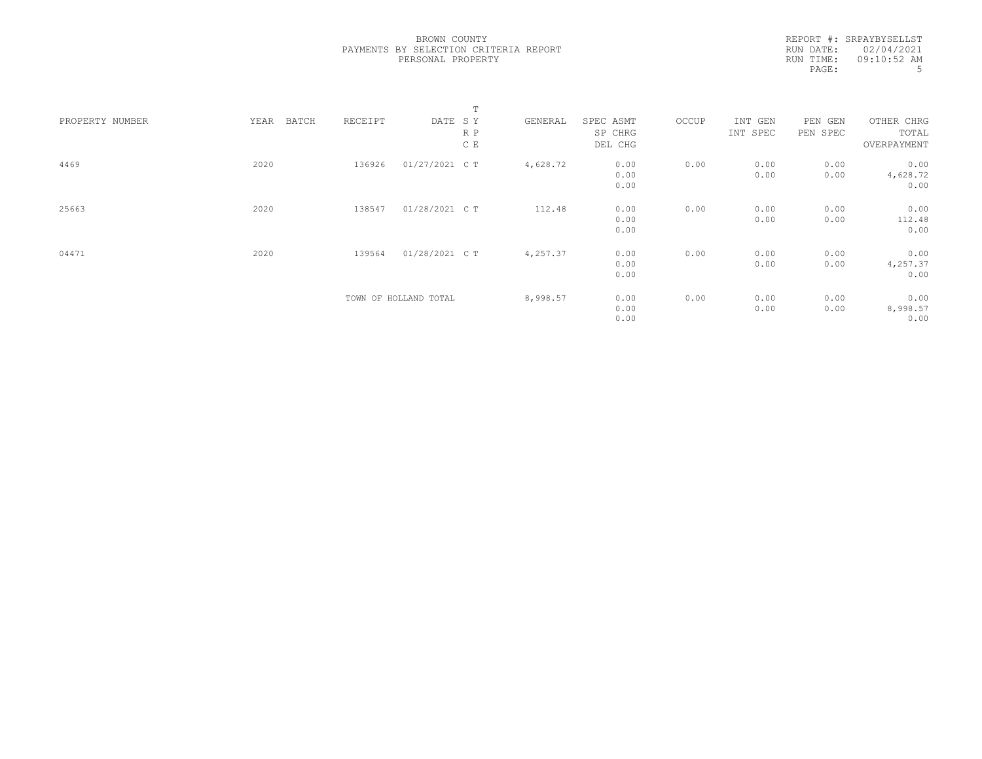REPORT #: SRPAYBYSELLST RUN DATE: 02/04/2021 RUN TIME: 09:10:52 AM PAGE: 5

|                 |               |         |                       | T   |          |           |       |          |          |             |  |
|-----------------|---------------|---------|-----------------------|-----|----------|-----------|-------|----------|----------|-------------|--|
| PROPERTY NUMBER | YEAR<br>BATCH | RECEIPT | DATE SY               |     | GENERAL  | SPEC ASMT | OCCUP | INT GEN  | PEN GEN  | OTHER CHRG  |  |
|                 |               |         |                       | R P |          | SP CHRG   |       | INT SPEC | PEN SPEC | TOTAL       |  |
|                 |               |         |                       | C E |          | DEL CHG   |       |          |          | OVERPAYMENT |  |
| 4469            | 2020          | 136926  | 01/27/2021 C T        |     | 4,628.72 | 0.00      | 0.00  | 0.00     | 0.00     | 0.00        |  |
|                 |               |         |                       |     |          | 0.00      |       | 0.00     | 0.00     | 4,628.72    |  |
|                 |               |         |                       |     |          | 0.00      |       |          |          | 0.00        |  |
| 25663           | 2020          | 138547  | 01/28/2021 C T        |     | 112.48   | 0.00      | 0.00  | 0.00     | 0.00     | 0.00        |  |
|                 |               |         |                       |     |          | 0.00      |       | 0.00     | 0.00     | 112.48      |  |
|                 |               |         |                       |     |          | 0.00      |       |          |          | 0.00        |  |
| 04471           | 2020          | 139564  | 01/28/2021 C T        |     | 4,257.37 | 0.00      | 0.00  | 0.00     | 0.00     | 0.00        |  |
|                 |               |         |                       |     |          | 0.00      |       | 0.00     | 0.00     | 4,257.37    |  |
|                 |               |         |                       |     |          | 0.00      |       |          |          | 0.00        |  |
|                 |               |         | TOWN OF HOLLAND TOTAL |     | 8,998.57 | 0.00      | 0.00  | 0.00     | 0.00     | 0.00        |  |
|                 |               |         |                       |     |          | 0.00      |       | 0.00     | 0.00     | 8,998.57    |  |
|                 |               |         |                       |     |          | 0.00      |       |          |          | 0.00        |  |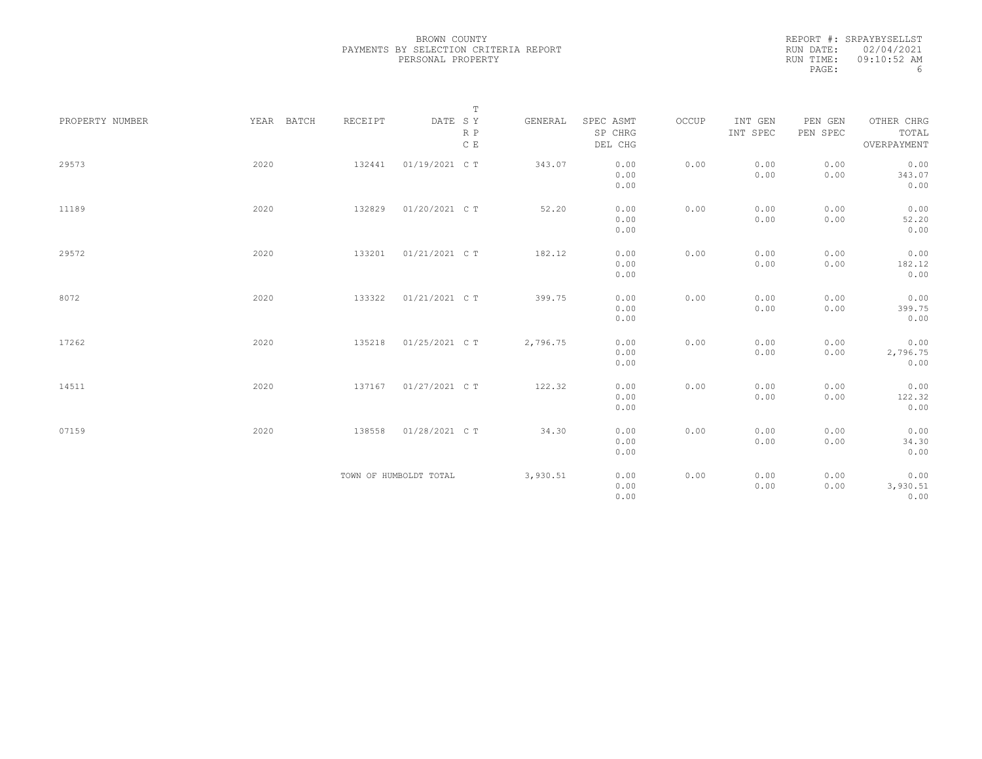|                 |            |         | $\mathbb T$                                                             |          |                      |       |                     |                     |                     |
|-----------------|------------|---------|-------------------------------------------------------------------------|----------|----------------------|-------|---------------------|---------------------|---------------------|
| PROPERTY NUMBER | YEAR BATCH | RECEIPT | $\begin{tabular}{lllll} \bf{DATE} & \tt S & \tt Y \end{tabular}$<br>R P | GENERAL  | SPEC ASMT<br>SP CHRG | OCCUP | INT GEN<br>INT SPEC | PEN GEN<br>PEN SPEC | OTHER CHRG<br>TOTAL |
|                 |            |         | C E                                                                     |          | DEL CHG              |       |                     |                     | OVERPAYMENT         |
| 29573           | 2020       | 132441  | 01/19/2021 C T                                                          | 343.07   | 0.00                 | 0.00  | 0.00                | 0.00                | 0.00                |
|                 |            |         |                                                                         |          | 0.00                 |       | 0.00                | 0.00                | 343.07              |
|                 |            |         |                                                                         |          | 0.00                 |       |                     |                     | 0.00                |
| 11189           | 2020       | 132829  | 01/20/2021 C T                                                          | 52.20    | 0.00                 | 0.00  | 0.00                | 0.00                | 0.00                |
|                 |            |         |                                                                         |          | 0.00                 |       | 0.00                | 0.00                | 52.20               |
|                 |            |         |                                                                         |          | 0.00                 |       |                     |                     | 0.00                |
| 29572           | 2020       | 133201  | 01/21/2021 C T                                                          | 182.12   | 0.00                 | 0.00  | 0.00                | 0.00                | 0.00                |
|                 |            |         |                                                                         |          | 0.00                 |       | 0.00                | 0.00                | 182.12              |
|                 |            |         |                                                                         |          | 0.00                 |       |                     |                     | 0.00                |
| 8072            | 2020       | 133322  | 01/21/2021 C T                                                          | 399.75   | 0.00                 | 0.00  | 0.00                | 0.00                | 0.00                |
|                 |            |         |                                                                         |          | 0.00                 |       | 0.00                | 0.00                | 399.75              |
|                 |            |         |                                                                         |          | 0.00                 |       |                     |                     | 0.00                |
| 17262           | 2020       | 135218  | 01/25/2021 C T                                                          | 2,796.75 | 0.00                 | 0.00  | 0.00                | 0.00                | 0.00                |
|                 |            |         |                                                                         |          | 0.00                 |       | 0.00                | 0.00                | 2,796.75            |
|                 |            |         |                                                                         |          | 0.00                 |       |                     |                     | 0.00                |
| 14511           | 2020       |         | 137167 01/27/2021 CT                                                    | 122.32   | 0.00                 | 0.00  | 0.00                | 0.00                | 0.00                |
|                 |            |         |                                                                         |          | 0.00                 |       | 0.00                | 0.00                | 122.32              |
|                 |            |         |                                                                         |          | 0.00                 |       |                     |                     | 0.00                |
| 07159           | 2020       | 138558  | 01/28/2021 C T                                                          | 34.30    | 0.00                 | 0.00  | 0.00                | 0.00                | 0.00                |
|                 |            |         |                                                                         |          | 0.00                 |       | 0.00                | 0.00                | 34.30               |
|                 |            |         |                                                                         |          | 0.00                 |       |                     |                     | 0.00                |
|                 |            |         | TOWN OF HUMBOLDT TOTAL                                                  | 3,930.51 | 0.00                 | 0.00  | 0.00                | 0.00                | 0.00                |
|                 |            |         |                                                                         |          | 0.00                 |       | 0.00                | 0.00                | 3,930.51            |
|                 |            |         |                                                                         |          | 0.00                 |       |                     |                     | 0.00                |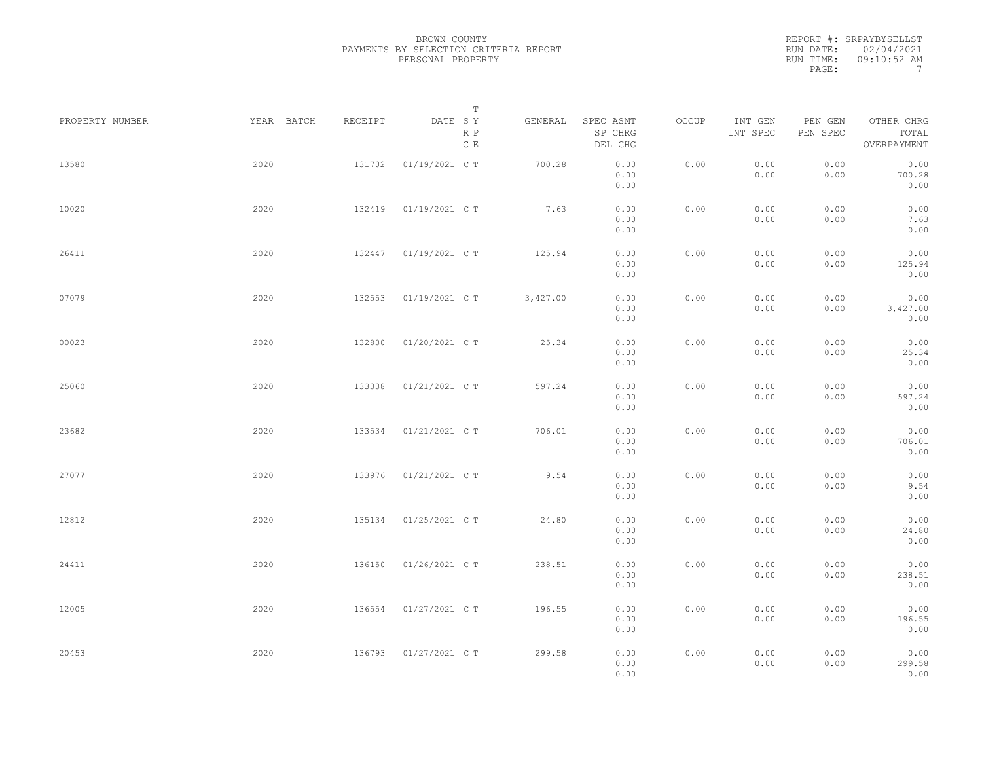REPORT #: SRPAYBYSELLST RUN DATE: 02/04/2021 RUN TIME: 09:10:52 AM PAGE: 7

|                 |            |         | $\mathbb T$           |          |                                 |       |                     |                     |                                    |  |
|-----------------|------------|---------|-----------------------|----------|---------------------------------|-------|---------------------|---------------------|------------------------------------|--|
| PROPERTY NUMBER | YEAR BATCH | RECEIPT | DATE SY<br>R P<br>C E | GENERAL  | SPEC ASMT<br>SP CHRG<br>DEL CHG | OCCUP | INT GEN<br>INT SPEC | PEN GEN<br>PEN SPEC | OTHER CHRG<br>TOTAL<br>OVERPAYMENT |  |
| 13580           | 2020       | 131702  | 01/19/2021 C T        | 700.28   | 0.00<br>0.00<br>0.00            | 0.00  | 0.00<br>0.00        | 0.00<br>0.00        | 0.00<br>700.28<br>0.00             |  |
| 10020           | 2020       | 132419  | 01/19/2021 C T        | 7.63     | 0.00<br>0.00<br>0.00            | 0.00  | 0.00<br>0.00        | 0.00<br>0.00        | 0.00<br>7.63<br>0.00               |  |
| 26411           | 2020       | 132447  | 01/19/2021 C T        | 125.94   | 0.00<br>0.00<br>0.00            | 0.00  | 0.00<br>0.00        | 0.00<br>0.00        | 0.00<br>125.94<br>0.00             |  |
| 07079           | 2020       | 132553  | 01/19/2021 C T        | 3,427.00 | 0.00<br>0.00<br>0.00            | 0.00  | 0.00<br>0.00        | 0.00<br>0.00        | 0.00<br>3,427.00<br>0.00           |  |
| 00023           | 2020       | 132830  | 01/20/2021 C T        | 25.34    | 0.00<br>0.00<br>0.00            | 0.00  | 0.00<br>0.00        | 0.00<br>0.00        | 0.00<br>25.34<br>0.00              |  |
| 25060           | 2020       | 133338  | 01/21/2021 C T        | 597.24   | 0.00<br>0.00<br>0.00            | 0.00  | 0.00<br>0.00        | 0.00<br>0.00        | 0.00<br>597.24<br>0.00             |  |
| 23682           | 2020       | 133534  | 01/21/2021 C T        | 706.01   | 0.00<br>0.00<br>0.00            | 0.00  | 0.00<br>0.00        | 0.00<br>0.00        | 0.00<br>706.01<br>0.00             |  |
| 27077           | 2020       | 133976  | 01/21/2021 C T        | 9.54     | 0.00<br>0.00<br>0.00            | 0.00  | 0.00<br>0.00        | 0.00<br>0.00        | 0.00<br>9.54<br>0.00               |  |
| 12812           | 2020       | 135134  | 01/25/2021 C T        | 24.80    | 0.00<br>0.00<br>0.00            | 0.00  | 0.00<br>0.00        | 0.00<br>0.00        | 0.00<br>24.80<br>0.00              |  |
| 24411           | 2020       | 136150  | 01/26/2021 C T        | 238.51   | 0.00<br>0.00<br>0.00            | 0.00  | 0.00<br>0.00        | 0.00<br>0.00        | 0.00<br>238.51<br>0.00             |  |
| 12005           | 2020       | 136554  | 01/27/2021 C T        | 196.55   | 0.00<br>0.00<br>0.00            | 0.00  | 0.00<br>0.00        | 0.00<br>0.00        | 0.00<br>196.55<br>0.00             |  |
| 20453           | 2020       | 136793  | 01/27/2021 C T        | 299.58   | 0.00<br>0.00<br>0.00            | 0.00  | 0.00<br>0.00        | 0.00<br>0.00        | 0.00<br>299.58<br>0.00             |  |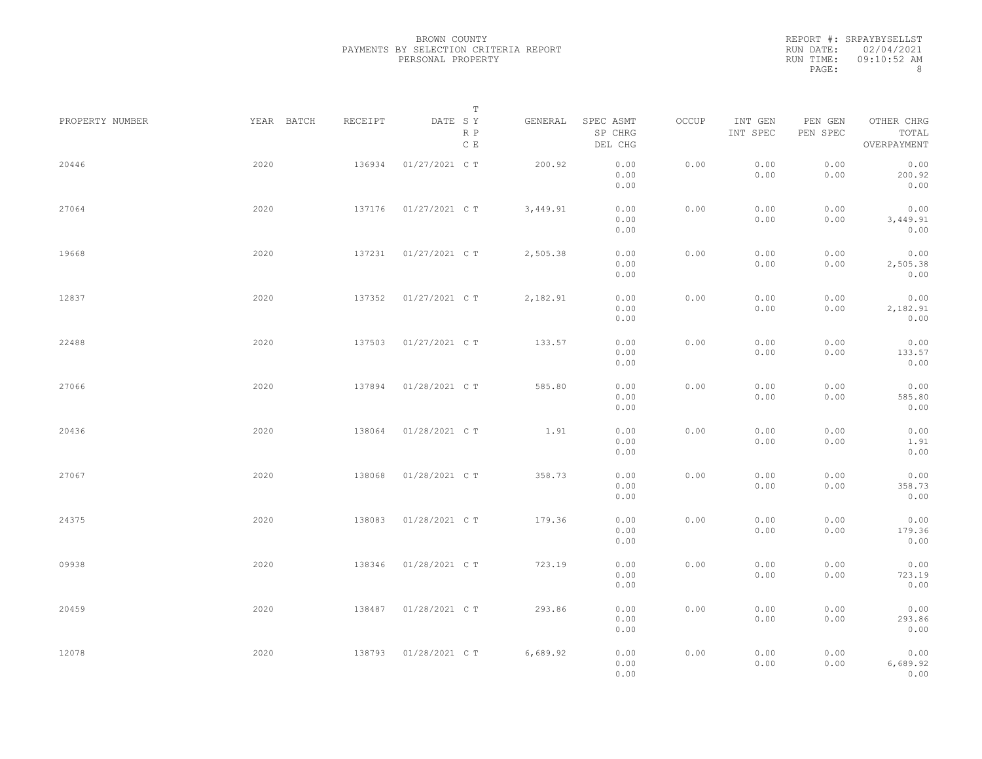|           | REPORT #: SRPAYBYSELLST |
|-----------|-------------------------|
|           | RUN DATE: 02/04/2021    |
| RUN TIME: | $09:10:52$ AM           |
| PAGE:     | 8                       |

|                 |            |         | T                     |          |                                 |       |                     |                     |                                    |  |
|-----------------|------------|---------|-----------------------|----------|---------------------------------|-------|---------------------|---------------------|------------------------------------|--|
| PROPERTY NUMBER | YEAR BATCH | RECEIPT | DATE SY<br>R P<br>C E | GENERAL  | SPEC ASMT<br>SP CHRG<br>DEL CHG | OCCUP | INT GEN<br>INT SPEC | PEN GEN<br>PEN SPEC | OTHER CHRG<br>TOTAL<br>OVERPAYMENT |  |
| 20446           | 2020       | 136934  | 01/27/2021 C T        | 200.92   | 0.00<br>0.00<br>0.00            | 0.00  | 0.00<br>0.00        | 0.00<br>0.00        | 0.00<br>200.92<br>0.00             |  |
| 27064           | 2020       | 137176  | 01/27/2021 C T        | 3,449.91 | 0.00<br>0.00<br>0.00            | 0.00  | 0.00<br>0.00        | 0.00<br>0.00        | 0.00<br>3,449.91<br>0.00           |  |
| 19668           | 2020       | 137231  | 01/27/2021 C T        | 2,505.38 | 0.00<br>0.00<br>0.00            | 0.00  | 0.00<br>0.00        | 0.00<br>0.00        | 0.00<br>2,505.38<br>0.00           |  |
| 12837           | 2020       | 137352  | 01/27/2021 C T        | 2,182.91 | 0.00<br>0.00<br>0.00            | 0.00  | 0.00<br>0.00        | 0.00<br>0.00        | 0.00<br>2,182.91<br>0.00           |  |
| 22488           | 2020       | 137503  | 01/27/2021 C T        | 133.57   | 0.00<br>0.00<br>0.00            | 0.00  | 0.00<br>0.00        | 0.00<br>0.00        | 0.00<br>133.57<br>0.00             |  |
| 27066           | 2020       | 137894  | 01/28/2021 C T        | 585.80   | 0.00<br>0.00<br>0.00            | 0.00  | 0.00<br>0.00        | 0.00<br>0.00        | 0.00<br>585.80<br>0.00             |  |
| 20436           | 2020       | 138064  | 01/28/2021 C T        | 1.91     | 0.00<br>0.00<br>0.00            | 0.00  | 0.00<br>0.00        | 0.00<br>0.00        | 0.00<br>1.91<br>0.00               |  |
| 27067           | 2020       | 138068  | 01/28/2021 C T        | 358.73   | 0.00<br>0.00<br>0.00            | 0.00  | 0.00<br>0.00        | 0.00<br>0.00        | 0.00<br>358.73<br>0.00             |  |
| 24375           | 2020       | 138083  | 01/28/2021 C T        | 179.36   | 0.00<br>0.00<br>0.00            | 0.00  | 0.00<br>0.00        | 0.00<br>0.00        | 0.00<br>179.36<br>0.00             |  |
| 09938           | 2020       | 138346  | 01/28/2021 C T        | 723.19   | 0.00<br>0.00<br>0.00            | 0.00  | 0.00<br>0.00        | 0.00<br>0.00        | 0.00<br>723.19<br>0.00             |  |
| 20459           | 2020       | 138487  | 01/28/2021 C T        | 293.86   | 0.00<br>0.00<br>0.00            | 0.00  | 0.00<br>0.00        | 0.00<br>0.00        | 0.00<br>293.86<br>0.00             |  |
| 12078           | 2020       | 138793  | 01/28/2021 C T        | 6,689.92 | 0.00<br>0.00<br>0.00            | 0.00  | 0.00<br>0.00        | 0.00<br>0.00        | 0.00<br>6,689.92<br>0.00           |  |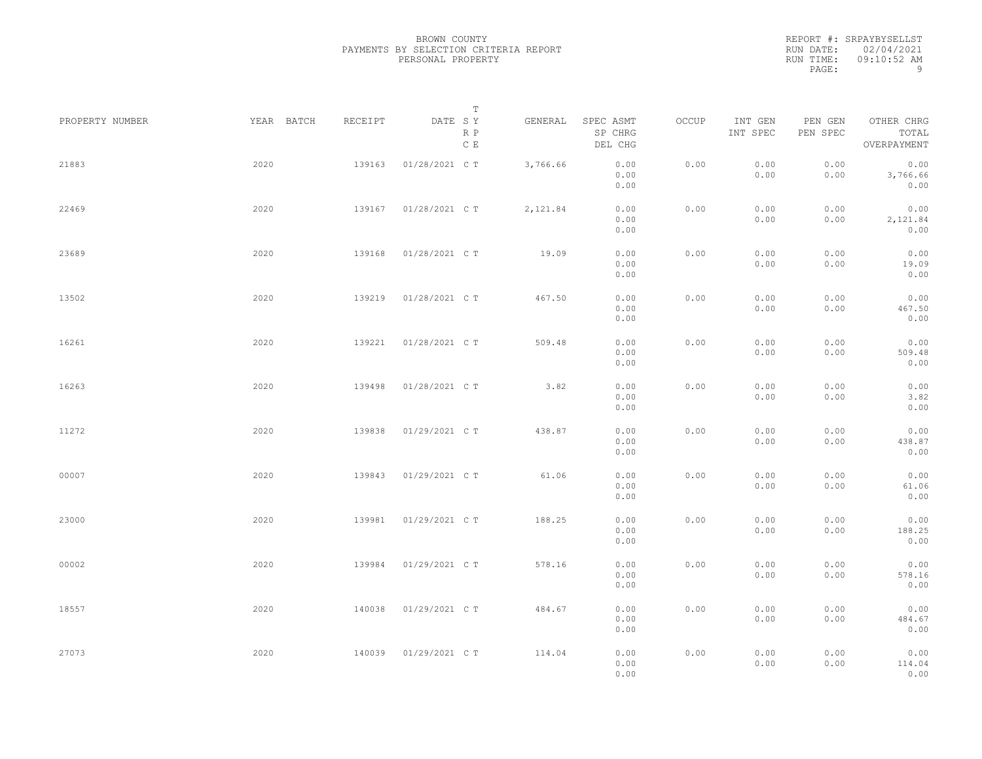|           | REPORT #: SRPAYBYSELLST |
|-----------|-------------------------|
|           | RUN DATE: 02/04/2021    |
| RUN TIME: | $09:10:52$ AM           |
| PAGE:     | q                       |

|                 |            |         | T                     |          |                                 |       |                     |                     |                                    |  |
|-----------------|------------|---------|-----------------------|----------|---------------------------------|-------|---------------------|---------------------|------------------------------------|--|
| PROPERTY NUMBER | YEAR BATCH | RECEIPT | DATE SY<br>R P<br>C E | GENERAL  | SPEC ASMT<br>SP CHRG<br>DEL CHG | OCCUP | INT GEN<br>INT SPEC | PEN GEN<br>PEN SPEC | OTHER CHRG<br>TOTAL<br>OVERPAYMENT |  |
| 21883           | 2020       | 139163  | 01/28/2021 C T        | 3,766.66 | 0.00<br>0.00<br>0.00            | 0.00  | 0.00<br>0.00        | 0.00<br>0.00        | 0.00<br>3,766.66<br>0.00           |  |
| 22469           | 2020       | 139167  | 01/28/2021 C T        | 2,121.84 | 0.00<br>0.00<br>0.00            | 0.00  | 0.00<br>0.00        | 0.00<br>0.00        | 0.00<br>2,121.84<br>0.00           |  |
| 23689           | 2020       | 139168  | 01/28/2021 C T        | 19.09    | 0.00<br>0.00<br>0.00            | 0.00  | 0.00<br>0.00        | 0.00<br>0.00        | 0.00<br>19.09<br>0.00              |  |
| 13502           | 2020       | 139219  | 01/28/2021 C T        | 467.50   | 0.00<br>0.00<br>0.00            | 0.00  | 0.00<br>0.00        | 0.00<br>0.00        | 0.00<br>467.50<br>0.00             |  |
| 16261           | 2020       | 139221  | 01/28/2021 C T        | 509.48   | 0.00<br>0.00<br>0.00            | 0.00  | 0.00<br>0.00        | 0.00<br>0.00        | 0.00<br>509.48<br>0.00             |  |
| 16263           | 2020       | 139498  | 01/28/2021 C T        | 3.82     | 0.00<br>0.00<br>0.00            | 0.00  | 0.00<br>0.00        | 0.00<br>0.00        | 0.00<br>3.82<br>0.00               |  |
| 11272           | 2020       | 139838  | 01/29/2021 C T        | 438.87   | 0.00<br>0.00                    | 0.00  | 0.00<br>0.00        | 0.00<br>0.00        | 0.00<br>438.87                     |  |
| 00007           | 2020       | 139843  | 01/29/2021 C T        | 61.06    | 0.00<br>0.00<br>0.00            | 0.00  | 0.00<br>0.00        | 0.00<br>0.00        | 0.00<br>0.00<br>61.06              |  |
| 23000           | 2020       | 139981  | 01/29/2021 C T        | 188.25   | 0.00<br>0.00<br>0.00            | 0.00  | 0.00<br>0.00        | 0.00<br>0.00        | 0.00<br>0.00<br>188.25             |  |
| 00002           | 2020       | 139984  | 01/29/2021 C T        | 578.16   | 0.00<br>0.00<br>0.00<br>0.00    | 0.00  | 0.00<br>0.00        | 0.00<br>0.00        | 0.00<br>0.00<br>578.16<br>0.00     |  |
| 18557           | 2020       | 140038  | 01/29/2021 C T        | 484.67   | 0.00<br>0.00                    | 0.00  | 0.00<br>0.00        | 0.00<br>0.00        | 0.00<br>484.67                     |  |
| 27073           | 2020       | 140039  | 01/29/2021 C T        | 114.04   | 0.00<br>0.00<br>0.00<br>0.00    | 0.00  | 0.00<br>0.00        | 0.00<br>0.00        | 0.00<br>0.00<br>114.04<br>0.00     |  |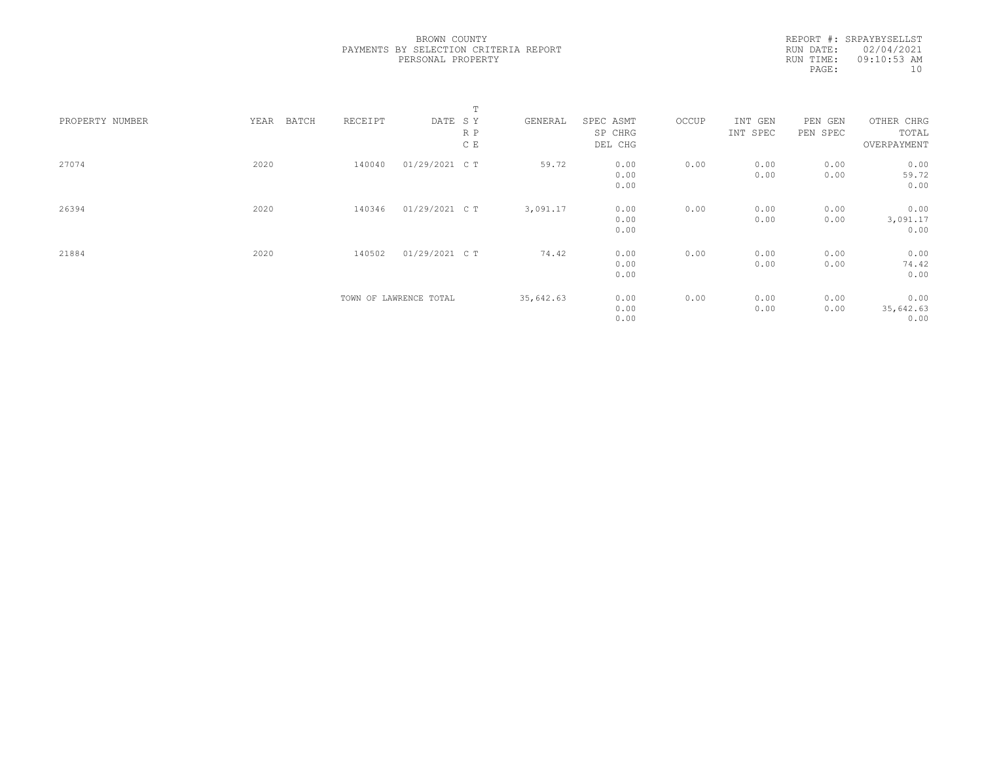REPORT #: SRPAYBYSELLST RUN DATE: 02/04/2021 RUN TIME: 09:10:53 AM PAGE:  $10$ 

|                 |               |         |                        | T   |           |           |       |          |          |             |  |
|-----------------|---------------|---------|------------------------|-----|-----------|-----------|-------|----------|----------|-------------|--|
| PROPERTY NUMBER | YEAR<br>BATCH | RECEIPT | DATE SY                |     | GENERAL   | SPEC ASMT | OCCUP | INT GEN  | PEN GEN  | OTHER CHRG  |  |
|                 |               |         |                        | R P |           | SP CHRG   |       | INT SPEC | PEN SPEC | TOTAL       |  |
|                 |               |         |                        | C E |           | DEL CHG   |       |          |          | OVERPAYMENT |  |
| 27074           | 2020          | 140040  | 01/29/2021 C T         |     | 59.72     | 0.00      | 0.00  | 0.00     | 0.00     | 0.00        |  |
|                 |               |         |                        |     |           | 0.00      |       | 0.00     | 0.00     | 59.72       |  |
|                 |               |         |                        |     |           | 0.00      |       |          |          | 0.00        |  |
| 26394           | 2020          | 140346  | 01/29/2021 C T         |     | 3,091.17  | 0.00      | 0.00  | 0.00     | 0.00     | 0.00        |  |
|                 |               |         |                        |     |           | 0.00      |       | 0.00     | 0.00     | 3,091.17    |  |
|                 |               |         |                        |     |           | 0.00      |       |          |          | 0.00        |  |
| 21884           | 2020          | 140502  | 01/29/2021 C T         |     | 74.42     | 0.00      | 0.00  | 0.00     | 0.00     | 0.00        |  |
|                 |               |         |                        |     |           | 0.00      |       | 0.00     | 0.00     | 74.42       |  |
|                 |               |         |                        |     |           | 0.00      |       |          |          | 0.00        |  |
|                 |               |         | TOWN OF LAWRENCE TOTAL |     | 35,642.63 | 0.00      | 0.00  | 0.00     | 0.00     | 0.00        |  |
|                 |               |         |                        |     |           | 0.00      |       | 0.00     | 0.00     | 35,642.63   |  |
|                 |               |         |                        |     |           | 0.00      |       |          |          | 0.00        |  |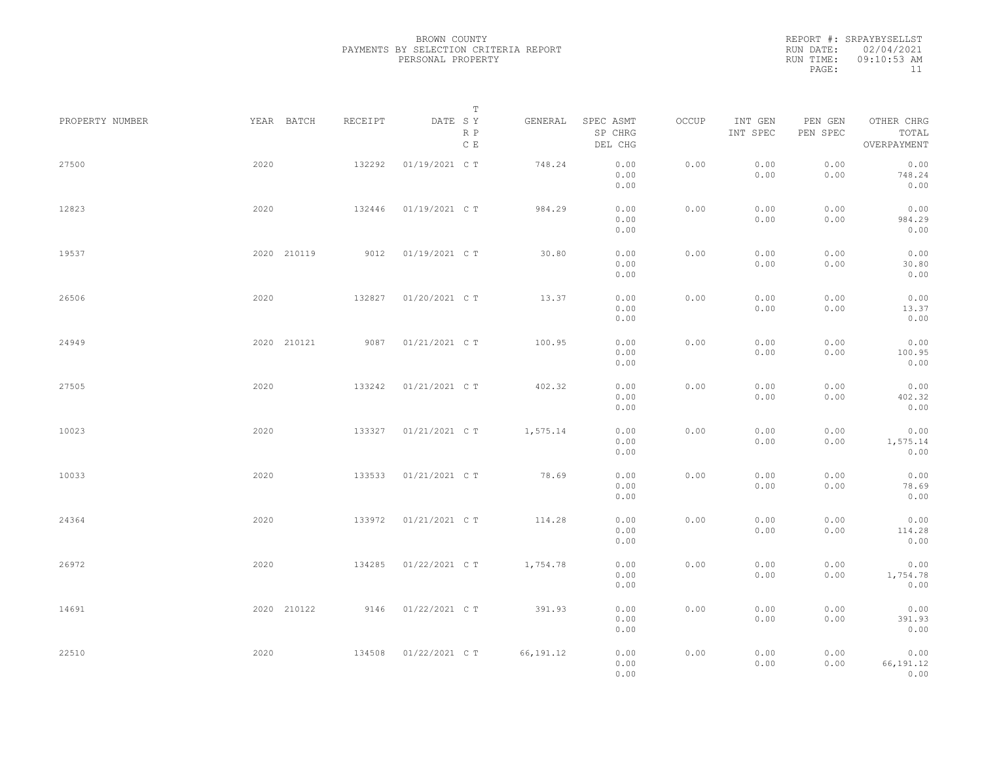REPORT #: SRPAYBYSELLST RUN DATE: 02/04/2021 RUN TIME: 09:10:53 AM PAGE: 11

|                 |      |             |         |                       | $\mathbb T$ |                                 |       |                     |                     |                                    |  |
|-----------------|------|-------------|---------|-----------------------|-------------|---------------------------------|-------|---------------------|---------------------|------------------------------------|--|
| PROPERTY NUMBER |      | YEAR BATCH  | RECEIPT | DATE SY<br>R P<br>C E | GENERAL     | SPEC ASMT<br>SP CHRG<br>DEL CHG | OCCUP | INT GEN<br>INT SPEC | PEN GEN<br>PEN SPEC | OTHER CHRG<br>TOTAL<br>OVERPAYMENT |  |
| 27500           | 2020 |             | 132292  | 01/19/2021 C T        | 748.24      | 0.00<br>0.00<br>0.00            | 0.00  | 0.00<br>0.00        | 0.00<br>0.00        | 0.00<br>748.24<br>0.00             |  |
| 12823           | 2020 |             | 132446  | 01/19/2021 C T        | 984.29      | 0.00<br>0.00<br>0.00            | 0.00  | 0.00<br>0.00        | 0.00<br>0.00        | 0.00<br>984.29<br>0.00             |  |
| 19537           |      | 2020 210119 | 9012    | 01/19/2021 C T        | 30.80       | 0.00<br>0.00<br>0.00            | 0.00  | 0.00<br>0.00        | 0.00<br>0.00        | 0.00<br>30.80<br>0.00              |  |
| 26506           | 2020 |             | 132827  | 01/20/2021 C T        | 13.37       | 0.00<br>0.00<br>0.00            | 0.00  | 0.00<br>0.00        | 0.00<br>0.00        | 0.00<br>13.37<br>0.00              |  |
| 24949           |      | 2020 210121 | 9087    | 01/21/2021 C T        | 100.95      | 0.00<br>0.00<br>0.00            | 0.00  | 0.00<br>0.00        | 0.00<br>0.00        | 0.00<br>100.95<br>0.00             |  |
| 27505           | 2020 |             | 133242  | 01/21/2021 C T        | 402.32      | 0.00<br>0.00<br>0.00            | 0.00  | 0.00<br>0.00        | 0.00<br>0.00        | 0.00<br>402.32<br>0.00             |  |
| 10023           | 2020 |             | 133327  | 01/21/2021 C T        | 1,575.14    | 0.00<br>0.00<br>0.00            | 0.00  | 0.00<br>0.00        | 0.00<br>0.00        | 0.00<br>1,575.14<br>0.00           |  |
| 10033           | 2020 |             | 133533  | 01/21/2021 C T        | 78.69       | 0.00<br>0.00<br>0.00            | 0.00  | 0.00<br>0.00        | 0.00<br>0.00        | 0.00<br>78.69<br>0.00              |  |
| 24364           | 2020 |             | 133972  | 01/21/2021 C T        | 114.28      | 0.00<br>0.00<br>0.00            | 0.00  | 0.00<br>0.00        | 0.00<br>0.00        | 0.00<br>114.28<br>0.00             |  |
| 26972           | 2020 |             | 134285  | 01/22/2021 C T        | 1,754.78    | 0.00<br>0.00<br>0.00            | 0.00  | 0.00<br>0.00        | 0.00<br>0.00        | 0.00<br>1,754.78<br>0.00           |  |
| 14691           |      | 2020 210122 | 9146    | 01/22/2021 C T        | 391.93      | 0.00<br>0.00<br>0.00            | 0.00  | 0.00<br>0.00        | 0.00<br>0.00        | 0.00<br>391.93<br>0.00             |  |
| 22510           | 2020 |             | 134508  | 01/22/2021 C T        | 66, 191.12  | 0.00<br>0.00<br>0.00            | 0.00  | 0.00<br>0.00        | 0.00<br>0.00        | 0.00<br>66,191.12<br>0.00          |  |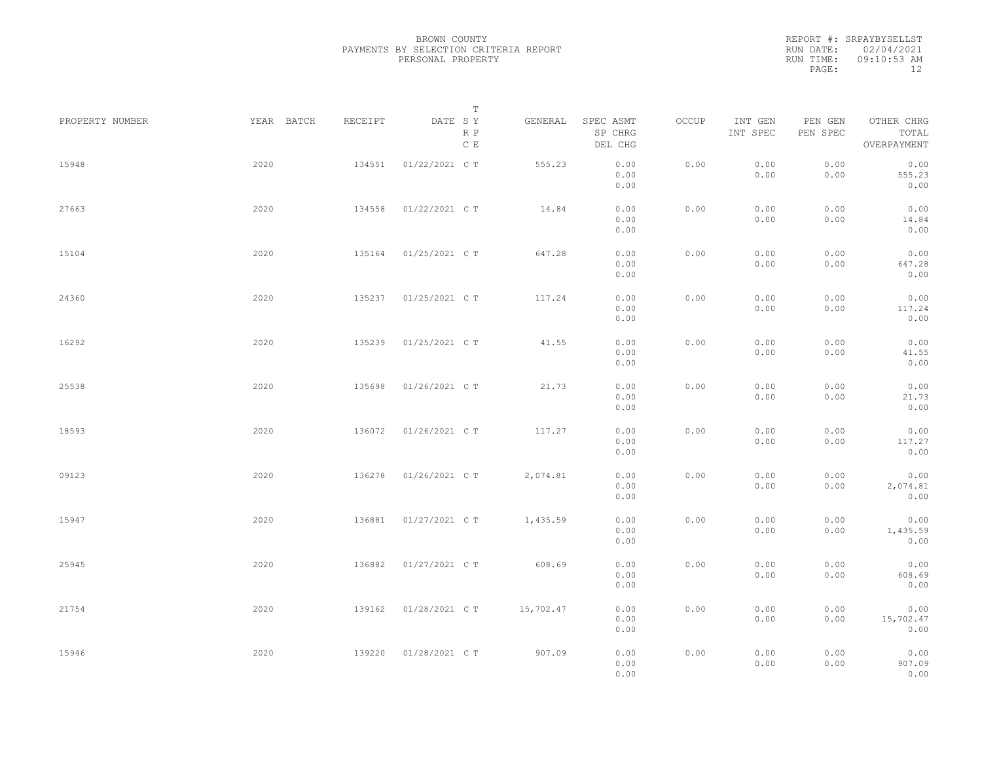|           | REPORT #: SRPAYBYSELLST |
|-----------|-------------------------|
|           | RUN DATE: 02/04/2021    |
| RUN TIME: | 09:10:53 AM             |
| PAGE:     | 12                      |

|                 |            |         | $\mathbb T$                     |           |                                 |       |                     |                     |                                    |  |
|-----------------|------------|---------|---------------------------------|-----------|---------------------------------|-------|---------------------|---------------------|------------------------------------|--|
| PROPERTY NUMBER | YEAR BATCH | RECEIPT | DATE SY<br>R P<br>$\,$ C $\,$ E | GENERAL   | SPEC ASMT<br>SP CHRG<br>DEL CHG | OCCUP | INT GEN<br>INT SPEC | PEN GEN<br>PEN SPEC | OTHER CHRG<br>TOTAL<br>OVERPAYMENT |  |
| 15948           | 2020       | 134551  | 01/22/2021 C T                  | 555.23    | 0.00<br>0.00<br>0.00            | 0.00  | 0.00<br>0.00        | 0.00<br>0.00        | 0.00<br>555.23<br>0.00             |  |
| 27663           | 2020       | 134558  | 01/22/2021 C T                  | 14.84     | 0.00<br>0.00<br>0.00            | 0.00  | 0.00<br>0.00        | 0.00<br>0.00        | 0.00<br>14.84<br>0.00              |  |
| 15104           | 2020       | 135164  | 01/25/2021 C T                  | 647.28    | 0.00<br>0.00<br>0.00            | 0.00  | 0.00<br>0.00        | 0.00<br>0.00        | 0.00<br>647.28<br>0.00             |  |
| 24360           | 2020       | 135237  | 01/25/2021 C T                  | 117.24    | 0.00<br>0.00<br>0.00            | 0.00  | 0.00<br>0.00        | 0.00<br>0.00        | 0.00<br>117.24<br>0.00             |  |
| 16292           | 2020       | 135239  | 01/25/2021 C T                  | 41.55     | 0.00<br>0.00<br>0.00            | 0.00  | 0.00<br>0.00        | 0.00<br>0.00        | 0.00<br>41.55<br>0.00              |  |
| 25538           | 2020       | 135698  | 01/26/2021 C T                  | 21.73     | 0.00<br>0.00<br>0.00            | 0.00  | 0.00<br>0.00        | 0.00<br>0.00        | 0.00<br>21.73<br>0.00              |  |
| 18593           | 2020       | 136072  | 01/26/2021 C T                  | 117.27    | 0.00<br>0.00<br>0.00            | 0.00  | 0.00<br>0.00        | 0.00<br>0.00        | 0.00<br>117.27<br>0.00             |  |
| 09123           | 2020       | 136278  | 01/26/2021 C T                  | 2,074.81  | 0.00<br>0.00<br>0.00            | 0.00  | 0.00<br>0.00        | 0.00<br>0.00        | 0.00<br>2,074.81<br>0.00           |  |
| 15947           | 2020       | 136881  | 01/27/2021 C T                  | 1,435.59  | 0.00<br>0.00<br>0.00            | 0.00  | 0.00<br>0.00        | 0.00<br>0.00        | 0.00<br>1,435.59<br>0.00           |  |
| 25945           | 2020       | 136882  | 01/27/2021 C T                  | 608.69    | 0.00<br>0.00<br>0.00            | 0.00  | 0.00<br>0.00        | 0.00<br>0.00        | 0.00<br>608.69<br>0.00             |  |
| 21754           | 2020       | 139162  | 01/28/2021 C T                  | 15,702.47 | 0.00<br>0.00<br>0.00            | 0.00  | 0.00<br>0.00        | 0.00<br>0.00        | 0.00<br>15,702.47<br>0.00          |  |
| 15946           | 2020       | 139220  | 01/28/2021 C T                  | 907.09    | 0.00<br>0.00<br>0.00            | 0.00  | 0.00<br>0.00        | 0.00<br>0.00        | 0.00<br>907.09<br>0.00             |  |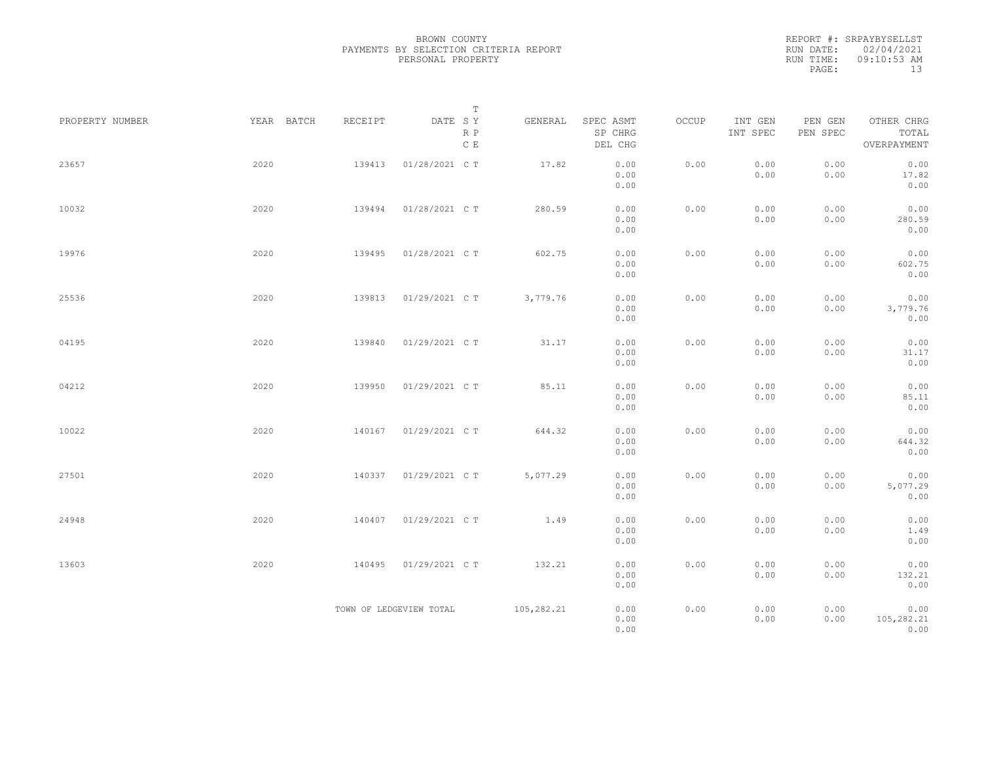| REPORT #: SRPAYBYSELLST |
|-------------------------|
| RUN DATE: 02/04/2021    |
| $09:10:53$ AM           |
| 13                      |
|                         |

|                 |            |         | $\mathbb T$                                         |            |                                 |       |                     |                     |                                    |  |
|-----------------|------------|---------|-----------------------------------------------------|------------|---------------------------------|-------|---------------------|---------------------|------------------------------------|--|
| PROPERTY NUMBER | YEAR BATCH | RECEIPT | DATE SY<br>$\mathbb R$ $\mathbb P$<br>$\,$ C $\,$ E | GENERAL    | SPEC ASMT<br>SP CHRG<br>DEL CHG | OCCUP | INT GEN<br>INT SPEC | PEN GEN<br>PEN SPEC | OTHER CHRG<br>TOTAL<br>OVERPAYMENT |  |
| 23657           | 2020       | 139413  | 01/28/2021 C T                                      | 17.82      | 0.00<br>0.00<br>0.00            | 0.00  | 0.00<br>0.00        | 0.00<br>0.00        | 0.00<br>17.82<br>0.00              |  |
| 10032           | 2020       | 139494  | 01/28/2021 C T                                      | 280.59     | 0.00<br>0.00<br>0.00            | 0.00  | 0.00<br>0.00        | 0.00<br>0.00        | 0.00<br>280.59<br>0.00             |  |
| 19976           | 2020       | 139495  | 01/28/2021 C T                                      | 602.75     | 0.00<br>0.00<br>0.00            | 0.00  | 0.00<br>0.00        | 0.00<br>0.00        | 0.00<br>602.75<br>0.00             |  |
| 25536           | 2020       | 139813  | 01/29/2021 C T                                      | 3,779.76   | 0.00<br>0.00<br>0.00            | 0.00  | 0.00<br>0.00        | 0.00<br>0.00        | 0.00<br>3,779.76<br>0.00           |  |
| 04195           | 2020       | 139840  | 01/29/2021 C T                                      | 31.17      | 0.00<br>0.00<br>0.00            | 0.00  | 0.00<br>0.00        | 0.00<br>0.00        | 0.00<br>31.17<br>0.00              |  |
| 04212           | 2020       | 139950  | 01/29/2021 C T                                      | 85.11      | 0.00<br>0.00<br>0.00            | 0.00  | 0.00<br>0.00        | 0.00<br>0.00        | 0.00<br>85.11<br>0.00              |  |
| 10022           | 2020       | 140167  | 01/29/2021 C T                                      | 644.32     | 0.00<br>0.00<br>0.00            | 0.00  | 0.00<br>0.00        | 0.00<br>0.00        | 0.00<br>644.32<br>0.00             |  |
| 27501           | 2020       | 140337  | 01/29/2021 C T                                      | 5,077.29   | 0.00<br>0.00<br>0.00            | 0.00  | 0.00<br>0.00        | 0.00<br>0.00        | 0.00<br>5,077.29<br>0.00           |  |
| 24948           | 2020       | 140407  | 01/29/2021 C T                                      | 1.49       | 0.00<br>0.00<br>0.00            | 0.00  | 0.00<br>0.00        | 0.00<br>0.00        | 0.00<br>1.49<br>0.00               |  |
| 13603           | 2020       | 140495  | 01/29/2021 C T                                      | 132.21     | 0.00<br>0.00<br>0.00            | 0.00  | 0.00<br>0.00        | 0.00<br>0.00        | 0.00<br>132.21<br>0.00             |  |
|                 |            |         | TOWN OF LEDGEVIEW TOTAL                             | 105,282.21 | 0.00<br>0.00<br>0.00            | 0.00  | 0.00<br>0.00        | 0.00<br>0.00        | 0.00<br>105,282.21<br>0.00         |  |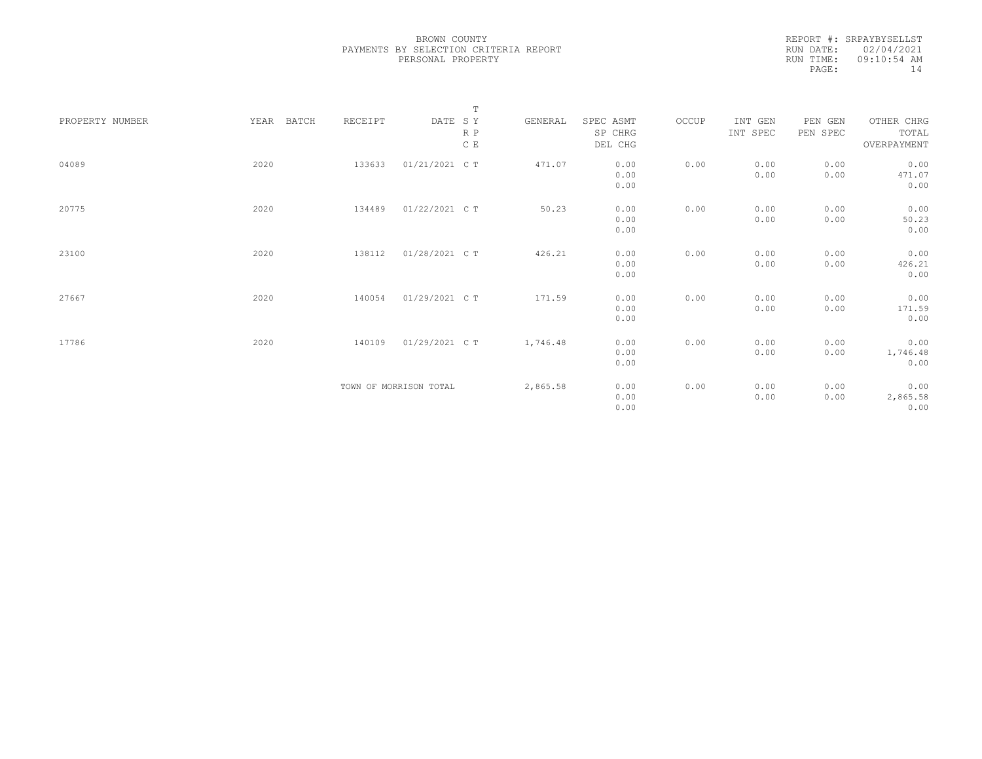| REPORT #: SRPAYBYSELLST |
|-------------------------|
| RUN DATE: 02/04/2021    |
| $09:10:54$ AM           |
| 14                      |
|                         |

|                 |               |         | $\mathbb T$            |          |           |       |          |          |             |
|-----------------|---------------|---------|------------------------|----------|-----------|-------|----------|----------|-------------|
| PROPERTY NUMBER | YEAR<br>BATCH | RECEIPT | DATE SY                | GENERAL  | SPEC ASMT | OCCUP | INT GEN  | PEN GEN  | OTHER CHRG  |
|                 |               |         | R P                    |          | SP CHRG   |       | INT SPEC | PEN SPEC | TOTAL       |
|                 |               |         | C E                    |          | DEL CHG   |       |          |          | OVERPAYMENT |
|                 |               |         |                        |          |           |       |          |          |             |
| 04089           | 2020          | 133633  | 01/21/2021 C T         | 471.07   | 0.00      | 0.00  | 0.00     | 0.00     | 0.00        |
|                 |               |         |                        |          | 0.00      |       | 0.00     | 0.00     | 471.07      |
|                 |               |         |                        |          | 0.00      |       |          |          | 0.00        |
|                 |               |         |                        |          |           |       |          |          |             |
| 20775           | 2020          | 134489  | 01/22/2021 C T         | 50.23    | 0.00      | 0.00  | 0.00     | 0.00     | 0.00        |
|                 |               |         |                        |          | 0.00      |       | 0.00     | 0.00     | 50.23       |
|                 |               |         |                        |          | 0.00      |       |          |          | 0.00        |
|                 |               |         |                        |          |           |       |          |          |             |
| 23100           | 2020          | 138112  | 01/28/2021 C T         | 426.21   | 0.00      | 0.00  | 0.00     | 0.00     | 0.00        |
|                 |               |         |                        |          | 0.00      |       | 0.00     | 0.00     | 426.21      |
|                 |               |         |                        |          | 0.00      |       |          |          | 0.00        |
|                 |               |         |                        |          |           |       |          |          |             |
| 27667           | 2020          | 140054  | 01/29/2021 C T         | 171.59   | 0.00      | 0.00  | 0.00     | 0.00     | 0.00        |
|                 |               |         |                        |          | 0.00      |       | 0.00     | 0.00     | 171.59      |
|                 |               |         |                        |          | 0.00      |       |          |          | 0.00        |
|                 |               |         |                        |          |           |       |          |          |             |
| 17786           | 2020          | 140109  | 01/29/2021 C T         | 1,746.48 | 0.00      | 0.00  | 0.00     | 0.00     | 0.00        |
|                 |               |         |                        |          | 0.00      |       | 0.00     | 0.00     | 1,746.48    |
|                 |               |         |                        |          | 0.00      |       |          |          | 0.00        |
|                 |               |         |                        |          |           |       |          |          |             |
|                 |               |         | TOWN OF MORRISON TOTAL | 2,865.58 | 0.00      | 0.00  | 0.00     | 0.00     | 0.00        |
|                 |               |         |                        |          | 0.00      |       | 0.00     | 0.00     | 2,865.58    |
|                 |               |         |                        |          | 0.00      |       |          |          | 0.00        |
|                 |               |         |                        |          |           |       |          |          |             |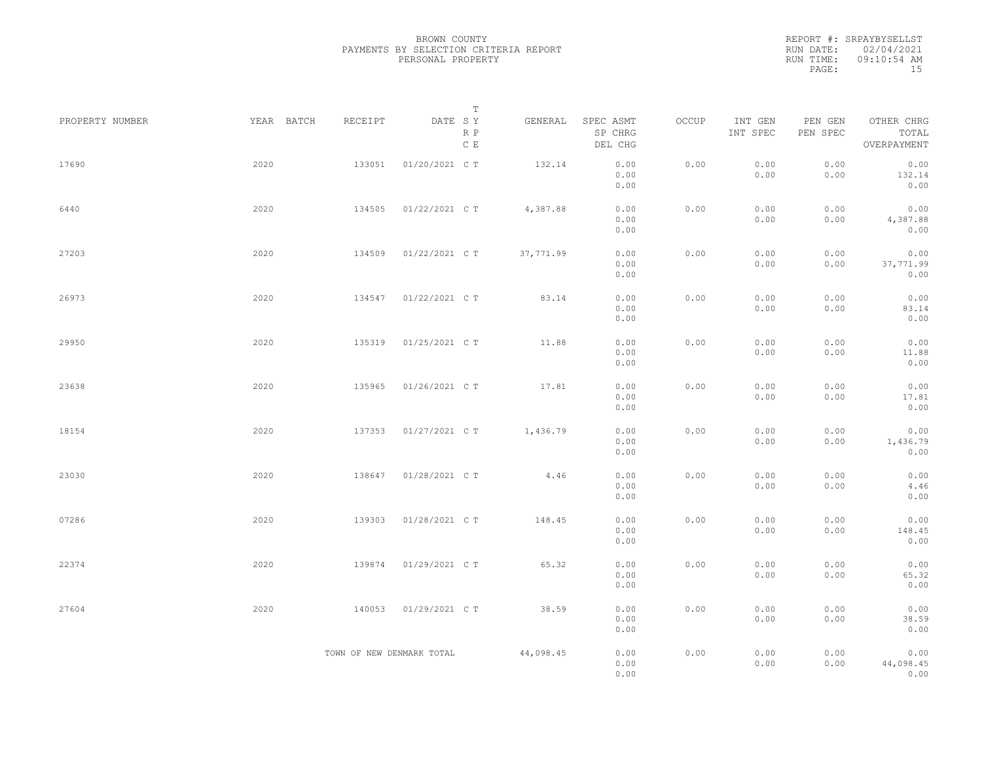REPORT #: SRPAYBYSELLST RUN DATE: 02/04/2021 RUN TIME: 09:10:54 AM PAGE: 15

|                 |            |                           | $\mathbb T$           |           |                                 |       |                     |                     |                                    |  |
|-----------------|------------|---------------------------|-----------------------|-----------|---------------------------------|-------|---------------------|---------------------|------------------------------------|--|
| PROPERTY NUMBER | YEAR BATCH | RECEIPT                   | DATE SY<br>R P<br>C E | GENERAL   | SPEC ASMT<br>SP CHRG<br>DEL CHG | OCCUP | INT GEN<br>INT SPEC | PEN GEN<br>PEN SPEC | OTHER CHRG<br>TOTAL<br>OVERPAYMENT |  |
| 17690           | 2020       | 133051                    | 01/20/2021 C T        | 132.14    | 0.00<br>0.00<br>0.00            | 0.00  | 0.00<br>0.00        | 0.00<br>0.00        | 0.00<br>132.14<br>0.00             |  |
| 6440            | 2020       | 134505                    | 01/22/2021 C T        | 4,387.88  | 0.00<br>0.00<br>0.00            | 0.00  | 0.00<br>0.00        | 0.00<br>0.00        | 0.00<br>4,387.88<br>0.00           |  |
| 27203           | 2020       | 134509                    | 01/22/2021 C T        | 37,771.99 | 0.00<br>0.00<br>0.00            | 0.00  | 0.00<br>0.00        | 0.00<br>0.00        | 0.00<br>37,771.99<br>0.00          |  |
| 26973           | 2020       | 134547                    | 01/22/2021 C T        | 83.14     | 0.00<br>0.00<br>0.00            | 0.00  | 0.00<br>0.00        | 0.00<br>0.00        | 0.00<br>83.14<br>0.00              |  |
| 29950           | 2020       | 135319                    | 01/25/2021 C T        | 11.88     | 0.00<br>0.00<br>0.00            | 0.00  | 0.00<br>0.00        | 0.00<br>0.00        | 0.00<br>11.88<br>0.00              |  |
| 23638           | 2020       | 135965                    | 01/26/2021 C T        | 17.81     | 0.00<br>0.00<br>0.00            | 0.00  | 0.00<br>0.00        | 0.00<br>0.00        | 0.00<br>17.81<br>0.00              |  |
| 18154           | 2020       | 137353                    | 01/27/2021 C T        | 1,436.79  | 0.00<br>0.00<br>0.00            | 0.00  | 0.00<br>0.00        | 0.00<br>0.00        | 0.00<br>1,436.79<br>0.00           |  |
| 23030           | 2020       | 138647                    | 01/28/2021 C T        | 4.46      | 0.00<br>0.00<br>0.00            | 0.00  | 0.00<br>0.00        | 0.00<br>0.00        | 0.00<br>4.46<br>0.00               |  |
| 07286           | 2020       | 139303                    | 01/28/2021 C T        | 148.45    | 0.00<br>0.00<br>0.00            | 0.00  | 0.00<br>0.00        | 0.00<br>0.00        | 0.00<br>148.45<br>0.00             |  |
| 22374           | 2020       | 139874                    | 01/29/2021 C T        | 65.32     | 0.00<br>0.00<br>0.00            | 0.00  | 0.00<br>0.00        | 0.00<br>0.00        | 0.00<br>65.32<br>0.00              |  |
| 27604           | 2020       | 140053                    | 01/29/2021 C T        | 38.59     | 0.00<br>0.00<br>0.00            | 0.00  | 0.00<br>0.00        | 0.00<br>0.00        | 0.00<br>38.59<br>0.00              |  |
|                 |            | TOWN OF NEW DENMARK TOTAL |                       | 44,098.45 | 0.00<br>0.00<br>0.00            | 0.00  | 0.00<br>0.00        | 0.00<br>0.00        | 0.00<br>44,098.45<br>0.00          |  |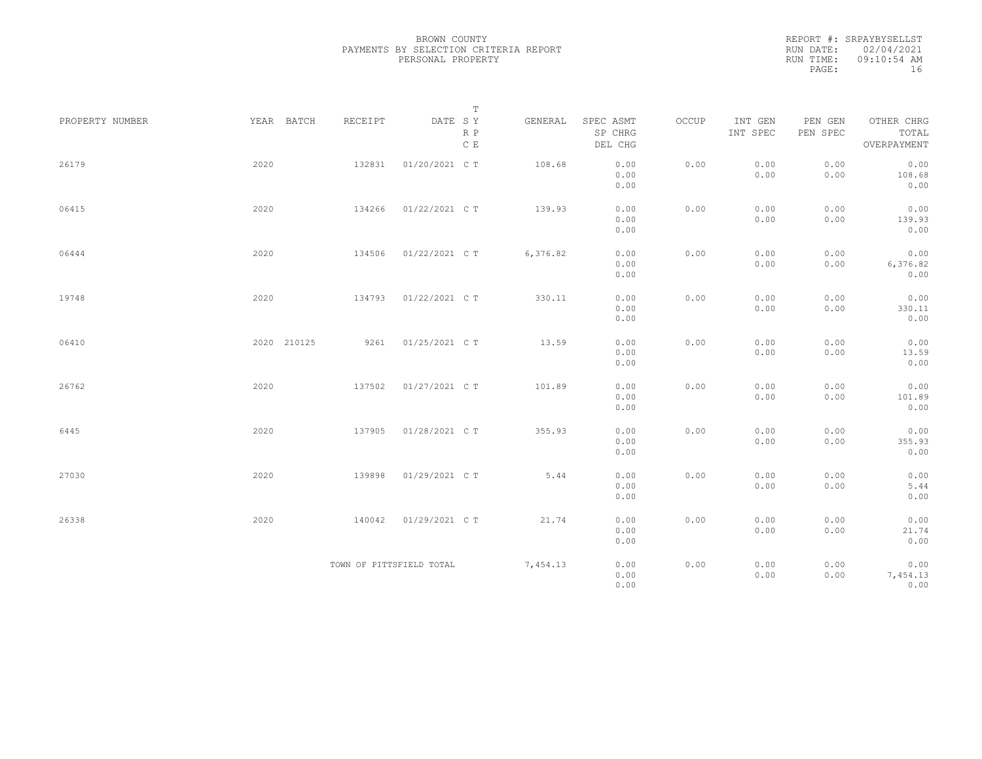|           | REPORT #: SRPAYBYSELLST |
|-----------|-------------------------|
|           | RUN DATE: 02/04/2021    |
| RUN TIME: | $09:10:54$ AM           |
| PAGE:     | 16                      |

|                 |             |                          | $\mathbb T$           |          |                                 |       |                     |                     |                                    |
|-----------------|-------------|--------------------------|-----------------------|----------|---------------------------------|-------|---------------------|---------------------|------------------------------------|
| PROPERTY NUMBER | YEAR BATCH  | RECEIPT                  | DATE SY<br>R P<br>C E | GENERAL  | SPEC ASMT<br>SP CHRG<br>DEL CHG | OCCUP | INT GEN<br>INT SPEC | PEN GEN<br>PEN SPEC | OTHER CHRG<br>TOTAL<br>OVERPAYMENT |
| 26179           | 2020        | 132831                   | 01/20/2021 C T        | 108.68   | 0.00<br>0.00<br>0.00            | 0.00  | 0.00<br>0.00        | 0.00<br>0.00        | 0.00<br>108.68<br>0.00             |
| 06415           | 2020        | 134266                   | 01/22/2021 C T        | 139.93   | 0.00<br>0.00<br>0.00            | 0.00  | 0.00<br>0.00        | 0.00<br>0.00        | 0.00<br>139.93<br>0.00             |
| 06444           | 2020        | 134506                   | 01/22/2021 C T        | 6,376.82 | 0.00<br>0.00<br>0.00            | 0.00  | 0.00<br>0.00        | 0.00<br>0.00        | 0.00<br>6,376.82<br>0.00           |
| 19748           | 2020        | 134793                   | 01/22/2021 C T        | 330.11   | 0.00<br>0.00<br>0.00            | 0.00  | 0.00<br>0.00        | 0.00<br>0.00        | 0.00<br>330.11<br>0.00             |
| 06410           | 2020 210125 | 9261                     | 01/25/2021 C T        | 13.59    | 0.00<br>0.00<br>0.00            | 0.00  | 0.00<br>0.00        | 0.00<br>0.00        | 0.00<br>13.59<br>0.00              |
| 26762           | 2020        | 137502                   | 01/27/2021 C T        | 101.89   | 0.00<br>0.00<br>0.00            | 0.00  | 0.00<br>0.00        | 0.00<br>0.00        | 0.00<br>101.89<br>0.00             |
| 6445            | 2020        | 137905                   | 01/28/2021 C T        | 355.93   | 0.00<br>0.00<br>0.00            | 0.00  | 0.00<br>0.00        | 0.00<br>0.00        | 0.00<br>355.93<br>0.00             |
| 27030           | 2020        | 139898                   | 01/29/2021 C T        | 5.44     | 0.00<br>0.00<br>0.00            | 0.00  | 0.00<br>0.00        | 0.00<br>0.00        | 0.00<br>5.44<br>0.00               |
| 26338           | 2020        | 140042                   | 01/29/2021 C T        | 21.74    | 0.00<br>0.00<br>0.00            | 0.00  | 0.00<br>0.00        | 0.00<br>0.00        | 0.00<br>21.74<br>0.00              |
|                 |             | TOWN OF PITTSFIELD TOTAL |                       | 7,454.13 | 0.00<br>0.00<br>0.00            | 0.00  | 0.00<br>0.00        | 0.00<br>0.00        | 0.00<br>7,454.13<br>0.00           |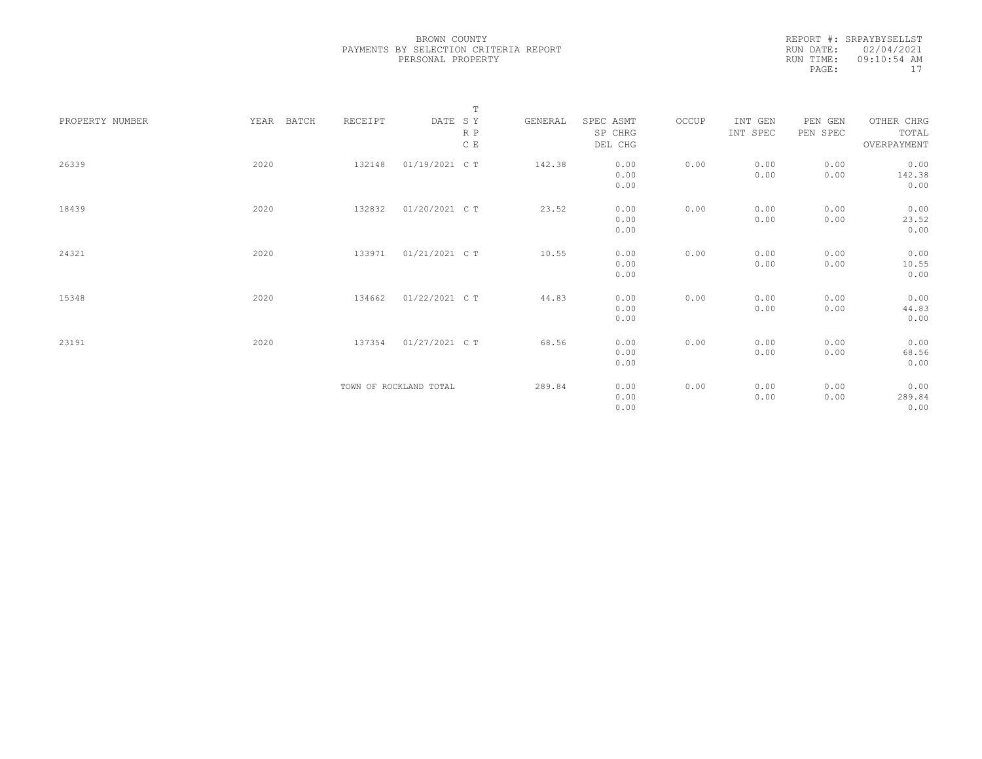| REPORT #: SRPAYBYSELLST |
|-------------------------|
| RUN DATE: 02/04/2021    |
| $09:10:54$ AM           |
| 17                      |
|                         |

|                 |               |         | $\mathbb T$            |         |           |       |          |          |             |
|-----------------|---------------|---------|------------------------|---------|-----------|-------|----------|----------|-------------|
| PROPERTY NUMBER | YEAR<br>BATCH | RECEIPT | DATE SY                | GENERAL | SPEC ASMT | OCCUP | INT GEN  | PEN GEN  | OTHER CHRG  |
|                 |               |         | R P                    |         | SP CHRG   |       | INT SPEC | PEN SPEC | TOTAL       |
|                 |               |         | $\,$ C $\,$ E          |         | DEL CHG   |       |          |          | OVERPAYMENT |
|                 |               |         |                        |         |           |       |          |          |             |
| 26339           | 2020          | 132148  | 01/19/2021 C T         | 142.38  | 0.00      | 0.00  | 0.00     | 0.00     | 0.00        |
|                 |               |         |                        |         | 0.00      |       | 0.00     | 0.00     | 142.38      |
|                 |               |         |                        |         | 0.00      |       |          |          | 0.00        |
|                 |               |         |                        |         |           |       |          |          |             |
| 18439           | 2020          | 132832  | 01/20/2021 C T         | 23.52   | 0.00      | 0.00  | 0.00     | 0.00     | 0.00        |
|                 |               |         |                        |         | 0.00      |       | 0.00     | 0.00     | 23.52       |
|                 |               |         |                        |         | 0.00      |       |          |          | 0.00        |
|                 |               |         |                        |         |           |       |          |          |             |
| 24321           | 2020          | 133971  | 01/21/2021 C T         | 10.55   | 0.00      | 0.00  | 0.00     | 0.00     | 0.00        |
|                 |               |         |                        |         | 0.00      |       | 0.00     | 0.00     | 10.55       |
|                 |               |         |                        |         | 0.00      |       |          |          | 0.00        |
|                 |               |         |                        |         |           |       |          |          |             |
| 15348           | 2020          | 134662  | 01/22/2021 C T         | 44.83   | 0.00      | 0.00  | 0.00     | 0.00     | 0.00        |
|                 |               |         |                        |         | 0.00      |       | 0.00     | 0.00     | 44.83       |
|                 |               |         |                        |         | 0.00      |       |          |          | 0.00        |
|                 |               |         |                        |         |           |       |          |          |             |
| 23191           | 2020          | 137354  | 01/27/2021 C T         | 68.56   | 0.00      | 0.00  | 0.00     | 0.00     | 0.00        |
|                 |               |         |                        |         | 0.00      |       | 0.00     | 0.00     | 68.56       |
|                 |               |         |                        |         | 0.00      |       |          |          | 0.00        |
|                 |               |         |                        |         |           |       |          |          |             |
|                 |               |         | TOWN OF ROCKLAND TOTAL | 289.84  | 0.00      | 0.00  | 0.00     | 0.00     | 0.00        |
|                 |               |         |                        |         | 0.00      |       | 0.00     | 0.00     | 289.84      |
|                 |               |         |                        |         | 0.00      |       |          |          | 0.00        |
|                 |               |         |                        |         |           |       |          |          |             |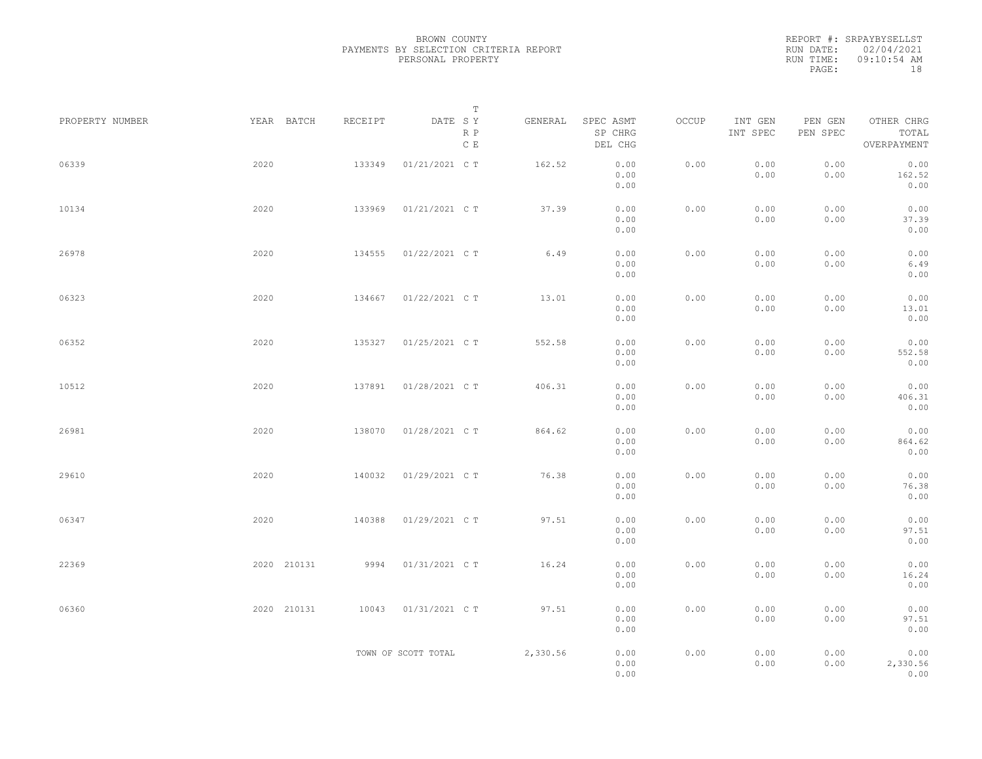|           | REPORT #: SRPAYBYSELLST |
|-----------|-------------------------|
|           | RUN DATE: 02/04/2021    |
| RUN TIME: | $09:10:54$ AM           |
| PAGE:     | 18                      |

|                 |             |         | T                               |          |                                 |       |                     |                     |                                    |  |
|-----------------|-------------|---------|---------------------------------|----------|---------------------------------|-------|---------------------|---------------------|------------------------------------|--|
| PROPERTY NUMBER | YEAR BATCH  | RECEIPT | DATE SY<br>R P<br>$\,$ C $\,$ E | GENERAL  | SPEC ASMT<br>SP CHRG<br>DEL CHG | OCCUP | INT GEN<br>INT SPEC | PEN GEN<br>PEN SPEC | OTHER CHRG<br>TOTAL<br>OVERPAYMENT |  |
| 06339           | 2020        | 133349  | 01/21/2021 C T                  | 162.52   | 0.00<br>0.00<br>0.00            | 0.00  | 0.00<br>0.00        | 0.00<br>0.00        | 0.00<br>162.52<br>0.00             |  |
| 10134           | 2020        | 133969  | 01/21/2021 C T                  | 37.39    | 0.00<br>0.00<br>0.00            | 0.00  | 0.00<br>0.00        | 0.00<br>0.00        | 0.00<br>37.39<br>0.00              |  |
| 26978           | 2020        | 134555  | 01/22/2021 C T                  | 6.49     | 0.00<br>0.00<br>0.00            | 0.00  | 0.00<br>0.00        | 0.00<br>0.00        | 0.00<br>6.49<br>0.00               |  |
| 06323           | 2020        | 134667  | 01/22/2021 C T                  | 13.01    | 0.00<br>0.00<br>0.00            | 0.00  | 0.00<br>0.00        | 0.00<br>0.00        | 0.00<br>13.01<br>0.00              |  |
| 06352           | 2020        | 135327  | 01/25/2021 C T                  | 552.58   | 0.00<br>0.00<br>0.00            | 0.00  | 0.00<br>0.00        | 0.00<br>0.00        | 0.00<br>552.58<br>0.00             |  |
| 10512           | 2020        | 137891  | 01/28/2021 C T                  | 406.31   | 0.00<br>0.00<br>0.00            | 0.00  | 0.00<br>0.00        | 0.00<br>0.00        | 0.00<br>406.31<br>0.00             |  |
| 26981           | 2020        | 138070  | 01/28/2021 C T                  | 864.62   | 0.00<br>0.00<br>0.00            | 0.00  | 0.00<br>0.00        | 0.00<br>0.00        | 0.00<br>864.62<br>0.00             |  |
| 29610           | 2020        | 140032  | 01/29/2021 C T                  | 76.38    | 0.00<br>0.00<br>0.00            | 0.00  | 0.00<br>0.00        | 0.00<br>0.00        | 0.00<br>76.38<br>0.00              |  |
| 06347           | 2020        | 140388  | 01/29/2021 C T                  | 97.51    | 0.00<br>0.00<br>0.00            | 0.00  | 0.00<br>0.00        | 0.00<br>0.00        | 0.00<br>97.51<br>0.00              |  |
| 22369           | 2020 210131 | 9994    | 01/31/2021 C T                  | 16.24    | 0.00<br>0.00<br>0.00            | 0.00  | 0.00<br>0.00        | 0.00<br>0.00        | 0.00<br>16.24<br>0.00              |  |
| 06360           | 2020 210131 | 10043   | 01/31/2021 C T                  | 97.51    | 0.00<br>0.00<br>0.00            | 0.00  | 0.00<br>0.00        | 0.00<br>0.00        | 0.00<br>97.51<br>0.00              |  |
|                 |             |         | TOWN OF SCOTT TOTAL             | 2,330.56 | 0.00<br>0.00<br>0.00            | 0.00  | 0.00<br>0.00        | 0.00<br>0.00        | 0.00<br>2,330.56<br>0.00           |  |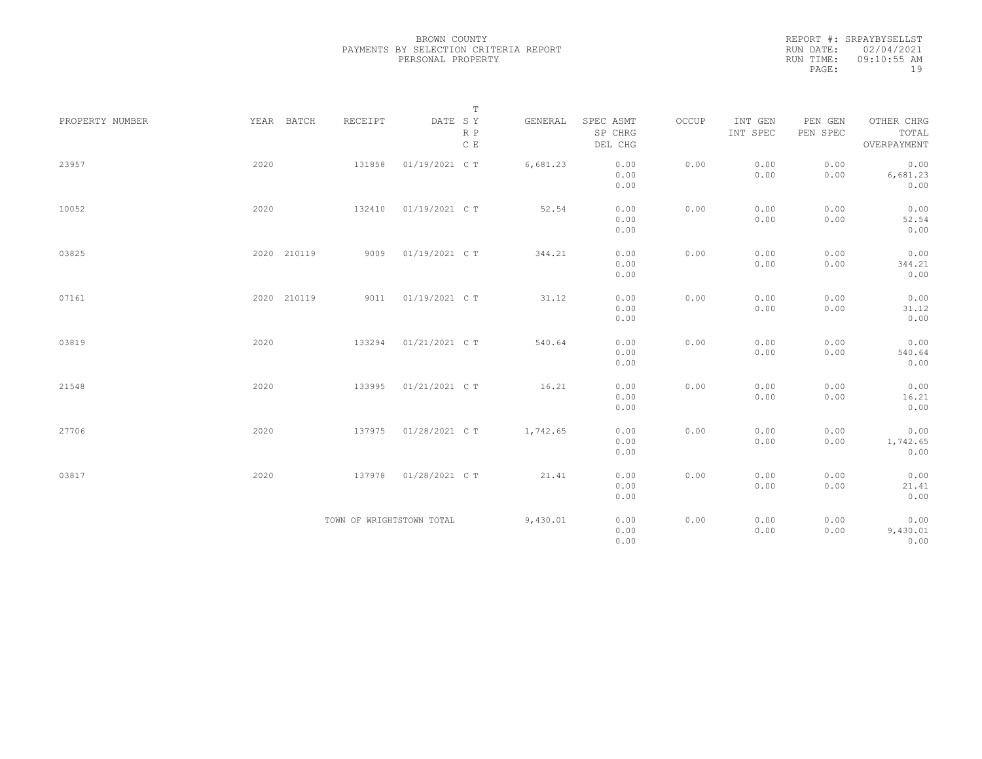REPORT #: SRPAYBYSELLST RUN DATE: 02/04/2021 RUN TIME: 09:10:55 AM PAGE: 19

|                 |             |                           | $\mathbb T$                     |          |                                 |       |                     |                     |                                    |
|-----------------|-------------|---------------------------|---------------------------------|----------|---------------------------------|-------|---------------------|---------------------|------------------------------------|
| PROPERTY NUMBER | YEAR BATCH  | RECEIPT                   | DATE SY<br>R P<br>$\,$ C $\,$ E | GENERAL  | SPEC ASMT<br>SP CHRG<br>DEL CHG | OCCUP | INT GEN<br>INT SPEC | PEN GEN<br>PEN SPEC | OTHER CHRG<br>TOTAL<br>OVERPAYMENT |
| 23957           | 2020        | 131858                    | 01/19/2021 C T                  | 6,681.23 | 0.00<br>0.00<br>0.00            | 0.00  | 0.00<br>0.00        | 0.00<br>0.00        | 0.00<br>6,681.23<br>0.00           |
| 10052           | 2020        | 132410                    | 01/19/2021 C T                  | 52.54    | 0.00<br>0.00<br>0.00            | 0.00  | 0.00<br>0.00        | 0.00<br>0.00        | 0.00<br>52.54<br>0.00              |
| 03825           | 2020 210119 | 9009                      | 01/19/2021 C T                  | 344.21   | 0.00<br>0.00<br>0.00            | 0.00  | 0.00<br>0.00        | 0.00<br>0.00        | 0.00<br>344.21<br>0.00             |
| 07161           | 2020 210119 | 9011                      | 01/19/2021 C T                  | 31.12    | 0.00<br>0.00<br>0.00            | 0.00  | 0.00<br>0.00        | 0.00<br>0.00        | 0.00<br>31.12<br>0.00              |
| 03819           | 2020        | 133294                    | 01/21/2021 C T                  | 540.64   | 0.00<br>0.00<br>0.00            | 0.00  | 0.00<br>0.00        | 0.00<br>0.00        | 0.00<br>540.64<br>0.00             |
| 21548           | 2020        | 133995                    | 01/21/2021 C T                  | 16.21    | 0.00<br>0.00<br>0.00            | 0.00  | 0.00<br>0.00        | 0.00<br>0.00        | 0.00<br>16.21<br>0.00              |
| 27706           | 2020        | 137975                    | 01/28/2021 C T                  | 1,742.65 | 0.00<br>0.00<br>0.00            | 0.00  | 0.00<br>0.00        | 0.00<br>0.00        | 0.00<br>1,742.65<br>0.00           |
| 03817           | 2020        | 137978                    | 01/28/2021 C T                  | 21.41    | 0.00<br>0.00<br>0.00            | 0.00  | 0.00<br>0.00        | 0.00<br>0.00        | 0.00<br>21.41<br>0.00              |
|                 |             | TOWN OF WRIGHTSTOWN TOTAL |                                 | 9,430.01 | 0.00<br>0.00<br>0.00            | 0.00  | 0.00<br>0.00        | 0.00<br>0.00        | 0.00<br>9,430.01<br>0.00           |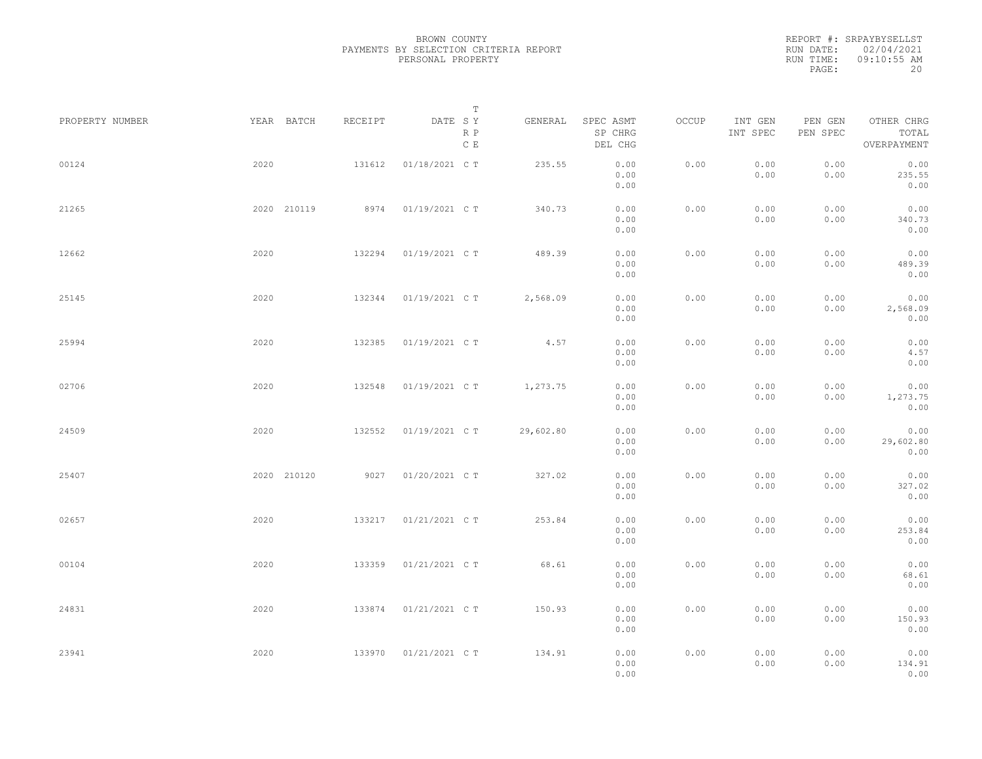|           | REPORT #: SRPAYBYSELLST |
|-----------|-------------------------|
|           | RUN DATE: 02/04/2021    |
| RUN TIME: | $09:10:55$ AM           |
| PAGE:     | 20                      |

| PROPERTY NUMBER |      | YEAR BATCH  | RECEIPT | DATE SY        | Т<br>R P      | GENERAL   | SPEC ASMT<br>SP CHRG | OCCUP | INT GEN<br>INT SPEC | PEN GEN<br>PEN SPEC | OTHER CHRG<br>TOTAL       |  |
|-----------------|------|-------------|---------|----------------|---------------|-----------|----------------------|-------|---------------------|---------------------|---------------------------|--|
| 00124           | 2020 |             | 131612  | 01/18/2021 C T | $\,$ C $\,$ E | 235.55    | DEL CHG<br>0.00      | 0.00  | 0.00                | 0.00                | OVERPAYMENT<br>0.00       |  |
|                 |      |             |         |                |               |           | 0.00<br>0.00         |       | 0.00                | 0.00                | 235.55<br>0.00            |  |
| 21265           |      | 2020 210119 | 8974    | 01/19/2021 C T |               | 340.73    | 0.00<br>0.00<br>0.00 | 0.00  | 0.00<br>0.00        | 0.00<br>0.00        | 0.00<br>340.73<br>0.00    |  |
| 12662           | 2020 |             | 132294  | 01/19/2021 C T |               | 489.39    | 0.00<br>0.00<br>0.00 | 0.00  | 0.00<br>0.00        | 0.00<br>0.00        | 0.00<br>489.39<br>0.00    |  |
| 25145           | 2020 |             | 132344  | 01/19/2021 C T |               | 2,568.09  | 0.00<br>0.00<br>0.00 | 0.00  | 0.00<br>0.00        | 0.00<br>0.00        | 0.00<br>2,568.09<br>0.00  |  |
| 25994           | 2020 |             | 132385  | 01/19/2021 C T |               | 4.57      | 0.00<br>0.00<br>0.00 | 0.00  | 0.00<br>0.00        | 0.00<br>0.00        | 0.00<br>4.57<br>0.00      |  |
| 02706           | 2020 |             | 132548  | 01/19/2021 C T |               | 1,273.75  | 0.00<br>0.00<br>0.00 | 0.00  | 0.00<br>0.00        | 0.00<br>0.00        | 0.00<br>1,273.75<br>0.00  |  |
| 24509           | 2020 |             | 132552  | 01/19/2021 C T |               | 29,602.80 | 0.00<br>0.00<br>0.00 | 0.00  | 0.00<br>0.00        | 0.00<br>0.00        | 0.00<br>29,602.80<br>0.00 |  |
| 25407           |      | 2020 210120 | 9027    | 01/20/2021 C T |               | 327.02    | 0.00<br>0.00<br>0.00 | 0.00  | 0.00<br>0.00        | 0.00<br>0.00        | 0.00<br>327.02<br>0.00    |  |
| 02657           | 2020 |             | 133217  | 01/21/2021 C T |               | 253.84    | 0.00<br>0.00<br>0.00 | 0.00  | 0.00<br>0.00        | 0.00<br>0.00        | 0.00<br>253.84<br>0.00    |  |
| 00104           | 2020 |             | 133359  | 01/21/2021 C T |               | 68.61     | 0.00<br>0.00<br>0.00 | 0.00  | 0.00<br>0.00        | 0.00<br>0.00        | 0.00<br>68.61<br>0.00     |  |
| 24831           | 2020 |             | 133874  | 01/21/2021 C T |               | 150.93    | 0.00<br>0.00<br>0.00 | 0.00  | 0.00<br>0.00        | 0.00<br>0.00        | 0.00<br>150.93<br>0.00    |  |
| 23941           | 2020 |             | 133970  | 01/21/2021 C T |               | 134.91    | 0.00<br>0.00<br>0.00 | 0.00  | 0.00<br>0.00        | 0.00<br>0.00        | 0.00<br>134.91<br>0.00    |  |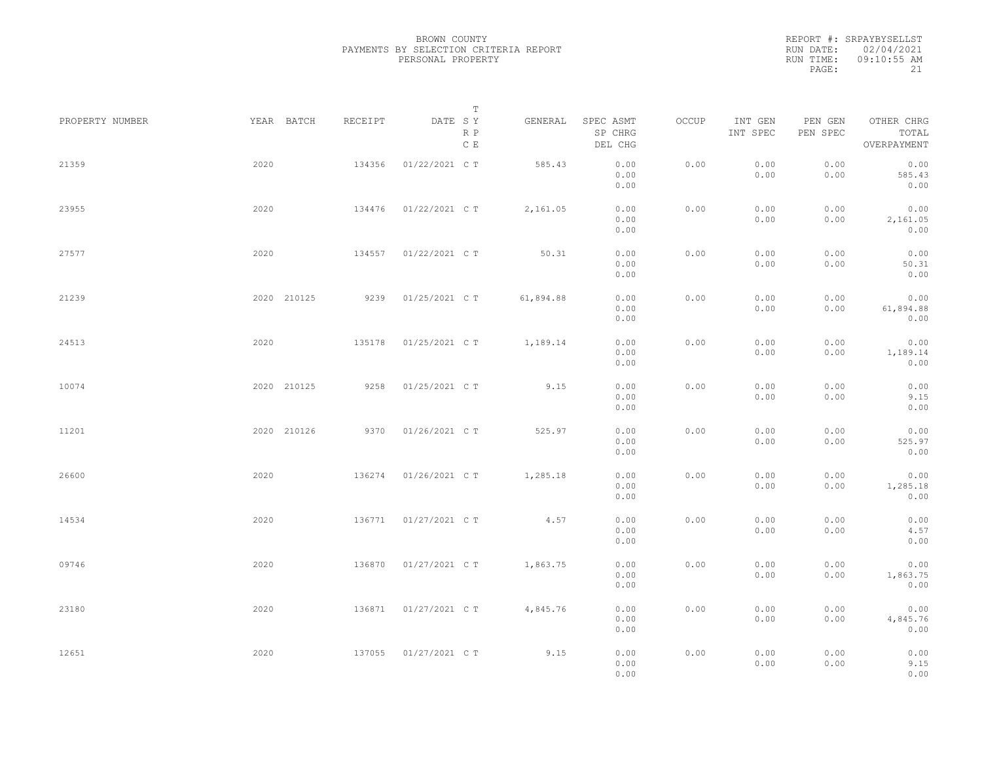| REPORT #: SRPAYBYSELLST |
|-------------------------|
| RUN DATE: 02/04/2021    |
| $09:10:55$ AM           |
| 21                      |
|                         |

|                 |             |         | $\mathbb T$                     |           |                                 |       |                     |                     |                                    |  |
|-----------------|-------------|---------|---------------------------------|-----------|---------------------------------|-------|---------------------|---------------------|------------------------------------|--|
| PROPERTY NUMBER | YEAR BATCH  | RECEIPT | DATE SY<br>R P<br>$\,$ C $\,$ E | GENERAL   | SPEC ASMT<br>SP CHRG<br>DEL CHG | OCCUP | INT GEN<br>INT SPEC | PEN GEN<br>PEN SPEC | OTHER CHRG<br>TOTAL<br>OVERPAYMENT |  |
| 21359           | 2020        | 134356  | 01/22/2021 C T                  | 585.43    | 0.00<br>0.00<br>0.00            | 0.00  | 0.00<br>0.00        | 0.00<br>0.00        | 0.00<br>585.43<br>0.00             |  |
| 23955           | 2020        | 134476  | 01/22/2021 C T                  | 2,161.05  | 0.00<br>0.00<br>0.00            | 0.00  | 0.00<br>0.00        | 0.00<br>0.00        | 0.00<br>2,161.05<br>0.00           |  |
| 27577           | 2020        | 134557  | 01/22/2021 C T                  | 50.31     | 0.00<br>0.00<br>0.00            | 0.00  | 0.00<br>0.00        | 0.00<br>0.00        | 0.00<br>50.31<br>0.00              |  |
| 21239           | 2020 210125 | 9239    | 01/25/2021 C T                  | 61,894.88 | 0.00<br>0.00<br>0.00            | 0.00  | 0.00<br>0.00        | 0.00<br>0.00        | 0.00<br>61,894.88<br>0.00          |  |
| 24513           | 2020        | 135178  | 01/25/2021 C T                  | 1,189.14  | 0.00<br>0.00<br>0.00            | 0.00  | 0.00<br>0.00        | 0.00<br>0.00        | 0.00<br>1,189.14<br>0.00           |  |
| 10074           | 2020 210125 | 9258    | 01/25/2021 C T                  | 9.15      | 0.00<br>0.00<br>0.00            | 0.00  | 0.00<br>0.00        | 0.00<br>0.00        | 0.00<br>9.15<br>0.00               |  |
| 11201           | 2020 210126 | 9370    | 01/26/2021 C T                  | 525.97    | 0.00<br>0.00<br>0.00            | 0.00  | 0.00<br>0.00        | 0.00<br>0.00        | 0.00<br>525.97<br>0.00             |  |
| 26600           | 2020        | 136274  | 01/26/2021 C T                  | 1,285.18  | 0.00<br>0.00<br>0.00            | 0.00  | 0.00<br>0.00        | 0.00<br>0.00        | 0.00<br>1,285.18<br>0.00           |  |
| 14534           | 2020        | 136771  | 01/27/2021 C T                  | 4.57      | 0.00<br>0.00<br>0.00            | 0.00  | 0.00<br>0.00        | 0.00<br>0.00        | 0.00<br>4.57<br>0.00               |  |
| 09746           | 2020        | 136870  | 01/27/2021 C T                  | 1,863.75  | 0.00<br>0.00<br>0.00            | 0.00  | 0.00<br>0.00        | 0.00<br>0.00        | 0.00<br>1,863.75<br>0.00           |  |
| 23180           | 2020        | 136871  | 01/27/2021 C T                  | 4,845.76  | 0.00<br>0.00<br>0.00            | 0.00  | 0.00<br>0.00        | 0.00<br>0.00        | 0.00<br>4,845.76<br>0.00           |  |
| 12651           | 2020        | 137055  | 01/27/2021 C T                  | 9.15      | 0.00<br>0.00<br>0.00            | 0.00  | 0.00<br>0.00        | 0.00<br>0.00        | 0.00<br>9.15<br>0.00               |  |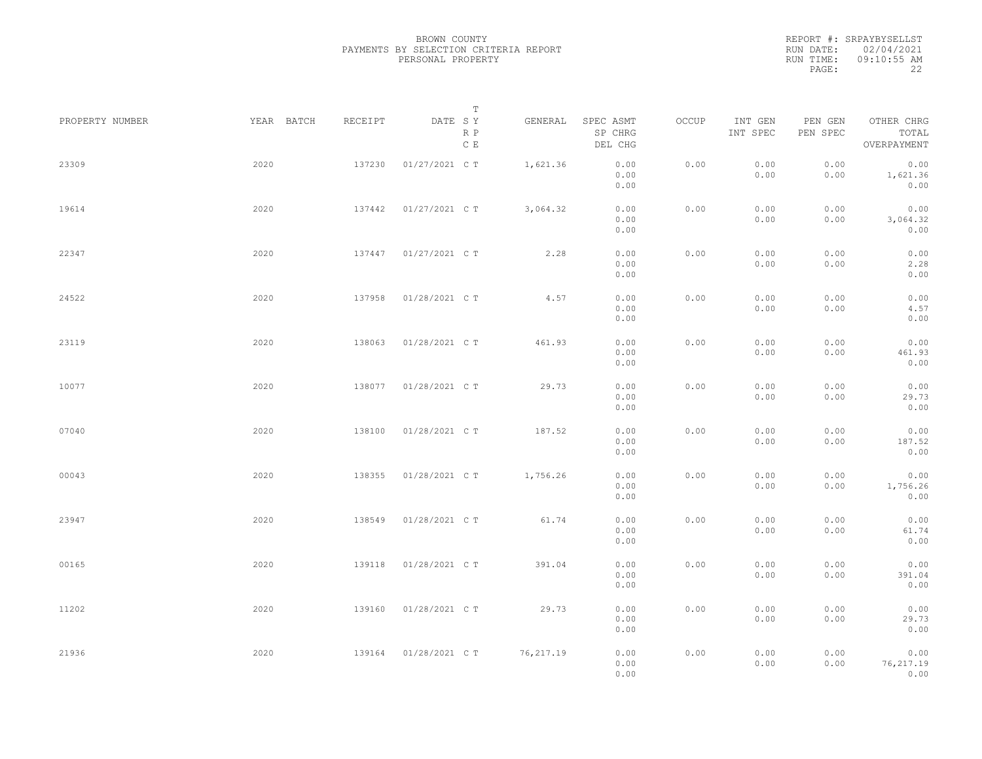|           | REPORT #: SRPAYBYSELLST |
|-----------|-------------------------|
|           | RUN DATE: 02/04/2021    |
| RUN TIME: | 09:10:55 AM             |
| PAGE:     | フフ                      |

|                 |            |         | $\mathbb T$           |            |                                 |       |                     |                     |                                    |  |
|-----------------|------------|---------|-----------------------|------------|---------------------------------|-------|---------------------|---------------------|------------------------------------|--|
| PROPERTY NUMBER | YEAR BATCH | RECEIPT | DATE SY<br>R P<br>C E | GENERAL    | SPEC ASMT<br>SP CHRG<br>DEL CHG | OCCUP | INT GEN<br>INT SPEC | PEN GEN<br>PEN SPEC | OTHER CHRG<br>TOTAL<br>OVERPAYMENT |  |
| 23309           | 2020       | 137230  | 01/27/2021 C T        | 1,621.36   | 0.00<br>0.00<br>0.00            | 0.00  | 0.00<br>0.00        | 0.00<br>0.00        | 0.00<br>1,621.36<br>0.00           |  |
| 19614           | 2020       | 137442  | 01/27/2021 C T        | 3,064.32   | 0.00<br>0.00<br>0.00            | 0.00  | 0.00<br>0.00        | 0.00<br>0.00        | 0.00<br>3,064.32<br>0.00           |  |
| 22347           | 2020       | 137447  | 01/27/2021 C T        | 2.28       | 0.00<br>0.00<br>0.00            | 0.00  | 0.00<br>0.00        | 0.00<br>0.00        | 0.00<br>2.28<br>0.00               |  |
| 24522           | 2020       | 137958  | 01/28/2021 C T        | 4.57       | 0.00<br>0.00<br>0.00            | 0.00  | 0.00<br>0.00        | 0.00<br>0.00        | 0.00<br>4.57<br>0.00               |  |
| 23119           | 2020       | 138063  | 01/28/2021 C T        | 461.93     | 0.00<br>0.00<br>0.00            | 0.00  | 0.00<br>0.00        | 0.00<br>0.00        | 0.00<br>461.93<br>0.00             |  |
| 10077           | 2020       | 138077  | 01/28/2021 C T        | 29.73      | 0.00<br>0.00<br>0.00            | 0.00  | 0.00<br>0.00        | 0.00<br>0.00        | 0.00<br>29.73<br>0.00              |  |
| 07040           | 2020       | 138100  | 01/28/2021 C T        | 187.52     | 0.00<br>0.00<br>0.00            | 0.00  | 0.00<br>0.00        | 0.00<br>0.00        | 0.00<br>187.52<br>0.00             |  |
| 00043           | 2020       | 138355  | 01/28/2021 C T        | 1,756.26   | 0.00<br>0.00<br>0.00            | 0.00  | 0.00<br>0.00        | 0.00<br>0.00        | 0.00<br>1,756.26<br>0.00           |  |
| 23947           | 2020       | 138549  | 01/28/2021 C T        | 61.74      | 0.00<br>0.00<br>0.00            | 0.00  | 0.00<br>0.00        | 0.00<br>0.00        | 0.00<br>61.74<br>0.00              |  |
| 00165           | 2020       | 139118  | 01/28/2021 C T        | 391.04     | 0.00<br>0.00<br>0.00            | 0.00  | 0.00<br>0.00        | 0.00<br>0.00        | 0.00<br>391.04<br>0.00             |  |
| 11202           | 2020       | 139160  | 01/28/2021 C T        | 29.73      | 0.00<br>0.00                    | 0.00  | 0.00<br>0.00        | 0.00<br>0.00        | 0.00<br>29.73                      |  |
| 21936           | 2020       | 139164  | 01/28/2021 C T        | 76, 217.19 | 0.00<br>0.00<br>0.00<br>0.00    | 0.00  | 0.00<br>0.00        | 0.00<br>0.00        | 0.00<br>0.00<br>76, 217.19<br>0.00 |  |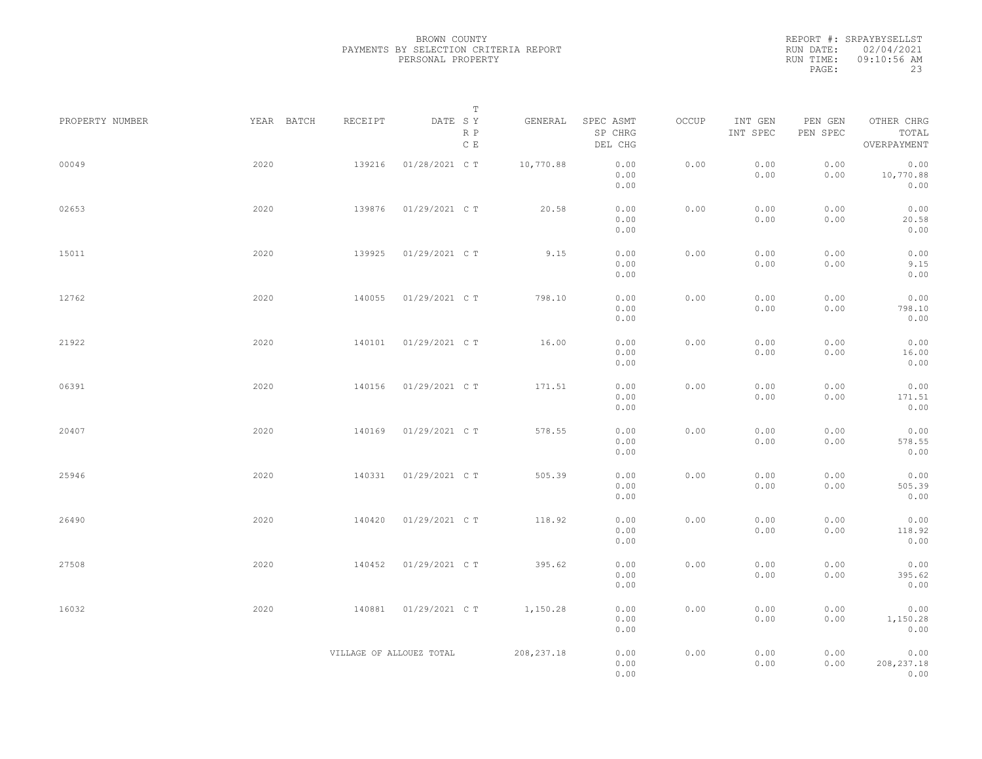| REPORT #: SRPAYBYSELLST |
|-------------------------|
| RUN DATE: 02/04/2021    |
| $09:10:56$ AM           |
| 23                      |
|                         |

| PROPERTY NUMBER | YEAR BATCH | RECEIPT                  | T<br>DATE SY         | GENERAL     | SPEC ASMT            | OCCUP | INT GEN      | PEN GEN<br>OTHER CHRG<br>PEN SPEC<br>TOTAL<br>OVERPAYMENT<br>0.00<br>0.00<br>0.00<br>10,770.88<br>0.00<br>0.00<br>0.00<br>0.00<br>20.58<br>0.00<br>0.00<br>0.00<br>0.00<br>9.15<br>0.00<br>0.00<br>0.00<br>798.10<br>0.00<br>0.00<br>0.00<br>0.00<br>0.00<br>16.00<br>0.00<br>0.00<br>0.00<br>0.00<br>171.51<br>0.00<br>0.00<br>0.00<br>0.00<br>578.55<br>0.00<br>0.00<br>0.00<br>0.00<br>505.39<br>0.00<br>0.00<br>0.00<br>0.00<br>118.92<br>0.00 |                             |  |
|-----------------|------------|--------------------------|----------------------|-------------|----------------------|-------|--------------|----------------------------------------------------------------------------------------------------------------------------------------------------------------------------------------------------------------------------------------------------------------------------------------------------------------------------------------------------------------------------------------------------------------------------------------------------|-----------------------------|--|
|                 |            |                          | R P<br>$\,$ C $\,$ E |             | SP CHRG<br>DEL CHG   |       | INT SPEC     |                                                                                                                                                                                                                                                                                                                                                                                                                                                    |                             |  |
| 00049           | 2020       | 139216                   | 01/28/2021 C T       | 10,770.88   | 0.00<br>0.00<br>0.00 | 0.00  | 0.00<br>0.00 |                                                                                                                                                                                                                                                                                                                                                                                                                                                    |                             |  |
| 02653           | 2020       | 139876                   | 01/29/2021 C T       | 20.58       | 0.00<br>0.00<br>0.00 | 0.00  | 0.00<br>0.00 |                                                                                                                                                                                                                                                                                                                                                                                                                                                    |                             |  |
| 15011           | 2020       | 139925                   | 01/29/2021 C T       | 9.15        | 0.00<br>0.00<br>0.00 | 0.00  | 0.00<br>0.00 |                                                                                                                                                                                                                                                                                                                                                                                                                                                    |                             |  |
| 12762           | 2020       | 140055                   | 01/29/2021 C T       | 798.10      | 0.00<br>0.00<br>0.00 | 0.00  | 0.00<br>0.00 |                                                                                                                                                                                                                                                                                                                                                                                                                                                    |                             |  |
| 21922           | 2020       | 140101                   | 01/29/2021 C T       | 16.00       | 0.00<br>0.00<br>0.00 | 0.00  | 0.00<br>0.00 |                                                                                                                                                                                                                                                                                                                                                                                                                                                    |                             |  |
| 06391           | 2020       | 140156                   | 01/29/2021 C T       | 171.51      | 0.00<br>0.00<br>0.00 | 0.00  | 0.00<br>0.00 |                                                                                                                                                                                                                                                                                                                                                                                                                                                    |                             |  |
| 20407           | 2020       | 140169                   | 01/29/2021 C T       | 578.55      | 0.00<br>0.00<br>0.00 | 0.00  | 0.00<br>0.00 |                                                                                                                                                                                                                                                                                                                                                                                                                                                    |                             |  |
| 25946           | 2020       | 140331                   | 01/29/2021 C T       | 505.39      | 0.00<br>0.00<br>0.00 | 0.00  | 0.00<br>0.00 |                                                                                                                                                                                                                                                                                                                                                                                                                                                    |                             |  |
| 26490           | 2020       | 140420                   | 01/29/2021 C T       | 118.92      | 0.00<br>0.00<br>0.00 | 0.00  | 0.00<br>0.00 |                                                                                                                                                                                                                                                                                                                                                                                                                                                    |                             |  |
| 27508           | 2020       | 140452                   | 01/29/2021 C T       | 395.62      | 0.00<br>0.00<br>0.00 | 0.00  | 0.00<br>0.00 | 0.00<br>0.00                                                                                                                                                                                                                                                                                                                                                                                                                                       | 0.00<br>395.62<br>0.00      |  |
| 16032           | 2020       | 140881                   | 01/29/2021 C T       | 1,150.28    | 0.00<br>0.00<br>0.00 | 0.00  | 0.00<br>0.00 | 0.00<br>0.00                                                                                                                                                                                                                                                                                                                                                                                                                                       | 0.00<br>1,150.28<br>0.00    |  |
|                 |            | VILLAGE OF ALLOUEZ TOTAL |                      | 208, 237.18 | 0.00<br>0.00<br>0.00 | 0.00  | 0.00<br>0.00 | 0.00<br>0.00                                                                                                                                                                                                                                                                                                                                                                                                                                       | 0.00<br>208, 237.18<br>0.00 |  |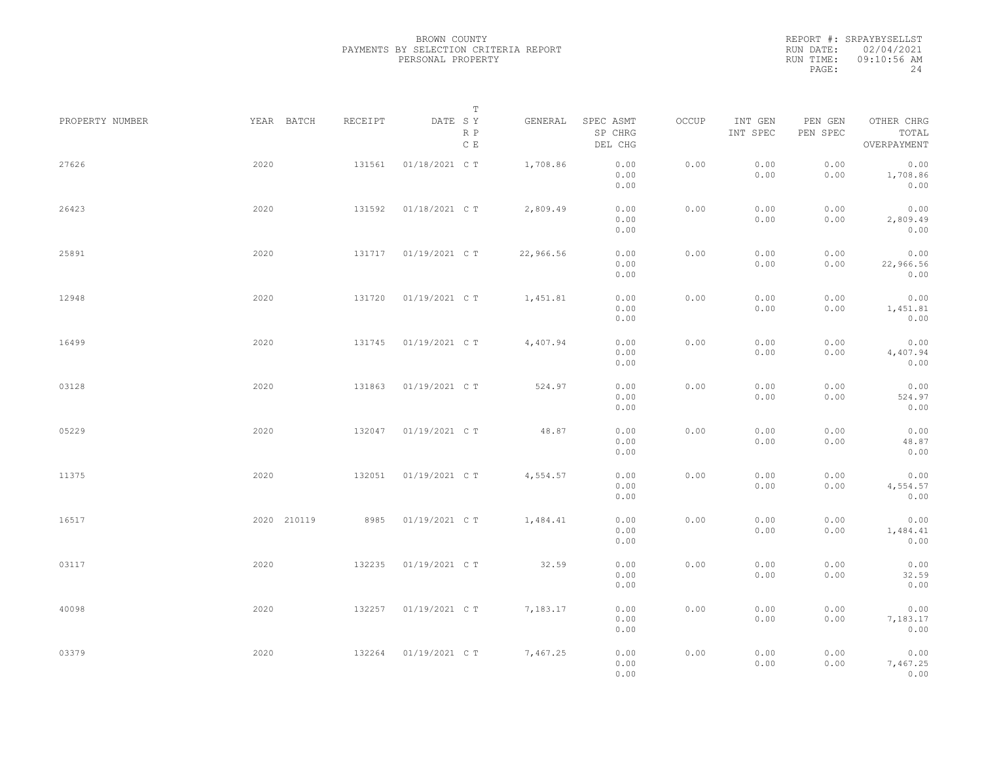|           | REPORT #: SRPAYBYSELLST |
|-----------|-------------------------|
|           | RUN DATE: 02/04/2021    |
| RUN TIME: | 09:10:56 AM             |
| PAGE:     | 24                      |

|                 |             |         | $\mathbb T$                     |           |                                 |       |                     |                     |                                    |  |
|-----------------|-------------|---------|---------------------------------|-----------|---------------------------------|-------|---------------------|---------------------|------------------------------------|--|
| PROPERTY NUMBER | YEAR BATCH  | RECEIPT | DATE SY<br>R P<br>$\,$ C $\,$ E | GENERAL   | SPEC ASMT<br>SP CHRG<br>DEL CHG | OCCUP | INT GEN<br>INT SPEC | PEN GEN<br>PEN SPEC | OTHER CHRG<br>TOTAL<br>OVERPAYMENT |  |
| 27626           | 2020        | 131561  | 01/18/2021 C T                  | 1,708.86  | 0.00<br>0.00<br>0.00            | 0.00  | 0.00<br>0.00        | 0.00<br>0.00        | 0.00<br>1,708.86<br>0.00           |  |
| 26423           | 2020        | 131592  | 01/18/2021 C T                  | 2,809.49  | 0.00<br>0.00<br>0.00            | 0.00  | 0.00<br>0.00        | 0.00<br>0.00        | 0.00<br>2,809.49<br>0.00           |  |
| 25891           | 2020        | 131717  | 01/19/2021 C T                  | 22,966.56 | 0.00<br>0.00<br>0.00            | 0.00  | 0.00<br>0.00        | 0.00<br>0.00        | 0.00<br>22,966.56<br>0.00          |  |
| 12948           | 2020        | 131720  | 01/19/2021 C T                  | 1,451.81  | 0.00<br>0.00<br>0.00            | 0.00  | 0.00<br>0.00        | 0.00<br>0.00        | 0.00<br>1,451.81<br>0.00           |  |
| 16499           | 2020        | 131745  | 01/19/2021 C T                  | 4,407.94  | 0.00<br>0.00<br>0.00            | 0.00  | 0.00<br>0.00        | 0.00<br>0.00        | 0.00<br>4,407.94<br>0.00           |  |
| 03128           | 2020        | 131863  | 01/19/2021 C T                  | 524.97    | 0.00<br>0.00<br>0.00            | 0.00  | 0.00<br>0.00        | 0.00<br>0.00        | 0.00<br>524.97<br>0.00             |  |
| 05229           | 2020        | 132047  | 01/19/2021 C T                  | 48.87     | 0.00<br>0.00<br>0.00            | 0.00  | 0.00<br>0.00        | 0.00<br>0.00        | 0.00<br>48.87<br>0.00              |  |
| 11375           | 2020        | 132051  | 01/19/2021 C T                  | 4,554.57  | 0.00<br>0.00<br>0.00            | 0.00  | 0.00<br>0.00        | 0.00<br>0.00        | 0.00<br>4,554.57<br>0.00           |  |
| 16517           | 2020 210119 | 8985    | 01/19/2021 C T                  | 1,484.41  | 0.00<br>0.00<br>0.00            | 0.00  | 0.00<br>0.00        | 0.00<br>0.00        | 0.00<br>1,484.41<br>0.00           |  |
| 03117           | 2020        | 132235  | 01/19/2021 C T                  | 32.59     | 0.00<br>0.00<br>0.00            | 0.00  | 0.00<br>0.00        | 0.00<br>0.00        | 0.00<br>32.59<br>0.00              |  |
| 40098           | 2020        | 132257  | 01/19/2021 C T                  | 7,183.17  | 0.00<br>0.00<br>0.00            | 0.00  | 0.00<br>0.00        | 0.00<br>0.00        | 0.00<br>7,183.17<br>0.00           |  |
| 03379           | 2020        | 132264  | 01/19/2021 C T                  | 7,467.25  | 0.00<br>0.00<br>0.00            | 0.00  | 0.00<br>0.00        | 0.00<br>0.00        | 0.00<br>7,467.25<br>0.00           |  |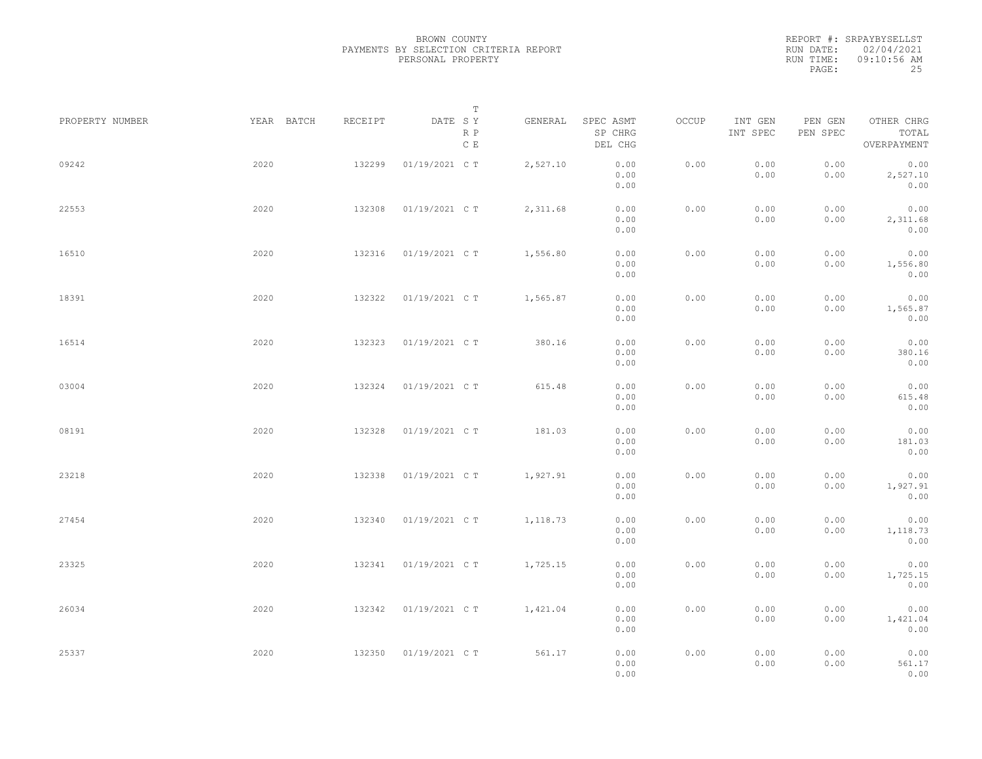REPORT #: SRPAYBYSELLST RUN DATE: 02/04/2021 RUN TIME: 09:10:56 AM PAGE: 25

|                 |            |         | $\mathbb T$                     |          |                                 |       |                     |                     |                                    |  |
|-----------------|------------|---------|---------------------------------|----------|---------------------------------|-------|---------------------|---------------------|------------------------------------|--|
| PROPERTY NUMBER | YEAR BATCH | RECEIPT | DATE SY<br>R P<br>$\,$ C $\,$ E | GENERAL  | SPEC ASMT<br>SP CHRG<br>DEL CHG | OCCUP | INT GEN<br>INT SPEC | PEN GEN<br>PEN SPEC | OTHER CHRG<br>TOTAL<br>OVERPAYMENT |  |
| 09242           | 2020       | 132299  | 01/19/2021 C T                  | 2,527.10 | 0.00<br>0.00<br>0.00            | 0.00  | 0.00<br>0.00        | 0.00<br>0.00        | 0.00<br>2,527.10<br>0.00           |  |
| 22553           | 2020       | 132308  | 01/19/2021 C T                  | 2,311.68 | 0.00<br>0.00<br>0.00            | 0.00  | 0.00<br>0.00        | 0.00<br>0.00        | 0.00<br>2,311.68<br>0.00           |  |
| 16510           | 2020       | 132316  | 01/19/2021 C T                  | 1,556.80 | 0.00<br>0.00<br>0.00            | 0.00  | 0.00<br>0.00        | 0.00<br>0.00        | 0.00<br>1,556.80<br>0.00           |  |
| 18391           | 2020       | 132322  | 01/19/2021 C T                  | 1,565.87 | 0.00<br>0.00<br>0.00            | 0.00  | 0.00<br>0.00        | 0.00<br>0.00        | 0.00<br>1,565.87<br>0.00           |  |
| 16514           | 2020       | 132323  | 01/19/2021 C T                  | 380.16   | 0.00<br>0.00<br>0.00            | 0.00  | 0.00<br>0.00        | 0.00<br>0.00        | 0.00<br>380.16<br>0.00             |  |
| 03004           | 2020       | 132324  | 01/19/2021 C T                  | 615.48   | 0.00<br>0.00<br>0.00            | 0.00  | 0.00<br>0.00        | 0.00<br>0.00        | 0.00<br>615.48<br>0.00             |  |
| 08191           | 2020       | 132328  | 01/19/2021 C T                  | 181.03   | 0.00<br>0.00<br>0.00            | 0.00  | 0.00<br>0.00        | 0.00<br>0.00        | 0.00<br>181.03<br>0.00             |  |
| 23218           | 2020       | 132338  | 01/19/2021 C T                  | 1,927.91 | 0.00<br>0.00<br>0.00            | 0.00  | 0.00<br>0.00        | 0.00<br>0.00        | 0.00<br>1,927.91<br>0.00           |  |
| 27454           | 2020       | 132340  | 01/19/2021 C T                  | 1,118.73 | 0.00<br>0.00<br>0.00            | 0.00  | 0.00<br>0.00        | 0.00<br>0.00        | 0.00<br>1,118.73<br>0.00           |  |
| 23325           | 2020       | 132341  | 01/19/2021 C T                  | 1,725.15 | 0.00<br>0.00<br>0.00            | 0.00  | 0.00<br>0.00        | 0.00<br>0.00        | 0.00<br>1,725.15<br>0.00           |  |
| 26034           | 2020       | 132342  | 01/19/2021 C T                  | 1,421.04 | 0.00<br>0.00                    | 0.00  | 0.00<br>0.00        | 0.00<br>0.00        | 0.00<br>1,421.04                   |  |
| 25337           | 2020       | 132350  | 01/19/2021 C T                  | 561.17   | 0.00<br>0.00<br>0.00<br>0.00    | 0.00  | 0.00<br>0.00        | 0.00<br>0.00        | 0.00<br>0.00<br>561.17<br>0.00     |  |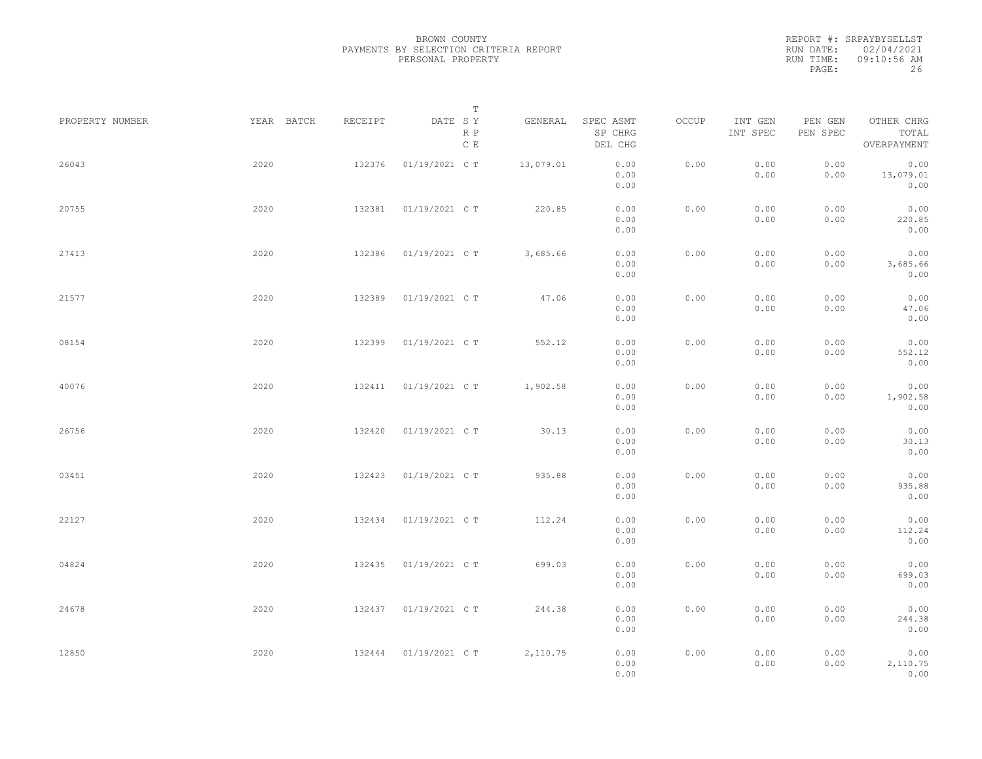REPORT #: SRPAYBYSELLST RUN DATE: 02/04/2021 RUN TIME: 09:10:56 AM PAGE: 26

|                 |            |         | T                     |           |                                 |       |                     |                     |                                    |  |
|-----------------|------------|---------|-----------------------|-----------|---------------------------------|-------|---------------------|---------------------|------------------------------------|--|
| PROPERTY NUMBER | YEAR BATCH | RECEIPT | DATE SY<br>R P<br>C E | GENERAL   | SPEC ASMT<br>SP CHRG<br>DEL CHG | OCCUP | INT GEN<br>INT SPEC | PEN GEN<br>PEN SPEC | OTHER CHRG<br>TOTAL<br>OVERPAYMENT |  |
| 26043           | 2020       | 132376  | 01/19/2021 C T        | 13,079.01 | 0.00<br>0.00<br>0.00            | 0.00  | 0.00<br>0.00        | 0.00<br>0.00        | 0.00<br>13,079.01<br>0.00          |  |
| 20755           | 2020       | 132381  | 01/19/2021 C T        | 220.85    | 0.00<br>0.00<br>0.00            | 0.00  | 0.00<br>0.00        | 0.00<br>0.00        | 0.00<br>220.85<br>0.00             |  |
| 27413           | 2020       | 132386  | 01/19/2021 C T        | 3,685.66  | 0.00<br>0.00<br>0.00            | 0.00  | 0.00<br>0.00        | 0.00<br>0.00        | 0.00<br>3,685.66<br>0.00           |  |
| 21577           | 2020       | 132389  | 01/19/2021 C T        | 47.06     | 0.00<br>0.00<br>0.00            | 0.00  | 0.00<br>0.00        | 0.00<br>0.00        | 0.00<br>47.06<br>0.00              |  |
| 08154           | 2020       | 132399  | 01/19/2021 C T        | 552.12    | 0.00<br>0.00<br>0.00            | 0.00  | 0.00<br>0.00        | 0.00<br>0.00        | 0.00<br>552.12<br>0.00             |  |
| 40076           | 2020       | 132411  | 01/19/2021 C T        | 1,902.58  | 0.00<br>0.00<br>0.00            | 0.00  | 0.00<br>0.00        | 0.00<br>0.00        | 0.00<br>1,902.58<br>0.00           |  |
| 26756           | 2020       | 132420  | 01/19/2021 C T        | 30.13     | 0.00<br>0.00<br>0.00            | 0.00  | 0.00<br>0.00        | 0.00<br>0.00        | 0.00<br>30.13<br>0.00              |  |
| 03451           | 2020       | 132423  | 01/19/2021 C T        | 935.88    | 0.00<br>0.00<br>0.00            | 0.00  | 0.00<br>0.00        | 0.00<br>0.00        | 0.00<br>935.88<br>0.00             |  |
| 22127           | 2020       | 132434  | 01/19/2021 C T        | 112.24    | 0.00<br>0.00                    | 0.00  | 0.00<br>0.00        | 0.00<br>0.00        | 0.00<br>112.24                     |  |
| 04824           | 2020       | 132435  | 01/19/2021 C T        | 699.03    | 0.00<br>0.00<br>0.00            | 0.00  | 0.00<br>0.00        | 0.00<br>0.00        | 0.00<br>0.00<br>699.03             |  |
| 24678           | 2020       |         | 132437 01/19/2021 CT  | 244.38    | 0.00<br>0.00<br>0.00            | 0.00  | 0.00<br>0.00        | 0.00<br>0.00        | 0.00<br>0.00<br>244.38             |  |
| 12850           | 2020       | 132444  | 01/19/2021 C T        | 2,110.75  | 0.00<br>0.00<br>0.00<br>0.00    | 0.00  | 0.00<br>0.00        | 0.00<br>0.00        | 0.00<br>0.00<br>2,110.75<br>0.00   |  |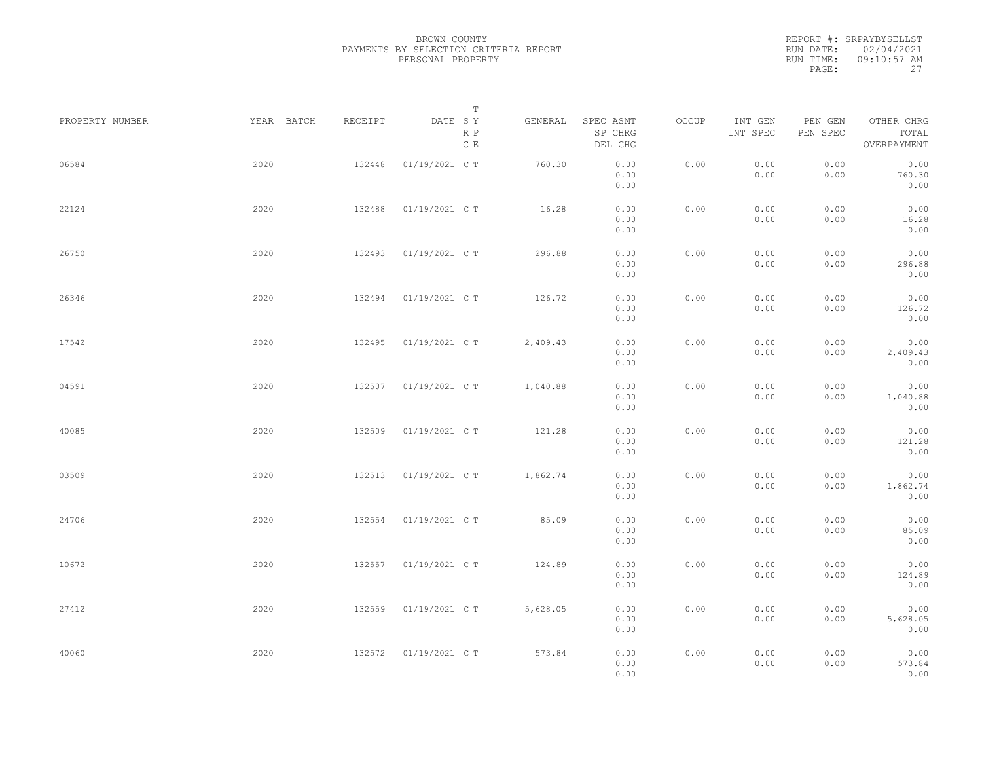|           | REPORT #: SRPAYBYSELLST |
|-----------|-------------------------|
|           | RUN DATE: 02/04/2021    |
| RUN TIME: | $09:10:57$ AM           |
| PAGE:     | 27                      |

|                 |            |         | T                               |          |                                 |       |                     |                     |                                    |  |
|-----------------|------------|---------|---------------------------------|----------|---------------------------------|-------|---------------------|---------------------|------------------------------------|--|
| PROPERTY NUMBER | YEAR BATCH | RECEIPT | DATE SY<br>R P<br>$\,$ C $\,$ E | GENERAL  | SPEC ASMT<br>SP CHRG<br>DEL CHG | OCCUP | INT GEN<br>INT SPEC | PEN GEN<br>PEN SPEC | OTHER CHRG<br>TOTAL<br>OVERPAYMENT |  |
| 06584           | 2020       | 132448  | 01/19/2021 C T                  | 760.30   | 0.00<br>0.00<br>0.00            | 0.00  | 0.00<br>0.00        | 0.00<br>0.00        | 0.00<br>760.30<br>0.00             |  |
| 22124           | 2020       | 132488  | 01/19/2021 C T                  | 16.28    | 0.00<br>0.00<br>0.00            | 0.00  | 0.00<br>0.00        | 0.00<br>0.00        | 0.00<br>16.28<br>0.00              |  |
| 26750           | 2020       | 132493  | 01/19/2021 C T                  | 296.88   | 0.00<br>0.00<br>0.00            | 0.00  | 0.00<br>0.00        | 0.00<br>0.00        | 0.00<br>296.88<br>0.00             |  |
| 26346           | 2020       | 132494  | 01/19/2021 C T                  | 126.72   | 0.00<br>0.00<br>0.00            | 0.00  | 0.00<br>0.00        | 0.00<br>0.00        | 0.00<br>126.72<br>0.00             |  |
| 17542           | 2020       | 132495  | 01/19/2021 C T                  | 2,409.43 | 0.00<br>0.00<br>0.00            | 0.00  | 0.00<br>0.00        | 0.00<br>0.00        | 0.00<br>2,409.43<br>0.00           |  |
| 04591           | 2020       | 132507  | 01/19/2021 C T                  | 1,040.88 | 0.00<br>0.00<br>0.00            | 0.00  | 0.00<br>0.00        | 0.00<br>0.00        | 0.00<br>1,040.88<br>0.00           |  |
| 40085           | 2020       | 132509  | 01/19/2021 C T                  | 121.28   | 0.00<br>0.00<br>0.00            | 0.00  | 0.00<br>0.00        | 0.00<br>0.00        | 0.00<br>121.28<br>0.00             |  |
| 03509           | 2020       | 132513  | 01/19/2021 C T                  | 1,862.74 | 0.00<br>0.00<br>0.00            | 0.00  | 0.00<br>0.00        | 0.00<br>0.00        | 0.00<br>1,862.74<br>0.00           |  |
| 24706           | 2020       | 132554  | 01/19/2021 C T                  | 85.09    | 0.00<br>0.00<br>0.00            | 0.00  | 0.00<br>0.00        | 0.00<br>0.00        | 0.00<br>85.09<br>0.00              |  |
| 10672           | 2020       | 132557  | 01/19/2021 C T                  | 124.89   | 0.00<br>0.00<br>0.00            | 0.00  | 0.00<br>0.00        | 0.00<br>0.00        | 0.00<br>124.89<br>0.00             |  |
| 27412           | 2020       | 132559  | 01/19/2021 C T                  | 5,628.05 | 0.00<br>0.00<br>0.00            | 0.00  | 0.00<br>0.00        | 0.00<br>0.00        | 0.00<br>5,628.05<br>0.00           |  |
| 40060           | 2020       | 132572  | 01/19/2021 C T                  | 573.84   | 0.00<br>0.00<br>0.00            | 0.00  | 0.00<br>0.00        | 0.00<br>0.00        | 0.00<br>573.84<br>0.00             |  |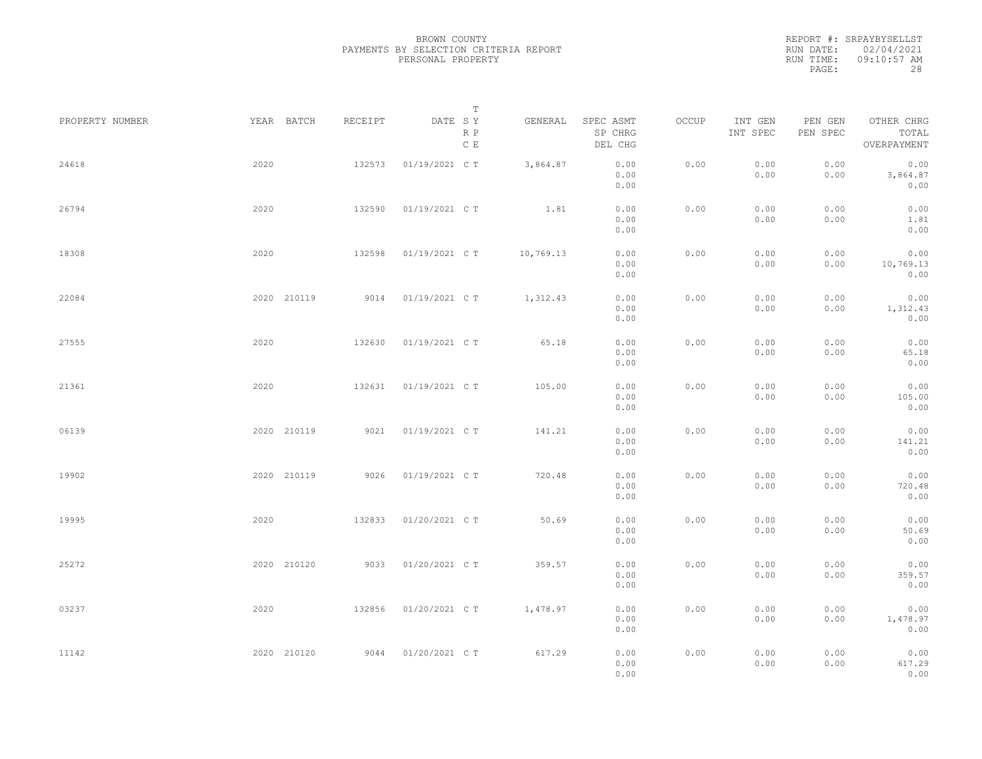REPORT #: SRPAYBYSELLST RUN DATE: 02/04/2021 RUN TIME: 09:10:57 AM PAGE: 28

|                 |             |         | $\mathbb T$           |           |                                 |       |                     |                     |                                    |  |
|-----------------|-------------|---------|-----------------------|-----------|---------------------------------|-------|---------------------|---------------------|------------------------------------|--|
| PROPERTY NUMBER | YEAR BATCH  | RECEIPT | DATE SY<br>R P<br>C E | GENERAL   | SPEC ASMT<br>SP CHRG<br>DEL CHG | OCCUP | INT GEN<br>INT SPEC | PEN GEN<br>PEN SPEC | OTHER CHRG<br>TOTAL<br>OVERPAYMENT |  |
| 24618           | 2020        | 132573  | 01/19/2021 C T        | 3,864.87  | 0.00<br>0.00<br>0.00            | 0.00  | 0.00<br>0.00        | 0.00<br>0.00        | 0.00<br>3,864.87<br>0.00           |  |
| 26794           | 2020        | 132590  | 01/19/2021 C T        | 1.81      | 0.00<br>0.00<br>0.00            | 0.00  | 0.00<br>0.00        | 0.00<br>0.00        | 0.00<br>1.81<br>0.00               |  |
| 18308           | 2020        | 132598  | 01/19/2021 C T        | 10,769.13 | 0.00<br>0.00<br>0.00            | 0.00  | 0.00<br>0.00        | 0.00<br>0.00        | 0.00<br>10,769.13<br>0.00          |  |
| 22084           | 2020 210119 | 9014    | 01/19/2021 C T        | 1,312.43  | 0.00<br>0.00<br>0.00            | 0.00  | 0.00<br>0.00        | 0.00<br>0.00        | 0.00<br>1,312.43<br>0.00           |  |
| 27555           | 2020        | 132630  | 01/19/2021 C T        | 65.18     | 0.00<br>0.00<br>0.00            | 0.00  | 0.00<br>0.00        | 0.00<br>0.00        | 0.00<br>65.18<br>0.00              |  |
| 21361           | 2020        | 132631  | 01/19/2021 C T        | 105.00    | 0.00<br>0.00<br>0.00            | 0.00  | 0.00<br>0.00        | 0.00<br>0.00        | 0.00<br>105.00<br>0.00             |  |
| 06139           | 2020 210119 | 9021    | 01/19/2021 C T        | 141.21    | 0.00<br>0.00<br>0.00            | 0.00  | 0.00<br>0.00        | 0.00<br>0.00        | 0.00<br>141.21<br>0.00             |  |
| 19902           | 2020 210119 | 9026    | 01/19/2021 C T        | 720.48    | 0.00<br>0.00<br>0.00            | 0.00  | 0.00<br>0.00        | 0.00<br>0.00        | 0.00<br>720.48<br>0.00             |  |
| 19995           | 2020        | 132833  | 01/20/2021 C T        | 50.69     | 0.00<br>0.00<br>0.00            | 0.00  | 0.00<br>0.00        | 0.00<br>0.00        | 0.00<br>50.69<br>0.00              |  |
| 25272           | 2020 210120 | 9033    | 01/20/2021 C T        | 359.57    | 0.00<br>0.00<br>0.00            | 0.00  | 0.00<br>0.00        | 0.00<br>0.00        | 0.00<br>359.57<br>0.00             |  |
| 03237           | 2020        | 132856  | 01/20/2021 C T        | 1,478.97  | 0.00<br>0.00<br>0.00            | 0.00  | 0.00<br>0.00        | 0.00<br>0.00        | 0.00<br>1,478.97<br>0.00           |  |
| 11142           | 2020 210120 | 9044    | 01/20/2021 C T        | 617.29    | 0.00<br>0.00<br>0.00            | 0.00  | 0.00<br>0.00        | 0.00<br>0.00        | 0.00<br>617.29<br>0.00             |  |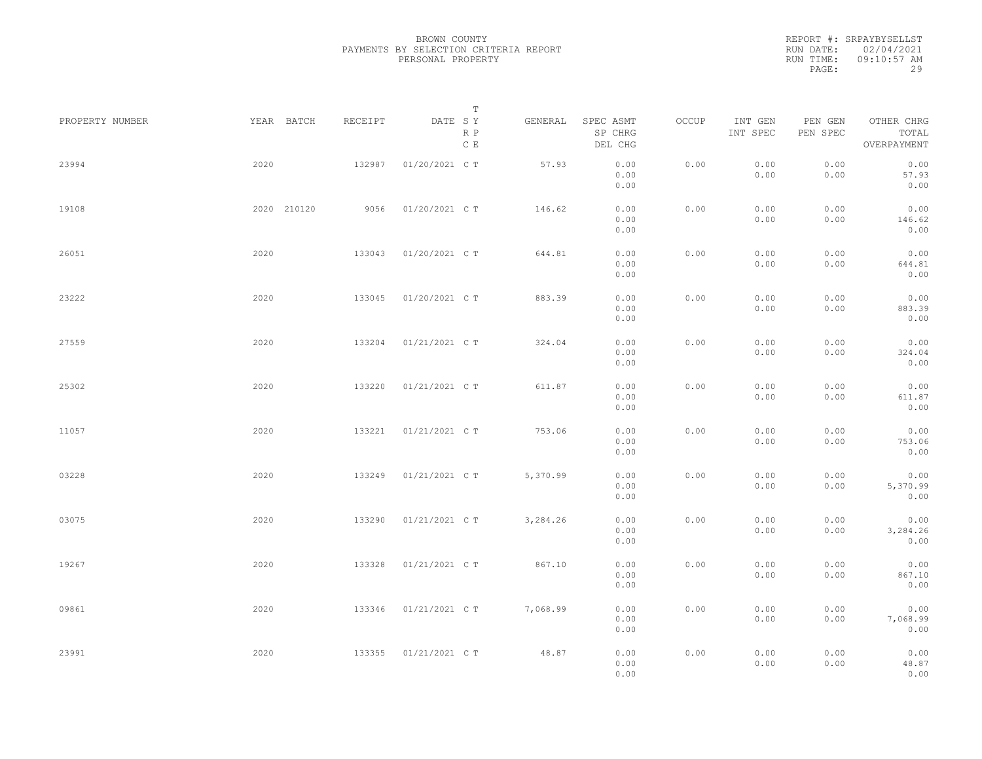|           | REPORT #: SRPAYBYSELLST |
|-----------|-------------------------|
|           | RUN DATE: 02/04/2021    |
| RUN TIME: | $09:10:57$ AM           |
| PAGE:     | 29                      |

|                 |             |         | T                     |          |                                 |       |                     |                     |                                    |  |
|-----------------|-------------|---------|-----------------------|----------|---------------------------------|-------|---------------------|---------------------|------------------------------------|--|
| PROPERTY NUMBER | YEAR BATCH  | RECEIPT | DATE SY<br>R P<br>C E | GENERAL  | SPEC ASMT<br>SP CHRG<br>DEL CHG | OCCUP | INT GEN<br>INT SPEC | PEN GEN<br>PEN SPEC | OTHER CHRG<br>TOTAL<br>OVERPAYMENT |  |
| 23994           | 2020        | 132987  | 01/20/2021 C T        | 57.93    | 0.00<br>0.00<br>0.00            | 0.00  | 0.00<br>0.00        | 0.00<br>0.00        | 0.00<br>57.93<br>0.00              |  |
| 19108           | 2020 210120 | 9056    | 01/20/2021 C T        | 146.62   | 0.00<br>0.00<br>0.00            | 0.00  | 0.00<br>0.00        | 0.00<br>0.00        | 0.00<br>146.62<br>0.00             |  |
| 26051           | 2020        | 133043  | 01/20/2021 C T        | 644.81   | 0.00<br>0.00<br>0.00            | 0.00  | 0.00<br>0.00        | 0.00<br>0.00        | 0.00<br>644.81<br>0.00             |  |
| 23222           | 2020        | 133045  | 01/20/2021 C T        | 883.39   | 0.00<br>0.00<br>0.00            | 0.00  | 0.00<br>0.00        | 0.00<br>0.00        | 0.00<br>883.39<br>0.00             |  |
| 27559           | 2020        | 133204  | 01/21/2021 C T        | 324.04   | 0.00<br>0.00<br>0.00            | 0.00  | 0.00<br>0.00        | 0.00<br>0.00        | 0.00<br>324.04<br>0.00             |  |
| 25302           | 2020        | 133220  | 01/21/2021 C T        | 611.87   | 0.00<br>0.00<br>0.00            | 0.00  | 0.00<br>0.00        | 0.00<br>0.00        | 0.00<br>611.87<br>0.00             |  |
| 11057           | 2020        | 133221  | 01/21/2021 C T        | 753.06   | 0.00<br>0.00                    | 0.00  | 0.00<br>0.00        | 0.00<br>0.00        | 0.00<br>753.06                     |  |
| 03228           | 2020        | 133249  | 01/21/2021 C T        | 5,370.99 | 0.00<br>0.00<br>0.00            | 0.00  | 0.00<br>0.00        | 0.00<br>0.00        | 0.00<br>0.00<br>5,370.99           |  |
| 03075           | 2020        | 133290  | 01/21/2021 C T        | 3,284.26 | 0.00<br>0.00<br>0.00            | 0.00  | 0.00<br>0.00        | 0.00<br>0.00        | 0.00<br>0.00<br>3,284.26           |  |
| 19267           | 2020        | 133328  | 01/21/2021 C T        | 867.10   | 0.00<br>0.00<br>0.00            | 0.00  | 0.00<br>0.00        | 0.00<br>0.00        | 0.00<br>0.00<br>867.10             |  |
| 09861           | 2020        | 133346  | 01/21/2021 C T        | 7,068.99 | 0.00<br>0.00<br>0.00            | 0.00  | 0.00<br>0.00        | 0.00<br>0.00        | 0.00<br>0.00<br>7,068.99           |  |
| 23991           | 2020        | 133355  | 01/21/2021 C T        | 48.87    | 0.00<br>0.00<br>0.00<br>0.00    | 0.00  | 0.00<br>0.00        | 0.00<br>0.00        | 0.00<br>0.00<br>48.87<br>0.00      |  |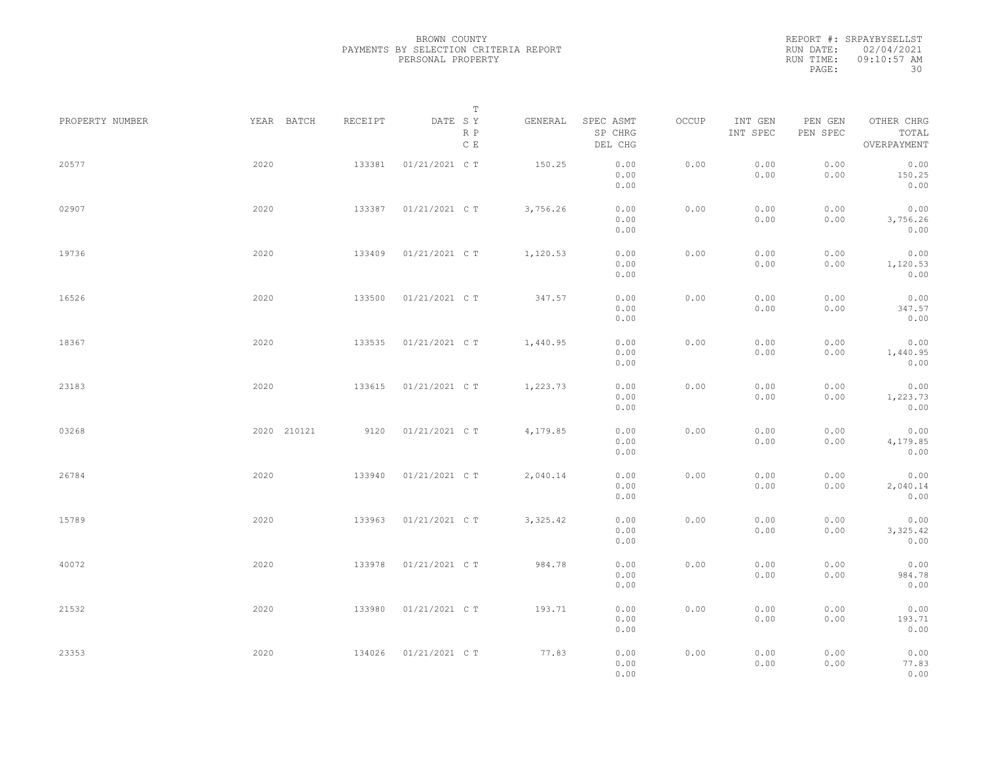|           | REPORT #: SRPAYBYSELLST |
|-----------|-------------------------|
|           | RUN DATE: 02/04/2021    |
| RUN TIME: | $09:10:57$ AM           |
| PAGE:     | 30                      |

|                 |             |         | T                               |          |                                 |       |                     |                     |                                    |  |
|-----------------|-------------|---------|---------------------------------|----------|---------------------------------|-------|---------------------|---------------------|------------------------------------|--|
| PROPERTY NUMBER | YEAR BATCH  | RECEIPT | DATE SY<br>R P<br>$\,$ C $\,$ E | GENERAL  | SPEC ASMT<br>SP CHRG<br>DEL CHG | OCCUP | INT GEN<br>INT SPEC | PEN GEN<br>PEN SPEC | OTHER CHRG<br>TOTAL<br>OVERPAYMENT |  |
| 20577           | 2020        | 133381  | 01/21/2021 C T                  | 150.25   | 0.00<br>0.00<br>0.00            | 0.00  | 0.00<br>0.00        | 0.00<br>0.00        | 0.00<br>150.25<br>0.00             |  |
| 02907           | 2020        | 133387  | 01/21/2021 C T                  | 3,756.26 | 0.00<br>0.00<br>0.00            | 0.00  | 0.00<br>0.00        | 0.00<br>0.00        | 0.00<br>3,756.26<br>0.00           |  |
| 19736           | 2020        | 133409  | 01/21/2021 C T                  | 1,120.53 | 0.00<br>0.00<br>0.00            | 0.00  | 0.00<br>0.00        | 0.00<br>0.00        | 0.00<br>1,120.53<br>0.00           |  |
| 16526           | 2020        | 133500  | 01/21/2021 C T                  | 347.57   | 0.00<br>0.00<br>0.00            | 0.00  | 0.00<br>0.00        | 0.00<br>0.00        | 0.00<br>347.57<br>0.00             |  |
| 18367           | 2020        | 133535  | 01/21/2021 C T                  | 1,440.95 | 0.00<br>0.00<br>0.00            | 0.00  | 0.00<br>0.00        | 0.00<br>0.00        | 0.00<br>1,440.95<br>0.00           |  |
| 23183           | 2020        | 133615  | 01/21/2021 C T                  | 1,223.73 | 0.00<br>0.00<br>0.00            | 0.00  | 0.00<br>0.00        | 0.00<br>0.00        | 0.00<br>1,223.73<br>0.00           |  |
| 03268           | 2020 210121 | 9120    | 01/21/2021 C T                  | 4,179.85 | 0.00<br>0.00<br>0.00            | 0.00  | 0.00<br>0.00        | 0.00<br>0.00        | 0.00<br>4,179.85<br>0.00           |  |
| 26784           | 2020        | 133940  | 01/21/2021 C T                  | 2,040.14 | 0.00<br>0.00<br>0.00            | 0.00  | 0.00<br>0.00        | 0.00<br>0.00        | 0.00<br>2,040.14<br>0.00           |  |
| 15789           | 2020        | 133963  | 01/21/2021 C T                  | 3,325.42 | 0.00<br>0.00<br>0.00            | 0.00  | 0.00<br>0.00        | 0.00<br>0.00        | 0.00<br>3,325.42<br>0.00           |  |
| 40072           | 2020        | 133978  | 01/21/2021 C T                  | 984.78   | 0.00<br>0.00<br>0.00            | 0.00  | 0.00<br>0.00        | 0.00<br>0.00        | 0.00<br>984.78<br>0.00             |  |
| 21532           | 2020        | 133980  | 01/21/2021 C T                  | 193.71   | 0.00<br>0.00<br>0.00            | 0.00  | 0.00<br>0.00        | 0.00<br>0.00        | 0.00<br>193.71<br>0.00             |  |
| 23353           | 2020        | 134026  | 01/21/2021 C T                  | 77.83    | 0.00<br>0.00<br>0.00            | 0.00  | 0.00<br>0.00        | 0.00<br>0.00        | 0.00<br>77.83<br>0.00              |  |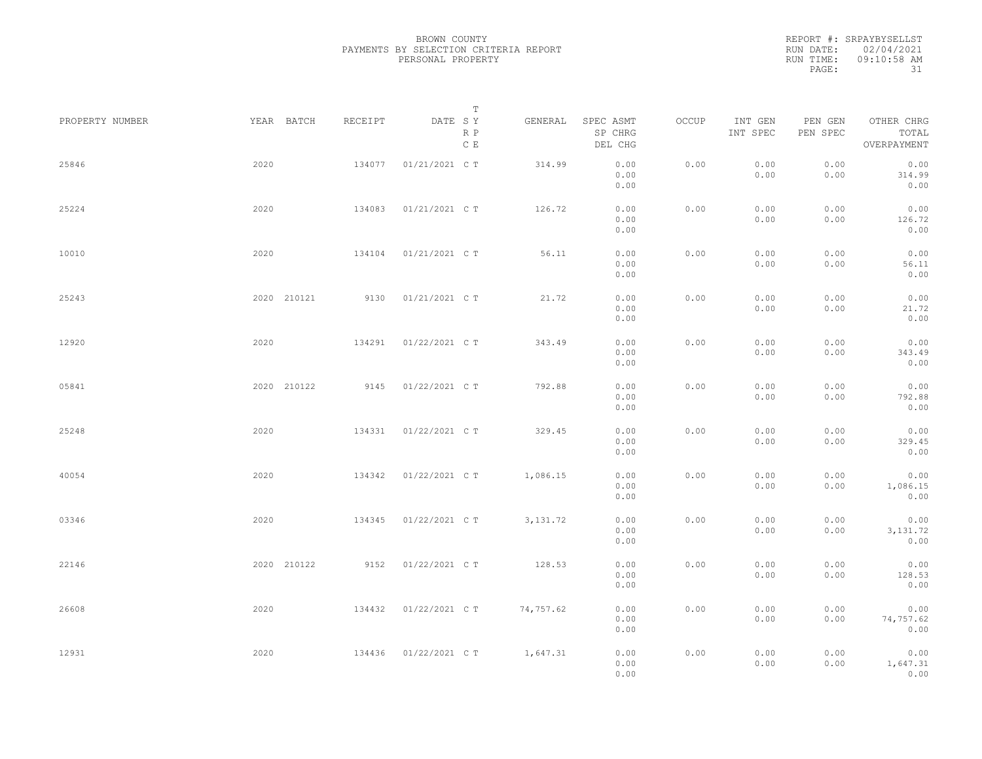|           | REPORT #: SRPAYBYSELLST |
|-----------|-------------------------|
|           | RUN DATE: 02/04/2021    |
| RUN TIME: | $09:10:58$ AM           |
| PAGE:     | 31                      |

|                 |             |         | $\mathbb T$           |           |                                 |       |                     |                     |                                    |  |
|-----------------|-------------|---------|-----------------------|-----------|---------------------------------|-------|---------------------|---------------------|------------------------------------|--|
| PROPERTY NUMBER | YEAR BATCH  | RECEIPT | DATE SY<br>R P<br>C E | GENERAL   | SPEC ASMT<br>SP CHRG<br>DEL CHG | OCCUP | INT GEN<br>INT SPEC | PEN GEN<br>PEN SPEC | OTHER CHRG<br>TOTAL<br>OVERPAYMENT |  |
| 25846           | 2020        | 134077  | 01/21/2021 C T        | 314.99    | 0.00<br>0.00<br>0.00            | 0.00  | 0.00<br>0.00        | 0.00<br>0.00        | 0.00<br>314.99<br>0.00             |  |
| 25224           | 2020        | 134083  | 01/21/2021 C T        | 126.72    | 0.00<br>0.00<br>0.00            | 0.00  | 0.00<br>0.00        | 0.00<br>0.00        | 0.00<br>126.72<br>0.00             |  |
| 10010           | 2020        | 134104  | 01/21/2021 C T        | 56.11     | 0.00<br>0.00<br>0.00            | 0.00  | 0.00<br>0.00        | 0.00<br>0.00        | 0.00<br>56.11<br>0.00              |  |
| 25243           | 2020 210121 | 9130    | 01/21/2021 C T        | 21.72     | 0.00<br>0.00<br>0.00            | 0.00  | 0.00<br>0.00        | 0.00<br>0.00        | 0.00<br>21.72<br>0.00              |  |
| 12920           | 2020        | 134291  | 01/22/2021 C T        | 343.49    | 0.00<br>0.00<br>0.00            | 0.00  | 0.00<br>0.00        | 0.00<br>0.00        | 0.00<br>343.49<br>0.00             |  |
| 05841           | 2020 210122 | 9145    | 01/22/2021 C T        | 792.88    | 0.00<br>0.00<br>0.00            | 0.00  | 0.00<br>0.00        | 0.00<br>0.00        | 0.00<br>792.88<br>0.00             |  |
| 25248           | 2020        | 134331  | 01/22/2021 C T        | 329.45    | 0.00<br>0.00<br>0.00            | 0.00  | 0.00<br>0.00        | 0.00<br>0.00        | 0.00<br>329.45<br>0.00             |  |
| 40054           | 2020        | 134342  | 01/22/2021 C T        | 1,086.15  | 0.00<br>0.00<br>0.00            | 0.00  | 0.00<br>0.00        | 0.00<br>0.00        | 0.00<br>1,086.15<br>0.00           |  |
| 03346           | 2020        | 134345  | 01/22/2021 C T        | 3, 131.72 | 0.00<br>0.00<br>0.00            | 0.00  | 0.00<br>0.00        | 0.00<br>0.00        | 0.00<br>3, 131.72<br>0.00          |  |
| 22146           | 2020 210122 | 9152    | 01/22/2021 C T        | 128.53    | 0.00<br>0.00<br>0.00            | 0.00  | 0.00<br>0.00        | 0.00<br>0.00        | 0.00<br>128.53<br>0.00             |  |
| 26608           | 2020        | 134432  | 01/22/2021 C T        | 74,757.62 | 0.00<br>0.00                    | 0.00  | 0.00<br>0.00        | 0.00<br>0.00        | 0.00<br>74,757.62                  |  |
| 12931           | 2020        | 134436  | 01/22/2021 C T        | 1,647.31  | 0.00<br>0.00<br>0.00<br>0.00    | 0.00  | 0.00<br>0.00        | 0.00<br>0.00        | 0.00<br>0.00<br>1,647.31<br>0.00   |  |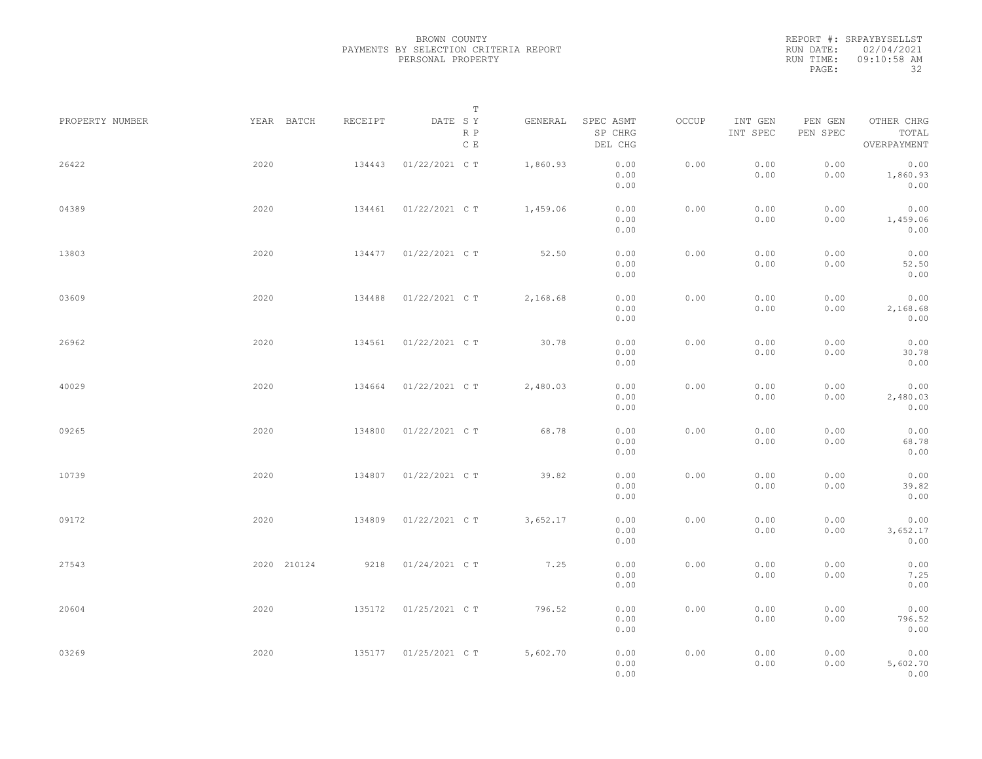|           | REPORT #: SRPAYBYSELLST |
|-----------|-------------------------|
|           | RUN DATE: 02/04/2021    |
| RUN TIME: | $09:10:58$ AM           |
| PAGE:     | 32                      |

|                 |             |         | $\mathbb T$                     |          |                                 |       |                     |                     |                                    |  |
|-----------------|-------------|---------|---------------------------------|----------|---------------------------------|-------|---------------------|---------------------|------------------------------------|--|
| PROPERTY NUMBER | YEAR BATCH  | RECEIPT | DATE SY<br>R P<br>$\,$ C $\,$ E | GENERAL  | SPEC ASMT<br>SP CHRG<br>DEL CHG | OCCUP | INT GEN<br>INT SPEC | PEN GEN<br>PEN SPEC | OTHER CHRG<br>TOTAL<br>OVERPAYMENT |  |
| 26422           | 2020        | 134443  | 01/22/2021 C T                  | 1,860.93 | 0.00<br>0.00<br>0.00            | 0.00  | 0.00<br>0.00        | 0.00<br>0.00        | 0.00<br>1,860.93<br>0.00           |  |
| 04389           | 2020        | 134461  | 01/22/2021 C T                  | 1,459.06 | 0.00<br>0.00<br>0.00            | 0.00  | 0.00<br>0.00        | 0.00<br>0.00        | 0.00<br>1,459.06<br>0.00           |  |
| 13803           | 2020        | 134477  | 01/22/2021 C T                  | 52.50    | 0.00<br>0.00<br>0.00            | 0.00  | 0.00<br>0.00        | 0.00<br>0.00        | 0.00<br>52.50<br>0.00              |  |
| 03609           | 2020        | 134488  | 01/22/2021 C T                  | 2,168.68 | 0.00<br>0.00<br>0.00            | 0.00  | 0.00<br>0.00        | 0.00<br>0.00        | 0.00<br>2,168.68<br>0.00           |  |
| 26962           | 2020        | 134561  | 01/22/2021 C T                  | 30.78    | 0.00<br>0.00<br>0.00            | 0.00  | 0.00<br>0.00        | 0.00<br>0.00        | 0.00<br>30.78<br>0.00              |  |
| 40029           | 2020        | 134664  | 01/22/2021 C T                  | 2,480.03 | 0.00<br>0.00<br>0.00            | 0.00  | 0.00<br>0.00        | 0.00<br>0.00        | 0.00<br>2,480.03<br>0.00           |  |
| 09265           | 2020        | 134800  | 01/22/2021 C T                  | 68.78    | 0.00<br>0.00<br>0.00            | 0.00  | 0.00<br>0.00        | 0.00<br>0.00        | 0.00<br>68.78<br>0.00              |  |
| 10739           | 2020        | 134807  | 01/22/2021 C T                  | 39.82    | 0.00<br>0.00<br>0.00            | 0.00  | 0.00<br>0.00        | 0.00<br>0.00        | 0.00<br>39.82<br>0.00              |  |
| 09172           | 2020        | 134809  | 01/22/2021 C T                  | 3,652.17 | 0.00<br>0.00<br>0.00            | 0.00  | 0.00<br>0.00        | 0.00<br>0.00        | 0.00<br>3,652.17<br>0.00           |  |
| 27543           | 2020 210124 | 9218    | 01/24/2021 C T                  | 7.25     | 0.00<br>0.00<br>0.00            | 0.00  | 0.00<br>0.00        | 0.00<br>0.00        | 0.00<br>7.25<br>0.00               |  |
| 20604           | 2020        | 135172  | 01/25/2021 C T                  | 796.52   | 0.00<br>0.00<br>0.00            | 0.00  | 0.00<br>0.00        | 0.00<br>0.00        | 0.00<br>796.52<br>0.00             |  |
| 03269           | 2020        | 135177  | 01/25/2021 C T                  | 5,602.70 | 0.00<br>0.00<br>0.00            | 0.00  | 0.00<br>0.00        | 0.00<br>0.00        | 0.00<br>5,602.70<br>0.00           |  |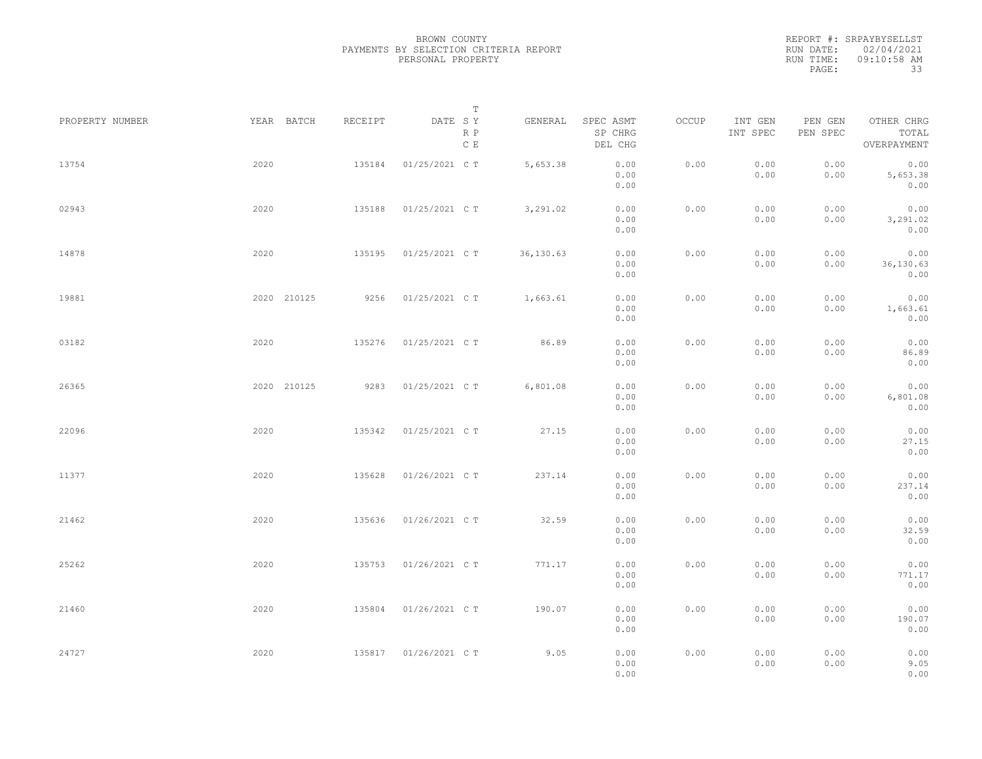REPORT #: SRPAYBYSELLST RUN DATE: 02/04/2021 RUN TIME: 09:10:58 AM PAGE: 33

|                 |             |         | $\mathbb T$           |           |                                 |       |                     |                     |                                    |
|-----------------|-------------|---------|-----------------------|-----------|---------------------------------|-------|---------------------|---------------------|------------------------------------|
| PROPERTY NUMBER | YEAR BATCH  | RECEIPT | DATE SY<br>R P<br>C E | GENERAL   | SPEC ASMT<br>SP CHRG<br>DEL CHG | OCCUP | INT GEN<br>INT SPEC | PEN GEN<br>PEN SPEC | OTHER CHRG<br>TOTAL<br>OVERPAYMENT |
| 13754           | 2020        | 135184  | 01/25/2021 C T        | 5,653.38  | 0.00<br>0.00<br>0.00            | 0.00  | 0.00<br>0.00        | 0.00<br>0.00        | 0.00<br>5,653.38<br>0.00           |
| 02943           | 2020        | 135188  | 01/25/2021 C T        | 3,291.02  | 0.00<br>0.00<br>0.00            | 0.00  | 0.00<br>0.00        | 0.00<br>0.00        | 0.00<br>3,291.02<br>0.00           |
| 14878           | 2020        | 135195  | 01/25/2021 C T        | 36,130.63 | 0.00<br>0.00<br>0.00            | 0.00  | 0.00<br>0.00        | 0.00<br>0.00        | 0.00<br>36,130.63<br>0.00          |
| 19881           | 2020 210125 | 9256    | 01/25/2021 C T        | 1,663.61  | 0.00<br>0.00<br>0.00            | 0.00  | 0.00<br>0.00        | 0.00<br>0.00        | 0.00<br>1,663.61<br>0.00           |
| 03182           | 2020        | 135276  | 01/25/2021 C T        | 86.89     | 0.00<br>0.00<br>0.00            | 0.00  | 0.00<br>0.00        | 0.00<br>0.00        | 0.00<br>86.89<br>0.00              |
| 26365           | 2020 210125 | 9283    | 01/25/2021 C T        | 6,801.08  | 0.00<br>0.00<br>0.00            | 0.00  | 0.00<br>0.00        | 0.00<br>0.00        | 0.00<br>6,801.08<br>0.00           |
| 22096           | 2020        | 135342  | 01/25/2021 C T        | 27.15     | 0.00<br>0.00<br>0.00            | 0.00  | 0.00<br>0.00        | 0.00<br>0.00        | 0.00<br>27.15<br>0.00              |
| 11377           | 2020        | 135628  | 01/26/2021 C T        | 237.14    | 0.00<br>0.00<br>0.00            | 0.00  | 0.00<br>0.00        | 0.00<br>0.00        | 0.00<br>237.14<br>0.00             |
| 21462           | 2020        | 135636  | 01/26/2021 C T        | 32.59     | 0.00<br>0.00<br>0.00            | 0.00  | 0.00<br>0.00        | 0.00<br>0.00        | 0.00<br>32.59<br>0.00              |
| 25262           | 2020        | 135753  | 01/26/2021 C T        | 771.17    | 0.00<br>0.00<br>0.00            | 0.00  | 0.00<br>0.00        | 0.00<br>0.00        | 0.00<br>771.17<br>0.00             |
| 21460           | 2020        | 135804  | 01/26/2021 C T        | 190.07    | 0.00<br>0.00<br>0.00            | 0.00  | 0.00<br>0.00        | 0.00<br>0.00        | 0.00<br>190.07<br>0.00             |
| 24727           | 2020        | 135817  | 01/26/2021 C T        | 9.05      | 0.00<br>0.00<br>0.00            | 0.00  | 0.00<br>0.00        | 0.00<br>0.00        | 0.00<br>9.05<br>0.00               |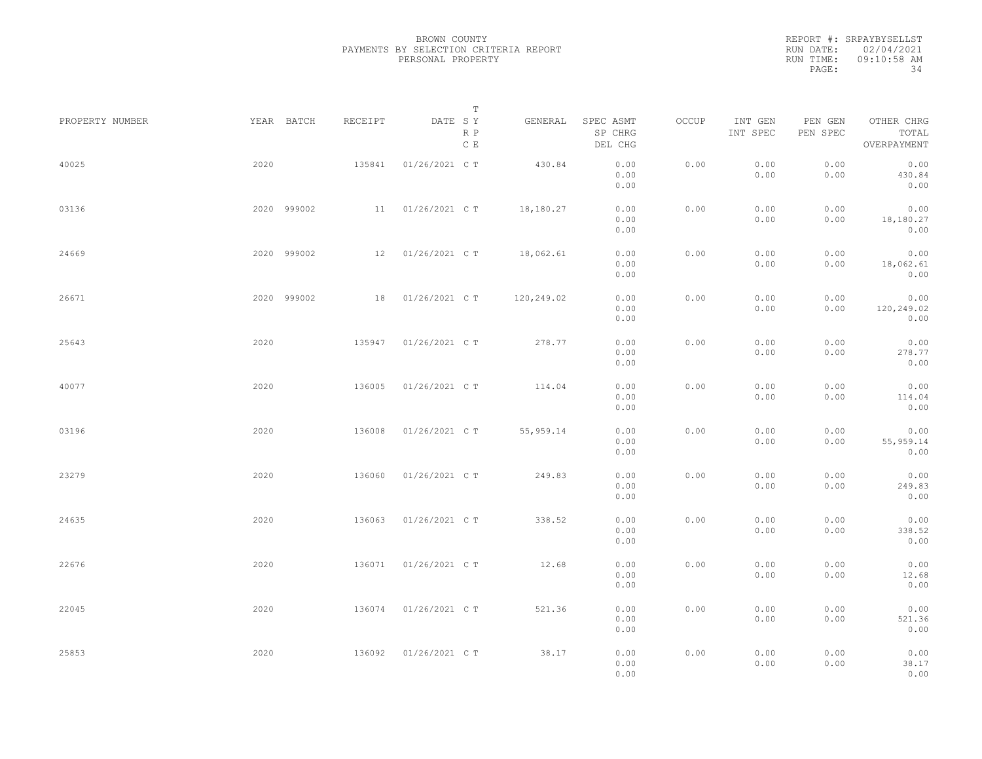|           | REPORT #: SRPAYBYSELLST |
|-----------|-------------------------|
|           | RUN DATE: 02/04/2021    |
| RUN TIME: | $09:10:58$ AM           |
| PAGE:     | 34                      |

| PROPERTY NUMBER |      | YEAR BATCH  | RECEIPT | DATE SY        | Т                    | GENERAL    | SPEC ASMT            | OCCUP | INT GEN      | PEN GEN      | OTHER CHRG                 |  |
|-----------------|------|-------------|---------|----------------|----------------------|------------|----------------------|-------|--------------|--------------|----------------------------|--|
|                 |      |             |         |                | R P<br>$\,$ C $\,$ E |            | SP CHRG<br>DEL CHG   |       | INT SPEC     | PEN SPEC     | TOTAL<br>OVERPAYMENT       |  |
| 40025           | 2020 |             | 135841  | 01/26/2021 C T |                      | 430.84     | 0.00<br>0.00<br>0.00 | 0.00  | 0.00<br>0.00 | 0.00<br>0.00 | 0.00<br>430.84<br>0.00     |  |
| 03136           |      | 2020 999002 | 11      | 01/26/2021 C T |                      | 18,180.27  | 0.00<br>0.00<br>0.00 | 0.00  | 0.00<br>0.00 | 0.00<br>0.00 | 0.00<br>18,180.27<br>0.00  |  |
| 24669           |      | 2020 999002 | 12      | 01/26/2021 C T |                      | 18,062.61  | 0.00<br>0.00<br>0.00 | 0.00  | 0.00<br>0.00 | 0.00<br>0.00 | 0.00<br>18,062.61<br>0.00  |  |
| 26671           |      | 2020 999002 | 18      | 01/26/2021 C T |                      | 120,249.02 | 0.00<br>0.00<br>0.00 | 0.00  | 0.00<br>0.00 | 0.00<br>0.00 | 0.00<br>120,249.02<br>0.00 |  |
| 25643           | 2020 |             | 135947  | 01/26/2021 C T |                      | 278.77     | 0.00<br>0.00<br>0.00 | 0.00  | 0.00<br>0.00 | 0.00<br>0.00 | 0.00<br>278.77<br>0.00     |  |
| 40077           | 2020 |             | 136005  | 01/26/2021 C T |                      | 114.04     | 0.00<br>0.00<br>0.00 | 0.00  | 0.00<br>0.00 | 0.00<br>0.00 | 0.00<br>114.04<br>0.00     |  |
| 03196           | 2020 |             | 136008  | 01/26/2021 C T |                      | 55, 959.14 | 0.00<br>0.00<br>0.00 | 0.00  | 0.00<br>0.00 | 0.00<br>0.00 | 0.00<br>55, 959.14<br>0.00 |  |
| 23279           | 2020 |             | 136060  | 01/26/2021 C T |                      | 249.83     | 0.00<br>0.00<br>0.00 | 0.00  | 0.00<br>0.00 | 0.00<br>0.00 | 0.00<br>249.83<br>0.00     |  |
| 24635           | 2020 |             | 136063  | 01/26/2021 C T |                      | 338.52     | 0.00<br>0.00<br>0.00 | 0.00  | 0.00<br>0.00 | 0.00<br>0.00 | 0.00<br>338.52<br>0.00     |  |
| 22676           | 2020 |             | 136071  | 01/26/2021 C T |                      | 12.68      | 0.00<br>0.00<br>0.00 | 0.00  | 0.00<br>0.00 | 0.00<br>0.00 | 0.00<br>12.68<br>0.00      |  |
| 22045           | 2020 |             | 136074  | 01/26/2021 C T |                      | 521.36     | 0.00<br>0.00<br>0.00 | 0.00  | 0.00<br>0.00 | 0.00<br>0.00 | 0.00<br>521.36<br>0.00     |  |
| 25853           | 2020 |             | 136092  | 01/26/2021 C T |                      | 38.17      | 0.00<br>0.00<br>0.00 | 0.00  | 0.00<br>0.00 | 0.00<br>0.00 | 0.00<br>38.17<br>0.00      |  |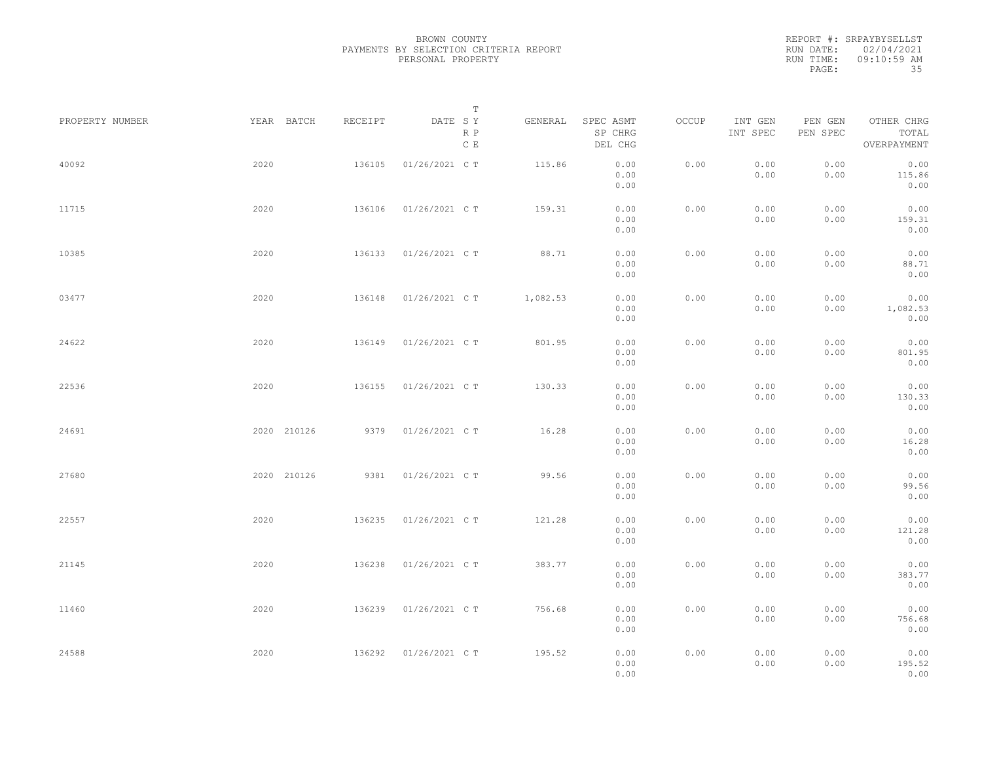REPORT #: SRPAYBYSELLST RUN DATE: 02/04/2021 RUN TIME: 09:10:59 AM PAGE: 35

|                 |             |         | $\mathbb T$           |          |                                 |       |                     |                     |                                    |
|-----------------|-------------|---------|-----------------------|----------|---------------------------------|-------|---------------------|---------------------|------------------------------------|
| PROPERTY NUMBER | YEAR BATCH  | RECEIPT | DATE SY<br>R P<br>C E | GENERAL  | SPEC ASMT<br>SP CHRG<br>DEL CHG | OCCUP | INT GEN<br>INT SPEC | PEN GEN<br>PEN SPEC | OTHER CHRG<br>TOTAL<br>OVERPAYMENT |
| 40092           | 2020        | 136105  | 01/26/2021 C T        | 115.86   | 0.00<br>0.00<br>0.00            | 0.00  | 0.00<br>0.00        | 0.00<br>0.00        | 0.00<br>115.86<br>0.00             |
| 11715           | 2020        | 136106  | 01/26/2021 C T        | 159.31   | 0.00<br>0.00<br>0.00            | 0.00  | 0.00<br>0.00        | 0.00<br>0.00        | 0.00<br>159.31<br>0.00             |
| 10385           | 2020        | 136133  | 01/26/2021 C T        | 88.71    | 0.00<br>0.00<br>0.00            | 0.00  | 0.00<br>0.00        | 0.00<br>0.00        | 0.00<br>88.71<br>0.00              |
| 03477           | 2020        | 136148  | 01/26/2021 C T        | 1,082.53 | 0.00<br>0.00<br>0.00            | 0.00  | 0.00<br>0.00        | 0.00<br>0.00        | 0.00<br>1,082.53<br>0.00           |
| 24622           | 2020        | 136149  | 01/26/2021 C T        | 801.95   | 0.00<br>0.00<br>0.00            | 0.00  | 0.00<br>0.00        | 0.00<br>0.00        | 0.00<br>801.95<br>0.00             |
| 22536           | 2020        | 136155  | 01/26/2021 C T        | 130.33   | 0.00<br>0.00<br>0.00            | 0.00  | 0.00<br>0.00        | 0.00<br>0.00        | 0.00<br>130.33<br>0.00             |
| 24691           | 2020 210126 | 9379    | 01/26/2021 C T        | 16.28    | 0.00<br>0.00<br>0.00            | 0.00  | 0.00<br>0.00        | 0.00<br>0.00        | 0.00<br>16.28<br>0.00              |
| 27680           | 2020 210126 | 9381    | 01/26/2021 C T        | 99.56    | 0.00<br>0.00<br>0.00            | 0.00  | 0.00<br>0.00        | 0.00<br>0.00        | 0.00<br>99.56<br>0.00              |
| 22557           | 2020        | 136235  | 01/26/2021 C T        | 121.28   | 0.00<br>0.00<br>0.00            | 0.00  | 0.00<br>0.00        | 0.00<br>0.00        | 0.00<br>121.28<br>0.00             |
| 21145           | 2020        | 136238  | 01/26/2021 C T        | 383.77   | 0.00<br>0.00<br>0.00            | 0.00  | 0.00<br>0.00        | 0.00<br>0.00        | 0.00<br>383.77<br>0.00             |
| 11460           | 2020        | 136239  | 01/26/2021 C T        | 756.68   | 0.00<br>0.00<br>0.00            | 0.00  | 0.00<br>0.00        | 0.00<br>0.00        | 0.00<br>756.68<br>0.00             |
| 24588           | 2020        | 136292  | 01/26/2021 C T        | 195.52   | 0.00<br>0.00<br>0.00            | 0.00  | 0.00<br>0.00        | 0.00<br>0.00        | 0.00<br>195.52<br>0.00             |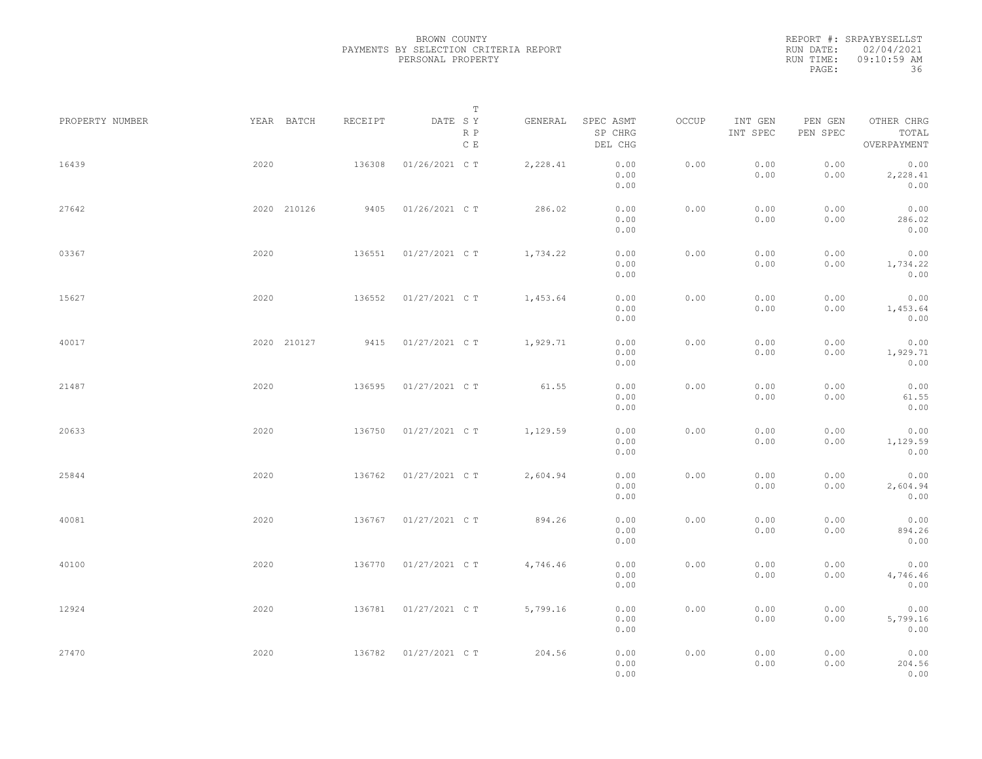REPORT #: SRPAYBYSELLST RUN DATE: 02/04/2021 RUN TIME: 09:10:59 AM PAGE: 36

|                 |      |             |         |                       | $\mathbb T$ |                                 |       |                     |                     |                                    |  |
|-----------------|------|-------------|---------|-----------------------|-------------|---------------------------------|-------|---------------------|---------------------|------------------------------------|--|
| PROPERTY NUMBER |      | YEAR BATCH  | RECEIPT | DATE SY<br>R P<br>C E | GENERAL     | SPEC ASMT<br>SP CHRG<br>DEL CHG | OCCUP | INT GEN<br>INT SPEC | PEN GEN<br>PEN SPEC | OTHER CHRG<br>TOTAL<br>OVERPAYMENT |  |
| 16439           | 2020 |             | 136308  | 01/26/2021 C T        | 2,228.41    | 0.00<br>0.00<br>0.00            | 0.00  | 0.00<br>0.00        | 0.00<br>0.00        | 0.00<br>2,228.41<br>0.00           |  |
| 27642           |      | 2020 210126 | 9405    | 01/26/2021 C T        | 286.02      | 0.00<br>0.00<br>0.00            | 0.00  | 0.00<br>0.00        | 0.00<br>0.00        | 0.00<br>286.02<br>0.00             |  |
| 03367           | 2020 |             | 136551  | 01/27/2021 C T        | 1,734.22    | 0.00<br>0.00<br>0.00            | 0.00  | 0.00<br>0.00        | 0.00<br>0.00        | 0.00<br>1,734.22<br>0.00           |  |
| 15627           | 2020 |             | 136552  | 01/27/2021 C T        | 1,453.64    | 0.00<br>0.00<br>0.00            | 0.00  | 0.00<br>0.00        | 0.00<br>0.00        | 0.00<br>1,453.64<br>0.00           |  |
| 40017           |      | 2020 210127 | 9415    | 01/27/2021 C T        | 1,929.71    | 0.00<br>0.00<br>0.00            | 0.00  | 0.00<br>0.00        | 0.00<br>0.00        | 0.00<br>1,929.71<br>0.00           |  |
| 21487           | 2020 |             | 136595  | 01/27/2021 C T        | 61.55       | 0.00<br>0.00<br>0.00            | 0.00  | 0.00<br>0.00        | 0.00<br>0.00        | 0.00<br>61.55<br>0.00              |  |
| 20633           | 2020 |             | 136750  | 01/27/2021 C T        | 1,129.59    | 0.00<br>0.00<br>0.00            | 0.00  | 0.00<br>0.00        | 0.00<br>0.00        | 0.00<br>1,129.59<br>0.00           |  |
| 25844           | 2020 |             | 136762  | 01/27/2021 C T        | 2,604.94    | 0.00<br>0.00<br>0.00            | 0.00  | 0.00<br>0.00        | 0.00<br>0.00        | 0.00<br>2,604.94<br>0.00           |  |
| 40081           | 2020 |             | 136767  | 01/27/2021 C T        | 894.26      | 0.00<br>0.00                    | 0.00  | 0.00<br>0.00        | 0.00<br>0.00        | 0.00<br>894.26                     |  |
| 40100           | 2020 |             | 136770  | 01/27/2021 C T        | 4,746.46    | 0.00<br>0.00<br>0.00            | 0.00  | 0.00<br>0.00        | 0.00<br>0.00        | 0.00<br>0.00<br>4,746.46           |  |
| 12924           | 2020 |             | 136781  | 01/27/2021 C T        | 5,799.16    | 0.00<br>0.00<br>0.00            | 0.00  | 0.00<br>0.00        | 0.00<br>0.00        | 0.00<br>0.00<br>5,799.16           |  |
| 27470           | 2020 |             | 136782  | 01/27/2021 C T        | 204.56      | 0.00<br>0.00<br>0.00<br>0.00    | 0.00  | 0.00<br>0.00        | 0.00<br>0.00        | 0.00<br>0.00<br>204.56<br>0.00     |  |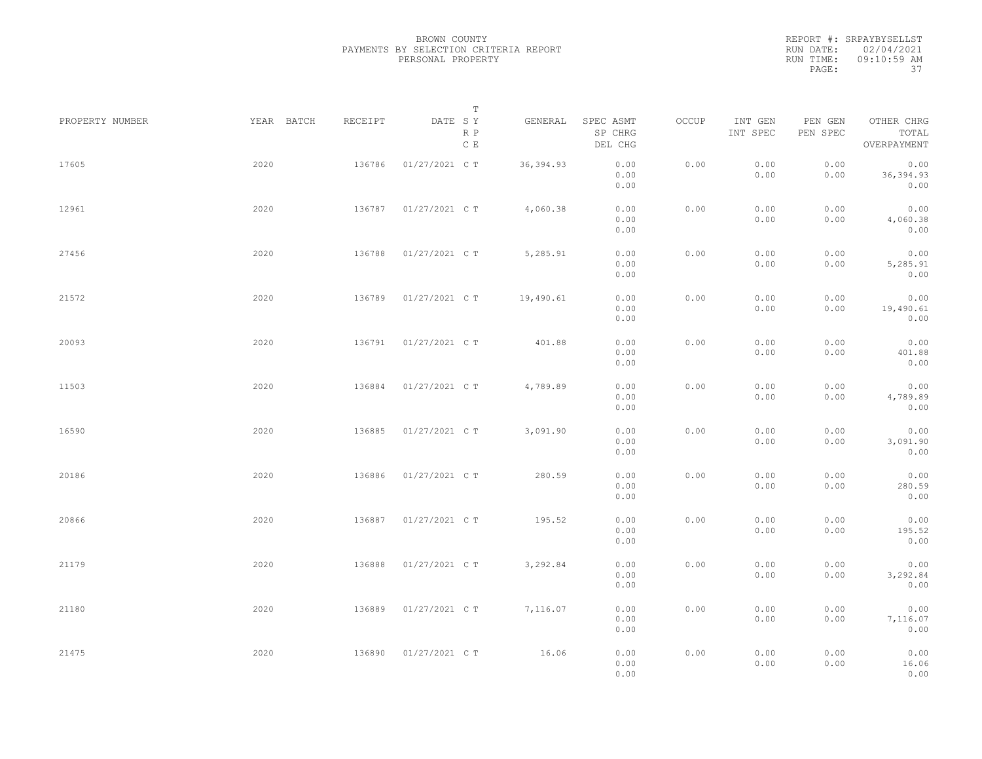|           | REPORT #: SRPAYBYSELLST |
|-----------|-------------------------|
|           | RUN DATE: 02/04/2021    |
| RUN TIME: | $09:10:59$ AM           |
| PAGE:     | -37                     |

|                 |            |         | $\mathbb T$           |            |                                 |       |                     |                     |                                    |  |
|-----------------|------------|---------|-----------------------|------------|---------------------------------|-------|---------------------|---------------------|------------------------------------|--|
| PROPERTY NUMBER | YEAR BATCH | RECEIPT | DATE SY<br>R P<br>C E | GENERAL    | SPEC ASMT<br>SP CHRG<br>DEL CHG | OCCUP | INT GEN<br>INT SPEC | PEN GEN<br>PEN SPEC | OTHER CHRG<br>TOTAL<br>OVERPAYMENT |  |
| 17605           | 2020       | 136786  | 01/27/2021 C T        | 36, 394.93 | 0.00<br>0.00<br>0.00            | 0.00  | 0.00<br>0.00        | 0.00<br>0.00        | 0.00<br>36, 394.93<br>0.00         |  |
| 12961           | 2020       | 136787  | 01/27/2021 C T        | 4,060.38   | 0.00<br>0.00<br>0.00            | 0.00  | 0.00<br>0.00        | 0.00<br>0.00        | 0.00<br>4,060.38<br>0.00           |  |
| 27456           | 2020       | 136788  | 01/27/2021 C T        | 5,285.91   | 0.00<br>0.00<br>0.00            | 0.00  | 0.00<br>0.00        | 0.00<br>0.00        | 0.00<br>5,285.91<br>0.00           |  |
| 21572           | 2020       | 136789  | 01/27/2021 C T        | 19,490.61  | 0.00<br>0.00<br>0.00            | 0.00  | 0.00<br>0.00        | 0.00<br>0.00        | 0.00<br>19,490.61<br>0.00          |  |
| 20093           | 2020       | 136791  | 01/27/2021 C T        | 401.88     | 0.00<br>0.00<br>0.00            | 0.00  | 0.00<br>0.00        | 0.00<br>0.00        | 0.00<br>401.88<br>0.00             |  |
| 11503           | 2020       | 136884  | 01/27/2021 C T        | 4,789.89   | 0.00<br>0.00<br>0.00            | 0.00  | 0.00<br>0.00        | 0.00<br>0.00        | 0.00<br>4,789.89<br>0.00           |  |
| 16590           | 2020       | 136885  | 01/27/2021 C T        | 3,091.90   | 0.00<br>0.00<br>0.00            | 0.00  | 0.00<br>0.00        | 0.00<br>0.00        | 0.00<br>3,091.90<br>0.00           |  |
| 20186           | 2020       | 136886  | 01/27/2021 C T        | 280.59     | 0.00<br>0.00<br>0.00            | 0.00  | 0.00<br>0.00        | 0.00<br>0.00        | 0.00<br>280.59<br>0.00             |  |
| 20866           | 2020       | 136887  | 01/27/2021 C T        | 195.52     | 0.00<br>0.00<br>0.00            | 0.00  | 0.00<br>0.00        | 0.00<br>0.00        | 0.00<br>195.52<br>0.00             |  |
| 21179           | 2020       | 136888  | 01/27/2021 C T        | 3,292.84   | 0.00<br>0.00<br>0.00            | 0.00  | 0.00<br>0.00        | 0.00<br>0.00        | 0.00<br>3,292.84<br>0.00           |  |
| 21180           | 2020       | 136889  | 01/27/2021 C T        | 7,116.07   | 0.00<br>0.00<br>0.00            | 0.00  | 0.00<br>0.00        | 0.00<br>0.00        | 0.00<br>7,116.07<br>0.00           |  |
| 21475           | 2020       | 136890  | 01/27/2021 C T        | 16.06      | 0.00<br>0.00<br>0.00            | 0.00  | 0.00<br>0.00        | 0.00<br>0.00        | 0.00<br>16.06<br>0.00              |  |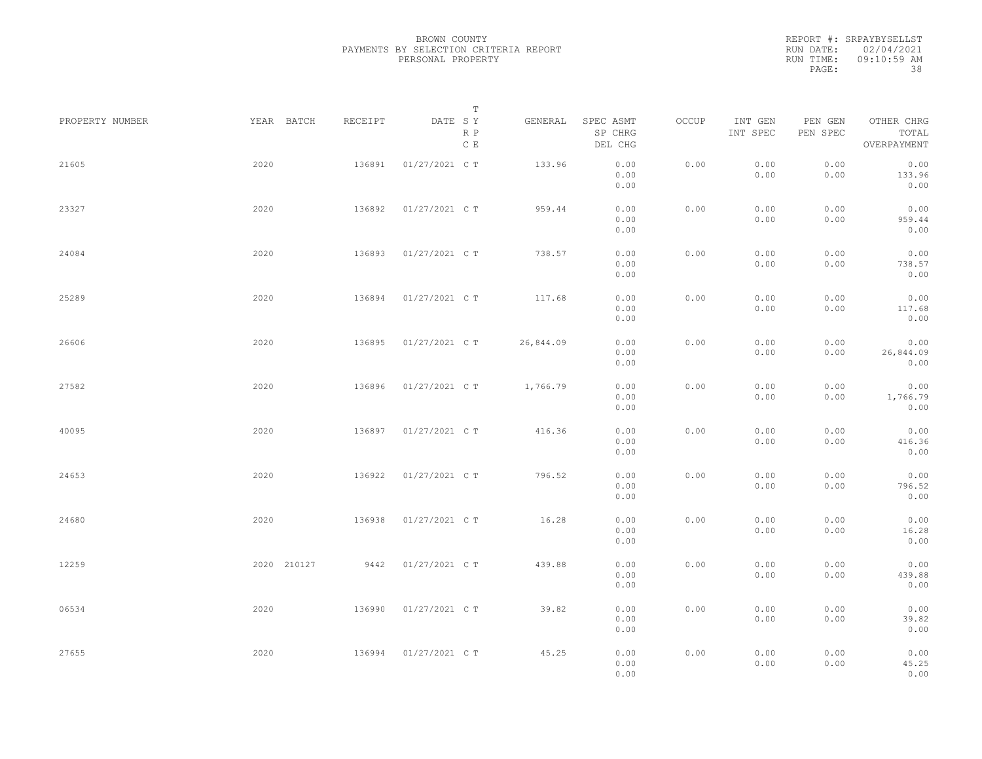|           | REPORT #: SRPAYBYSELLST |
|-----------|-------------------------|
|           | RUN DATE: 02/04/2021    |
| RUN TIME: | $09:10:59$ AM           |
| PAGE:     | 38                      |

|                 |             |         | T                               |           |                                 |       |                     |                     |                                    |  |
|-----------------|-------------|---------|---------------------------------|-----------|---------------------------------|-------|---------------------|---------------------|------------------------------------|--|
| PROPERTY NUMBER | YEAR BATCH  | RECEIPT | DATE SY<br>R P<br>$\,$ C $\,$ E | GENERAL   | SPEC ASMT<br>SP CHRG<br>DEL CHG | OCCUP | INT GEN<br>INT SPEC | PEN GEN<br>PEN SPEC | OTHER CHRG<br>TOTAL<br>OVERPAYMENT |  |
| 21605           | 2020        | 136891  | 01/27/2021 C T                  | 133.96    | 0.00<br>0.00<br>0.00            | 0.00  | 0.00<br>0.00        | 0.00<br>0.00        | 0.00<br>133.96<br>0.00             |  |
| 23327           | 2020        | 136892  | 01/27/2021 C T                  | 959.44    | 0.00<br>0.00<br>0.00            | 0.00  | 0.00<br>0.00        | 0.00<br>0.00        | 0.00<br>959.44<br>0.00             |  |
| 24084           | 2020        | 136893  | 01/27/2021 C T                  | 738.57    | 0.00<br>0.00<br>0.00            | 0.00  | 0.00<br>0.00        | 0.00<br>0.00        | 0.00<br>738.57<br>0.00             |  |
| 25289           | 2020        | 136894  | 01/27/2021 C T                  | 117.68    | 0.00<br>0.00<br>0.00            | 0.00  | 0.00<br>0.00        | 0.00<br>0.00        | 0.00<br>117.68<br>0.00             |  |
| 26606           | 2020        | 136895  | 01/27/2021 C T                  | 26,844.09 | 0.00<br>0.00<br>0.00            | 0.00  | 0.00<br>0.00        | 0.00<br>0.00        | 0.00<br>26,844.09<br>0.00          |  |
| 27582           | 2020        | 136896  | 01/27/2021 C T                  | 1,766.79  | 0.00<br>0.00<br>0.00            | 0.00  | 0.00<br>0.00        | 0.00<br>0.00        | 0.00<br>1,766.79<br>0.00           |  |
| 40095           | 2020        | 136897  | 01/27/2021 C T                  | 416.36    | 0.00<br>0.00<br>0.00            | 0.00  | 0.00<br>0.00        | 0.00<br>0.00        | 0.00<br>416.36<br>0.00             |  |
| 24653           | 2020        | 136922  | 01/27/2021 C T                  | 796.52    | 0.00<br>0.00<br>0.00            | 0.00  | 0.00<br>0.00        | 0.00<br>0.00        | 0.00<br>796.52<br>0.00             |  |
| 24680           | 2020        | 136938  | 01/27/2021 C T                  | 16.28     | 0.00<br>0.00                    | 0.00  | 0.00<br>0.00        | 0.00<br>0.00        | 0.00<br>16.28                      |  |
| 12259           | 2020 210127 |         | 9442 01/27/2021 C T             | 439.88    | 0.00<br>0.00<br>0.00<br>0.00    | 0.00  | 0.00<br>0.00        | 0.00<br>0.00        | 0.00<br>0.00<br>439.88<br>0.00     |  |
| 06534           | 2020        | 136990  | 01/27/2021 C T                  | 39.82     | 0.00<br>0.00                    | 0.00  | 0.00<br>0.00        | 0.00<br>0.00        | 0.00<br>39.82                      |  |
| 27655           | 2020        | 136994  | 01/27/2021 C T                  | 45.25     | 0.00<br>0.00<br>0.00<br>0.00    | 0.00  | 0.00<br>0.00        | 0.00<br>0.00        | 0.00<br>0.00<br>45.25<br>0.00      |  |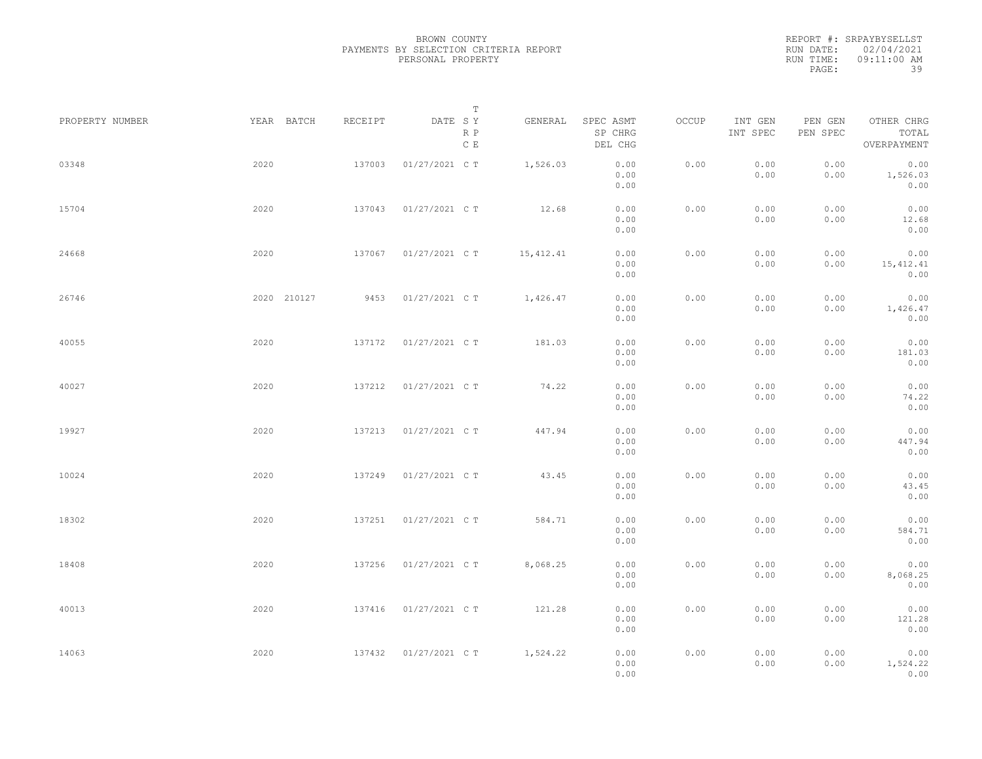REPORT #: SRPAYBYSELLST RUN DATE: 02/04/2021 RUN TIME: 09:11:00 AM PAGE: 39

|                 |             |         | $\mathbb T$           |            |                                 |       |                     |                     |                                    |
|-----------------|-------------|---------|-----------------------|------------|---------------------------------|-------|---------------------|---------------------|------------------------------------|
| PROPERTY NUMBER | YEAR BATCH  | RECEIPT | DATE SY<br>R P<br>C E | GENERAL    | SPEC ASMT<br>SP CHRG<br>DEL CHG | OCCUP | INT GEN<br>INT SPEC | PEN GEN<br>PEN SPEC | OTHER CHRG<br>TOTAL<br>OVERPAYMENT |
| 03348           | 2020        | 137003  | 01/27/2021 C T        | 1,526.03   | 0.00<br>0.00<br>0.00            | 0.00  | 0.00<br>0.00        | 0.00<br>0.00        | 0.00<br>1,526.03<br>0.00           |
| 15704           | 2020        | 137043  | 01/27/2021 C T        | 12.68      | 0.00<br>0.00<br>0.00            | 0.00  | 0.00<br>0.00        | 0.00<br>0.00        | 0.00<br>12.68<br>0.00              |
| 24668           | 2020        | 137067  | 01/27/2021 C T        | 15, 412.41 | 0.00<br>0.00<br>0.00            | 0.00  | 0.00<br>0.00        | 0.00<br>0.00        | 0.00<br>15, 412.41<br>0.00         |
| 26746           | 2020 210127 | 9453    | 01/27/2021 C T        | 1,426.47   | 0.00<br>0.00<br>0.00            | 0.00  | 0.00<br>0.00        | 0.00<br>0.00        | 0.00<br>1,426.47<br>0.00           |
| 40055           | 2020        | 137172  | 01/27/2021 C T        | 181.03     | 0.00<br>0.00<br>0.00            | 0.00  | 0.00<br>0.00        | 0.00<br>0.00        | 0.00<br>181.03<br>0.00             |
| 40027           | 2020        | 137212  | 01/27/2021 C T        | 74.22      | 0.00<br>0.00<br>0.00            | 0.00  | 0.00<br>0.00        | 0.00<br>0.00        | 0.00<br>74.22<br>0.00              |
| 19927           | 2020        | 137213  | 01/27/2021 C T        | 447.94     | 0.00<br>0.00<br>0.00            | 0.00  | 0.00<br>0.00        | 0.00<br>0.00        | 0.00<br>447.94<br>0.00             |
| 10024           | 2020        | 137249  | 01/27/2021 C T        | 43.45      | 0.00<br>0.00<br>0.00            | 0.00  | 0.00<br>0.00        | 0.00<br>0.00        | 0.00<br>43.45<br>0.00              |
| 18302           | 2020        | 137251  | 01/27/2021 C T        | 584.71     | 0.00<br>0.00<br>0.00            | 0.00  | 0.00<br>0.00        | 0.00<br>0.00        | 0.00<br>584.71<br>0.00             |
| 18408           | 2020        | 137256  | 01/27/2021 C T        | 8,068.25   | 0.00<br>0.00<br>0.00            | 0.00  | 0.00<br>0.00        | 0.00<br>0.00        | 0.00<br>8,068.25<br>0.00           |
| 40013           | 2020        | 137416  | 01/27/2021 C T        | 121.28     | 0.00<br>0.00<br>0.00            | 0.00  | 0.00<br>0.00        | 0.00<br>0.00        | 0.00<br>121.28<br>0.00             |
| 14063           | 2020        | 137432  | 01/27/2021 C T        | 1,524.22   | 0.00<br>0.00<br>0.00            | 0.00  | 0.00<br>0.00        | 0.00<br>0.00        | 0.00<br>1,524.22<br>0.00           |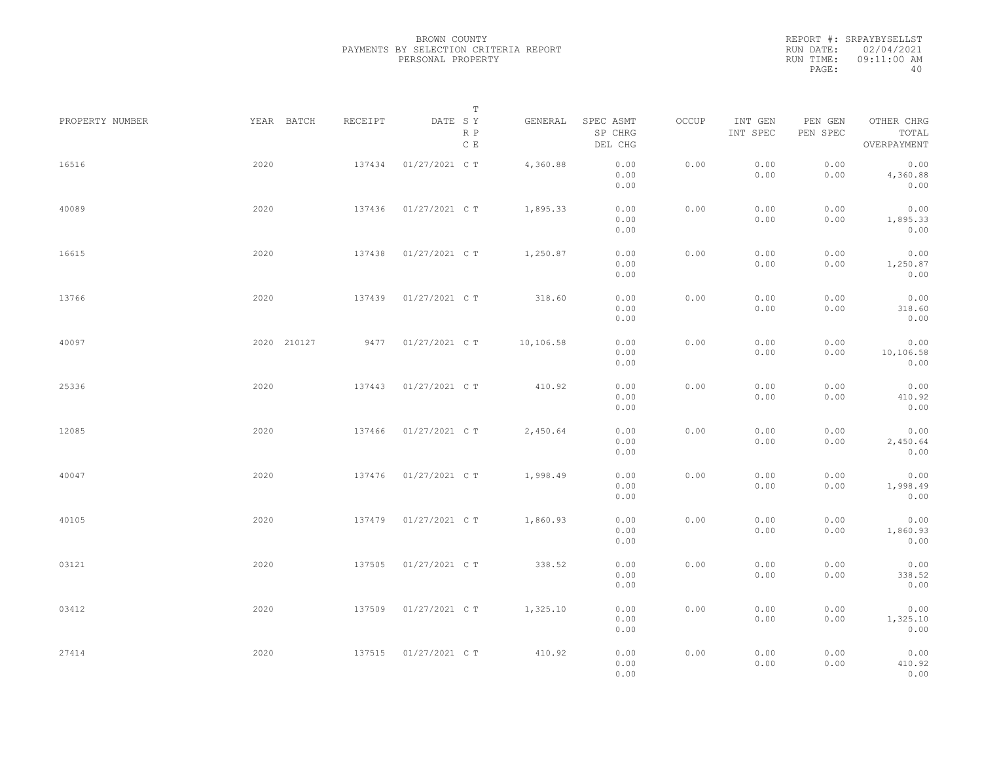|           | REPORT #: SRPAYBYSELLST |
|-----------|-------------------------|
|           | RUN DATE: 02/04/2021    |
| RUN TIME: | 09:11:00 AM             |
| PAGE:     | 40                      |

|                 |             |         | $\mathbb T$                     |           |                                 |       |                     |                     |                                    |  |
|-----------------|-------------|---------|---------------------------------|-----------|---------------------------------|-------|---------------------|---------------------|------------------------------------|--|
| PROPERTY NUMBER | YEAR BATCH  | RECEIPT | DATE SY<br>R P<br>$\,$ C $\,$ E | GENERAL   | SPEC ASMT<br>SP CHRG<br>DEL CHG | OCCUP | INT GEN<br>INT SPEC | PEN GEN<br>PEN SPEC | OTHER CHRG<br>TOTAL<br>OVERPAYMENT |  |
| 16516           | 2020        | 137434  | 01/27/2021 C T                  | 4,360.88  | 0.00<br>0.00<br>0.00            | 0.00  | 0.00<br>0.00        | 0.00<br>0.00        | 0.00<br>4,360.88<br>0.00           |  |
| 40089           | 2020        | 137436  | 01/27/2021 C T                  | 1,895.33  | 0.00<br>0.00<br>0.00            | 0.00  | 0.00<br>0.00        | 0.00<br>0.00        | 0.00<br>1,895.33<br>0.00           |  |
| 16615           | 2020        | 137438  | 01/27/2021 C T                  | 1,250.87  | 0.00<br>0.00<br>0.00            | 0.00  | 0.00<br>0.00        | 0.00<br>0.00        | 0.00<br>1,250.87<br>0.00           |  |
| 13766           | 2020        | 137439  | 01/27/2021 C T                  | 318.60    | 0.00<br>0.00<br>0.00            | 0.00  | 0.00<br>0.00        | 0.00<br>0.00        | 0.00<br>318.60<br>0.00             |  |
| 40097           | 2020 210127 |         | 9477 01/27/2021 C T             | 10,106.58 | 0.00<br>0.00<br>0.00            | 0.00  | 0.00<br>0.00        | 0.00<br>0.00        | 0.00<br>10,106.58<br>0.00          |  |
| 25336           | 2020        | 137443  | 01/27/2021 C T                  | 410.92    | 0.00<br>0.00<br>0.00            | 0.00  | 0.00<br>0.00        | 0.00<br>0.00        | 0.00<br>410.92<br>0.00             |  |
| 12085           | 2020        | 137466  | 01/27/2021 C T                  | 2,450.64  | 0.00<br>0.00<br>0.00            | 0.00  | 0.00<br>0.00        | 0.00<br>0.00        | 0.00<br>2,450.64<br>0.00           |  |
| 40047           | 2020        | 137476  | 01/27/2021 C T                  | 1,998.49  | 0.00<br>0.00<br>0.00            | 0.00  | 0.00<br>0.00        | 0.00<br>0.00        | 0.00<br>1,998.49<br>0.00           |  |
| 40105           | 2020        | 137479  | 01/27/2021 C T                  | 1,860.93  | 0.00<br>0.00<br>0.00            | 0.00  | 0.00<br>0.00        | 0.00<br>0.00        | 0.00<br>1,860.93<br>0.00           |  |
| 03121           | 2020        | 137505  | 01/27/2021 C T                  | 338.52    | 0.00<br>0.00<br>0.00            | 0.00  | 0.00<br>0.00        | 0.00<br>0.00        | 0.00<br>338.52<br>0.00             |  |
| 03412           | 2020        | 137509  | 01/27/2021 C T                  | 1,325.10  | 0.00<br>0.00<br>0.00            | 0.00  | 0.00<br>0.00        | 0.00<br>0.00        | 0.00<br>1,325.10<br>0.00           |  |
| 27414           | 2020        | 137515  | 01/27/2021 C T                  | 410.92    | 0.00<br>0.00<br>0.00            | 0.00  | 0.00<br>0.00        | 0.00<br>0.00        | 0.00<br>410.92<br>0.00             |  |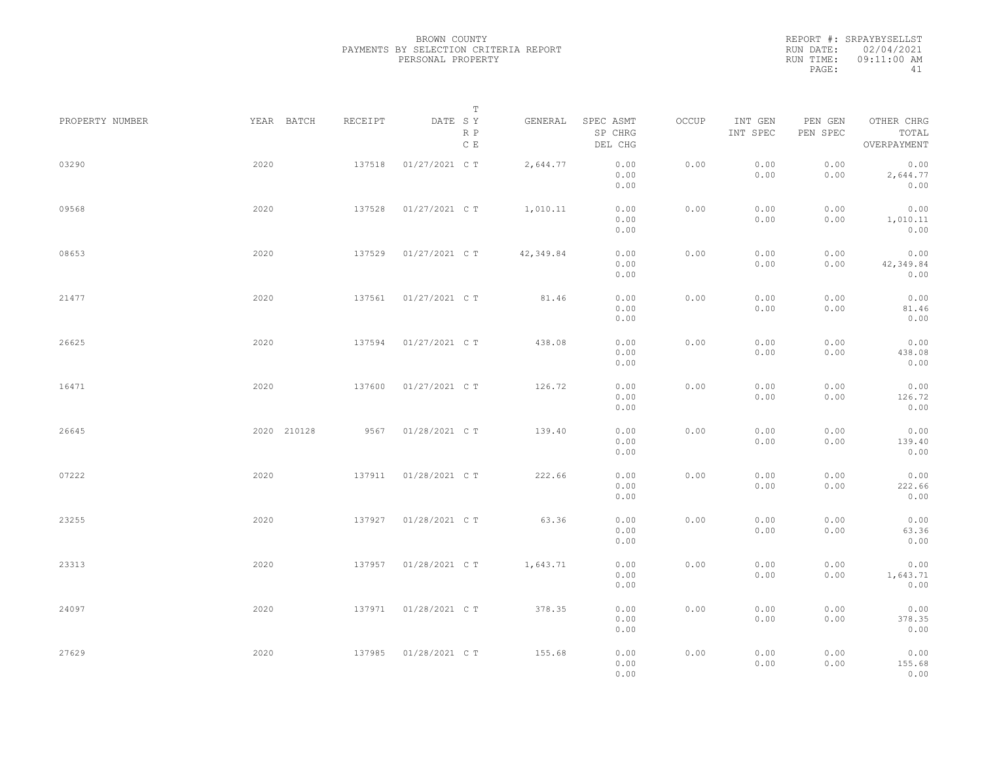|           | REPORT #: SRPAYBYSELLST |
|-----------|-------------------------|
|           | RUN DATE: 02/04/2021    |
| RUN TIME: | $09:11:00$ AM           |
| PAGE:     | 41                      |

|                 |             |         | T                               |           |                                 |       |                     |                     |                                    |  |
|-----------------|-------------|---------|---------------------------------|-----------|---------------------------------|-------|---------------------|---------------------|------------------------------------|--|
| PROPERTY NUMBER | YEAR BATCH  | RECEIPT | DATE SY<br>R P<br>$\,$ C $\,$ E | GENERAL   | SPEC ASMT<br>SP CHRG<br>DEL CHG | OCCUP | INT GEN<br>INT SPEC | PEN GEN<br>PEN SPEC | OTHER CHRG<br>TOTAL<br>OVERPAYMENT |  |
| 03290           | 2020        | 137518  | 01/27/2021 C T                  | 2,644.77  | 0.00<br>0.00<br>0.00            | 0.00  | 0.00<br>0.00        | 0.00<br>0.00        | 0.00<br>2,644.77<br>0.00           |  |
| 09568           | 2020        | 137528  | 01/27/2021 C T                  | 1,010.11  | 0.00<br>0.00<br>0.00            | 0.00  | 0.00<br>0.00        | 0.00<br>0.00        | 0.00<br>1,010.11<br>0.00           |  |
| 08653           | 2020        | 137529  | 01/27/2021 C T                  | 42,349.84 | 0.00<br>0.00<br>0.00            | 0.00  | 0.00<br>0.00        | 0.00<br>0.00        | 0.00<br>42,349.84<br>0.00          |  |
| 21477           | 2020        | 137561  | 01/27/2021 C T                  | 81.46     | 0.00<br>0.00<br>0.00            | 0.00  | 0.00<br>0.00        | 0.00<br>0.00        | 0.00<br>81.46<br>0.00              |  |
| 26625           | 2020        | 137594  | 01/27/2021 C T                  | 438.08    | 0.00<br>0.00<br>0.00            | 0.00  | 0.00<br>0.00        | 0.00<br>0.00        | 0.00<br>438.08<br>0.00             |  |
| 16471           | 2020        | 137600  | 01/27/2021 C T                  | 126.72    | 0.00<br>0.00<br>0.00            | 0.00  | 0.00<br>0.00        | 0.00<br>0.00        | 0.00<br>126.72<br>0.00             |  |
| 26645           | 2020 210128 | 9567    | 01/28/2021 C T                  | 139.40    | 0.00<br>0.00<br>0.00            | 0.00  | 0.00<br>0.00        | 0.00<br>0.00        | 0.00<br>139.40<br>0.00             |  |
| 07222           | 2020        | 137911  | 01/28/2021 C T                  | 222.66    | 0.00<br>0.00<br>0.00            | 0.00  | 0.00<br>0.00        | 0.00<br>0.00        | 0.00<br>222.66<br>0.00             |  |
| 23255           | 2020        | 137927  | 01/28/2021 C T                  | 63.36     | 0.00<br>0.00<br>0.00            | 0.00  | 0.00<br>0.00        | 0.00<br>0.00        | 0.00<br>63.36<br>0.00              |  |
| 23313           | 2020        | 137957  | 01/28/2021 C T                  | 1,643.71  | 0.00<br>0.00<br>0.00            | 0.00  | 0.00<br>0.00        | 0.00<br>0.00        | 0.00<br>1,643.71<br>0.00           |  |
| 24097           | 2020        | 137971  | 01/28/2021 C T                  | 378.35    | 0.00<br>0.00<br>0.00            | 0.00  | 0.00<br>0.00        | 0.00<br>0.00        | 0.00<br>378.35<br>0.00             |  |
| 27629           | 2020        | 137985  | 01/28/2021 C T                  | 155.68    | 0.00<br>0.00<br>0.00            | 0.00  | 0.00<br>0.00        | 0.00<br>0.00        | 0.00<br>155.68<br>0.00             |  |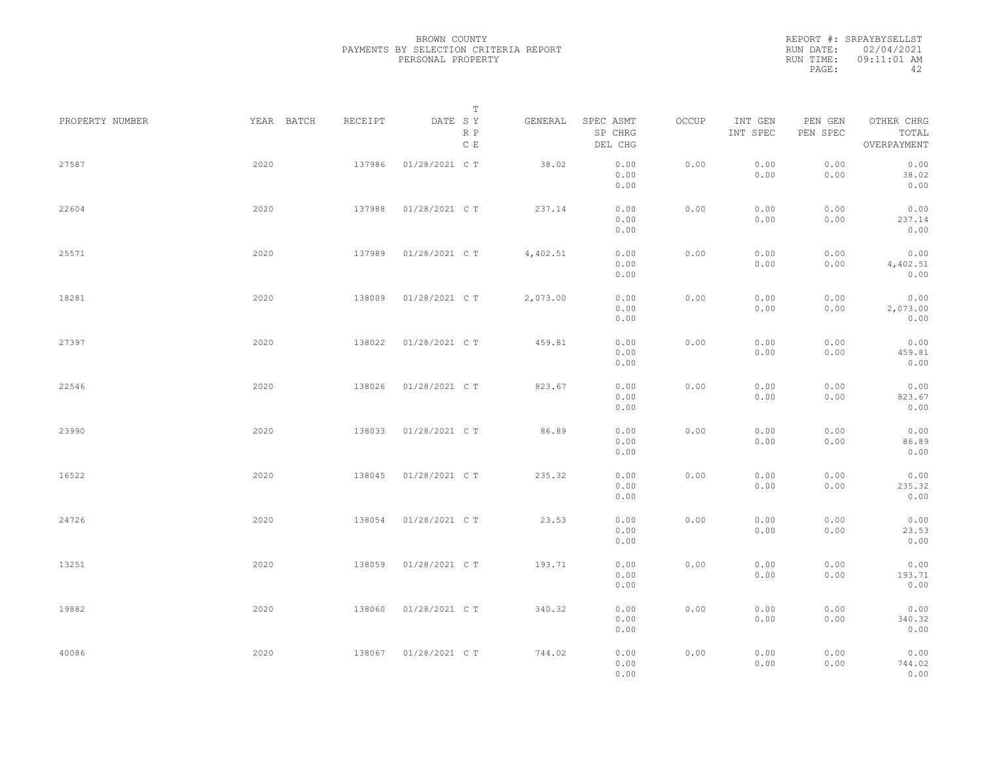|           | REPORT #: SRPAYBYSELLST |
|-----------|-------------------------|
|           | RUN DATE: 02/04/2021    |
| RUN TIME: | 09:11:01 AM             |
| PAGE:     | ΔΩ                      |

|                 |            |         | T                     |          |                                 |       |                     |                     |                                    |  |
|-----------------|------------|---------|-----------------------|----------|---------------------------------|-------|---------------------|---------------------|------------------------------------|--|
| PROPERTY NUMBER | YEAR BATCH | RECEIPT | DATE SY<br>R P<br>C E | GENERAL  | SPEC ASMT<br>SP CHRG<br>DEL CHG | OCCUP | INT GEN<br>INT SPEC | PEN GEN<br>PEN SPEC | OTHER CHRG<br>TOTAL<br>OVERPAYMENT |  |
| 27587           | 2020       | 137986  | 01/28/2021 C T        | 38.02    | 0.00<br>0.00<br>0.00            | 0.00  | 0.00<br>0.00        | 0.00<br>0.00        | 0.00<br>38.02<br>0.00              |  |
| 22604           | 2020       | 137988  | 01/28/2021 C T        | 237.14   | 0.00<br>0.00<br>0.00            | 0.00  | 0.00<br>0.00        | 0.00<br>0.00        | 0.00<br>237.14<br>0.00             |  |
| 25571           | 2020       | 137989  | 01/28/2021 C T        | 4,402.51 | 0.00<br>0.00<br>0.00            | 0.00  | 0.00<br>0.00        | 0.00<br>0.00        | 0.00<br>4,402.51<br>0.00           |  |
| 18281           | 2020       | 138009  | 01/28/2021 C T        | 2,073.00 | 0.00<br>0.00<br>0.00            | 0.00  | 0.00<br>0.00        | 0.00<br>0.00        | 0.00<br>2,073.00<br>0.00           |  |
| 27397           | 2020       | 138022  | 01/28/2021 C T        | 459.81   | 0.00<br>0.00<br>0.00            | 0.00  | 0.00<br>0.00        | 0.00<br>0.00        | 0.00<br>459.81<br>0.00             |  |
| 22546           | 2020       | 138026  | 01/28/2021 C T        | 823.67   | 0.00<br>0.00<br>0.00            | 0.00  | 0.00<br>0.00        | 0.00<br>0.00        | 0.00<br>823.67<br>0.00             |  |
| 23990           | 2020       | 138033  | 01/28/2021 C T        | 86.89    | 0.00<br>0.00                    | 0.00  | 0.00<br>0.00        | 0.00<br>0.00        | 0.00<br>86.89                      |  |
| 16522           | 2020       | 138045  | 01/28/2021 C T        | 235.32   | 0.00<br>0.00<br>0.00            | 0.00  | 0.00<br>0.00        | 0.00<br>0.00        | 0.00<br>0.00<br>235.32             |  |
| 24726           | 2020       | 138054  | 01/28/2021 C T        | 23.53    | 0.00<br>0.00<br>0.00            | 0.00  | 0.00<br>0.00        | 0.00<br>0.00        | 0.00<br>0.00<br>23.53              |  |
| 13251           | 2020       | 138059  | 01/28/2021 C T        | 193.71   | 0.00<br>0.00<br>0.00<br>0.00    | 0.00  | 0.00<br>0.00        | 0.00<br>0.00        | 0.00<br>0.00<br>193.71<br>0.00     |  |
| 19882           | 2020       | 138060  | 01/28/2021 C T        | 340.32   | 0.00<br>0.00                    | 0.00  | 0.00<br>0.00        | 0.00<br>0.00        | 0.00<br>340.32                     |  |
| 40086           | 2020       | 138067  | 01/28/2021 C T        | 744.02   | 0.00<br>0.00<br>0.00<br>0.00    | 0.00  | 0.00<br>0.00        | 0.00<br>0.00        | 0.00<br>0.00<br>744.02<br>0.00     |  |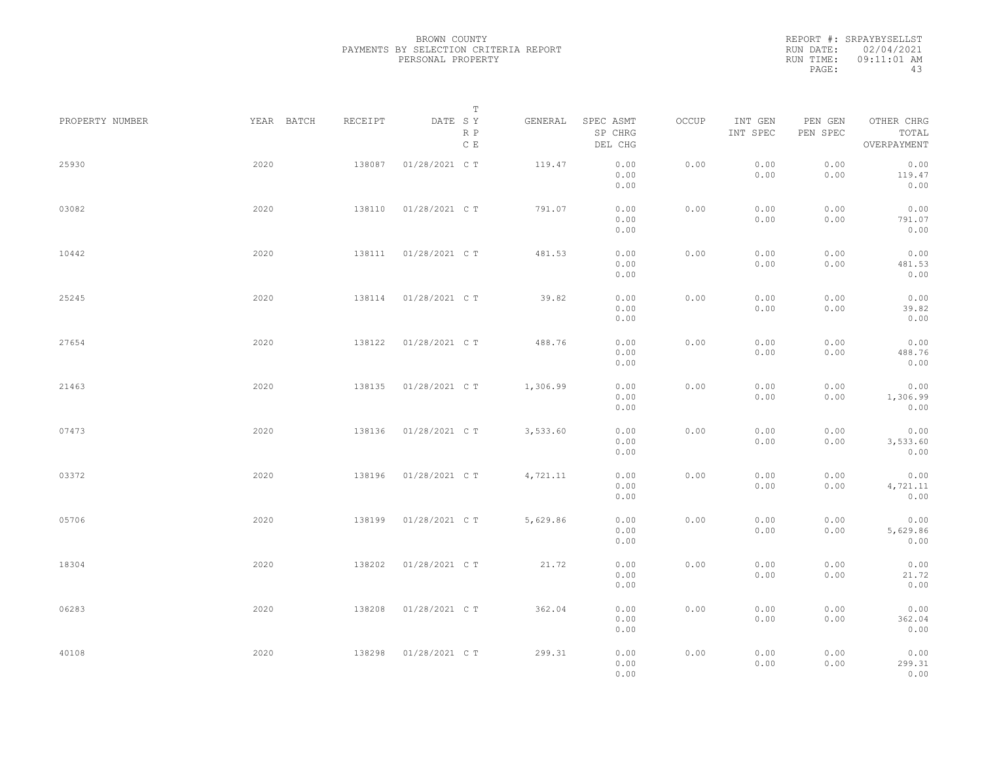|           | REPORT #: SRPAYBYSELLST |
|-----------|-------------------------|
|           | RUN DATE: 02/04/2021    |
| RUN TIME: | 09:11:01 AM             |
| PAGE:     | 43                      |

|                 |            |         | T                               |          |                                 |       |                     |                     |                                    |  |
|-----------------|------------|---------|---------------------------------|----------|---------------------------------|-------|---------------------|---------------------|------------------------------------|--|
| PROPERTY NUMBER | YEAR BATCH | RECEIPT | DATE SY<br>R P<br>$\,$ C $\,$ E | GENERAL  | SPEC ASMT<br>SP CHRG<br>DEL CHG | OCCUP | INT GEN<br>INT SPEC | PEN GEN<br>PEN SPEC | OTHER CHRG<br>TOTAL<br>OVERPAYMENT |  |
| 25930           | 2020       | 138087  | 01/28/2021 C T                  | 119.47   | 0.00<br>0.00<br>0.00            | 0.00  | 0.00<br>0.00        | 0.00<br>0.00        | 0.00<br>119.47<br>0.00             |  |
| 03082           | 2020       | 138110  | 01/28/2021 C T                  | 791.07   | 0.00<br>0.00<br>0.00            | 0.00  | 0.00<br>0.00        | 0.00<br>0.00        | 0.00<br>791.07<br>0.00             |  |
| 10442           | 2020       | 138111  | 01/28/2021 C T                  | 481.53   | 0.00<br>0.00<br>0.00            | 0.00  | 0.00<br>0.00        | 0.00<br>0.00        | 0.00<br>481.53<br>0.00             |  |
| 25245           | 2020       | 138114  | 01/28/2021 C T                  | 39.82    | 0.00<br>0.00<br>0.00            | 0.00  | 0.00<br>0.00        | 0.00<br>0.00        | 0.00<br>39.82<br>0.00              |  |
| 27654           | 2020       | 138122  | 01/28/2021 C T                  | 488.76   | 0.00<br>0.00<br>0.00            | 0.00  | 0.00<br>0.00        | 0.00<br>0.00        | 0.00<br>488.76<br>0.00             |  |
| 21463           | 2020       | 138135  | 01/28/2021 C T                  | 1,306.99 | 0.00<br>0.00<br>0.00            | 0.00  | 0.00<br>0.00        | 0.00<br>0.00        | 0.00<br>1,306.99<br>0.00           |  |
| 07473           | 2020       | 138136  | 01/28/2021 C T                  | 3,533.60 | 0.00<br>0.00<br>0.00            | 0.00  | 0.00<br>0.00        | 0.00<br>0.00        | 0.00<br>3,533.60<br>0.00           |  |
| 03372           | 2020       | 138196  | 01/28/2021 C T                  | 4,721.11 | 0.00<br>0.00<br>0.00            | 0.00  | 0.00<br>0.00        | 0.00<br>0.00        | 0.00<br>4,721.11<br>0.00           |  |
| 05706           | 2020       | 138199  | 01/28/2021 C T                  | 5,629.86 | 0.00<br>0.00<br>0.00            | 0.00  | 0.00<br>0.00        | 0.00<br>0.00        | 0.00<br>5,629.86<br>0.00           |  |
| 18304           | 2020       | 138202  | 01/28/2021 C T                  | 21.72    | 0.00<br>0.00<br>0.00            | 0.00  | 0.00<br>0.00        | 0.00<br>0.00        | 0.00<br>21.72<br>0.00              |  |
| 06283           | 2020       | 138208  | 01/28/2021 C T                  | 362.04   | 0.00<br>0.00<br>0.00            | 0.00  | 0.00<br>0.00        | 0.00<br>0.00        | 0.00<br>362.04<br>0.00             |  |
| 40108           | 2020       | 138298  | 01/28/2021 C T                  | 299.31   | 0.00<br>0.00<br>0.00            | 0.00  | 0.00<br>0.00        | 0.00<br>0.00        | 0.00<br>299.31<br>0.00             |  |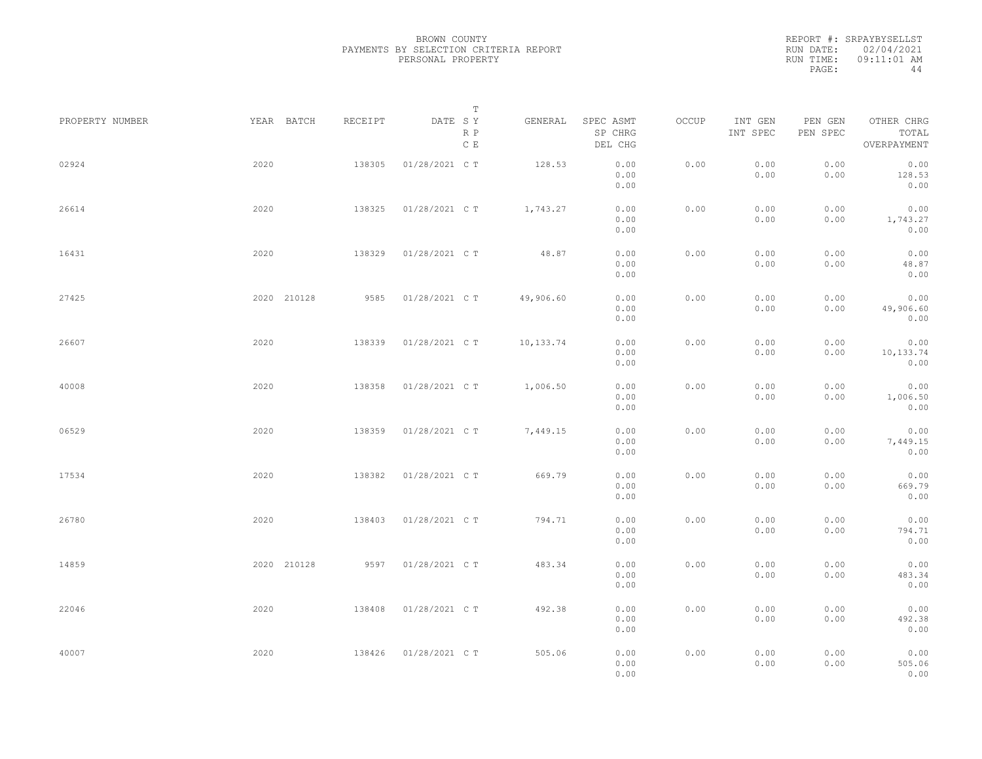REPORT #: SRPAYBYSELLST RUN DATE: 02/04/2021 RUN TIME: 09:11:01 AM PAGE: 44

|                 |             |         | $\mathbb T$                     |           |                                 |       |                     |                     |                                    |  |
|-----------------|-------------|---------|---------------------------------|-----------|---------------------------------|-------|---------------------|---------------------|------------------------------------|--|
| PROPERTY NUMBER | YEAR BATCH  | RECEIPT | DATE SY<br>R P<br>$\,$ C $\,$ E | GENERAL   | SPEC ASMT<br>SP CHRG<br>DEL CHG | OCCUP | INT GEN<br>INT SPEC | PEN GEN<br>PEN SPEC | OTHER CHRG<br>TOTAL<br>OVERPAYMENT |  |
| 02924           | 2020        | 138305  | 01/28/2021 C T                  | 128.53    | 0.00<br>0.00<br>0.00            | 0.00  | 0.00<br>0.00        | 0.00<br>0.00        | 0.00<br>128.53<br>0.00             |  |
| 26614           | 2020        | 138325  | 01/28/2021 C T                  | 1,743.27  | 0.00<br>0.00<br>0.00            | 0.00  | 0.00<br>0.00        | 0.00<br>0.00        | 0.00<br>1,743.27<br>0.00           |  |
| 16431           | 2020        | 138329  | 01/28/2021 C T                  | 48.87     | 0.00<br>0.00<br>0.00            | 0.00  | 0.00<br>0.00        | 0.00<br>0.00        | 0.00<br>48.87<br>0.00              |  |
| 27425           | 2020 210128 | 9585    | 01/28/2021 C T                  | 49,906.60 | 0.00<br>0.00<br>0.00            | 0.00  | 0.00<br>0.00        | 0.00<br>0.00        | 0.00<br>49,906.60<br>0.00          |  |
| 26607           | 2020        | 138339  | 01/28/2021 C T                  | 10,133.74 | 0.00<br>0.00<br>0.00            | 0.00  | 0.00<br>0.00        | 0.00<br>0.00        | 0.00<br>10,133.74<br>0.00          |  |
| 40008           | 2020        | 138358  | 01/28/2021 C T                  | 1,006.50  | 0.00<br>0.00<br>0.00            | 0.00  | 0.00<br>0.00        | 0.00<br>0.00        | 0.00<br>1,006.50<br>0.00           |  |
| 06529           | 2020        | 138359  | 01/28/2021 C T                  | 7,449.15  | 0.00<br>0.00<br>0.00            | 0.00  | 0.00<br>0.00        | 0.00<br>0.00        | 0.00<br>7,449.15<br>0.00           |  |
| 17534           | 2020        | 138382  | 01/28/2021 C T                  | 669.79    | 0.00<br>0.00<br>0.00            | 0.00  | 0.00<br>0.00        | 0.00<br>0.00        | 0.00<br>669.79<br>0.00             |  |
| 26780           | 2020        | 138403  | 01/28/2021 C T                  | 794.71    | 0.00<br>0.00<br>0.00            | 0.00  | 0.00<br>0.00        | 0.00<br>0.00        | 0.00<br>794.71<br>0.00             |  |
| 14859           | 2020 210128 |         | 9597 01/28/2021 C T             | 483.34    | 0.00<br>0.00<br>0.00            | 0.00  | 0.00<br>0.00        | 0.00<br>0.00        | 0.00<br>483.34<br>0.00             |  |
| 22046           | 2020        | 138408  | 01/28/2021 C T                  | 492.38    | 0.00<br>0.00<br>0.00            | 0.00  | 0.00<br>0.00        | 0.00<br>0.00        | 0.00<br>492.38<br>0.00             |  |
| 40007           | 2020        | 138426  | 01/28/2021 C T                  | 505.06    | 0.00<br>0.00<br>0.00            | 0.00  | 0.00<br>0.00        | 0.00<br>0.00        | 0.00<br>505.06<br>0.00             |  |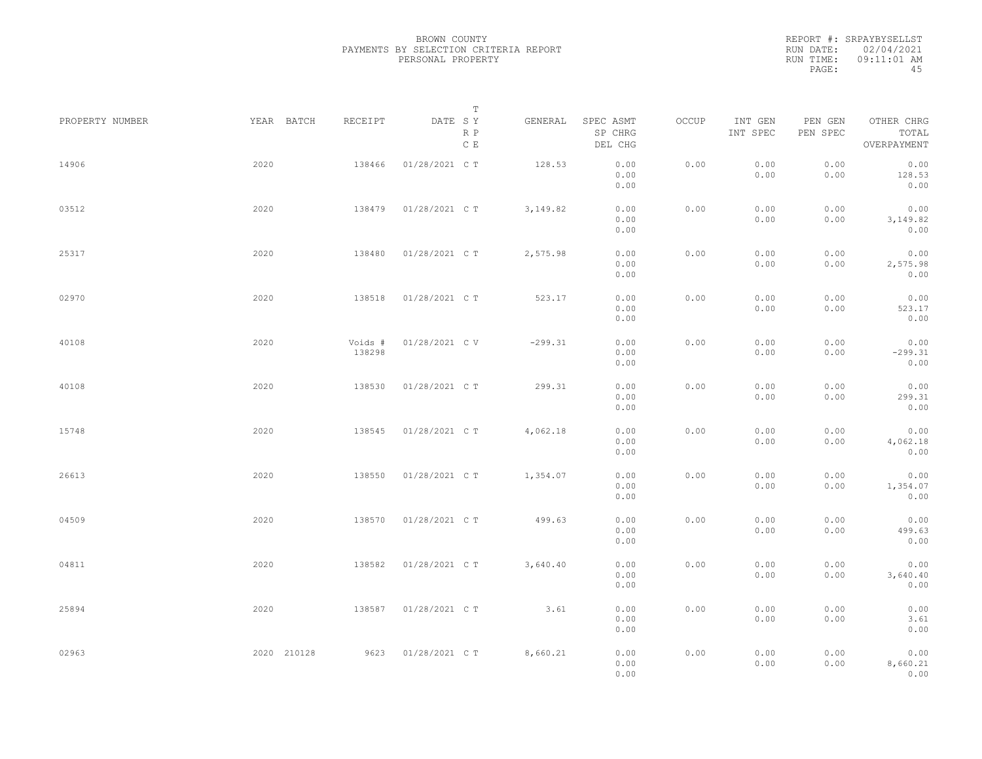|           | REPORT #: SRPAYBYSELLST |
|-----------|-------------------------|
|           | RUN DATE: 02/04/2021    |
| RUN TIME: | $09:11:01$ AM           |
| PAGE:     | 45                      |

|                 |             |                   | $\mathbb T$           |           |                                 |       |                     |                     |                                    |  |
|-----------------|-------------|-------------------|-----------------------|-----------|---------------------------------|-------|---------------------|---------------------|------------------------------------|--|
| PROPERTY NUMBER | YEAR BATCH  | RECEIPT           | DATE SY<br>R P<br>C E | GENERAL   | SPEC ASMT<br>SP CHRG<br>DEL CHG | OCCUP | INT GEN<br>INT SPEC | PEN GEN<br>PEN SPEC | OTHER CHRG<br>TOTAL<br>OVERPAYMENT |  |
| 14906           | 2020        | 138466            | 01/28/2021 C T        | 128.53    | 0.00<br>0.00<br>0.00            | 0.00  | 0.00<br>0.00        | 0.00<br>0.00        | 0.00<br>128.53<br>0.00             |  |
| 03512           | 2020        | 138479            | 01/28/2021 C T        | 3,149.82  | 0.00<br>0.00<br>0.00            | 0.00  | 0.00<br>0.00        | 0.00<br>0.00        | 0.00<br>3,149.82<br>0.00           |  |
| 25317           | 2020        | 138480            | 01/28/2021 C T        | 2,575.98  | 0.00<br>0.00<br>0.00            | 0.00  | 0.00<br>0.00        | 0.00<br>0.00        | 0.00<br>2,575.98<br>0.00           |  |
| 02970           | 2020        | 138518            | 01/28/2021 C T        | 523.17    | 0.00<br>0.00<br>0.00            | 0.00  | 0.00<br>0.00        | 0.00<br>0.00        | 0.00<br>523.17<br>0.00             |  |
| 40108           | 2020        | Voids #<br>138298 | 01/28/2021 C V        | $-299.31$ | 0.00<br>0.00<br>0.00            | 0.00  | 0.00<br>0.00        | 0.00<br>0.00        | 0.00<br>$-299.31$<br>0.00          |  |
| 40108           | 2020        | 138530            | 01/28/2021 C T        | 299.31    | 0.00<br>0.00<br>0.00            | 0.00  | 0.00<br>0.00        | 0.00<br>0.00        | 0.00<br>299.31<br>0.00             |  |
| 15748           | 2020        | 138545            | 01/28/2021 C T        | 4,062.18  | 0.00<br>0.00<br>0.00            | 0.00  | 0.00<br>0.00        | 0.00<br>0.00        | 0.00<br>4,062.18<br>0.00           |  |
| 26613           | 2020        | 138550            | 01/28/2021 C T        | 1,354.07  | 0.00<br>0.00<br>0.00            | 0.00  | 0.00<br>0.00        | 0.00<br>0.00        | 0.00<br>1,354.07<br>0.00           |  |
| 04509           | 2020        | 138570            | 01/28/2021 C T        | 499.63    | 0.00<br>0.00<br>0.00            | 0.00  | 0.00<br>0.00        | 0.00<br>0.00        | 0.00<br>499.63<br>0.00             |  |
| 04811           | 2020        | 138582            | 01/28/2021 C T        | 3,640.40  | 0.00<br>0.00<br>0.00            | 0.00  | 0.00<br>0.00        | 0.00<br>0.00        | 0.00<br>3,640.40<br>0.00           |  |
| 25894           | 2020        | 138587            | 01/28/2021 C T        | 3.61      | 0.00<br>0.00<br>0.00            | 0.00  | 0.00<br>0.00        | 0.00<br>0.00        | 0.00<br>3.61<br>0.00               |  |
| 02963           | 2020 210128 | 9623              | 01/28/2021 C T        | 8,660.21  | 0.00<br>0.00<br>0.00            | 0.00  | 0.00<br>0.00        | 0.00<br>0.00        | 0.00<br>8,660.21<br>0.00           |  |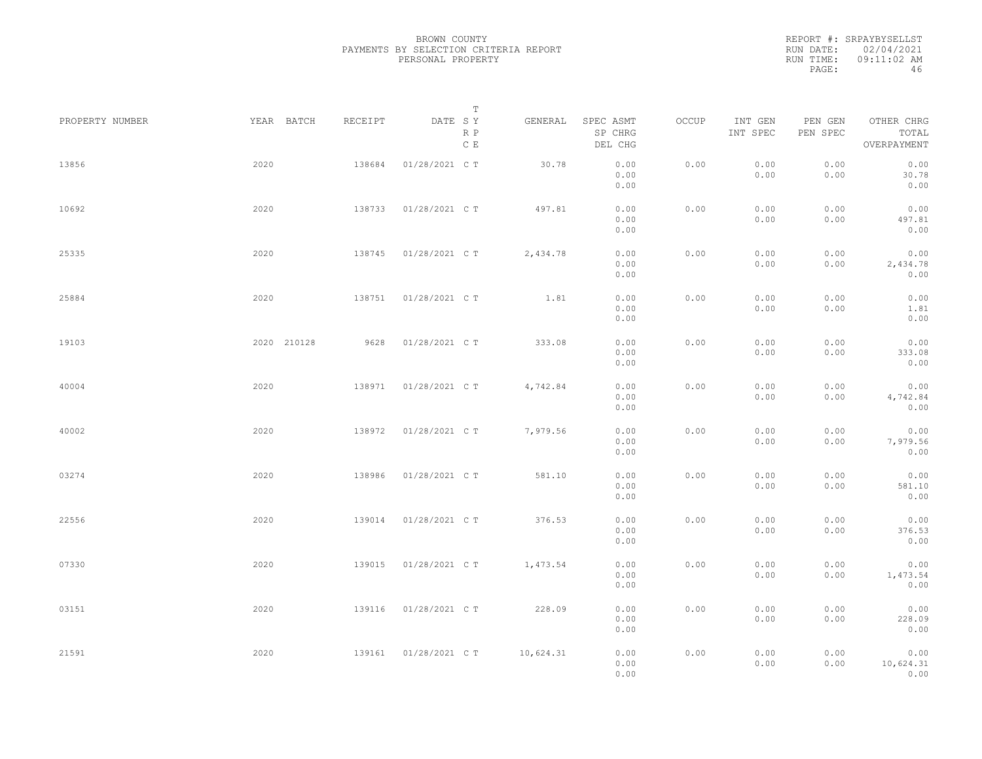REPORT #: SRPAYBYSELLST RUN DATE: 02/04/2021 RUN TIME: 09:11:02 AM PAGE: 46

|                 |             |         | $\mathbb T$                     |           |                                 |       |                     |                     |                                    |
|-----------------|-------------|---------|---------------------------------|-----------|---------------------------------|-------|---------------------|---------------------|------------------------------------|
| PROPERTY NUMBER | YEAR BATCH  | RECEIPT | DATE SY<br>R P<br>$\,$ C $\,$ E | GENERAL   | SPEC ASMT<br>SP CHRG<br>DEL CHG | OCCUP | INT GEN<br>INT SPEC | PEN GEN<br>PEN SPEC | OTHER CHRG<br>TOTAL<br>OVERPAYMENT |
| 13856           | 2020        | 138684  | 01/28/2021 C T                  | 30.78     | 0.00<br>0.00<br>0.00            | 0.00  | 0.00<br>0.00        | 0.00<br>0.00        | 0.00<br>30.78<br>0.00              |
| 10692           | 2020        | 138733  | 01/28/2021 C T                  | 497.81    | 0.00<br>0.00<br>0.00            | 0.00  | 0.00<br>0.00        | 0.00<br>0.00        | 0.00<br>497.81<br>0.00             |
| 25335           | 2020        | 138745  | 01/28/2021 C T                  | 2,434.78  | 0.00<br>0.00<br>0.00            | 0.00  | 0.00<br>0.00        | 0.00<br>0.00        | 0.00<br>2,434.78<br>0.00           |
| 25884           | 2020        | 138751  | 01/28/2021 C T                  | 1.81      | 0.00<br>0.00<br>0.00            | 0.00  | 0.00<br>0.00        | 0.00<br>0.00        | 0.00<br>1.81<br>0.00               |
| 19103           | 2020 210128 | 9628    | 01/28/2021 C T                  | 333.08    | 0.00<br>0.00<br>0.00            | 0.00  | 0.00<br>0.00        | 0.00<br>0.00        | 0.00<br>333.08<br>0.00             |
| 40004           | 2020        | 138971  | 01/28/2021 C T                  | 4,742.84  | 0.00<br>0.00<br>0.00            | 0.00  | 0.00<br>0.00        | 0.00<br>0.00        | 0.00<br>4,742.84<br>0.00           |
| 40002           | 2020        | 138972  | 01/28/2021 C T                  | 7,979.56  | 0.00<br>0.00<br>0.00            | 0.00  | 0.00<br>0.00        | 0.00<br>0.00        | 0.00<br>7,979.56<br>0.00           |
| 03274           | 2020        | 138986  | 01/28/2021 C T                  | 581.10    | 0.00<br>0.00<br>0.00            | 0.00  | 0.00<br>0.00        | 0.00<br>0.00        | 0.00<br>581.10<br>0.00             |
| 22556           | 2020        | 139014  | 01/28/2021 C T                  | 376.53    | 0.00<br>0.00<br>0.00            | 0.00  | 0.00<br>0.00        | 0.00<br>0.00        | 0.00<br>376.53<br>0.00             |
| 07330           | 2020        | 139015  | 01/28/2021 C T                  | 1,473.54  | 0.00<br>0.00<br>0.00            | 0.00  | 0.00<br>0.00        | 0.00<br>0.00        | 0.00<br>1,473.54<br>0.00           |
| 03151           | 2020        | 139116  | 01/28/2021 C T                  | 228.09    | 0.00<br>0.00<br>0.00            | 0.00  | 0.00<br>0.00        | 0.00<br>0.00        | 0.00<br>228.09<br>0.00             |
| 21591           | 2020        | 139161  | 01/28/2021 C T                  | 10,624.31 | 0.00<br>0.00<br>0.00            | 0.00  | 0.00<br>0.00        | 0.00<br>0.00        | 0.00<br>10,624.31<br>0.00          |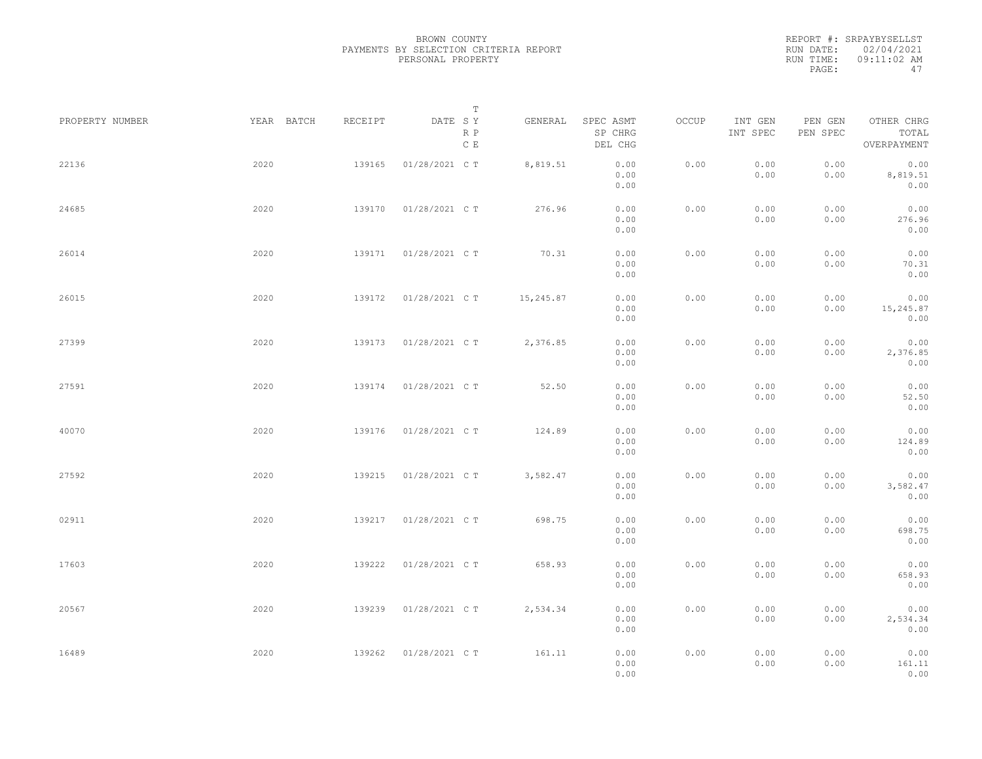|           | REPORT #: SRPAYBYSELLST |
|-----------|-------------------------|
|           | RUN DATE: 02/04/2021    |
| RUN TIME: | $09:11:02$ AM           |
| PAGE:     | 47                      |

|                 |            |         | $\mathbb T$           |           |                                 |       |                     |                     |                                    |  |
|-----------------|------------|---------|-----------------------|-----------|---------------------------------|-------|---------------------|---------------------|------------------------------------|--|
| PROPERTY NUMBER | YEAR BATCH | RECEIPT | DATE SY<br>R P<br>C E | GENERAL   | SPEC ASMT<br>SP CHRG<br>DEL CHG | OCCUP | INT GEN<br>INT SPEC | PEN GEN<br>PEN SPEC | OTHER CHRG<br>TOTAL<br>OVERPAYMENT |  |
| 22136           | 2020       | 139165  | 01/28/2021 C T        | 8,819.51  | 0.00<br>0.00<br>0.00            | 0.00  | 0.00<br>0.00        | 0.00<br>0.00        | 0.00<br>8,819.51<br>0.00           |  |
| 24685           | 2020       | 139170  | 01/28/2021 C T        | 276.96    | 0.00<br>0.00<br>0.00            | 0.00  | 0.00<br>0.00        | 0.00<br>0.00        | 0.00<br>276.96<br>0.00             |  |
| 26014           | 2020       | 139171  | 01/28/2021 C T        | 70.31     | 0.00<br>0.00<br>0.00            | 0.00  | 0.00<br>0.00        | 0.00<br>0.00        | 0.00<br>70.31<br>0.00              |  |
| 26015           | 2020       | 139172  | 01/28/2021 C T        | 15,245.87 | 0.00<br>0.00<br>0.00            | 0.00  | 0.00<br>0.00        | 0.00<br>0.00        | 0.00<br>15,245.87<br>0.00          |  |
| 27399           | 2020       | 139173  | 01/28/2021 C T        | 2,376.85  | 0.00<br>0.00<br>0.00            | 0.00  | 0.00<br>0.00        | 0.00<br>0.00        | 0.00<br>2,376.85<br>0.00           |  |
| 27591           | 2020       | 139174  | 01/28/2021 C T        | 52.50     | 0.00<br>0.00<br>0.00            | 0.00  | 0.00<br>0.00        | 0.00<br>0.00        | 0.00<br>52.50<br>0.00              |  |
| 40070           | 2020       | 139176  | 01/28/2021 C T        | 124.89    | 0.00<br>0.00<br>0.00            | 0.00  | 0.00<br>0.00        | 0.00<br>0.00        | 0.00<br>124.89<br>0.00             |  |
| 27592           | 2020       | 139215  | 01/28/2021 C T        | 3,582.47  | 0.00<br>0.00<br>0.00            | 0.00  | 0.00<br>0.00        | 0.00<br>0.00        | 0.00<br>3,582.47<br>0.00           |  |
| 02911           | 2020       | 139217  | 01/28/2021 C T        | 698.75    | 0.00<br>0.00<br>0.00            | 0.00  | 0.00<br>0.00        | 0.00<br>0.00        | 0.00<br>698.75<br>0.00             |  |
| 17603           | 2020       | 139222  | 01/28/2021 C T        | 658.93    | 0.00<br>0.00<br>0.00            | 0.00  | 0.00<br>0.00        | 0.00<br>0.00        | 0.00<br>658.93<br>0.00             |  |
| 20567           | 2020       | 139239  | 01/28/2021 C T        | 2,534.34  | 0.00<br>0.00<br>0.00            | 0.00  | 0.00<br>0.00        | 0.00<br>0.00        | 0.00<br>2,534.34<br>0.00           |  |
| 16489           | 2020       | 139262  | 01/28/2021 C T        | 161.11    | 0.00<br>0.00<br>0.00            | 0.00  | 0.00<br>0.00        | 0.00<br>0.00        | 0.00<br>161.11<br>0.00             |  |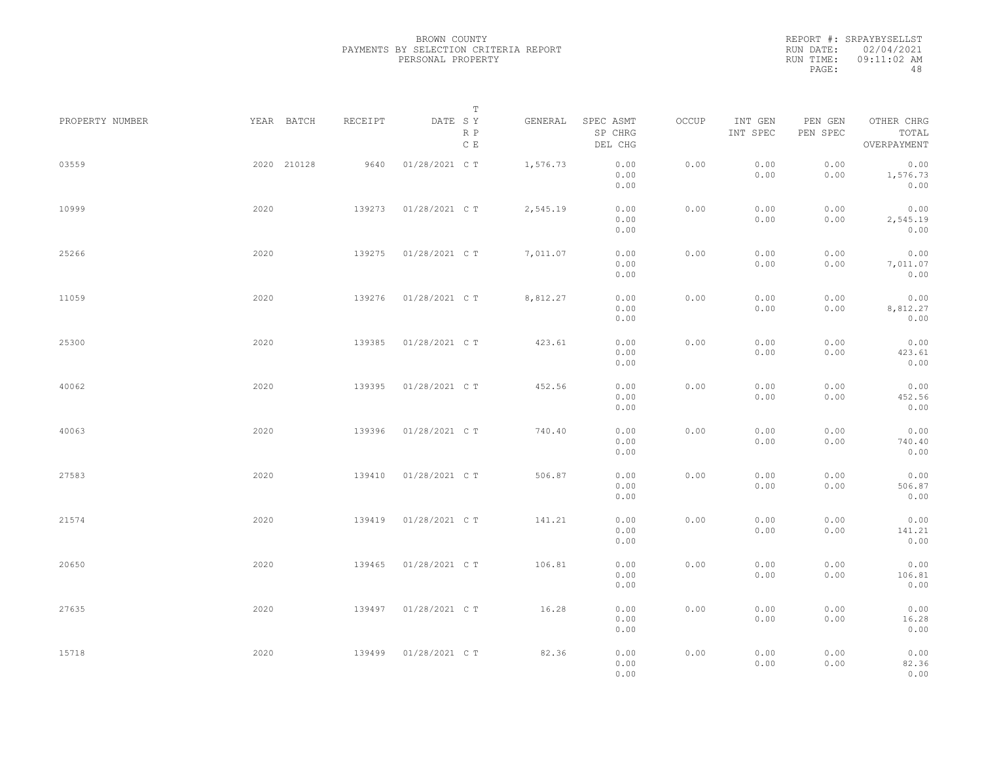REPORT #: SRPAYBYSELLST RUN DATE: 02/04/2021 RUN TIME: 09:11:02 AM PAGE: 48

|                 |      |             |         |                      | $\mathbb T$ |          |                                 |       |                     |                     |                                    |  |
|-----------------|------|-------------|---------|----------------------|-------------|----------|---------------------------------|-------|---------------------|---------------------|------------------------------------|--|
| PROPERTY NUMBER |      | YEAR BATCH  | RECEIPT | DATE SY              | R P<br>C E  | GENERAL  | SPEC ASMT<br>SP CHRG<br>DEL CHG | OCCUP | INT GEN<br>INT SPEC | PEN GEN<br>PEN SPEC | OTHER CHRG<br>TOTAL<br>OVERPAYMENT |  |
| 03559           |      | 2020 210128 | 9640    | 01/28/2021 C T       |             | 1,576.73 | 0.00<br>0.00<br>0.00            | 0.00  | 0.00<br>0.00        | 0.00<br>0.00        | 0.00<br>1,576.73<br>0.00           |  |
| 10999           | 2020 |             | 139273  | 01/28/2021 C T       |             | 2,545.19 | 0.00<br>0.00<br>0.00            | 0.00  | 0.00<br>0.00        | 0.00<br>0.00        | 0.00<br>2,545.19<br>0.00           |  |
| 25266           | 2020 |             | 139275  | 01/28/2021 C T       |             | 7,011.07 | 0.00<br>0.00<br>0.00            | 0.00  | 0.00<br>0.00        | 0.00<br>0.00        | 0.00<br>7,011.07<br>0.00           |  |
| 11059           | 2020 |             | 139276  | 01/28/2021 C T       |             | 8,812.27 | 0.00<br>0.00<br>0.00            | 0.00  | 0.00<br>0.00        | 0.00<br>0.00        | 0.00<br>8,812.27<br>0.00           |  |
| 25300           | 2020 |             | 139385  | 01/28/2021 C T       |             | 423.61   | 0.00<br>0.00<br>0.00            | 0.00  | 0.00<br>0.00        | 0.00<br>0.00        | 0.00<br>423.61<br>0.00             |  |
| 40062           | 2020 |             | 139395  | 01/28/2021 C T       |             | 452.56   | 0.00<br>0.00<br>0.00            | 0.00  | 0.00<br>0.00        | 0.00<br>0.00        | 0.00<br>452.56<br>0.00             |  |
| 40063           | 2020 |             | 139396  | 01/28/2021 C T       |             | 740.40   | 0.00<br>0.00<br>0.00            | 0.00  | 0.00<br>0.00        | 0.00<br>0.00        | 0.00<br>740.40<br>0.00             |  |
| 27583           | 2020 |             | 139410  | 01/28/2021 C T       |             | 506.87   | 0.00<br>0.00<br>0.00            | 0.00  | 0.00<br>0.00        | 0.00<br>0.00        | 0.00<br>506.87<br>0.00             |  |
| 21574           | 2020 |             | 139419  | 01/28/2021 C T       |             | 141.21   | 0.00<br>0.00<br>0.00            | 0.00  | 0.00<br>0.00        | 0.00<br>0.00        | 0.00<br>141.21<br>0.00             |  |
| 20650           | 2020 |             | 139465  | 01/28/2021 C T       |             | 106.81   | 0.00<br>0.00<br>0.00            | 0.00  | 0.00<br>0.00        | 0.00<br>0.00        | 0.00<br>106.81<br>0.00             |  |
| 27635           | 2020 |             | 139497  | 01/28/2021 C T       |             | 16.28    | 0.00<br>0.00                    | 0.00  | 0.00<br>0.00        | 0.00<br>0.00        | 0.00<br>16.28                      |  |
| 15718           | 2020 |             |         | 139499 01/28/2021 CT |             | 82.36    | 0.00<br>0.00<br>0.00<br>0.00    | 0.00  | 0.00<br>0.00        | 0.00<br>0.00        | 0.00<br>0.00<br>82.36<br>0.00      |  |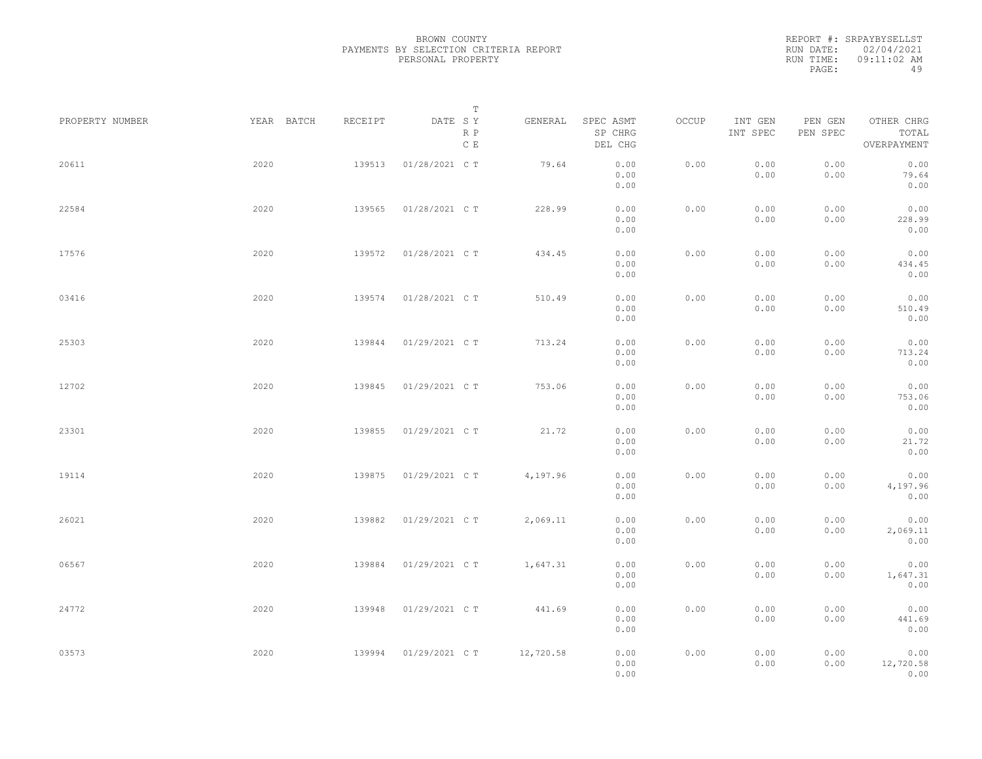|           | REPORT #: SRPAYBYSELLST |
|-----------|-------------------------|
|           | RUN DATE: 02/04/2021    |
| RUN TIME: | $09:11:02$ AM           |
| PAGE:     | 49                      |

|                 |            |         | T                               |           |                                 |       |                     |                     |                                    |  |
|-----------------|------------|---------|---------------------------------|-----------|---------------------------------|-------|---------------------|---------------------|------------------------------------|--|
| PROPERTY NUMBER | YEAR BATCH | RECEIPT | DATE SY<br>R P<br>$\,$ C $\,$ E | GENERAL   | SPEC ASMT<br>SP CHRG<br>DEL CHG | OCCUP | INT GEN<br>INT SPEC | PEN GEN<br>PEN SPEC | OTHER CHRG<br>TOTAL<br>OVERPAYMENT |  |
| 20611           | 2020       | 139513  | 01/28/2021 C T                  | 79.64     | 0.00<br>0.00<br>0.00            | 0.00  | 0.00<br>0.00        | 0.00<br>0.00        | 0.00<br>79.64<br>0.00              |  |
| 22584           | 2020       | 139565  | 01/28/2021 C T                  | 228.99    | 0.00<br>0.00<br>0.00            | 0.00  | 0.00<br>0.00        | 0.00<br>0.00        | 0.00<br>228.99<br>0.00             |  |
| 17576           | 2020       | 139572  | 01/28/2021 C T                  | 434.45    | 0.00<br>0.00<br>0.00            | 0.00  | 0.00<br>0.00        | 0.00<br>0.00        | 0.00<br>434.45<br>0.00             |  |
| 03416           | 2020       | 139574  | 01/28/2021 C T                  | 510.49    | 0.00<br>0.00<br>0.00            | 0.00  | 0.00<br>0.00        | 0.00<br>0.00        | 0.00<br>510.49<br>0.00             |  |
| 25303           | 2020       | 139844  | 01/29/2021 C T                  | 713.24    | 0.00<br>0.00<br>0.00            | 0.00  | 0.00<br>0.00        | 0.00<br>0.00        | 0.00<br>713.24<br>0.00             |  |
| 12702           | 2020       | 139845  | 01/29/2021 C T                  | 753.06    | 0.00<br>0.00<br>0.00            | 0.00  | 0.00<br>0.00        | 0.00<br>0.00        | 0.00<br>753.06<br>0.00             |  |
| 23301           | 2020       | 139855  | 01/29/2021 C T                  | 21.72     | 0.00<br>0.00<br>0.00            | 0.00  | 0.00<br>0.00        | 0.00<br>0.00        | 0.00<br>21.72<br>0.00              |  |
| 19114           | 2020       | 139875  | 01/29/2021 C T                  | 4,197.96  | 0.00<br>0.00<br>0.00            | 0.00  | 0.00<br>0.00        | 0.00<br>0.00        | 0.00<br>4,197.96<br>0.00           |  |
| 26021           | 2020       | 139882  | 01/29/2021 C T                  | 2,069.11  | 0.00<br>0.00                    | 0.00  | 0.00<br>0.00        | 0.00<br>0.00        | 0.00<br>2,069.11<br>0.00           |  |
| 06567           | 2020       | 139884  | 01/29/2021 C T                  | 1,647.31  | 0.00<br>0.00<br>0.00<br>0.00    | 0.00  | 0.00<br>0.00        | 0.00<br>0.00        | 0.00<br>1,647.31<br>0.00           |  |
| 24772           | 2020       | 139948  | 01/29/2021 C T                  | 441.69    | 0.00<br>0.00                    | 0.00  | 0.00<br>0.00        | 0.00<br>0.00        | 0.00<br>441.69                     |  |
| 03573           | 2020       | 139994  | 01/29/2021 C T                  | 12,720.58 | 0.00<br>0.00<br>0.00<br>0.00    | 0.00  | 0.00<br>0.00        | 0.00<br>0.00        | 0.00<br>0.00<br>12,720.58<br>0.00  |  |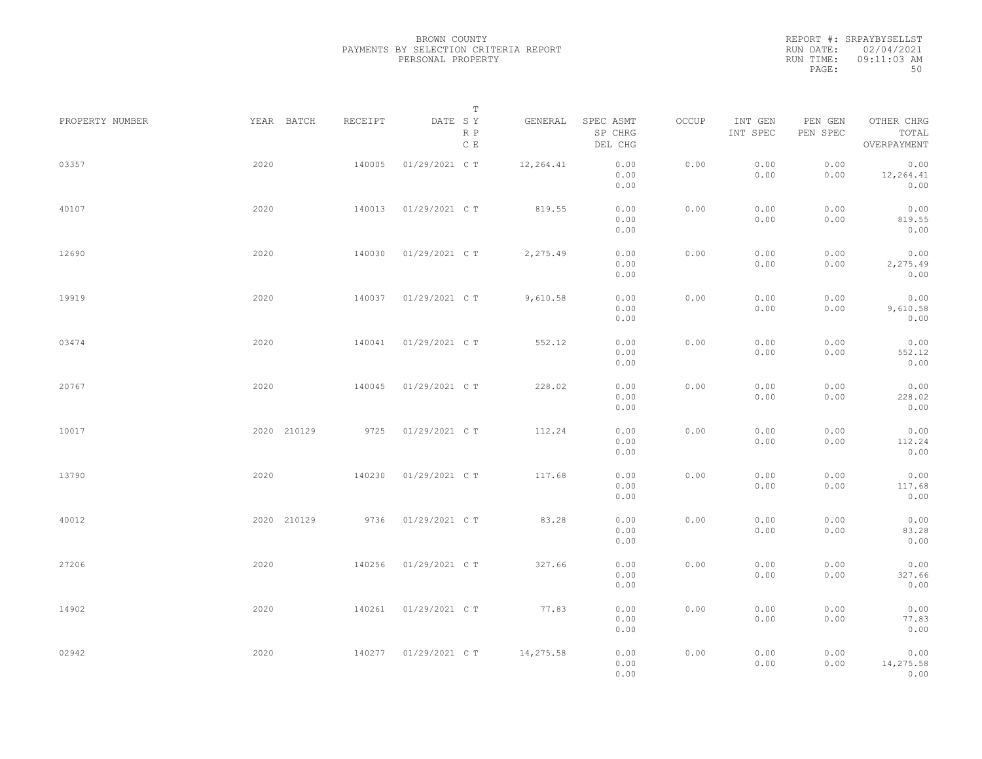REPORT #: SRPAYBYSELLST RUN DATE: 02/04/2021 RUN TIME: 09:11:03 AM PAGE: 50

|                 |             |         | $\mathbb T$           |           |                                 |       |                     |                     |                                    |  |
|-----------------|-------------|---------|-----------------------|-----------|---------------------------------|-------|---------------------|---------------------|------------------------------------|--|
| PROPERTY NUMBER | YEAR BATCH  | RECEIPT | DATE SY<br>R P<br>C E | GENERAL   | SPEC ASMT<br>SP CHRG<br>DEL CHG | OCCUP | INT GEN<br>INT SPEC | PEN GEN<br>PEN SPEC | OTHER CHRG<br>TOTAL<br>OVERPAYMENT |  |
| 03357           | 2020        | 140005  | 01/29/2021 C T        | 12,264.41 | 0.00<br>0.00<br>0.00            | 0.00  | 0.00<br>0.00        | 0.00<br>0.00        | 0.00<br>12,264.41<br>0.00          |  |
| 40107           | 2020        | 140013  | 01/29/2021 C T        | 819.55    | 0.00<br>0.00<br>0.00            | 0.00  | 0.00<br>0.00        | 0.00<br>0.00        | 0.00<br>819.55<br>0.00             |  |
| 12690           | 2020        | 140030  | 01/29/2021 C T        | 2,275.49  | 0.00<br>0.00<br>0.00            | 0.00  | 0.00<br>0.00        | 0.00<br>0.00        | 0.00<br>2,275.49<br>0.00           |  |
| 19919           | 2020        | 140037  | 01/29/2021 C T        | 9,610.58  | 0.00<br>0.00<br>0.00            | 0.00  | 0.00<br>0.00        | 0.00<br>0.00        | 0.00<br>9,610.58<br>0.00           |  |
| 03474           | 2020        | 140041  | 01/29/2021 C T        | 552.12    | 0.00<br>0.00<br>0.00            | 0.00  | 0.00<br>0.00        | 0.00<br>0.00        | 0.00<br>552.12<br>0.00             |  |
| 20767           | 2020        | 140045  | 01/29/2021 C T        | 228.02    | 0.00<br>0.00<br>0.00            | 0.00  | 0.00<br>0.00        | 0.00<br>0.00        | 0.00<br>228.02<br>0.00             |  |
| 10017           | 2020 210129 | 9725    | 01/29/2021 C T        | 112.24    | 0.00<br>0.00<br>0.00            | 0.00  | 0.00<br>0.00        | 0.00<br>0.00        | 0.00<br>112.24<br>0.00             |  |
| 13790           | 2020        | 140230  | 01/29/2021 C T        | 117.68    | 0.00<br>0.00<br>0.00            | 0.00  | 0.00<br>0.00        | 0.00<br>0.00        | 0.00<br>117.68<br>0.00             |  |
| 40012           | 2020 210129 | 9736    | 01/29/2021 C T        | 83.28     | 0.00<br>0.00<br>0.00            | 0.00  | 0.00<br>0.00        | 0.00<br>0.00        | 0.00<br>83.28<br>0.00              |  |
| 27206           | 2020        | 140256  | 01/29/2021 C T        | 327.66    | 0.00<br>0.00<br>0.00            | 0.00  | 0.00<br>0.00        | 0.00<br>0.00        | 0.00<br>327.66<br>0.00             |  |
| 14902           | 2020        | 140261  | 01/29/2021 C T        | 77.83     | 0.00<br>0.00<br>0.00            | 0.00  | 0.00<br>0.00        | 0.00<br>0.00        | 0.00<br>77.83<br>0.00              |  |
| 02942           | 2020        |         | 140277 01/29/2021 CT  | 14,275.58 | 0.00<br>0.00<br>0.00            | 0.00  | 0.00<br>0.00        | 0.00<br>0.00        | 0.00<br>14,275.58<br>0.00          |  |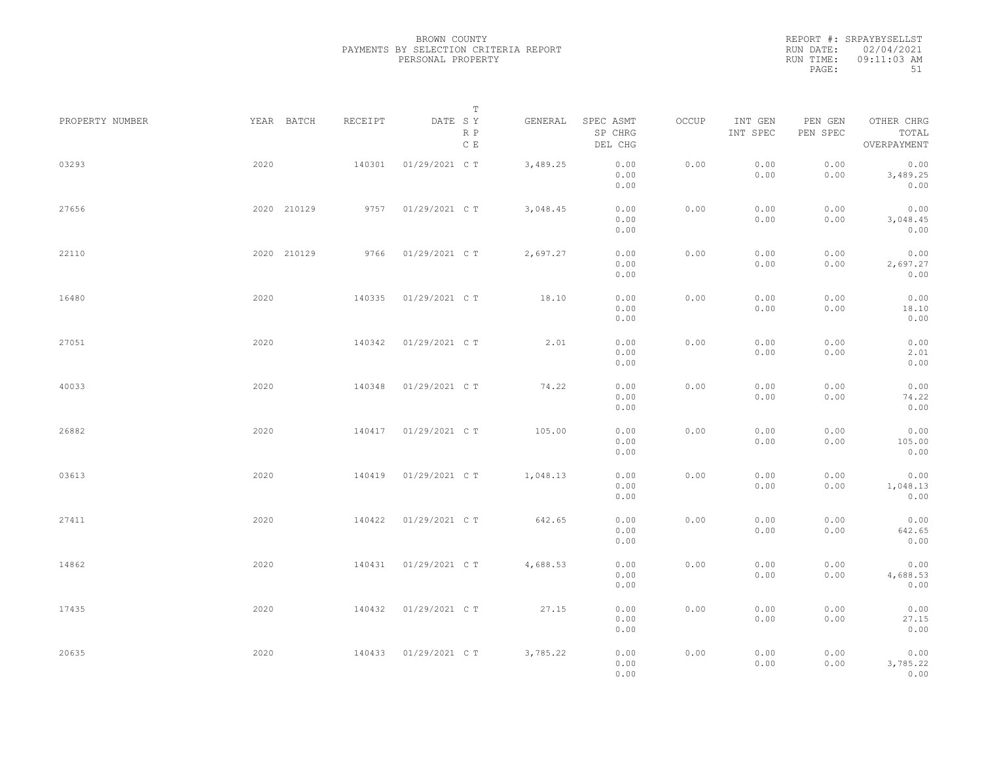REPORT #: SRPAYBYSELLST RUN DATE: 02/04/2021 RUN TIME: 09:11:03 AM PAGE: 51

|                 |             |         | $\mathbb T$           |          |                                 |       |                     |                     |                                    |  |
|-----------------|-------------|---------|-----------------------|----------|---------------------------------|-------|---------------------|---------------------|------------------------------------|--|
| PROPERTY NUMBER | YEAR BATCH  | RECEIPT | DATE SY<br>R P<br>C E | GENERAL  | SPEC ASMT<br>SP CHRG<br>DEL CHG | OCCUP | INT GEN<br>INT SPEC | PEN GEN<br>PEN SPEC | OTHER CHRG<br>TOTAL<br>OVERPAYMENT |  |
| 03293           | 2020        | 140301  | 01/29/2021 C T        | 3,489.25 | 0.00<br>0.00<br>0.00            | 0.00  | 0.00<br>0.00        | 0.00<br>0.00        | 0.00<br>3,489.25<br>0.00           |  |
| 27656           | 2020 210129 | 9757    | 01/29/2021 C T        | 3,048.45 | 0.00<br>0.00<br>0.00            | 0.00  | 0.00<br>0.00        | 0.00<br>0.00        | 0.00<br>3,048.45<br>0.00           |  |
| 22110           | 2020 210129 | 9766    | 01/29/2021 C T        | 2,697.27 | 0.00<br>0.00<br>0.00            | 0.00  | 0.00<br>0.00        | 0.00<br>0.00        | 0.00<br>2,697.27<br>0.00           |  |
| 16480           | 2020        | 140335  | 01/29/2021 C T        | 18.10    | 0.00<br>0.00<br>0.00            | 0.00  | 0.00<br>0.00        | 0.00<br>0.00        | 0.00<br>18.10<br>0.00              |  |
| 27051           | 2020        | 140342  | 01/29/2021 C T        | 2.01     | 0.00<br>0.00<br>0.00            | 0.00  | 0.00<br>0.00        | 0.00<br>0.00        | 0.00<br>2.01<br>0.00               |  |
| 40033           | 2020        | 140348  | 01/29/2021 C T        | 74.22    | 0.00<br>0.00<br>0.00            | 0.00  | 0.00<br>0.00        | 0.00<br>0.00        | 0.00<br>74.22<br>0.00              |  |
| 26882           | 2020        | 140417  | 01/29/2021 C T        | 105.00   | 0.00<br>0.00<br>0.00            | 0.00  | 0.00<br>0.00        | 0.00<br>0.00        | 0.00<br>105.00<br>0.00             |  |
| 03613           | 2020        | 140419  | 01/29/2021 C T        | 1,048.13 | 0.00<br>0.00<br>0.00            | 0.00  | 0.00<br>0.00        | 0.00<br>0.00        | 0.00<br>1,048.13<br>0.00           |  |
| 27411           | 2020        | 140422  | 01/29/2021 C T        | 642.65   | 0.00<br>0.00<br>0.00            | 0.00  | 0.00<br>0.00        | 0.00<br>0.00        | 0.00<br>642.65<br>0.00             |  |
| 14862           | 2020        | 140431  | 01/29/2021 C T        | 4,688.53 | 0.00<br>0.00<br>0.00            | 0.00  | 0.00<br>0.00        | 0.00<br>0.00        | 0.00<br>4,688.53<br>0.00           |  |
| 17435           | 2020        | 140432  | 01/29/2021 C T        | 27.15    | 0.00<br>0.00                    | 0.00  | 0.00<br>0.00        | 0.00<br>0.00        | 0.00<br>27.15                      |  |
| 20635           | 2020        |         | 140433 01/29/2021 C T | 3,785.22 | 0.00<br>0.00<br>0.00<br>0.00    | 0.00  | 0.00<br>0.00        | 0.00<br>0.00        | 0.00<br>0.00<br>3,785.22<br>0.00   |  |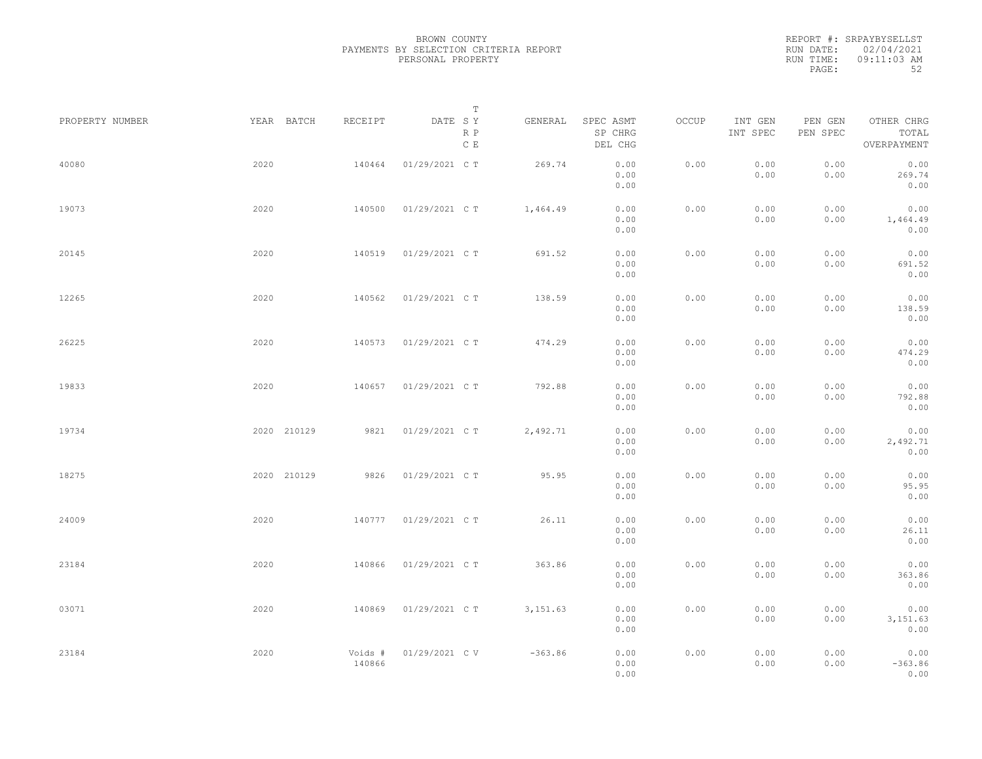REPORT #: SRPAYBYSELLST RUN DATE: 02/04/2021 RUN TIME: 09:11:03 AM PAGE: 52

|                 |             |                   | T                     |           |                                 |       |                     |                     |                                    |  |
|-----------------|-------------|-------------------|-----------------------|-----------|---------------------------------|-------|---------------------|---------------------|------------------------------------|--|
| PROPERTY NUMBER | YEAR BATCH  | RECEIPT           | DATE SY<br>R P<br>C E | GENERAL   | SPEC ASMT<br>SP CHRG<br>DEL CHG | OCCUP | INT GEN<br>INT SPEC | PEN GEN<br>PEN SPEC | OTHER CHRG<br>TOTAL<br>OVERPAYMENT |  |
| 40080           | 2020        | 140464            | 01/29/2021 C T        | 269.74    | 0.00<br>0.00<br>0.00            | 0.00  | 0.00<br>0.00        | 0.00<br>0.00        | 0.00<br>269.74<br>0.00             |  |
| 19073           | 2020        | 140500            | 01/29/2021 C T        | 1,464.49  | 0.00<br>0.00<br>0.00            | 0.00  | 0.00<br>0.00        | 0.00<br>0.00        | 0.00<br>1,464.49<br>0.00           |  |
| 20145           | 2020        | 140519            | 01/29/2021 C T        | 691.52    | 0.00<br>0.00<br>0.00            | 0.00  | 0.00<br>0.00        | 0.00<br>0.00        | 0.00<br>691.52<br>0.00             |  |
| 12265           | 2020        | 140562            | 01/29/2021 C T        | 138.59    | 0.00<br>0.00<br>0.00            | 0.00  | 0.00<br>0.00        | 0.00<br>0.00        | 0.00<br>138.59<br>0.00             |  |
| 26225           | 2020        | 140573            | 01/29/2021 C T        | 474.29    | 0.00<br>0.00<br>0.00            | 0.00  | 0.00<br>0.00        | 0.00<br>0.00        | 0.00<br>474.29<br>0.00             |  |
| 19833           | 2020        | 140657            | 01/29/2021 C T        | 792.88    | 0.00<br>0.00<br>0.00            | 0.00  | 0.00<br>0.00        | 0.00<br>0.00        | 0.00<br>792.88<br>0.00             |  |
| 19734           | 2020 210129 | 9821              | 01/29/2021 C T        | 2,492.71  | 0.00<br>0.00<br>0.00            | 0.00  | 0.00<br>0.00        | 0.00<br>0.00        | 0.00<br>2,492.71<br>0.00           |  |
| 18275           | 2020 210129 | 9826              | 01/29/2021 C T        | 95.95     | 0.00<br>0.00<br>0.00            | 0.00  | 0.00<br>0.00        | 0.00<br>0.00        | 0.00<br>95.95<br>0.00              |  |
| 24009           | 2020        | 140777            | 01/29/2021 C T        | 26.11     | 0.00<br>0.00<br>0.00            | 0.00  | 0.00<br>0.00        | 0.00<br>0.00        | 0.00<br>26.11<br>0.00              |  |
| 23184           | 2020        | 140866            | 01/29/2021 C T        | 363.86    | 0.00<br>0.00<br>0.00            | 0.00  | 0.00<br>0.00        | 0.00<br>0.00        | 0.00<br>363.86<br>0.00             |  |
| 03071           | 2020        | 140869            | 01/29/2021 C T        | 3, 151.63 | 0.00<br>0.00<br>0.00            | 0.00  | 0.00<br>0.00        | 0.00<br>0.00        | 0.00<br>3,151.63<br>0.00           |  |
| 23184           | 2020        | Voids #<br>140866 | 01/29/2021 C V        | $-363.86$ | 0.00<br>0.00<br>0.00            | 0.00  | 0.00<br>0.00        | 0.00<br>0.00        | 0.00<br>$-363.86$<br>0.00          |  |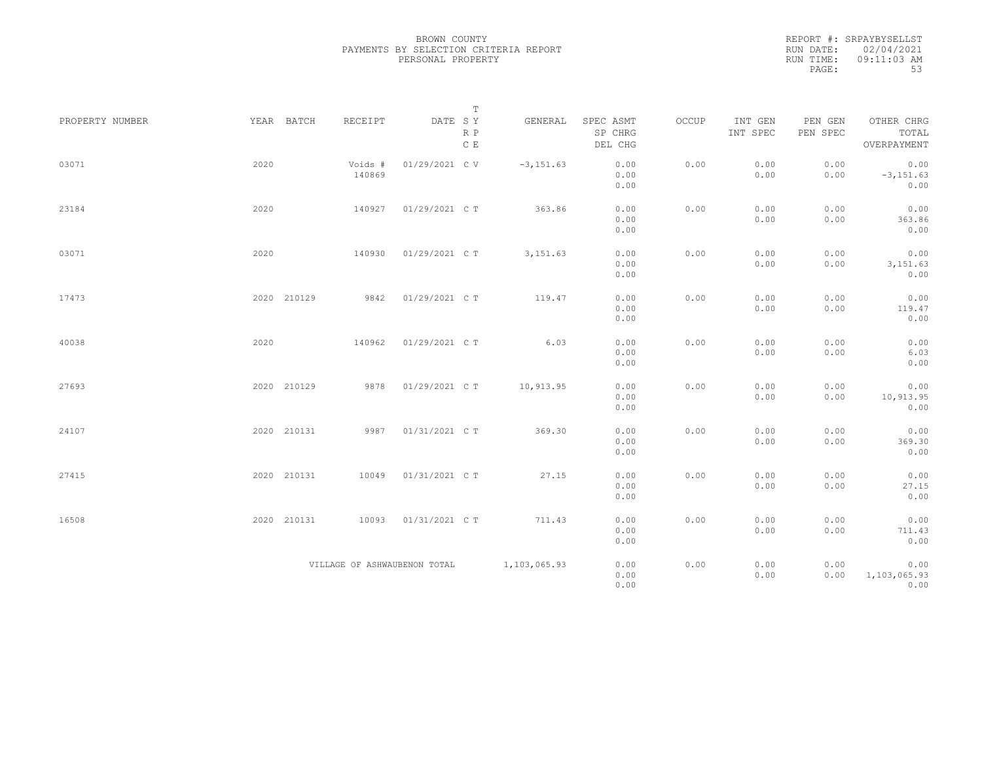REPORT #: SRPAYBYSELLST RUN DATE: 02/04/2021 RUN TIME: 09:11:03 AM PAGE: 53

|                 |      |                              | $\mathbb T$           |              |                                 |       |                     |                     |                                    |
|-----------------|------|------------------------------|-----------------------|--------------|---------------------------------|-------|---------------------|---------------------|------------------------------------|
| PROPERTY NUMBER |      | YEAR BATCH<br>RECEIPT        | DATE SY<br>R P<br>C E | GENERAL      | SPEC ASMT<br>SP CHRG<br>DEL CHG | OCCUP | INT GEN<br>INT SPEC | PEN GEN<br>PEN SPEC | OTHER CHRG<br>TOTAL<br>OVERPAYMENT |
| 03071           | 2020 | Voids #<br>140869            | 01/29/2021 C V        | $-3, 151.63$ | 0.00<br>0.00<br>0.00            | 0.00  | 0.00<br>0.00        | 0.00<br>0.00        | 0.00<br>$-3, 151.63$<br>0.00       |
| 23184           | 2020 | 140927                       | 01/29/2021 C T        | 363.86       | 0.00<br>0.00<br>0.00            | 0.00  | 0.00<br>0.00        | 0.00<br>0.00        | 0.00<br>363.86<br>0.00             |
| 03071           | 2020 | 140930                       | 01/29/2021 C T        | 3, 151.63    | 0.00<br>0.00<br>0.00            | 0.00  | 0.00<br>0.00        | 0.00<br>0.00        | 0.00<br>3,151.63<br>0.00           |
| 17473           |      | 2020 210129<br>9842          | 01/29/2021 C T        | 119.47       | 0.00<br>0.00<br>0.00            | 0.00  | 0.00<br>0.00        | 0.00<br>0.00        | 0.00<br>119.47<br>0.00             |
| 40038           | 2020 | 140962                       | 01/29/2021 C T        | 6.03         | 0.00<br>0.00<br>0.00            | 0.00  | 0.00<br>0.00        | 0.00<br>0.00        | 0.00<br>6.03<br>0.00               |
| 27693           |      | 2020 210129<br>9878          | 01/29/2021 C T        | 10,913.95    | 0.00<br>0.00<br>0.00            | 0.00  | 0.00<br>0.00        | 0.00<br>0.00        | 0.00<br>10,913.95<br>0.00          |
| 24107           |      | 2020 210131<br>9987          | 01/31/2021 C T        | 369.30       | 0.00<br>0.00<br>0.00            | 0.00  | 0.00<br>0.00        | 0.00<br>0.00        | 0.00<br>369.30<br>0.00             |
| 27415           |      | 2020 210131<br>10049         | 01/31/2021 C T        | 27.15        | 0.00<br>0.00<br>0.00            | 0.00  | 0.00<br>0.00        | 0.00<br>0.00        | 0.00<br>27.15<br>0.00              |
| 16508           |      | 2020 210131<br>10093         | 01/31/2021 C T        | 711.43       | 0.00<br>0.00<br>0.00            | 0.00  | 0.00<br>0.00        | 0.00<br>0.00        | 0.00<br>711.43<br>0.00             |
|                 |      | VILLAGE OF ASHWAUBENON TOTAL |                       | 1,103,065.93 | 0.00<br>0.00<br>0.00            | 0.00  | 0.00<br>0.00        | 0.00<br>0.00        | 0.00<br>1,103,065.93<br>0.00       |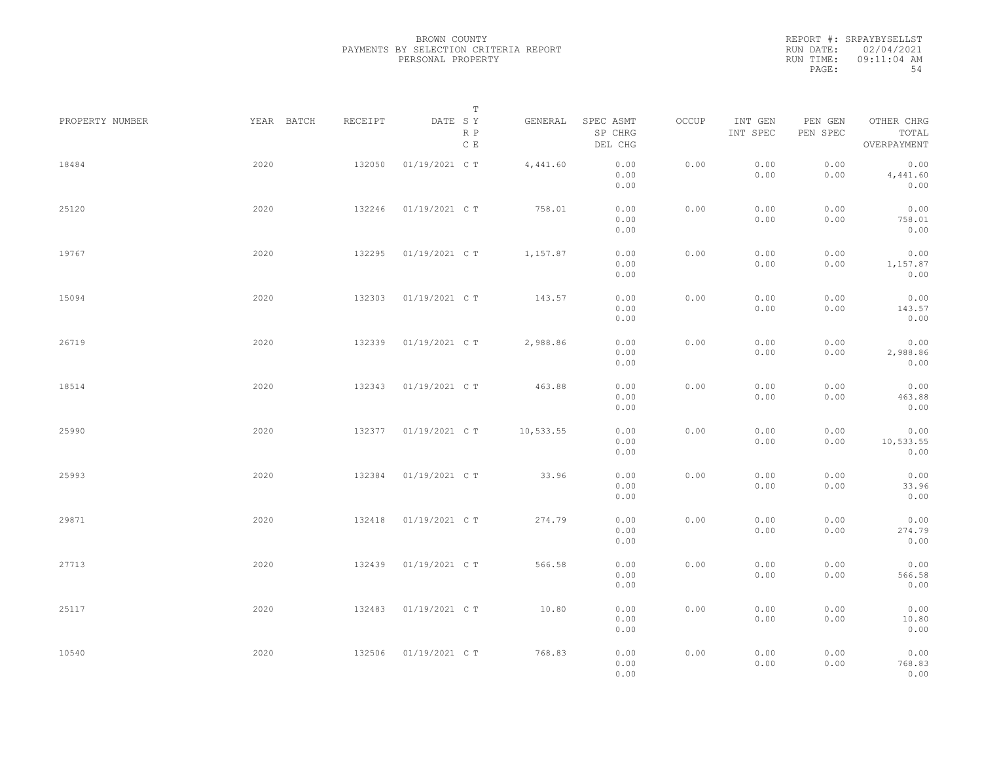REPORT #: SRPAYBYSELLST RUN DATE: 02/04/2021 RUN TIME: 09:11:04 AM PAGE: 54

|                 |            |         | $\mathbb T$                     |           |                                 |       |                     |                     |                                    |  |
|-----------------|------------|---------|---------------------------------|-----------|---------------------------------|-------|---------------------|---------------------|------------------------------------|--|
| PROPERTY NUMBER | YEAR BATCH | RECEIPT | DATE SY<br>R P<br>$\,$ C $\,$ E | GENERAL   | SPEC ASMT<br>SP CHRG<br>DEL CHG | OCCUP | INT GEN<br>INT SPEC | PEN GEN<br>PEN SPEC | OTHER CHRG<br>TOTAL<br>OVERPAYMENT |  |
| 18484           | 2020       | 132050  | 01/19/2021 C T                  | 4,441.60  | 0.00<br>0.00<br>0.00            | 0.00  | 0.00<br>0.00        | 0.00<br>0.00        | 0.00<br>4,441.60<br>0.00           |  |
| 25120           | 2020       | 132246  | 01/19/2021 C T                  | 758.01    | 0.00<br>0.00<br>0.00            | 0.00  | 0.00<br>0.00        | 0.00<br>0.00        | 0.00<br>758.01<br>0.00             |  |
| 19767           | 2020       | 132295  | 01/19/2021 C T                  | 1,157.87  | 0.00<br>0.00<br>0.00            | 0.00  | 0.00<br>0.00        | 0.00<br>0.00        | 0.00<br>1,157.87<br>0.00           |  |
| 15094           | 2020       | 132303  | 01/19/2021 C T                  | 143.57    | 0.00<br>0.00<br>0.00            | 0.00  | 0.00<br>0.00        | 0.00<br>0.00        | 0.00<br>143.57<br>0.00             |  |
| 26719           | 2020       | 132339  | 01/19/2021 C T                  | 2,988.86  | 0.00<br>0.00<br>0.00            | 0.00  | 0.00<br>0.00        | 0.00<br>0.00        | 0.00<br>2,988.86<br>0.00           |  |
| 18514           | 2020       | 132343  | 01/19/2021 C T                  | 463.88    | 0.00<br>0.00<br>0.00            | 0.00  | 0.00<br>0.00        | 0.00<br>0.00        | 0.00<br>463.88<br>0.00             |  |
| 25990           | 2020       | 132377  | 01/19/2021 C T                  | 10,533.55 | 0.00<br>0.00<br>0.00            | 0.00  | 0.00<br>0.00        | 0.00<br>0.00        | 0.00<br>10,533.55<br>0.00          |  |
| 25993           | 2020       | 132384  | 01/19/2021 C T                  | 33.96     | 0.00<br>0.00<br>0.00            | 0.00  | 0.00<br>0.00        | 0.00<br>0.00        | 0.00<br>33.96<br>0.00              |  |
| 29871           | 2020       | 132418  | 01/19/2021 C T                  | 274.79    | 0.00<br>0.00<br>0.00            | 0.00  | 0.00<br>0.00        | 0.00<br>0.00        | 0.00<br>274.79<br>0.00             |  |
| 27713           | 2020       | 132439  | 01/19/2021 C T                  | 566.58    | 0.00<br>0.00<br>0.00            | 0.00  | 0.00<br>0.00        | 0.00<br>0.00        | 0.00<br>566.58<br>0.00             |  |
| 25117           | 2020       | 132483  | 01/19/2021 C T                  | 10.80     | 0.00<br>0.00<br>0.00            | 0.00  | 0.00<br>0.00        | 0.00<br>0.00        | 0.00<br>10.80<br>0.00              |  |
| 10540           | 2020       | 132506  | 01/19/2021 C T                  | 768.83    | 0.00<br>0.00<br>0.00            | 0.00  | 0.00<br>0.00        | 0.00<br>0.00        | 0.00<br>768.83<br>0.00             |  |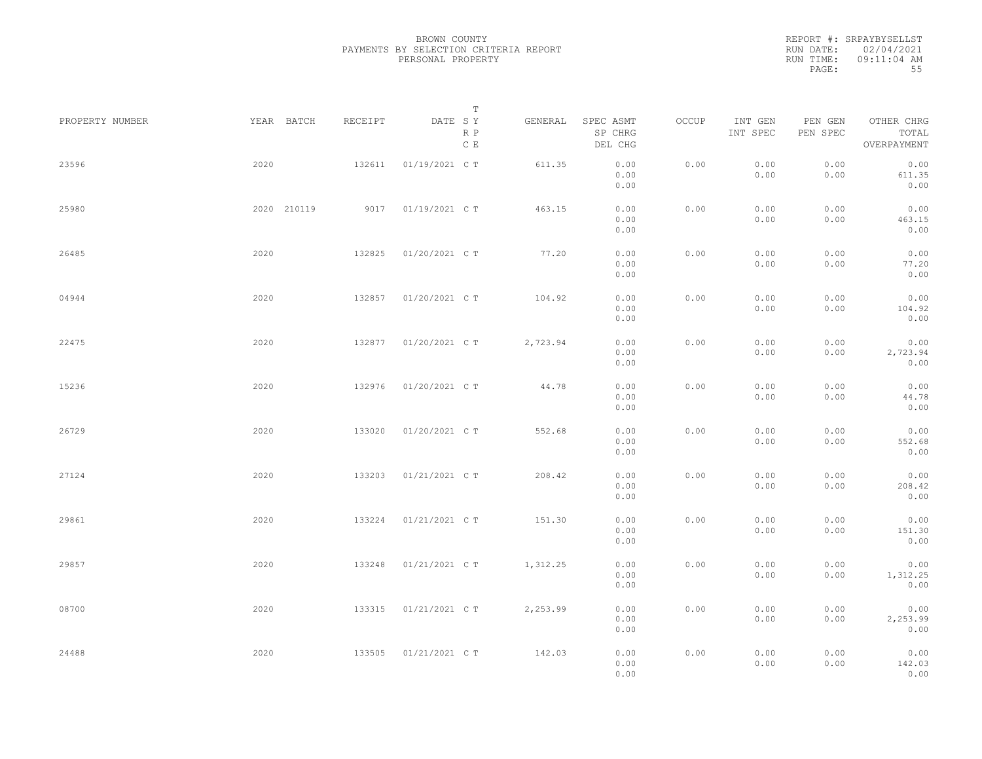REPORT #: SRPAYBYSELLST RUN DATE: 02/04/2021 RUN TIME: 09:11:04 AM PAGE: 55

|                 |             |         | $\mathbb T$           |          |                                 |       |                     |                     |                                    |  |
|-----------------|-------------|---------|-----------------------|----------|---------------------------------|-------|---------------------|---------------------|------------------------------------|--|
| PROPERTY NUMBER | YEAR BATCH  | RECEIPT | DATE SY<br>R P<br>C E | GENERAL  | SPEC ASMT<br>SP CHRG<br>DEL CHG | OCCUP | INT GEN<br>INT SPEC | PEN GEN<br>PEN SPEC | OTHER CHRG<br>TOTAL<br>OVERPAYMENT |  |
| 23596           | 2020        | 132611  | 01/19/2021 C T        | 611.35   | 0.00<br>0.00<br>0.00            | 0.00  | 0.00<br>0.00        | 0.00<br>0.00        | 0.00<br>611.35<br>0.00             |  |
| 25980           | 2020 210119 | 9017    | 01/19/2021 C T        | 463.15   | 0.00<br>0.00<br>0.00            | 0.00  | 0.00<br>0.00        | 0.00<br>0.00        | 0.00<br>463.15<br>0.00             |  |
| 26485           | 2020        | 132825  | 01/20/2021 C T        | 77.20    | 0.00<br>0.00<br>0.00            | 0.00  | 0.00<br>0.00        | 0.00<br>0.00        | 0.00<br>77.20<br>0.00              |  |
| 04944           | 2020        | 132857  | 01/20/2021 C T        | 104.92   | 0.00<br>0.00<br>0.00            | 0.00  | 0.00<br>0.00        | 0.00<br>0.00        | 0.00<br>104.92<br>0.00             |  |
| 22475           | 2020        | 132877  | 01/20/2021 C T        | 2,723.94 | 0.00<br>0.00<br>0.00            | 0.00  | 0.00<br>0.00        | 0.00<br>0.00        | 0.00<br>2,723.94<br>0.00           |  |
| 15236           | 2020        | 132976  | 01/20/2021 C T        | 44.78    | 0.00<br>0.00<br>0.00            | 0.00  | 0.00<br>0.00        | 0.00<br>0.00        | 0.00<br>44.78<br>0.00              |  |
| 26729           | 2020        | 133020  | 01/20/2021 C T        | 552.68   | 0.00<br>0.00<br>0.00            | 0.00  | 0.00<br>0.00        | 0.00<br>0.00        | 0.00<br>552.68<br>0.00             |  |
| 27124           | 2020        | 133203  | 01/21/2021 C T        | 208.42   | 0.00<br>0.00<br>0.00            | 0.00  | 0.00<br>0.00        | 0.00<br>0.00        | 0.00<br>208.42<br>0.00             |  |
| 29861           | 2020        | 133224  | 01/21/2021 C T        | 151.30   | 0.00<br>0.00<br>0.00            | 0.00  | 0.00<br>0.00        | 0.00<br>0.00        | 0.00<br>151.30<br>0.00             |  |
| 29857           | 2020        | 133248  | 01/21/2021 C T        | 1,312.25 | 0.00<br>0.00<br>0.00            | 0.00  | 0.00<br>0.00        | 0.00<br>0.00        | 0.00<br>1,312.25<br>0.00           |  |
| 08700           | 2020        | 133315  | 01/21/2021 C T        | 2,253.99 | 0.00<br>0.00<br>0.00            | 0.00  | 0.00<br>0.00        | 0.00<br>0.00        | 0.00<br>2,253.99<br>0.00           |  |
| 24488           | 2020        | 133505  | 01/21/2021 C T        | 142.03   | 0.00<br>0.00<br>0.00            | 0.00  | 0.00<br>0.00        | 0.00<br>0.00        | 0.00<br>142.03<br>0.00             |  |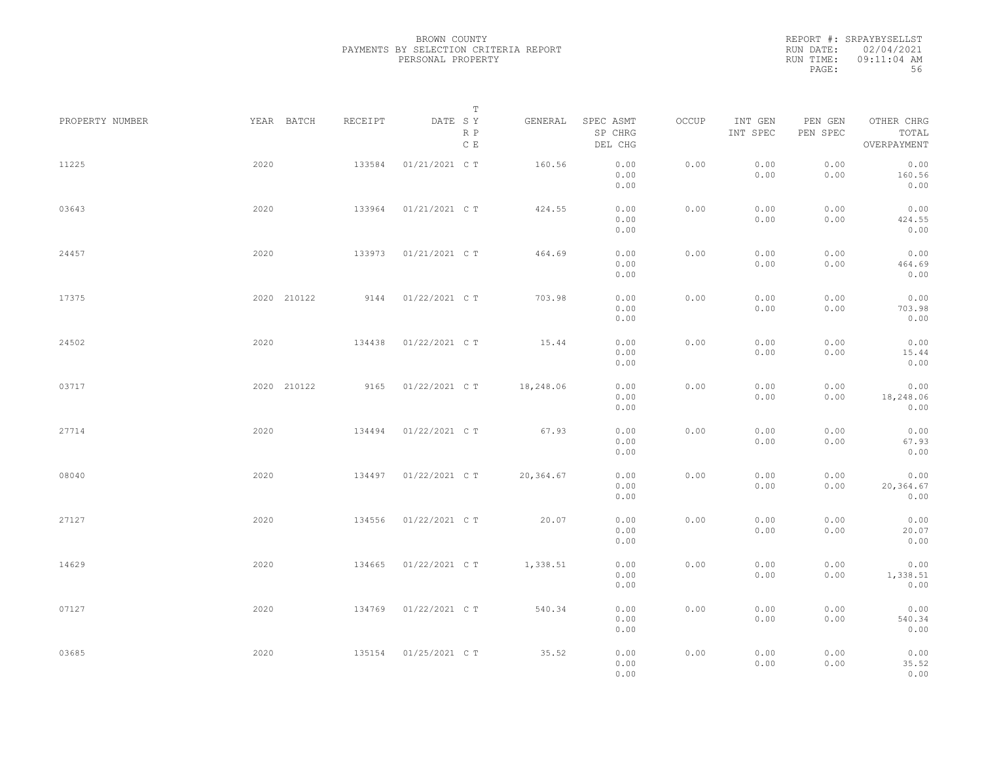REPORT #: SRPAYBYSELLST RUN DATE: 02/04/2021 RUN TIME: 09:11:04 AM PAGE: 56

|                 |             |         | $\mathbb T$                     |           |                                 |       |                     |                     |                                    |  |
|-----------------|-------------|---------|---------------------------------|-----------|---------------------------------|-------|---------------------|---------------------|------------------------------------|--|
| PROPERTY NUMBER | YEAR BATCH  | RECEIPT | DATE SY<br>R P<br>$\,$ C $\,$ E | GENERAL   | SPEC ASMT<br>SP CHRG<br>DEL CHG | OCCUP | INT GEN<br>INT SPEC | PEN GEN<br>PEN SPEC | OTHER CHRG<br>TOTAL<br>OVERPAYMENT |  |
| 11225           | 2020        | 133584  | 01/21/2021 C T                  | 160.56    | 0.00<br>0.00<br>0.00            | 0.00  | 0.00<br>0.00        | 0.00<br>0.00        | 0.00<br>160.56<br>0.00             |  |
| 03643           | 2020        | 133964  | 01/21/2021 C T                  | 424.55    | 0.00<br>0.00<br>0.00            | 0.00  | 0.00<br>0.00        | 0.00<br>0.00        | 0.00<br>424.55<br>0.00             |  |
| 24457           | 2020        | 133973  | 01/21/2021 C T                  | 464.69    | 0.00<br>0.00<br>0.00            | 0.00  | 0.00<br>0.00        | 0.00<br>0.00        | 0.00<br>464.69<br>0.00             |  |
| 17375           | 2020 210122 | 9144    | 01/22/2021 C T                  | 703.98    | 0.00<br>0.00<br>0.00            | 0.00  | 0.00<br>0.00        | 0.00<br>0.00        | 0.00<br>703.98<br>0.00             |  |
| 24502           | 2020        | 134438  | 01/22/2021 C T                  | 15.44     | 0.00<br>0.00<br>0.00            | 0.00  | 0.00<br>0.00        | 0.00<br>0.00        | 0.00<br>15.44<br>0.00              |  |
| 03717           | 2020 210122 | 9165    | 01/22/2021 C T                  | 18,248.06 | 0.00<br>0.00<br>0.00            | 0.00  | 0.00<br>0.00        | 0.00<br>0.00        | 0.00<br>18,248.06<br>0.00          |  |
| 27714           | 2020        | 134494  | 01/22/2021 C T                  | 67.93     | 0.00<br>0.00<br>0.00            | 0.00  | 0.00<br>0.00        | 0.00<br>0.00        | 0.00<br>67.93<br>0.00              |  |
| 08040           | 2020        | 134497  | 01/22/2021 C T                  | 20,364.67 | 0.00<br>0.00<br>0.00            | 0.00  | 0.00<br>0.00        | 0.00<br>0.00        | 0.00<br>20,364.67<br>0.00          |  |
| 27127           | 2020        | 134556  | 01/22/2021 C T                  | 20.07     | 0.00<br>0.00<br>0.00            | 0.00  | 0.00<br>0.00        | 0.00<br>0.00        | 0.00<br>20.07<br>0.00              |  |
| 14629           | 2020        | 134665  | 01/22/2021 C T                  | 1,338.51  | 0.00<br>0.00<br>0.00            | 0.00  | 0.00<br>0.00        | 0.00<br>0.00        | 0.00<br>1,338.51<br>0.00           |  |
| 07127           | 2020        | 134769  | 01/22/2021 C T                  | 540.34    | 0.00<br>0.00<br>0.00            | 0.00  | 0.00<br>0.00        | 0.00<br>0.00        | 0.00<br>540.34<br>0.00             |  |
| 03685           | 2020        | 135154  | 01/25/2021 C T                  | 35.52     | 0.00<br>0.00<br>0.00            | 0.00  | 0.00<br>0.00        | 0.00<br>0.00        | 0.00<br>35.52<br>0.00              |  |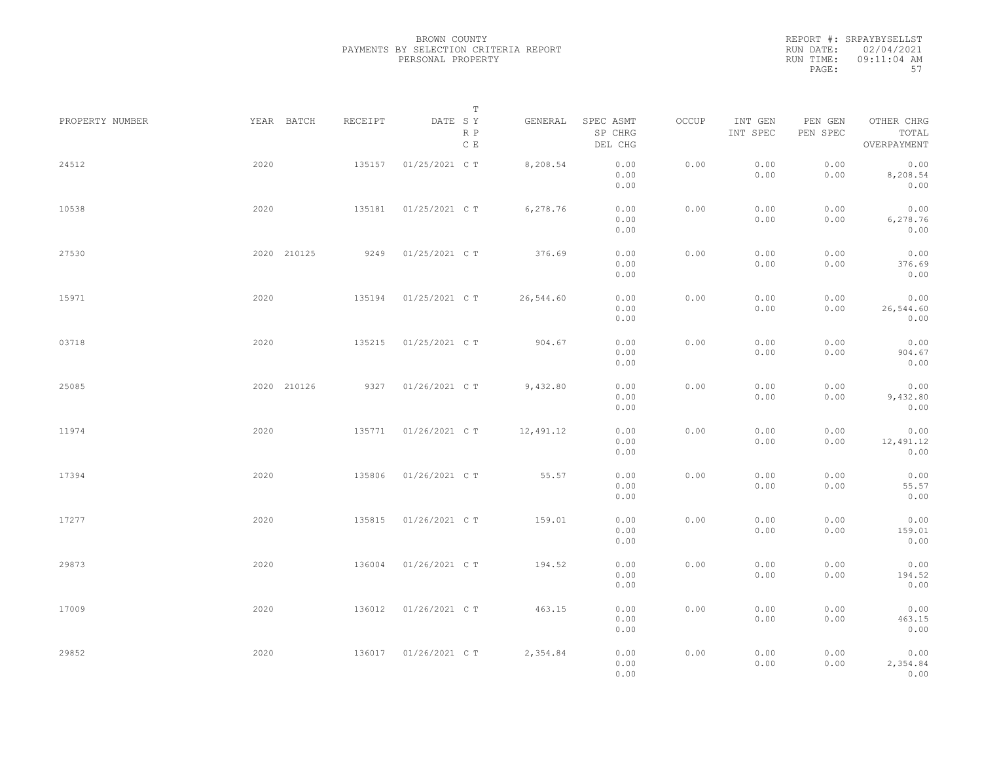REPORT #: SRPAYBYSELLST RUN DATE: 02/04/2021 RUN TIME: 09:11:04 AM PAGE: 57

|                 |             |         | $\mathbb T$           |           |                                 |       |                     |                     |                                    |  |
|-----------------|-------------|---------|-----------------------|-----------|---------------------------------|-------|---------------------|---------------------|------------------------------------|--|
| PROPERTY NUMBER | YEAR BATCH  | RECEIPT | DATE SY<br>R P<br>C E | GENERAL   | SPEC ASMT<br>SP CHRG<br>DEL CHG | OCCUP | INT GEN<br>INT SPEC | PEN GEN<br>PEN SPEC | OTHER CHRG<br>TOTAL<br>OVERPAYMENT |  |
| 24512           | 2020        | 135157  | 01/25/2021 C T        | 8,208.54  | 0.00<br>0.00<br>0.00            | 0.00  | 0.00<br>0.00        | 0.00<br>0.00        | 0.00<br>8,208.54<br>0.00           |  |
| 10538           | 2020        | 135181  | 01/25/2021 C T        | 6,278.76  | 0.00<br>0.00<br>0.00            | 0.00  | 0.00<br>0.00        | 0.00<br>0.00        | 0.00<br>6,278.76<br>0.00           |  |
| 27530           | 2020 210125 | 9249    | 01/25/2021 C T        | 376.69    | 0.00<br>0.00<br>0.00            | 0.00  | 0.00<br>0.00        | 0.00<br>0.00        | 0.00<br>376.69<br>0.00             |  |
| 15971           | 2020        | 135194  | 01/25/2021 C T        | 26,544.60 | 0.00<br>0.00<br>0.00            | 0.00  | 0.00<br>0.00        | 0.00<br>0.00        | 0.00<br>26,544.60<br>0.00          |  |
| 03718           | 2020        | 135215  | 01/25/2021 C T        | 904.67    | 0.00<br>0.00<br>0.00            | 0.00  | 0.00<br>0.00        | 0.00<br>0.00        | 0.00<br>904.67<br>0.00             |  |
| 25085           | 2020 210126 | 9327    | 01/26/2021 C T        | 9,432.80  | 0.00<br>0.00<br>0.00            | 0.00  | 0.00<br>0.00        | 0.00<br>0.00        | 0.00<br>9,432.80<br>0.00           |  |
| 11974           | 2020        | 135771  | 01/26/2021 C T        | 12,491.12 | 0.00<br>0.00<br>0.00            | 0.00  | 0.00<br>0.00        | 0.00<br>0.00        | 0.00<br>12,491.12<br>0.00          |  |
| 17394           | 2020        | 135806  | 01/26/2021 C T        | 55.57     | 0.00<br>0.00<br>0.00            | 0.00  | 0.00<br>0.00        | 0.00<br>0.00        | 0.00<br>55.57<br>0.00              |  |
| 17277           | 2020        | 135815  | 01/26/2021 C T        | 159.01    | 0.00<br>0.00<br>0.00            | 0.00  | 0.00<br>0.00        | 0.00<br>0.00        | 0.00<br>159.01<br>0.00             |  |
| 29873           | 2020        | 136004  | 01/26/2021 C T        | 194.52    | 0.00<br>0.00<br>0.00            | 0.00  | 0.00<br>0.00        | 0.00<br>0.00        | 0.00<br>194.52<br>0.00             |  |
| 17009           | 2020        | 136012  | 01/26/2021 C T        | 463.15    | 0.00<br>0.00<br>0.00            | 0.00  | 0.00<br>0.00        | 0.00<br>0.00        | 0.00<br>463.15<br>0.00             |  |
| 29852           | 2020        |         | 136017 01/26/2021 C T | 2,354.84  | 0.00<br>0.00<br>0.00            | 0.00  | 0.00<br>0.00        | 0.00<br>0.00        | 0.00<br>2,354.84<br>0.00           |  |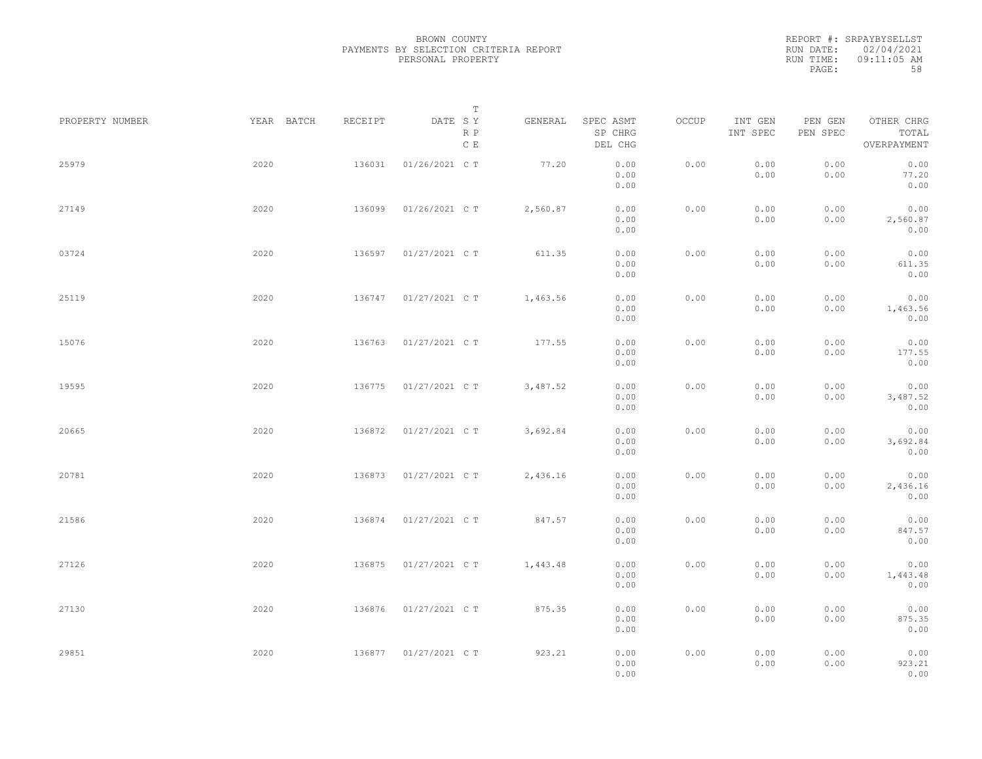|           | REPORT #: SRPAYBYSELLST |
|-----------|-------------------------|
|           | RUN DATE: 02/04/2021    |
| RUN TIME: | $09:11:05$ AM           |
| PAGE:     | 58                      |

|                 |            |         | T                               |          |                                 |       |                     |                     |                                    |  |
|-----------------|------------|---------|---------------------------------|----------|---------------------------------|-------|---------------------|---------------------|------------------------------------|--|
| PROPERTY NUMBER | YEAR BATCH | RECEIPT | DATE SY<br>R P<br>$\,$ C $\,$ E | GENERAL  | SPEC ASMT<br>SP CHRG<br>DEL CHG | OCCUP | INT GEN<br>INT SPEC | PEN GEN<br>PEN SPEC | OTHER CHRG<br>TOTAL<br>OVERPAYMENT |  |
| 25979           | 2020       | 136031  | 01/26/2021 C T                  | 77.20    | 0.00<br>0.00<br>0.00            | 0.00  | 0.00<br>0.00        | 0.00<br>0.00        | 0.00<br>77.20<br>0.00              |  |
| 27149           | 2020       | 136099  | 01/26/2021 C T                  | 2,560.87 | 0.00<br>0.00<br>0.00            | 0.00  | 0.00<br>0.00        | 0.00<br>0.00        | 0.00<br>2,560.87<br>0.00           |  |
| 03724           | 2020       | 136597  | 01/27/2021 C T                  | 611.35   | 0.00<br>0.00<br>0.00            | 0.00  | 0.00<br>0.00        | 0.00<br>0.00        | 0.00<br>611.35<br>0.00             |  |
| 25119           | 2020       | 136747  | 01/27/2021 C T                  | 1,463.56 | 0.00<br>0.00<br>0.00            | 0.00  | 0.00<br>0.00        | 0.00<br>0.00        | 0.00<br>1,463.56<br>0.00           |  |
| 15076           | 2020       | 136763  | 01/27/2021 C T                  | 177.55   | 0.00<br>0.00<br>0.00            | 0.00  | 0.00<br>0.00        | 0.00<br>0.00        | 0.00<br>177.55<br>0.00             |  |
| 19595           | 2020       | 136775  | 01/27/2021 C T                  | 3,487.52 | 0.00<br>0.00<br>0.00            | 0.00  | 0.00<br>0.00        | 0.00<br>0.00        | 0.00<br>3,487.52<br>0.00           |  |
| 20665           | 2020       | 136872  | 01/27/2021 C T                  | 3,692.84 | 0.00<br>0.00<br>0.00            | 0.00  | 0.00<br>0.00        | 0.00<br>0.00        | 0.00<br>3,692.84<br>0.00           |  |
| 20781           | 2020       | 136873  | 01/27/2021 C T                  | 2,436.16 | 0.00<br>0.00<br>0.00            | 0.00  | 0.00<br>0.00        | 0.00<br>0.00        | 0.00<br>2,436.16<br>0.00           |  |
| 21586           | 2020       | 136874  | 01/27/2021 C T                  | 847.57   | 0.00<br>0.00<br>0.00            | 0.00  | 0.00<br>0.00        | 0.00<br>0.00        | 0.00<br>847.57<br>0.00             |  |
| 27126           | 2020       | 136875  | 01/27/2021 C T                  | 1,443.48 | 0.00<br>0.00<br>0.00            | 0.00  | 0.00<br>0.00        | 0.00<br>0.00        | 0.00<br>1,443.48<br>0.00           |  |
| 27130           | 2020       | 136876  | 01/27/2021 C T                  | 875.35   | 0.00<br>0.00<br>0.00            | 0.00  | 0.00<br>0.00        | 0.00<br>0.00        | 0.00<br>875.35<br>0.00             |  |
| 29851           | 2020       | 136877  | 01/27/2021 C T                  | 923.21   | 0.00<br>0.00<br>0.00            | 0.00  | 0.00<br>0.00        | 0.00<br>0.00        | 0.00<br>923.21<br>0.00             |  |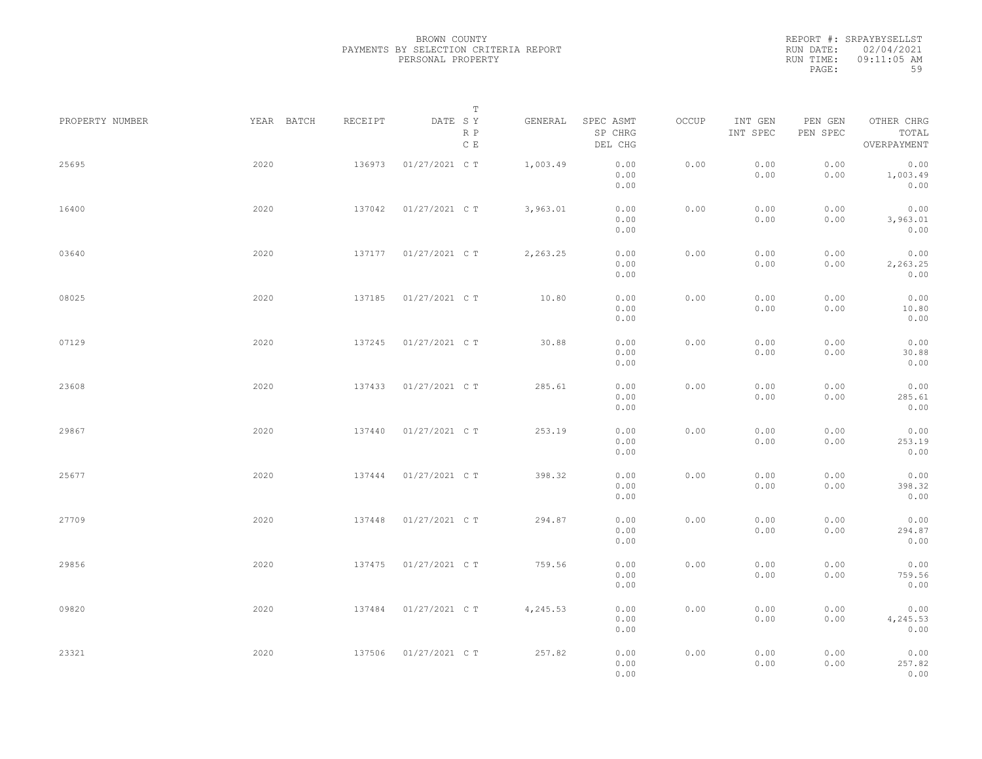|           | REPORT #: SRPAYBYSELLST |
|-----------|-------------------------|
|           | RUN DATE: 02/04/2021    |
| RUN TIME: | $09:11:05$ AM           |
| PAGE:     | 59                      |

|                 |            |         | $\mathbb T$           |          |                                 |       |                     |                     |                                    |  |
|-----------------|------------|---------|-----------------------|----------|---------------------------------|-------|---------------------|---------------------|------------------------------------|--|
| PROPERTY NUMBER | YEAR BATCH | RECEIPT | DATE SY<br>R P<br>C E | GENERAL  | SPEC ASMT<br>SP CHRG<br>DEL CHG | OCCUP | INT GEN<br>INT SPEC | PEN GEN<br>PEN SPEC | OTHER CHRG<br>TOTAL<br>OVERPAYMENT |  |
| 25695           | 2020       | 136973  | 01/27/2021 C T        | 1,003.49 | 0.00<br>0.00<br>0.00            | 0.00  | 0.00<br>0.00        | 0.00<br>0.00        | 0.00<br>1,003.49<br>0.00           |  |
| 16400           | 2020       | 137042  | 01/27/2021 C T        | 3,963.01 | 0.00<br>0.00<br>0.00            | 0.00  | 0.00<br>0.00        | 0.00<br>0.00        | 0.00<br>3,963.01<br>0.00           |  |
| 03640           | 2020       | 137177  | 01/27/2021 C T        | 2,263.25 | 0.00<br>0.00<br>0.00            | 0.00  | 0.00<br>0.00        | 0.00<br>0.00        | 0.00<br>2,263.25<br>0.00           |  |
| 08025           | 2020       | 137185  | 01/27/2021 C T        | 10.80    | 0.00<br>0.00<br>0.00            | 0.00  | 0.00<br>0.00        | 0.00<br>0.00        | 0.00<br>10.80<br>0.00              |  |
| 07129           | 2020       | 137245  | 01/27/2021 C T        | 30.88    | 0.00<br>0.00<br>0.00            | 0.00  | 0.00<br>0.00        | 0.00<br>0.00        | 0.00<br>30.88<br>0.00              |  |
| 23608           | 2020       | 137433  | 01/27/2021 C T        | 285.61   | 0.00<br>0.00<br>0.00            | 0.00  | 0.00<br>0.00        | 0.00<br>0.00        | 0.00<br>285.61<br>0.00             |  |
| 29867           | 2020       | 137440  | 01/27/2021 C T        | 253.19   | 0.00<br>0.00<br>0.00            | 0.00  | 0.00<br>0.00        | 0.00<br>0.00        | 0.00<br>253.19<br>0.00             |  |
| 25677           | 2020       | 137444  | 01/27/2021 C T        | 398.32   | 0.00<br>0.00<br>0.00            | 0.00  | 0.00<br>0.00        | 0.00<br>0.00        | 0.00<br>398.32<br>0.00             |  |
| 27709           | 2020       | 137448  | 01/27/2021 C T        | 294.87   | 0.00<br>0.00<br>0.00            | 0.00  | 0.00<br>0.00        | 0.00<br>0.00        | 0.00<br>294.87<br>0.00             |  |
| 29856           | 2020       | 137475  | 01/27/2021 C T        | 759.56   | 0.00<br>0.00<br>0.00            | 0.00  | 0.00<br>0.00        | 0.00<br>0.00        | 0.00<br>759.56<br>0.00             |  |
| 09820           | 2020       | 137484  | 01/27/2021 C T        | 4,245.53 | 0.00<br>0.00<br>0.00            | 0.00  | 0.00<br>0.00        | 0.00<br>0.00        | 0.00<br>4,245.53<br>0.00           |  |
| 23321           | 2020       | 137506  | 01/27/2021 C T        | 257.82   | 0.00<br>0.00<br>0.00            | 0.00  | 0.00<br>0.00        | 0.00<br>0.00        | 0.00<br>257.82<br>0.00             |  |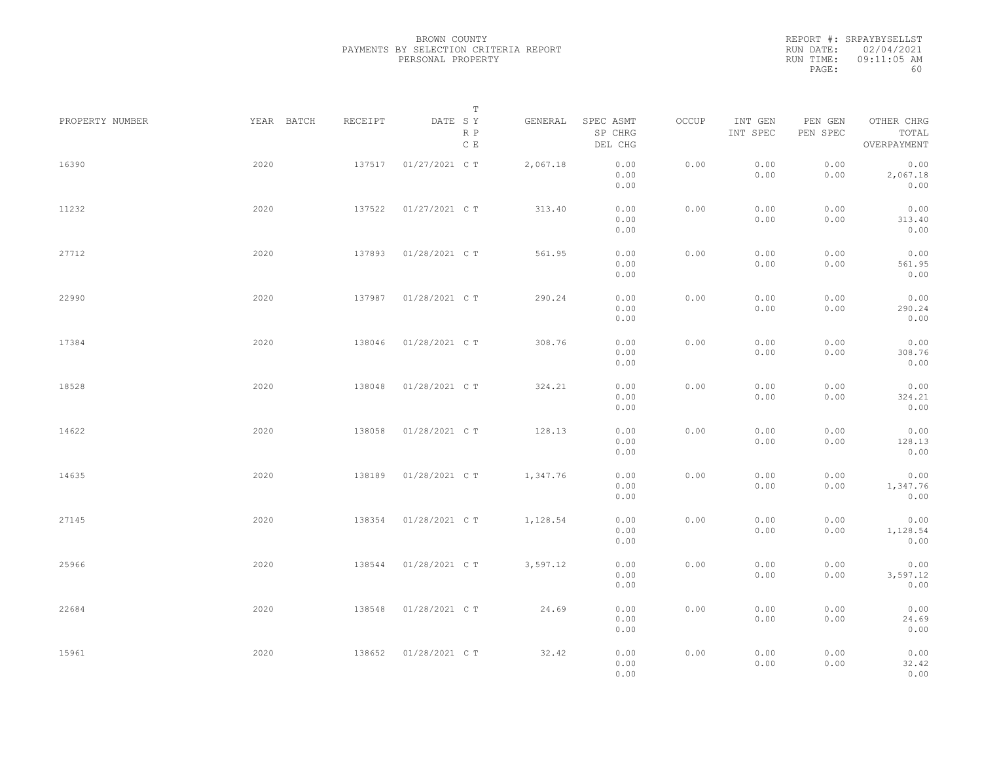|           | REPORT #: SRPAYBYSELLST |
|-----------|-------------------------|
|           | RUN DATE: 02/04/2021    |
| RUN TIME: | $09:11:05$ AM           |
| PAGE:     | 60                      |

|                 |            |         | T                               |          |                                 |       |                     |                     |                                    |  |
|-----------------|------------|---------|---------------------------------|----------|---------------------------------|-------|---------------------|---------------------|------------------------------------|--|
| PROPERTY NUMBER | YEAR BATCH | RECEIPT | DATE SY<br>R P<br>$\,$ C $\,$ E | GENERAL  | SPEC ASMT<br>SP CHRG<br>DEL CHG | OCCUP | INT GEN<br>INT SPEC | PEN GEN<br>PEN SPEC | OTHER CHRG<br>TOTAL<br>OVERPAYMENT |  |
| 16390           | 2020       | 137517  | 01/27/2021 C T                  | 2,067.18 | 0.00<br>0.00<br>0.00            | 0.00  | 0.00<br>0.00        | 0.00<br>0.00        | 0.00<br>2,067.18<br>0.00           |  |
| 11232           | 2020       | 137522  | 01/27/2021 C T                  | 313.40   | 0.00<br>0.00<br>0.00            | 0.00  | 0.00<br>0.00        | 0.00<br>0.00        | 0.00<br>313.40<br>0.00             |  |
| 27712           | 2020       | 137893  | 01/28/2021 C T                  | 561.95   | 0.00<br>0.00<br>0.00            | 0.00  | 0.00<br>0.00        | 0.00<br>0.00        | 0.00<br>561.95<br>0.00             |  |
| 22990           | 2020       | 137987  | 01/28/2021 C T                  | 290.24   | 0.00<br>0.00<br>0.00            | 0.00  | 0.00<br>0.00        | 0.00<br>0.00        | 0.00<br>290.24<br>0.00             |  |
| 17384           | 2020       | 138046  | 01/28/2021 C T                  | 308.76   | 0.00<br>0.00<br>0.00            | 0.00  | 0.00<br>0.00        | 0.00<br>0.00        | 0.00<br>308.76<br>0.00             |  |
| 18528           | 2020       | 138048  | 01/28/2021 C T                  | 324.21   | 0.00<br>0.00<br>0.00            | 0.00  | 0.00<br>0.00        | 0.00<br>0.00        | 0.00<br>324.21<br>0.00             |  |
| 14622           | 2020       | 138058  | 01/28/2021 C T                  | 128.13   | 0.00<br>0.00<br>0.00            | 0.00  | 0.00<br>0.00        | 0.00<br>0.00        | 0.00<br>128.13<br>0.00             |  |
| 14635           | 2020       | 138189  | 01/28/2021 C T                  | 1,347.76 | 0.00<br>0.00<br>0.00            | 0.00  | 0.00<br>0.00        | 0.00<br>0.00        | 0.00<br>1,347.76<br>0.00           |  |
| 27145           | 2020       | 138354  | 01/28/2021 C T                  | 1,128.54 | 0.00<br>0.00<br>0.00            | 0.00  | 0.00<br>0.00        | 0.00<br>0.00        | 0.00<br>1,128.54<br>0.00           |  |
| 25966           | 2020       | 138544  | 01/28/2021 C T                  | 3,597.12 | 0.00<br>0.00<br>0.00            | 0.00  | 0.00<br>0.00        | 0.00<br>0.00        | 0.00<br>3,597.12<br>0.00           |  |
| 22684           | 2020       | 138548  | 01/28/2021 C T                  | 24.69    | 0.00<br>0.00<br>0.00            | 0.00  | 0.00<br>0.00        | 0.00<br>0.00        | 0.00<br>24.69<br>0.00              |  |
| 15961           | 2020       | 138652  | 01/28/2021 C T                  | 32.42    | 0.00<br>0.00<br>0.00            | 0.00  | 0.00<br>0.00        | 0.00<br>0.00        | 0.00<br>32.42<br>0.00              |  |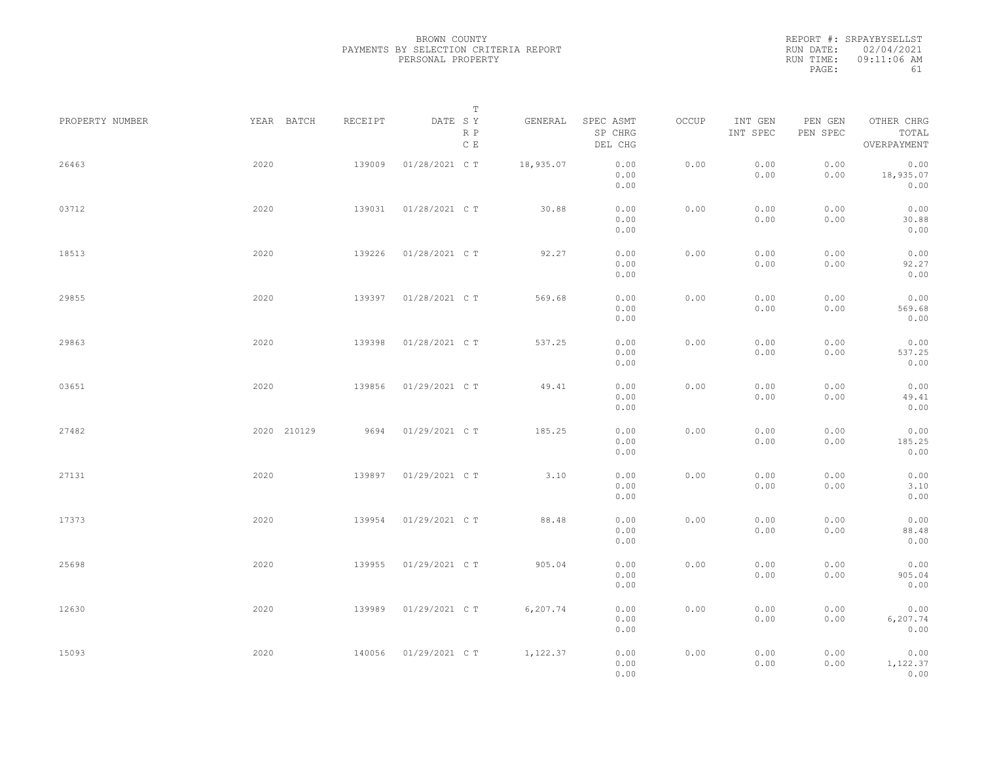|           | REPORT #: SRPAYBYSELLST |
|-----------|-------------------------|
|           | RUN DATE: 02/04/2021    |
| RUN TIME: | 09:11:06 AM             |
| PAGE:     | 61                      |

|                 |      |                       |                        | $\mathbb T$           |           |                                 |       |                     |                     |                                    |  |
|-----------------|------|-----------------------|------------------------|-----------------------|-----------|---------------------------------|-------|---------------------|---------------------|------------------------------------|--|
| PROPERTY NUMBER |      | YEAR BATCH<br>RECEIPT |                        | DATE SY<br>R P<br>C E | GENERAL   | SPEC ASMT<br>SP CHRG<br>DEL CHG | OCCUP | INT GEN<br>INT SPEC | PEN GEN<br>PEN SPEC | OTHER CHRG<br>TOTAL<br>OVERPAYMENT |  |
| 26463           | 2020 | 139009                | 01/28/2021 C T         |                       | 18,935.07 | 0.00<br>0.00<br>0.00            | 0.00  | 0.00<br>0.00        | 0.00<br>0.00        | 0.00<br>18,935.07<br>0.00          |  |
| 03712           | 2020 | 139031                | 01/28/2021 C T         |                       | 30.88     | 0.00<br>0.00<br>0.00            | 0.00  | 0.00<br>0.00        | 0.00<br>0.00        | 0.00<br>30.88<br>0.00              |  |
| 18513           | 2020 | 139226                | 01/28/2021 C T         |                       | 92.27     | 0.00<br>0.00<br>0.00            | 0.00  | 0.00<br>0.00        | 0.00<br>0.00        | 0.00<br>92.27<br>0.00              |  |
| 29855           | 2020 | 139397                | 01/28/2021 C T         |                       | 569.68    | 0.00<br>0.00<br>0.00            | 0.00  | 0.00<br>0.00        | 0.00<br>0.00        | 0.00<br>569.68<br>0.00             |  |
| 29863           | 2020 | 139398                | 01/28/2021 C T         |                       | 537.25    | 0.00<br>0.00<br>0.00            | 0.00  | 0.00<br>0.00        | 0.00<br>0.00        | 0.00<br>537.25<br>0.00             |  |
| 03651           | 2020 | 139856                | 01/29/2021 C T         |                       | 49.41     | 0.00<br>0.00<br>0.00            | 0.00  | 0.00<br>0.00        | 0.00<br>0.00        | 0.00<br>49.41<br>0.00              |  |
| 27482           |      | 2020 210129           | 9694<br>01/29/2021 C T |                       | 185.25    | 0.00<br>0.00                    | 0.00  | 0.00<br>0.00        | 0.00<br>0.00        | 0.00<br>185.25                     |  |
| 27131           | 2020 | 139897                | 01/29/2021 C T         |                       | 3.10      | 0.00<br>0.00<br>0.00            | 0.00  | 0.00<br>0.00        | 0.00<br>0.00        | 0.00<br>0.00<br>3.10               |  |
| 17373           | 2020 | 139954                | 01/29/2021 C T         |                       | 88.48     | 0.00<br>0.00<br>0.00            | 0.00  | 0.00<br>0.00        | 0.00<br>0.00        | 0.00<br>0.00<br>88.48              |  |
| 25698           | 2020 | 139955                | 01/29/2021 C T         |                       | 905.04    | 0.00<br>0.00<br>0.00            | 0.00  | 0.00<br>0.00        | 0.00<br>0.00        | 0.00<br>0.00<br>905.04             |  |
| 12630           | 2020 | 139989                | 01/29/2021 C T         |                       | 6,207.74  | 0.00<br>0.00<br>0.00            | 0.00  | 0.00<br>0.00        | 0.00<br>0.00        | 0.00<br>0.00<br>6,207.74           |  |
| 15093           | 2020 | 140056                | 01/29/2021 C T         |                       | 1,122.37  | 0.00<br>0.00                    | 0.00  | 0.00                | 0.00                | 0.00<br>0.00                       |  |
|                 |      |                       |                        |                       |           | 0.00<br>0.00                    |       | 0.00                | 0.00                | 1,122.37<br>0.00                   |  |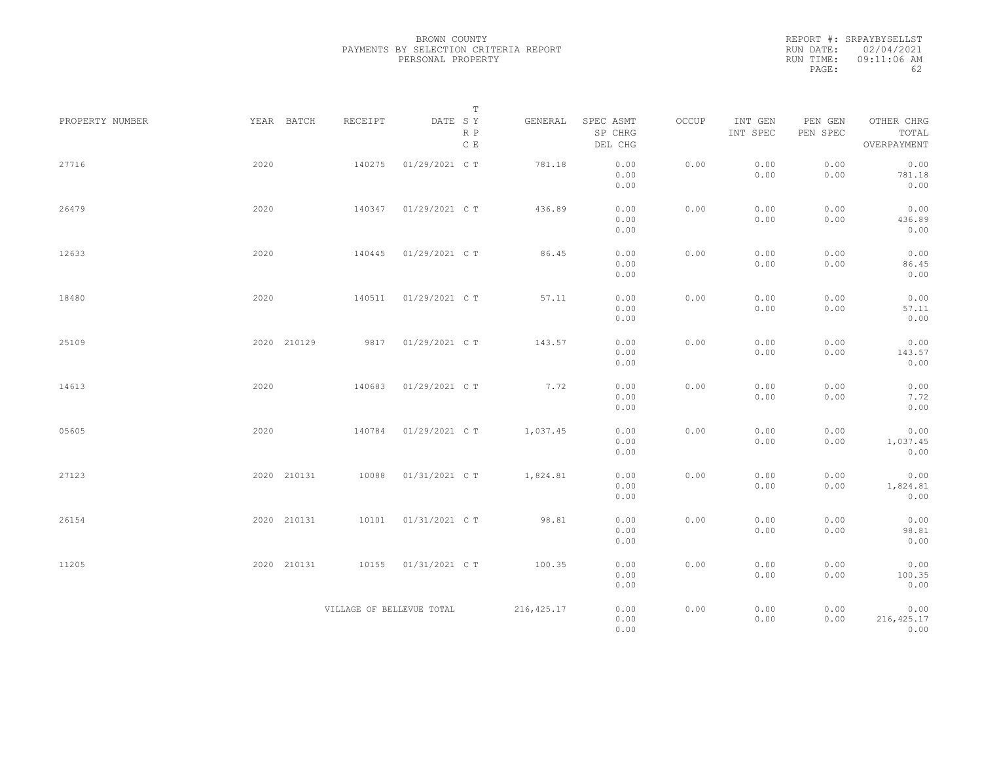REPORT #: SRPAYBYSELLST RUN DATE: 02/04/2021 RUN TIME: 09:11:06 AM PAGE: 62

|                 |             |                           | $\mathbb T$           |             |                                 |       |                     |                     |                                    |
|-----------------|-------------|---------------------------|-----------------------|-------------|---------------------------------|-------|---------------------|---------------------|------------------------------------|
| PROPERTY NUMBER | YEAR BATCH  | RECEIPT                   | DATE SY<br>R P<br>C E | GENERAL     | SPEC ASMT<br>SP CHRG<br>DEL CHG | OCCUP | INT GEN<br>INT SPEC | PEN GEN<br>PEN SPEC | OTHER CHRG<br>TOTAL<br>OVERPAYMENT |
| 27716           | 2020        | 140275                    | 01/29/2021 C T        | 781.18      | 0.00<br>0.00<br>0.00            | 0.00  | 0.00<br>0.00        | 0.00<br>0.00        | 0.00<br>781.18<br>0.00             |
| 26479           | 2020        | 140347                    | 01/29/2021 C T        | 436.89      | 0.00<br>0.00<br>0.00            | 0.00  | 0.00<br>0.00        | 0.00<br>0.00        | 0.00<br>436.89<br>0.00             |
| 12633           | 2020        | 140445                    | 01/29/2021 C T        | 86.45       | 0.00<br>0.00<br>0.00            | 0.00  | 0.00<br>0.00        | 0.00<br>0.00        | 0.00<br>86.45<br>0.00              |
| 18480           | 2020        | 140511                    | 01/29/2021 C T        | 57.11       | 0.00<br>0.00<br>0.00            | 0.00  | 0.00<br>0.00        | 0.00<br>0.00        | 0.00<br>57.11<br>0.00              |
| 25109           | 2020 210129 | 9817                      | 01/29/2021 C T        | 143.57      | 0.00<br>0.00<br>0.00            | 0.00  | 0.00<br>0.00        | 0.00<br>0.00        | 0.00<br>143.57<br>0.00             |
| 14613           | 2020        | 140683                    | 01/29/2021 C T        | 7.72        | 0.00<br>0.00<br>0.00            | 0.00  | 0.00<br>0.00        | 0.00<br>0.00        | 0.00<br>7.72<br>0.00               |
| 05605           | 2020        | 140784                    | 01/29/2021 C T        | 1,037.45    | 0.00<br>0.00<br>0.00            | 0.00  | 0.00<br>0.00        | 0.00<br>0.00        | 0.00<br>1,037.45<br>0.00           |
| 27123           | 2020 210131 | 10088                     | 01/31/2021 C T        | 1,824.81    | 0.00<br>0.00<br>0.00            | 0.00  | 0.00<br>0.00        | 0.00<br>0.00        | 0.00<br>1,824.81<br>0.00           |
| 26154           | 2020 210131 | 10101                     | 01/31/2021 C T        | 98.81       | 0.00<br>0.00<br>0.00            | 0.00  | 0.00<br>0.00        | 0.00<br>0.00        | 0.00<br>98.81<br>0.00              |
| 11205           | 2020 210131 | 10155                     | 01/31/2021 C T        | 100.35      | 0.00<br>0.00<br>0.00            | 0.00  | 0.00<br>0.00        | 0.00<br>0.00        | 0.00<br>100.35<br>0.00             |
|                 |             | VILLAGE OF BELLEVUE TOTAL |                       | 216, 425.17 | 0.00<br>0.00<br>0.00            | 0.00  | 0.00<br>0.00        | 0.00<br>0.00        | 0.00<br>216, 425.17<br>0.00        |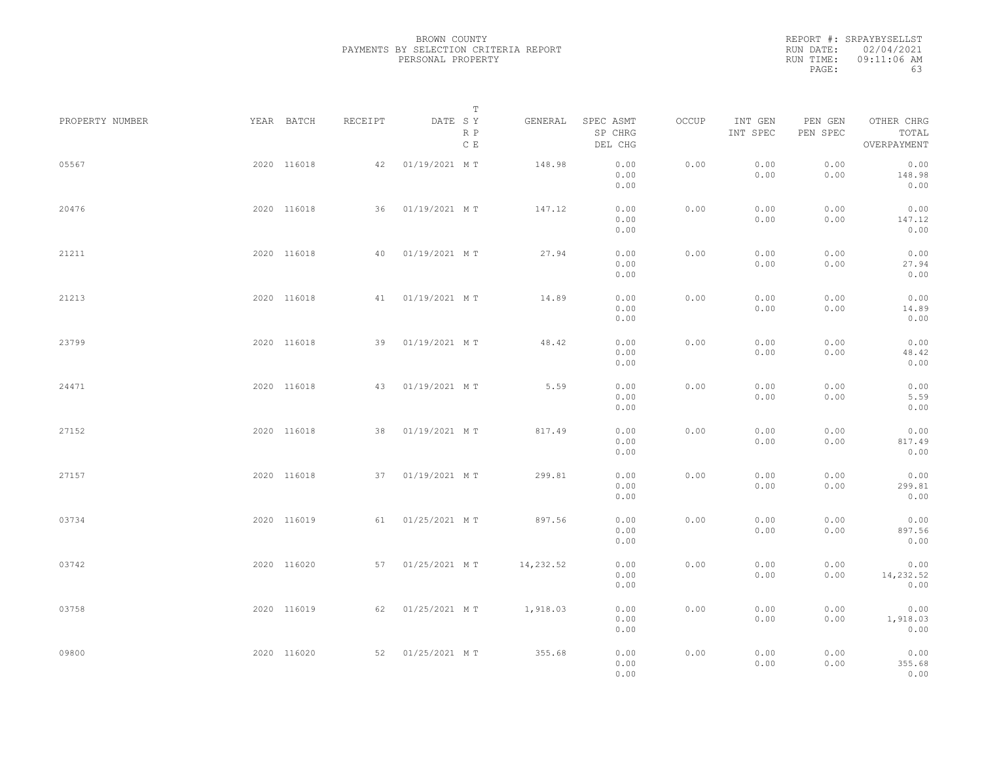| REPORT #: SRPAYBYSELLST |
|-------------------------|
| RUN DATE: 02/04/2021    |
| 09:11:06 AM             |
| 63                      |
|                         |

| PROPERTY NUMBER | YEAR BATCH  | RECEIPT | DATE SY          | T<br>R P<br>C E | GENERAL   | SPEC ASMT<br>SP CHRG<br>DEL CHG | OCCUP | INT GEN<br>INT SPEC | PEN GEN<br>PEN SPEC | OTHER CHRG<br>TOTAL<br>OVERPAYMENT |  |
|-----------------|-------------|---------|------------------|-----------------|-----------|---------------------------------|-------|---------------------|---------------------|------------------------------------|--|
| 05567           | 2020 116018 | 42      | 01/19/2021 MT    |                 | 148.98    | 0.00<br>0.00<br>0.00            | 0.00  | 0.00<br>0.00        | 0.00<br>0.00        | 0.00<br>148.98<br>0.00             |  |
| 20476           | 2020 116018 |         | 36 01/19/2021 MT |                 | 147.12    | 0.00<br>0.00<br>0.00            | 0.00  | 0.00<br>0.00        | 0.00<br>0.00        | 0.00<br>147.12<br>0.00             |  |
| 21211           | 2020 116018 | 40      | 01/19/2021 MT    |                 | 27.94     | 0.00<br>0.00<br>0.00            | 0.00  | 0.00<br>0.00        | 0.00<br>0.00        | 0.00<br>27.94<br>0.00              |  |
| 21213           | 2020 116018 |         | 41 01/19/2021 MT |                 | 14.89     | 0.00<br>0.00<br>0.00            | 0.00  | 0.00<br>0.00        | 0.00<br>0.00        | 0.00<br>14.89<br>0.00              |  |
| 23799           | 2020 116018 |         | 39 01/19/2021 MT |                 | 48.42     | 0.00<br>0.00<br>0.00            | 0.00  | 0.00<br>0.00        | 0.00<br>0.00        | 0.00<br>48.42<br>0.00              |  |
| 24471           | 2020 116018 | 43      | 01/19/2021 MT    |                 | 5.59      | 0.00<br>0.00<br>0.00            | 0.00  | 0.00<br>0.00        | 0.00<br>0.00        | 0.00<br>5.59<br>0.00               |  |
| 27152           | 2020 116018 |         | 38 01/19/2021 MT |                 | 817.49    | 0.00<br>0.00<br>0.00            | 0.00  | 0.00<br>0.00        | 0.00<br>0.00        | 0.00<br>817.49<br>0.00             |  |
| 27157           | 2020 116018 |         | 37 01/19/2021 MT |                 | 299.81    | 0.00<br>0.00<br>0.00            | 0.00  | 0.00<br>0.00        | 0.00<br>0.00        | 0.00<br>299.81<br>0.00             |  |
| 03734           | 2020 116019 |         | 61 01/25/2021 MT |                 | 897.56    | 0.00<br>0.00<br>0.00            | 0.00  | 0.00<br>0.00        | 0.00<br>0.00        | 0.00<br>897.56<br>0.00             |  |
| 03742           | 2020 116020 |         | 57 01/25/2021 MT |                 | 14,232.52 | 0.00<br>0.00<br>0.00            | 0.00  | 0.00<br>0.00        | 0.00<br>0.00        | 0.00<br>14,232.52<br>0.00          |  |
| 03758           | 2020 116019 |         | 62 01/25/2021 MT |                 | 1,918.03  | 0.00<br>0.00<br>0.00            | 0.00  | 0.00<br>0.00        | 0.00<br>0.00        | 0.00<br>1,918.03<br>0.00           |  |
| 09800           | 2020 116020 |         | 52 01/25/2021 MT |                 | 355.68    | 0.00<br>0.00<br>0.00            | 0.00  | 0.00<br>0.00        | 0.00<br>0.00        | 0.00<br>355.68<br>0.00             |  |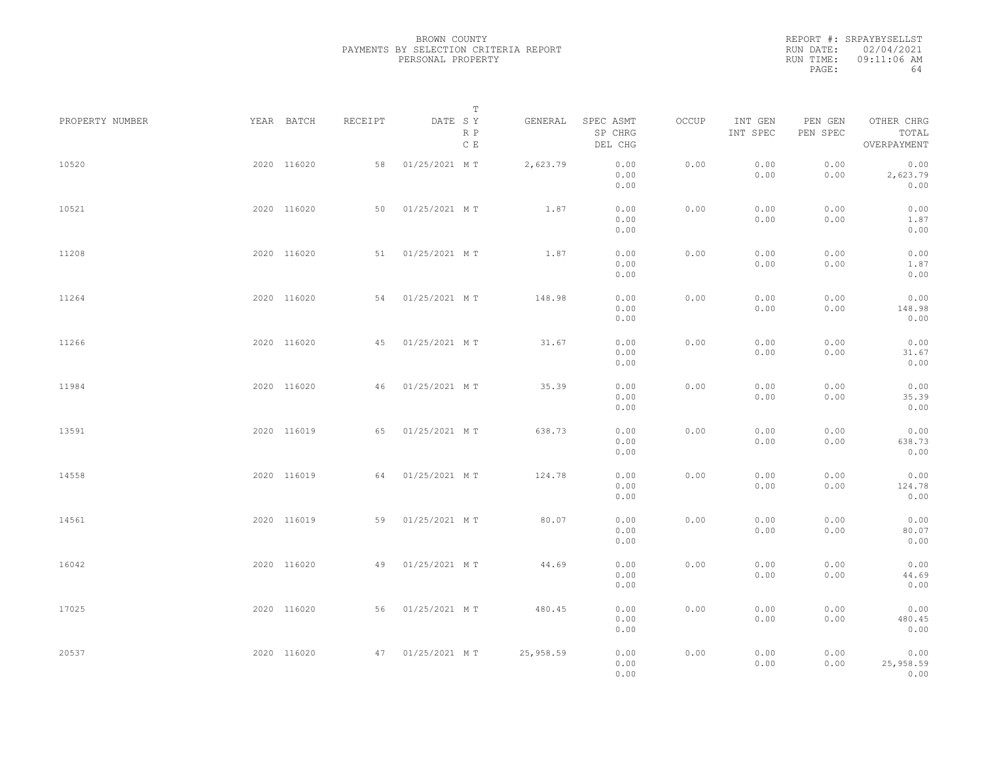|           | REPORT #: SRPAYBYSELLST |
|-----------|-------------------------|
|           | RUN DATE: 02/04/2021    |
| RUN TIME: | 09:11:06 AM             |
| PAGE:     | 64                      |
|           |                         |

| PROPERTY NUMBER | YEAR BATCH  | RECEIPT | DATE SY          | T<br>R P<br>C E | GENERAL   | SPEC ASMT<br>SP CHRG<br>DEL CHG | OCCUP | INT GEN<br>INT SPEC | PEN GEN<br>PEN SPEC | OTHER CHRG<br>TOTAL<br>OVERPAYMENT |  |
|-----------------|-------------|---------|------------------|-----------------|-----------|---------------------------------|-------|---------------------|---------------------|------------------------------------|--|
| 10520           | 2020 116020 | 58      | 01/25/2021 MT    |                 | 2,623.79  | 0.00<br>0.00<br>0.00            | 0.00  | 0.00<br>0.00        | 0.00<br>0.00        | 0.00<br>2,623.79<br>0.00           |  |
| 10521           | 2020 116020 | 50      | 01/25/2021 MT    |                 | 1.87      | 0.00<br>0.00<br>0.00            | 0.00  | 0.00<br>0.00        | 0.00<br>0.00        | 0.00<br>1.87<br>0.00               |  |
| 11208           | 2020 116020 | 51      | 01/25/2021 MT    |                 | 1.87      | 0.00<br>0.00<br>0.00            | 0.00  | 0.00<br>0.00        | 0.00<br>0.00        | 0.00<br>1.87<br>0.00               |  |
| 11264           | 2020 116020 | 54      | 01/25/2021 MT    |                 | 148.98    | 0.00<br>0.00<br>0.00            | 0.00  | 0.00<br>0.00        | 0.00<br>0.00        | 0.00<br>148.98<br>0.00             |  |
| 11266           | 2020 116020 | 45      | 01/25/2021 MT    |                 | 31.67     | 0.00<br>0.00<br>0.00            | 0.00  | 0.00<br>0.00        | 0.00<br>0.00        | 0.00<br>31.67<br>0.00              |  |
| 11984           | 2020 116020 | 46      | 01/25/2021 MT    |                 | 35.39     | 0.00<br>0.00<br>0.00            | 0.00  | 0.00<br>0.00        | 0.00<br>0.00        | 0.00<br>35.39<br>0.00              |  |
| 13591           | 2020 116019 | 65      | 01/25/2021 MT    |                 | 638.73    | 0.00<br>0.00<br>0.00            | 0.00  | 0.00<br>0.00        | 0.00<br>0.00        | 0.00<br>638.73<br>0.00             |  |
| 14558           | 2020 116019 | 64      | 01/25/2021 MT    |                 | 124.78    | 0.00<br>0.00<br>0.00            | 0.00  | 0.00<br>0.00        | 0.00<br>0.00        | 0.00<br>124.78<br>0.00             |  |
| 14561           | 2020 116019 | 59      | 01/25/2021 MT    |                 | 80.07     | 0.00<br>0.00<br>0.00            | 0.00  | 0.00<br>0.00        | 0.00<br>0.00        | 0.00<br>80.07<br>0.00              |  |
| 16042           | 2020 116020 | 49      | 01/25/2021 MT    |                 | 44.69     | 0.00<br>0.00<br>0.00            | 0.00  | 0.00<br>0.00        | 0.00<br>0.00        | 0.00<br>44.69<br>0.00              |  |
| 17025           | 2020 116020 | 56      | 01/25/2021 MT    |                 | 480.45    | 0.00<br>0.00<br>0.00            | 0.00  | 0.00<br>0.00        | 0.00<br>0.00        | 0.00<br>480.45<br>0.00             |  |
| 20537           | 2020 116020 |         | 47 01/25/2021 MT |                 | 25,958.59 | 0.00<br>0.00<br>0.00            | 0.00  | 0.00<br>0.00        | 0.00<br>0.00        | 0.00<br>25,958.59<br>0.00          |  |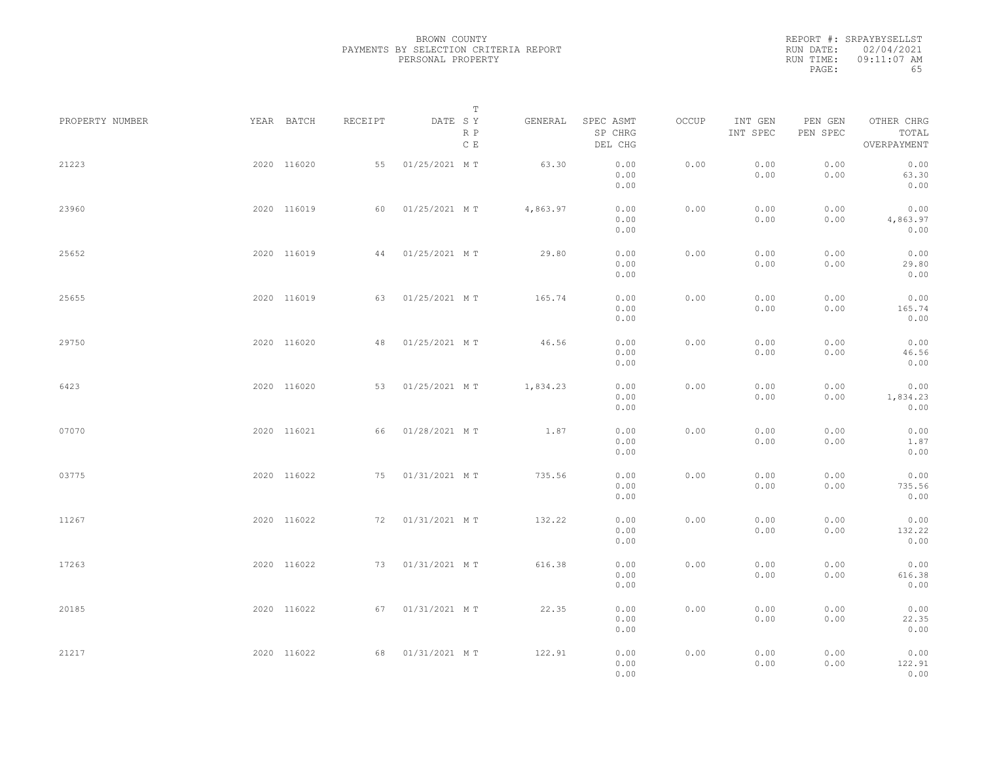|           | REPORT #: SRPAYBYSELLST |
|-----------|-------------------------|
|           | RUN DATE: 02/04/2021    |
| RUN TIME: | 09:11:07 AM             |
| PAGE:     | 65                      |

| PROPERTY NUMBER | YEAR BATCH  | RECEIPT | DATE SY          | T<br>R P<br>C E | GENERAL  | SPEC ASMT<br>SP CHRG<br>DEL CHG | OCCUP | INT GEN<br>INT SPEC | PEN GEN<br>PEN SPEC | OTHER CHRG<br>TOTAL<br>OVERPAYMENT |  |
|-----------------|-------------|---------|------------------|-----------------|----------|---------------------------------|-------|---------------------|---------------------|------------------------------------|--|
| 21223           | 2020 116020 | 55      | 01/25/2021 MT    |                 | 63.30    | 0.00<br>0.00<br>0.00            | 0.00  | 0.00<br>0.00        | 0.00<br>0.00        | 0.00<br>63.30<br>0.00              |  |
| 23960           | 2020 116019 | 60      | 01/25/2021 MT    |                 | 4,863.97 | 0.00<br>0.00<br>0.00            | 0.00  | 0.00<br>0.00        | 0.00<br>0.00        | 0.00<br>4,863.97<br>0.00           |  |
| 25652           | 2020 116019 | 44      | 01/25/2021 MT    |                 | 29.80    | 0.00<br>0.00<br>0.00            | 0.00  | 0.00<br>0.00        | 0.00<br>0.00        | 0.00<br>29.80<br>0.00              |  |
| 25655           | 2020 116019 | 63      | 01/25/2021 MT    |                 | 165.74   | 0.00<br>0.00<br>0.00            | 0.00  | 0.00<br>0.00        | 0.00<br>0.00        | 0.00<br>165.74<br>0.00             |  |
| 29750           | 2020 116020 |         | 48 01/25/2021 MT |                 | 46.56    | 0.00<br>0.00<br>0.00            | 0.00  | 0.00<br>0.00        | 0.00<br>0.00        | 0.00<br>46.56<br>0.00              |  |
| 6423            | 2020 116020 | 53      | 01/25/2021 MT    |                 | 1,834.23 | 0.00<br>0.00<br>0.00            | 0.00  | 0.00<br>0.00        | 0.00<br>0.00        | 0.00<br>1,834.23<br>0.00           |  |
| 07070           | 2020 116021 | 66      | 01/28/2021 MT    |                 | 1.87     | 0.00<br>0.00<br>0.00            | 0.00  | 0.00<br>0.00        | 0.00<br>0.00        | 0.00<br>1.87<br>0.00               |  |
| 03775           | 2020 116022 |         | 75 01/31/2021 MT |                 | 735.56   | 0.00<br>0.00<br>0.00            | 0.00  | 0.00<br>0.00        | 0.00<br>0.00        | 0.00<br>735.56<br>0.00             |  |
| 11267           | 2020 116022 |         | 72 01/31/2021 MT |                 | 132.22   | 0.00<br>0.00<br>0.00            | 0.00  | 0.00<br>0.00        | 0.00<br>0.00        | 0.00<br>132.22<br>0.00             |  |
| 17263           | 2020 116022 |         | 73 01/31/2021 MT |                 | 616.38   | 0.00<br>0.00<br>0.00            | 0.00  | 0.00<br>0.00        | 0.00<br>0.00        | 0.00<br>616.38<br>0.00             |  |
| 20185           | 2020 116022 |         | 67 01/31/2021 MT |                 | 22.35    | 0.00<br>0.00<br>0.00            | 0.00  | 0.00<br>0.00        | 0.00<br>0.00        | 0.00<br>22.35<br>0.00              |  |
| 21217           | 2020 116022 |         | 68 01/31/2021 MT |                 | 122.91   | 0.00<br>0.00<br>0.00            | 0.00  | 0.00<br>0.00        | 0.00<br>0.00        | 0.00<br>122.91<br>0.00             |  |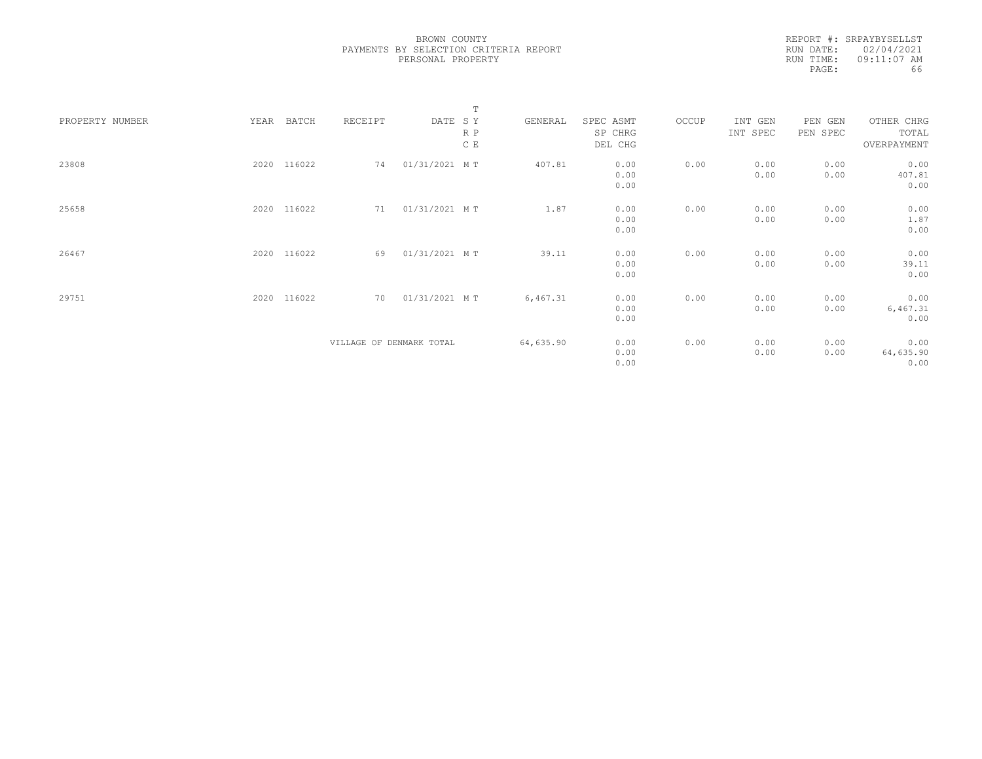|           | REPORT #: SRPAYBYSELLST |
|-----------|-------------------------|
|           | RUN DATE: 02/04/2021    |
| RUN TIME: | $09:11:07$ AM           |
| PAGE:     | 66                      |

|                                  |                          | $\mathbb T$ |           |       |          |          |             |
|----------------------------------|--------------------------|-------------|-----------|-------|----------|----------|-------------|
| BATCH<br>PROPERTY NUMBER<br>YEAR | DATE SY<br>RECEIPT       | GENERAL     | SPEC ASMT | OCCUP | INT GEN  | PEN GEN  | OTHER CHRG  |
|                                  | R P                      |             | SP CHRG   |       | INT SPEC | PEN SPEC | TOTAL       |
|                                  | C E                      |             | DEL CHG   |       |          |          | OVERPAYMENT |
|                                  |                          |             |           |       |          |          |             |
| 116022<br>23808<br>2020          | 74<br>01/31/2021 MT      | 407.81      | 0.00      | 0.00  | 0.00     | 0.00     | 0.00        |
|                                  |                          |             | 0.00      |       | 0.00     | 0.00     | 407.81      |
|                                  |                          |             | 0.00      |       |          |          | 0.00        |
|                                  |                          |             |           |       |          |          |             |
| 2020 116022<br>25658             | 01/31/2021 MT<br>71      | 1.87        | 0.00      | 0.00  | 0.00     | 0.00     | 0.00        |
|                                  |                          |             | 0.00      |       | 0.00     | 0.00     | 1.87        |
|                                  |                          |             | 0.00      |       |          |          | 0.00        |
|                                  |                          |             |           |       |          |          |             |
| 2020 116022<br>26467             | 01/31/2021 MT<br>69      | 39.11       | 0.00      | 0.00  | 0.00     | 0.00     | 0.00        |
|                                  |                          |             | 0.00      |       | 0.00     | 0.00     | 39.11       |
|                                  |                          |             | 0.00      |       |          |          | 0.00        |
|                                  |                          |             |           |       |          |          |             |
| 116022<br>29751<br>2020          | 70<br>01/31/2021 MT      | 6,467.31    | 0.00      | 0.00  | 0.00     | 0.00     | 0.00        |
|                                  |                          |             | 0.00      |       | 0.00     | 0.00     | 6,467.31    |
|                                  |                          |             | 0.00      |       |          |          | 0.00        |
|                                  |                          |             |           |       |          |          |             |
|                                  | VILLAGE OF DENMARK TOTAL | 64,635.90   | 0.00      | 0.00  | 0.00     | 0.00     | 0.00        |
|                                  |                          |             | 0.00      |       | 0.00     | 0.00     | 64,635.90   |
|                                  |                          |             | 0.00      |       |          |          | 0.00        |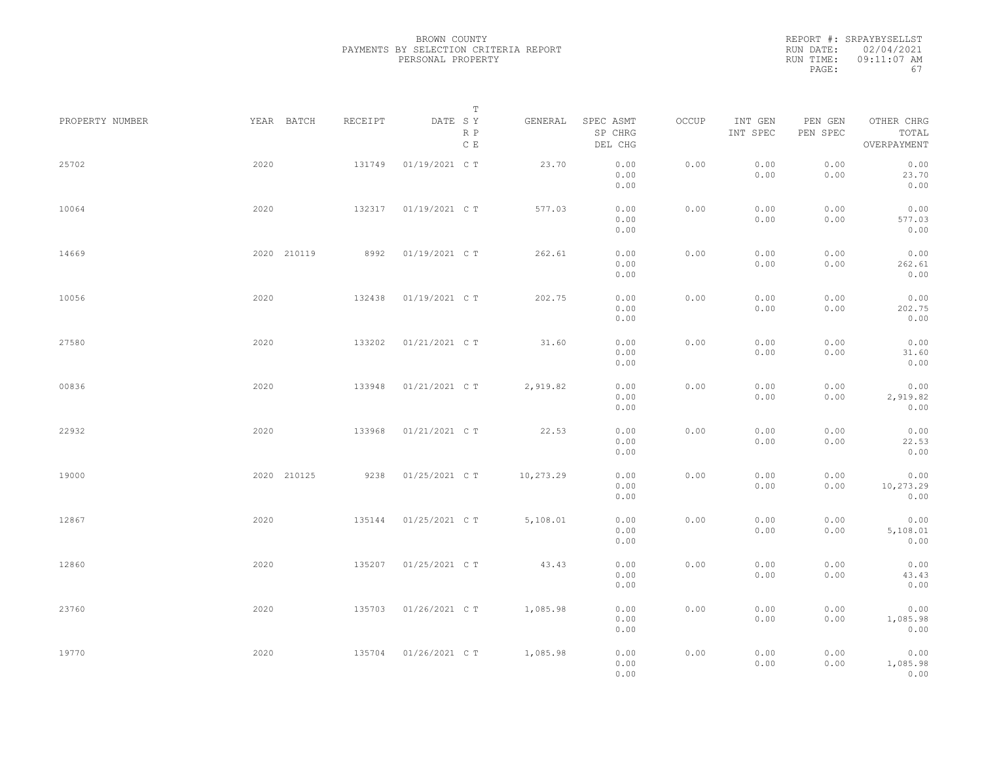|           | REPORT #: SRPAYBYSELLST |
|-----------|-------------------------|
|           | RUN DATE: 02/04/2021    |
| RUN TIME: | 09:11:07 AM             |
| PAGE:     | 67                      |

|                 |             |         | $\mathbb T$           |           |                                 |       |                     |                     |                                    |
|-----------------|-------------|---------|-----------------------|-----------|---------------------------------|-------|---------------------|---------------------|------------------------------------|
| PROPERTY NUMBER | YEAR BATCH  | RECEIPT | DATE SY<br>R P<br>C E | GENERAL   | SPEC ASMT<br>SP CHRG<br>DEL CHG | OCCUP | INT GEN<br>INT SPEC | PEN GEN<br>PEN SPEC | OTHER CHRG<br>TOTAL<br>OVERPAYMENT |
| 25702           | 2020        | 131749  | 01/19/2021 C T        | 23.70     | 0.00<br>0.00<br>0.00            | 0.00  | 0.00<br>0.00        | 0.00<br>0.00        | 0.00<br>23.70<br>0.00              |
| 10064           | 2020        | 132317  | 01/19/2021 C T        | 577.03    | 0.00<br>0.00<br>0.00            | 0.00  | 0.00<br>0.00        | 0.00<br>0.00        | 0.00<br>577.03<br>0.00             |
| 14669           | 2020 210119 | 8992    | 01/19/2021 C T        | 262.61    | 0.00<br>0.00<br>0.00            | 0.00  | 0.00<br>0.00        | 0.00<br>0.00        | 0.00<br>262.61<br>0.00             |
| 10056           | 2020        | 132438  | 01/19/2021 C T        | 202.75    | 0.00<br>0.00<br>0.00            | 0.00  | 0.00<br>0.00        | 0.00<br>0.00        | 0.00<br>202.75<br>0.00             |
| 27580           | 2020        | 133202  | 01/21/2021 C T        | 31.60     | 0.00<br>0.00<br>0.00            | 0.00  | 0.00<br>0.00        | 0.00<br>0.00        | 0.00<br>31.60<br>0.00              |
| 00836           | 2020        | 133948  | 01/21/2021 C T        | 2,919.82  | 0.00<br>0.00<br>0.00            | 0.00  | 0.00<br>0.00        | 0.00<br>0.00        | 0.00<br>2,919.82<br>0.00           |
| 22932           | 2020        | 133968  | 01/21/2021 C T        | 22.53     | 0.00<br>0.00<br>0.00            | 0.00  | 0.00<br>0.00        | 0.00<br>0.00        | 0.00<br>22.53<br>0.00              |
| 19000           | 2020 210125 | 9238    | 01/25/2021 C T        | 10,273.29 | 0.00<br>0.00<br>0.00            | 0.00  | 0.00<br>0.00        | 0.00<br>0.00        | 0.00<br>10,273.29<br>0.00          |
| 12867           | 2020        | 135144  | 01/25/2021 C T        | 5,108.01  | 0.00<br>0.00<br>0.00            | 0.00  | 0.00<br>0.00        | 0.00<br>0.00        | 0.00<br>5,108.01<br>0.00           |
| 12860           | 2020        | 135207  | 01/25/2021 C T        | 43.43     | 0.00<br>0.00<br>0.00            | 0.00  | 0.00<br>0.00        | 0.00<br>0.00        | 0.00<br>43.43<br>0.00              |
| 23760           | 2020        | 135703  | 01/26/2021 C T        | 1,085.98  | 0.00<br>0.00<br>0.00            | 0.00  | 0.00<br>0.00        | 0.00<br>0.00        | 0.00<br>1,085.98<br>0.00           |
| 19770           | 2020        | 135704  | 01/26/2021 C T        | 1,085.98  | 0.00<br>0.00<br>0.00            | 0.00  | 0.00<br>0.00        | 0.00<br>0.00        | 0.00<br>1,085.98<br>0.00           |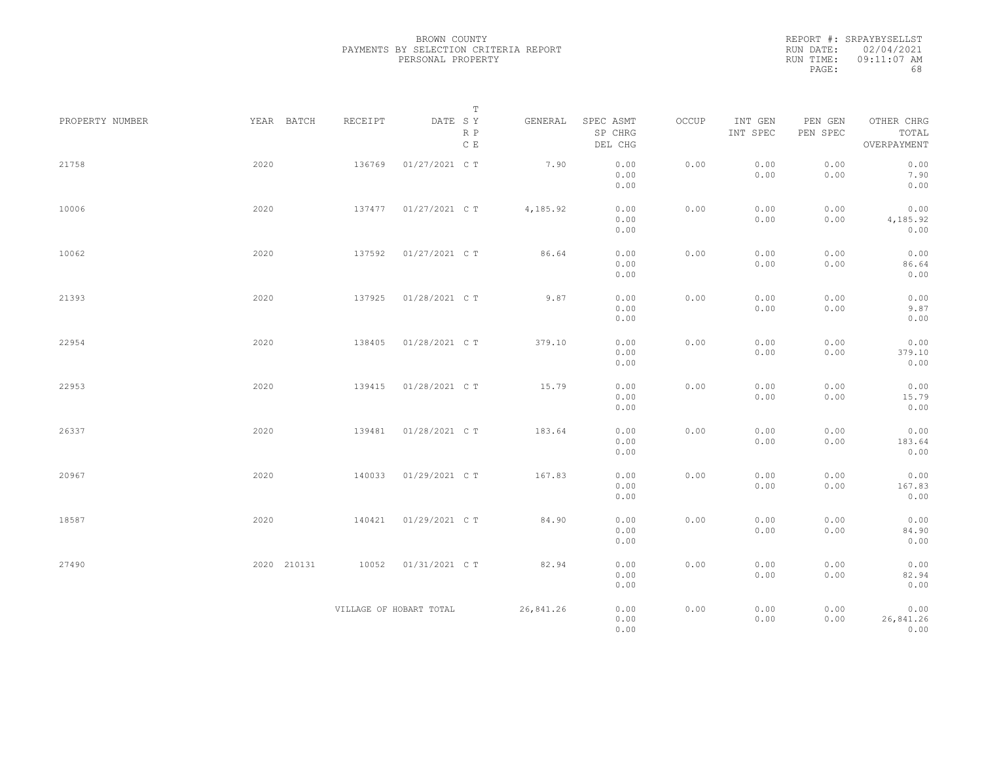|           | REPORT #: SRPAYBYSELLST |
|-----------|-------------------------|
|           | RUN DATE: 02/04/2021    |
| RUN TIME: | 09:11:07 AM             |
| PAGE:     | 68                      |

|                 |             |                         | $\mathbb T$                     |           |                                 |       |                     |                     |                                    |
|-----------------|-------------|-------------------------|---------------------------------|-----------|---------------------------------|-------|---------------------|---------------------|------------------------------------|
| PROPERTY NUMBER | YEAR BATCH  | RECEIPT                 | DATE SY<br>R P<br>$\,$ C $\,$ E | GENERAL   | SPEC ASMT<br>SP CHRG<br>DEL CHG | OCCUP | INT GEN<br>INT SPEC | PEN GEN<br>PEN SPEC | OTHER CHRG<br>TOTAL<br>OVERPAYMENT |
| 21758           | 2020        | 136769                  | 01/27/2021 C T                  | 7.90      | 0.00<br>0.00<br>0.00            | 0.00  | 0.00<br>0.00        | 0.00<br>0.00        | 0.00<br>7.90<br>0.00               |
| 10006           | 2020        | 137477                  | 01/27/2021 C T                  | 4,185.92  | 0.00<br>0.00<br>0.00            | 0.00  | 0.00<br>0.00        | 0.00<br>0.00        | 0.00<br>4,185.92<br>0.00           |
| 10062           | 2020        | 137592                  | 01/27/2021 C T                  | 86.64     | 0.00<br>0.00<br>0.00            | 0.00  | 0.00<br>0.00        | 0.00<br>0.00        | 0.00<br>86.64<br>0.00              |
| 21393           | 2020        | 137925                  | 01/28/2021 C T                  | 9.87      | 0.00<br>0.00<br>0.00            | 0.00  | 0.00<br>0.00        | 0.00<br>0.00        | 0.00<br>9.87<br>0.00               |
| 22954           | 2020        | 138405                  | 01/28/2021 C T                  | 379.10    | 0.00<br>0.00<br>0.00            | 0.00  | 0.00<br>0.00        | 0.00<br>0.00        | 0.00<br>379.10<br>0.00             |
| 22953           | 2020        | 139415                  | 01/28/2021 C T                  | 15.79     | 0.00<br>0.00<br>0.00            | 0.00  | 0.00<br>0.00        | 0.00<br>0.00        | 0.00<br>15.79<br>0.00              |
| 26337           | 2020        | 139481                  | 01/28/2021 C T                  | 183.64    | 0.00<br>0.00<br>0.00            | 0.00  | 0.00<br>0.00        | 0.00<br>0.00        | 0.00<br>183.64<br>0.00             |
| 20967           | 2020        | 140033                  | 01/29/2021 C T                  | 167.83    | 0.00<br>0.00<br>0.00            | 0.00  | 0.00<br>0.00        | 0.00<br>0.00        | 0.00<br>167.83<br>0.00             |
| 18587           | 2020        | 140421                  | 01/29/2021 C T                  | 84.90     | 0.00<br>0.00<br>0.00            | 0.00  | 0.00<br>0.00        | 0.00<br>0.00        | 0.00<br>84.90<br>0.00              |
| 27490           | 2020 210131 | 10052                   | 01/31/2021 C T                  | 82.94     | 0.00<br>0.00<br>0.00            | 0.00  | 0.00<br>0.00        | 0.00<br>0.00        | 0.00<br>82.94<br>0.00              |
|                 |             | VILLAGE OF HOBART TOTAL |                                 | 26,841.26 | 0.00<br>0.00<br>0.00            | 0.00  | 0.00<br>0.00        | 0.00<br>0.00        | 0.00<br>26,841.26<br>0.00          |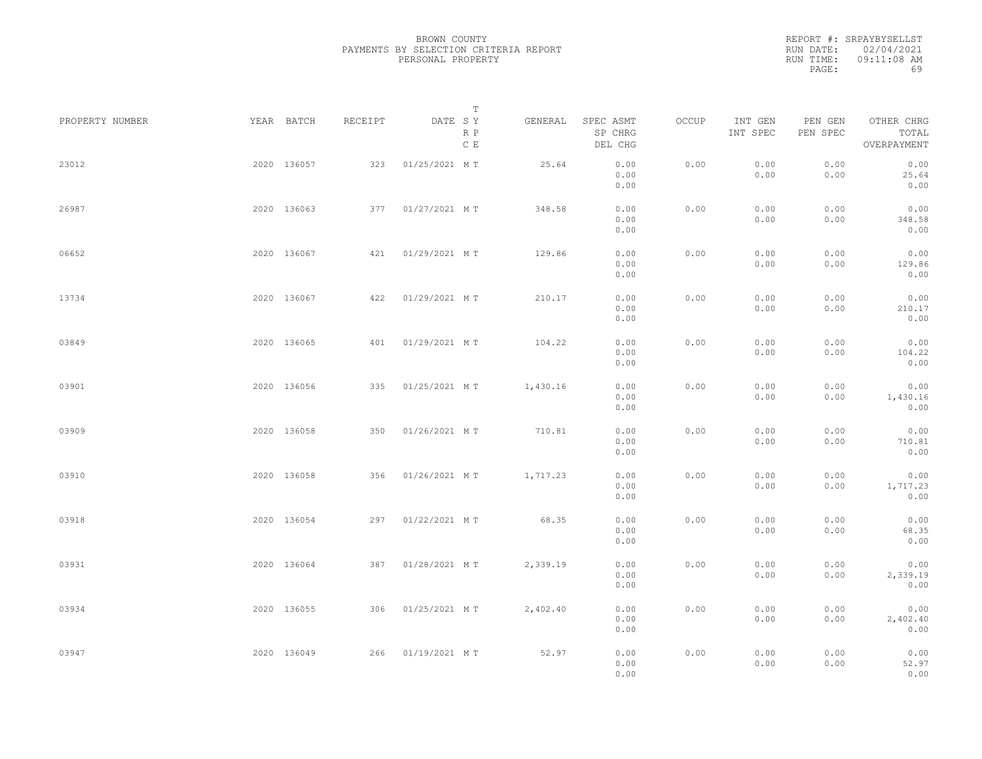|           | REPORT #: SRPAYBYSELLST |
|-----------|-------------------------|
|           | RUN DATE: 02/04/2021    |
| RUN TIME: | 09:11:08 AM             |
| PAGE:     | 69                      |

| PROPERTY NUMBER | YEAR BATCH  | RECEIPT | DATE SY           | Т                    | GENERAL  | SPEC ASMT            | OCCUP | INT GEN      | PEN GEN<br>PEN SPEC | OTHER CHRG<br>TOTAL      |  |
|-----------------|-------------|---------|-------------------|----------------------|----------|----------------------|-------|--------------|---------------------|--------------------------|--|
|                 |             |         |                   | R P<br>$\,$ C $\,$ E |          | SP CHRG<br>DEL CHG   |       | INT SPEC     |                     | OVERPAYMENT              |  |
| 23012           | 2020 136057 | 323     | 01/25/2021 MT     |                      | 25.64    | 0.00<br>0.00<br>0.00 | 0.00  | 0.00<br>0.00 | 0.00<br>0.00        | 0.00<br>25.64<br>0.00    |  |
| 26987           | 2020 136063 | 377     | 01/27/2021 MT     |                      | 348.58   | 0.00<br>0.00<br>0.00 | 0.00  | 0.00<br>0.00 | 0.00<br>0.00        | 0.00<br>348.58<br>0.00   |  |
| 06652           | 2020 136067 |         | 421 01/29/2021 MT |                      | 129.86   | 0.00<br>0.00<br>0.00 | 0.00  | 0.00<br>0.00 | 0.00<br>0.00        | 0.00<br>129.86<br>0.00   |  |
| 13734           | 2020 136067 | 422     | 01/29/2021 MT     |                      | 210.17   | 0.00<br>0.00<br>0.00 | 0.00  | 0.00<br>0.00 | 0.00<br>0.00        | 0.00<br>210.17<br>0.00   |  |
| 03849           | 2020 136065 |         | 401 01/29/2021 MT |                      | 104.22   | 0.00<br>0.00<br>0.00 | 0.00  | 0.00<br>0.00 | 0.00<br>0.00        | 0.00<br>104.22<br>0.00   |  |
| 03901           | 2020 136056 | 335     | 01/25/2021 MT     |                      | 1,430.16 | 0.00<br>0.00<br>0.00 | 0.00  | 0.00<br>0.00 | 0.00<br>0.00        | 0.00<br>1,430.16<br>0.00 |  |
| 03909           | 2020 136058 | 350     | 01/26/2021 MT     |                      | 710.81   | 0.00<br>0.00<br>0.00 | 0.00  | 0.00<br>0.00 | 0.00<br>0.00        | 0.00<br>710.81<br>0.00   |  |
| 03910           | 2020 136058 | 356     | 01/26/2021 MT     |                      | 1,717.23 | 0.00<br>0.00<br>0.00 | 0.00  | 0.00<br>0.00 | 0.00<br>0.00        | 0.00<br>1,717.23<br>0.00 |  |
| 03918           | 2020 136054 | 297     | 01/22/2021 MT     |                      | 68.35    | 0.00<br>0.00<br>0.00 | 0.00  | 0.00<br>0.00 | 0.00<br>0.00        | 0.00<br>68.35<br>0.00    |  |
| 03931           | 2020 136064 |         | 387 01/28/2021 MT |                      | 2,339.19 | 0.00<br>0.00<br>0.00 | 0.00  | 0.00<br>0.00 | 0.00<br>0.00        | 0.00<br>2,339.19<br>0.00 |  |
| 03934           | 2020 136055 | 306     | 01/25/2021 MT     |                      | 2,402.40 | 0.00<br>0.00<br>0.00 | 0.00  | 0.00<br>0.00 | 0.00<br>0.00        | 0.00<br>2,402.40<br>0.00 |  |
| 03947           | 2020 136049 |         | 266 01/19/2021 MT |                      | 52.97    | 0.00<br>0.00<br>0.00 | 0.00  | 0.00<br>0.00 | 0.00<br>0.00        | 0.00<br>52.97<br>0.00    |  |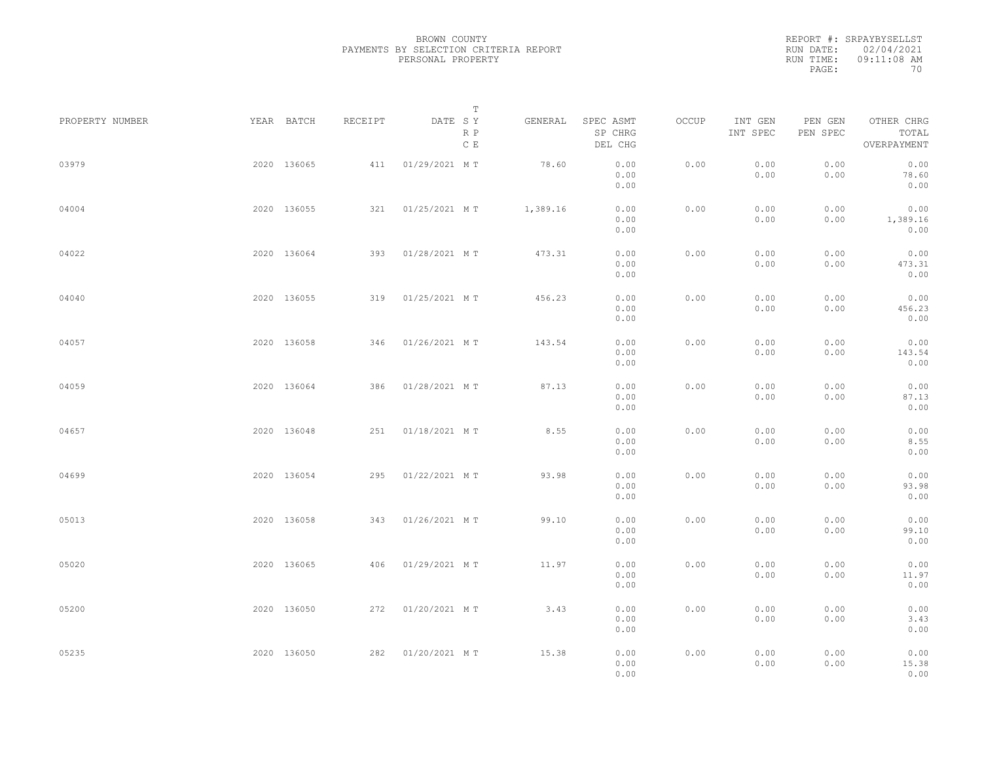|           | REPORT #: SRPAYBYSELLST |
|-----------|-------------------------|
|           | RUN DATE: 02/04/2021    |
| RUN TIME: | $09:11:08$ AM           |
| PAGE:     | 70                      |

| PROPERTY NUMBER | YEAR BATCH  | RECEIPT | DATE SY           | Т                    | GENERAL  | SPEC ASMT            | OCCUP | INT GEN      |                     | OTHER CHRG               |  |
|-----------------|-------------|---------|-------------------|----------------------|----------|----------------------|-------|--------------|---------------------|--------------------------|--|
|                 |             |         |                   | R P<br>$\,$ C $\,$ E |          | SP CHRG<br>DEL CHG   |       | INT SPEC     | PEN GEN<br>PEN SPEC | TOTAL<br>OVERPAYMENT     |  |
| 03979           | 2020 136065 | 411     | 01/29/2021 MT     |                      | 78.60    | 0.00<br>0.00<br>0.00 | 0.00  | 0.00<br>0.00 | 0.00<br>0.00        | 0.00<br>78.60<br>0.00    |  |
| 04004           | 2020 136055 | 321     | 01/25/2021 MT     |                      | 1,389.16 | 0.00<br>0.00<br>0.00 | 0.00  | 0.00<br>0.00 | 0.00<br>0.00        | 0.00<br>1,389.16<br>0.00 |  |
| 04022           | 2020 136064 | 393     | 01/28/2021 MT     |                      | 473.31   | 0.00<br>0.00<br>0.00 | 0.00  | 0.00<br>0.00 | 0.00<br>0.00        | 0.00<br>473.31<br>0.00   |  |
| 04040           | 2020 136055 |         | 319 01/25/2021 MT |                      | 456.23   | 0.00<br>0.00<br>0.00 | 0.00  | 0.00<br>0.00 | 0.00<br>0.00        | 0.00<br>456.23<br>0.00   |  |
| 04057           | 2020 136058 | 346     | 01/26/2021 MT     |                      | 143.54   | 0.00<br>0.00<br>0.00 | 0.00  | 0.00<br>0.00 | 0.00<br>0.00        | 0.00<br>143.54<br>0.00   |  |
| 04059           | 2020 136064 | 386     | 01/28/2021 MT     |                      | 87.13    | 0.00<br>0.00<br>0.00 | 0.00  | 0.00<br>0.00 | 0.00<br>0.00        | 0.00<br>87.13<br>0.00    |  |
| 04657           | 2020 136048 | 251     | 01/18/2021 MT     |                      | 8.55     | 0.00<br>0.00<br>0.00 | 0.00  | 0.00<br>0.00 | 0.00<br>0.00        | 0.00<br>8.55<br>0.00     |  |
| 04699           | 2020 136054 | 295     | 01/22/2021 MT     |                      | 93.98    | 0.00<br>0.00<br>0.00 | 0.00  | 0.00<br>0.00 | 0.00<br>0.00        | 0.00<br>93.98<br>0.00    |  |
| 05013           | 2020 136058 | 343     | 01/26/2021 MT     |                      | 99.10    | 0.00<br>0.00<br>0.00 | 0.00  | 0.00<br>0.00 | 0.00<br>0.00        | 0.00<br>99.10<br>0.00    |  |
| 05020           | 2020 136065 | 406     | 01/29/2021 MT     |                      | 11.97    | 0.00<br>0.00<br>0.00 | 0.00  | 0.00<br>0.00 | 0.00<br>0.00        | 0.00<br>11.97<br>0.00    |  |
| 05200           | 2020 136050 |         | 272 01/20/2021 MT |                      | 3.43     | 0.00<br>0.00<br>0.00 | 0.00  | 0.00<br>0.00 | 0.00<br>0.00        | 0.00<br>3.43<br>0.00     |  |
| 05235           | 2020 136050 |         | 282 01/20/2021 MT |                      | 15.38    | 0.00<br>0.00<br>0.00 | 0.00  | 0.00<br>0.00 | 0.00<br>0.00        | 0.00<br>15.38<br>0.00    |  |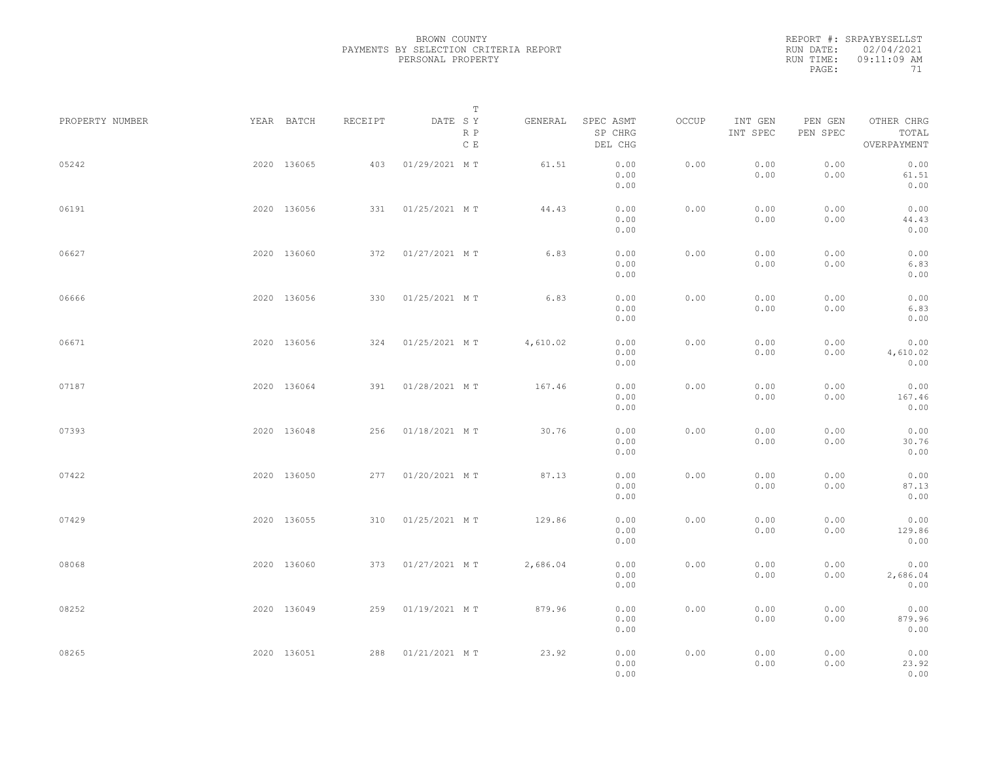|           | REPORT #: SRPAYBYSELLST |
|-----------|-------------------------|
|           | RUN DATE: 02/04/2021    |
| RUN TIME: | 09:11:09 AM             |
| PAGE:     | 71                      |

| PROPERTY NUMBER | YEAR BATCH  | RECEIPT | DATE SY            | Т<br>R P      | GENERAL  | SPEC ASMT<br>SP CHRG         | OCCUP | INT GEN<br>INT SPEC | PEN GEN<br>PEN SPEC | OTHER CHRG<br>TOTAL           |  |
|-----------------|-------------|---------|--------------------|---------------|----------|------------------------------|-------|---------------------|---------------------|-------------------------------|--|
|                 |             |         |                    | $\,$ C $\,$ E |          | DEL CHG                      |       |                     |                     | OVERPAYMENT                   |  |
| 05242           | 2020 136065 | 403     | 01/29/2021 MT      |               | 61.51    | 0.00<br>0.00<br>0.00         | 0.00  | 0.00<br>0.00        | 0.00<br>0.00        | 0.00<br>61.51<br>0.00         |  |
| 06191           | 2020 136056 | 331     | 01/25/2021 MT      |               | 44.43    | 0.00<br>0.00<br>0.00         | 0.00  | 0.00<br>0.00        | 0.00<br>0.00        | 0.00<br>44.43<br>0.00         |  |
| 06627           | 2020 136060 |         | 372 01/27/2021 MT  |               | 6.83     | 0.00<br>0.00<br>0.00         | 0.00  | 0.00<br>0.00        | 0.00<br>0.00        | 0.00<br>6.83<br>0.00          |  |
| 06666           | 2020 136056 | 330     | 01/25/2021 MT      |               | 6.83     | 0.00<br>0.00<br>0.00         | 0.00  | 0.00<br>0.00        | 0.00<br>0.00        | 0.00<br>6.83<br>0.00          |  |
| 06671           | 2020 136056 |         | 324 01/25/2021 MT  |               | 4,610.02 | 0.00<br>0.00                 | 0.00  | 0.00<br>0.00        | 0.00<br>0.00        | 0.00<br>4,610.02              |  |
| 07187           | 2020 136064 | 391     | 01/28/2021 MT      |               | 167.46   | 0.00<br>0.00<br>0.00         | 0.00  | 0.00<br>0.00        | 0.00<br>0.00        | 0.00<br>0.00<br>167.46        |  |
| 07393           | 2020 136048 | 256     | 01/18/2021 MT      |               | 30.76    | 0.00<br>0.00<br>0.00         | 0.00  | 0.00<br>0.00        | 0.00<br>0.00        | 0.00<br>0.00<br>30.76         |  |
| 07422           | 2020 136050 | 277     | 01/20/2021 MT      |               | 87.13    | 0.00<br>0.00<br>0.00         | 0.00  | 0.00<br>0.00        | 0.00<br>0.00        | 0.00<br>0.00<br>87.13         |  |
| 07429           | 2020 136055 | 310     | 01/25/2021 MT      |               | 129.86   | 0.00<br>0.00<br>0.00         | 0.00  | 0.00<br>0.00        | 0.00<br>0.00        | 0.00<br>0.00<br>129.86        |  |
| 08068           | 2020 136060 |         | 373 01/27/2021 MT  |               | 2,686.04 | 0.00<br>0.00<br>0.00         | 0.00  | 0.00<br>0.00        | 0.00<br>0.00        | 0.00<br>0.00<br>2,686.04      |  |
| 08252           | 2020 136049 | 259     | 01/19/2021 MT      |               | 879.96   | 0.00<br>0.00<br>0.00         | 0.00  | 0.00<br>0.00        | 0.00<br>0.00        | 0.00<br>0.00<br>879.96        |  |
| 08265           | 2020 136051 |         | 288  01/21/2021 MT |               | 23.92    | 0.00<br>0.00<br>0.00<br>0.00 | 0.00  | 0.00<br>0.00        | 0.00<br>0.00        | 0.00<br>0.00<br>23.92<br>0.00 |  |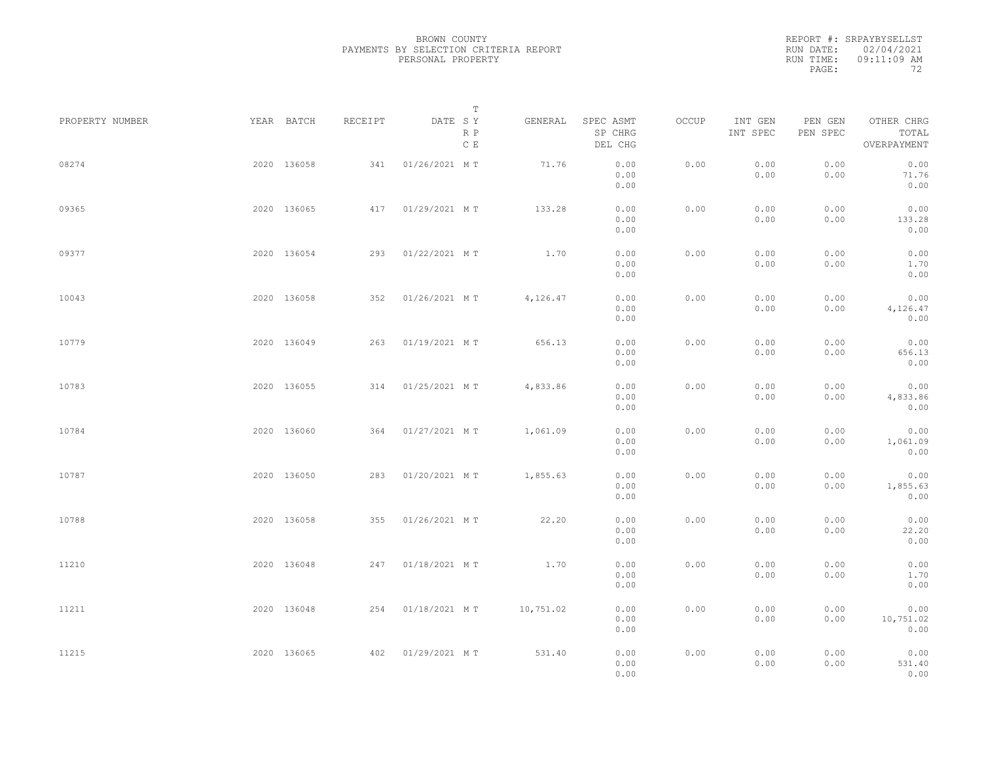|           | REPORT #: SRPAYBYSELLST |
|-----------|-------------------------|
|           | RUN DATE: 02/04/2021    |
| RUN TIME: | $09:11:09$ AM           |
| PAGE:     | フク                      |

| PROPERTY NUMBER | YEAR BATCH  | RECEIPT | DATE SY           | Т<br>R P<br>C E | GENERAL   | SPEC ASMT<br>SP CHRG<br>DEL CHG | OCCUP | INT GEN<br>INT SPEC | PEN GEN<br>PEN SPEC | OTHER CHRG<br>TOTAL<br>OVERPAYMENT |  |
|-----------------|-------------|---------|-------------------|-----------------|-----------|---------------------------------|-------|---------------------|---------------------|------------------------------------|--|
| 08274           | 2020 136058 | 341     | 01/26/2021 MT     |                 | 71.76     | 0.00<br>0.00<br>0.00            | 0.00  | 0.00<br>0.00        | 0.00<br>0.00        | 0.00<br>71.76<br>0.00              |  |
| 09365           | 2020 136065 | 417     | 01/29/2021 MT     |                 | 133.28    | 0.00<br>0.00<br>0.00            | 0.00  | 0.00<br>0.00        | 0.00<br>0.00        | 0.00<br>133.28<br>0.00             |  |
| 09377           | 2020 136054 | 293     | 01/22/2021 MT     |                 | 1.70      | 0.00<br>0.00<br>0.00            | 0.00  | 0.00<br>0.00        | 0.00<br>0.00        | 0.00<br>1.70<br>0.00               |  |
| 10043           | 2020 136058 | 352     | 01/26/2021 MT     |                 | 4,126.47  | 0.00<br>0.00<br>0.00            | 0.00  | 0.00<br>0.00        | 0.00<br>0.00        | 0.00<br>4,126.47<br>0.00           |  |
| 10779           | 2020 136049 | 263     | 01/19/2021 MT     |                 | 656.13    | 0.00<br>0.00<br>0.00            | 0.00  | 0.00<br>0.00        | 0.00<br>0.00        | 0.00<br>656.13<br>0.00             |  |
| 10783           | 2020 136055 | 314     | 01/25/2021 MT     |                 | 4,833.86  | 0.00<br>0.00<br>0.00            | 0.00  | 0.00<br>0.00        | 0.00<br>0.00        | 0.00<br>4,833.86<br>0.00           |  |
| 10784           | 2020 136060 | 364     | 01/27/2021 MT     |                 | 1,061.09  | 0.00<br>0.00<br>0.00            | 0.00  | 0.00<br>0.00        | 0.00<br>0.00        | 0.00<br>1,061.09<br>0.00           |  |
| 10787           | 2020 136050 | 283     | 01/20/2021 MT     |                 | 1,855.63  | 0.00<br>0.00<br>0.00            | 0.00  | 0.00<br>0.00        | 0.00<br>0.00        | 0.00<br>1,855.63<br>0.00           |  |
| 10788           | 2020 136058 | 355     | 01/26/2021 MT     |                 | 22.20     | 0.00<br>0.00<br>0.00            | 0.00  | 0.00<br>0.00        | 0.00<br>0.00        | 0.00<br>22.20<br>0.00              |  |
| 11210           | 2020 136048 |         | 247 01/18/2021 MT |                 | 1.70      | 0.00<br>0.00<br>0.00            | 0.00  | 0.00<br>0.00        | 0.00<br>0.00        | 0.00<br>1.70<br>0.00               |  |
| 11211           | 2020 136048 |         | 254 01/18/2021 MT |                 | 10,751.02 | 0.00<br>0.00<br>0.00            | 0.00  | 0.00<br>0.00        | 0.00<br>0.00        | 0.00<br>10,751.02<br>0.00          |  |
| 11215           | 2020 136065 |         | 402 01/29/2021 MT |                 | 531.40    | 0.00<br>0.00<br>0.00            | 0.00  | 0.00<br>0.00        | 0.00<br>0.00        | 0.00<br>531.40<br>0.00             |  |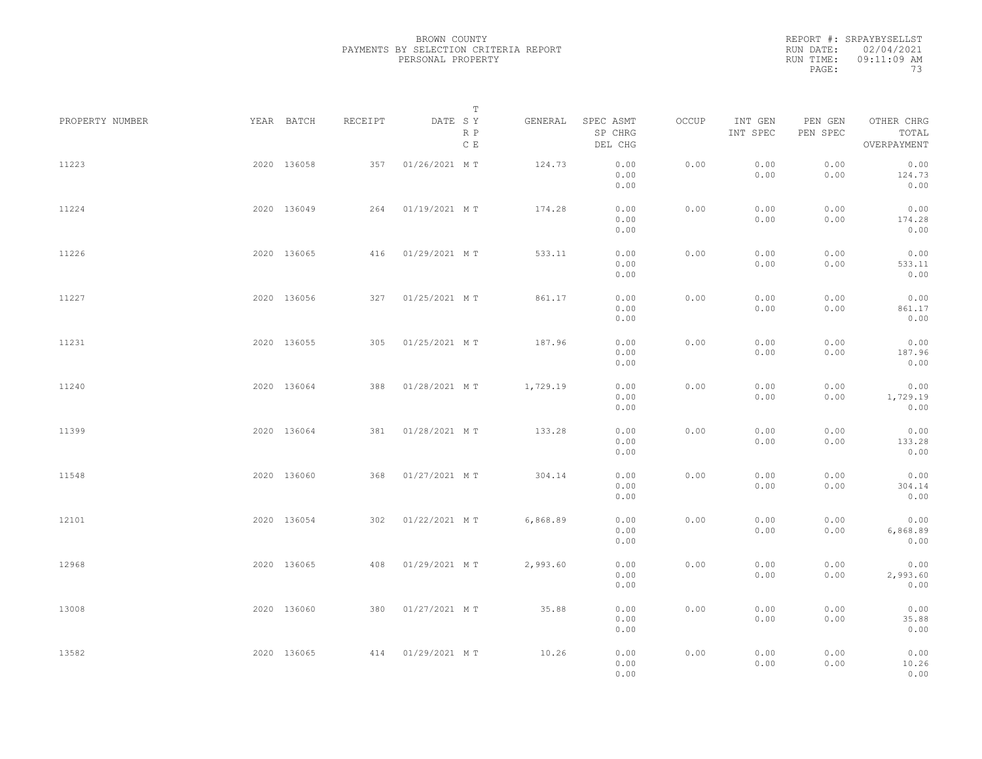|           | REPORT #: SRPAYBYSELLST |
|-----------|-------------------------|
|           | RUN DATE: 02/04/2021    |
| RUN TIME: | $09:11:09$ AM           |
| PAGE:     | 73                      |

| PROPERTY NUMBER | YEAR BATCH  | RECEIPT | DATE SY           | Т                    | GENERAL  | SPEC ASMT            | OCCUP | INT GEN      | PEN GEN      | OTHER CHRG               |  |
|-----------------|-------------|---------|-------------------|----------------------|----------|----------------------|-------|--------------|--------------|--------------------------|--|
|                 |             |         |                   | R P<br>$\,$ C $\,$ E |          | SP CHRG<br>DEL CHG   |       | INT SPEC     | PEN SPEC     | TOTAL<br>OVERPAYMENT     |  |
| 11223           | 2020 136058 | 357     | 01/26/2021 MT     |                      | 124.73   | 0.00<br>0.00<br>0.00 | 0.00  | 0.00<br>0.00 | 0.00<br>0.00 | 0.00<br>124.73<br>0.00   |  |
| 11224           | 2020 136049 | 264     | 01/19/2021 MT     |                      | 174.28   | 0.00<br>0.00<br>0.00 | 0.00  | 0.00<br>0.00 | 0.00<br>0.00 | 0.00<br>174.28<br>0.00   |  |
| 11226           | 2020 136065 |         | 416 01/29/2021 MT |                      | 533.11   | 0.00<br>0.00<br>0.00 | 0.00  | 0.00<br>0.00 | 0.00<br>0.00 | 0.00<br>533.11<br>0.00   |  |
| 11227           | 2020 136056 | 327     | 01/25/2021 MT     |                      | 861.17   | 0.00<br>0.00<br>0.00 | 0.00  | 0.00<br>0.00 | 0.00<br>0.00 | 0.00<br>861.17<br>0.00   |  |
| 11231           | 2020 136055 |         | 305 01/25/2021 MT |                      | 187.96   | 0.00<br>0.00<br>0.00 | 0.00  | 0.00<br>0.00 | 0.00<br>0.00 | 0.00<br>187.96<br>0.00   |  |
| 11240           | 2020 136064 | 388     | 01/28/2021 MT     |                      | 1,729.19 | 0.00<br>0.00<br>0.00 | 0.00  | 0.00<br>0.00 | 0.00<br>0.00 | 0.00<br>1,729.19<br>0.00 |  |
| 11399           | 2020 136064 | 381     | 01/28/2021 MT     |                      | 133.28   | 0.00<br>0.00<br>0.00 | 0.00  | 0.00<br>0.00 | 0.00<br>0.00 | 0.00<br>133.28<br>0.00   |  |
| 11548           | 2020 136060 | 368     | 01/27/2021 MT     |                      | 304.14   | 0.00<br>0.00<br>0.00 | 0.00  | 0.00<br>0.00 | 0.00<br>0.00 | 0.00<br>304.14<br>0.00   |  |
| 12101           | 2020 136054 | 302     | 01/22/2021 MT     |                      | 6,868.89 | 0.00<br>0.00<br>0.00 | 0.00  | 0.00<br>0.00 | 0.00<br>0.00 | 0.00<br>6,868.89<br>0.00 |  |
| 12968           | 2020 136065 | 408     | 01/29/2021 MT     |                      | 2,993.60 | 0.00<br>0.00<br>0.00 | 0.00  | 0.00<br>0.00 | 0.00<br>0.00 | 0.00<br>2,993.60<br>0.00 |  |
| 13008           | 2020 136060 | 380     | 01/27/2021 MT     |                      | 35.88    | 0.00<br>0.00<br>0.00 | 0.00  | 0.00<br>0.00 | 0.00<br>0.00 | 0.00<br>35.88<br>0.00    |  |
| 13582           | 2020 136065 |         | 414 01/29/2021 MT |                      | 10.26    | 0.00<br>0.00<br>0.00 | 0.00  | 0.00<br>0.00 | 0.00<br>0.00 | 0.00<br>10.26<br>0.00    |  |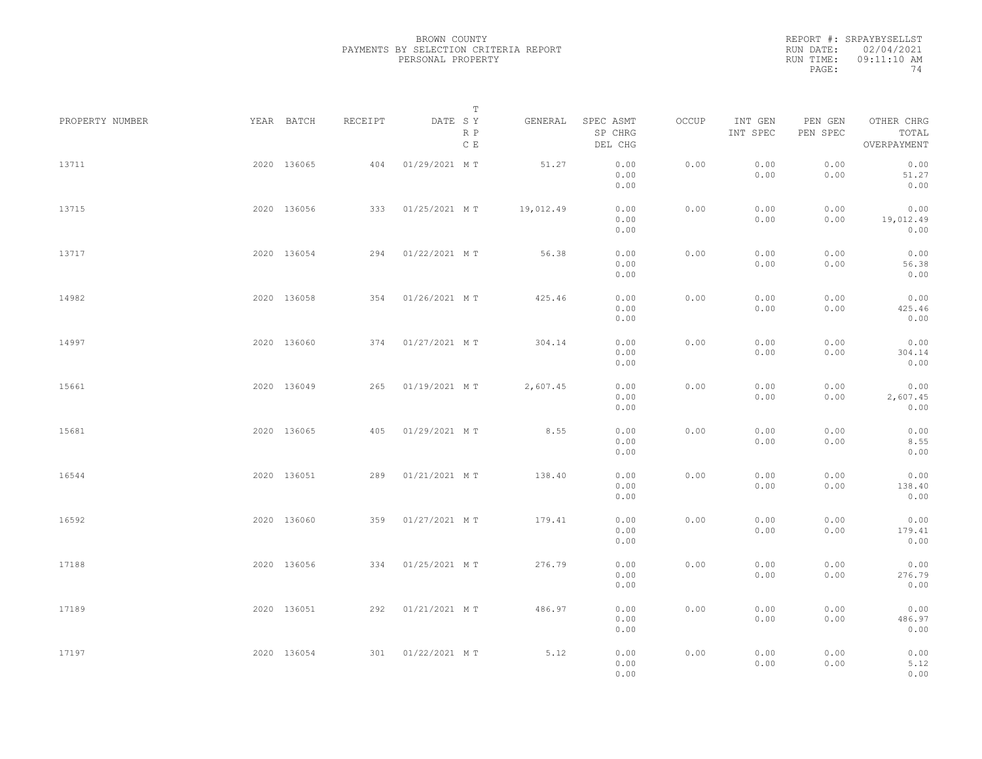|           | REPORT #: SRPAYBYSELLST |
|-----------|-------------------------|
|           | RUN DATE: 02/04/2021    |
| RUN TIME: | $09:11:10$ AM           |
| PAGE:     | 74                      |

|                 |             |             |         |                   | $\mathbb T$ |           |                                 |       |                     |                     |                                    |  |
|-----------------|-------------|-------------|---------|-------------------|-------------|-----------|---------------------------------|-------|---------------------|---------------------|------------------------------------|--|
| PROPERTY NUMBER |             | YEAR BATCH  | RECEIPT | DATE SY           | R P<br>C E  | GENERAL   | SPEC ASMT<br>SP CHRG<br>DEL CHG | OCCUP | INT GEN<br>INT SPEC | PEN GEN<br>PEN SPEC | OTHER CHRG<br>TOTAL<br>OVERPAYMENT |  |
| 13711           |             | 2020 136065 | 404     | 01/29/2021 MT     |             | 51.27     | 0.00<br>0.00<br>0.00            | 0.00  | 0.00<br>0.00        | 0.00<br>0.00        | 0.00<br>51.27<br>0.00              |  |
| 13715           |             | 2020 136056 | 333     | 01/25/2021 MT     |             | 19,012.49 | 0.00<br>0.00<br>0.00            | 0.00  | 0.00<br>0.00        | 0.00<br>0.00        | 0.00<br>19,012.49<br>0.00          |  |
| 13717           |             | 2020 136054 | 294     | 01/22/2021 MT     |             | 56.38     | 0.00<br>0.00<br>0.00            | 0.00  | 0.00<br>0.00        | 0.00<br>0.00        | 0.00<br>56.38<br>0.00              |  |
| 14982           |             | 2020 136058 |         | 354 01/26/2021 MT |             | 425.46    | 0.00<br>0.00<br>0.00            | 0.00  | 0.00<br>0.00        | 0.00<br>0.00        | 0.00<br>425.46<br>0.00             |  |
| 14997           |             | 2020 136060 |         | 374 01/27/2021 MT |             | 304.14    | 0.00<br>0.00<br>0.00            | 0.00  | 0.00<br>0.00        | 0.00<br>0.00        | 0.00<br>304.14<br>0.00             |  |
| 15661           |             | 2020 136049 | 265     | 01/19/2021 MT     |             | 2,607.45  | 0.00<br>0.00<br>0.00            | 0.00  | 0.00<br>0.00        | 0.00<br>0.00        | 0.00<br>2,607.45<br>0.00           |  |
| 15681           |             | 2020 136065 | 405     | 01/29/2021 MT     |             | 8.55      | 0.00<br>0.00<br>0.00            | 0.00  | 0.00<br>0.00        | 0.00<br>0.00        | 0.00<br>8.55<br>0.00               |  |
| 16544           |             | 2020 136051 | 289     | 01/21/2021 MT     |             | 138.40    | 0.00<br>0.00<br>0.00            | 0.00  | 0.00<br>0.00        | 0.00<br>0.00        | 0.00<br>138.40<br>0.00             |  |
| 16592           |             | 2020 136060 | 359     | 01/27/2021 MT     |             | 179.41    | 0.00<br>0.00<br>0.00            | 0.00  | 0.00<br>0.00        | 0.00<br>0.00        | 0.00<br>179.41<br>0.00             |  |
| 17188           |             | 2020 136056 |         | 334 01/25/2021 MT |             | 276.79    | 0.00<br>0.00<br>0.00            | 0.00  | 0.00<br>0.00        | 0.00<br>0.00        | 0.00<br>276.79<br>0.00             |  |
| 17189           |             | 2020 136051 |         | 292 01/21/2021 MT |             | 486.97    | 0.00<br>0.00<br>0.00            | 0.00  | 0.00<br>0.00        | 0.00<br>0.00        | 0.00<br>486.97<br>0.00             |  |
| 17197           | 2020 136054 |             |         | 301 01/22/2021 MT |             | 5.12      | 0.00<br>0.00<br>0.00            | 0.00  | 0.00<br>0.00        | 0.00<br>0.00        | 0.00<br>5.12<br>0.00               |  |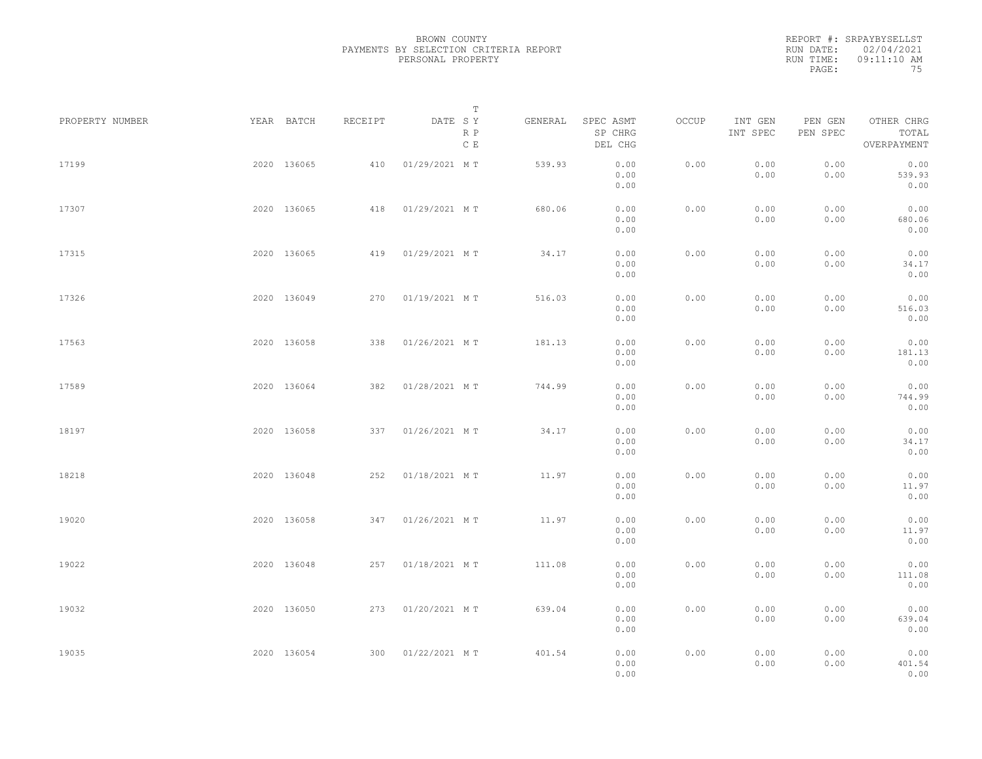|           | REPORT #: SRPAYBYSELLST |
|-----------|-------------------------|
|           | RUN DATE: 02/04/2021    |
| RUN TIME: | $09:11:10$ AM           |
| PAGE:     | 75                      |

|                 |             |             |         |                   | $\mathbb T$ |         |                                 |       |                     |                     |                                    |  |
|-----------------|-------------|-------------|---------|-------------------|-------------|---------|---------------------------------|-------|---------------------|---------------------|------------------------------------|--|
| PROPERTY NUMBER |             | YEAR BATCH  | RECEIPT | DATE SY           | R P<br>C E  | GENERAL | SPEC ASMT<br>SP CHRG<br>DEL CHG | OCCUP | INT GEN<br>INT SPEC | PEN GEN<br>PEN SPEC | OTHER CHRG<br>TOTAL<br>OVERPAYMENT |  |
| 17199           |             | 2020 136065 | 410     | 01/29/2021 MT     |             | 539.93  | 0.00<br>0.00<br>0.00            | 0.00  | 0.00<br>0.00        | 0.00<br>0.00        | 0.00<br>539.93<br>0.00             |  |
| 17307           |             | 2020 136065 | 418     | 01/29/2021 MT     |             | 680.06  | 0.00<br>0.00<br>0.00            | 0.00  | 0.00<br>0.00        | 0.00<br>0.00        | 0.00<br>680.06<br>0.00             |  |
| 17315           |             | 2020 136065 | 419     | 01/29/2021 MT     |             | 34.17   | 0.00<br>0.00<br>0.00            | 0.00  | 0.00<br>0.00        | 0.00<br>0.00        | 0.00<br>34.17<br>0.00              |  |
| 17326           |             | 2020 136049 | 270     | 01/19/2021 MT     |             | 516.03  | 0.00<br>0.00<br>0.00            | 0.00  | 0.00<br>0.00        | 0.00<br>0.00        | 0.00<br>516.03<br>0.00             |  |
| 17563           |             | 2020 136058 | 338     | 01/26/2021 MT     |             | 181.13  | 0.00<br>0.00<br>0.00            | 0.00  | 0.00<br>0.00        | 0.00<br>0.00        | 0.00<br>181.13<br>0.00             |  |
| 17589           |             | 2020 136064 | 382     | 01/28/2021 MT     |             | 744.99  | 0.00<br>0.00<br>0.00            | 0.00  | 0.00<br>0.00        | 0.00<br>0.00        | 0.00<br>744.99<br>0.00             |  |
| 18197           |             | 2020 136058 | 337     | 01/26/2021 MT     |             | 34.17   | 0.00<br>0.00<br>0.00            | 0.00  | 0.00<br>0.00        | 0.00<br>0.00        | 0.00<br>34.17<br>0.00              |  |
| 18218           |             | 2020 136048 | 252     | 01/18/2021 MT     |             | 11.97   | 0.00<br>0.00<br>0.00            | 0.00  | 0.00<br>0.00        | 0.00<br>0.00        | 0.00<br>11.97<br>0.00              |  |
| 19020           |             | 2020 136058 | 347     | 01/26/2021 MT     |             | 11.97   | 0.00<br>0.00<br>0.00            | 0.00  | 0.00<br>0.00        | 0.00<br>0.00        | 0.00<br>11.97<br>0.00              |  |
| 19022           |             | 2020 136048 |         | 257 01/18/2021 MT |             | 111.08  | 0.00<br>0.00<br>0.00            | 0.00  | 0.00<br>0.00        | 0.00<br>0.00        | 0.00<br>111.08<br>0.00             |  |
| 19032           |             | 2020 136050 | 273     | 01/20/2021 MT     |             | 639.04  | 0.00<br>0.00<br>0.00            | 0.00  | 0.00<br>0.00        | 0.00<br>0.00        | 0.00<br>639.04<br>0.00             |  |
| 19035           | 2020 136054 |             |         | 300 01/22/2021 MT |             | 401.54  | 0.00<br>0.00<br>0.00            | 0.00  | 0.00<br>0.00        | 0.00<br>0.00        | 0.00<br>401.54<br>0.00             |  |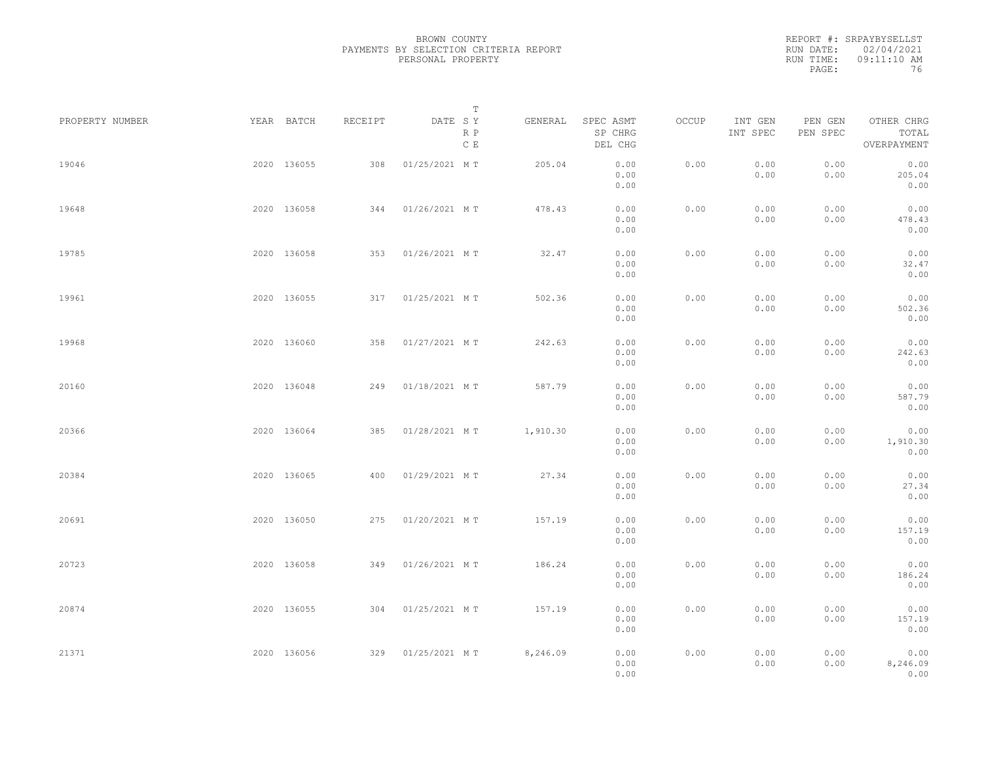|           | REPORT #: SRPAYBYSELLST |
|-----------|-------------------------|
|           | RUN DATE: 02/04/2021    |
| RUN TIME: | $09:11:10$ AM           |
| PAGE:     | 76                      |

|                 |             |         |                   | $\mathbb T$ |          |                                                                                                |       |                     |                     |                                    |  |
|-----------------|-------------|---------|-------------------|-------------|----------|------------------------------------------------------------------------------------------------|-------|---------------------|---------------------|------------------------------------|--|
| PROPERTY NUMBER | YEAR BATCH  | RECEIPT | DATE SY           | R P<br>C E  | GENERAL  | SPEC ASMT<br>SP CHRG<br>DEL CHG                                                                | OCCUP | INT GEN<br>INT SPEC | PEN GEN<br>PEN SPEC | OTHER CHRG<br>TOTAL<br>OVERPAYMENT |  |
| 19046           | 2020 136055 | 308     | 01/25/2021 MT     |             | 205.04   | 0.00<br>0.00<br>0.00                                                                           | 0.00  | 0.00<br>0.00        | 0.00<br>0.00        | 0.00<br>205.04<br>0.00             |  |
| 19648           | 2020 136058 | 344     | 01/26/2021 MT     |             | 478.43   | 0.00<br>0.00<br>0.00                                                                           | 0.00  | 0.00<br>0.00        | 0.00<br>0.00        | 0.00<br>478.43<br>0.00             |  |
| 19785           | 2020 136058 | 353     | 01/26/2021 MT     |             | 32.47    | 0.00<br>0.00<br>0.00                                                                           | 0.00  | 0.00<br>0.00        | 0.00<br>0.00        | 0.00<br>32.47<br>0.00              |  |
| 19961           | 2020 136055 |         | 317 01/25/2021 MT |             | 502.36   | 0.00<br>0.00<br>0.00                                                                           | 0.00  | 0.00<br>0.00        | 0.00<br>0.00        | 0.00<br>502.36<br>0.00             |  |
| 19968           | 2020 136060 |         | 358 01/27/2021 MT |             | 242.63   | 0.00<br>0.00<br>0.00                                                                           | 0.00  | 0.00<br>0.00        | 0.00<br>0.00        | 0.00<br>242.63<br>0.00             |  |
| 20160           | 2020 136048 | 249     | 01/18/2021 MT     |             | 587.79   | 0.00<br>0.00<br>0.00                                                                           | 0.00  | 0.00<br>0.00        | 0.00<br>0.00        | 0.00<br>587.79<br>0.00             |  |
| 20366           | 2020 136064 | 385     | 01/28/2021 MT     |             | 1,910.30 | 0.00<br>0.00<br>0.00                                                                           | 0.00  | 0.00<br>0.00        | 0.00<br>0.00        | 0.00<br>1,910.30<br>0.00           |  |
| 20384           | 2020 136065 | 400     | 01/29/2021 MT     |             | 27.34    | 0.00<br>0.00<br>0.00                                                                           | 0.00  | 0.00<br>0.00        | 0.00<br>0.00        | 0.00<br>27.34<br>0.00              |  |
| 20691           | 2020 136050 | 275     | 01/20/2021 MT     |             | 157.19   | 0.00<br>0.00<br>0.00                                                                           | 0.00  | 0.00<br>0.00        | 0.00<br>0.00        | 0.00<br>157.19<br>0.00             |  |
| 20723           | 2020 136058 | 349     | 01/26/2021 MT     |             | 186.24   | 0.00<br>0.00<br>0.00                                                                           | 0.00  | 0.00<br>0.00        | 0.00<br>0.00        | 0.00<br>186.24<br>0.00             |  |
| 20874           | 2020 136055 | 304     | 01/25/2021 MT     |             | 157.19   | 0.00<br>0.00<br>0.00                                                                           | 0.00  | 0.00<br>0.00        | 0.00<br>0.00        | 0.00<br>157.19<br>0.00             |  |
| 21371           | 2020 136056 |         | 329 01/25/2021 MT |             | 8,246.09 | $\ensuremath{\mathbf{0}}$ . $\ensuremath{\mathbf{0}}\,\ensuremath{\mathbf{0}}$<br>0.00<br>0.00 | 0.00  | 0.00<br>0.00        | 0.00<br>0.00        | 0.00<br>8,246.09<br>0.00           |  |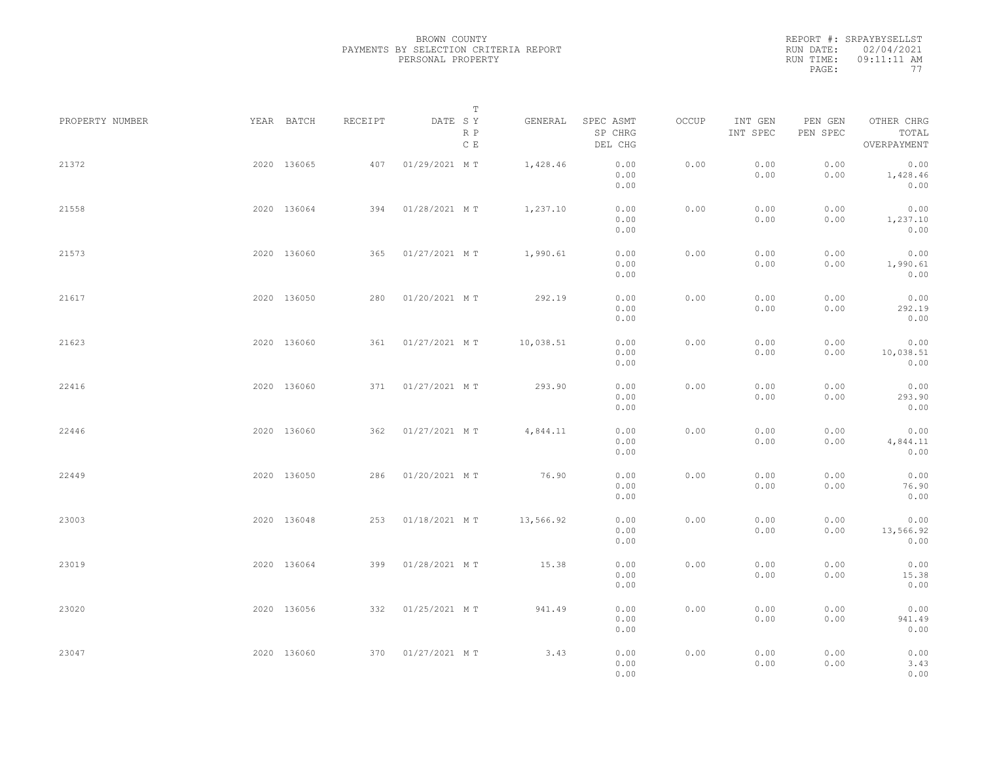|           | REPORT #: SRPAYBYSELLST |
|-----------|-------------------------|
|           | RUN DATE: 02/04/2021    |
| RUN TIME: | $09:11:11$ AM           |
| PAGE:     | 77                      |

| PROPERTY NUMBER |             | YEAR BATCH  | RECEIPT | DATE SY           | Т                    | GENERAL   | SPEC ASMT            | OCCUP | INT GEN      | PEN GEN      | OTHER CHRG                |  |
|-----------------|-------------|-------------|---------|-------------------|----------------------|-----------|----------------------|-------|--------------|--------------|---------------------------|--|
|                 |             |             |         |                   | R P<br>$\,$ C $\,$ E |           | SP CHRG<br>DEL CHG   |       | INT SPEC     | PEN SPEC     | TOTAL<br>OVERPAYMENT      |  |
| 21372           |             | 2020 136065 | 407     | 01/29/2021 MT     |                      | 1,428.46  | 0.00<br>0.00<br>0.00 | 0.00  | 0.00<br>0.00 | 0.00<br>0.00 | 0.00<br>1,428.46<br>0.00  |  |
| 21558           |             | 2020 136064 | 394     | 01/28/2021 MT     |                      | 1,237.10  | 0.00<br>0.00<br>0.00 | 0.00  | 0.00<br>0.00 | 0.00<br>0.00 | 0.00<br>1,237.10<br>0.00  |  |
| 21573           |             | 2020 136060 | 365     | 01/27/2021 MT     |                      | 1,990.61  | 0.00<br>0.00<br>0.00 | 0.00  | 0.00<br>0.00 | 0.00<br>0.00 | 0.00<br>1,990.61<br>0.00  |  |
| 21617           |             | 2020 136050 | 280     | 01/20/2021 MT     |                      | 292.19    | 0.00<br>0.00<br>0.00 | 0.00  | 0.00<br>0.00 | 0.00<br>0.00 | 0.00<br>292.19<br>0.00    |  |
| 21623           |             | 2020 136060 |         | 361 01/27/2021 MT |                      | 10,038.51 | 0.00<br>0.00<br>0.00 | 0.00  | 0.00<br>0.00 | 0.00<br>0.00 | 0.00<br>10,038.51<br>0.00 |  |
| 22416           |             | 2020 136060 | 371     | 01/27/2021 MT     |                      | 293.90    | 0.00<br>0.00<br>0.00 | 0.00  | 0.00<br>0.00 | 0.00<br>0.00 | 0.00<br>293.90<br>0.00    |  |
| 22446           |             | 2020 136060 | 362     | 01/27/2021 MT     |                      | 4,844.11  | 0.00<br>0.00<br>0.00 | 0.00  | 0.00<br>0.00 | 0.00<br>0.00 | 0.00<br>4,844.11<br>0.00  |  |
| 22449           |             | 2020 136050 | 286     | 01/20/2021 MT     |                      | 76.90     | 0.00<br>0.00<br>0.00 | 0.00  | 0.00<br>0.00 | 0.00<br>0.00 | 0.00<br>76.90<br>0.00     |  |
| 23003           |             | 2020 136048 | 253     | 01/18/2021 MT     |                      | 13,566.92 | 0.00<br>0.00<br>0.00 | 0.00  | 0.00<br>0.00 | 0.00<br>0.00 | 0.00<br>13,566.92<br>0.00 |  |
| 23019           |             | 2020 136064 | 399     | 01/28/2021 MT     |                      | 15.38     | 0.00<br>0.00<br>0.00 | 0.00  | 0.00<br>0.00 | 0.00<br>0.00 | 0.00<br>15.38<br>0.00     |  |
| 23020           |             | 2020 136056 | 332     | 01/25/2021 MT     |                      | 941.49    | 0.00<br>0.00<br>0.00 | 0.00  | 0.00<br>0.00 | 0.00<br>0.00 | 0.00<br>941.49<br>0.00    |  |
| 23047           | 2020 136060 |             |         | 370 01/27/2021 MT |                      | 3.43      | 0.00<br>0.00<br>0.00 | 0.00  | 0.00<br>0.00 | 0.00<br>0.00 | 0.00<br>3.43<br>0.00      |  |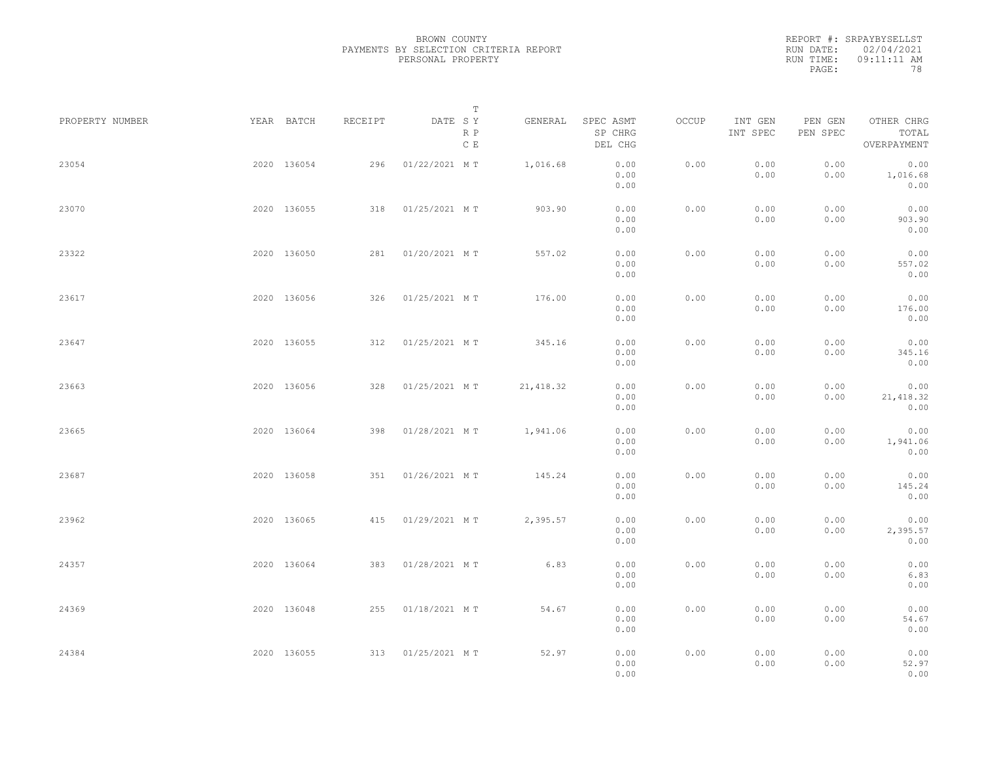|           | REPORT #: SRPAYBYSELLST |
|-----------|-------------------------|
|           | RUN DATE: 02/04/2021    |
| RUN TIME: | $09:11:11$ AM           |
| PAGE:     | 78                      |

| PROPERTY NUMBER | YEAR BATCH  | RECEIPT | DATE SY           | Т                    | GENERAL    | SPEC ASMT            | OCCUP | INT GEN      | PEN GEN      | OTHER CHRG                 |  |
|-----------------|-------------|---------|-------------------|----------------------|------------|----------------------|-------|--------------|--------------|----------------------------|--|
|                 |             |         |                   | R P<br>$\,$ C $\,$ E |            | SP CHRG<br>DEL CHG   |       | INT SPEC     | PEN SPEC     | TOTAL<br>OVERPAYMENT       |  |
| 23054           | 2020 136054 | 296     | 01/22/2021 MT     |                      | 1,016.68   | 0.00<br>0.00<br>0.00 | 0.00  | 0.00<br>0.00 | 0.00<br>0.00 | 0.00<br>1,016.68<br>0.00   |  |
| 23070           | 2020 136055 | 318     | 01/25/2021 MT     |                      | 903.90     | 0.00<br>0.00<br>0.00 | 0.00  | 0.00<br>0.00 | 0.00<br>0.00 | 0.00<br>903.90<br>0.00     |  |
| 23322           | 2020 136050 |         | 281 01/20/2021 MT |                      | 557.02     | 0.00<br>0.00<br>0.00 | 0.00  | 0.00<br>0.00 | 0.00<br>0.00 | 0.00<br>557.02<br>0.00     |  |
| 23617           | 2020 136056 | 326     | 01/25/2021 MT     |                      | 176.00     | 0.00<br>0.00<br>0.00 | 0.00  | 0.00<br>0.00 | 0.00<br>0.00 | 0.00<br>176.00<br>0.00     |  |
| 23647           | 2020 136055 |         | 312 01/25/2021 MT |                      | 345.16     | 0.00<br>0.00<br>0.00 | 0.00  | 0.00<br>0.00 | 0.00<br>0.00 | 0.00<br>345.16<br>0.00     |  |
| 23663           | 2020 136056 | 328     | 01/25/2021 MT     |                      | 21, 418.32 | 0.00<br>0.00<br>0.00 | 0.00  | 0.00<br>0.00 | 0.00<br>0.00 | 0.00<br>21, 418.32<br>0.00 |  |
| 23665           | 2020 136064 | 398     | 01/28/2021 MT     |                      | 1,941.06   | 0.00<br>0.00<br>0.00 | 0.00  | 0.00<br>0.00 | 0.00<br>0.00 | 0.00<br>1,941.06<br>0.00   |  |
| 23687           | 2020 136058 | 351     | 01/26/2021 MT     |                      | 145.24     | 0.00<br>0.00<br>0.00 | 0.00  | 0.00<br>0.00 | 0.00<br>0.00 | 0.00<br>145.24<br>0.00     |  |
| 23962           | 2020 136065 | 415     | 01/29/2021 MT     |                      | 2,395.57   | 0.00<br>0.00<br>0.00 | 0.00  | 0.00<br>0.00 | 0.00<br>0.00 | 0.00<br>2,395.57<br>0.00   |  |
| 24357           | 2020 136064 |         | 383 01/28/2021 MT |                      | 6.83       | 0.00<br>0.00<br>0.00 | 0.00  | 0.00<br>0.00 | 0.00<br>0.00 | 0.00<br>6.83<br>0.00       |  |
| 24369           | 2020 136048 | 255     | 01/18/2021 MT     |                      | 54.67      | 0.00<br>0.00<br>0.00 | 0.00  | 0.00<br>0.00 | 0.00<br>0.00 | 0.00<br>54.67<br>0.00      |  |
| 24384           | 2020 136055 |         | 313 01/25/2021 MT |                      | 52.97      | 0.00<br>0.00<br>0.00 | 0.00  | 0.00<br>0.00 | 0.00<br>0.00 | 0.00<br>52.97<br>0.00      |  |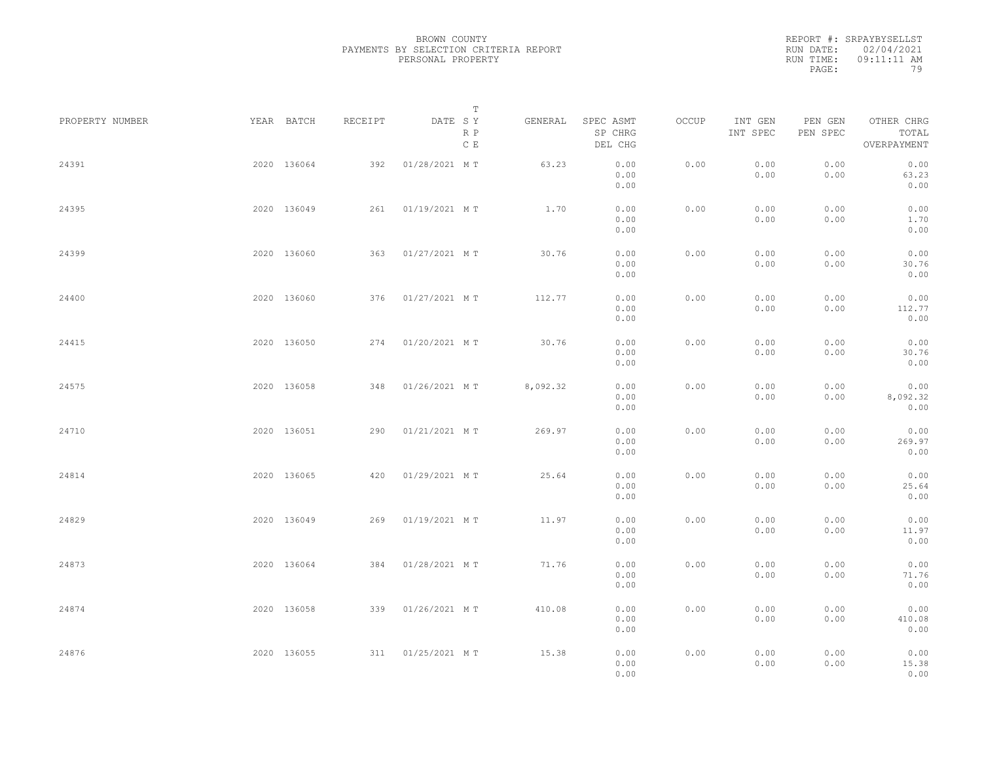|           | REPORT #: SRPAYBYSELLST |
|-----------|-------------------------|
|           | RUN DATE: 02/04/2021    |
| RUN TIME: | $09:11:11$ AM           |
| PAGE:     | 79                      |

| PROPERTY NUMBER | YEAR BATCH  | RECEIPT | DATE SY           | T<br>R P<br>$\,$ C $\,$ E | GENERAL  | SPEC ASMT<br>SP CHRG<br>DEL CHG | OCCUP | INT GEN<br>INT SPEC | PEN GEN<br>PEN SPEC | OTHER CHRG<br>TOTAL<br>OVERPAYMENT |  |
|-----------------|-------------|---------|-------------------|---------------------------|----------|---------------------------------|-------|---------------------|---------------------|------------------------------------|--|
| 24391           | 2020 136064 | 392     | 01/28/2021 MT     |                           | 63.23    | 0.00<br>0.00<br>0.00            | 0.00  | 0.00<br>0.00        | 0.00<br>0.00        | 0.00<br>63.23<br>0.00              |  |
| 24395           | 2020 136049 |         | 261 01/19/2021 MT |                           | 1.70     | 0.00<br>0.00<br>0.00            | 0.00  | 0.00<br>0.00        | 0.00<br>0.00        | 0.00<br>1.70<br>0.00               |  |
| 24399           | 2020 136060 |         | 363 01/27/2021 MT |                           | 30.76    | 0.00<br>0.00<br>0.00            | 0.00  | 0.00<br>0.00        | 0.00<br>0.00        | 0.00<br>30.76<br>0.00              |  |
| 24400           | 2020 136060 |         | 376 01/27/2021 MT |                           | 112.77   | 0.00<br>0.00<br>0.00            | 0.00  | 0.00<br>0.00        | 0.00<br>0.00        | 0.00<br>112.77<br>0.00             |  |
| 24415           | 2020 136050 |         | 274 01/20/2021 MT |                           | 30.76    | 0.00<br>0.00<br>0.00            | 0.00  | 0.00<br>0.00        | 0.00<br>0.00        | 0.00<br>30.76<br>0.00              |  |
| 24575           | 2020 136058 | 348     | 01/26/2021 MT     |                           | 8,092.32 | 0.00<br>0.00<br>0.00            | 0.00  | 0.00<br>0.00        | 0.00<br>0.00        | 0.00<br>8,092.32<br>0.00           |  |
| 24710           | 2020 136051 | 290     | 01/21/2021 MT     |                           | 269.97   | 0.00<br>0.00<br>0.00            | 0.00  | 0.00<br>0.00        | 0.00<br>0.00        | 0.00<br>269.97<br>0.00             |  |
| 24814           | 2020 136065 | 420     | 01/29/2021 MT     |                           | 25.64    | 0.00<br>0.00<br>0.00            | 0.00  | 0.00<br>0.00        | 0.00<br>0.00        | 0.00<br>25.64<br>0.00              |  |
| 24829           | 2020 136049 |         | 269 01/19/2021 MT |                           | 11.97    | 0.00<br>0.00<br>0.00            | 0.00  | 0.00<br>0.00        | 0.00<br>0.00        | 0.00<br>11.97<br>0.00              |  |
| 24873           | 2020 136064 |         | 384 01/28/2021 MT |                           | 71.76    | 0.00<br>0.00<br>0.00            | 0.00  | 0.00<br>0.00        | 0.00<br>0.00        | 0.00<br>71.76<br>0.00              |  |
| 24874           | 2020 136058 |         | 339 01/26/2021 MT |                           | 410.08   | 0.00<br>0.00<br>0.00            | 0.00  | 0.00<br>0.00        | 0.00<br>0.00        | 0.00<br>410.08<br>0.00             |  |
| 24876           | 2020 136055 |         | 311 01/25/2021 MT |                           | 15.38    | 0.00<br>0.00<br>0.00            | 0.00  | 0.00<br>0.00        | 0.00<br>0.00        | 0.00<br>15.38<br>0.00              |  |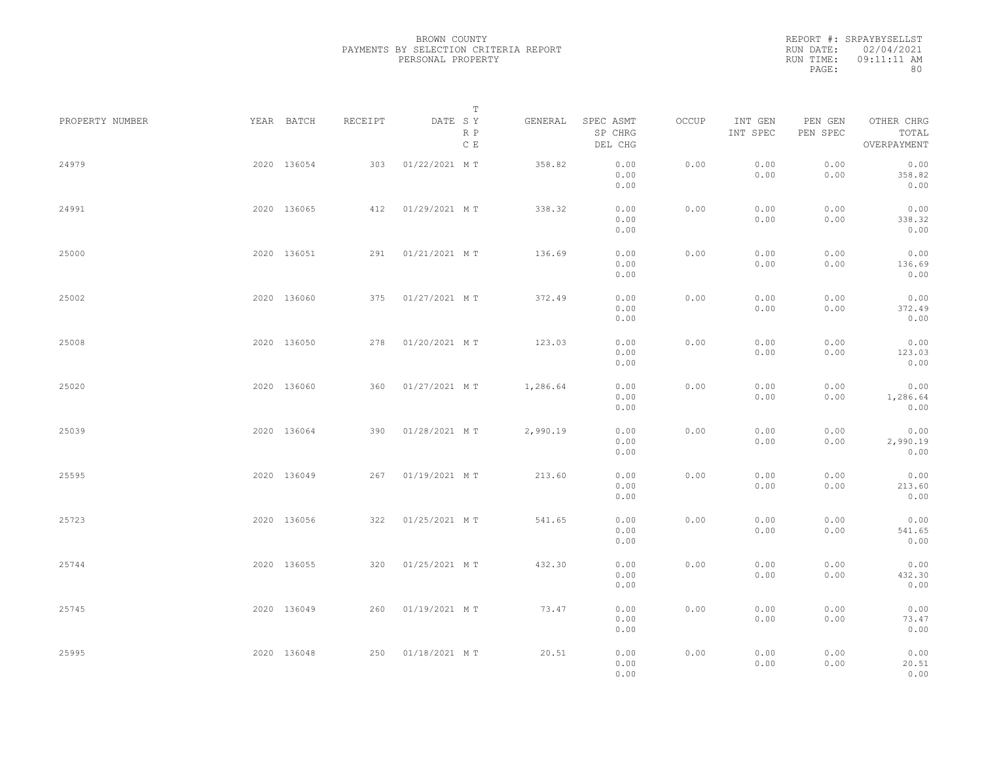|           | REPORT #: SRPAYBYSELLST |
|-----------|-------------------------|
|           | RUN DATE: 02/04/2021    |
| RUN TIME: | $09:11:11$ AM           |
| PAGE:     | 80                      |

| PROPERTY NUMBER | YEAR BATCH  | RECEIPT | DATE SY           | T<br>R P<br>$\,$ C $\,$ E | GENERAL  | SPEC ASMT<br>SP CHRG<br>DEL CHG | OCCUP | INT GEN<br>INT SPEC | PEN GEN<br>PEN SPEC | OTHER CHRG<br>TOTAL<br>OVERPAYMENT |  |
|-----------------|-------------|---------|-------------------|---------------------------|----------|---------------------------------|-------|---------------------|---------------------|------------------------------------|--|
| 24979           | 2020 136054 | 303     | 01/22/2021 MT     |                           | 358.82   | 0.00<br>0.00<br>0.00            | 0.00  | 0.00<br>0.00        | 0.00<br>0.00        | 0.00<br>358.82<br>0.00             |  |
| 24991           | 2020 136065 |         | 412 01/29/2021 MT |                           | 338.32   | 0.00<br>0.00<br>0.00            | 0.00  | 0.00<br>0.00        | 0.00<br>0.00        | 0.00<br>338.32<br>0.00             |  |
| 25000           | 2020 136051 |         | 291 01/21/2021 MT |                           | 136.69   | 0.00<br>0.00<br>0.00            | 0.00  | 0.00<br>0.00        | 0.00<br>0.00        | 0.00<br>136.69<br>0.00             |  |
| 25002           | 2020 136060 |         | 375 01/27/2021 MT |                           | 372.49   | 0.00<br>0.00<br>0.00            | 0.00  | 0.00<br>0.00        | 0.00<br>0.00        | 0.00<br>372.49<br>0.00             |  |
| 25008           | 2020 136050 |         | 278 01/20/2021 MT |                           | 123.03   | 0.00<br>0.00<br>0.00            | 0.00  | 0.00<br>0.00        | 0.00<br>0.00        | 0.00<br>123.03<br>0.00             |  |
| 25020           | 2020 136060 | 360     | 01/27/2021 MT     |                           | 1,286.64 | 0.00<br>0.00<br>0.00            | 0.00  | 0.00<br>0.00        | 0.00<br>0.00        | 0.00<br>1,286.64<br>0.00           |  |
| 25039           | 2020 136064 | 390     | 01/28/2021 MT     |                           | 2,990.19 | 0.00<br>0.00<br>0.00            | 0.00  | 0.00<br>0.00        | 0.00<br>0.00        | 0.00<br>2,990.19<br>0.00           |  |
| 25595           | 2020 136049 | 267     | 01/19/2021 MT     |                           | 213.60   | 0.00<br>0.00<br>0.00            | 0.00  | 0.00<br>0.00        | 0.00<br>0.00        | 0.00<br>213.60<br>0.00             |  |
| 25723           | 2020 136056 | 322     | 01/25/2021 MT     |                           | 541.65   | 0.00<br>0.00<br>0.00            | 0.00  | 0.00<br>0.00        | 0.00<br>0.00        | 0.00<br>541.65<br>0.00             |  |
| 25744           | 2020 136055 |         | 320 01/25/2021 MT |                           | 432.30   | 0.00<br>0.00<br>0.00            | 0.00  | 0.00<br>0.00        | 0.00<br>0.00        | 0.00<br>432.30<br>0.00             |  |
| 25745           | 2020 136049 |         | 260 01/19/2021 MT |                           | 73.47    | 0.00<br>0.00<br>0.00            | 0.00  | 0.00<br>0.00        | 0.00<br>0.00        | 0.00<br>73.47<br>0.00              |  |
| 25995           | 2020 136048 |         | 250 01/18/2021 MT |                           | 20.51    | 0.00<br>0.00<br>0.00            | 0.00  | 0.00<br>0.00        | 0.00<br>0.00        | 0.00<br>20.51<br>0.00              |  |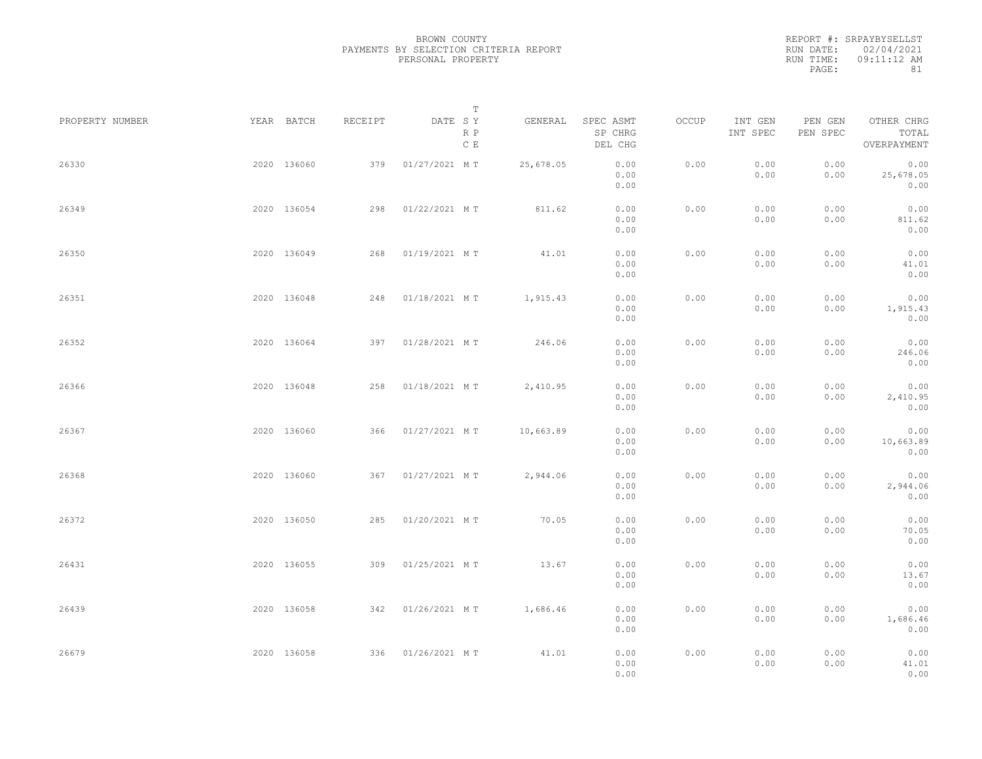|           | REPORT #: SRPAYBYSELLST |
|-----------|-------------------------|
|           | RUN DATE: 02/04/2021    |
| RUN TIME: | 09:11:12 AM             |
| PAGE:     | 81                      |

| PROPERTY NUMBER | YEAR BATCH  | RECEIPT | DATE SY           | T<br>R P<br>$\,$ C $\,$ E | GENERAL   | SPEC ASMT<br>SP CHRG<br>DEL CHG | OCCUP | INT GEN<br>INT SPEC | PEN GEN<br>PEN SPEC | OTHER CHRG<br>TOTAL<br>OVERPAYMENT |  |
|-----------------|-------------|---------|-------------------|---------------------------|-----------|---------------------------------|-------|---------------------|---------------------|------------------------------------|--|
| 26330           | 2020 136060 | 379     | 01/27/2021 MT     |                           | 25,678.05 | 0.00<br>0.00<br>0.00            | 0.00  | 0.00<br>0.00        | 0.00<br>0.00        | 0.00<br>25,678.05<br>0.00          |  |
| 26349           | 2020 136054 | 298     | 01/22/2021 MT     |                           | 811.62    | 0.00<br>0.00<br>0.00            | 0.00  | 0.00<br>0.00        | 0.00<br>0.00        | 0.00<br>811.62<br>0.00             |  |
| 26350           | 2020 136049 | 268     | 01/19/2021 MT     |                           | 41.01     | 0.00<br>0.00<br>0.00            | 0.00  | 0.00<br>0.00        | 0.00<br>0.00        | 0.00<br>41.01<br>0.00              |  |
| 26351           | 2020 136048 | 248     | 01/18/2021 MT     |                           | 1,915.43  | 0.00<br>0.00<br>0.00            | 0.00  | 0.00<br>0.00        | 0.00<br>0.00        | 0.00<br>1,915.43<br>0.00           |  |
| 26352           | 2020 136064 |         | 397 01/28/2021 MT |                           | 246.06    | 0.00<br>0.00<br>0.00            | 0.00  | 0.00<br>0.00        | 0.00<br>0.00        | 0.00<br>246.06<br>0.00             |  |
| 26366           | 2020 136048 | 258     | 01/18/2021 MT     |                           | 2,410.95  | 0.00<br>0.00<br>0.00            | 0.00  | 0.00<br>0.00        | 0.00<br>0.00        | 0.00<br>2,410.95<br>0.00           |  |
| 26367           | 2020 136060 | 366     | 01/27/2021 MT     |                           | 10,663.89 | 0.00<br>0.00<br>0.00            | 0.00  | 0.00<br>0.00        | 0.00<br>0.00        | 0.00<br>10,663.89<br>0.00          |  |
| 26368           | 2020 136060 | 367     | 01/27/2021 MT     |                           | 2,944.06  | 0.00<br>0.00<br>0.00            | 0.00  | 0.00<br>0.00        | 0.00<br>0.00        | 0.00<br>2,944.06<br>0.00           |  |
| 26372           | 2020 136050 | 285     | 01/20/2021 MT     |                           | 70.05     | 0.00<br>0.00<br>0.00            | 0.00  | 0.00<br>0.00        | 0.00<br>0.00        | 0.00<br>70.05<br>0.00              |  |
| 26431           | 2020 136055 |         | 309 01/25/2021 MT |                           | 13.67     | 0.00<br>0.00<br>0.00            | 0.00  | 0.00<br>0.00        | 0.00<br>0.00        | 0.00<br>13.67<br>0.00              |  |
| 26439           | 2020 136058 |         | 342 01/26/2021 MT |                           | 1,686.46  | 0.00<br>0.00<br>0.00            | 0.00  | 0.00<br>0.00        | 0.00<br>0.00        | 0.00<br>1,686.46<br>0.00           |  |
| 26679           | 2020 136058 |         | 336 01/26/2021 MT |                           | 41.01     | 0.00<br>0.00<br>0.00            | 0.00  | 0.00<br>0.00        | 0.00<br>0.00        | 0.00<br>41.01<br>0.00              |  |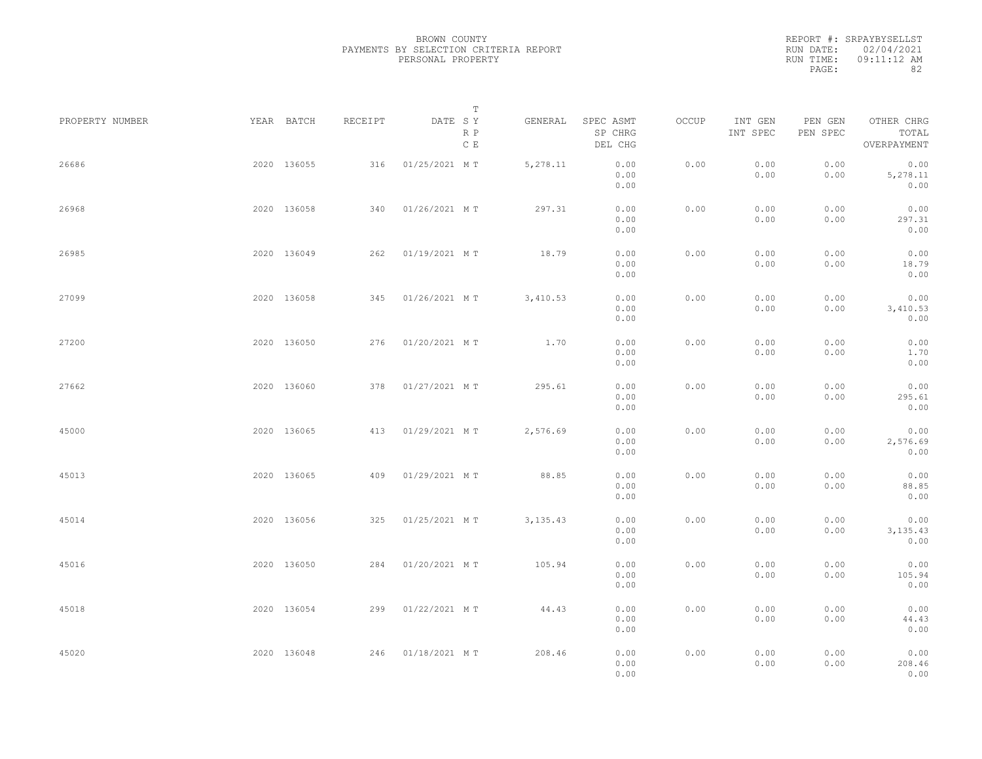|           | REPORT #: SRPAYBYSELLST |
|-----------|-------------------------|
|           | RUN DATE: 02/04/2021    |
| RUN TIME: | 09:11:12 AM             |
| PAGE:     | 82                      |

| PROPERTY NUMBER | YEAR BATCH  | RECEIPT | DATE SY           | T<br>R P<br>$\,$ C $\,$ E | GENERAL   | SPEC ASMT<br>SP CHRG<br>DEL CHG | OCCUP | INT GEN<br>INT SPEC | PEN GEN<br>PEN SPEC | OTHER CHRG<br>TOTAL<br>OVERPAYMENT |  |
|-----------------|-------------|---------|-------------------|---------------------------|-----------|---------------------------------|-------|---------------------|---------------------|------------------------------------|--|
| 26686           | 2020 136055 | 316     | 01/25/2021 MT     |                           | 5,278.11  | 0.00<br>0.00<br>0.00            | 0.00  | 0.00<br>0.00        | 0.00<br>0.00        | 0.00<br>5,278.11<br>0.00           |  |
| 26968           | 2020 136058 | 340     | 01/26/2021 MT     |                           | 297.31    | 0.00<br>0.00<br>0.00            | 0.00  | 0.00<br>0.00        | 0.00<br>0.00        | 0.00<br>297.31<br>0.00             |  |
| 26985           | 2020 136049 | 262     | 01/19/2021 MT     |                           | 18.79     | 0.00<br>0.00<br>0.00            | 0.00  | 0.00<br>0.00        | 0.00<br>0.00        | 0.00<br>18.79<br>0.00              |  |
| 27099           | 2020 136058 |         | 345 01/26/2021 MT |                           | 3,410.53  | 0.00<br>0.00<br>0.00            | 0.00  | 0.00<br>0.00        | 0.00<br>0.00        | 0.00<br>3,410.53<br>0.00           |  |
| 27200           | 2020 136050 |         | 276 01/20/2021 MT |                           | 1.70      | 0.00<br>0.00<br>0.00            | 0.00  | 0.00<br>0.00        | 0.00<br>0.00        | 0.00<br>1.70<br>0.00               |  |
| 27662           | 2020 136060 | 378     | 01/27/2021 MT     |                           | 295.61    | 0.00<br>0.00<br>0.00            | 0.00  | 0.00<br>0.00        | 0.00<br>0.00        | 0.00<br>295.61<br>0.00             |  |
| 45000           | 2020 136065 | 413     | 01/29/2021 MT     |                           | 2,576.69  | 0.00<br>0.00<br>0.00            | 0.00  | 0.00<br>0.00        | 0.00<br>0.00        | 0.00<br>2,576.69<br>0.00           |  |
| 45013           | 2020 136065 | 409     | 01/29/2021 MT     |                           | 88.85     | 0.00<br>0.00<br>0.00            | 0.00  | 0.00<br>0.00        | 0.00<br>0.00        | 0.00<br>88.85<br>0.00              |  |
| 45014           | 2020 136056 | 325     | 01/25/2021 MT     |                           | 3, 135.43 | 0.00<br>0.00<br>0.00            | 0.00  | 0.00<br>0.00        | 0.00<br>0.00        | 0.00<br>3, 135.43<br>0.00          |  |
| 45016           | 2020 136050 |         | 284 01/20/2021 MT |                           | 105.94    | 0.00<br>0.00<br>0.00            | 0.00  | 0.00<br>0.00        | 0.00<br>0.00        | 0.00<br>105.94<br>0.00             |  |
| 45018           | 2020 136054 |         | 299 01/22/2021 MT |                           | 44.43     | 0.00<br>0.00<br>0.00            | 0.00  | 0.00<br>0.00        | 0.00<br>0.00        | 0.00<br>44.43<br>0.00              |  |
| 45020           | 2020 136048 |         | 246 01/18/2021 MT |                           | 208.46    | 0.00<br>0.00<br>0.00            | 0.00  | 0.00<br>0.00        | 0.00<br>0.00        | 0.00<br>208.46<br>0.00             |  |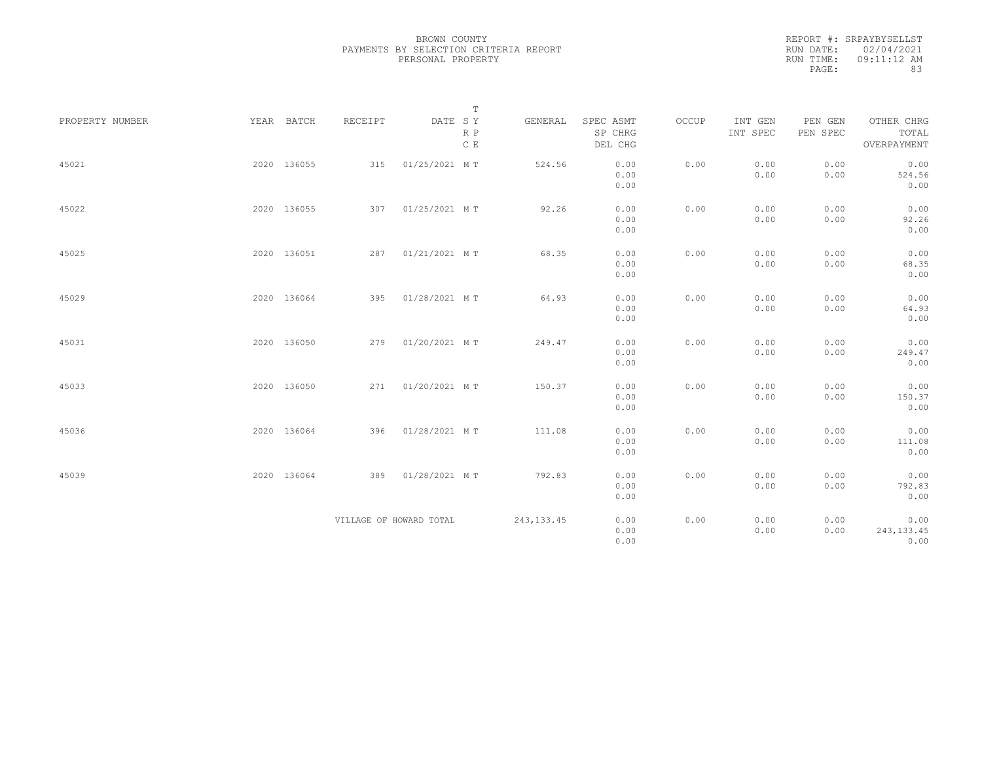|           | REPORT #: SRPAYBYSELLST |
|-----------|-------------------------|
|           | RUN DATE: 02/04/2021    |
| RUN TIME: | 09:11:12 AM             |
| PAGE:     | 83                      |

|                 |             |                         |               | $\mathbb T$ |             |                                 |       |                     |                     |                                    |
|-----------------|-------------|-------------------------|---------------|-------------|-------------|---------------------------------|-------|---------------------|---------------------|------------------------------------|
| PROPERTY NUMBER | YEAR BATCH  | RECEIPT                 | DATE SY       | R P<br>C E  | GENERAL     | SPEC ASMT<br>SP CHRG<br>DEL CHG | OCCUP | INT GEN<br>INT SPEC | PEN GEN<br>PEN SPEC | OTHER CHRG<br>TOTAL<br>OVERPAYMENT |
| 45021           | 2020 136055 | 315                     | 01/25/2021 MT |             | 524.56      | 0.00<br>0.00<br>0.00            | 0.00  | 0.00<br>0.00        | 0.00<br>0.00        | 0.00<br>524.56<br>0.00             |
| 45022           | 2020 136055 | 307                     | 01/25/2021 MT |             | 92.26       | 0.00<br>0.00<br>0.00            | 0.00  | 0.00<br>0.00        | 0.00<br>0.00        | 0.00<br>92.26<br>0.00              |
| 45025           | 2020 136051 | 287                     | 01/21/2021 MT |             | 68.35       | 0.00<br>0.00<br>0.00            | 0.00  | 0.00<br>0.00        | 0.00<br>0.00        | 0.00<br>68.35<br>0.00              |
| 45029           | 2020 136064 | 395                     | 01/28/2021 MT |             | 64.93       | 0.00<br>0.00<br>0.00            | 0.00  | 0.00<br>0.00        | 0.00<br>0.00        | 0.00<br>64.93<br>0.00              |
| 45031           | 2020 136050 | 279                     | 01/20/2021 MT |             | 249.47      | 0.00<br>0.00<br>0.00            | 0.00  | 0.00<br>0.00        | 0.00<br>0.00        | 0.00<br>249.47<br>0.00             |
| 45033           | 2020 136050 | 271                     | 01/20/2021 MT |             | 150.37      | 0.00<br>0.00<br>0.00            | 0.00  | 0.00<br>0.00        | 0.00<br>0.00        | 0.00<br>150.37<br>0.00             |
| 45036           | 2020 136064 | 396                     | 01/28/2021 MT |             | 111.08      | 0.00<br>0.00<br>0.00            | 0.00  | 0.00<br>0.00        | 0.00<br>0.00        | 0.00<br>111.08<br>0.00             |
| 45039           | 2020 136064 | 389                     | 01/28/2021 MT |             | 792.83      | 0.00<br>0.00<br>0.00            | 0.00  | 0.00<br>0.00        | 0.00<br>0.00        | 0.00<br>792.83<br>0.00             |
|                 |             | VILLAGE OF HOWARD TOTAL |               |             | 243, 133.45 | 0.00<br>0.00<br>0.00            | 0.00  | 0.00<br>0.00        | 0.00<br>0.00        | 0.00<br>243, 133.45<br>0.00        |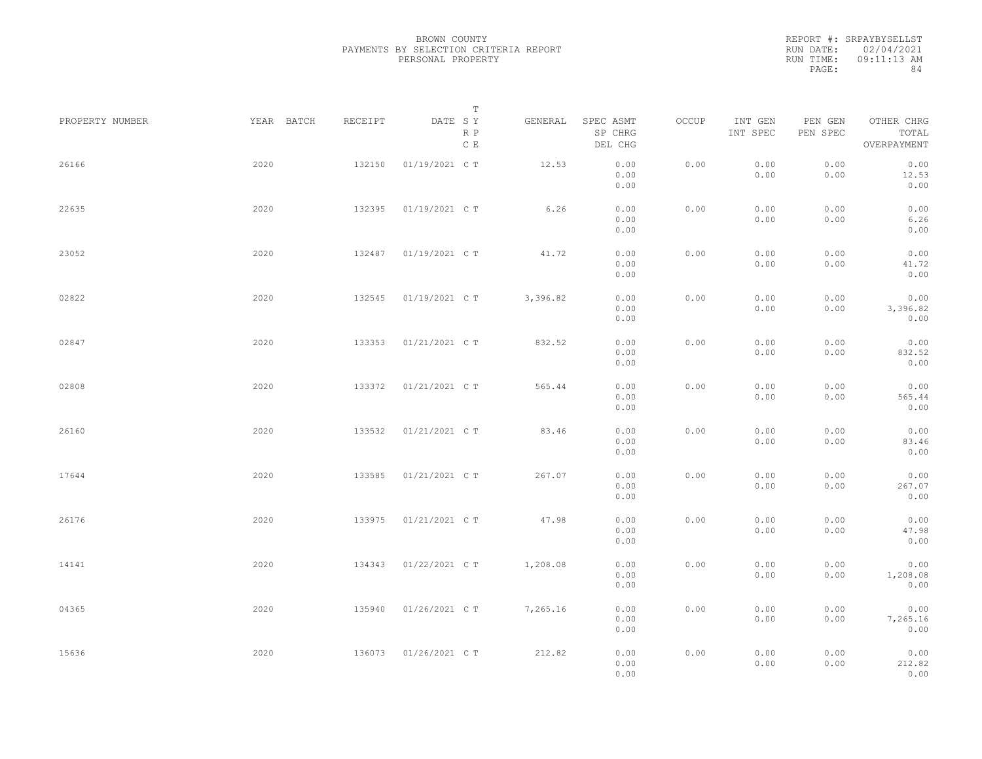|           | REPORT #: SRPAYBYSELLST |
|-----------|-------------------------|
|           | RUN DATE: 02/04/2021    |
| RUN TIME: | $09:11:13$ AM           |
| PAGE:     | 84                      |

|                 |            |         | T                     |          |                                 |       |                     |                     |                                    |  |
|-----------------|------------|---------|-----------------------|----------|---------------------------------|-------|---------------------|---------------------|------------------------------------|--|
| PROPERTY NUMBER | YEAR BATCH | RECEIPT | DATE SY<br>R P<br>C E | GENERAL  | SPEC ASMT<br>SP CHRG<br>DEL CHG | OCCUP | INT GEN<br>INT SPEC | PEN GEN<br>PEN SPEC | OTHER CHRG<br>TOTAL<br>OVERPAYMENT |  |
| 26166           | 2020       | 132150  | 01/19/2021 C T        | 12.53    | 0.00<br>0.00<br>0.00            | 0.00  | 0.00<br>0.00        | 0.00<br>0.00        | 0.00<br>12.53<br>0.00              |  |
| 22635           | 2020       | 132395  | 01/19/2021 C T        | 6.26     | 0.00<br>0.00<br>0.00            | 0.00  | 0.00<br>0.00        | 0.00<br>0.00        | 0.00<br>6.26<br>0.00               |  |
| 23052           | 2020       | 132487  | 01/19/2021 C T        | 41.72    | 0.00<br>0.00<br>0.00            | 0.00  | 0.00<br>0.00        | 0.00<br>0.00        | 0.00<br>41.72<br>0.00              |  |
| 02822           | 2020       | 132545  | 01/19/2021 C T        | 3,396.82 | 0.00<br>0.00<br>0.00            | 0.00  | 0.00<br>0.00        | 0.00<br>0.00        | 0.00<br>3,396.82<br>0.00           |  |
| 02847           | 2020       | 133353  | 01/21/2021 C T        | 832.52   | 0.00<br>0.00<br>0.00            | 0.00  | 0.00<br>0.00        | 0.00<br>0.00        | 0.00<br>832.52<br>0.00             |  |
| 02808           | 2020       | 133372  | 01/21/2021 C T        | 565.44   | 0.00<br>0.00<br>0.00            | 0.00  | 0.00<br>0.00        | 0.00<br>0.00        | 0.00<br>565.44<br>0.00             |  |
| 26160           | 2020       | 133532  | 01/21/2021 C T        | 83.46    | 0.00<br>0.00<br>0.00            | 0.00  | 0.00<br>0.00        | 0.00<br>0.00        | 0.00<br>83.46<br>0.00              |  |
| 17644           | 2020       | 133585  | 01/21/2021 C T        | 267.07   | 0.00<br>0.00<br>0.00            | 0.00  | 0.00<br>0.00        | 0.00<br>0.00        | 0.00<br>267.07<br>0.00             |  |
| 26176           | 2020       | 133975  | 01/21/2021 C T        | 47.98    | 0.00<br>0.00<br>0.00            | 0.00  | 0.00<br>0.00        | 0.00<br>0.00        | 0.00<br>47.98<br>0.00              |  |
| 14141           | 2020       | 134343  | 01/22/2021 C T        | 1,208.08 | 0.00<br>0.00<br>0.00            | 0.00  | 0.00<br>0.00        | 0.00<br>0.00        | 0.00<br>1,208.08<br>0.00           |  |
| 04365           | 2020       | 135940  | 01/26/2021 C T        | 7,265.16 | 0.00<br>0.00<br>0.00            | 0.00  | 0.00<br>0.00        | 0.00<br>0.00        | 0.00<br>7,265.16<br>0.00           |  |
| 15636           | 2020       | 136073  | 01/26/2021 C T        | 212.82   | 0.00<br>0.00<br>0.00            | 0.00  | 0.00<br>0.00        | 0.00<br>0.00        | 0.00<br>212.82<br>0.00             |  |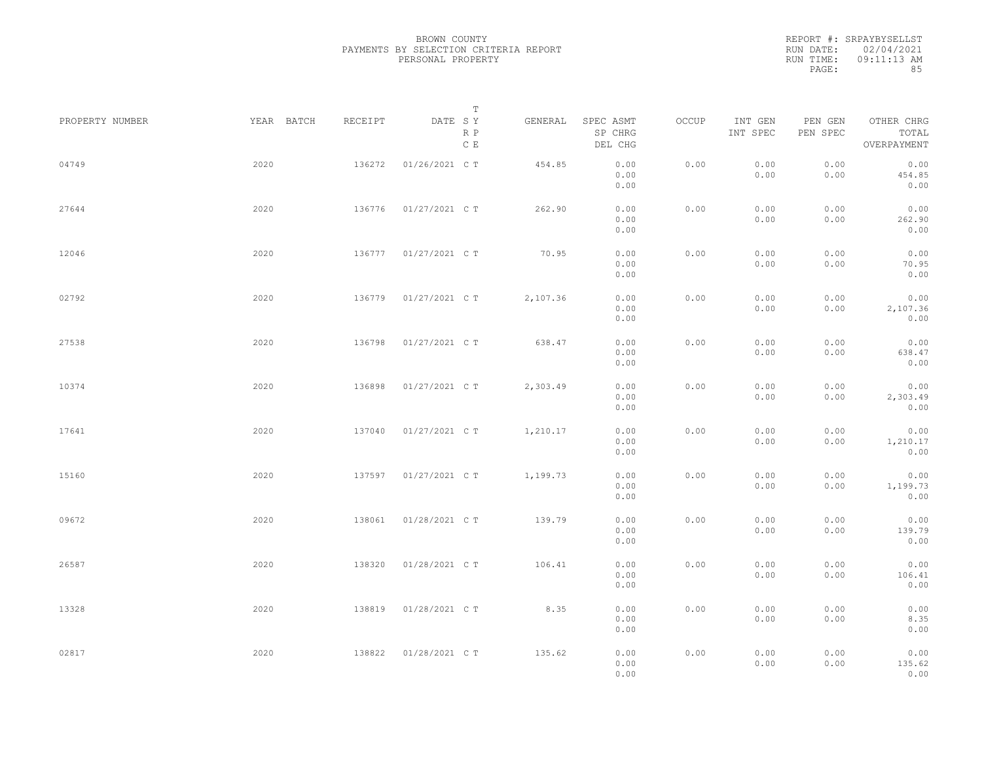|           | REPORT #: SRPAYBYSELLST |
|-----------|-------------------------|
|           | RUN DATE: 02/04/2021    |
| RUN TIME: | 09:11:13 AM             |
| PAGE:     | 85                      |

|                 |            |         | $\mathbb T$                     |          |                                 |       |                     |                     |                                    |  |
|-----------------|------------|---------|---------------------------------|----------|---------------------------------|-------|---------------------|---------------------|------------------------------------|--|
| PROPERTY NUMBER | YEAR BATCH | RECEIPT | DATE SY<br>R P<br>$\,$ C $\,$ E | GENERAL  | SPEC ASMT<br>SP CHRG<br>DEL CHG | OCCUP | INT GEN<br>INT SPEC | PEN GEN<br>PEN SPEC | OTHER CHRG<br>TOTAL<br>OVERPAYMENT |  |
| 04749           | 2020       | 136272  | 01/26/2021 C T                  | 454.85   | 0.00<br>0.00<br>0.00            | 0.00  | 0.00<br>0.00        | 0.00<br>0.00        | 0.00<br>454.85<br>0.00             |  |
| 27644           | 2020       | 136776  | 01/27/2021 C T                  | 262.90   | 0.00<br>0.00<br>0.00            | 0.00  | 0.00<br>0.00        | 0.00<br>0.00        | 0.00<br>262.90<br>0.00             |  |
| 12046           | 2020       | 136777  | 01/27/2021 C T                  | 70.95    | 0.00<br>0.00<br>0.00            | 0.00  | 0.00<br>0.00        | 0.00<br>0.00        | 0.00<br>70.95<br>0.00              |  |
| 02792           | 2020       | 136779  | 01/27/2021 C T                  | 2,107.36 | 0.00<br>0.00<br>0.00            | 0.00  | 0.00<br>0.00        | 0.00<br>0.00        | 0.00<br>2,107.36<br>0.00           |  |
| 27538           | 2020       | 136798  | 01/27/2021 C T                  | 638.47   | 0.00<br>0.00<br>0.00            | 0.00  | 0.00<br>0.00        | 0.00<br>0.00        | 0.00<br>638.47<br>0.00             |  |
| 10374           | 2020       | 136898  | 01/27/2021 C T                  | 2,303.49 | 0.00<br>0.00<br>0.00            | 0.00  | 0.00<br>0.00        | 0.00<br>0.00        | 0.00<br>2,303.49<br>0.00           |  |
| 17641           | 2020       | 137040  | 01/27/2021 C T                  | 1,210.17 | 0.00<br>0.00<br>0.00            | 0.00  | 0.00<br>0.00        | 0.00<br>0.00        | 0.00<br>1,210.17<br>0.00           |  |
| 15160           | 2020       | 137597  | 01/27/2021 C T                  | 1,199.73 | 0.00<br>0.00<br>0.00            | 0.00  | 0.00<br>0.00        | 0.00<br>0.00        | 0.00<br>1,199.73<br>0.00           |  |
| 09672           | 2020       | 138061  | 01/28/2021 C T                  | 139.79   | 0.00<br>0.00<br>0.00            | 0.00  | 0.00<br>0.00        | 0.00<br>0.00        | 0.00<br>139.79<br>0.00             |  |
| 26587           | 2020       | 138320  | 01/28/2021 C T                  | 106.41   | 0.00<br>0.00<br>0.00            | 0.00  | 0.00<br>0.00        | 0.00<br>0.00        | 0.00<br>106.41<br>0.00             |  |
| 13328           | 2020       | 138819  | 01/28/2021 C T                  | 8.35     | 0.00<br>0.00<br>0.00            | 0.00  | 0.00<br>0.00        | 0.00<br>0.00        | 0.00<br>8.35<br>0.00               |  |
| 02817           | 2020       | 138822  | 01/28/2021 C T                  | 135.62   | 0.00<br>0.00<br>0.00            | 0.00  | 0.00<br>0.00        | 0.00<br>0.00        | 0.00<br>135.62<br>0.00             |  |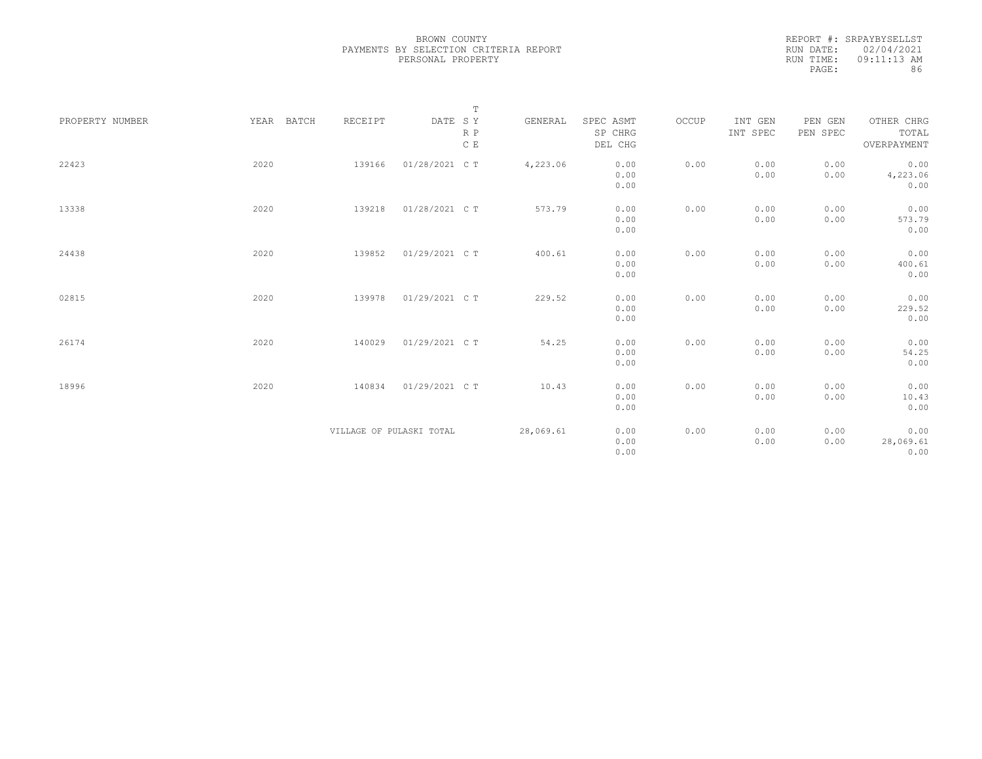|           | REPORT #: SRPAYBYSELLST |
|-----------|-------------------------|
|           | RUN DATE: 02/04/2021    |
| RUN TIME: | $09:11:13$ AM           |
| PAGE:     | 86                      |

| PROPERTY NUMBER | YEAR BATCH | RECEIPT                  | $\mathbb T$<br>DATE SY<br>R P<br>$\,$ C $\,$ E | GENERAL   | SPEC ASMT<br>SP CHRG<br>DEL CHG | OCCUP | INT GEN<br>INT SPEC | PEN GEN<br>PEN SPEC | OTHER CHRG<br>TOTAL<br>OVERPAYMENT |
|-----------------|------------|--------------------------|------------------------------------------------|-----------|---------------------------------|-------|---------------------|---------------------|------------------------------------|
| 22423           | 2020       | 139166                   | 01/28/2021 C T                                 | 4,223.06  | 0.00<br>0.00<br>0.00            | 0.00  | 0.00<br>0.00        | 0.00<br>0.00        | 0.00<br>4,223.06<br>0.00           |
| 13338           | 2020       | 139218                   | 01/28/2021 C T                                 | 573.79    | 0.00<br>0.00<br>0.00            | 0.00  | 0.00<br>0.00        | 0.00<br>0.00        | 0.00<br>573.79<br>0.00             |
| 24438           | 2020       | 139852                   | 01/29/2021 C T                                 | 400.61    | 0.00<br>0.00<br>0.00            | 0.00  | 0.00<br>0.00        | 0.00<br>0.00        | 0.00<br>400.61<br>0.00             |
| 02815           | 2020       | 139978                   | 01/29/2021 C T                                 | 229.52    | 0.00<br>0.00<br>0.00            | 0.00  | 0.00<br>0.00        | 0.00<br>0.00        | 0.00<br>229.52<br>0.00             |
| 26174           | 2020       | 140029                   | 01/29/2021 C T                                 | 54.25     | 0.00<br>0.00<br>0.00            | 0.00  | 0.00<br>0.00        | 0.00<br>0.00        | 0.00<br>54.25<br>0.00              |
| 18996           | 2020       | 140834                   | 01/29/2021 C T                                 | 10.43     | 0.00<br>0.00<br>0.00            | 0.00  | 0.00<br>0.00        | 0.00<br>0.00        | 0.00<br>10.43<br>0.00              |
|                 |            | VILLAGE OF PULASKI TOTAL |                                                | 28,069.61 | 0.00<br>0.00<br>0.00            | 0.00  | 0.00<br>0.00        | 0.00<br>0.00        | 0.00<br>28,069.61<br>0.00          |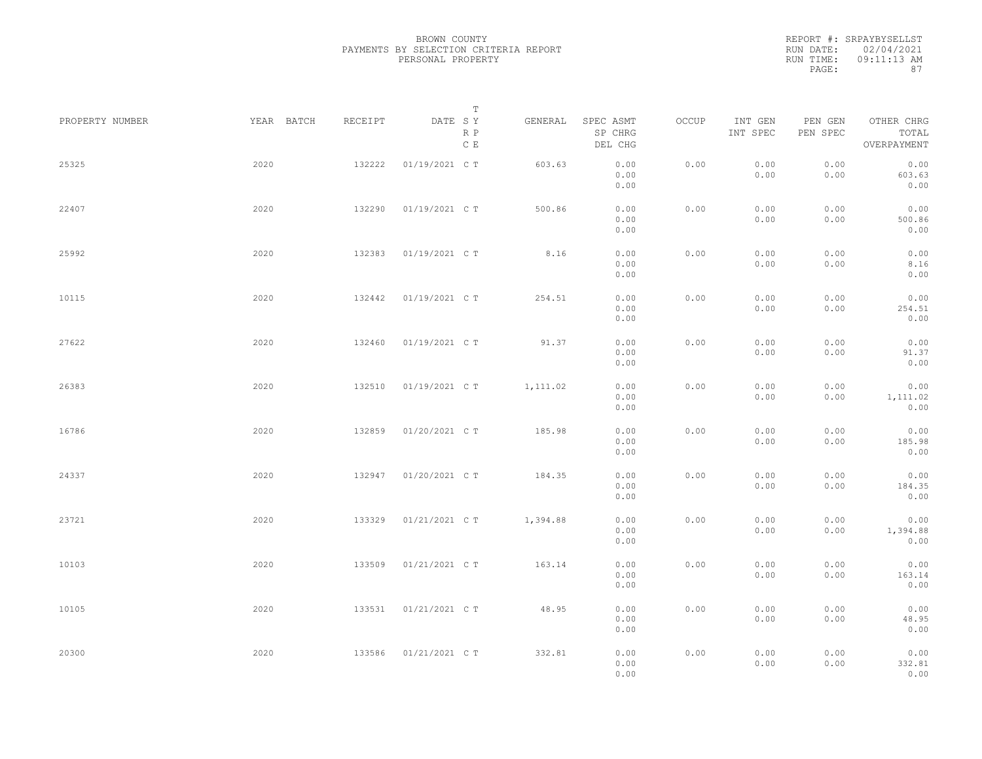|           | REPORT #: SRPAYBYSELLST |
|-----------|-------------------------|
|           | RUN DATE: 02/04/2021    |
| RUN TIME: | 09:11:13 AM             |
| PAGE:     | 87                      |

|                 |            |         | T                               |          |                                 |       |                     |                     |                                    |  |
|-----------------|------------|---------|---------------------------------|----------|---------------------------------|-------|---------------------|---------------------|------------------------------------|--|
| PROPERTY NUMBER | YEAR BATCH | RECEIPT | DATE SY<br>R P<br>$\,$ C $\,$ E | GENERAL  | SPEC ASMT<br>SP CHRG<br>DEL CHG | OCCUP | INT GEN<br>INT SPEC | PEN GEN<br>PEN SPEC | OTHER CHRG<br>TOTAL<br>OVERPAYMENT |  |
| 25325           | 2020       | 132222  | 01/19/2021 C T                  | 603.63   | 0.00<br>0.00<br>0.00            | 0.00  | 0.00<br>0.00        | 0.00<br>0.00        | 0.00<br>603.63<br>0.00             |  |
| 22407           | 2020       | 132290  | 01/19/2021 C T                  | 500.86   | 0.00<br>0.00<br>0.00            | 0.00  | 0.00<br>0.00        | 0.00<br>0.00        | 0.00<br>500.86<br>0.00             |  |
| 25992           | 2020       | 132383  | 01/19/2021 C T                  | 8.16     | 0.00<br>0.00<br>0.00            | 0.00  | 0.00<br>0.00        | 0.00<br>0.00        | 0.00<br>8.16<br>0.00               |  |
| 10115           | 2020       | 132442  | 01/19/2021 C T                  | 254.51   | 0.00<br>0.00<br>0.00            | 0.00  | 0.00<br>0.00        | 0.00<br>0.00        | 0.00<br>254.51<br>0.00             |  |
| 27622           | 2020       | 132460  | 01/19/2021 C T                  | 91.37    | 0.00<br>0.00<br>0.00            | 0.00  | 0.00<br>0.00        | 0.00<br>0.00        | 0.00<br>91.37<br>0.00              |  |
| 26383           | 2020       | 132510  | 01/19/2021 C T                  | 1,111.02 | 0.00<br>0.00<br>0.00            | 0.00  | 0.00<br>0.00        | 0.00<br>0.00        | 0.00<br>1,111.02<br>0.00           |  |
| 16786           | 2020       | 132859  | 01/20/2021 C T                  | 185.98   | 0.00<br>0.00<br>0.00            | 0.00  | 0.00<br>0.00        | 0.00<br>0.00        | 0.00<br>185.98<br>0.00             |  |
| 24337           | 2020       | 132947  | 01/20/2021 C T                  | 184.35   | 0.00<br>0.00<br>0.00            | 0.00  | 0.00<br>0.00        | 0.00<br>0.00        | 0.00<br>184.35<br>0.00             |  |
| 23721           | 2020       | 133329  | 01/21/2021 C T                  | 1,394.88 | 0.00<br>0.00<br>0.00            | 0.00  | 0.00<br>0.00        | 0.00<br>0.00        | 0.00<br>1,394.88<br>0.00           |  |
| 10103           | 2020       | 133509  | 01/21/2021 C T                  | 163.14   | 0.00<br>0.00<br>0.00            | 0.00  | 0.00<br>0.00        | 0.00<br>0.00        | 0.00<br>163.14<br>0.00             |  |
| 10105           | 2020       | 133531  | 01/21/2021 C T                  | 48.95    | 0.00<br>0.00<br>0.00            | 0.00  | 0.00<br>0.00        | 0.00<br>0.00        | 0.00<br>48.95<br>0.00              |  |
| 20300           | 2020       | 133586  | 01/21/2021 C T                  | 332.81   | 0.00<br>0.00<br>0.00            | 0.00  | 0.00<br>0.00        | 0.00<br>0.00        | 0.00<br>332.81<br>0.00             |  |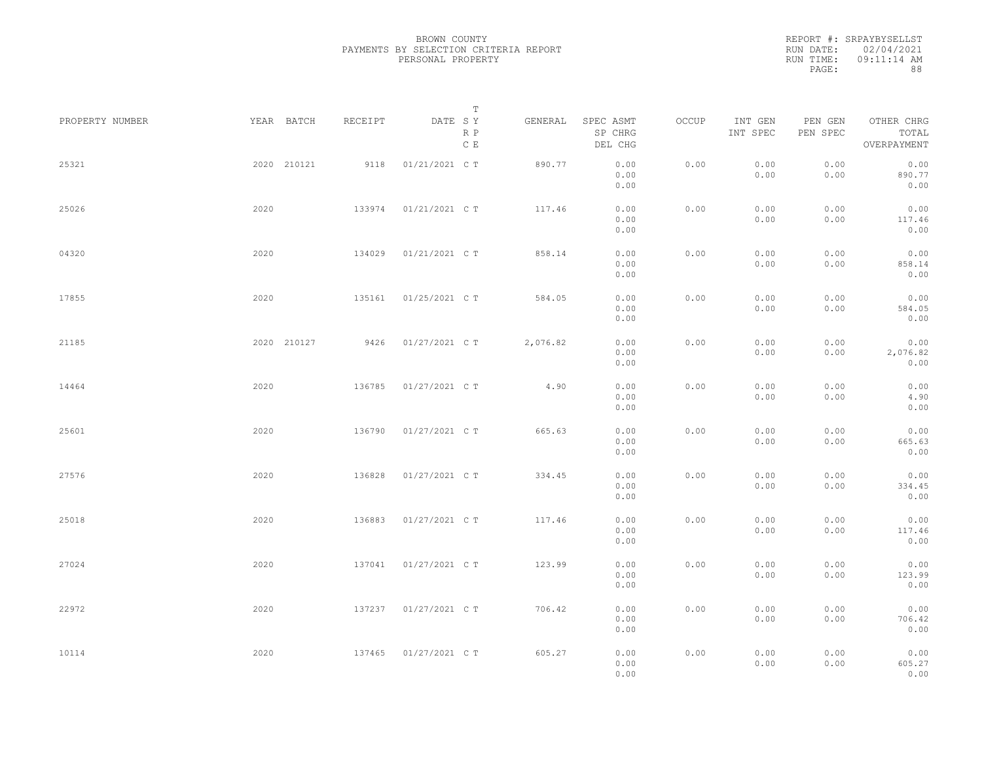REPORT #: SRPAYBYSELLST RUN DATE: 02/04/2021 RUN TIME: 09:11:14 AM PAGE: 88

|                 |             |         | T                               |          |                                 |       |                     |                     |                                    |  |
|-----------------|-------------|---------|---------------------------------|----------|---------------------------------|-------|---------------------|---------------------|------------------------------------|--|
| PROPERTY NUMBER | YEAR BATCH  | RECEIPT | DATE SY<br>R P<br>$\,$ C $\,$ E | GENERAL  | SPEC ASMT<br>SP CHRG<br>DEL CHG | OCCUP | INT GEN<br>INT SPEC | PEN GEN<br>PEN SPEC | OTHER CHRG<br>TOTAL<br>OVERPAYMENT |  |
| 25321           | 2020 210121 | 9118    | 01/21/2021 C T                  | 890.77   | 0.00<br>0.00<br>0.00            | 0.00  | 0.00<br>0.00        | 0.00<br>0.00        | 0.00<br>890.77<br>0.00             |  |
| 25026           | 2020        | 133974  | 01/21/2021 C T                  | 117.46   | 0.00<br>0.00<br>0.00            | 0.00  | 0.00<br>0.00        | 0.00<br>0.00        | 0.00<br>117.46<br>0.00             |  |
| 04320           | 2020        | 134029  | 01/21/2021 C T                  | 858.14   | 0.00<br>0.00<br>0.00            | 0.00  | 0.00<br>0.00        | 0.00<br>0.00        | 0.00<br>858.14<br>0.00             |  |
| 17855           | 2020        | 135161  | 01/25/2021 C T                  | 584.05   | 0.00<br>0.00<br>0.00            | 0.00  | 0.00<br>0.00        | 0.00<br>0.00        | 0.00<br>584.05<br>0.00             |  |
| 21185           | 2020 210127 | 9426    | 01/27/2021 C T                  | 2,076.82 | 0.00<br>0.00<br>0.00            | 0.00  | 0.00<br>0.00        | 0.00<br>0.00        | 0.00<br>2,076.82<br>0.00           |  |
| 14464           | 2020        | 136785  | 01/27/2021 C T                  | 4.90     | 0.00<br>0.00<br>0.00            | 0.00  | 0.00<br>0.00        | 0.00<br>0.00        | 0.00<br>4.90<br>0.00               |  |
| 25601           | 2020        | 136790  | 01/27/2021 C T                  | 665.63   | 0.00<br>0.00<br>0.00            | 0.00  | 0.00<br>0.00        | 0.00<br>0.00        | 0.00<br>665.63<br>0.00             |  |
| 27576           | 2020        | 136828  | 01/27/2021 C T                  | 334.45   | 0.00<br>0.00<br>0.00            | 0.00  | 0.00<br>0.00        | 0.00<br>0.00        | 0.00<br>334.45<br>0.00             |  |
| 25018           | 2020        | 136883  | 01/27/2021 C T                  | 117.46   | 0.00<br>0.00<br>0.00            | 0.00  | 0.00<br>0.00        | 0.00<br>0.00        | 0.00<br>117.46<br>0.00             |  |
| 27024           | 2020        | 137041  | 01/27/2021 C T                  | 123.99   | 0.00<br>0.00<br>0.00            | 0.00  | 0.00<br>0.00        | 0.00<br>0.00        | 0.00<br>123.99<br>0.00             |  |
| 22972           | 2020        | 137237  | 01/27/2021 C T                  | 706.42   | 0.00<br>0.00<br>0.00            | 0.00  | 0.00<br>0.00        | 0.00<br>0.00        | 0.00<br>706.42<br>0.00             |  |
| 10114           | 2020        | 137465  | 01/27/2021 C T                  | 605.27   | 0.00<br>0.00<br>0.00            | 0.00  | 0.00<br>0.00        | 0.00<br>0.00        | 0.00<br>605.27<br>0.00             |  |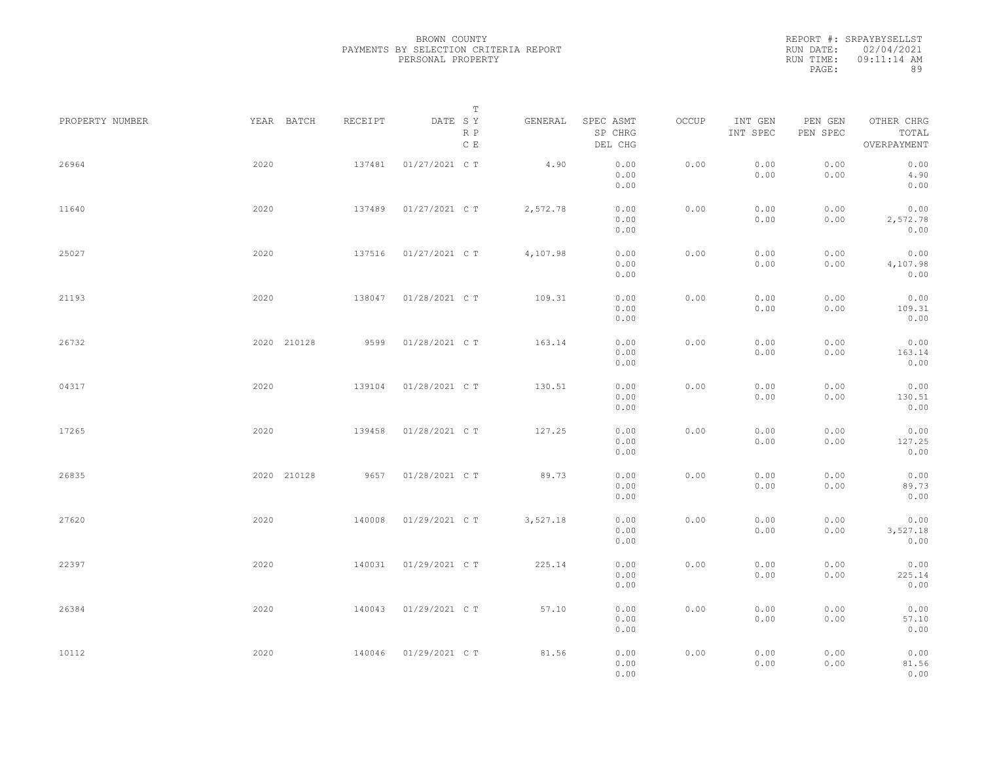| REPORT #: SRPAYBYSELLST |
|-------------------------|
| RUN DATE: 02/04/2021    |
| $09:11:14$ AM           |
| 89                      |
|                         |

|                 |             |         | $\mathbb T$           |          |                                 |       |                     |                     |                                    |  |
|-----------------|-------------|---------|-----------------------|----------|---------------------------------|-------|---------------------|---------------------|------------------------------------|--|
| PROPERTY NUMBER | YEAR BATCH  | RECEIPT | DATE SY<br>R P<br>C E | GENERAL  | SPEC ASMT<br>SP CHRG<br>DEL CHG | OCCUP | INT GEN<br>INT SPEC | PEN GEN<br>PEN SPEC | OTHER CHRG<br>TOTAL<br>OVERPAYMENT |  |
| 26964           | 2020        | 137481  | 01/27/2021 C T        | 4.90     | 0.00<br>0.00<br>0.00            | 0.00  | 0.00<br>0.00        | 0.00<br>0.00        | 0.00<br>4.90<br>0.00               |  |
| 11640           | 2020        | 137489  | 01/27/2021 C T        | 2,572.78 | 0.00<br>0.00<br>0.00            | 0.00  | 0.00<br>0.00        | 0.00<br>0.00        | 0.00<br>2,572.78<br>0.00           |  |
| 25027           | 2020        | 137516  | 01/27/2021 C T        | 4,107.98 | 0.00<br>0.00<br>0.00            | 0.00  | 0.00<br>0.00        | 0.00<br>0.00        | 0.00<br>4,107.98<br>0.00           |  |
| 21193           | 2020        | 138047  | 01/28/2021 C T        | 109.31   | 0.00<br>0.00<br>0.00            | 0.00  | 0.00<br>0.00        | 0.00<br>0.00        | 0.00<br>109.31<br>0.00             |  |
| 26732           | 2020 210128 | 9599    | 01/28/2021 C T        | 163.14   | 0.00<br>0.00<br>0.00            | 0.00  | 0.00<br>0.00        | 0.00<br>0.00        | 0.00<br>163.14<br>0.00             |  |
| 04317           | 2020        | 139104  | 01/28/2021 C T        | 130.51   | 0.00<br>0.00<br>0.00            | 0.00  | 0.00<br>0.00        | 0.00<br>0.00        | 0.00<br>130.51<br>0.00             |  |
| 17265           | 2020        | 139458  | 01/28/2021 C T        | 127.25   | 0.00<br>0.00<br>0.00            | 0.00  | 0.00<br>0.00        | 0.00<br>0.00        | 0.00<br>127.25<br>0.00             |  |
| 26835           | 2020 210128 | 9657    | 01/28/2021 C T        | 89.73    | 0.00<br>0.00<br>0.00            | 0.00  | 0.00<br>0.00        | 0.00<br>0.00        | 0.00<br>89.73<br>0.00              |  |
| 27620           | 2020        | 140008  | 01/29/2021 C T        | 3,527.18 | 0.00<br>0.00<br>0.00            | 0.00  | 0.00<br>0.00        | 0.00<br>0.00        | 0.00<br>3,527.18<br>0.00           |  |
| 22397           | 2020        | 140031  | 01/29/2021 C T        | 225.14   | 0.00<br>0.00<br>0.00            | 0.00  | 0.00<br>0.00        | 0.00<br>0.00        | 0.00<br>225.14<br>0.00             |  |
| 26384           | 2020        | 140043  | 01/29/2021 C T        | 57.10    | 0.00<br>0.00<br>0.00            | 0.00  | 0.00<br>0.00        | 0.00<br>0.00        | 0.00<br>57.10<br>0.00              |  |
| 10112           | 2020        | 140046  | 01/29/2021 C T        | 81.56    | 0.00<br>0.00<br>0.00            | 0.00  | 0.00<br>0.00        | 0.00<br>0.00        | 0.00<br>81.56<br>0.00              |  |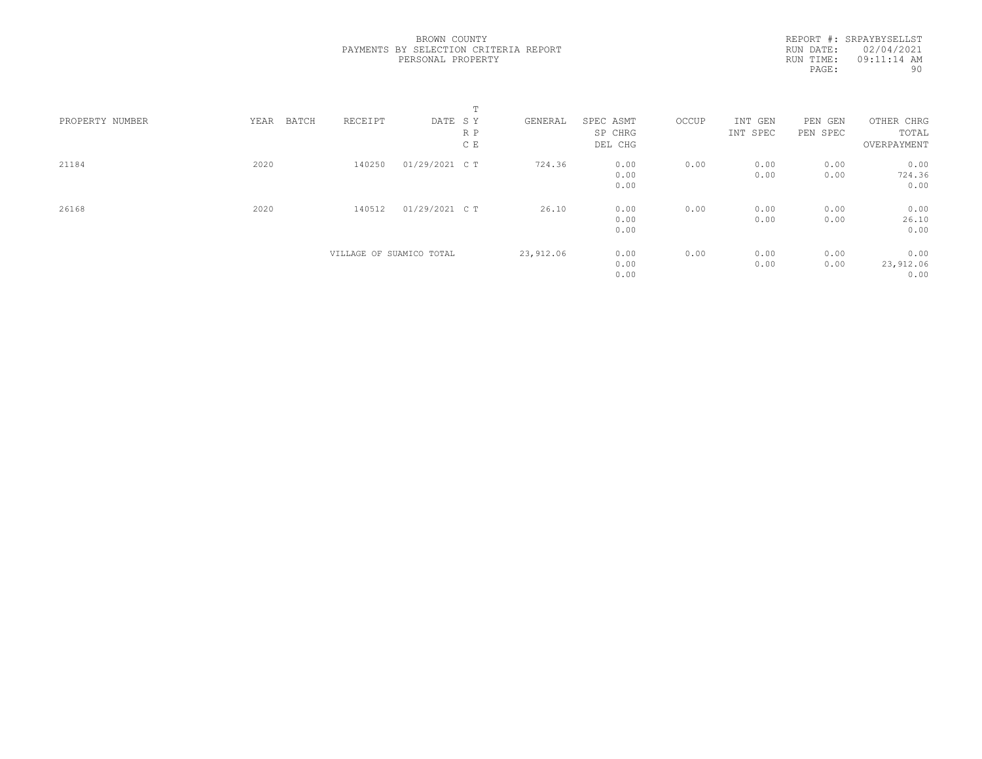REPORT #: SRPAYBYSELLST RUN DATE: 02/04/2021 RUN TIME: 09:11:14 AM<br>PAGE: 90 PAGE:

|                 |               |                          |                | m.  |           |           |       |          |          |             |  |
|-----------------|---------------|--------------------------|----------------|-----|-----------|-----------|-------|----------|----------|-------------|--|
| PROPERTY NUMBER | YEAR<br>BATCH | RECEIPT                  | DATE SY        |     | GENERAL   | SPEC ASMT | OCCUP | INT GEN  | PEN GEN  | OTHER CHRG  |  |
|                 |               |                          |                | R P |           | SP CHRG   |       | INT SPEC | PEN SPEC | TOTAL       |  |
|                 |               |                          |                | C E |           | DEL CHG   |       |          |          | OVERPAYMENT |  |
| 21184           | 2020          | 140250                   | 01/29/2021 C T |     | 724.36    | 0.00      | 0.00  | 0.00     | 0.00     | 0.00        |  |
|                 |               |                          |                |     |           | 0.00      |       | 0.00     | 0.00     | 724.36      |  |
|                 |               |                          |                |     |           | 0.00      |       |          |          | 0.00        |  |
| 26168           | 2020          | 140512                   | 01/29/2021 C T |     | 26.10     | 0.00      | 0.00  | 0.00     | 0.00     | 0.00        |  |
|                 |               |                          |                |     |           | 0.00      |       | 0.00     | 0.00     | 26.10       |  |
|                 |               |                          |                |     |           | 0.00      |       |          |          | 0.00        |  |
|                 |               | VILLAGE OF SUAMICO TOTAL |                |     | 23,912.06 | 0.00      | 0.00  | 0.00     | 0.00     | 0.00        |  |
|                 |               |                          |                |     |           | 0.00      |       | 0.00     | 0.00     | 23,912.06   |  |
|                 |               |                          |                |     |           | 0.00      |       |          |          | 0.00        |  |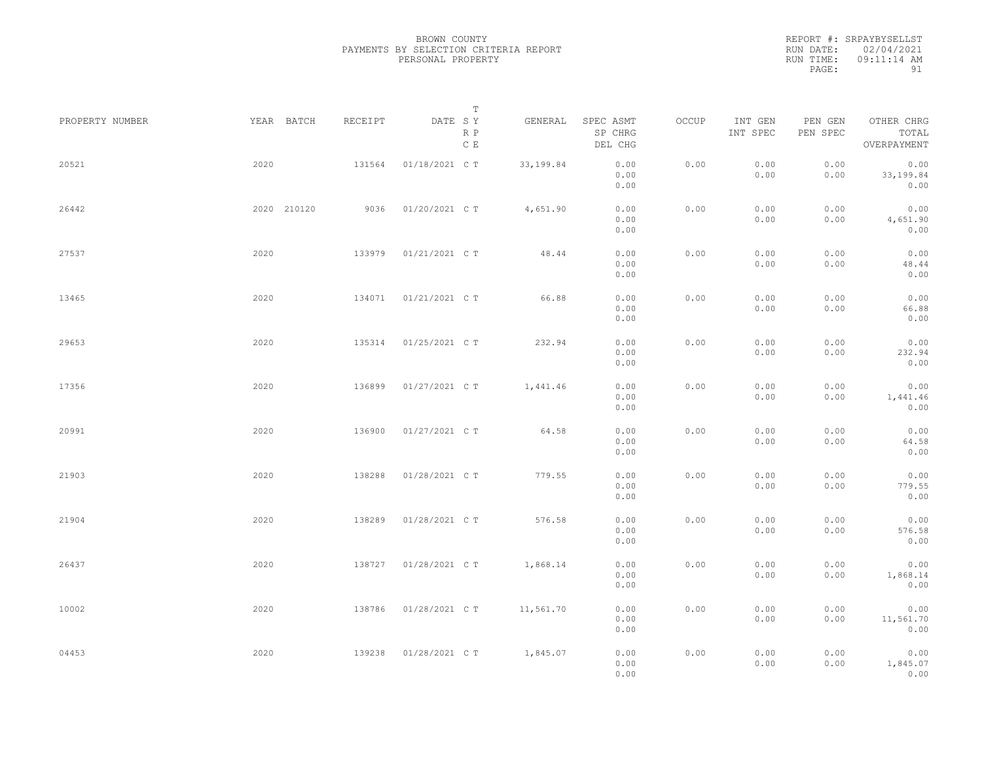REPORT #: SRPAYBYSELLST RUN DATE: 02/04/2021 RUN TIME: 09:11:14 AM PAGE: 91

| PROPERTY NUMBER |      | YEAR BATCH  | RECEIPT | T<br>DATE SY   | GENERAL   | SPEC ASMT            | OCCUP | INT GEN      | PEN GEN      | OTHER CHRG                |  |
|-----------------|------|-------------|---------|----------------|-----------|----------------------|-------|--------------|--------------|---------------------------|--|
|                 |      |             |         | R P<br>C E     |           | SP CHRG<br>DEL CHG   |       | INT SPEC     | PEN SPEC     | TOTAL<br>OVERPAYMENT      |  |
| 20521           | 2020 |             | 131564  | 01/18/2021 C T | 33,199.84 | 0.00<br>0.00<br>0.00 | 0.00  | 0.00<br>0.00 | 0.00<br>0.00 | 0.00<br>33,199.84<br>0.00 |  |
| 26442           |      | 2020 210120 | 9036    | 01/20/2021 C T | 4,651.90  | 0.00<br>0.00<br>0.00 | 0.00  | 0.00<br>0.00 | 0.00<br>0.00 | 0.00<br>4,651.90<br>0.00  |  |
| 27537           | 2020 |             | 133979  | 01/21/2021 C T | 48.44     | 0.00<br>0.00<br>0.00 | 0.00  | 0.00<br>0.00 | 0.00<br>0.00 | 0.00<br>48.44<br>0.00     |  |
| 13465           | 2020 |             | 134071  | 01/21/2021 C T | 66.88     | 0.00<br>0.00<br>0.00 | 0.00  | 0.00<br>0.00 | 0.00<br>0.00 | 0.00<br>66.88<br>0.00     |  |
| 29653           | 2020 |             | 135314  | 01/25/2021 C T | 232.94    | 0.00<br>0.00<br>0.00 | 0.00  | 0.00<br>0.00 | 0.00<br>0.00 | 0.00<br>232.94<br>0.00    |  |
| 17356           | 2020 |             | 136899  | 01/27/2021 C T | 1,441.46  | 0.00<br>0.00<br>0.00 | 0.00  | 0.00<br>0.00 | 0.00<br>0.00 | 0.00<br>1,441.46<br>0.00  |  |
| 20991           | 2020 |             | 136900  | 01/27/2021 C T | 64.58     | 0.00<br>0.00<br>0.00 | 0.00  | 0.00<br>0.00 | 0.00<br>0.00 | 0.00<br>64.58<br>0.00     |  |
| 21903           | 2020 |             | 138288  | 01/28/2021 C T | 779.55    | 0.00<br>0.00<br>0.00 | 0.00  | 0.00<br>0.00 | 0.00<br>0.00 | 0.00<br>779.55<br>0.00    |  |
| 21904           | 2020 |             | 138289  | 01/28/2021 C T | 576.58    | 0.00<br>0.00<br>0.00 | 0.00  | 0.00<br>0.00 | 0.00<br>0.00 | 0.00<br>576.58<br>0.00    |  |
| 26437           | 2020 |             | 138727  | 01/28/2021 C T | 1,868.14  | 0.00<br>0.00<br>0.00 | 0.00  | 0.00<br>0.00 | 0.00<br>0.00 | 0.00<br>1,868.14<br>0.00  |  |
| 10002           | 2020 |             | 138786  | 01/28/2021 C T | 11,561.70 | 0.00<br>0.00<br>0.00 | 0.00  | 0.00<br>0.00 | 0.00<br>0.00 | 0.00<br>11,561.70<br>0.00 |  |
| 04453           | 2020 |             | 139238  | 01/28/2021 C T | 1,845.07  | 0.00<br>0.00<br>0.00 | 0.00  | 0.00<br>0.00 | 0.00<br>0.00 | 0.00<br>1,845.07<br>0.00  |  |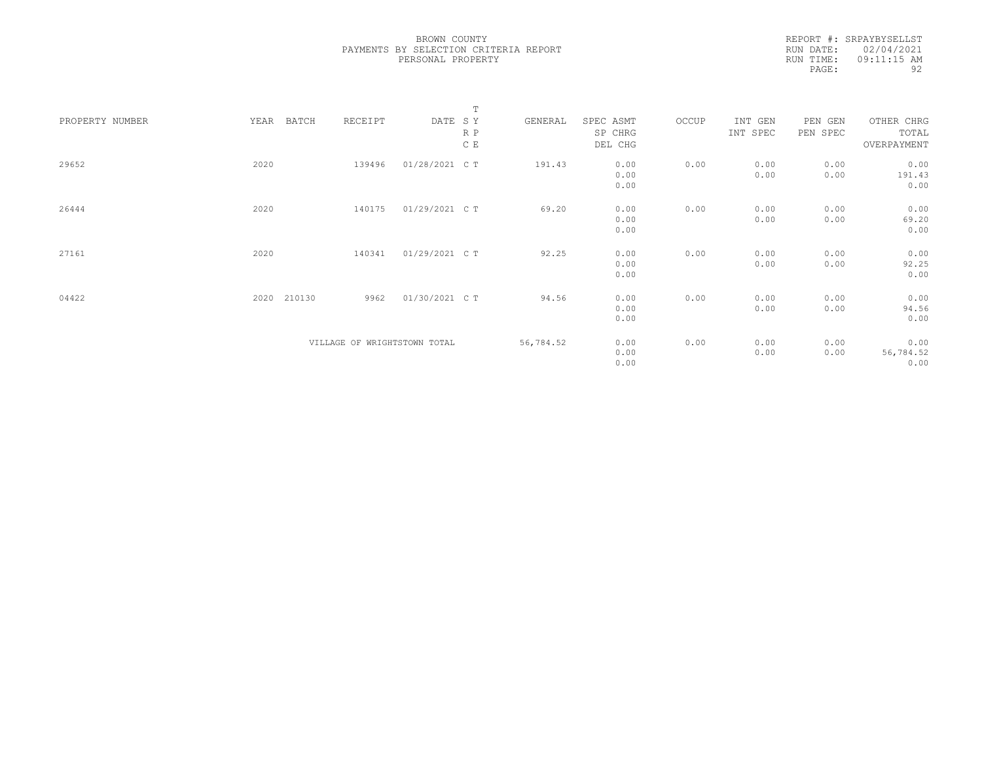REPORT #: SRPAYBYSELLST RUN DATE: 02/04/2021 RUN TIME: 09:11:15 AM PAGE: 92

|                 |      |        |         |                              | $\mathbb T$ |           |           |       |          |          |             |  |
|-----------------|------|--------|---------|------------------------------|-------------|-----------|-----------|-------|----------|----------|-------------|--|
| PROPERTY NUMBER | YEAR | BATCH  | RECEIPT | DATE SY                      |             | GENERAL   | SPEC ASMT | OCCUP | INT GEN  | PEN GEN  | OTHER CHRG  |  |
|                 |      |        |         |                              | R P         |           | SP CHRG   |       | INT SPEC | PEN SPEC | TOTAL       |  |
|                 |      |        |         |                              | C E         |           | DEL CHG   |       |          |          | OVERPAYMENT |  |
|                 |      |        |         |                              |             |           |           |       |          |          |             |  |
| 29652           | 2020 |        | 139496  | 01/28/2021 C T               |             | 191.43    | 0.00      | 0.00  | 0.00     | 0.00     | 0.00        |  |
|                 |      |        |         |                              |             |           | 0.00      |       | 0.00     | 0.00     | 191.43      |  |
|                 |      |        |         |                              |             |           | 0.00      |       |          |          | 0.00        |  |
|                 |      |        |         |                              |             |           |           |       |          |          |             |  |
| 26444           | 2020 |        | 140175  | 01/29/2021 C T               |             | 69.20     | 0.00      | 0.00  | 0.00     | 0.00     | 0.00        |  |
|                 |      |        |         |                              |             |           | 0.00      |       | 0.00     | 0.00     | 69.20       |  |
|                 |      |        |         |                              |             |           | 0.00      |       |          |          | 0.00        |  |
|                 |      |        |         |                              |             |           |           |       |          |          |             |  |
| 27161           | 2020 |        | 140341  | 01/29/2021 C T               |             | 92.25     | 0.00      | 0.00  | 0.00     | 0.00     | 0.00        |  |
|                 |      |        |         |                              |             |           | 0.00      |       | 0.00     | 0.00     | 92.25       |  |
|                 |      |        |         |                              |             |           | 0.00      |       |          |          | 0.00        |  |
|                 |      |        |         |                              |             |           |           |       |          |          |             |  |
| 04422           | 2020 | 210130 | 9962    | 01/30/2021 C T               |             | 94.56     | 0.00      | 0.00  | 0.00     | 0.00     | 0.00        |  |
|                 |      |        |         |                              |             |           | 0.00      |       | 0.00     | 0.00     | 94.56       |  |
|                 |      |        |         |                              |             |           | 0.00      |       |          |          | 0.00        |  |
|                 |      |        |         |                              |             |           |           |       |          |          |             |  |
|                 |      |        |         | VILLAGE OF WRIGHTSTOWN TOTAL |             | 56,784.52 | 0.00      | 0.00  | 0.00     | 0.00     | 0.00        |  |
|                 |      |        |         |                              |             |           | 0.00      |       | 0.00     | 0.00     | 56,784.52   |  |
|                 |      |        |         |                              |             |           | 0.00      |       |          |          | 0.00        |  |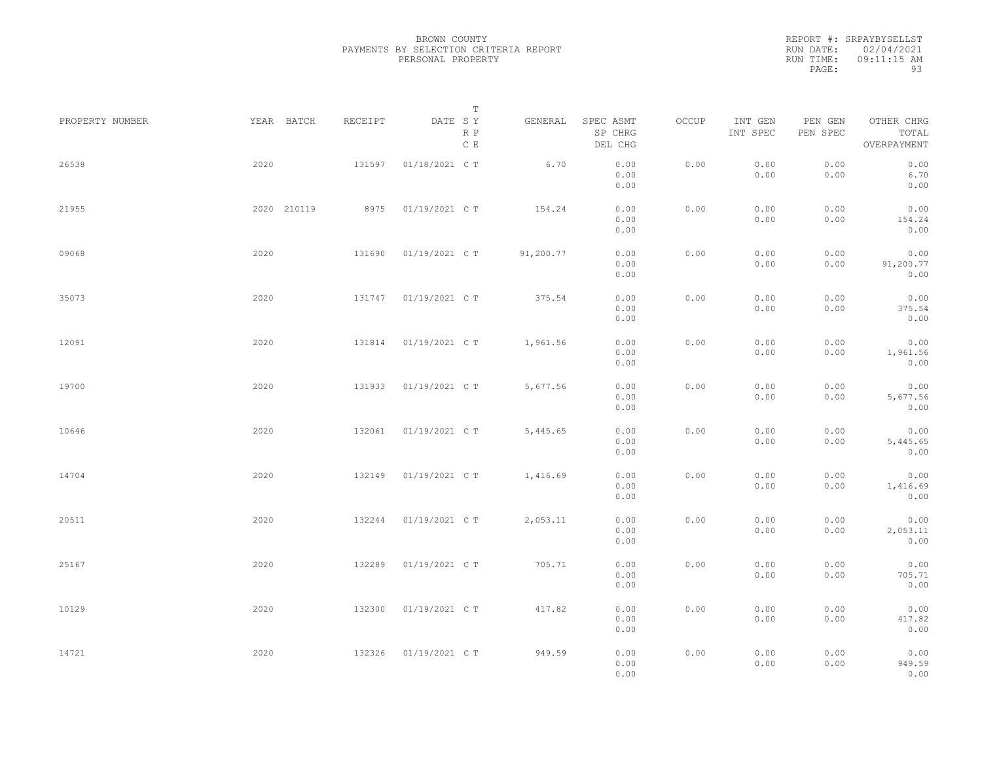REPORT #: SRPAYBYSELLST RUN DATE: 02/04/2021 RUN TIME: 09:11:15 AM PAGE: 93

|             |         | T                     |           |                                 |                                                              |                     |                     |                                    |                                                              |
|-------------|---------|-----------------------|-----------|---------------------------------|--------------------------------------------------------------|---------------------|---------------------|------------------------------------|--------------------------------------------------------------|
| YEAR BATCH  | RECEIPT | DATE SY<br>R P<br>C E | GENERAL   | SPEC ASMT<br>SP CHRG<br>DEL CHG | OCCUP                                                        | INT GEN<br>INT SPEC | PEN GEN<br>PEN SPEC | OTHER CHRG<br>TOTAL<br>OVERPAYMENT |                                                              |
| 2020        | 131597  | 01/18/2021 C T        | 6.70      | 0.00<br>0.00<br>0.00            | 0.00                                                         | 0.00<br>0.00        | 0.00<br>0.00        | 0.00<br>6.70<br>0.00               |                                                              |
| 2020 210119 | 8975    | 01/19/2021 C T        | 154.24    | 0.00<br>0.00<br>0.00            | 0.00                                                         | 0.00<br>0.00        | 0.00<br>0.00        | 0.00<br>154.24<br>0.00             |                                                              |
| 2020        | 131690  | 01/19/2021 C T        | 91,200.77 | 0.00<br>0.00<br>0.00            | 0.00                                                         | 0.00<br>0.00        | 0.00<br>0.00        | 0.00<br>91,200.77<br>0.00          |                                                              |
| 2020        | 131747  | 01/19/2021 C T        | 375.54    | 0.00<br>0.00                    | 0.00                                                         | 0.00<br>0.00        | 0.00<br>0.00        | 0.00<br>375.54                     |                                                              |
| 2020        | 131814  | 01/19/2021 C T        | 1,961.56  | 0.00<br>0.00                    | 0.00                                                         | 0.00<br>0.00        | 0.00<br>0.00        | 0.00<br>1,961.56                   |                                                              |
| 2020        | 131933  | 01/19/2021 C T        | 5,677.56  | 0.00<br>0.00                    | 0.00                                                         | 0.00<br>0.00        | 0.00<br>0.00        | 0.00<br>5,677.56                   |                                                              |
| 2020        | 132061  | 01/19/2021 C T        | 5,445.65  | 0.00<br>0.00                    | 0.00                                                         | 0.00<br>0.00        | 0.00<br>0.00        | 0.00<br>5,445.65                   |                                                              |
| 2020        | 132149  | 01/19/2021 C T        | 1,416.69  | 0.00<br>0.00                    | 0.00                                                         | 0.00<br>0.00        | 0.00<br>0.00        | 0.00<br>1,416.69                   |                                                              |
| 2020        | 132244  | 01/19/2021 C T        | 2,053.11  | 0.00<br>0.00                    | 0.00                                                         | 0.00<br>0.00        | 0.00<br>0.00        | 0.00<br>2,053.11                   |                                                              |
| 2020        | 132289  | 01/19/2021 C T        | 705.71    | 0.00<br>0.00                    | 0.00                                                         | 0.00<br>0.00        | 0.00<br>0.00        | 0.00<br>705.71                     |                                                              |
| 2020        | 132300  | 01/19/2021 C T        | 417.82    | 0.00<br>0.00                    | 0.00                                                         | 0.00<br>0.00        | 0.00<br>0.00        | 0.00<br>417.82                     |                                                              |
| 2020        | 132326  | 01/19/2021 C T        | 949.59    | 0.00<br>0.00<br>0.00            | 0.00                                                         | 0.00<br>0.00        | 0.00<br>0.00        | 0.00<br>0.00<br>949.59             |                                                              |
|             |         |                       |           |                                 | 0.00<br>0.00<br>0.00<br>0.00<br>0.00<br>0.00<br>0.00<br>0.00 |                     |                     |                                    | 0.00<br>0.00<br>0.00<br>0.00<br>0.00<br>0.00<br>0.00<br>0.00 |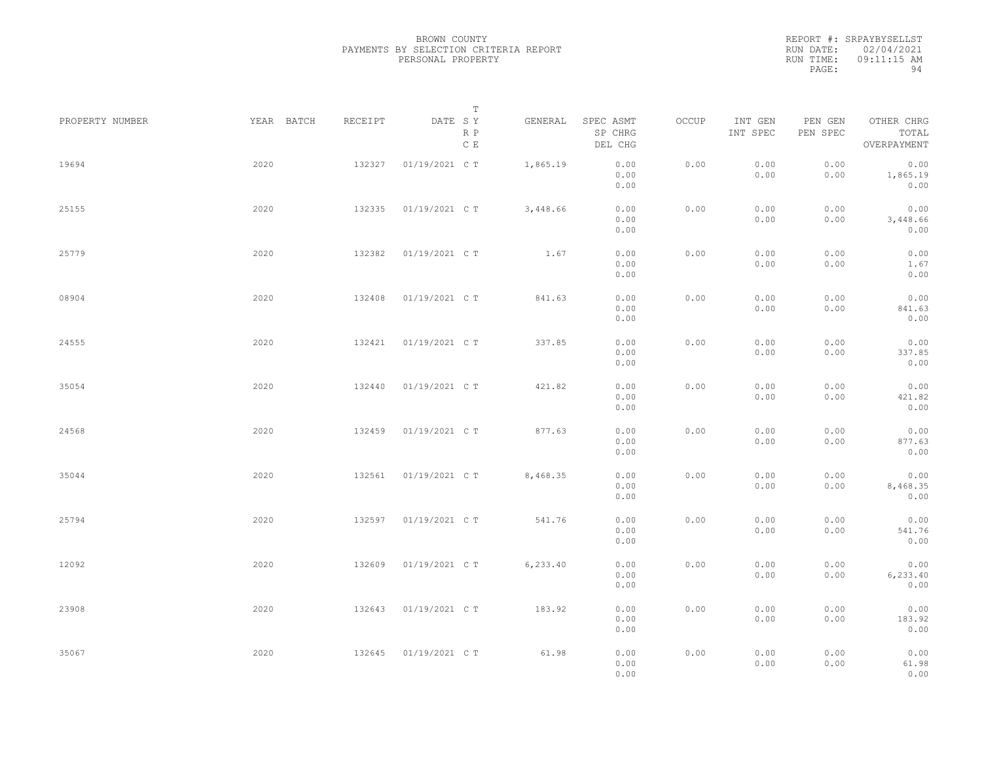|           | REPORT #: SRPAYBYSELLST |
|-----------|-------------------------|
|           | RUN DATE: 02/04/2021    |
| RUN TIME: | 09:11:15 AM             |
| PAGE:     | 94                      |

|                 |            |         | $\mathbb T$           |           |                                 |       |                     |                     |                                    |  |
|-----------------|------------|---------|-----------------------|-----------|---------------------------------|-------|---------------------|---------------------|------------------------------------|--|
| PROPERTY NUMBER | YEAR BATCH | RECEIPT | DATE SY<br>R P<br>C E | GENERAL   | SPEC ASMT<br>SP CHRG<br>DEL CHG | OCCUP | INT GEN<br>INT SPEC | PEN GEN<br>PEN SPEC | OTHER CHRG<br>TOTAL<br>OVERPAYMENT |  |
| 19694           | 2020       | 132327  | 01/19/2021 C T        | 1,865.19  | 0.00<br>0.00<br>0.00            | 0.00  | 0.00<br>0.00        | 0.00<br>0.00        | 0.00<br>1,865.19<br>0.00           |  |
| 25155           | 2020       | 132335  | 01/19/2021 C T        | 3,448.66  | 0.00<br>0.00<br>0.00            | 0.00  | 0.00<br>0.00        | 0.00<br>0.00        | 0.00<br>3,448.66<br>0.00           |  |
| 25779           | 2020       | 132382  | 01/19/2021 C T        | 1.67      | 0.00<br>0.00<br>0.00            | 0.00  | 0.00<br>0.00        | 0.00<br>0.00        | 0.00<br>1.67<br>0.00               |  |
| 08904           | 2020       | 132408  | 01/19/2021 C T        | 841.63    | 0.00<br>0.00<br>0.00            | 0.00  | 0.00<br>0.00        | 0.00<br>0.00        | 0.00<br>841.63<br>0.00             |  |
| 24555           | 2020       | 132421  | 01/19/2021 C T        | 337.85    | 0.00<br>0.00<br>0.00            | 0.00  | 0.00<br>0.00        | 0.00<br>0.00        | 0.00<br>337.85<br>0.00             |  |
| 35054           | 2020       | 132440  | 01/19/2021 C T        | 421.82    | 0.00<br>0.00<br>0.00            | 0.00  | 0.00<br>0.00        | 0.00<br>0.00        | 0.00<br>421.82<br>0.00             |  |
| 24568           | 2020       | 132459  | 01/19/2021 C T        | 877.63    | 0.00<br>0.00<br>0.00            | 0.00  | 0.00<br>0.00        | 0.00<br>0.00        | 0.00<br>877.63<br>0.00             |  |
| 35044           | 2020       | 132561  | 01/19/2021 C T        | 8,468.35  | 0.00<br>0.00<br>0.00            | 0.00  | 0.00<br>0.00        | 0.00<br>0.00        | 0.00<br>8,468.35<br>0.00           |  |
| 25794           | 2020       | 132597  | 01/19/2021 C T        | 541.76    | 0.00<br>0.00<br>0.00            | 0.00  | 0.00<br>0.00        | 0.00<br>0.00        | 0.00<br>541.76<br>0.00             |  |
| 12092           | 2020       | 132609  | 01/19/2021 C T        | 6, 233.40 | 0.00<br>0.00<br>0.00            | 0.00  | 0.00<br>0.00        | 0.00<br>0.00        | 0.00<br>6,233.40<br>0.00           |  |
| 23908           | 2020       | 132643  | 01/19/2021 C T        | 183.92    | 0.00<br>0.00<br>0.00            | 0.00  | 0.00<br>0.00        | 0.00<br>0.00        | 0.00<br>183.92<br>0.00             |  |
| 35067           | 2020       | 132645  | 01/19/2021 C T        | 61.98     | 0.00<br>0.00<br>0.00            | 0.00  | 0.00<br>0.00        | 0.00<br>0.00        | 0.00<br>61.98<br>0.00              |  |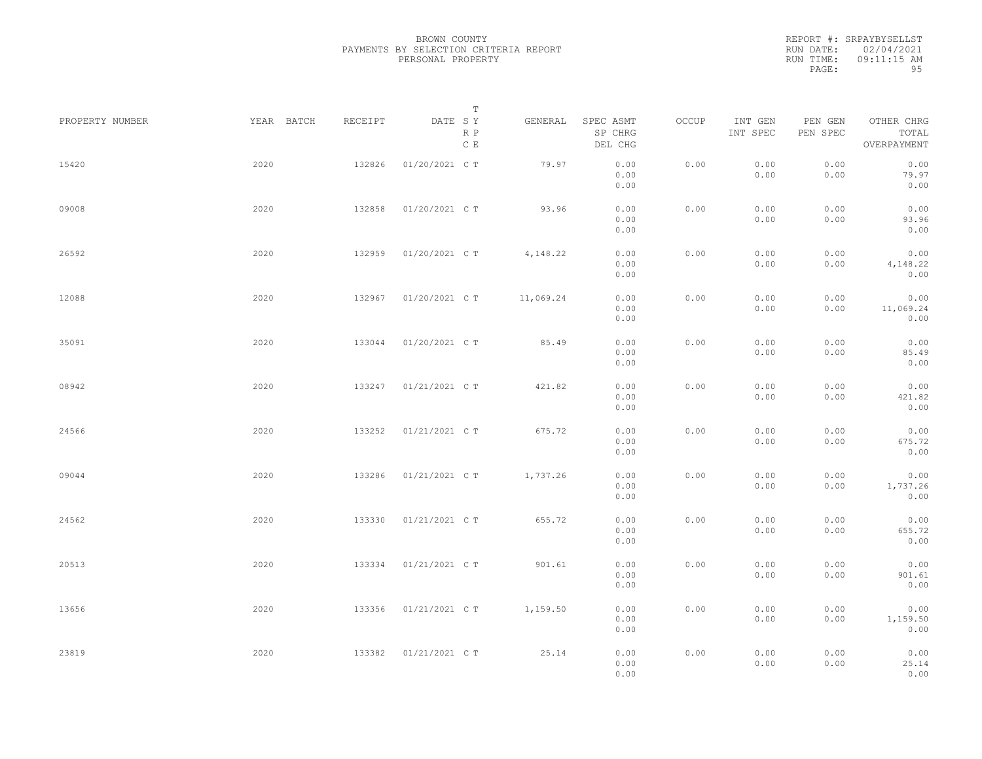|           | REPORT #: SRPAYBYSELLST |
|-----------|-------------------------|
|           | RUN DATE: 02/04/2021    |
| RUN TIME: | $09:11:15$ AM           |
| PAGE:     | 95                      |

|                 |            |         | T                     |           |                                 |       |                     |                     |                                    |  |
|-----------------|------------|---------|-----------------------|-----------|---------------------------------|-------|---------------------|---------------------|------------------------------------|--|
| PROPERTY NUMBER | YEAR BATCH | RECEIPT | DATE SY<br>R P<br>C E | GENERAL   | SPEC ASMT<br>SP CHRG<br>DEL CHG | OCCUP | INT GEN<br>INT SPEC | PEN GEN<br>PEN SPEC | OTHER CHRG<br>TOTAL<br>OVERPAYMENT |  |
| 15420           | 2020       | 132826  | 01/20/2021 C T        | 79.97     | 0.00<br>0.00<br>0.00            | 0.00  | 0.00<br>0.00        | 0.00<br>0.00        | 0.00<br>79.97<br>0.00              |  |
| 09008           | 2020       | 132858  | 01/20/2021 C T        | 93.96     | 0.00<br>0.00<br>0.00            | 0.00  | 0.00<br>0.00        | 0.00<br>0.00        | 0.00<br>93.96<br>0.00              |  |
| 26592           | 2020       | 132959  | 01/20/2021 C T        | 4,148.22  | 0.00<br>0.00<br>0.00            | 0.00  | 0.00<br>0.00        | 0.00<br>0.00        | 0.00<br>4,148.22<br>0.00           |  |
| 12088           | 2020       | 132967  | 01/20/2021 C T        | 11,069.24 | 0.00<br>0.00<br>0.00            | 0.00  | 0.00<br>0.00        | 0.00<br>0.00        | 0.00<br>11,069.24<br>0.00          |  |
| 35091           | 2020       | 133044  | 01/20/2021 C T        | 85.49     | 0.00<br>0.00<br>0.00            | 0.00  | 0.00<br>0.00        | 0.00<br>0.00        | 0.00<br>85.49<br>0.00              |  |
| 08942           | 2020       | 133247  | 01/21/2021 C T        | 421.82    | 0.00<br>0.00<br>0.00            | 0.00  | 0.00<br>0.00        | 0.00<br>0.00        | 0.00<br>421.82<br>0.00             |  |
| 24566           | 2020       | 133252  | 01/21/2021 C T        | 675.72    | 0.00<br>0.00<br>0.00            | 0.00  | 0.00<br>0.00        | 0.00<br>0.00        | 0.00<br>675.72<br>0.00             |  |
| 09044           | 2020       | 133286  | 01/21/2021 C T        | 1,737.26  | 0.00<br>0.00<br>0.00            | 0.00  | 0.00<br>0.00        | 0.00<br>0.00        | 0.00<br>1,737.26<br>0.00           |  |
| 24562           | 2020       | 133330  | 01/21/2021 C T        | 655.72    | 0.00<br>0.00<br>0.00            | 0.00  | 0.00<br>0.00        | 0.00<br>0.00        | 0.00<br>655.72<br>0.00             |  |
| 20513           | 2020       | 133334  | 01/21/2021 C T        | 901.61    | 0.00<br>0.00<br>0.00            | 0.00  | 0.00<br>0.00        | 0.00<br>0.00        | 0.00<br>901.61<br>0.00             |  |
| 13656           | 2020       | 133356  | 01/21/2021 C T        | 1,159.50  | 0.00<br>0.00<br>0.00            | 0.00  | 0.00<br>0.00        | 0.00<br>0.00        | 0.00<br>1,159.50<br>0.00           |  |
| 23819           | 2020       | 133382  | 01/21/2021 C T        | 25.14     | 0.00<br>0.00<br>0.00            | 0.00  | 0.00<br>0.00        | 0.00<br>0.00        | 0.00<br>25.14<br>0.00              |  |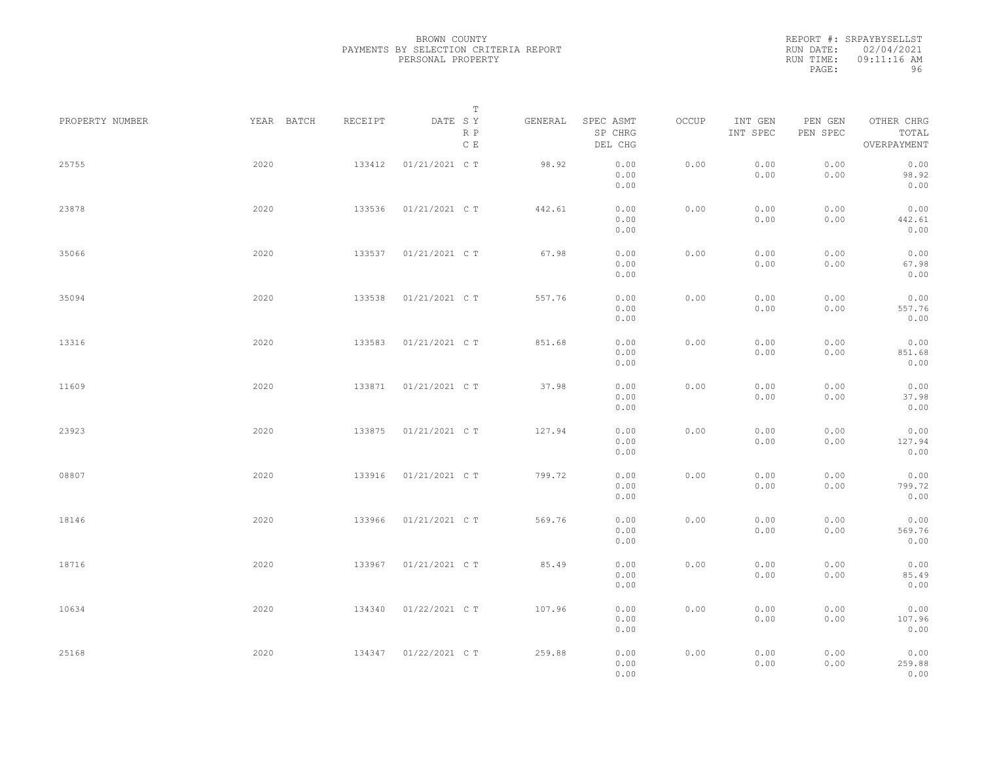|           | REPORT #: SRPAYBYSELLST |
|-----------|-------------------------|
|           | RUN DATE: 02/04/2021    |
| RUN TIME: | 09:11:16 AM             |
| PAGE:     | 96                      |

|                 |            |         | Т                     |         |                                 |       |                     |                     |                                    |  |
|-----------------|------------|---------|-----------------------|---------|---------------------------------|-------|---------------------|---------------------|------------------------------------|--|
| PROPERTY NUMBER | YEAR BATCH | RECEIPT | DATE SY<br>R P<br>C E | GENERAL | SPEC ASMT<br>SP CHRG<br>DEL CHG | OCCUP | INT GEN<br>INT SPEC | PEN GEN<br>PEN SPEC | OTHER CHRG<br>TOTAL<br>OVERPAYMENT |  |
| 25755           | 2020       | 133412  | 01/21/2021 C T        | 98.92   | 0.00<br>0.00<br>0.00            | 0.00  | 0.00<br>0.00        | 0.00<br>0.00        | 0.00<br>98.92<br>0.00              |  |
| 23878           | 2020       | 133536  | 01/21/2021 C T        | 442.61  | 0.00<br>0.00<br>0.00            | 0.00  | 0.00<br>0.00        | 0.00<br>0.00        | 0.00<br>442.61<br>0.00             |  |
| 35066           | 2020       | 133537  | 01/21/2021 C T        | 67.98   | 0.00<br>0.00<br>0.00            | 0.00  | 0.00<br>0.00        | 0.00<br>0.00        | 0.00<br>67.98<br>0.00              |  |
| 35094           | 2020       | 133538  | 01/21/2021 C T        | 557.76  | 0.00<br>0.00<br>0.00            | 0.00  | 0.00<br>0.00        | 0.00<br>0.00        | 0.00<br>557.76<br>0.00             |  |
| 13316           | 2020       | 133583  | 01/21/2021 C T        | 851.68  | 0.00<br>0.00<br>0.00            | 0.00  | 0.00<br>0.00        | 0.00<br>0.00        | 0.00<br>851.68<br>0.00             |  |
| 11609           | 2020       | 133871  | 01/21/2021 C T        | 37.98   | 0.00<br>0.00<br>0.00            | 0.00  | 0.00<br>0.00        | 0.00<br>0.00        | 0.00<br>37.98<br>0.00              |  |
| 23923           | 2020       | 133875  | 01/21/2021 C T        | 127.94  | 0.00<br>0.00<br>0.00            | 0.00  | 0.00<br>0.00        | 0.00<br>0.00        | 0.00<br>127.94<br>0.00             |  |
| 08807           | 2020       | 133916  | 01/21/2021 C T        | 799.72  | 0.00<br>0.00<br>0.00            | 0.00  | 0.00<br>0.00        | 0.00<br>0.00        | 0.00<br>799.72<br>0.00             |  |
| 18146           | 2020       | 133966  | 01/21/2021 C T        | 569.76  | 0.00<br>0.00<br>0.00            | 0.00  | 0.00<br>0.00        | 0.00<br>0.00        | 0.00<br>569.76<br>0.00             |  |
| 18716           | 2020       | 133967  | 01/21/2021 C T        | 85.49   | 0.00<br>0.00<br>0.00            | 0.00  | 0.00<br>0.00        | 0.00<br>0.00        | 0.00<br>85.49<br>0.00              |  |
| 10634           | 2020       | 134340  | 01/22/2021 C T        | 107.96  | 0.00<br>0.00<br>0.00            | 0.00  | 0.00<br>0.00        | 0.00<br>0.00        | 0.00<br>107.96<br>0.00             |  |
| 25168           | 2020       | 134347  | 01/22/2021 C T        | 259.88  | 0.00<br>0.00<br>0.00            | 0.00  | 0.00<br>0.00        | 0.00<br>0.00        | 0.00<br>259.88<br>0.00             |  |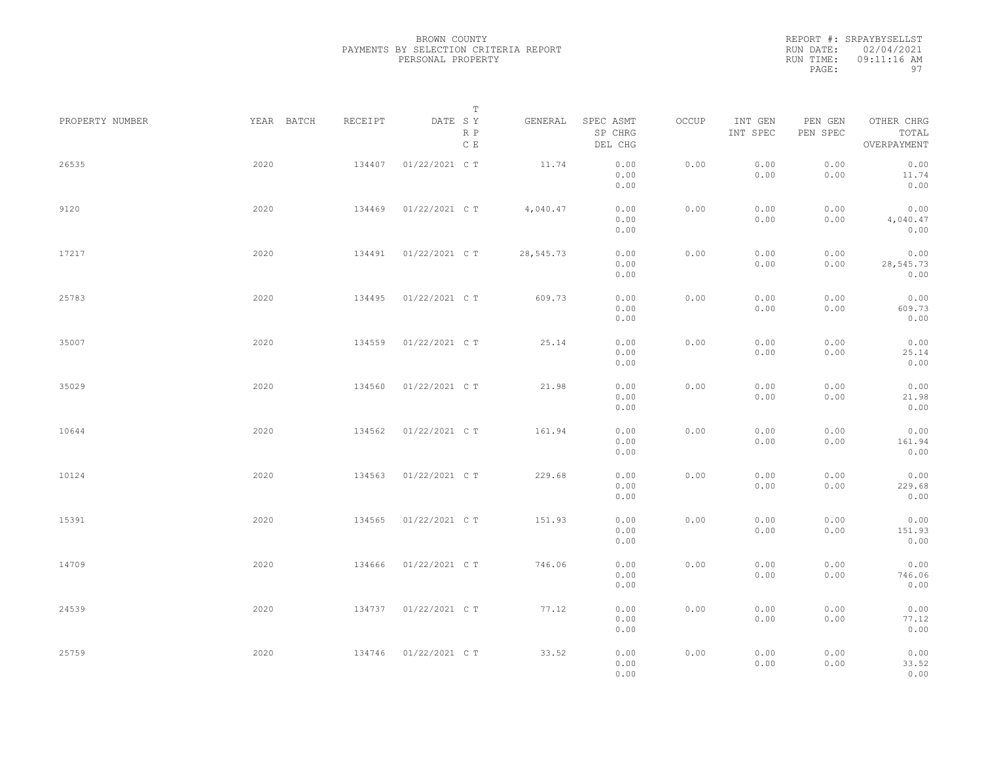|           | REPORT #: SRPAYBYSELLST |
|-----------|-------------------------|
|           | RUN DATE: 02/04/2021    |
| RUN TIME: | 09:11:16 AM             |
| PAGE:     | 97                      |

|                 |            |         | $\mathbb T$           |           |                                 |       |                     |                     |                                    |
|-----------------|------------|---------|-----------------------|-----------|---------------------------------|-------|---------------------|---------------------|------------------------------------|
| PROPERTY NUMBER | YEAR BATCH | RECEIPT | DATE SY<br>R P<br>C E | GENERAL   | SPEC ASMT<br>SP CHRG<br>DEL CHG | OCCUP | INT GEN<br>INT SPEC | PEN GEN<br>PEN SPEC | OTHER CHRG<br>TOTAL<br>OVERPAYMENT |
| 26535           | 2020       | 134407  | 01/22/2021 C T        | 11.74     | 0.00<br>0.00<br>0.00            | 0.00  | 0.00<br>0.00        | 0.00<br>0.00        | 0.00<br>11.74<br>0.00              |
| 9120            | 2020       | 134469  | 01/22/2021 C T        | 4,040.47  | 0.00<br>0.00<br>0.00            | 0.00  | 0.00<br>0.00        | 0.00<br>0.00        | 0.00<br>4,040.47<br>0.00           |
| 17217           | 2020       | 134491  | 01/22/2021 C T        | 28,545.73 | 0.00<br>0.00<br>0.00            | 0.00  | 0.00<br>0.00        | 0.00<br>0.00        | 0.00<br>28,545.73<br>0.00          |
| 25783           | 2020       | 134495  | 01/22/2021 C T        | 609.73    | 0.00<br>0.00<br>0.00            | 0.00  | 0.00<br>0.00        | 0.00<br>0.00        | 0.00<br>609.73<br>0.00             |
| 35007           | 2020       | 134559  | 01/22/2021 C T        | 25.14     | 0.00<br>0.00<br>0.00            | 0.00  | 0.00<br>0.00        | 0.00<br>0.00        | 0.00<br>25.14<br>0.00              |
| 35029           | 2020       | 134560  | 01/22/2021 C T        | 21.98     | 0.00<br>0.00<br>0.00            | 0.00  | 0.00<br>0.00        | 0.00<br>0.00        | 0.00<br>21.98<br>0.00              |
| 10644           | 2020       | 134562  | 01/22/2021 C T        | 161.94    | 0.00<br>0.00<br>0.00            | 0.00  | 0.00<br>0.00        | 0.00<br>0.00        | 0.00<br>161.94<br>0.00             |
| 10124           | 2020       | 134563  | 01/22/2021 C T        | 229.68    | 0.00<br>0.00<br>0.00            | 0.00  | 0.00<br>0.00        | 0.00<br>0.00        | 0.00<br>229.68<br>0.00             |
| 15391           | 2020       | 134565  | 01/22/2021 C T        | 151.93    | 0.00<br>0.00<br>0.00            | 0.00  | 0.00<br>0.00        | 0.00<br>0.00        | 0.00<br>151.93<br>0.00             |
| 14709           | 2020       | 134666  | 01/22/2021 C T        | 746.06    | 0.00<br>0.00<br>0.00            | 0.00  | 0.00<br>0.00        | 0.00<br>0.00        | 0.00<br>746.06<br>0.00             |
| 24539           | 2020       | 134737  | 01/22/2021 C T        | 77.12     | 0.00<br>0.00<br>0.00            | 0.00  | 0.00<br>0.00        | 0.00<br>0.00        | 0.00<br>77.12<br>0.00              |
| 25759           | 2020       | 134746  | 01/22/2021 C T        | 33.52     | 0.00<br>0.00<br>0.00            | 0.00  | 0.00<br>0.00        | 0.00<br>0.00        | 0.00<br>33.52<br>0.00              |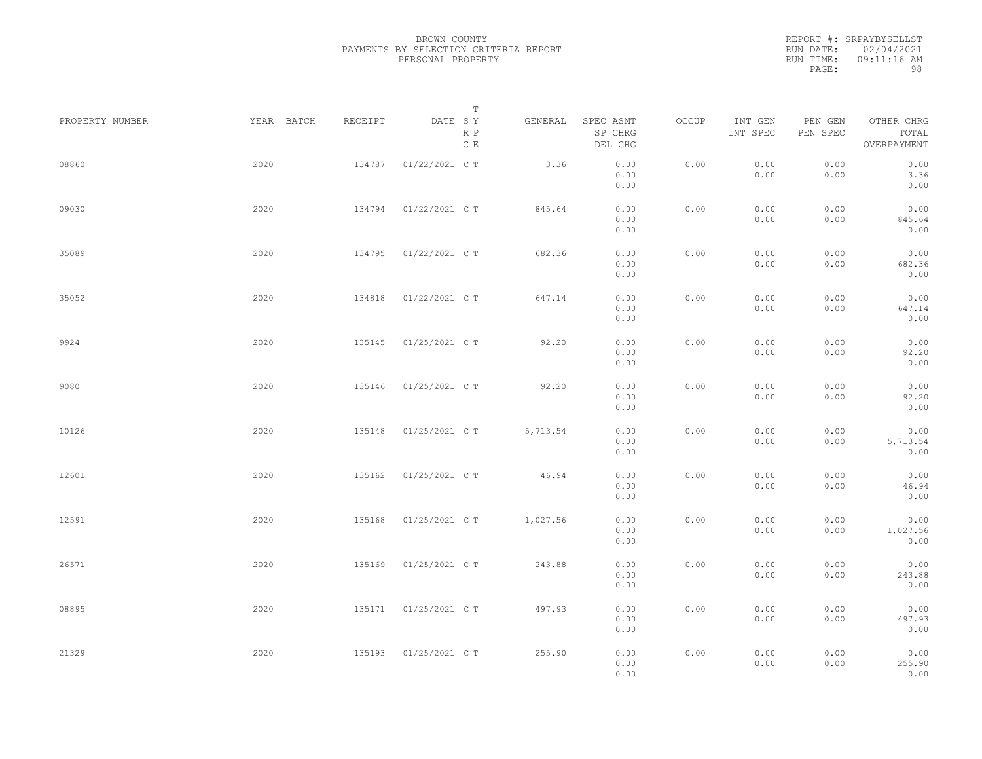|           | REPORT #: SRPAYBYSELLST |
|-----------|-------------------------|
|           | RUN DATE: 02/04/2021    |
| RUN TIME: | 09:11:16 AM             |
| PAGE:     | 98                      |

|                 |            |         | T                               |          |                                 |       |                     |                     |                                    |  |
|-----------------|------------|---------|---------------------------------|----------|---------------------------------|-------|---------------------|---------------------|------------------------------------|--|
| PROPERTY NUMBER | YEAR BATCH | RECEIPT | DATE SY<br>R P<br>$\,$ C $\,$ E | GENERAL  | SPEC ASMT<br>SP CHRG<br>DEL CHG | OCCUP | INT GEN<br>INT SPEC | PEN GEN<br>PEN SPEC | OTHER CHRG<br>TOTAL<br>OVERPAYMENT |  |
| 08860           | 2020       | 134787  | 01/22/2021 C T                  | 3.36     | 0.00<br>0.00<br>0.00            | 0.00  | 0.00<br>0.00        | 0.00<br>0.00        | 0.00<br>3.36<br>0.00               |  |
| 09030           | 2020       | 134794  | 01/22/2021 C T                  | 845.64   | 0.00<br>0.00<br>0.00            | 0.00  | 0.00<br>0.00        | 0.00<br>0.00        | 0.00<br>845.64<br>0.00             |  |
| 35089           | 2020       | 134795  | 01/22/2021 C T                  | 682.36   | 0.00<br>0.00<br>0.00            | 0.00  | 0.00<br>0.00        | 0.00<br>0.00        | 0.00<br>682.36<br>0.00             |  |
| 35052           | 2020       | 134818  | 01/22/2021 C T                  | 647.14   | 0.00<br>0.00<br>0.00            | 0.00  | 0.00<br>0.00        | 0.00<br>0.00        | 0.00<br>647.14<br>0.00             |  |
| 9924            | 2020       | 135145  | 01/25/2021 C T                  | 92.20    | 0.00<br>0.00<br>0.00            | 0.00  | 0.00<br>0.00        | 0.00<br>0.00        | 0.00<br>92.20<br>0.00              |  |
| 9080            | 2020       | 135146  | 01/25/2021 C T                  | 92.20    | 0.00<br>0.00<br>0.00            | 0.00  | 0.00<br>0.00        | 0.00<br>0.00        | 0.00<br>92.20<br>0.00              |  |
| 10126           | 2020       | 135148  | 01/25/2021 C T                  | 5,713.54 | 0.00<br>0.00<br>0.00            | 0.00  | 0.00<br>0.00        | 0.00<br>0.00        | 0.00<br>5,713.54<br>0.00           |  |
| 12601           | 2020       | 135162  | 01/25/2021 C T                  | 46.94    | 0.00<br>0.00<br>0.00            | 0.00  | 0.00<br>0.00        | 0.00<br>0.00        | 0.00<br>46.94<br>0.00              |  |
| 12591           | 2020       | 135168  | 01/25/2021 C T                  | 1,027.56 | 0.00<br>0.00<br>0.00            | 0.00  | 0.00<br>0.00        | 0.00<br>0.00        | 0.00<br>1,027.56<br>0.00           |  |
| 26571           | 2020       | 135169  | 01/25/2021 C T                  | 243.88   | 0.00<br>0.00<br>0.00            | 0.00  | 0.00<br>0.00        | 0.00<br>0.00        | 0.00<br>243.88<br>0.00             |  |
| 08895           | 2020       |         | 135171  01/25/2021  C T         | 497.93   | 0.00<br>0.00<br>0.00            | 0.00  | 0.00<br>0.00        | 0.00<br>0.00        | 0.00<br>497.93<br>0.00             |  |
| 21329           | 2020       |         | 135193 01/25/2021 CT            | 255.90   | 0.00<br>0.00<br>0.00            | 0.00  | 0.00<br>0.00        | 0.00<br>0.00        | 0.00<br>255.90<br>0.00             |  |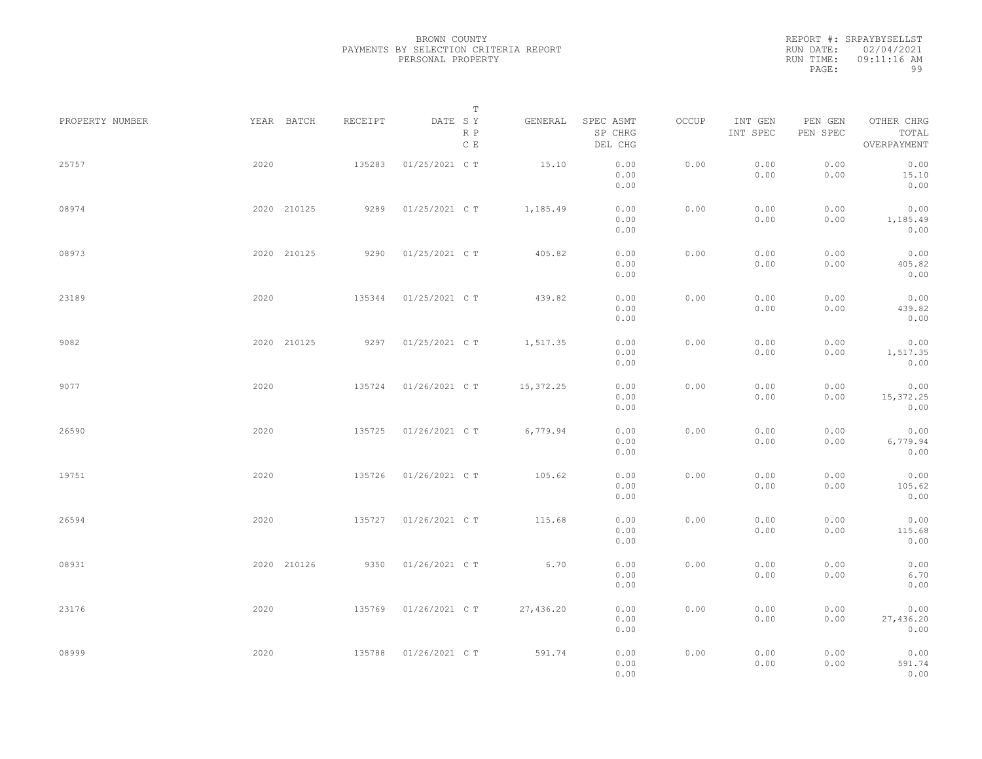REPORT #: SRPAYBYSELLST RUN DATE: 02/04/2021 RUN TIME: 09:11:16 AM PAGE: 99

| PROPERTY NUMBER |      | YEAR BATCH  | RECEIPT | T<br>DATE SY          | GENERAL   | SPEC ASMT            | OCCUP | INT GEN      | PEN GEN      | OTHER CHRG                |  |
|-----------------|------|-------------|---------|-----------------------|-----------|----------------------|-------|--------------|--------------|---------------------------|--|
|                 |      |             |         | R P<br>$\,$ C $\,$ E  |           | SP CHRG<br>DEL CHG   |       | INT SPEC     | PEN SPEC     | TOTAL<br>OVERPAYMENT      |  |
| 25757           | 2020 |             | 135283  | 01/25/2021 C T        | 15.10     | 0.00<br>0.00<br>0.00 | 0.00  | 0.00<br>0.00 | 0.00<br>0.00 | 0.00<br>15.10<br>0.00     |  |
| 08974           |      | 2020 210125 | 9289    | 01/25/2021 C T        | 1,185.49  | 0.00<br>0.00<br>0.00 | 0.00  | 0.00<br>0.00 | 0.00<br>0.00 | 0.00<br>1,185.49<br>0.00  |  |
| 08973           |      | 2020 210125 | 9290    | 01/25/2021 C T        | 405.82    | 0.00<br>0.00<br>0.00 | 0.00  | 0.00<br>0.00 | 0.00<br>0.00 | 0.00<br>405.82<br>0.00    |  |
| 23189           | 2020 |             | 135344  | 01/25/2021 C T        | 439.82    | 0.00<br>0.00<br>0.00 | 0.00  | 0.00<br>0.00 | 0.00<br>0.00 | 0.00<br>439.82<br>0.00    |  |
| 9082            |      | 2020 210125 | 9297    | 01/25/2021 C T        | 1,517.35  | 0.00<br>0.00<br>0.00 | 0.00  | 0.00<br>0.00 | 0.00<br>0.00 | 0.00<br>1,517.35<br>0.00  |  |
| 9077            | 2020 |             | 135724  | 01/26/2021 C T        | 15,372.25 | 0.00<br>0.00<br>0.00 | 0.00  | 0.00<br>0.00 | 0.00<br>0.00 | 0.00<br>15,372.25<br>0.00 |  |
| 26590           | 2020 |             | 135725  | 01/26/2021 C T        | 6,779.94  | 0.00<br>0.00<br>0.00 | 0.00  | 0.00<br>0.00 | 0.00<br>0.00 | 0.00<br>6,779.94<br>0.00  |  |
| 19751           | 2020 |             | 135726  | 01/26/2021 C T        | 105.62    | 0.00<br>0.00<br>0.00 | 0.00  | 0.00<br>0.00 | 0.00<br>0.00 | 0.00<br>105.62<br>0.00    |  |
| 26594           | 2020 |             | 135727  | 01/26/2021 C T        | 115.68    | 0.00<br>0.00<br>0.00 | 0.00  | 0.00<br>0.00 | 0.00<br>0.00 | 0.00<br>115.68<br>0.00    |  |
| 08931           |      | 2020 210126 | 9350    | 01/26/2021 C T        | 6.70      | 0.00<br>0.00<br>0.00 | 0.00  | 0.00<br>0.00 | 0.00<br>0.00 | 0.00<br>6.70<br>0.00      |  |
| 23176           | 2020 |             | 135769  | 01/26/2021 C T        | 27,436.20 | 0.00<br>0.00<br>0.00 | 0.00  | 0.00<br>0.00 | 0.00<br>0.00 | 0.00<br>27,436.20<br>0.00 |  |
| 08999           | 2020 |             |         | 135788 01/26/2021 C T | 591.74    | 0.00<br>0.00<br>0.00 | 0.00  | 0.00<br>0.00 | 0.00<br>0.00 | 0.00<br>591.74<br>0.00    |  |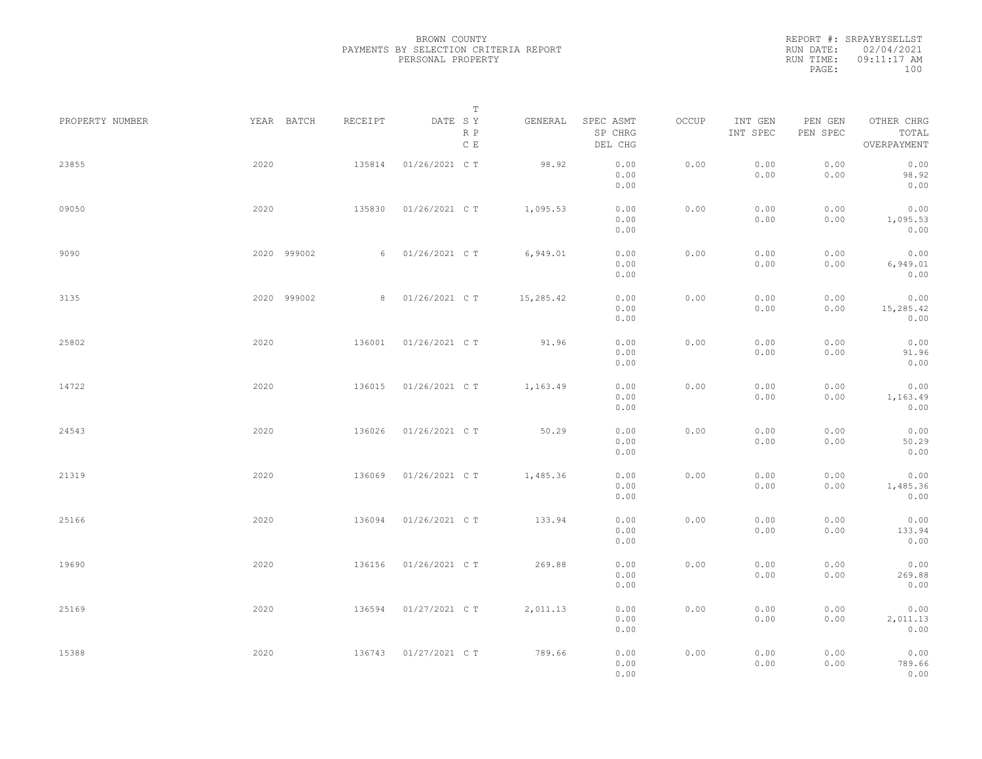|  | BROWN COUNTY      |                                       |  |
|--|-------------------|---------------------------------------|--|
|  |                   | PAYMENTS BY SELECTION CRITERIA REPORT |  |
|  | PERSONAL PROPERTY |                                       |  |
|  |                   |                                       |  |

| PROPERTY NUMBER |      | YEAR BATCH  | RECEIPT | DATE SY          | $\mathbb T$                              | GENERAL   | SPEC ASMT            | OCCUP | INT GEN      | PEN GEN      | OTHER CHRG                |  |
|-----------------|------|-------------|---------|------------------|------------------------------------------|-----------|----------------------|-------|--------------|--------------|---------------------------|--|
|                 |      |             |         |                  | $\mathbb R$ $\mathbb P$<br>$\,$ C $\,$ E |           | SP CHRG<br>DEL CHG   |       | INT SPEC     | PEN SPEC     | TOTAL<br>OVERPAYMENT      |  |
| 23855           | 2020 |             | 135814  | 01/26/2021 C T   |                                          | 98.92     | 0.00<br>0.00<br>0.00 | 0.00  | 0.00<br>0.00 | 0.00<br>0.00 | 0.00<br>98.92<br>0.00     |  |
| 09050           | 2020 |             | 135830  | 01/26/2021 C T   |                                          | 1,095.53  | 0.00<br>0.00<br>0.00 | 0.00  | 0.00<br>0.00 | 0.00<br>0.00 | 0.00<br>1,095.53<br>0.00  |  |
| 9090            |      | 2020 999002 |         | 6 01/26/2021 C T |                                          | 6,949.01  | 0.00<br>0.00<br>0.00 | 0.00  | 0.00<br>0.00 | 0.00<br>0.00 | 0.00<br>6,949.01<br>0.00  |  |
| 3135            |      | 2020 999002 |         | 8 01/26/2021 C T |                                          | 15,285.42 | 0.00<br>0.00<br>0.00 | 0.00  | 0.00<br>0.00 | 0.00<br>0.00 | 0.00<br>15,285.42<br>0.00 |  |
| 25802           | 2020 |             | 136001  | 01/26/2021 C T   |                                          | 91.96     | 0.00<br>0.00<br>0.00 | 0.00  | 0.00<br>0.00 | 0.00<br>0.00 | 0.00<br>91.96<br>0.00     |  |
| 14722           | 2020 |             | 136015  | 01/26/2021 C T   |                                          | 1,163.49  | 0.00<br>0.00<br>0.00 | 0.00  | 0.00<br>0.00 | 0.00<br>0.00 | 0.00<br>1,163.49<br>0.00  |  |
| 24543           | 2020 |             | 136026  | 01/26/2021 C T   |                                          | 50.29     | 0.00<br>0.00<br>0.00 | 0.00  | 0.00<br>0.00 | 0.00<br>0.00 | 0.00<br>50.29<br>0.00     |  |
| 21319           | 2020 |             | 136069  | 01/26/2021 C T   |                                          | 1,485.36  | 0.00<br>0.00<br>0.00 | 0.00  | 0.00<br>0.00 | 0.00<br>0.00 | 0.00<br>1,485.36<br>0.00  |  |
| 25166           | 2020 |             | 136094  | 01/26/2021 C T   |                                          | 133.94    | 0.00<br>0.00<br>0.00 | 0.00  | 0.00<br>0.00 | 0.00<br>0.00 | 0.00<br>133.94<br>0.00    |  |
| 19690           | 2020 |             | 136156  | 01/26/2021 C T   |                                          | 269.88    | 0.00<br>0.00<br>0.00 | 0.00  | 0.00<br>0.00 | 0.00<br>0.00 | 0.00<br>269.88<br>0.00    |  |
| 25169           | 2020 |             | 136594  | 01/27/2021 C T   |                                          | 2,011.13  | 0.00<br>0.00<br>0.00 | 0.00  | 0.00<br>0.00 | 0.00<br>0.00 | 0.00<br>2,011.13<br>0.00  |  |
| 15388           | 2020 |             | 136743  | 01/27/2021 C T   |                                          | 789.66    | 0.00<br>0.00<br>0.00 | 0.00  | 0.00<br>0.00 | 0.00<br>0.00 | 0.00<br>789.66<br>0.00    |  |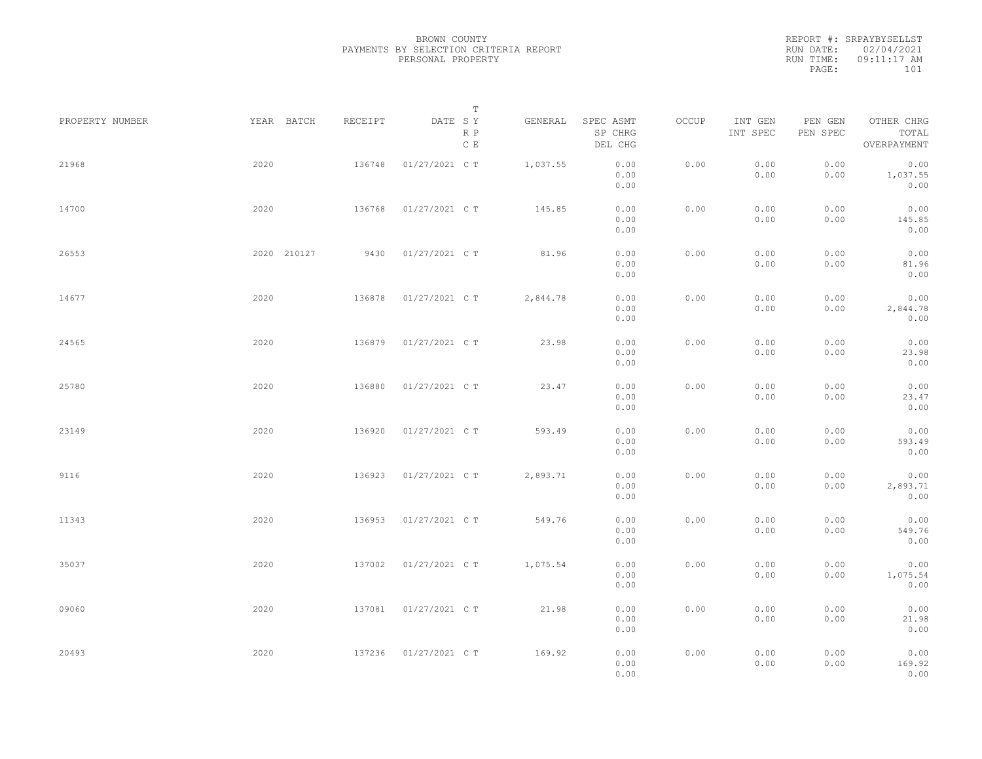REPORT #: SRPAYBYSELLST RUN DATE: 02/04/2021 RUN TIME: 09:11:17 AM PAGE: 101

|                 |             |         | $\mathbb T$           |          |                                 |       |                     |                     |                                    |
|-----------------|-------------|---------|-----------------------|----------|---------------------------------|-------|---------------------|---------------------|------------------------------------|
| PROPERTY NUMBER | YEAR BATCH  | RECEIPT | DATE SY<br>R P<br>C E | GENERAL  | SPEC ASMT<br>SP CHRG<br>DEL CHG | OCCUP | INT GEN<br>INT SPEC | PEN GEN<br>PEN SPEC | OTHER CHRG<br>TOTAL<br>OVERPAYMENT |
| 21968           | 2020        | 136748  | 01/27/2021 C T        | 1,037.55 | 0.00<br>0.00<br>0.00            | 0.00  | 0.00<br>0.00        | 0.00<br>0.00        | 0.00<br>1,037.55<br>0.00           |
| 14700           | 2020        | 136768  | 01/27/2021 C T        | 145.85   | 0.00<br>0.00<br>0.00            | 0.00  | 0.00<br>0.00        | 0.00<br>0.00        | 0.00<br>145.85<br>0.00             |
| 26553           | 2020 210127 | 9430    | 01/27/2021 C T        | 81.96    | 0.00<br>0.00<br>0.00            | 0.00  | 0.00<br>0.00        | 0.00<br>0.00        | 0.00<br>81.96<br>0.00              |
| 14677           | 2020        | 136878  | 01/27/2021 C T        | 2,844.78 | 0.00<br>0.00<br>0.00            | 0.00  | 0.00<br>0.00        | 0.00<br>0.00        | 0.00<br>2,844.78<br>0.00           |
| 24565           | 2020        | 136879  | 01/27/2021 C T        | 23.98    | 0.00<br>0.00<br>0.00            | 0.00  | 0.00<br>0.00        | 0.00<br>0.00        | 0.00<br>23.98<br>0.00              |
| 25780           | 2020        | 136880  | 01/27/2021 C T        | 23.47    | 0.00<br>0.00<br>0.00            | 0.00  | 0.00<br>0.00        | 0.00<br>0.00        | 0.00<br>23.47<br>0.00              |
| 23149           | 2020        | 136920  | 01/27/2021 C T        | 593.49   | 0.00<br>0.00<br>0.00            | 0.00  | 0.00<br>0.00        | 0.00<br>0.00        | 0.00<br>593.49<br>0.00             |
| 9116            | 2020        | 136923  | 01/27/2021 C T        | 2,893.71 | 0.00<br>0.00<br>0.00            | 0.00  | 0.00<br>0.00        | 0.00<br>0.00        | 0.00<br>2,893.71<br>0.00           |
| 11343           | 2020        | 136953  | 01/27/2021 C T        | 549.76   | 0.00<br>0.00<br>0.00            | 0.00  | 0.00<br>0.00        | 0.00<br>0.00        | 0.00<br>549.76<br>0.00             |
| 35037           | 2020        | 137002  | 01/27/2021 C T        | 1,075.54 | 0.00<br>0.00<br>0.00            | 0.00  | 0.00<br>0.00        | 0.00<br>0.00        | 0.00<br>1,075.54<br>0.00           |
| 09060           | 2020        | 137081  | 01/27/2021 C T        | 21.98    | 0.00<br>0.00<br>0.00            | 0.00  | 0.00<br>0.00        | 0.00<br>0.00        | 0.00<br>21.98<br>0.00              |
| 20493           | 2020        | 137236  | 01/27/2021 C T        | 169.92   | 0.00<br>0.00<br>0.00            | 0.00  | 0.00<br>0.00        | 0.00<br>0.00        | 0.00<br>169.92<br>0.00             |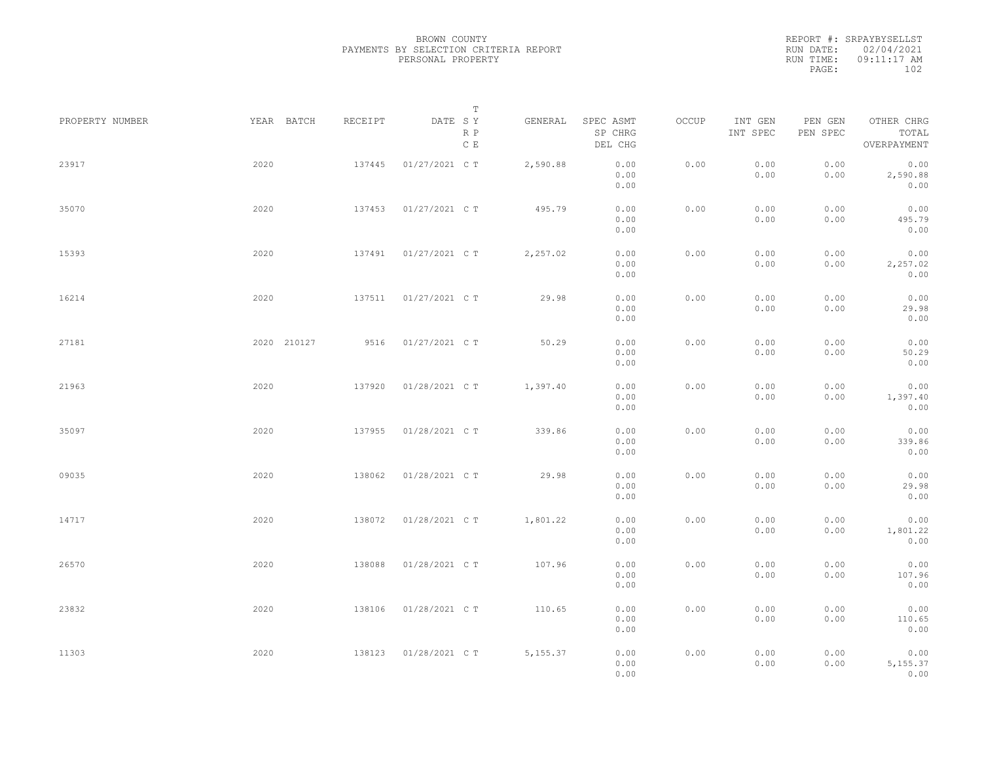REPORT #: SRPAYBYSELLST RUN DATE: 02/04/2021 RUN TIME: 09:11:17 AM PAGE: 102

|                 |             |         | $\mathbb T$                     |           |                                 |       |                     |                     |                                    |  |
|-----------------|-------------|---------|---------------------------------|-----------|---------------------------------|-------|---------------------|---------------------|------------------------------------|--|
| PROPERTY NUMBER | YEAR BATCH  | RECEIPT | DATE SY<br>R P<br>$\,$ C $\,$ E | GENERAL   | SPEC ASMT<br>SP CHRG<br>DEL CHG | OCCUP | INT GEN<br>INT SPEC | PEN GEN<br>PEN SPEC | OTHER CHRG<br>TOTAL<br>OVERPAYMENT |  |
| 23917           | 2020        | 137445  | 01/27/2021 C T                  | 2,590.88  | 0.00<br>0.00<br>0.00            | 0.00  | 0.00<br>0.00        | 0.00<br>0.00        | 0.00<br>2,590.88<br>0.00           |  |
| 35070           | 2020        | 137453  | 01/27/2021 C T                  | 495.79    | 0.00<br>0.00<br>0.00            | 0.00  | 0.00<br>0.00        | 0.00<br>0.00        | 0.00<br>495.79<br>0.00             |  |
| 15393           | 2020        | 137491  | 01/27/2021 C T                  | 2,257.02  | 0.00<br>0.00<br>0.00            | 0.00  | 0.00<br>0.00        | 0.00<br>0.00        | 0.00<br>2,257.02<br>0.00           |  |
| 16214           | 2020        | 137511  | 01/27/2021 C T                  | 29.98     | 0.00<br>0.00<br>0.00            | 0.00  | 0.00<br>0.00        | 0.00<br>0.00        | 0.00<br>29.98<br>0.00              |  |
| 27181           | 2020 210127 | 9516    | 01/27/2021 C T                  | 50.29     | 0.00<br>0.00<br>0.00            | 0.00  | 0.00<br>0.00        | 0.00<br>0.00        | 0.00<br>50.29<br>0.00              |  |
| 21963           | 2020        | 137920  | 01/28/2021 C T                  | 1,397.40  | 0.00<br>0.00<br>0.00            | 0.00  | 0.00<br>0.00        | 0.00<br>0.00        | 0.00<br>1,397.40<br>0.00           |  |
| 35097           | 2020        | 137955  | 01/28/2021 C T                  | 339.86    | 0.00<br>0.00<br>0.00            | 0.00  | 0.00<br>0.00        | 0.00<br>0.00        | 0.00<br>339.86<br>0.00             |  |
| 09035           | 2020        | 138062  | 01/28/2021 C T                  | 29.98     | 0.00<br>0.00<br>0.00            | 0.00  | 0.00<br>0.00        | 0.00<br>0.00        | 0.00<br>29.98<br>0.00              |  |
| 14717           | 2020        | 138072  | 01/28/2021 C T                  | 1,801.22  | 0.00<br>0.00<br>0.00            | 0.00  | 0.00<br>0.00        | 0.00<br>0.00        | 0.00<br>1,801.22<br>0.00           |  |
| 26570           | 2020        | 138088  | 01/28/2021 C T                  | 107.96    | 0.00<br>0.00<br>0.00            | 0.00  | 0.00<br>0.00        | 0.00<br>0.00        | 0.00<br>107.96<br>0.00             |  |
| 23832           | 2020        | 138106  | 01/28/2021 C T                  | 110.65    | 0.00<br>0.00<br>0.00            | 0.00  | 0.00<br>0.00        | 0.00<br>0.00        | 0.00<br>110.65<br>0.00             |  |
| 11303           | 2020        | 138123  | 01/28/2021 C T                  | 5, 155.37 | 0.00<br>0.00<br>0.00            | 0.00  | 0.00<br>0.00        | 0.00<br>0.00        | 0.00<br>5, 155.37<br>0.00          |  |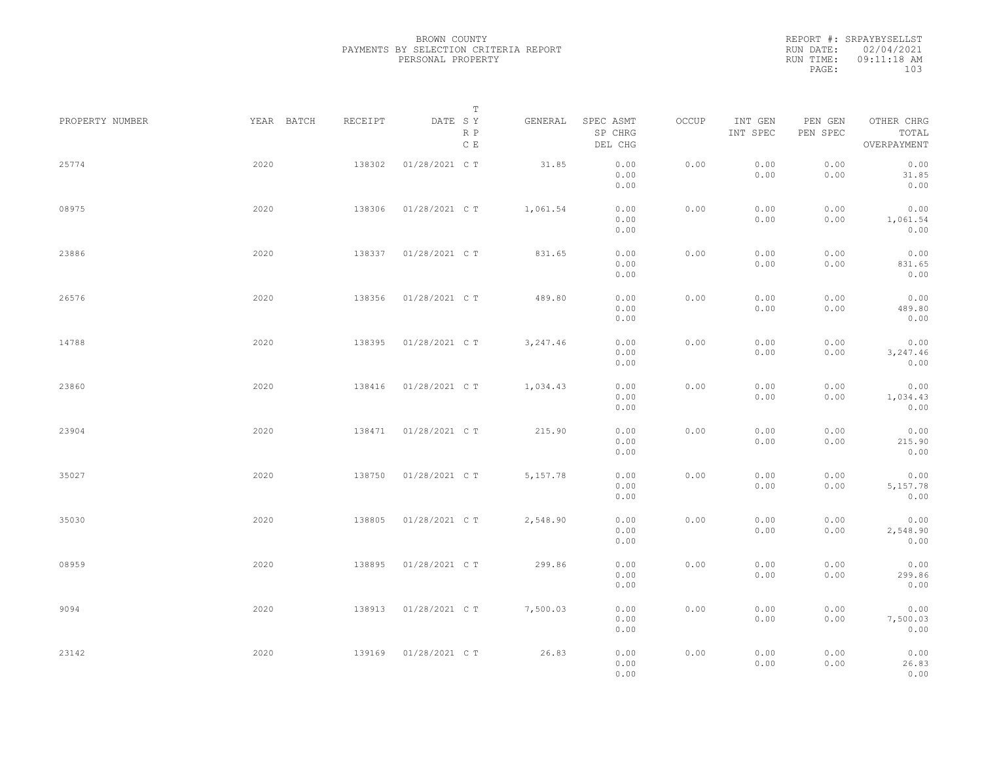REPORT #: SRPAYBYSELLST RUN DATE: 02/04/2021 RUN TIME: 09:11:18 AM PAGE: 103

|                 |            |         | $\mathbb T$                     |           |                                 |       |                     |                     |                                    |  |
|-----------------|------------|---------|---------------------------------|-----------|---------------------------------|-------|---------------------|---------------------|------------------------------------|--|
| PROPERTY NUMBER | YEAR BATCH | RECEIPT | DATE SY<br>R P<br>$\,$ C $\,$ E | GENERAL   | SPEC ASMT<br>SP CHRG<br>DEL CHG | OCCUP | INT GEN<br>INT SPEC | PEN GEN<br>PEN SPEC | OTHER CHRG<br>TOTAL<br>OVERPAYMENT |  |
| 25774           | 2020       | 138302  | 01/28/2021 C T                  | 31.85     | 0.00<br>0.00<br>0.00            | 0.00  | 0.00<br>0.00        | 0.00<br>0.00        | 0.00<br>31.85<br>0.00              |  |
| 08975           | 2020       | 138306  | 01/28/2021 C T                  | 1,061.54  | 0.00<br>0.00<br>0.00            | 0.00  | 0.00<br>0.00        | 0.00<br>0.00        | 0.00<br>1,061.54<br>0.00           |  |
| 23886           | 2020       | 138337  | 01/28/2021 C T                  | 831.65    | 0.00<br>0.00<br>0.00            | 0.00  | 0.00<br>0.00        | 0.00<br>0.00        | 0.00<br>831.65<br>0.00             |  |
| 26576           | 2020       | 138356  | 01/28/2021 C T                  | 489.80    | 0.00<br>0.00<br>0.00            | 0.00  | 0.00<br>0.00        | 0.00<br>0.00        | 0.00<br>489.80<br>0.00             |  |
| 14788           | 2020       | 138395  | 01/28/2021 C T                  | 3,247.46  | 0.00<br>0.00<br>0.00            | 0.00  | 0.00<br>0.00        | 0.00<br>0.00        | 0.00<br>3,247.46<br>0.00           |  |
| 23860           | 2020       | 138416  | 01/28/2021 C T                  | 1,034.43  | 0.00<br>0.00<br>0.00            | 0.00  | 0.00<br>0.00        | 0.00<br>0.00        | 0.00<br>1,034.43<br>0.00           |  |
| 23904           | 2020       | 138471  | 01/28/2021 C T                  | 215.90    | 0.00<br>0.00<br>0.00            | 0.00  | 0.00<br>0.00        | 0.00<br>0.00        | 0.00<br>215.90<br>0.00             |  |
| 35027           | 2020       | 138750  | 01/28/2021 C T                  | 5, 157.78 | 0.00<br>0.00<br>0.00            | 0.00  | 0.00<br>0.00        | 0.00<br>0.00        | 0.00<br>5,157.78<br>0.00           |  |
| 35030           | 2020       | 138805  | 01/28/2021 C T                  | 2,548.90  | 0.00<br>0.00<br>0.00            | 0.00  | 0.00<br>0.00        | 0.00<br>0.00        | 0.00<br>2,548.90<br>0.00           |  |
| 08959           | 2020       | 138895  | 01/28/2021 C T                  | 299.86    | 0.00<br>0.00<br>0.00            | 0.00  | 0.00<br>0.00        | 0.00<br>0.00        | 0.00<br>299.86<br>0.00             |  |
| 9094            | 2020       | 138913  | 01/28/2021 C T                  | 7,500.03  | 0.00<br>0.00<br>0.00            | 0.00  | 0.00<br>0.00        | 0.00<br>0.00        | 0.00<br>7,500.03<br>0.00           |  |
| 23142           | 2020       | 139169  | 01/28/2021 C T                  | 26.83     | 0.00<br>0.00<br>0.00            | 0.00  | 0.00<br>0.00        | 0.00<br>0.00        | 0.00<br>26.83<br>0.00              |  |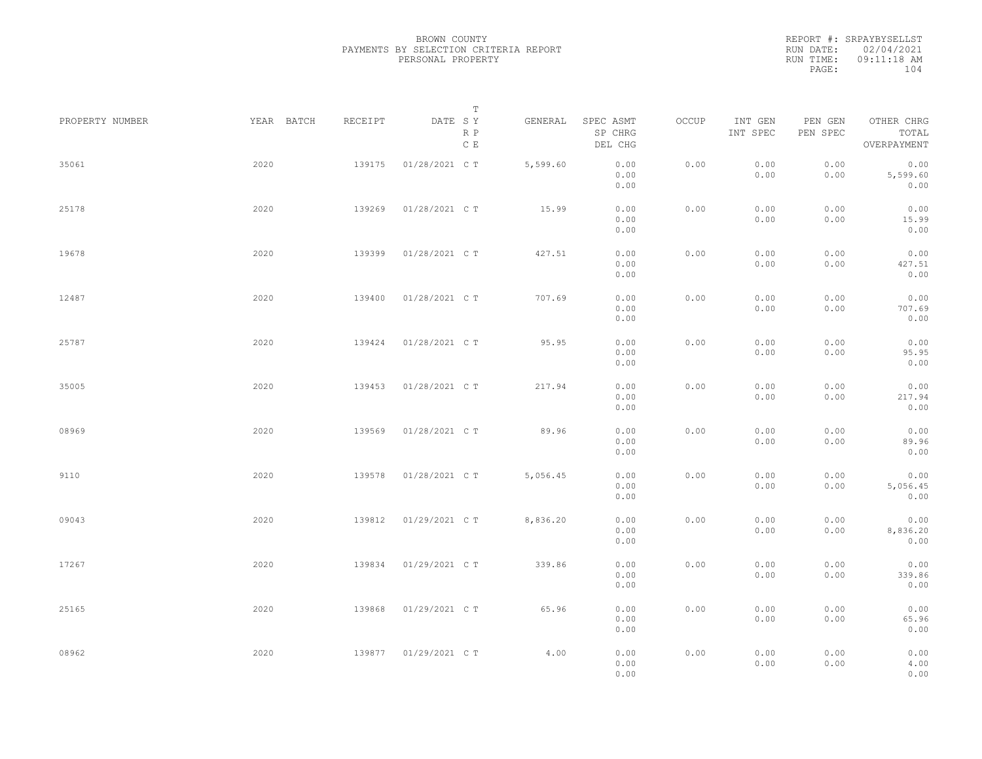|           | REPORT #: SRPAYBYSELLST |  |
|-----------|-------------------------|--|
|           | RUN DATE: 02/04/2021    |  |
| RUN TIME: | $09:11:18$ AM           |  |
| PAGE:     | 104                     |  |
|           |                         |  |

|                 |            |         | T                     |          |                                 |       |                     |                     |                                    |  |
|-----------------|------------|---------|-----------------------|----------|---------------------------------|-------|---------------------|---------------------|------------------------------------|--|
| PROPERTY NUMBER | YEAR BATCH | RECEIPT | DATE SY<br>R P<br>C E | GENERAL  | SPEC ASMT<br>SP CHRG<br>DEL CHG | OCCUP | INT GEN<br>INT SPEC | PEN GEN<br>PEN SPEC | OTHER CHRG<br>TOTAL<br>OVERPAYMENT |  |
| 35061           | 2020       | 139175  | 01/28/2021 C T        | 5,599.60 | 0.00<br>0.00<br>0.00            | 0.00  | 0.00<br>0.00        | 0.00<br>0.00        | 0.00<br>5,599.60<br>0.00           |  |
| 25178           | 2020       | 139269  | 01/28/2021 C T        | 15.99    | 0.00<br>0.00<br>0.00            | 0.00  | 0.00<br>0.00        | 0.00<br>0.00        | 0.00<br>15.99<br>0.00              |  |
| 19678           | 2020       | 139399  | 01/28/2021 C T        | 427.51   | 0.00<br>0.00<br>0.00            | 0.00  | 0.00<br>0.00        | 0.00<br>0.00        | 0.00<br>427.51<br>0.00             |  |
| 12487           | 2020       | 139400  | 01/28/2021 C T        | 707.69   | 0.00<br>0.00<br>0.00            | 0.00  | 0.00<br>0.00        | 0.00<br>0.00        | 0.00<br>707.69<br>0.00             |  |
| 25787           | 2020       | 139424  | 01/28/2021 C T        | 95.95    | 0.00<br>0.00<br>0.00            | 0.00  | 0.00<br>0.00        | 0.00<br>0.00        | 0.00<br>95.95<br>0.00              |  |
| 35005           | 2020       | 139453  | 01/28/2021 C T        | 217.94   | 0.00<br>0.00<br>0.00            | 0.00  | 0.00<br>0.00        | 0.00<br>0.00        | 0.00<br>217.94<br>0.00             |  |
| 08969           | 2020       | 139569  | 01/28/2021 C T        | 89.96    | 0.00<br>0.00<br>0.00            | 0.00  | 0.00<br>0.00        | 0.00<br>0.00        | 0.00<br>89.96<br>0.00              |  |
| 9110            | 2020       | 139578  | 01/28/2021 C T        | 5,056.45 | 0.00<br>0.00<br>0.00            | 0.00  | 0.00<br>0.00        | 0.00<br>0.00        | 0.00<br>5,056.45<br>0.00           |  |
| 09043           | 2020       | 139812  | 01/29/2021 C T        | 8,836.20 | 0.00<br>0.00<br>0.00            | 0.00  | 0.00<br>0.00        | 0.00<br>0.00        | 0.00<br>8,836.20<br>0.00           |  |
| 17267           | 2020       | 139834  | 01/29/2021 C T        | 339.86   | 0.00<br>0.00<br>0.00            | 0.00  | 0.00<br>0.00        | 0.00<br>0.00        | 0.00<br>339.86<br>0.00             |  |
| 25165           | 2020       | 139868  | 01/29/2021 C T        | 65.96    | 0.00<br>0.00<br>0.00            | 0.00  | 0.00<br>0.00        | 0.00<br>0.00        | 0.00<br>65.96<br>0.00              |  |
| 08962           | 2020       | 139877  | 01/29/2021 C T        | 4,00     | 0.00<br>0.00<br>0.00            | 0.00  | 0.00<br>0.00        | 0.00<br>0.00        | 0.00<br>4.00<br>0.00               |  |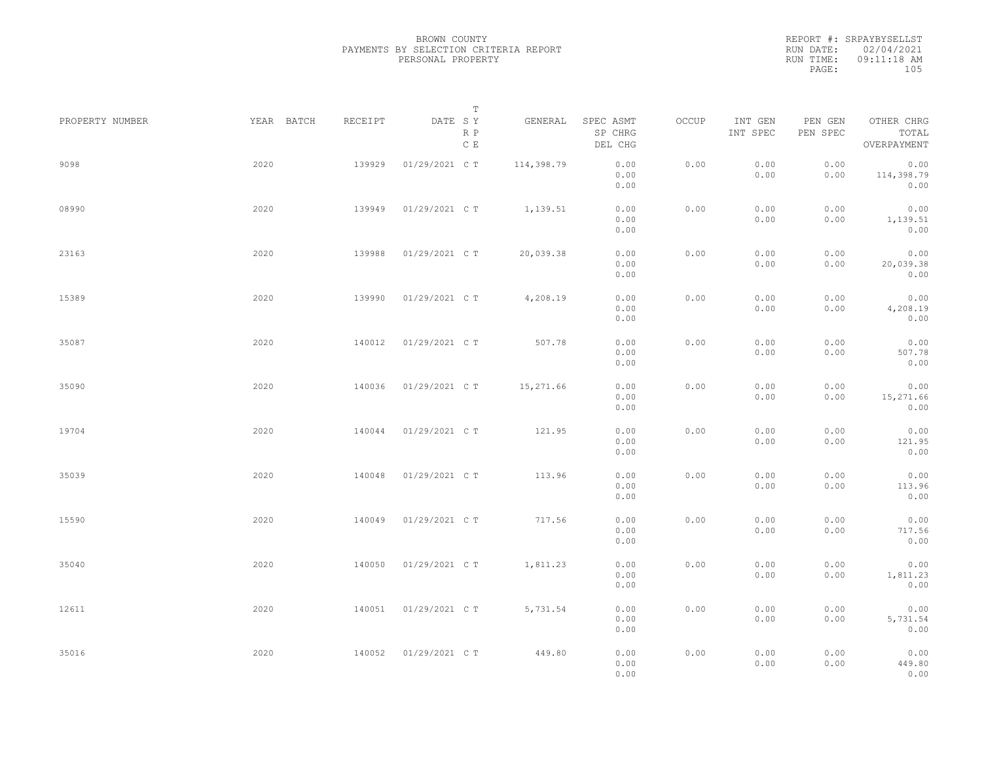REPORT #: SRPAYBYSELLST RUN DATE: 02/04/2021 RUN TIME: 09:11:18 AM PAGE: 105

| PROPERTY NUMBER | YEAR BATCH | RECEIPT | T<br>DATE SY<br>R P<br>C E | GENERAL    | SPEC ASMT<br>SP CHRG            | OCCUP | INT GEN<br>INT SPEC | PEN GEN<br>PEN SPEC | OTHER CHRG<br>TOTAL<br>OVERPAYMENT |  |
|-----------------|------------|---------|----------------------------|------------|---------------------------------|-------|---------------------|---------------------|------------------------------------|--|
| 9098            | 2020       | 139929  | 01/29/2021 C T             | 114,398.79 | DEL CHG<br>0.00<br>0.00<br>0.00 | 0.00  | 0.00<br>0.00        | 0.00<br>0.00        | 0.00<br>114,398.79<br>0.00         |  |
| 08990           | 2020       | 139949  | 01/29/2021 C T             | 1,139.51   | 0.00<br>0.00<br>0.00            | 0.00  | 0.00<br>0.00        | 0.00<br>0.00        | 0.00<br>1,139.51<br>0.00           |  |
| 23163           | 2020       | 139988  | 01/29/2021 C T             | 20,039.38  | 0.00<br>0.00<br>0.00            | 0.00  | 0.00<br>0.00        | 0.00<br>0.00        | 0.00<br>20,039.38<br>0.00          |  |
| 15389           | 2020       | 139990  | 01/29/2021 C T             | 4,208.19   | 0.00<br>0.00<br>0.00            | 0.00  | 0.00<br>0.00        | 0.00<br>0.00        | 0.00<br>4,208.19<br>0.00           |  |
| 35087           | 2020       | 140012  | 01/29/2021 C T             | 507.78     | 0.00<br>0.00<br>0.00            | 0.00  | 0.00<br>0.00        | 0.00<br>0.00        | 0.00<br>507.78<br>0.00             |  |
| 35090           | 2020       | 140036  | 01/29/2021 C T             | 15,271.66  | 0.00<br>0.00<br>0.00            | 0.00  | 0.00<br>0.00        | 0.00<br>0.00        | 0.00<br>15,271.66<br>0.00          |  |
| 19704           | 2020       | 140044  | 01/29/2021 C T             | 121.95     | 0.00<br>0.00<br>0.00            | 0.00  | 0.00<br>0.00        | 0.00<br>0.00        | 0.00<br>121.95<br>0.00             |  |
| 35039           | 2020       | 140048  | 01/29/2021 C T             | 113.96     | 0.00<br>0.00<br>0.00            | 0.00  | 0.00<br>0.00        | 0.00<br>0.00        | 0.00<br>113.96<br>0.00             |  |
| 15590           | 2020       | 140049  | 01/29/2021 C T             | 717.56     | 0.00<br>0.00<br>0.00            | 0.00  | 0.00<br>0.00        | 0.00<br>0.00        | 0.00<br>717.56<br>0.00             |  |
| 35040           | 2020       | 140050  | 01/29/2021 C T             | 1,811.23   | 0.00<br>0.00<br>0.00            | 0.00  | 0.00<br>0.00        | 0.00<br>0.00        | 0.00<br>1,811.23<br>0.00           |  |
| 12611           | 2020       | 140051  | 01/29/2021 C T             | 5,731.54   | 0.00<br>0.00<br>0.00            | 0.00  | 0.00<br>0.00        | 0.00<br>0.00        | 0.00<br>5,731.54<br>0.00           |  |
| 35016           | 2020       | 140052  | 01/29/2021 C T             | 449.80     | 0.00<br>0.00<br>0.00            | 0.00  | 0.00<br>0.00        | 0.00<br>0.00        | 0.00<br>449.80<br>0.00             |  |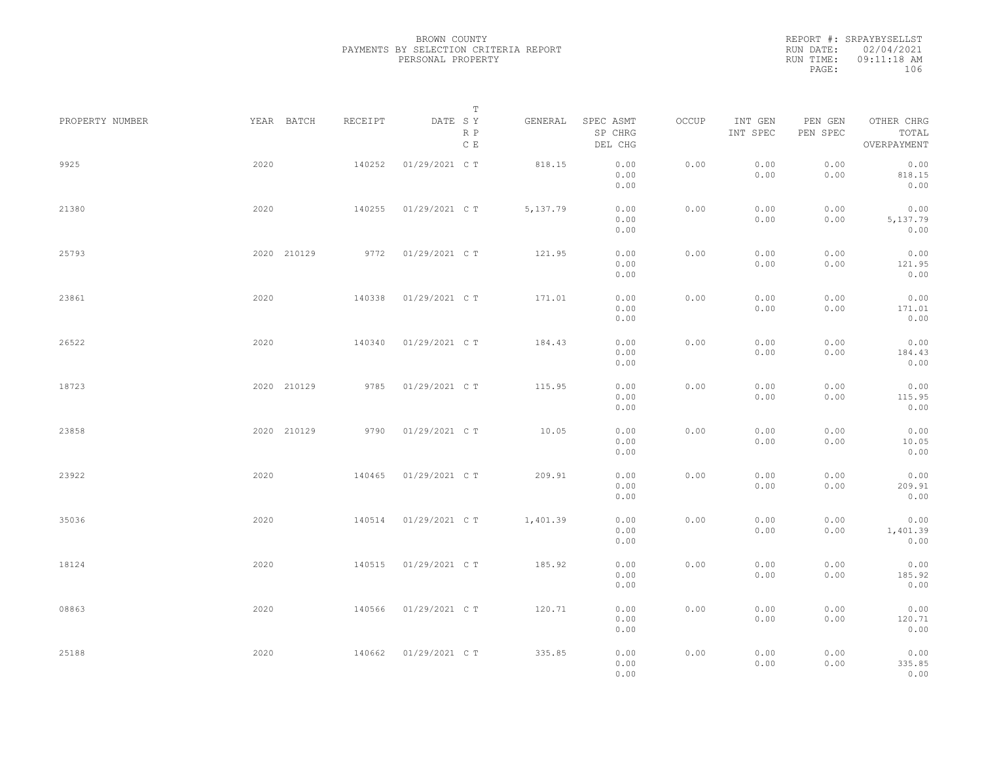REPORT #: SRPAYBYSELLST RUN DATE: 02/04/2021 RUN TIME: 09:11:18 AM PAGE: 106

|                 |             |         | $\mathbb T$           |           |                                 |       |                     |                     |                                    |  |
|-----------------|-------------|---------|-----------------------|-----------|---------------------------------|-------|---------------------|---------------------|------------------------------------|--|
| PROPERTY NUMBER | YEAR BATCH  | RECEIPT | DATE SY<br>R P<br>C E | GENERAL   | SPEC ASMT<br>SP CHRG<br>DEL CHG | OCCUP | INT GEN<br>INT SPEC | PEN GEN<br>PEN SPEC | OTHER CHRG<br>TOTAL<br>OVERPAYMENT |  |
| 9925            | 2020        | 140252  | 01/29/2021 C T        | 818.15    | 0.00<br>0.00<br>0.00            | 0.00  | 0.00<br>0.00        | 0.00<br>0.00        | 0.00<br>818.15<br>0.00             |  |
| 21380           | 2020        | 140255  | 01/29/2021 C T        | 5, 137.79 | 0.00<br>0.00<br>0.00            | 0.00  | 0.00<br>0.00        | 0.00<br>0.00        | 0.00<br>5,137.79<br>0.00           |  |
| 25793           | 2020 210129 | 9772    | 01/29/2021 C T        | 121.95    | 0.00<br>0.00<br>0.00            | 0.00  | 0.00<br>0.00        | 0.00<br>0.00        | 0.00<br>121.95<br>0.00             |  |
| 23861           | 2020        | 140338  | 01/29/2021 C T        | 171.01    | 0.00<br>0.00<br>0.00            | 0.00  | 0.00<br>0.00        | 0.00<br>0.00        | 0.00<br>171.01<br>0.00             |  |
| 26522           | 2020        | 140340  | 01/29/2021 C T        | 184.43    | 0.00<br>0.00<br>0.00            | 0.00  | 0.00<br>0.00        | 0.00<br>0.00        | 0.00<br>184.43<br>0.00             |  |
| 18723           | 2020 210129 | 9785    | 01/29/2021 C T        | 115.95    | 0.00<br>0.00<br>0.00            | 0.00  | 0.00<br>0.00        | 0.00<br>0.00        | 0.00<br>115.95<br>0.00             |  |
| 23858           | 2020 210129 | 9790    | 01/29/2021 C T        | 10.05     | 0.00<br>0.00<br>0.00            | 0.00  | 0.00<br>0.00        | 0.00<br>0.00        | 0.00<br>10.05<br>0.00              |  |
| 23922           | 2020        | 140465  | 01/29/2021 C T        | 209.91    | 0.00<br>0.00<br>0.00            | 0.00  | 0.00<br>0.00        | 0.00<br>0.00        | 0.00<br>209.91<br>0.00             |  |
| 35036           | 2020        | 140514  | 01/29/2021 C T        | 1,401.39  | 0.00<br>0.00<br>0.00            | 0.00  | 0.00<br>0.00        | 0.00<br>0.00        | 0.00<br>1,401.39<br>0.00           |  |
| 18124           | 2020        | 140515  | 01/29/2021 C T        | 185.92    | 0.00<br>0.00<br>0.00            | 0.00  | 0.00<br>0.00        | 0.00<br>0.00        | 0.00<br>185.92<br>0.00             |  |
| 08863           | 2020        | 140566  | 01/29/2021 C T        | 120.71    | 0.00<br>0.00<br>0.00            | 0.00  | 0.00<br>0.00        | 0.00<br>0.00        | 0.00<br>120.71<br>0.00             |  |
| 25188           | 2020        | 140662  | 01/29/2021 C T        | 335.85    | 0.00<br>0.00<br>0.00            | 0.00  | 0.00<br>0.00        | 0.00<br>0.00        | 0.00<br>335.85<br>0.00             |  |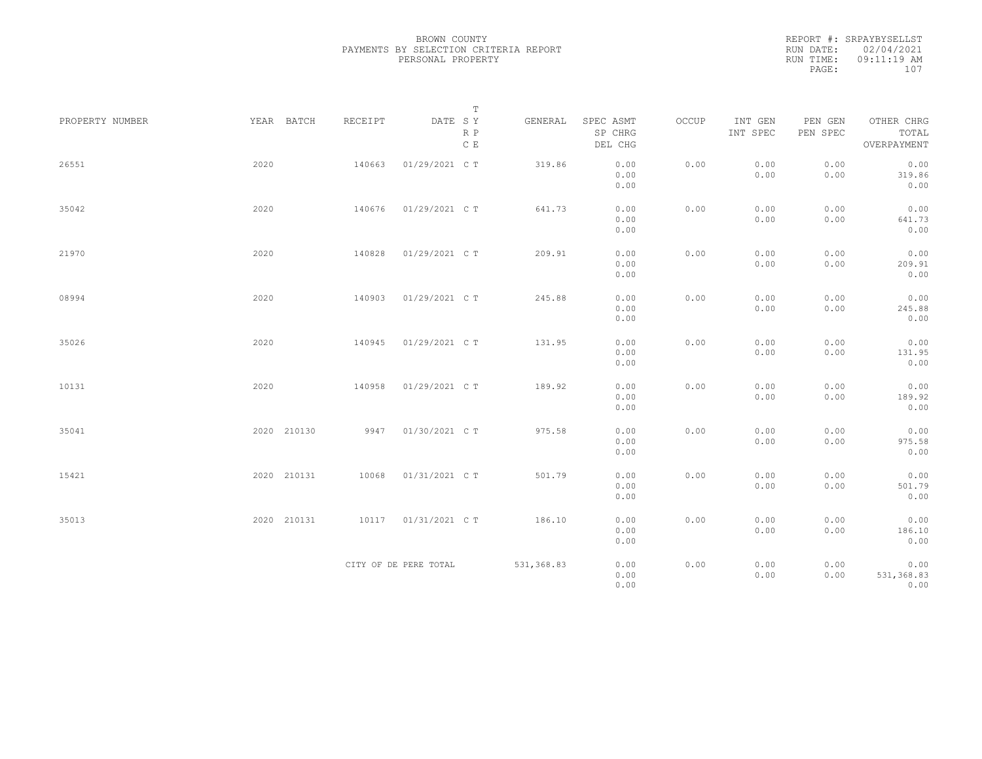|           | REPORT #: SRPAYBYSELLST |  |
|-----------|-------------------------|--|
|           | RUN DATE: 02/04/2021    |  |
| RUN TIME: | 09:11:19 AM             |  |
| PAGE:     | 107                     |  |
|           |                         |  |

|                 |             |         | $\mathbb T$                                                                    |             |                                 |       |                     |                     |                                    |
|-----------------|-------------|---------|--------------------------------------------------------------------------------|-------------|---------------------------------|-------|---------------------|---------------------|------------------------------------|
| PROPERTY NUMBER | YEAR BATCH  | RECEIPT | $\begin{tabular}{lllll} \bf{DATE} & \tt S & \tt Y \end{tabular}$<br>R P<br>C E | GENERAL     | SPEC ASMT<br>SP CHRG<br>DEL CHG | OCCUP | INT GEN<br>INT SPEC | PEN GEN<br>PEN SPEC | OTHER CHRG<br>TOTAL<br>OVERPAYMENT |
| 26551           | 2020        | 140663  | 01/29/2021 C T                                                                 | 319.86      | 0.00<br>0.00<br>0.00            | 0.00  | 0.00<br>0.00        | 0.00<br>0.00        | 0.00<br>319.86<br>0.00             |
| 35042           | 2020        | 140676  | 01/29/2021 C T                                                                 | 641.73      | 0.00<br>0.00<br>0.00            | 0.00  | 0.00<br>0.00        | 0.00<br>0.00        | 0.00<br>641.73<br>0.00             |
| 21970           | 2020        | 140828  | 01/29/2021 C T                                                                 | 209.91      | 0.00<br>0.00<br>0.00            | 0.00  | 0.00<br>0.00        | 0.00<br>0.00        | 0.00<br>209.91<br>0.00             |
| 08994           | 2020        | 140903  | 01/29/2021 C T                                                                 | 245.88      | 0.00<br>0.00<br>0.00            | 0.00  | 0.00<br>0.00        | 0.00<br>0.00        | 0.00<br>245.88<br>0.00             |
| 35026           | 2020        | 140945  | 01/29/2021 C T                                                                 | 131.95      | 0.00<br>0.00<br>0.00            | 0.00  | 0.00<br>0.00        | 0.00<br>0.00        | 0.00<br>131.95<br>0.00             |
| 10131           | 2020        | 140958  | 01/29/2021 C T                                                                 | 189.92      | 0.00<br>0.00<br>0.00            | 0.00  | 0.00<br>0.00        | 0.00<br>0.00        | 0.00<br>189.92<br>0.00             |
| 35041           | 2020 210130 | 9947    | 01/30/2021 C T                                                                 | 975.58      | 0.00<br>0.00<br>0.00            | 0.00  | 0.00<br>0.00        | 0.00<br>0.00        | 0.00<br>975.58<br>0.00             |
| 15421           | 2020 210131 | 10068   | 01/31/2021 C T                                                                 | 501.79      | 0.00<br>0.00<br>0.00            | 0.00  | 0.00<br>0.00        | 0.00<br>0.00        | 0.00<br>501.79<br>0.00             |
| 35013           | 2020 210131 | 10117   | 01/31/2021 C T                                                                 | 186.10      | 0.00<br>0.00<br>0.00            | 0.00  | 0.00<br>0.00        | 0.00<br>0.00        | 0.00<br>186.10<br>0.00             |
|                 |             |         | CITY OF DE PERE TOTAL                                                          | 531, 368.83 | 0.00<br>0.00<br>0.00            | 0.00  | 0.00<br>0.00        | 0.00<br>0.00        | 0.00<br>531,368.83<br>0.00         |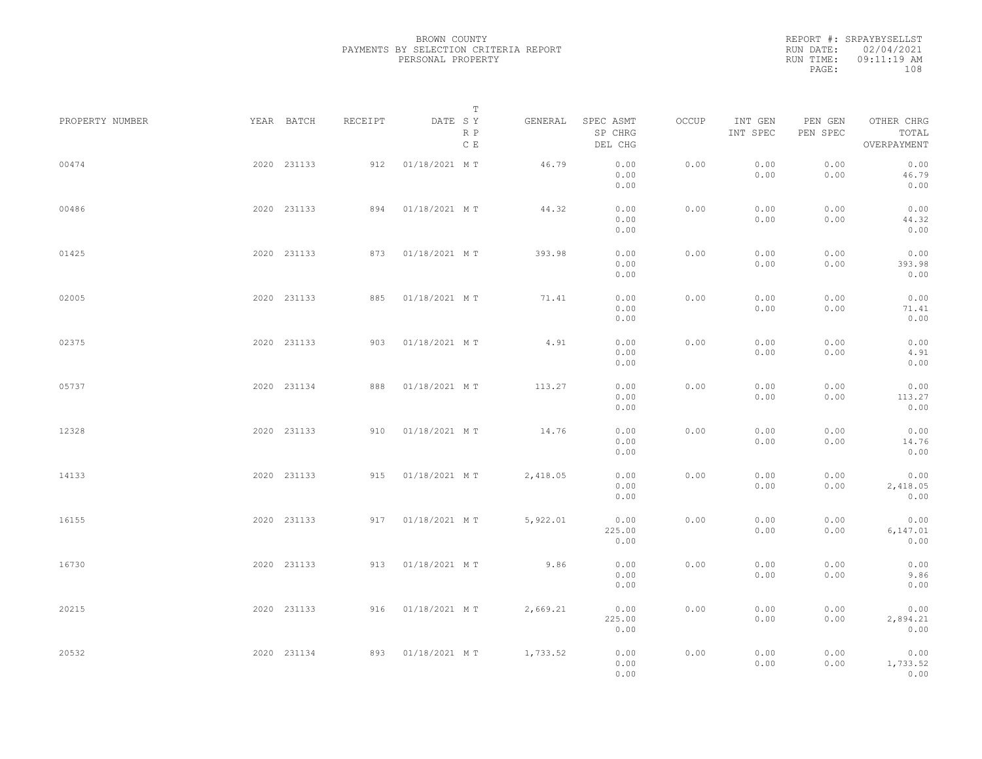|           | REPORT #: SRPAYBYSELLST |  |
|-----------|-------------------------|--|
|           | RUN DATE: 02/04/2021    |  |
| RUN TIME: | 09:11:19 AM             |  |
| PAGE:     | 108                     |  |
|           |                         |  |

| PROPERTY NUMBER | YEAR BATCH  | RECEIPT | DATE SY           | Т          | GENERAL  | SPEC ASMT              | OCCUP | INT GEN      | PEN GEN      | OTHER CHRG               |  |
|-----------------|-------------|---------|-------------------|------------|----------|------------------------|-------|--------------|--------------|--------------------------|--|
|                 |             |         |                   | R P<br>C E |          | SP CHRG<br>DEL CHG     |       | INT SPEC     | PEN SPEC     | TOTAL<br>OVERPAYMENT     |  |
| 00474           | 2020 231133 | 912     | 01/18/2021 MT     |            | 46.79    | 0.00<br>0.00<br>0.00   | 0.00  | 0.00<br>0.00 | 0.00<br>0.00 | 0.00<br>46.79<br>0.00    |  |
| 00486           | 2020 231133 | 894     | 01/18/2021 MT     |            | 44.32    | 0.00<br>0.00<br>0.00   | 0.00  | 0.00<br>0.00 | 0.00<br>0.00 | 0.00<br>44.32<br>0.00    |  |
| 01425           | 2020 231133 |         | 873 01/18/2021 MT |            | 393.98   | 0.00<br>0.00<br>0.00   | 0.00  | 0.00<br>0.00 | 0.00<br>0.00 | 0.00<br>393.98<br>0.00   |  |
| 02005           | 2020 231133 | 885     | 01/18/2021 MT     |            | 71.41    | 0.00<br>0.00<br>0.00   | 0.00  | 0.00<br>0.00 | 0.00<br>0.00 | 0.00<br>71.41<br>0.00    |  |
| 02375           | 2020 231133 | 903     | 01/18/2021 MT     |            | 4.91     | 0.00<br>0.00<br>0.00   | 0.00  | 0.00<br>0.00 | 0.00<br>0.00 | 0.00<br>4.91<br>0.00     |  |
| 05737           | 2020 231134 | 888     | 01/18/2021 MT     |            | 113.27   | 0.00<br>0.00<br>0.00   | 0.00  | 0.00<br>0.00 | 0.00<br>0.00 | 0.00<br>113.27<br>0.00   |  |
| 12328           | 2020 231133 | 910     | 01/18/2021 MT     |            | 14.76    | 0.00<br>0.00<br>0.00   | 0.00  | 0.00<br>0.00 | 0.00<br>0.00 | 0.00<br>14.76<br>0.00    |  |
| 14133           | 2020 231133 | 915     | 01/18/2021 MT     |            | 2,418.05 | 0.00<br>0.00<br>0.00   | 0.00  | 0.00<br>0.00 | 0.00<br>0.00 | 0.00<br>2,418.05<br>0.00 |  |
| 16155           | 2020 231133 |         | 917 01/18/2021 MT |            | 5,922.01 | 0.00<br>225.00<br>0.00 | 0.00  | 0.00<br>0.00 | 0.00<br>0.00 | 0.00<br>6,147.01<br>0.00 |  |
| 16730           | 2020 231133 |         | 913 01/18/2021 MT |            | 9.86     | 0.00<br>0.00<br>0.00   | 0.00  | 0.00<br>0.00 | 0.00<br>0.00 | 0.00<br>9.86<br>0.00     |  |
| 20215           | 2020 231133 |         | 916 01/18/2021 MT |            | 2,669.21 | 0.00<br>225.00<br>0.00 | 0.00  | 0.00<br>0.00 | 0.00<br>0.00 | 0.00<br>2,894.21<br>0.00 |  |
| 20532           | 2020 231134 |         | 893 01/18/2021 MT |            | 1,733.52 | 0.00<br>0.00<br>0.00   | 0.00  | 0.00<br>0.00 | 0.00<br>0.00 | 0.00<br>1,733.52<br>0.00 |  |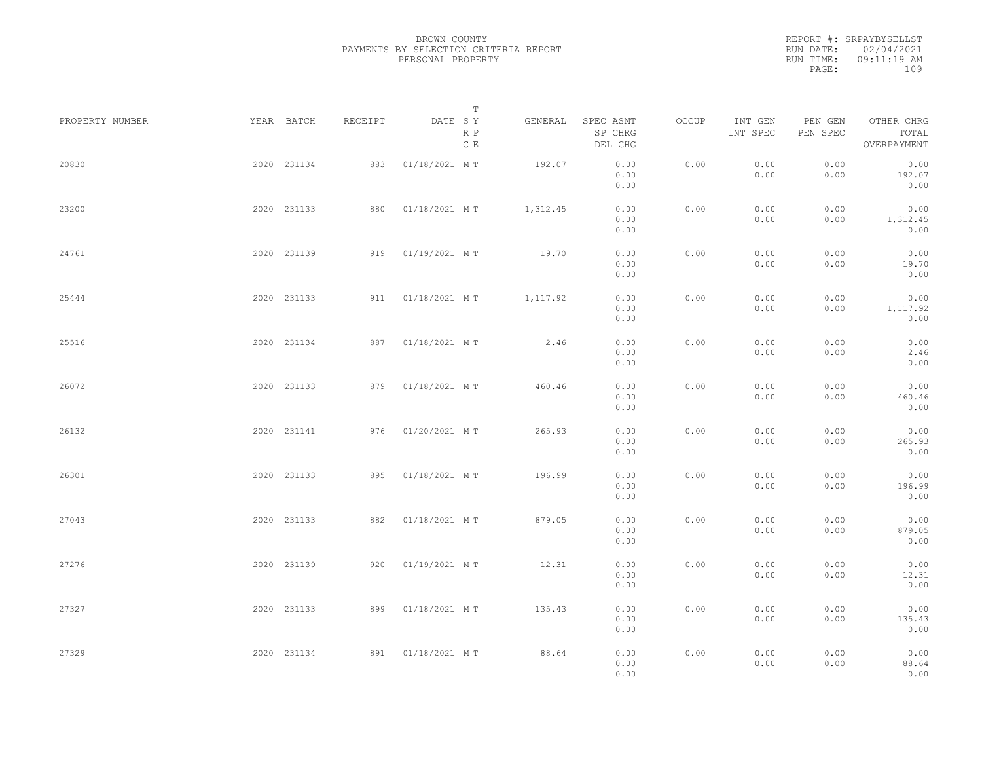|           | REPORT #: SRPAYBYSELLST |  |
|-----------|-------------------------|--|
|           | RUN DATE: 02/04/2021    |  |
| RUN TIME: | 09:11:19 AM             |  |
| PAGE:     | 109                     |  |
|           |                         |  |

| PROPERTY NUMBER | YEAR BATCH  | RECEIPT | DATE SY            | Т                    | GENERAL  | SPEC ASMT            | OCCUP | INT GEN      | PEN GEN      | OTHER CHRG               |  |
|-----------------|-------------|---------|--------------------|----------------------|----------|----------------------|-------|--------------|--------------|--------------------------|--|
|                 |             |         |                    | R P<br>$\,$ C $\,$ E |          | SP CHRG<br>DEL CHG   |       | INT SPEC     | PEN SPEC     | TOTAL<br>OVERPAYMENT     |  |
| 20830           | 2020 231134 | 883     | 01/18/2021 MT      |                      | 192.07   | 0.00<br>0.00<br>0.00 | 0.00  | 0.00<br>0.00 | 0.00<br>0.00 | 0.00<br>192.07<br>0.00   |  |
| 23200           | 2020 231133 | 880     | 01/18/2021 MT      |                      | 1,312.45 | 0.00<br>0.00<br>0.00 | 0.00  | 0.00<br>0.00 | 0.00<br>0.00 | 0.00<br>1,312.45<br>0.00 |  |
| 24761           | 2020 231139 |         | 919 01/19/2021 MT  |                      | 19.70    | 0.00<br>0.00<br>0.00 | 0.00  | 0.00<br>0.00 | 0.00<br>0.00 | 0.00<br>19.70<br>0.00    |  |
| 25444           | 2020 231133 |         | 911  01/18/2021 MT |                      | 1,117.92 | 0.00<br>0.00<br>0.00 | 0.00  | 0.00<br>0.00 | 0.00<br>0.00 | 0.00<br>1,117.92<br>0.00 |  |
| 25516           | 2020 231134 |         | 887 01/18/2021 MT  |                      | 2.46     | 0.00<br>0.00<br>0.00 | 0.00  | 0.00<br>0.00 | 0.00<br>0.00 | 0.00<br>2.46<br>0.00     |  |
| 26072           | 2020 231133 | 879     | 01/18/2021 MT      |                      | 460.46   | 0.00<br>0.00<br>0.00 | 0.00  | 0.00<br>0.00 | 0.00<br>0.00 | 0.00<br>460.46<br>0.00   |  |
| 26132           | 2020 231141 | 976     | 01/20/2021 MT      |                      | 265.93   | 0.00<br>0.00<br>0.00 | 0.00  | 0.00<br>0.00 | 0.00<br>0.00 | 0.00<br>265.93<br>0.00   |  |
| 26301           | 2020 231133 | 895     | 01/18/2021 MT      |                      | 196.99   | 0.00<br>0.00<br>0.00 | 0.00  | 0.00<br>0.00 | 0.00<br>0.00 | 0.00<br>196.99<br>0.00   |  |
| 27043           | 2020 231133 | 882     | 01/18/2021 MT      |                      | 879.05   | 0.00<br>0.00<br>0.00 | 0.00  | 0.00<br>0.00 | 0.00<br>0.00 | 0.00<br>879.05<br>0.00   |  |
| 27276           | 2020 231139 |         | 920 01/19/2021 MT  |                      | 12.31    | 0.00<br>0.00<br>0.00 | 0.00  | 0.00<br>0.00 | 0.00<br>0.00 | 0.00<br>12.31<br>0.00    |  |
| 27327           | 2020 231133 | 899     | 01/18/2021 MT      |                      | 135.43   | 0.00<br>0.00<br>0.00 | 0.00  | 0.00<br>0.00 | 0.00<br>0.00 | 0.00<br>135.43<br>0.00   |  |
| 27329           | 2020 231134 |         | 891 01/18/2021 MT  |                      | 88.64    | 0.00<br>0.00<br>0.00 | 0.00  | 0.00<br>0.00 | 0.00<br>0.00 | 0.00<br>88.64<br>0.00    |  |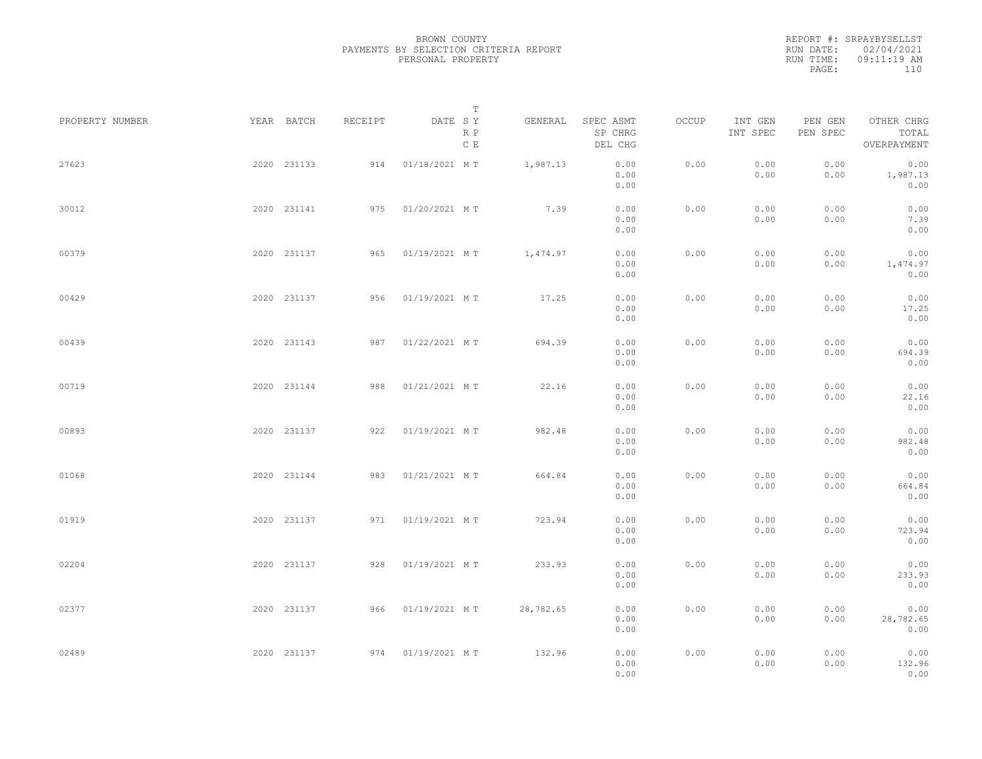|           | REPORT #: SRPAYBYSELLST |  |
|-----------|-------------------------|--|
|           | RUN DATE: 02/04/2021    |  |
| RUN TIME: | 09:11:19 AM             |  |
| PAGE:     | 110                     |  |
|           |                         |  |

| PROPERTY NUMBER | YEAR BATCH  | RECEIPT | DATE SY           | T<br>R P<br>C E | GENERAL   | SPEC ASMT<br>SP CHRG<br>DEL CHG | OCCUP | INT GEN<br>INT SPEC | PEN GEN<br>PEN SPEC | OTHER CHRG<br>TOTAL<br>OVERPAYMENT |  |
|-----------------|-------------|---------|-------------------|-----------------|-----------|---------------------------------|-------|---------------------|---------------------|------------------------------------|--|
| 27623           | 2020 231133 | 914     | 01/18/2021 MT     |                 | 1,987.13  | 0.00<br>0.00<br>0.00            | 0.00  | 0.00<br>0.00        | 0.00<br>0.00        | 0.00<br>1,987.13<br>0.00           |  |
| 30012           | 2020 231141 | 975     | 01/20/2021 MT     |                 | 7.39      | 0.00<br>0.00<br>0.00            | 0.00  | 0.00<br>0.00        | 0.00<br>0.00        | 0.00<br>7.39<br>0.00               |  |
| 00379           | 2020 231137 | 965     | 01/19/2021 MT     |                 | 1,474.97  | 0.00<br>0.00<br>0.00            | 0.00  | 0.00<br>0.00        | 0.00<br>0.00        | 0.00<br>1,474.97<br>0.00           |  |
| 00429           | 2020 231137 | 956     | 01/19/2021 MT     |                 | 17.25     | 0.00<br>0.00<br>0.00            | 0.00  | 0.00<br>0.00        | 0.00<br>0.00        | 0.00<br>17.25<br>0.00              |  |
| 00439           | 2020 231143 | 987     | 01/22/2021 MT     |                 | 694.39    | 0.00<br>0.00<br>0.00            | 0.00  | 0.00<br>0.00        | 0.00<br>0.00        | 0.00<br>694.39<br>0.00             |  |
| 00719           | 2020 231144 | 988     | 01/21/2021 MT     |                 | 22.16     | 0.00<br>0.00<br>0.00            | 0.00  | 0.00<br>0.00        | 0.00<br>0.00        | 0.00<br>22.16<br>0.00              |  |
| 00893           | 2020 231137 | 922     | 01/19/2021 MT     |                 | 982.48    | 0.00<br>0.00<br>0.00            | 0.00  | 0.00<br>0.00        | 0.00<br>0.00        | 0.00<br>982.48<br>0.00             |  |
| 01068           | 2020 231144 | 983     | 01/21/2021 MT     |                 | 664.84    | 0.00<br>0.00<br>0.00            | 0.00  | 0.00<br>0.00        | 0.00<br>0.00        | 0.00<br>664.84<br>0.00             |  |
| 01919           | 2020 231137 |         | 971 01/19/2021 MT |                 | 723.94    | 0.00<br>0.00<br>0.00            | 0.00  | 0.00<br>0.00        | 0.00<br>0.00        | 0.00<br>723.94<br>0.00             |  |
| 02204           | 2020 231137 |         | 928 01/19/2021 MT |                 | 233.93    | 0.00<br>0.00<br>0.00            | 0.00  | 0.00<br>0.00        | 0.00<br>0.00        | 0.00<br>233.93<br>0.00             |  |
| 02377           | 2020 231137 |         | 966 01/19/2021 MT |                 | 28,782.65 | 0.00<br>0.00<br>0.00            | 0.00  | 0.00<br>0.00        | 0.00<br>0.00        | 0.00<br>28,782.65<br>0.00          |  |
| 02489           | 2020 231137 |         | 974 01/19/2021 MT |                 | 132.96    | 0.00<br>0.00<br>0.00            | 0.00  | 0.00<br>0.00        | 0.00<br>0.00        | 0.00<br>132.96<br>0.00             |  |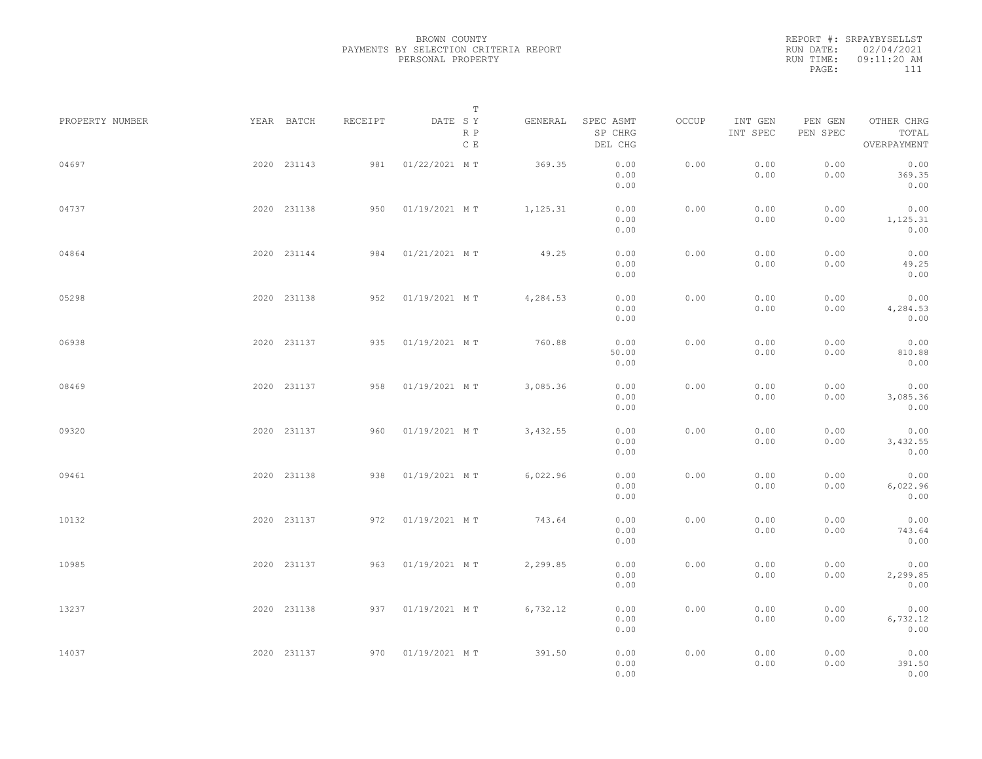|           | REPORT #: SRPAYBYSELLST |  |
|-----------|-------------------------|--|
|           | RUN DATE: 02/04/2021    |  |
| RUN TIME: | $09:11:20$ AM           |  |
| PAGE:     | 111                     |  |
|           |                         |  |

| PROPERTY NUMBER | YEAR BATCH  | RECEIPT | DATE SY           | Т<br>R P<br>$\,$ C $\,$ E | GENERAL  | SPEC ASMT<br>SP CHRG<br>DEL CHG | OCCUP | INT GEN<br>INT SPEC | PEN GEN<br>PEN SPEC | OTHER CHRG<br>TOTAL<br>OVERPAYMENT |  |
|-----------------|-------------|---------|-------------------|---------------------------|----------|---------------------------------|-------|---------------------|---------------------|------------------------------------|--|
| 04697           | 2020 231143 | 981     | 01/22/2021 MT     |                           | 369.35   | 0.00<br>0.00<br>0.00            | 0.00  | 0.00<br>0.00        | 0.00<br>0.00        | 0.00<br>369.35<br>0.00             |  |
| 04737           | 2020 231138 | 950     | 01/19/2021 MT     |                           | 1,125.31 | 0.00<br>0.00<br>0.00            | 0.00  | 0.00<br>0.00        | 0.00<br>0.00        | 0.00<br>1,125.31<br>0.00           |  |
| 04864           | 2020 231144 | 984     | 01/21/2021 MT     |                           | 49.25    | 0.00<br>0.00<br>0.00            | 0.00  | 0.00<br>0.00        | 0.00<br>0.00        | 0.00<br>49.25<br>0.00              |  |
| 05298           | 2020 231138 | 952     | 01/19/2021 MT     |                           | 4,284.53 | 0.00<br>0.00<br>0.00            | 0.00  | 0.00<br>0.00        | 0.00<br>0.00        | 0.00<br>4,284.53<br>0.00           |  |
| 06938           | 2020 231137 | 935     | 01/19/2021 MT     |                           | 760.88   | 0.00<br>50.00<br>0.00           | 0.00  | 0.00<br>0.00        | 0.00<br>0.00        | 0.00<br>810.88<br>0.00             |  |
| 08469           | 2020 231137 | 958     | 01/19/2021 MT     |                           | 3,085.36 | 0.00<br>0.00<br>0.00            | 0.00  | 0.00<br>0.00        | 0.00<br>0.00        | 0.00<br>3,085.36<br>0.00           |  |
| 09320           | 2020 231137 | 960     | 01/19/2021 MT     |                           | 3,432.55 | 0.00<br>0.00<br>0.00            | 0.00  | 0.00<br>0.00        | 0.00<br>0.00        | 0.00<br>3,432.55<br>0.00           |  |
| 09461           | 2020 231138 | 938     | 01/19/2021 MT     |                           | 6,022.96 | 0.00<br>0.00<br>0.00            | 0.00  | 0.00<br>0.00        | 0.00<br>0.00        | 0.00<br>6,022.96<br>0.00           |  |
| 10132           | 2020 231137 | 972     | 01/19/2021 MT     |                           | 743.64   | 0.00<br>0.00<br>0.00            | 0.00  | 0.00<br>0.00        | 0.00<br>0.00        | 0.00<br>743.64<br>0.00             |  |
| 10985           | 2020 231137 | 963     | 01/19/2021 MT     |                           | 2,299.85 | 0.00<br>0.00<br>0.00            | 0.00  | 0.00<br>0.00        | 0.00<br>0.00        | 0.00<br>2,299.85<br>0.00           |  |
| 13237           | 2020 231138 | 937     | 01/19/2021 MT     |                           | 6,732.12 | 0.00<br>0.00<br>0.00            | 0.00  | 0.00<br>0.00        | 0.00<br>0.00        | 0.00<br>6,732.12<br>0.00           |  |
| 14037           | 2020 231137 |         | 970 01/19/2021 MT |                           | 391.50   | 0.00<br>0.00<br>0.00            | 0.00  | 0.00<br>0.00        | 0.00<br>0.00        | 0.00<br>391.50<br>0.00             |  |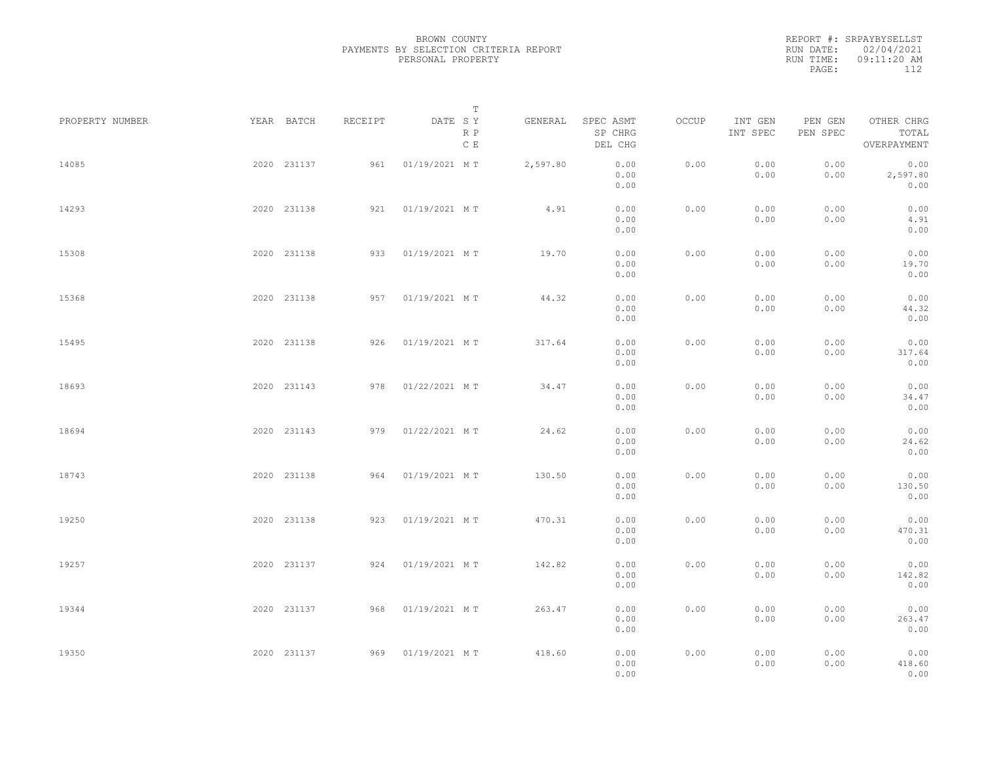|           | REPORT #: SRPAYBYSELLST |  |
|-----------|-------------------------|--|
|           | RUN DATE: 02/04/2021    |  |
| RUN TIME: | 09:11:20 AM             |  |
| PAGE:     | 112                     |  |
|           |                         |  |

| PROPERTY NUMBER | YEAR BATCH  | RECEIPT | DATE SY           | T<br>R P<br>C E | GENERAL  | SPEC ASMT<br>SP CHRG<br>DEL CHG | OCCUP | INT GEN<br>INT SPEC | PEN GEN<br>PEN SPEC | OTHER CHRG<br>TOTAL<br>OVERPAYMENT |  |
|-----------------|-------------|---------|-------------------|-----------------|----------|---------------------------------|-------|---------------------|---------------------|------------------------------------|--|
| 14085           | 2020 231137 | 961     | 01/19/2021 MT     |                 | 2,597.80 | 0.00<br>0.00<br>0.00            | 0.00  | 0.00<br>0.00        | 0.00<br>0.00        | 0.00<br>2,597.80<br>0.00           |  |
| 14293           | 2020 231138 |         | 921 01/19/2021 MT |                 | 4.91     | 0.00<br>0.00<br>0.00            | 0.00  | 0.00<br>0.00        | 0.00<br>0.00        | 0.00<br>4.91<br>0.00               |  |
| 15308           | 2020 231138 |         | 933 01/19/2021 MT |                 | 19.70    | 0.00<br>0.00<br>0.00            | 0.00  | 0.00<br>0.00        | 0.00<br>0.00        | 0.00<br>19.70<br>0.00              |  |
| 15368           | 2020 231138 |         | 957 01/19/2021 MT |                 | 44.32    | 0.00<br>0.00<br>0.00            | 0.00  | 0.00<br>0.00        | 0.00<br>0.00        | 0.00<br>44.32<br>0.00              |  |
| 15495           | 2020 231138 |         | 926 01/19/2021 MT |                 | 317.64   | 0.00<br>0.00<br>0.00            | 0.00  | 0.00<br>0.00        | 0.00<br>0.00        | 0.00<br>317.64<br>0.00             |  |
| 18693           | 2020 231143 | 978     | 01/22/2021 MT     |                 | 34.47    | 0.00<br>0.00<br>0.00            | 0.00  | 0.00<br>0.00        | 0.00<br>0.00        | 0.00<br>34.47<br>0.00              |  |
| 18694           | 2020 231143 | 979     | 01/22/2021 MT     |                 | 24.62    | 0.00<br>0.00<br>0.00            | 0.00  | 0.00<br>0.00        | 0.00<br>0.00        | 0.00<br>24.62<br>0.00              |  |
| 18743           | 2020 231138 | 964     | 01/19/2021 MT     |                 | 130.50   | 0.00<br>0.00<br>0.00            | 0.00  | 0.00<br>0.00        | 0.00<br>0.00        | 0.00<br>130.50<br>0.00             |  |
| 19250           | 2020 231138 | 923     | 01/19/2021 MT     |                 | 470.31   | 0.00<br>0.00<br>0.00            | 0.00  | 0.00<br>0.00        | 0.00<br>0.00        | 0.00<br>470.31<br>0.00             |  |
| 19257           | 2020 231137 |         | 924 01/19/2021 MT |                 | 142.82   | 0.00<br>0.00<br>0.00            | 0.00  | 0.00<br>0.00        | 0.00<br>0.00        | 0.00<br>142.82<br>0.00             |  |
| 19344           | 2020 231137 |         | 968 01/19/2021 MT |                 | 263.47   | 0.00<br>0.00<br>0.00            | 0.00  | 0.00<br>0.00        | 0.00<br>0.00        | 0.00<br>263.47<br>0.00             |  |
| 19350           | 2020 231137 |         | 969 01/19/2021 MT |                 | 418.60   | 0.00<br>0.00<br>0.00            | 0.00  | 0.00<br>0.00        | 0.00<br>0.00        | 0.00<br>418.60<br>0.00             |  |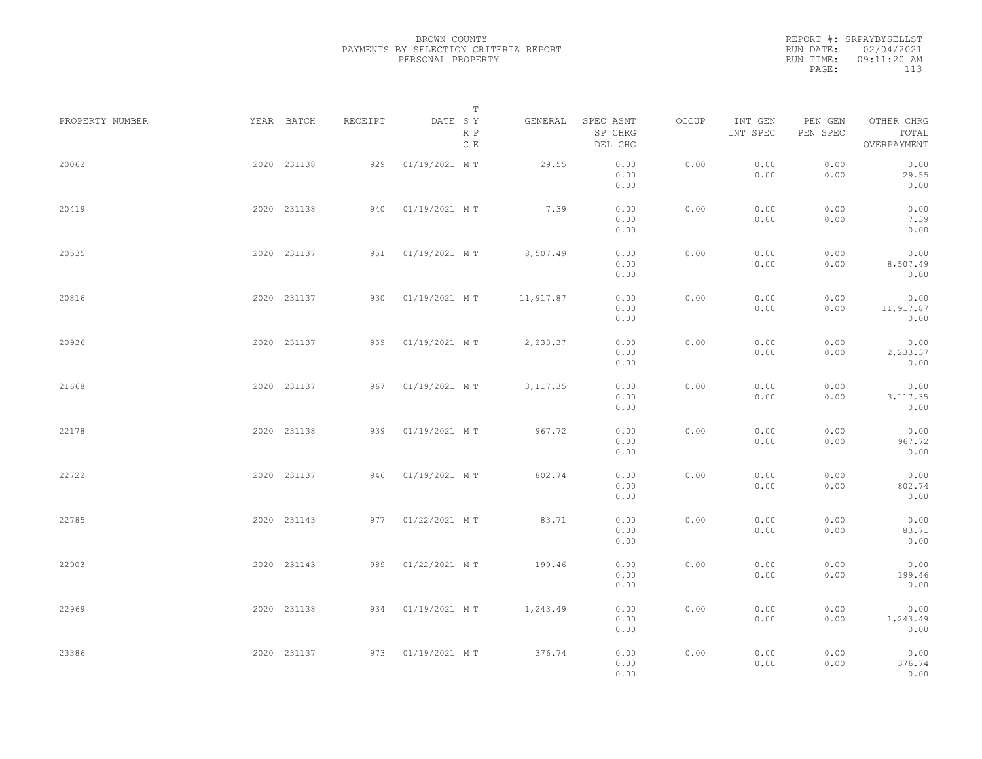|           | REPORT #: SRPAYBYSELLST |  |
|-----------|-------------------------|--|
|           | RUN DATE: 02/04/2021    |  |
| RUN TIME: | 09:11:20 AM             |  |
| PAGE:     | 113                     |  |
|           |                         |  |

| PROPERTY NUMBER | YEAR BATCH  | RECEIPT | DATE SY           | T<br>R P<br>$\,$ C $\,$ E | GENERAL   | SPEC ASMT<br>SP CHRG<br>DEL CHG | OCCUP | INT GEN<br>INT SPEC | PEN GEN<br>PEN SPEC | OTHER CHRG<br>TOTAL<br>OVERPAYMENT |  |
|-----------------|-------------|---------|-------------------|---------------------------|-----------|---------------------------------|-------|---------------------|---------------------|------------------------------------|--|
| 20062           | 2020 231138 | 929     | 01/19/2021 MT     |                           | 29.55     | 0.00<br>0.00<br>0.00            | 0.00  | 0.00<br>0.00        | 0.00<br>0.00        | 0.00<br>29.55<br>0.00              |  |
| 20419           | 2020 231138 | 940     | 01/19/2021 MT     |                           | 7.39      | 0.00<br>0.00<br>0.00            | 0.00  | 0.00<br>0.00        | 0.00<br>0.00        | 0.00<br>7.39<br>0.00               |  |
| 20535           | 2020 231137 |         | 951 01/19/2021 MT |                           | 8,507.49  | 0.00<br>0.00<br>0.00            | 0.00  | 0.00<br>0.00        | 0.00<br>0.00        | 0.00<br>8,507.49<br>0.00           |  |
| 20816           | 2020 231137 | 930     | 01/19/2021 MT     |                           | 11,917.87 | 0.00<br>0.00<br>0.00            | 0.00  | 0.00<br>0.00        | 0.00<br>0.00        | 0.00<br>11,917.87<br>0.00          |  |
| 20936           | 2020 231137 | 959     | 01/19/2021 MT     |                           | 2,233.37  | 0.00<br>0.00<br>0.00            | 0.00  | 0.00<br>0.00        | 0.00<br>0.00        | 0.00<br>2,233.37<br>0.00           |  |
| 21668           | 2020 231137 | 967     | 01/19/2021 MT     |                           | 3, 117.35 | 0.00<br>0.00<br>0.00            | 0.00  | 0.00<br>0.00        | 0.00<br>0.00        | 0.00<br>3, 117.35<br>0.00          |  |
| 22178           | 2020 231138 | 939     | 01/19/2021 MT     |                           | 967.72    | 0.00<br>0.00<br>0.00            | 0.00  | 0.00<br>0.00        | 0.00<br>0.00        | 0.00<br>967.72<br>0.00             |  |
| 22722           | 2020 231137 | 946     | 01/19/2021 MT     |                           | 802.74    | 0.00<br>0.00<br>0.00            | 0.00  | 0.00<br>0.00        | 0.00<br>0.00        | 0.00<br>802.74<br>0.00             |  |
| 22785           | 2020 231143 | 977     | 01/22/2021 MT     |                           | 83.71     | 0.00<br>0.00<br>0.00            | 0.00  | 0.00<br>0.00        | 0.00<br>0.00        | 0.00<br>83.71<br>0.00              |  |
| 22903           | 2020 231143 | 989     | 01/22/2021 MT     |                           | 199.46    | 0.00<br>0.00<br>0.00            | 0.00  | 0.00<br>0.00        | 0.00<br>0.00        | 0.00<br>199.46<br>0.00             |  |
| 22969           | 2020 231138 | 934     | 01/19/2021 MT     |                           | 1,243.49  | 0.00<br>0.00<br>0.00            | 0.00  | 0.00<br>0.00        | 0.00<br>0.00        | 0.00<br>1,243.49<br>0.00           |  |
| 23386           | 2020 231137 |         | 973 01/19/2021 MT |                           | 376.74    | 0.00<br>0.00<br>0.00            | 0.00  | 0.00<br>0.00        | 0.00<br>0.00        | 0.00<br>376.74<br>0.00             |  |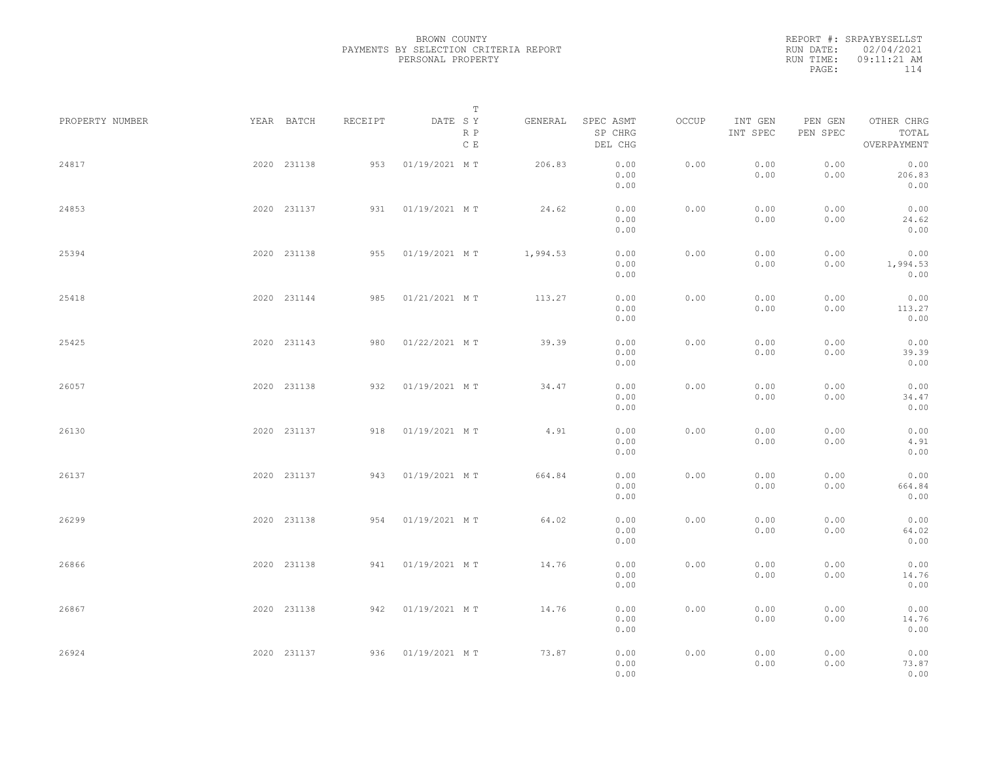|           | REPORT #: SRPAYBYSELLST |  |
|-----------|-------------------------|--|
|           | RUN DATE: 02/04/2021    |  |
| RUN TIME: | $09:11:21$ AM           |  |
| PAGE:     | 114                     |  |
|           |                         |  |

| PROPERTY NUMBER | YEAR BATCH  | RECEIPT | DATE SY           | Т                    | GENERAL  | SPEC ASMT            | OCCUP | INT GEN      | PEN GEN      | OTHER CHRG               |  |
|-----------------|-------------|---------|-------------------|----------------------|----------|----------------------|-------|--------------|--------------|--------------------------|--|
|                 |             |         |                   | R P<br>$\,$ C $\,$ E |          | SP CHRG<br>DEL CHG   |       | INT SPEC     | PEN SPEC     | TOTAL<br>OVERPAYMENT     |  |
| 24817           | 2020 231138 | 953     | 01/19/2021 MT     |                      | 206.83   | 0.00<br>0.00<br>0.00 | 0.00  | 0.00<br>0.00 | 0.00<br>0.00 | 0.00<br>206.83<br>0.00   |  |
| 24853           | 2020 231137 | 931     | 01/19/2021 MT     |                      | 24.62    | 0.00<br>0.00<br>0.00 | 0.00  | 0.00<br>0.00 | 0.00<br>0.00 | 0.00<br>24.62<br>0.00    |  |
| 25394           | 2020 231138 | 955     | 01/19/2021 MT     |                      | 1,994.53 | 0.00<br>0.00<br>0.00 | 0.00  | 0.00<br>0.00 | 0.00<br>0.00 | 0.00<br>1,994.53<br>0.00 |  |
| 25418           | 2020 231144 | 985     | 01/21/2021 MT     |                      | 113.27   | 0.00<br>0.00<br>0.00 | 0.00  | 0.00<br>0.00 | 0.00<br>0.00 | 0.00<br>113.27<br>0.00   |  |
| 25425           | 2020 231143 | 980     | 01/22/2021 MT     |                      | 39.39    | 0.00<br>0.00<br>0.00 | 0.00  | 0.00<br>0.00 | 0.00<br>0.00 | 0.00<br>39.39<br>0.00    |  |
| 26057           | 2020 231138 | 932     | 01/19/2021 MT     |                      | 34.47    | 0.00<br>0.00<br>0.00 | 0.00  | 0.00<br>0.00 | 0.00<br>0.00 | 0.00<br>34.47<br>0.00    |  |
| 26130           | 2020 231137 | 918     | 01/19/2021 MT     |                      | 4.91     | 0.00<br>0.00<br>0.00 | 0.00  | 0.00<br>0.00 | 0.00<br>0.00 | 0.00<br>4.91<br>0.00     |  |
| 26137           | 2020 231137 | 943     | 01/19/2021 MT     |                      | 664.84   | 0.00<br>0.00<br>0.00 | 0.00  | 0.00<br>0.00 | 0.00<br>0.00 | 0.00<br>664.84<br>0.00   |  |
| 26299           | 2020 231138 | 954     | 01/19/2021 MT     |                      | 64.02    | 0.00<br>0.00<br>0.00 | 0.00  | 0.00<br>0.00 | 0.00<br>0.00 | 0.00<br>64.02<br>0.00    |  |
| 26866           | 2020 231138 |         | 941 01/19/2021 MT |                      | 14.76    | 0.00<br>0.00<br>0.00 | 0.00  | 0.00<br>0.00 | 0.00<br>0.00 | 0.00<br>14.76<br>0.00    |  |
| 26867           | 2020 231138 | 942     | 01/19/2021 MT     |                      | 14.76    | 0.00<br>0.00<br>0.00 | 0.00  | 0.00<br>0.00 | 0.00<br>0.00 | 0.00<br>14.76<br>0.00    |  |
| 26924           | 2020 231137 |         | 936 01/19/2021 MT |                      | 73.87    | 0.00<br>0.00<br>0.00 | 0.00  | 0.00<br>0.00 | 0.00<br>0.00 | 0.00<br>73.87<br>0.00    |  |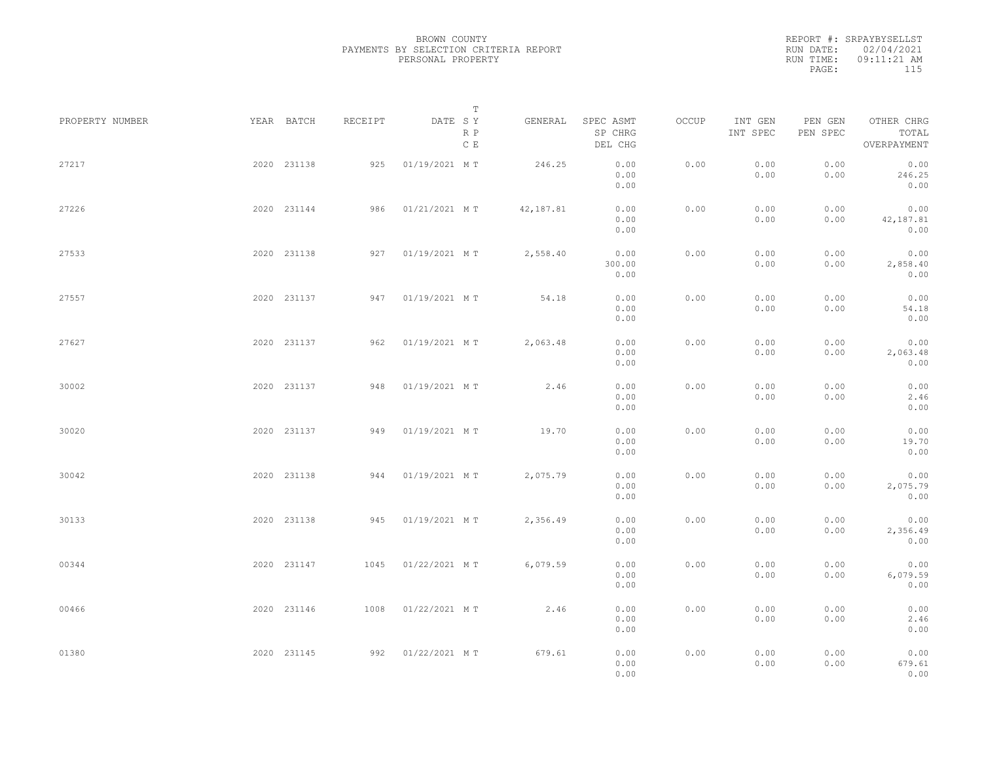|           | REPORT #: SRPAYBYSELLST |
|-----------|-------------------------|
|           | RUN DATE: 02/04/2021    |
| RUN TIME: | $09:11:21$ AM           |
| PAGE:     | 115                     |

| PROPERTY NUMBER | YEAR BATCH  | RECEIPT | DATE SY       | Т                    | GENERAL   | SPEC ASMT              | OCCUP | INT GEN      | PEN GEN      | OTHER CHRG                |  |
|-----------------|-------------|---------|---------------|----------------------|-----------|------------------------|-------|--------------|--------------|---------------------------|--|
|                 |             |         |               | R P<br>$\,$ C $\,$ E |           | SP CHRG<br>DEL CHG     |       | INT SPEC     | PEN SPEC     | TOTAL<br>OVERPAYMENT      |  |
| 27217           | 2020 231138 | 925     | 01/19/2021 MT |                      | 246.25    | 0.00<br>0.00<br>0.00   | 0.00  | 0.00<br>0.00 | 0.00<br>0.00 | 0.00<br>246.25<br>0.00    |  |
| 27226           | 2020 231144 | 986     | 01/21/2021 MT |                      | 42,187.81 | 0.00<br>0.00<br>0.00   | 0.00  | 0.00<br>0.00 | 0.00<br>0.00 | 0.00<br>42,187.81<br>0.00 |  |
| 27533           | 2020 231138 | 927     | 01/19/2021 MT |                      | 2,558.40  | 0.00<br>300.00<br>0.00 | 0.00  | 0.00<br>0.00 | 0.00<br>0.00 | 0.00<br>2,858.40<br>0.00  |  |
| 27557           | 2020 231137 | 947     | 01/19/2021 MT |                      | 54.18     | 0.00<br>0.00<br>0.00   | 0.00  | 0.00<br>0.00 | 0.00<br>0.00 | 0.00<br>54.18<br>0.00     |  |
| 27627           | 2020 231137 | 962     | 01/19/2021 MT |                      | 2,063.48  | 0.00<br>0.00<br>0.00   | 0.00  | 0.00<br>0.00 | 0.00<br>0.00 | 0.00<br>2,063.48<br>0.00  |  |
| 30002           | 2020 231137 | 948     | 01/19/2021 MT |                      | 2.46      | 0.00<br>0.00<br>0.00   | 0.00  | 0.00<br>0.00 | 0.00<br>0.00 | 0.00<br>2.46<br>0.00      |  |
| 30020           | 2020 231137 | 949     | 01/19/2021 MT |                      | 19.70     | 0.00<br>0.00<br>0.00   | 0.00  | 0.00<br>0.00 | 0.00<br>0.00 | 0.00<br>19.70<br>0.00     |  |
| 30042           | 2020 231138 | 944     | 01/19/2021 MT |                      | 2,075.79  | 0.00<br>0.00<br>0.00   | 0.00  | 0.00<br>0.00 | 0.00<br>0.00 | 0.00<br>2,075.79<br>0.00  |  |
| 30133           | 2020 231138 | 945     | 01/19/2021 MT |                      | 2,356.49  | 0.00<br>0.00<br>0.00   | 0.00  | 0.00<br>0.00 | 0.00<br>0.00 | 0.00<br>2,356.49<br>0.00  |  |
| 00344           | 2020 231147 | 1045    | 01/22/2021 MT |                      | 6,079.59  | 0.00<br>0.00<br>0.00   | 0.00  | 0.00<br>0.00 | 0.00<br>0.00 | 0.00<br>6,079.59<br>0.00  |  |
| 00466           | 2020 231146 | 1008    | 01/22/2021 MT |                      | 2.46      | 0.00<br>0.00<br>0.00   | 0.00  | 0.00<br>0.00 | 0.00<br>0.00 | 0.00<br>2.46<br>0.00      |  |
| 01380           | 2020 231145 | 992     | 01/22/2021 MT |                      | 679.61    | 0.00<br>0.00<br>0.00   | 0.00  | 0.00<br>0.00 | 0.00<br>0.00 | 0.00<br>679.61<br>0.00    |  |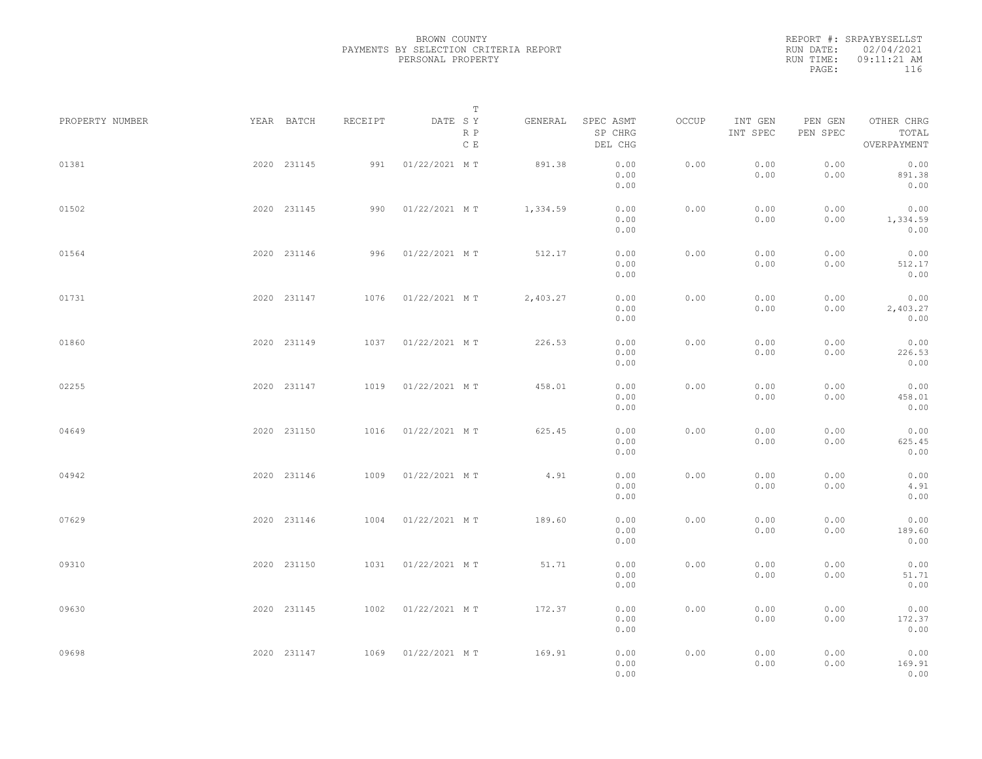|           | REPORT #: SRPAYBYSELLST |  |
|-----------|-------------------------|--|
|           | RUN DATE: 02/04/2021    |  |
| RUN TIME: | $09:11:21$ AM           |  |
| PAGE:     | 116                     |  |

|                 |             |             |         | T                     |          |                                 |       |                     |                     |                                    |  |
|-----------------|-------------|-------------|---------|-----------------------|----------|---------------------------------|-------|---------------------|---------------------|------------------------------------|--|
| PROPERTY NUMBER | YEAR BATCH  |             | RECEIPT | DATE SY<br>R P<br>C E | GENERAL  | SPEC ASMT<br>SP CHRG<br>DEL CHG | OCCUP | INT GEN<br>INT SPEC | PEN GEN<br>PEN SPEC | OTHER CHRG<br>TOTAL<br>OVERPAYMENT |  |
| 01381           |             | 2020 231145 | 991     | 01/22/2021 MT         | 891.38   | 0.00<br>0.00<br>0.00            | 0.00  | 0.00<br>0.00        | 0.00<br>0.00        | 0.00<br>891.38<br>0.00             |  |
| 01502           |             | 2020 231145 | 990     | 01/22/2021 MT         | 1,334.59 | 0.00<br>0.00<br>0.00            | 0.00  | 0.00<br>0.00        | 0.00<br>0.00        | 0.00<br>1,334.59<br>0.00           |  |
| 01564           |             | 2020 231146 | 996     | 01/22/2021 MT         | 512.17   | 0.00<br>0.00<br>0.00            | 0.00  | 0.00<br>0.00        | 0.00<br>0.00        | 0.00<br>512.17<br>0.00             |  |
| 01731           |             | 2020 231147 |         | 1076 01/22/2021 MT    | 2,403.27 | 0.00<br>0.00<br>0.00            | 0.00  | 0.00<br>0.00        | 0.00<br>0.00        | 0.00<br>2,403.27<br>0.00           |  |
| 01860           |             | 2020 231149 | 1037    | 01/22/2021 MT         | 226.53   | 0.00<br>0.00<br>0.00            | 0.00  | 0.00<br>0.00        | 0.00<br>0.00        | 0.00<br>226.53<br>0.00             |  |
| 02255           |             | 2020 231147 | 1019    | 01/22/2021 MT         | 458.01   | 0.00<br>0.00<br>0.00            | 0.00  | 0.00<br>0.00        | 0.00<br>0.00        | 0.00<br>458.01<br>0.00             |  |
| 04649           |             | 2020 231150 | 1016    | 01/22/2021 MT         | 625.45   | 0.00<br>0.00<br>0.00            | 0.00  | 0.00<br>0.00        | 0.00<br>0.00        | 0.00<br>625.45<br>0.00             |  |
| 04942           |             | 2020 231146 | 1009    | 01/22/2021 MT         | 4.91     | 0.00<br>0.00<br>0.00            | 0.00  | 0.00<br>0.00        | 0.00<br>0.00        | 0.00<br>4.91<br>0.00               |  |
| 07629           |             | 2020 231146 | 1004    | 01/22/2021 MT         | 189.60   | 0.00<br>0.00<br>0.00            | 0.00  | 0.00<br>0.00        | 0.00<br>0.00        | 0.00<br>189.60<br>0.00             |  |
| 09310           |             | 2020 231150 | 1031    | 01/22/2021 MT         | 51.71    | 0.00<br>0.00<br>0.00            | 0.00  | 0.00<br>0.00        | 0.00<br>0.00        | 0.00<br>51.71<br>0.00              |  |
| 09630           |             | 2020 231145 | 1002    | 01/22/2021 MT         | 172.37   | 0.00<br>0.00<br>0.00            | 0.00  | 0.00<br>0.00        | 0.00<br>0.00        | 0.00<br>172.37<br>0.00             |  |
| 09698           | 2020 231147 |             |         | 1069 01/22/2021 MT    | 169.91   | 0.00<br>0.00<br>0.00            | 0.00  | 0.00<br>0.00        | 0.00<br>0.00        | 0.00<br>169.91<br>0.00             |  |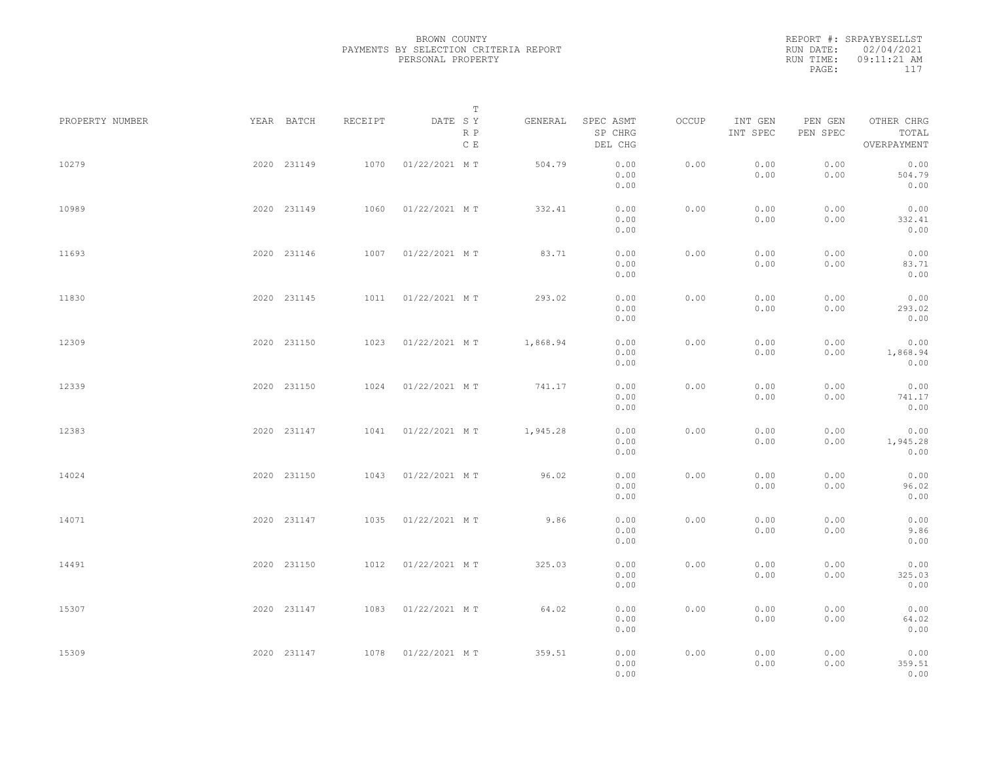REPORT #: SRPAYBYSELLST RUN DATE: 02/04/2021 RUN TIME: 09:11:21 AM PAGE: 117

|                 |             |         |               | $\mathbb T$ |          |                                 |       |                     |                     |                                    |  |
|-----------------|-------------|---------|---------------|-------------|----------|---------------------------------|-------|---------------------|---------------------|------------------------------------|--|
| PROPERTY NUMBER | YEAR BATCH  | RECEIPT | DATE SY       | R P<br>C E  | GENERAL  | SPEC ASMT<br>SP CHRG<br>DEL CHG | OCCUP | INT GEN<br>INT SPEC | PEN GEN<br>PEN SPEC | OTHER CHRG<br>TOTAL<br>OVERPAYMENT |  |
| 10279           | 2020 231149 | 1070    | 01/22/2021 MT |             | 504.79   | 0.00<br>0.00<br>0.00            | 0.00  | 0.00<br>0.00        | 0.00<br>0.00        | 0.00<br>504.79<br>0.00             |  |
| 10989           | 2020 231149 | 1060    | 01/22/2021 MT |             | 332.41   | 0.00<br>0.00<br>0.00            | 0.00  | 0.00<br>0.00        | 0.00<br>0.00        | 0.00<br>332.41<br>0.00             |  |
| 11693           | 2020 231146 | 1007    | 01/22/2021 MT |             | 83.71    | 0.00<br>0.00<br>0.00            | 0.00  | 0.00<br>0.00        | 0.00<br>0.00        | 0.00<br>83.71<br>0.00              |  |
| 11830           | 2020 231145 | 1011    | 01/22/2021 MT |             | 293.02   | 0.00<br>0.00<br>0.00            | 0.00  | 0.00<br>0.00        | 0.00<br>0.00        | 0.00<br>293.02<br>0.00             |  |
| 12309           | 2020 231150 | 1023    | 01/22/2021 MT |             | 1,868.94 | 0.00<br>0.00<br>0.00            | 0.00  | 0.00<br>0.00        | 0.00<br>0.00        | 0.00<br>1,868.94<br>0.00           |  |
| 12339           | 2020 231150 | 1024    | 01/22/2021 MT |             | 741.17   | 0.00<br>0.00<br>0.00            | 0.00  | 0.00<br>0.00        | 0.00<br>0.00        | 0.00<br>741.17<br>0.00             |  |
| 12383           | 2020 231147 | 1041    | 01/22/2021 MT |             | 1,945.28 | 0.00<br>0.00<br>0.00            | 0.00  | 0.00<br>0.00        | 0.00<br>0.00        | 0.00<br>1,945.28<br>0.00           |  |
| 14024           | 2020 231150 | 1043    | 01/22/2021 MT |             | 96.02    | 0.00<br>0.00<br>0.00            | 0.00  | 0.00<br>0.00        | 0.00<br>0.00        | 0.00<br>96.02<br>0.00              |  |
| 14071           | 2020 231147 | 1035    | 01/22/2021 MT |             | 9.86     | 0.00<br>0.00<br>0.00            | 0.00  | 0.00<br>0.00        | 0.00<br>0.00        | 0.00<br>9.86<br>0.00               |  |
| 14491           | 2020 231150 | 1012    | 01/22/2021 MT |             | 325.03   | 0.00<br>0.00<br>0.00            | 0.00  | 0.00<br>0.00        | 0.00<br>0.00        | 0.00<br>325.03<br>0.00             |  |
| 15307           | 2020 231147 | 1083    | 01/22/2021 MT |             | 64.02    | 0.00<br>0.00<br>0.00            | 0.00  | 0.00<br>0.00        | 0.00<br>0.00        | 0.00<br>64.02<br>0.00              |  |
| 15309           | 2020 231147 | 1078    | 01/22/2021 MT |             | 359.51   | 0.00<br>0.00<br>0.00            | 0.00  | 0.00<br>0.00        | 0.00<br>0.00        | 0.00<br>359.51<br>0.00             |  |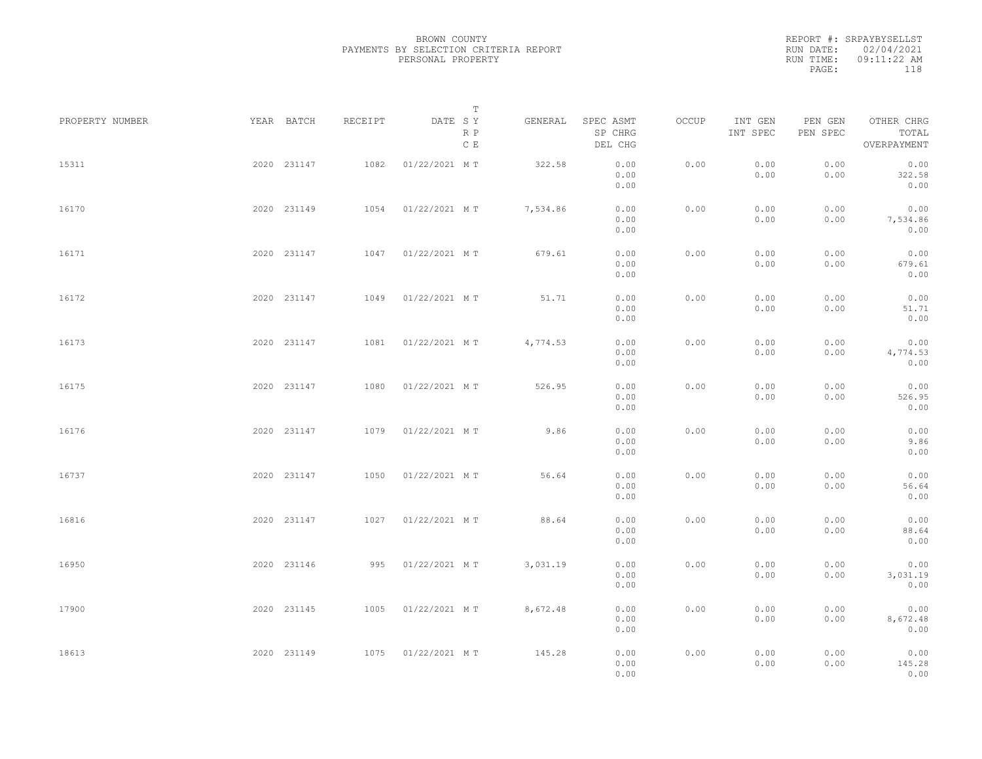REPORT #: SRPAYBYSELLST RUN DATE: 02/04/2021 RUN TIME: 09:11:22 AM PAGE: 118

|                 |             |             |         | T                     |          |                                 |       |                     |                     |                                    |  |
|-----------------|-------------|-------------|---------|-----------------------|----------|---------------------------------|-------|---------------------|---------------------|------------------------------------|--|
| PROPERTY NUMBER | YEAR BATCH  |             | RECEIPT | DATE SY<br>R P<br>C E | GENERAL  | SPEC ASMT<br>SP CHRG<br>DEL CHG | OCCUP | INT GEN<br>INT SPEC | PEN GEN<br>PEN SPEC | OTHER CHRG<br>TOTAL<br>OVERPAYMENT |  |
| 15311           |             | 2020 231147 | 1082    | 01/22/2021 MT         | 322.58   | 0.00<br>0.00<br>0.00            | 0.00  | 0.00<br>0.00        | 0.00<br>0.00        | 0.00<br>322.58<br>0.00             |  |
| 16170           |             | 2020 231149 |         | 1054 01/22/2021 MT    | 7,534.86 | 0.00<br>0.00<br>0.00            | 0.00  | 0.00<br>0.00        | 0.00<br>0.00        | 0.00<br>7,534.86<br>0.00           |  |
| 16171           |             | 2020 231147 |         | 1047 01/22/2021 MT    | 679.61   | 0.00<br>0.00<br>0.00            | 0.00  | 0.00<br>0.00        | 0.00<br>0.00        | 0.00<br>679.61<br>0.00             |  |
| 16172           |             | 2020 231147 | 1049    | 01/22/2021 MT         | 51.71    | 0.00<br>0.00<br>0.00            | 0.00  | 0.00<br>0.00        | 0.00<br>0.00        | 0.00<br>51.71<br>0.00              |  |
| 16173           |             | 2020 231147 | 1081    | 01/22/2021 MT         | 4,774.53 | 0.00<br>0.00<br>0.00            | 0.00  | 0.00<br>0.00        | 0.00<br>0.00        | 0.00<br>4,774.53<br>0.00           |  |
| 16175           |             | 2020 231147 | 1080    | 01/22/2021 MT         | 526.95   | 0.00<br>0.00<br>0.00            | 0.00  | 0.00<br>0.00        | 0.00<br>0.00        | 0.00<br>526.95<br>0.00             |  |
| 16176           |             | 2020 231147 | 1079    | 01/22/2021 MT         | 9.86     | 0.00<br>0.00<br>0.00            | 0.00  | 0.00<br>0.00        | 0.00<br>0.00        | 0.00<br>9.86<br>0.00               |  |
| 16737           |             | 2020 231147 | 1050    | 01/22/2021 MT         | 56.64    | 0.00<br>0.00<br>0.00            | 0.00  | 0.00<br>0.00        | 0.00<br>0.00        | 0.00<br>56.64<br>0.00              |  |
| 16816           |             | 2020 231147 |         | 1027 01/22/2021 MT    | 88.64    | 0.00<br>0.00                    | 0.00  | 0.00<br>0.00        | 0.00<br>0.00        | 0.00<br>88.64<br>0.00              |  |
| 16950           |             | 2020 231146 |         | 995 01/22/2021 MT     | 3,031.19 | 0.00<br>0.00<br>0.00<br>0.00    | 0.00  | 0.00<br>0.00        | 0.00<br>0.00        | 0.00<br>3,031.19<br>0.00           |  |
| 17900           |             | 2020 231145 |         | 1005 01/22/2021 MT    | 8,672.48 | 0.00<br>0.00                    | 0.00  | 0.00<br>0.00        | 0.00<br>0.00        | 0.00<br>8,672.48                   |  |
| 18613           | 2020 231149 |             |         | 1075 01/22/2021 MT    | 145.28   | 0.00<br>0.00<br>0.00<br>0.00    | 0.00  | 0.00<br>0.00        | 0.00<br>0.00        | 0.00<br>0.00<br>145.28<br>0.00     |  |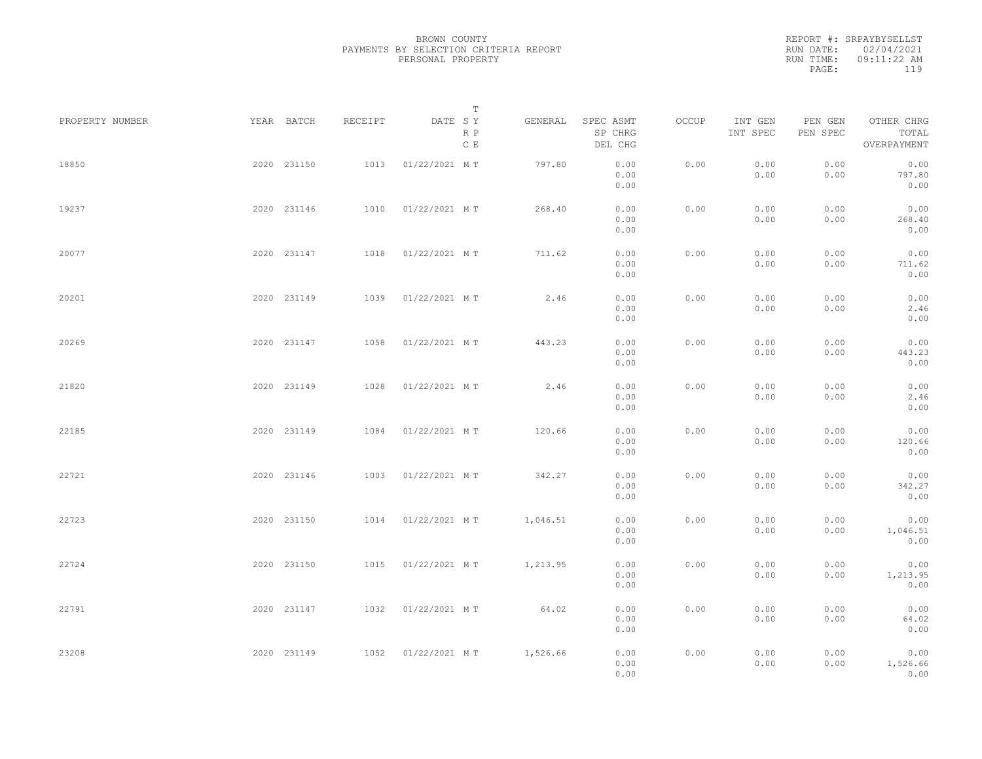REPORT #: SRPAYBYSELLST RUN DATE: 02/04/2021 RUN TIME: 09:11:22 AM PAGE: 119

|                 |             |         |               | $\mathbb T$           |                                 |       |                     |                     |                                    |  |
|-----------------|-------------|---------|---------------|-----------------------|---------------------------------|-------|---------------------|---------------------|------------------------------------|--|
| PROPERTY NUMBER | YEAR BATCH  | RECEIPT | DATE SY       | GENERAL<br>R P<br>C E | SPEC ASMT<br>SP CHRG<br>DEL CHG | OCCUP | INT GEN<br>INT SPEC | PEN GEN<br>PEN SPEC | OTHER CHRG<br>TOTAL<br>OVERPAYMENT |  |
| 18850           | 2020 231150 | 1013    | 01/22/2021 MT | 797.80                | 0.00<br>0.00<br>0.00            | 0.00  | 0.00<br>0.00        | 0.00<br>0.00        | 0.00<br>797.80<br>0.00             |  |
| 19237           | 2020 231146 | 1010    | 01/22/2021 MT | 268.40                | 0.00<br>0.00<br>0.00            | 0.00  | 0.00<br>0.00        | 0.00<br>0.00        | 0.00<br>268.40<br>0.00             |  |
| 20077           | 2020 231147 | 1018    | 01/22/2021 MT | 711.62                | 0.00<br>0.00<br>0.00            | 0.00  | 0.00<br>0.00        | 0.00<br>0.00        | 0.00<br>711.62<br>0.00             |  |
| 20201           | 2020 231149 | 1039    | 01/22/2021 MT | 2.46                  | 0.00<br>0.00<br>0.00            | 0.00  | 0.00<br>0.00        | 0.00<br>0.00        | 0.00<br>2.46<br>0.00               |  |
| 20269           | 2020 231147 | 1058    | 01/22/2021 MT | 443.23                | 0.00<br>0.00<br>0.00            | 0.00  | 0.00<br>0.00        | 0.00<br>0.00        | 0.00<br>443.23<br>0.00             |  |
| 21820           | 2020 231149 | 1028    | 01/22/2021 MT | 2.46                  | 0.00<br>0.00<br>0.00            | 0.00  | 0.00<br>0.00        | 0.00<br>0.00        | 0.00<br>2.46<br>0.00               |  |
| 22185           | 2020 231149 | 1084    | 01/22/2021 MT | 120.66                | 0.00<br>0.00<br>0.00            | 0.00  | 0.00<br>0.00        | 0.00<br>0.00        | 0.00<br>120.66<br>0.00             |  |
| 22721           | 2020 231146 | 1003    | 01/22/2021 MT | 342.27                | 0.00<br>0.00<br>0.00            | 0.00  | 0.00<br>0.00        | 0.00<br>0.00        | 0.00<br>342.27<br>0.00             |  |
| 22723           | 2020 231150 | 1014    | 01/22/2021 MT | 1,046.51              | 0.00<br>0.00                    | 0.00  | 0.00<br>0.00        | 0.00<br>0.00        | 0.00<br>1,046.51                   |  |
| 22724           | 2020 231150 | 1015    | 01/22/2021 MT | 1,213.95              | 0.00<br>0.00<br>0.00            | 0.00  | 0.00<br>0.00        | 0.00<br>0.00        | 0.00<br>0.00<br>1,213.95           |  |
| 22791           | 2020 231147 | 1032    | 01/22/2021 MT | 64.02                 | 0.00<br>0.00<br>0.00            | 0.00  | 0.00<br>0.00        | 0.00<br>0.00        | 0.00<br>0.00<br>64.02              |  |
| 23208           | 2020 231149 | 1052    | 01/22/2021 MT | 1,526.66              | 0.00<br>0.00<br>0.00<br>0.00    | 0.00  | 0.00<br>0.00        | 0.00<br>0.00        | 0.00<br>0.00<br>1,526.66<br>0.00   |  |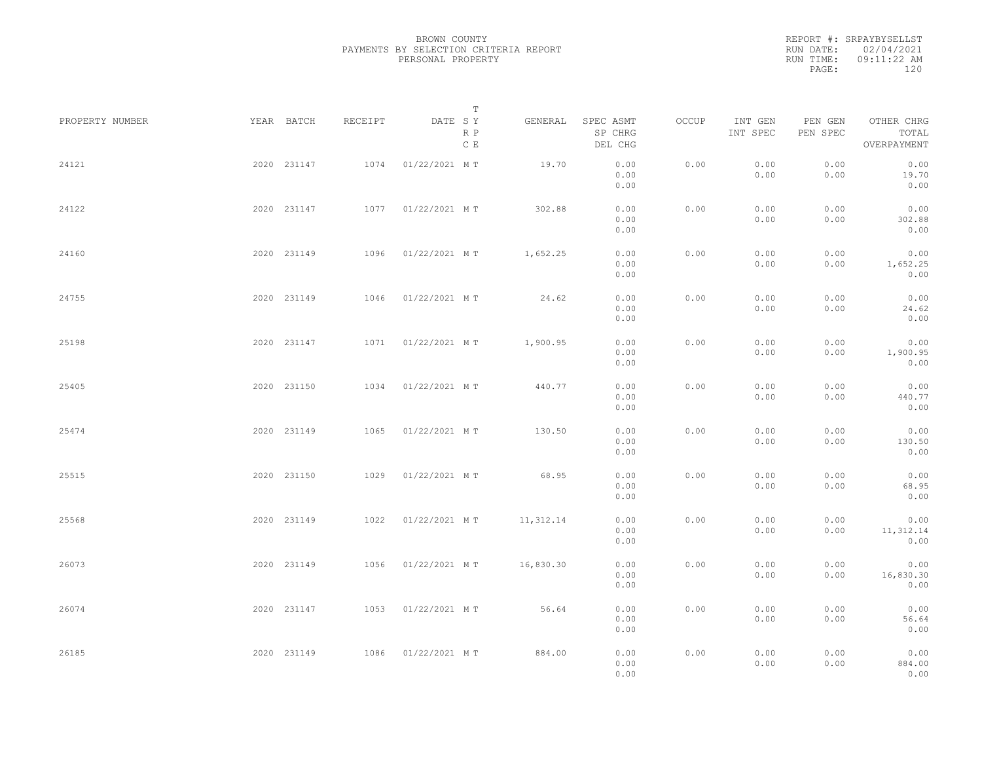REPORT #: SRPAYBYSELLST RUN DATE: 02/04/2021 RUN TIME: 09:11:22 AM PAGE: 120

|                 |             |         | $\mathbb T$           |           |                                 |       |                     |                     |                                    |  |
|-----------------|-------------|---------|-----------------------|-----------|---------------------------------|-------|---------------------|---------------------|------------------------------------|--|
| PROPERTY NUMBER | YEAR BATCH  | RECEIPT | DATE SY<br>R P<br>C E | GENERAL   | SPEC ASMT<br>SP CHRG<br>DEL CHG | OCCUP | INT GEN<br>INT SPEC | PEN GEN<br>PEN SPEC | OTHER CHRG<br>TOTAL<br>OVERPAYMENT |  |
| 24121           | 2020 231147 | 1074    | 01/22/2021 MT         | 19.70     | 0.00<br>0.00<br>0.00            | 0.00  | 0.00<br>0.00        | 0.00<br>0.00        | 0.00<br>19.70<br>0.00              |  |
| 24122           | 2020 231147 |         | 1077 01/22/2021 MT    | 302.88    | 0.00<br>0.00<br>0.00            | 0.00  | 0.00<br>0.00        | 0.00<br>0.00        | 0.00<br>302.88<br>0.00             |  |
| 24160           | 2020 231149 | 1096    | 01/22/2021 MT         | 1,652.25  | 0.00<br>0.00<br>0.00            | 0.00  | 0.00<br>0.00        | 0.00<br>0.00        | 0.00<br>1,652.25<br>0.00           |  |
| 24755           | 2020 231149 | 1046    | 01/22/2021 MT         | 24.62     | 0.00<br>0.00<br>0.00            | 0.00  | 0.00<br>0.00        | 0.00<br>0.00        | 0.00<br>24.62<br>0.00              |  |
| 25198           | 2020 231147 | 1071    | 01/22/2021 MT         | 1,900.95  | 0.00<br>0.00<br>0.00            | 0.00  | 0.00<br>0.00        | 0.00<br>0.00        | 0.00<br>1,900.95<br>0.00           |  |
| 25405           | 2020 231150 | 1034    | 01/22/2021 MT         | 440.77    | 0.00<br>0.00<br>0.00            | 0.00  | 0.00<br>0.00        | 0.00<br>0.00        | 0.00<br>440.77<br>0.00             |  |
| 25474           | 2020 231149 | 1065    | 01/22/2021 MT         | 130.50    | 0.00<br>0.00<br>0.00            | 0.00  | 0.00<br>0.00        | 0.00<br>0.00        | 0.00<br>130.50<br>0.00             |  |
| 25515           | 2020 231150 | 1029    | 01/22/2021 MT         | 68.95     | 0.00<br>0.00<br>0.00            | 0.00  | 0.00<br>0.00        | 0.00<br>0.00        | 0.00<br>68.95<br>0.00              |  |
| 25568           | 2020 231149 | 1022    | 01/22/2021 MT         | 11,312.14 | 0.00<br>0.00<br>0.00            | 0.00  | 0.00<br>0.00        | 0.00<br>0.00        | 0.00<br>11,312.14<br>0.00          |  |
| 26073           | 2020 231149 |         | 1056 01/22/2021 MT    | 16,830.30 | 0.00<br>0.00<br>0.00            | 0.00  | 0.00<br>0.00        | 0.00<br>0.00        | 0.00<br>16,830.30<br>0.00          |  |
| 26074           | 2020 231147 |         | 1053 01/22/2021 MT    | 56.64     | 0.00<br>0.00                    | 0.00  | 0.00<br>0.00        | 0.00<br>0.00        | 0.00<br>56.64                      |  |
| 26185           | 2020 231149 |         | 1086 01/22/2021 MT    | 884.00    | 0.00<br>0.00<br>0.00<br>0.00    | 0.00  | 0.00<br>0.00        | 0.00<br>0.00        | 0.00<br>0.00<br>884.00<br>0.00     |  |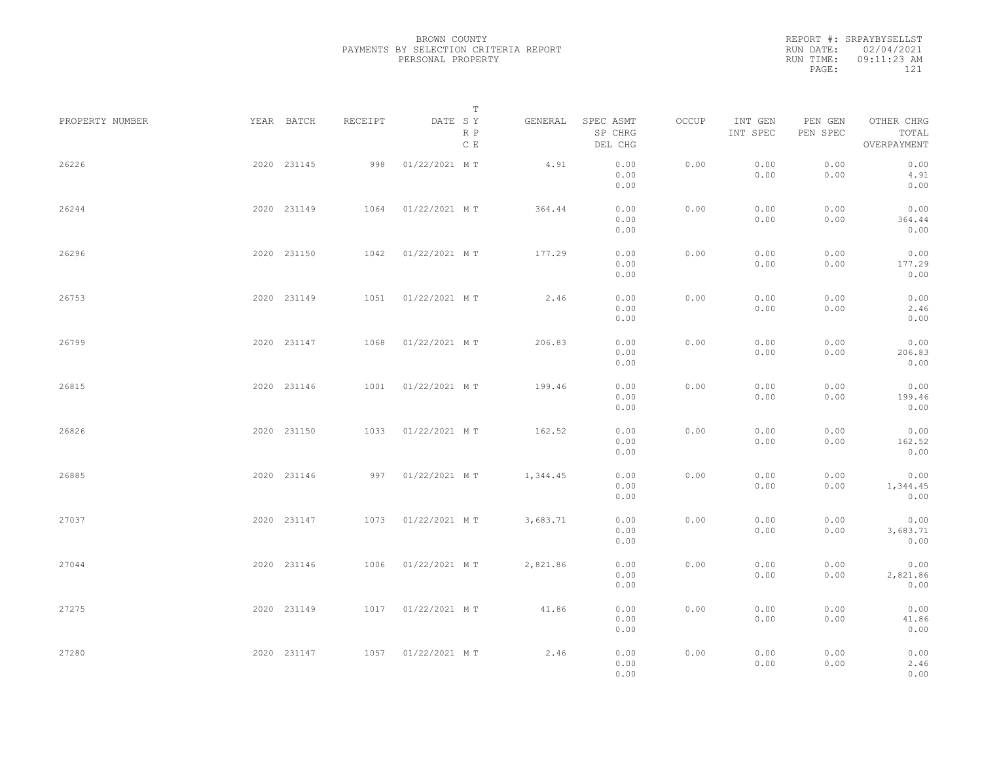|           | REPORT #: SRPAYBYSELLST |  |
|-----------|-------------------------|--|
|           | RUN DATE: 02/04/2021    |  |
| RUN TIME: | $09:11:23$ AM           |  |
| PAGE:     | 121                     |  |
|           |                         |  |

|                 |             |         |               | $\mathbb T$ |          |                                 |       |                     |                     |                                    |  |
|-----------------|-------------|---------|---------------|-------------|----------|---------------------------------|-------|---------------------|---------------------|------------------------------------|--|
| PROPERTY NUMBER | YEAR BATCH  | RECEIPT | DATE SY       | R P<br>C E  | GENERAL  | SPEC ASMT<br>SP CHRG<br>DEL CHG | OCCUP | INT GEN<br>INT SPEC | PEN GEN<br>PEN SPEC | OTHER CHRG<br>TOTAL<br>OVERPAYMENT |  |
| 26226           | 2020 231145 | 998     | 01/22/2021 MT |             | 4.91     | 0.00<br>0.00<br>0.00            | 0.00  | 0.00<br>0.00        | 0.00<br>0.00        | 0.00<br>4.91<br>0.00               |  |
| 26244           | 2020 231149 | 1064    | 01/22/2021 MT |             | 364.44   | 0.00<br>0.00<br>0.00            | 0.00  | 0.00<br>0.00        | 0.00<br>0.00        | 0.00<br>364.44<br>0.00             |  |
| 26296           | 2020 231150 | 1042    | 01/22/2021 MT |             | 177.29   | 0.00<br>0.00<br>0.00            | 0.00  | 0.00<br>0.00        | 0.00<br>0.00        | 0.00<br>177.29<br>0.00             |  |
| 26753           | 2020 231149 | 1051    | 01/22/2021 MT |             | 2.46     | 0.00<br>0.00<br>0.00            | 0.00  | 0.00<br>0.00        | 0.00<br>0.00        | 0.00<br>2.46<br>0.00               |  |
| 26799           | 2020 231147 | 1068    | 01/22/2021 MT |             | 206.83   | 0.00<br>0.00<br>0.00            | 0.00  | 0.00<br>0.00        | 0.00<br>0.00        | 0.00<br>206.83<br>0.00             |  |
| 26815           | 2020 231146 | 1001    | 01/22/2021 MT |             | 199.46   | 0.00<br>0.00<br>0.00            | 0.00  | 0.00<br>0.00        | 0.00<br>0.00        | 0.00<br>199.46<br>0.00             |  |
| 26826           | 2020 231150 | 1033    | 01/22/2021 MT |             | 162.52   | 0.00<br>0.00<br>0.00            | 0.00  | 0.00<br>0.00        | 0.00<br>0.00        | 0.00<br>162.52<br>0.00             |  |
| 26885           | 2020 231146 | 997     | 01/22/2021 MT |             | 1,344.45 | 0.00<br>0.00<br>0.00            | 0.00  | 0.00<br>0.00        | 0.00<br>0.00        | 0.00<br>1,344.45<br>0.00           |  |
| 27037           | 2020 231147 | 1073    | 01/22/2021 MT |             | 3,683.71 | 0.00<br>0.00<br>0.00            | 0.00  | 0.00<br>0.00        | 0.00<br>0.00        | 0.00<br>3,683.71<br>0.00           |  |
| 27044           | 2020 231146 | 1006    | 01/22/2021 MT |             | 2,821.86 | 0.00<br>0.00<br>0.00            | 0.00  | 0.00<br>0.00        | 0.00<br>0.00        | 0.00<br>2,821.86<br>0.00           |  |
| 27275           | 2020 231149 | 1017    | 01/22/2021 MT |             | 41.86    | 0.00<br>0.00                    | 0.00  | 0.00<br>0.00        | 0.00<br>0.00        | 0.00<br>41.86                      |  |
| 27280           | 2020 231147 | 1057    | 01/22/2021 MT |             | 2.46     | 0.00<br>0.00<br>0.00<br>0.00    | 0.00  | 0.00<br>0.00        | 0.00<br>0.00        | 0.00<br>0.00<br>2.46<br>0.00       |  |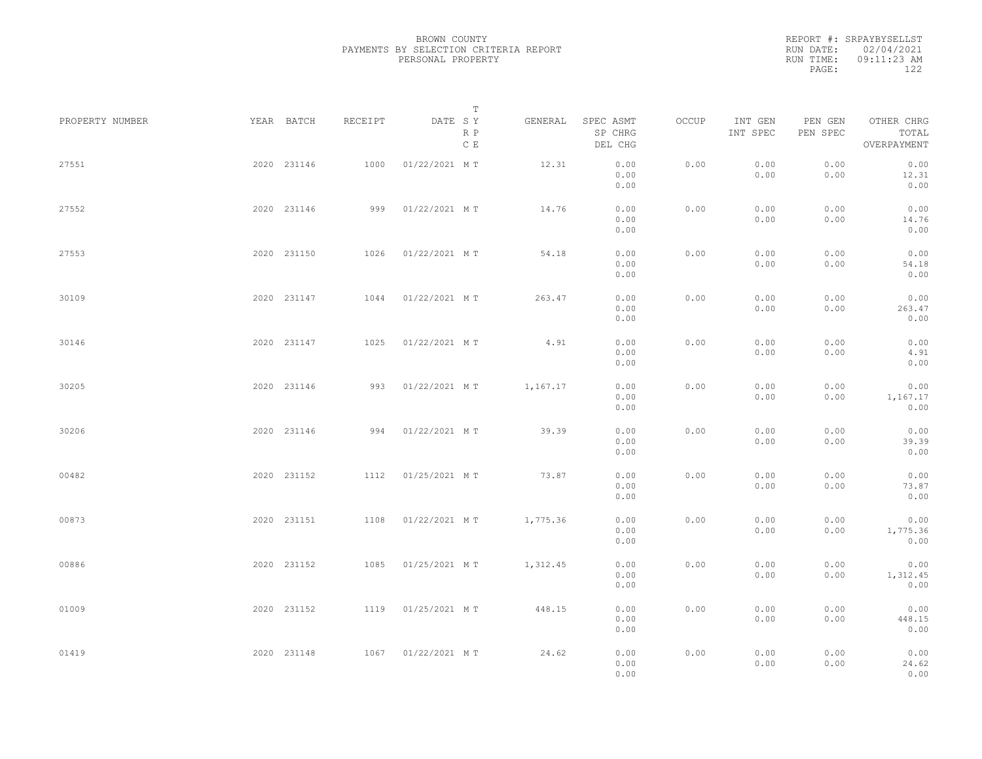REPORT #: SRPAYBYSELLST RUN DATE: 02/04/2021 RUN TIME: 09:11:23 AM PAGE: 122

|                 |             |             |         |               | $\mathbb T$ |          |                                 |       |                     |                     |                                    |  |
|-----------------|-------------|-------------|---------|---------------|-------------|----------|---------------------------------|-------|---------------------|---------------------|------------------------------------|--|
| PROPERTY NUMBER |             | YEAR BATCH  | RECEIPT | DATE SY       | R P<br>C E  | GENERAL  | SPEC ASMT<br>SP CHRG<br>DEL CHG | OCCUP | INT GEN<br>INT SPEC | PEN GEN<br>PEN SPEC | OTHER CHRG<br>TOTAL<br>OVERPAYMENT |  |
| 27551           |             | 2020 231146 | 1000    | 01/22/2021 MT |             | 12.31    | 0.00<br>0.00<br>0.00            | 0.00  | 0.00<br>0.00        | 0.00<br>0.00        | 0.00<br>12.31<br>0.00              |  |
| 27552           |             | 2020 231146 | 999     | 01/22/2021 MT |             | 14.76    | 0.00<br>0.00<br>0.00            | 0.00  | 0.00<br>0.00        | 0.00<br>0.00        | 0.00<br>14.76<br>0.00              |  |
| 27553           |             | 2020 231150 | 1026    | 01/22/2021 MT |             | 54.18    | 0.00<br>0.00<br>0.00            | 0.00  | 0.00<br>0.00        | 0.00<br>0.00        | 0.00<br>54.18<br>0.00              |  |
| 30109           |             | 2020 231147 | 1044    | 01/22/2021 MT |             | 263.47   | 0.00<br>0.00<br>0.00            | 0.00  | 0.00<br>0.00        | 0.00<br>0.00        | 0.00<br>263.47<br>0.00             |  |
| 30146           |             | 2020 231147 | 1025    | 01/22/2021 MT |             | 4.91     | 0.00<br>0.00<br>0.00            | 0.00  | 0.00<br>0.00        | 0.00<br>0.00        | 0.00<br>4.91<br>0.00               |  |
| 30205           |             | 2020 231146 | 993     | 01/22/2021 MT |             | 1,167.17 | 0.00<br>0.00<br>0.00            | 0.00  | 0.00<br>0.00        | 0.00<br>0.00        | 0.00<br>1,167.17<br>0.00           |  |
| 30206           |             | 2020 231146 | 994     | 01/22/2021 MT |             | 39.39    | 0.00<br>0.00<br>0.00            | 0.00  | 0.00<br>0.00        | 0.00<br>0.00        | 0.00<br>39.39<br>0.00              |  |
| 00482           |             | 2020 231152 | 1112    | 01/25/2021 MT |             | 73.87    | 0.00<br>0.00<br>0.00            | 0.00  | 0.00<br>0.00        | 0.00<br>0.00        | 0.00<br>73.87<br>0.00              |  |
| 00873           |             | 2020 231151 | 1108    | 01/22/2021 MT |             | 1,775.36 | 0.00<br>0.00<br>0.00            | 0.00  | 0.00<br>0.00        | 0.00<br>0.00        | 0.00<br>1,775.36<br>0.00           |  |
| 00886           |             | 2020 231152 | 1085    | 01/25/2021 MT |             | 1,312.45 | 0.00<br>0.00<br>0.00            | 0.00  | 0.00<br>0.00        | 0.00<br>0.00        | 0.00<br>1,312.45<br>0.00           |  |
| 01009           |             | 2020 231152 | 1119    | 01/25/2021 MT |             | 448.15   | 0.00<br>0.00<br>0.00            | 0.00  | 0.00<br>0.00        | 0.00<br>0.00        | 0.00<br>448.15<br>0.00             |  |
| 01419           | 2020 231148 |             | 1067    | 01/22/2021 MT |             | 24.62    | 0.00<br>0.00<br>0.00            | 0.00  | 0.00<br>0.00        | 0.00<br>0.00        | 0.00<br>24.62<br>0.00              |  |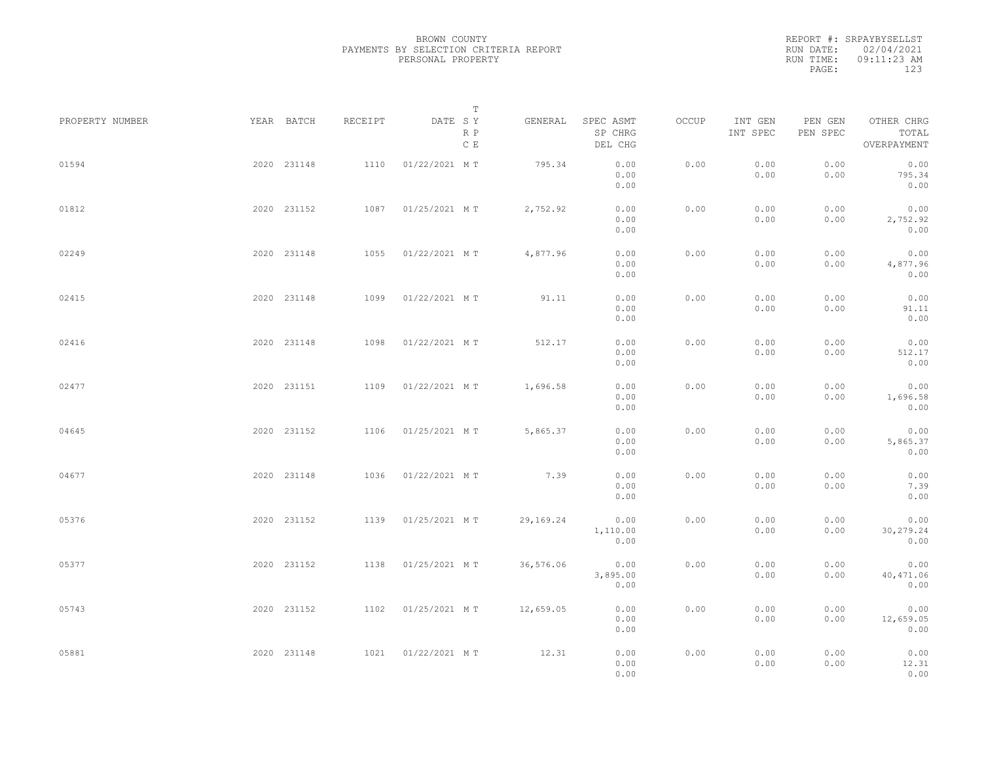REPORT #: SRPAYBYSELLST RUN DATE: 02/04/2021 RUN TIME: 09:11:23 AM PAGE: 123

|                 |             |         |                    | $\mathbb T$ |           |                                 |       |                     |                     |                                    |  |
|-----------------|-------------|---------|--------------------|-------------|-----------|---------------------------------|-------|---------------------|---------------------|------------------------------------|--|
| PROPERTY NUMBER | YEAR BATCH  | RECEIPT | DATE SY            | R P<br>C E  | GENERAL   | SPEC ASMT<br>SP CHRG<br>DEL CHG | OCCUP | INT GEN<br>INT SPEC | PEN GEN<br>PEN SPEC | OTHER CHRG<br>TOTAL<br>OVERPAYMENT |  |
| 01594           | 2020 231148 | 1110    | 01/22/2021 MT      |             | 795.34    | 0.00<br>0.00<br>0.00            | 0.00  | 0.00<br>0.00        | 0.00<br>0.00        | 0.00<br>795.34<br>0.00             |  |
| 01812           | 2020 231152 | 1087    | 01/25/2021 MT      |             | 2,752.92  | 0.00<br>0.00<br>0.00            | 0.00  | 0.00<br>0.00        | 0.00<br>0.00        | 0.00<br>2,752.92<br>0.00           |  |
| 02249           | 2020 231148 | 1055    | 01/22/2021 MT      |             | 4,877.96  | 0.00<br>0.00<br>0.00            | 0.00  | 0.00<br>0.00        | 0.00<br>0.00        | 0.00<br>4,877.96<br>0.00           |  |
| 02415           | 2020 231148 | 1099    | 01/22/2021 MT      |             | 91.11     | 0.00<br>0.00<br>0.00            | 0.00  | 0.00<br>0.00        | 0.00<br>0.00        | 0.00<br>91.11<br>0.00              |  |
| 02416           | 2020 231148 | 1098    | 01/22/2021 MT      |             | 512.17    | 0.00<br>0.00<br>0.00            | 0.00  | 0.00<br>0.00        | 0.00<br>0.00        | 0.00<br>512.17<br>0.00             |  |
| 02477           | 2020 231151 | 1109    | 01/22/2021 MT      |             | 1,696.58  | 0.00<br>0.00<br>0.00            | 0.00  | 0.00<br>0.00        | 0.00<br>0.00        | 0.00<br>1,696.58<br>0.00           |  |
| 04645           | 2020 231152 | 1106    | 01/25/2021 MT      |             | 5,865.37  | 0.00<br>0.00<br>0.00            | 0.00  | 0.00<br>0.00        | 0.00<br>0.00        | 0.00<br>5,865.37<br>0.00           |  |
| 04677           | 2020 231148 | 1036    | 01/22/2021 MT      |             | 7.39      | 0.00<br>0.00<br>0.00            | 0.00  | 0.00<br>0.00        | 0.00<br>0.00        | 0.00<br>7.39<br>0.00               |  |
| 05376           | 2020 231152 | 1139    | 01/25/2021 MT      |             | 29,169.24 | 0.00<br>1,110.00<br>0.00        | 0.00  | 0.00<br>0.00        | 0.00<br>0.00        | 0.00<br>30,279.24<br>0.00          |  |
| 05377           | 2020 231152 | 1138    | 01/25/2021 MT      |             | 36,576.06 | 0.00<br>3,895.00<br>0.00        | 0.00  | 0.00<br>0.00        | 0.00<br>0.00        | 0.00<br>40,471.06<br>0.00          |  |
| 05743           | 2020 231152 | 1102    | 01/25/2021 MT      |             | 12,659.05 | 0.00<br>0.00<br>0.00            | 0.00  | 0.00<br>0.00        | 0.00<br>0.00        | 0.00<br>12,659.05<br>0.00          |  |
| 05881           | 2020 231148 |         | 1021 01/22/2021 MT |             | 12.31     | 0.00<br>0.00<br>0.00            | 0.00  | 0.00<br>0.00        | 0.00<br>0.00        | 0.00<br>12.31<br>0.00              |  |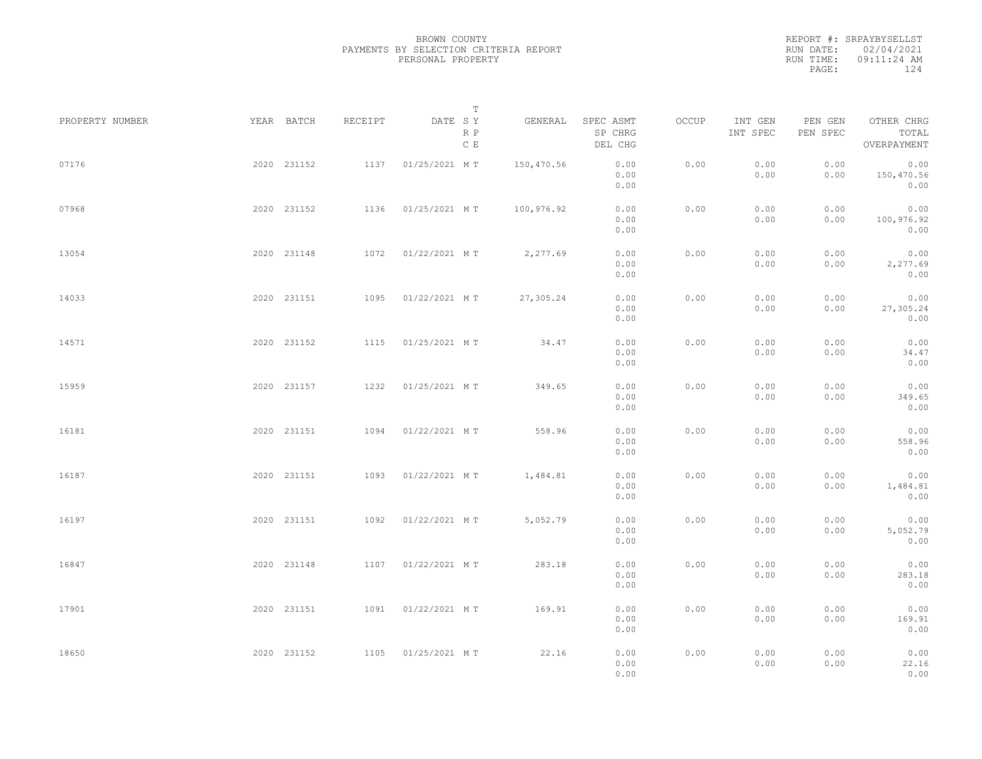REPORT #: SRPAYBYSELLST RUN DATE: 02/04/2021 RUN TIME: 09:11:24 AM PAGE: 124

|                 |             |             |         | $\mathbb T$           |            |                                 |       |                     |                     |                                    |  |
|-----------------|-------------|-------------|---------|-----------------------|------------|---------------------------------|-------|---------------------|---------------------|------------------------------------|--|
| PROPERTY NUMBER | YEAR BATCH  |             | RECEIPT | DATE SY<br>R P<br>C E | GENERAL    | SPEC ASMT<br>SP CHRG<br>DEL CHG | OCCUP | INT GEN<br>INT SPEC | PEN GEN<br>PEN SPEC | OTHER CHRG<br>TOTAL<br>OVERPAYMENT |  |
| 07176           |             | 2020 231152 | 1137    | 01/25/2021 MT         | 150,470.56 | 0.00<br>0.00<br>0.00            | 0.00  | 0.00<br>0.00        | 0.00<br>0.00        | 0.00<br>150,470.56<br>0.00         |  |
| 07968           |             | 2020 231152 |         | 1136 01/25/2021 MT    | 100,976.92 | 0.00<br>0.00<br>0.00            | 0.00  | 0.00<br>0.00        | 0.00<br>0.00        | 0.00<br>100,976.92<br>0.00         |  |
| 13054           |             | 2020 231148 |         | 1072  01/22/2021 MT   | 2,277.69   | 0.00<br>0.00<br>0.00            | 0.00  | 0.00<br>0.00        | 0.00<br>0.00        | 0.00<br>2,277.69<br>0.00           |  |
| 14033           |             | 2020 231151 | 1095    | 01/22/2021 MT         | 27,305.24  | 0.00<br>0.00<br>0.00            | 0.00  | 0.00<br>0.00        | 0.00<br>0.00        | 0.00<br>27,305.24<br>0.00          |  |
| 14571           |             | 2020 231152 | 1115    | 01/25/2021 MT         | 34.47      | 0.00<br>0.00<br>0.00            | 0.00  | 0.00<br>0.00        | 0.00<br>0.00        | 0.00<br>34.47<br>0.00              |  |
| 15959           |             | 2020 231157 | 1232    | 01/25/2021 MT         | 349.65     | 0.00<br>0.00<br>0.00            | 0.00  | 0.00<br>0.00        | 0.00<br>0.00        | 0.00<br>349.65<br>0.00             |  |
| 16181           |             | 2020 231151 | 1094    | 01/22/2021 MT         | 558.96     | 0.00<br>0.00<br>0.00            | 0.00  | 0.00<br>0.00        | 0.00<br>0.00        | 0.00<br>558.96<br>0.00             |  |
| 16187           |             | 2020 231151 | 1093    | 01/22/2021 MT         | 1,484.81   | 0.00<br>0.00<br>0.00            | 0.00  | 0.00<br>0.00        | 0.00<br>0.00        | 0.00<br>1,484.81<br>0.00           |  |
| 16197           |             | 2020 231151 | 1092    | 01/22/2021 MT         | 5,052.79   | 0.00<br>0.00<br>0.00            | 0.00  | 0.00<br>0.00        | 0.00<br>0.00        | 0.00<br>5,052.79<br>0.00           |  |
| 16847           |             | 2020 231148 |         | 1107 01/22/2021 MT    | 283.18     | 0.00<br>0.00<br>0.00            | 0.00  | 0.00<br>0.00        | 0.00<br>0.00        | 0.00<br>283.18<br>0.00             |  |
| 17901           | 2020 231151 |             | 1091    | 01/22/2021 MT         | 169.91     | 0.00<br>0.00<br>0.00            | 0.00  | 0.00<br>0.00        | 0.00<br>0.00        | 0.00<br>169.91<br>0.00             |  |
| 18650           | 2020 231152 |             |         | 1105 01/25/2021 MT    | 22.16      | 0.00<br>0.00<br>0.00            | 0.00  | 0.00<br>0.00        | 0.00<br>0.00        | 0.00<br>22.16<br>0.00              |  |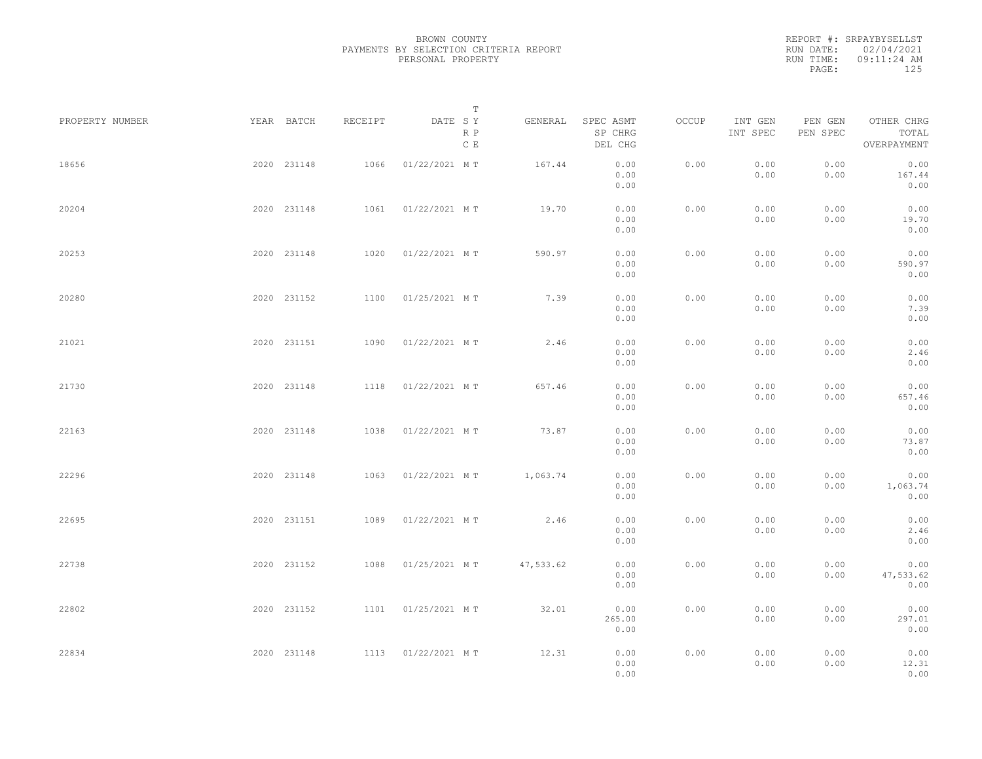REPORT #: SRPAYBYSELLST RUN DATE: 02/04/2021 RUN TIME: 09:11:24 AM PAGE: 125

|                 |             |         |               | $\mathbb T$ |           |                                 |       |                     |                     |                                    |  |
|-----------------|-------------|---------|---------------|-------------|-----------|---------------------------------|-------|---------------------|---------------------|------------------------------------|--|
| PROPERTY NUMBER | YEAR BATCH  | RECEIPT | DATE SY       | R P<br>C E  | GENERAL   | SPEC ASMT<br>SP CHRG<br>DEL CHG | OCCUP | INT GEN<br>INT SPEC | PEN GEN<br>PEN SPEC | OTHER CHRG<br>TOTAL<br>OVERPAYMENT |  |
| 18656           | 2020 231148 | 1066    | 01/22/2021 MT |             | 167.44    | 0.00<br>0.00<br>0.00            | 0.00  | 0.00<br>0.00        | 0.00<br>0.00        | 0.00<br>167.44<br>0.00             |  |
| 20204           | 2020 231148 | 1061    | 01/22/2021 MT |             | 19.70     | 0.00<br>0.00<br>0.00            | 0.00  | 0.00<br>0.00        | 0.00<br>0.00        | 0.00<br>19.70<br>0.00              |  |
| 20253           | 2020 231148 | 1020    | 01/22/2021 MT |             | 590.97    | 0.00<br>0.00<br>0.00            | 0.00  | 0.00<br>0.00        | 0.00<br>0.00        | 0.00<br>590.97<br>0.00             |  |
| 20280           | 2020 231152 | 1100    | 01/25/2021 MT |             | 7.39      | 0.00<br>0.00<br>0.00            | 0.00  | 0.00<br>0.00        | 0.00<br>0.00        | 0.00<br>7.39<br>0.00               |  |
| 21021           | 2020 231151 | 1090    | 01/22/2021 MT |             | 2.46      | 0.00<br>0.00<br>0.00            | 0.00  | 0.00<br>0.00        | 0.00<br>0.00        | 0.00<br>2.46<br>0.00               |  |
| 21730           | 2020 231148 | 1118    | 01/22/2021 MT |             | 657.46    | 0.00<br>0.00<br>0.00            | 0.00  | 0.00<br>0.00        | 0.00<br>0.00        | 0.00<br>657.46<br>0.00             |  |
| 22163           | 2020 231148 | 1038    | 01/22/2021 MT |             | 73.87     | 0.00<br>0.00<br>0.00            | 0.00  | 0.00<br>0.00        | 0.00<br>0.00        | 0.00<br>73.87<br>0.00              |  |
| 22296           | 2020 231148 | 1063    | 01/22/2021 MT |             | 1,063.74  | 0.00<br>0.00<br>0.00            | 0.00  | 0.00<br>0.00        | 0.00<br>0.00        | 0.00<br>1,063.74<br>0.00           |  |
| 22695           | 2020 231151 | 1089    | 01/22/2021 MT |             | 2.46      | 0.00<br>0.00                    | 0.00  | 0.00<br>0.00        | 0.00<br>0.00        | 0.00<br>2.46                       |  |
| 22738           | 2020 231152 | 1088    | 01/25/2021 MT |             | 47,533.62 | 0.00<br>0.00<br>0.00            | 0.00  | 0.00<br>0.00        | 0.00<br>0.00        | 0.00<br>0.00<br>47,533.62          |  |
| 22802           | 2020 231152 | 1101    | 01/25/2021 MT |             | 32.01     | 0.00<br>0.00<br>265.00          | 0.00  | 0.00<br>0.00        | 0.00<br>0.00        | 0.00<br>0.00<br>297.01             |  |
| 22834           | 2020 231148 | 1113    | 01/22/2021 MT |             | 12.31     | 0.00<br>0.00<br>0.00<br>0.00    | 0.00  | 0.00<br>0.00        | 0.00<br>0.00        | 0.00<br>0.00<br>12.31<br>0.00      |  |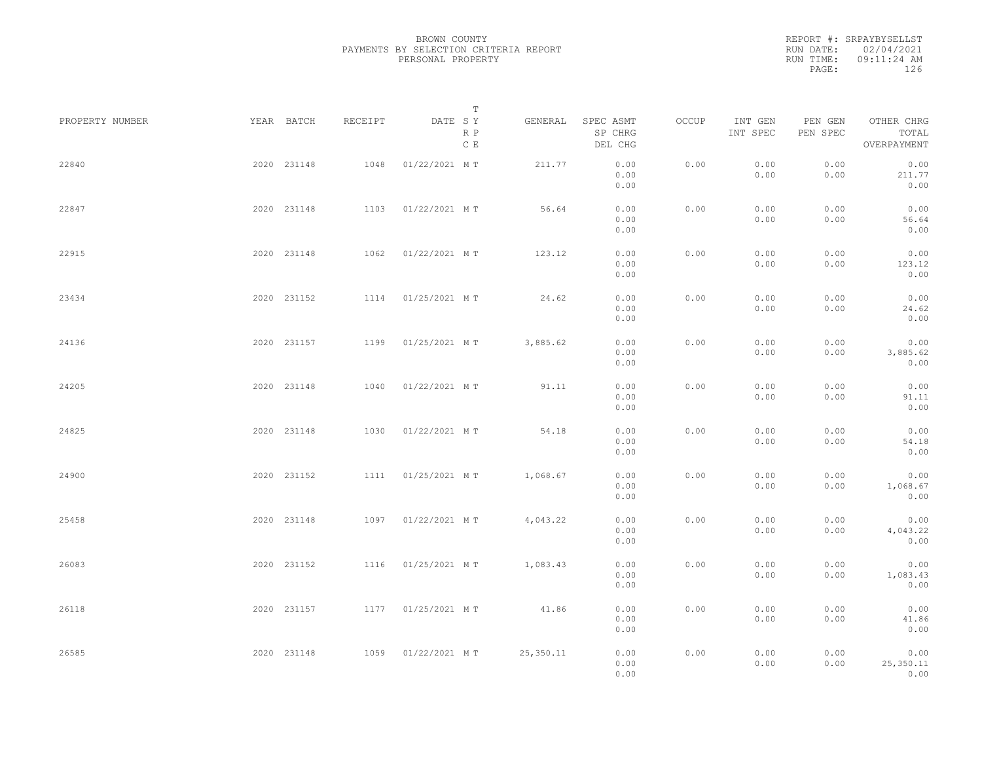REPORT #: SRPAYBYSELLST RUN DATE: 02/04/2021 RUN TIME: 09:11:24 AM PAGE: 126

|         | T                                                                                                                                                                                              |                                                                                                                                     |                                 |                                      |                     |                     |                                    |                                      |
|---------|------------------------------------------------------------------------------------------------------------------------------------------------------------------------------------------------|-------------------------------------------------------------------------------------------------------------------------------------|---------------------------------|--------------------------------------|---------------------|---------------------|------------------------------------|--------------------------------------|
| RECEIPT | DATE SY<br>R P<br>C E                                                                                                                                                                          | GENERAL                                                                                                                             | SPEC ASMT<br>SP CHRG<br>DEL CHG | OCCUP                                | INT GEN<br>INT SPEC | PEN GEN<br>PEN SPEC | OTHER CHRG<br>TOTAL<br>OVERPAYMENT |                                      |
| 1048    | 01/22/2021 MT                                                                                                                                                                                  | 211.77                                                                                                                              | 0.00<br>0.00<br>0.00            | 0.00                                 | 0.00<br>0.00        | 0.00<br>0.00        | 0.00<br>211.77<br>0.00             |                                      |
|         |                                                                                                                                                                                                | 56.64                                                                                                                               | 0.00<br>0.00<br>0.00            | 0.00                                 | 0.00<br>0.00        | 0.00<br>0.00        | 0.00<br>56.64<br>0.00              |                                      |
| 1062    | 01/22/2021 MT                                                                                                                                                                                  | 123.12                                                                                                                              | 0.00<br>0.00<br>0.00            | 0.00                                 | 0.00<br>0.00        | 0.00<br>0.00        | 0.00<br>123.12<br>0.00             |                                      |
| 1114    | 01/25/2021 MT                                                                                                                                                                                  | 24.62                                                                                                                               | 0.00<br>0.00<br>0.00            | 0.00                                 | 0.00<br>0.00        | 0.00<br>0.00        | 0.00<br>24.62<br>0.00              |                                      |
| 1199    | 01/25/2021 MT                                                                                                                                                                                  | 3,885.62                                                                                                                            | 0.00<br>0.00<br>0.00            | 0.00                                 | 0.00<br>0.00        | 0.00<br>0.00        | 0.00<br>3,885.62<br>0.00           |                                      |
| 1040    | 01/22/2021 MT                                                                                                                                                                                  | 91.11                                                                                                                               | 0.00<br>0.00<br>0.00            | 0.00                                 | 0.00<br>0.00        | 0.00<br>0.00        | 0.00<br>91.11<br>0.00              |                                      |
| 1030    | 01/22/2021 MT                                                                                                                                                                                  | 54.18                                                                                                                               | 0.00<br>0.00                    | 0.00                                 | 0.00<br>0.00        | 0.00<br>0.00        | 0.00<br>54.18                      |                                      |
|         |                                                                                                                                                                                                | 1,068.67                                                                                                                            | 0.00<br>0.00                    | 0.00                                 | 0.00<br>0.00        | 0.00<br>0.00        | 0.00<br>1,068.67                   |                                      |
|         |                                                                                                                                                                                                | 4,043.22                                                                                                                            | 0.00<br>0.00                    | 0.00                                 | 0.00<br>0.00        | 0.00<br>0.00        | 0.00<br>4,043.22                   |                                      |
|         |                                                                                                                                                                                                | 1,083.43                                                                                                                            | 0.00<br>0.00                    | 0.00                                 | 0.00<br>0.00        | 0.00<br>0.00        | 0.00<br>1,083.43                   |                                      |
|         |                                                                                                                                                                                                | 41.86                                                                                                                               | 0.00<br>0.00                    | 0.00                                 | 0.00<br>0.00        | 0.00<br>0.00        | 0.00<br>41.86                      |                                      |
|         |                                                                                                                                                                                                | 25,350.11                                                                                                                           | 0.00<br>0.00<br>0.00            | 0.00                                 | 0.00<br>0.00        | 0.00<br>0.00        | 0.00<br>25,350.11<br>0.00          |                                      |
|         | YEAR BATCH<br>2020 231148<br>2020 231148<br>2020 231148<br>2020 231152<br>2020 231157<br>2020 231148<br>2020 231148<br>2020 231152<br>2020 231148<br>2020 231152<br>2020 231157<br>2020 231148 | 1103 01/22/2021 MT<br>1111  01/25/2021 MT<br>1097 01/22/2021 MT<br>1116  01/25/2021 MT<br>1177  01/25/2021 MT<br>1059 01/22/2021 MT |                                 | 0.00<br>0.00<br>0.00<br>0.00<br>0.00 |                     |                     |                                    | 0.00<br>0.00<br>0.00<br>0.00<br>0.00 |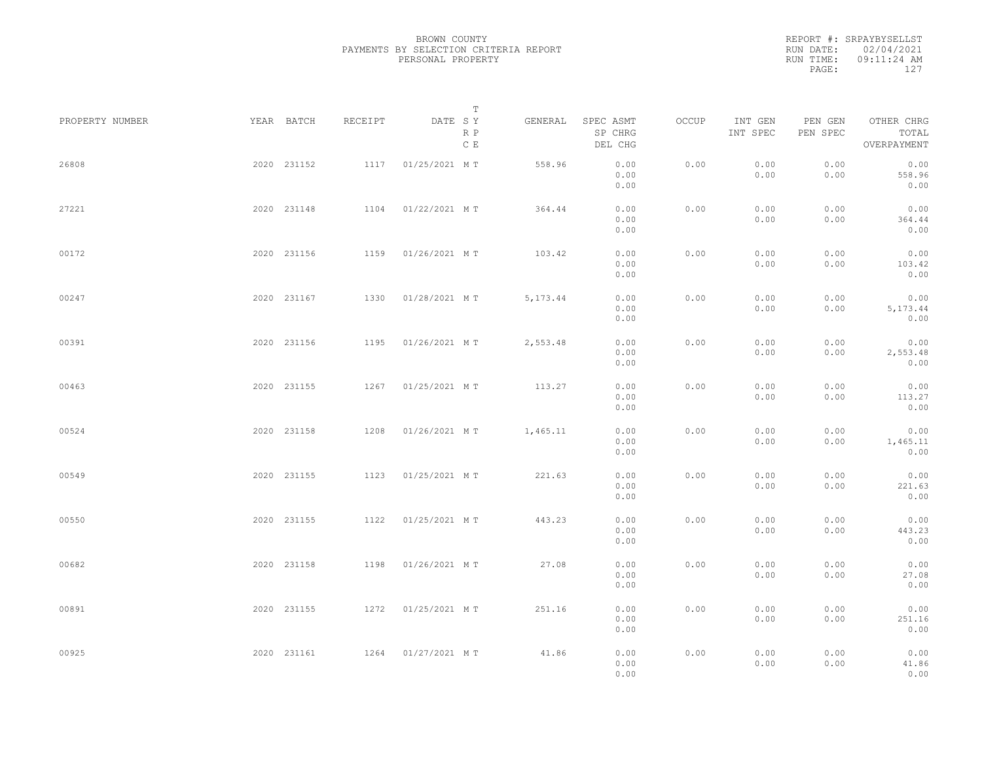REPORT #: SRPAYBYSELLST RUN DATE: 02/04/2021 RUN TIME: 09:11:24 AM PAGE: 127

|                 |             |         | T                               |           |                                 |       |                     |                     |                                    |  |
|-----------------|-------------|---------|---------------------------------|-----------|---------------------------------|-------|---------------------|---------------------|------------------------------------|--|
| PROPERTY NUMBER | YEAR BATCH  | RECEIPT | DATE SY<br>R P<br>$\,$ C $\,$ E | GENERAL   | SPEC ASMT<br>SP CHRG<br>DEL CHG | OCCUP | INT GEN<br>INT SPEC | PEN GEN<br>PEN SPEC | OTHER CHRG<br>TOTAL<br>OVERPAYMENT |  |
| 26808           | 2020 231152 | 1117    | 01/25/2021 MT                   | 558.96    | 0.00<br>0.00<br>0.00            | 0.00  | 0.00<br>0.00        | 0.00<br>0.00        | 0.00<br>558.96<br>0.00             |  |
| 27221           | 2020 231148 |         | 1104 01/22/2021 MT              | 364.44    | 0.00<br>0.00<br>0.00            | 0.00  | 0.00<br>0.00        | 0.00<br>0.00        | 0.00<br>364.44<br>0.00             |  |
| 00172           | 2020 231156 |         | 1159 01/26/2021 MT              | 103.42    | 0.00<br>0.00<br>0.00            | 0.00  | 0.00<br>0.00        | 0.00<br>0.00        | 0.00<br>103.42<br>0.00             |  |
| 00247           | 2020 231167 |         | 1330 01/28/2021 MT              | 5, 173.44 | 0.00<br>0.00<br>0.00            | 0.00  | 0.00<br>0.00        | 0.00<br>0.00        | 0.00<br>5, 173.44<br>0.00          |  |
| 00391           | 2020 231156 | 1195    | 01/26/2021 MT                   | 2,553.48  | 0.00<br>0.00<br>0.00            | 0.00  | 0.00<br>0.00        | 0.00<br>0.00        | 0.00<br>2,553.48<br>0.00           |  |
| 00463           | 2020 231155 | 1267    | 01/25/2021 MT                   | 113.27    | 0.00<br>0.00<br>0.00            | 0.00  | 0.00<br>0.00        | 0.00<br>0.00        | 0.00<br>113.27<br>0.00             |  |
| 00524           | 2020 231158 | 1208    | 01/26/2021 MT                   | 1,465.11  | 0.00<br>0.00<br>0.00            | 0.00  | 0.00<br>0.00        | 0.00<br>0.00        | 0.00<br>1,465.11<br>0.00           |  |
| 00549           | 2020 231155 | 1123    | 01/25/2021 MT                   | 221.63    | 0.00<br>0.00<br>0.00            | 0.00  | 0.00<br>0.00        | 0.00<br>0.00        | 0.00<br>221.63<br>0.00             |  |
| 00550           | 2020 231155 |         | 1122  01/25/2021 MT             | 443.23    | 0.00<br>0.00                    | 0.00  | 0.00<br>0.00        | 0.00<br>0.00        | 0.00<br>443.23                     |  |
| 00682           | 2020 231158 |         | 1198  01/26/2021 MT             | 27.08     | 0.00<br>0.00<br>0.00            | 0.00  | 0.00<br>0.00        | 0.00<br>0.00        | 0.00<br>0.00<br>27.08              |  |
| 00891           | 2020 231155 |         | 1272  01/25/2021 MT             | 251.16    | 0.00<br>0.00<br>0.00            | 0.00  | 0.00<br>0.00        | 0.00<br>0.00        | 0.00<br>0.00<br>251.16             |  |
| 00925           | 2020 231161 |         | 1264 01/27/2021 MT              | 41.86     | 0.00<br>0.00<br>0.00<br>0.00    | 0.00  | 0.00<br>0.00        | 0.00<br>0.00        | 0.00<br>0.00<br>41.86<br>0.00      |  |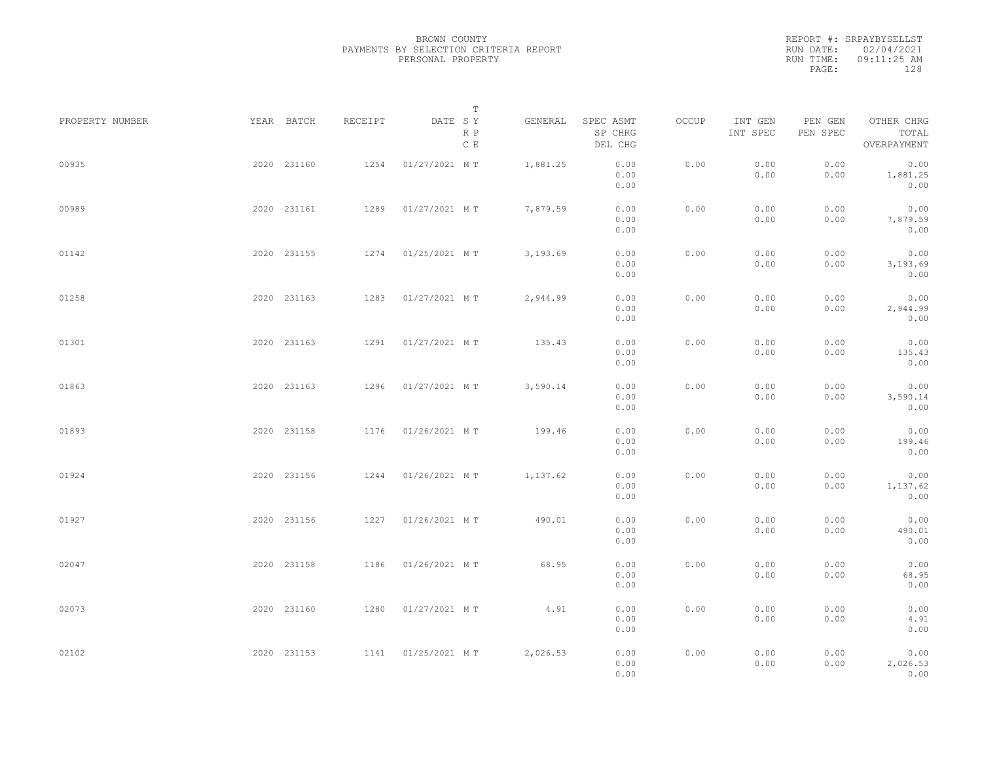REPORT #: SRPAYBYSELLST RUN DATE: 02/04/2021 RUN TIME: 09:11:25 AM PAGE: 128

|                 |             |             |         | T                     |          |                                 |       |                     |                     |                                    |  |
|-----------------|-------------|-------------|---------|-----------------------|----------|---------------------------------|-------|---------------------|---------------------|------------------------------------|--|
| PROPERTY NUMBER | YEAR BATCH  |             | RECEIPT | DATE SY<br>R P<br>C E | GENERAL  | SPEC ASMT<br>SP CHRG<br>DEL CHG | OCCUP | INT GEN<br>INT SPEC | PEN GEN<br>PEN SPEC | OTHER CHRG<br>TOTAL<br>OVERPAYMENT |  |
| 00935           | 2020 231160 |             | 1254    | 01/27/2021 MT         | 1,881.25 | 0.00<br>0.00<br>0.00            | 0.00  | 0.00<br>0.00        | 0.00<br>0.00        | 0.00<br>1,881.25<br>0.00           |  |
| 00989           | 2020 231161 |             | 1289    | 01/27/2021 MT         | 7,879.59 | 0.00<br>0.00<br>0.00            | 0.00  | 0.00<br>0.00        | 0.00<br>0.00        | 0.00<br>7,879.59<br>0.00           |  |
| 01142           |             | 2020 231155 |         | 1274 01/25/2021 MT    | 3,193.69 | 0.00<br>0.00<br>0.00            | 0.00  | 0.00<br>0.00        | 0.00<br>0.00        | 0.00<br>3,193.69<br>0.00           |  |
| 01258           | 2020 231163 |             |         | 1283 01/27/2021 MT    | 2,944.99 | 0.00<br>0.00<br>0.00            | 0.00  | 0.00<br>0.00        | 0.00<br>0.00        | 0.00<br>2,944.99<br>0.00           |  |
| 01301           |             | 2020 231163 | 1291    | 01/27/2021 MT         | 135.43   | 0.00<br>0.00<br>0.00            | 0.00  | 0.00<br>0.00        | 0.00<br>0.00        | 0.00<br>135.43<br>0.00             |  |
| 01863           | 2020 231163 |             | 1296    | 01/27/2021 MT         | 3,590.14 | 0.00<br>0.00<br>0.00            | 0.00  | 0.00<br>0.00        | 0.00<br>0.00        | 0.00<br>3,590.14<br>0.00           |  |
| 01893           | 2020 231158 |             |         | 1176 01/26/2021 MT    | 199.46   | 0.00<br>0.00                    | 0.00  | 0.00<br>0.00        | 0.00<br>0.00        | 0.00<br>199.46                     |  |
| 01924           |             | 2020 231156 | 1244    | 01/26/2021 MT         | 1,137.62 | 0.00<br>0.00<br>0.00            | 0.00  | 0.00<br>0.00        | 0.00<br>0.00        | 0.00<br>0.00<br>1,137.62           |  |
| 01927           |             | 2020 231156 |         | 1227 01/26/2021 MT    | 490.01   | 0.00<br>0.00<br>0.00            | 0.00  | 0.00<br>0.00        | 0.00<br>0.00        | 0.00<br>0.00<br>490.01             |  |
| 02047           |             | 2020 231158 |         | 1186 01/26/2021 MT    | 68.95    | 0.00<br>0.00<br>0.00            | 0.00  | 0.00<br>0.00        | 0.00<br>0.00        | 0.00<br>0.00<br>68.95              |  |
| 02073           |             | 2020 231160 |         | 1280 01/27/2021 MT    | 4.91     | 0.00<br>0.00<br>0.00            | 0.00  | 0.00<br>0.00        | 0.00<br>0.00        | 0.00<br>0.00<br>4.91               |  |
| 02102           | 2020 231153 |             |         | 1141  01/25/2021 MT   | 2,026.53 | 0.00<br>0.00                    | 0.00  | 0.00                | 0.00                | 0.00<br>0.00                       |  |
|                 |             |             |         |                       |          | 0.00<br>0.00                    |       | 0.00                | 0.00                | 2,026.53<br>0.00                   |  |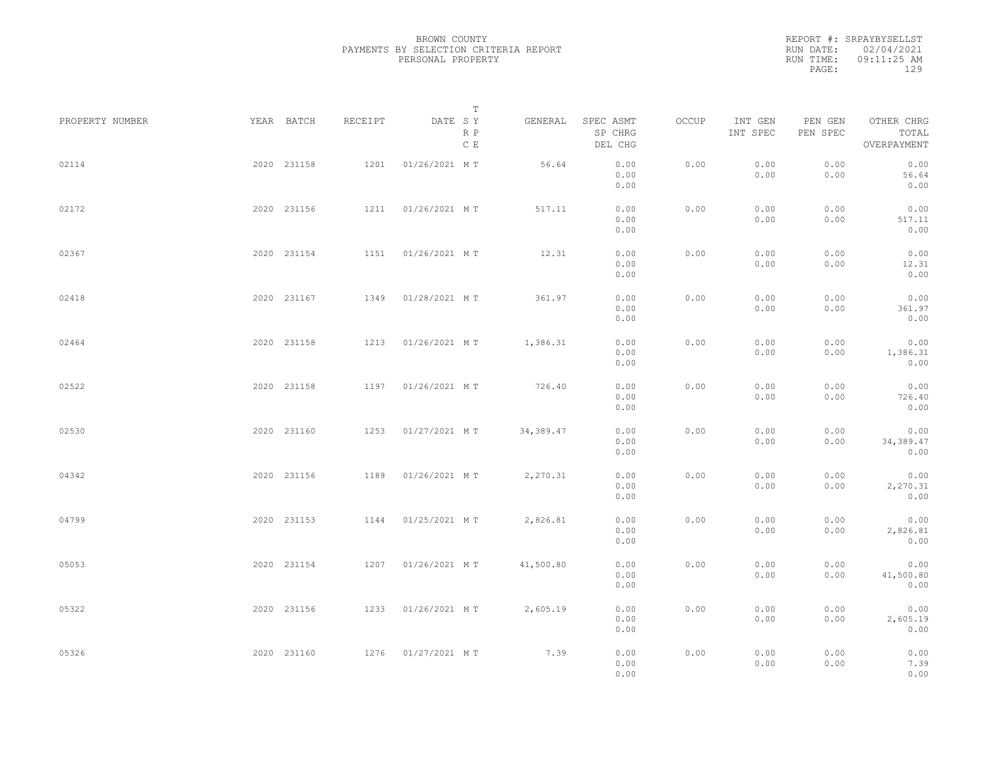|           | REPORT #: SRPAYBYSELLST |  |
|-----------|-------------------------|--|
|           | RUN DATE: 02/04/2021    |  |
| RUN TIME: | $09:11:25$ AM           |  |
| PAGE:     | 129                     |  |
|           |                         |  |

|                 |             |         |                     | $\mathbb T$ |            |                                 |       |                     |                     |                                    |  |
|-----------------|-------------|---------|---------------------|-------------|------------|---------------------------------|-------|---------------------|---------------------|------------------------------------|--|
| PROPERTY NUMBER | YEAR BATCH  | RECEIPT | DATE SY             | R P<br>C E  | GENERAL    | SPEC ASMT<br>SP CHRG<br>DEL CHG | OCCUP | INT GEN<br>INT SPEC | PEN GEN<br>PEN SPEC | OTHER CHRG<br>TOTAL<br>OVERPAYMENT |  |
| 02114           | 2020 231158 | 1201    | 01/26/2021 MT       |             | 56.64      | 0.00<br>0.00<br>0.00            | 0.00  | 0.00<br>0.00        | 0.00<br>0.00        | 0.00<br>56.64<br>0.00              |  |
| 02172           | 2020 231156 | 1211    | 01/26/2021 MT       |             | 517.11     | 0.00<br>0.00<br>0.00            | 0.00  | 0.00<br>0.00        | 0.00<br>0.00        | 0.00<br>517.11<br>0.00             |  |
| 02367           | 2020 231154 | 1151    | 01/26/2021 MT       |             | 12.31      | 0.00<br>0.00<br>0.00            | 0.00  | 0.00<br>0.00        | 0.00<br>0.00        | 0.00<br>12.31<br>0.00              |  |
| 02418           | 2020 231167 | 1349    | 01/28/2021 MT       |             | 361.97     | 0.00<br>0.00<br>0.00            | 0.00  | 0.00<br>0.00        | 0.00<br>0.00        | 0.00<br>361.97<br>0.00             |  |
| 02464           | 2020 231158 | 1213    | 01/26/2021 MT       |             | 1,386.31   | 0.00<br>0.00<br>0.00            | 0.00  | 0.00<br>0.00        | 0.00<br>0.00        | 0.00<br>1,386.31<br>0.00           |  |
| 02522           | 2020 231158 | 1197    | 01/26/2021 MT       |             | 726.40     | 0.00<br>0.00<br>0.00            | 0.00  | 0.00<br>0.00        | 0.00<br>0.00        | 0.00<br>726.40<br>0.00             |  |
| 02530           | 2020 231160 | 1253    | 01/27/2021 MT       |             | 34, 389.47 | 0.00<br>0.00<br>0.00            | 0.00  | 0.00<br>0.00        | 0.00<br>0.00        | 0.00<br>34,389.47<br>0.00          |  |
| 04342           | 2020 231156 | 1189    | 01/26/2021 MT       |             | 2,270.31   | 0.00<br>0.00<br>0.00            | 0.00  | 0.00<br>0.00        | 0.00<br>0.00        | 0.00<br>2,270.31<br>0.00           |  |
| 04799           | 2020 231153 | 1144    | 01/25/2021 MT       |             | 2,826.81   | 0.00<br>0.00<br>0.00            | 0.00  | 0.00<br>0.00        | 0.00<br>0.00        | 0.00<br>2,826.81<br>0.00           |  |
| 05053           | 2020 231154 | 1207    | 01/26/2021 MT       |             | 41,500.80  | 0.00<br>0.00<br>0.00            | 0.00  | 0.00<br>0.00        | 0.00<br>0.00        | 0.00<br>41,500.80<br>0.00          |  |
| 05322           | 2020 231156 | 1233    | 01/26/2021 MT       |             | 2,605.19   | 0.00<br>0.00<br>0.00            | 0.00  | 0.00<br>0.00        | 0.00<br>0.00        | 0.00<br>2,605.19<br>0.00           |  |
| 05326           | 2020 231160 |         | 1276  01/27/2021 MT |             | 7.39       | 0.00<br>0.00<br>0.00            | 0.00  | 0.00<br>0.00        | 0.00<br>0.00        | 0.00<br>7.39<br>0.00               |  |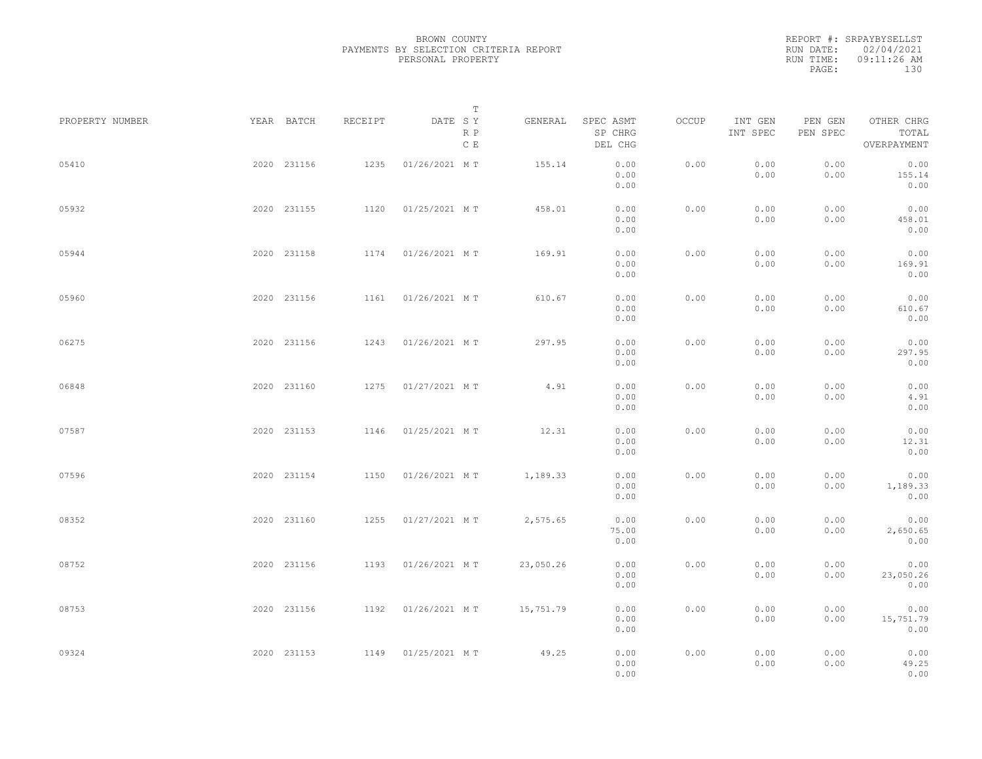REPORT #: SRPAYBYSELLST RUN DATE: 02/04/2021 RUN TIME: 09:11:26 AM PAGE: 130

|                 |             |         |               | $\mathbb T$ |           |                                 |       |                     |                     |                                    |  |
|-----------------|-------------|---------|---------------|-------------|-----------|---------------------------------|-------|---------------------|---------------------|------------------------------------|--|
| PROPERTY NUMBER | YEAR BATCH  | RECEIPT | DATE SY       | R P<br>C E  | GENERAL   | SPEC ASMT<br>SP CHRG<br>DEL CHG | OCCUP | INT GEN<br>INT SPEC | PEN GEN<br>PEN SPEC | OTHER CHRG<br>TOTAL<br>OVERPAYMENT |  |
| 05410           | 2020 231156 | 1235    | 01/26/2021 MT |             | 155.14    | 0.00<br>0.00<br>0.00            | 0.00  | 0.00<br>0.00        | 0.00<br>0.00        | 0.00<br>155.14<br>0.00             |  |
| 05932           | 2020 231155 | 1120    | 01/25/2021 MT |             | 458.01    | 0.00<br>0.00<br>0.00            | 0.00  | 0.00<br>0.00        | 0.00<br>0.00        | 0.00<br>458.01<br>0.00             |  |
| 05944           | 2020 231158 | 1174    | 01/26/2021 MT |             | 169.91    | 0.00<br>0.00<br>0.00            | 0.00  | 0.00<br>0.00        | 0.00<br>0.00        | 0.00<br>169.91<br>0.00             |  |
| 05960           | 2020 231156 | 1161    | 01/26/2021 MT |             | 610.67    | 0.00<br>0.00<br>0.00            | 0.00  | 0.00<br>0.00        | 0.00<br>0.00        | 0.00<br>610.67<br>0.00             |  |
| 06275           | 2020 231156 | 1243    | 01/26/2021 MT |             | 297.95    | 0.00<br>0.00<br>0.00            | 0.00  | 0.00<br>0.00        | 0.00<br>0.00        | 0.00<br>297.95<br>0.00             |  |
| 06848           | 2020 231160 | 1275    | 01/27/2021 MT |             | 4.91      | 0.00<br>0.00<br>0.00            | 0.00  | 0.00<br>0.00        | 0.00<br>0.00        | 0.00<br>4.91<br>0.00               |  |
| 07587           | 2020 231153 | 1146    | 01/25/2021 MT |             | 12.31     | 0.00<br>0.00                    | 0.00  | 0.00<br>0.00        | 0.00<br>0.00        | 0.00<br>12.31<br>0.00              |  |
| 07596           | 2020 231154 | 1150    | 01/26/2021 MT |             | 1,189.33  | 0.00<br>0.00<br>0.00            | 0.00  | 0.00<br>0.00        | 0.00<br>0.00        | 0.00<br>1,189.33                   |  |
| 08352           | 2020 231160 | 1255    | 01/27/2021 MT |             | 2,575.65  | 0.00<br>0.00<br>75.00           | 0.00  | 0.00<br>0.00        | 0.00<br>0.00        | 0.00<br>0.00<br>2,650.65           |  |
| 08752           | 2020 231156 | 1193    | 01/26/2021 MT |             | 23,050.26 | 0.00<br>0.00<br>0.00            | 0.00  | 0.00<br>0.00        | 0.00<br>0.00        | 0.00<br>0.00<br>23,050.26          |  |
| 08753           | 2020 231156 | 1192    | 01/26/2021 MT |             | 15,751.79 | 0.00<br>0.00<br>0.00            | 0.00  | 0.00<br>0.00        | 0.00<br>0.00        | 0.00<br>0.00<br>15,751.79          |  |
| 09324           | 2020 231153 | 1149    | 01/25/2021 MT |             | 49.25     | 0.00<br>0.00<br>0.00<br>0.00    | 0.00  | 0.00<br>0.00        | 0.00<br>0.00        | 0.00<br>0.00<br>49.25<br>0.00      |  |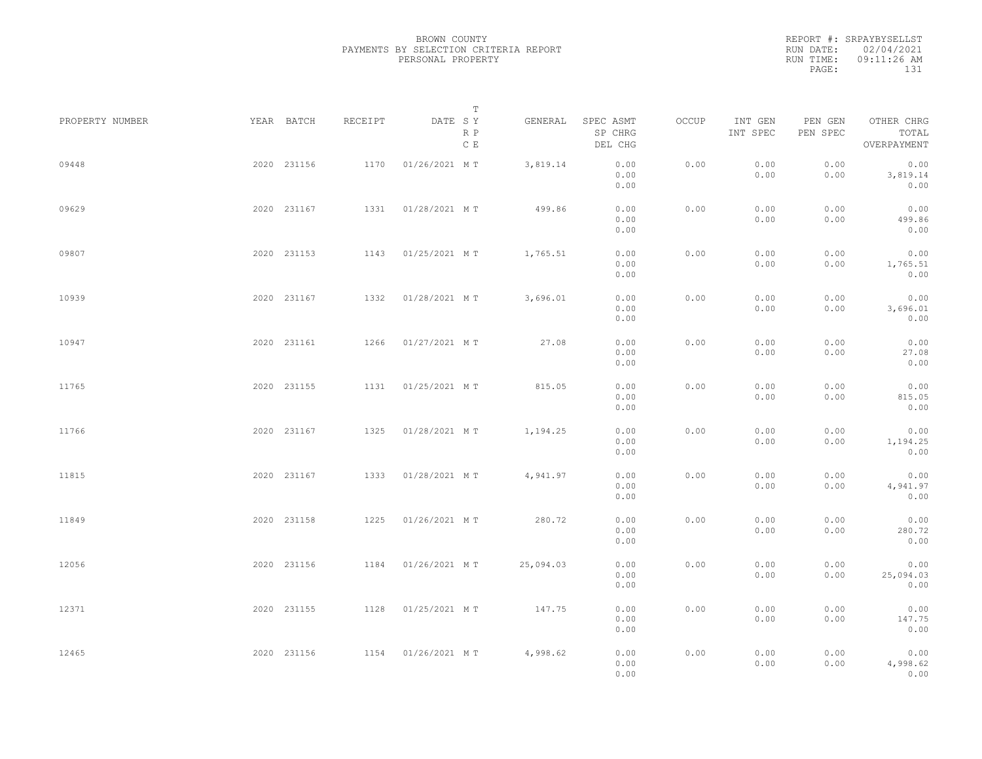REPORT #: SRPAYBYSELLST RUN DATE: 02/04/2021 RUN TIME: 09:11:26 AM PAGE: 131

|                 |             |         | $\mathbb T$           |           |                                 |       |                     |                     |                                    |  |
|-----------------|-------------|---------|-----------------------|-----------|---------------------------------|-------|---------------------|---------------------|------------------------------------|--|
| PROPERTY NUMBER | YEAR BATCH  | RECEIPT | DATE SY<br>R P<br>C E | GENERAL   | SPEC ASMT<br>SP CHRG<br>DEL CHG | OCCUP | INT GEN<br>INT SPEC | PEN GEN<br>PEN SPEC | OTHER CHRG<br>TOTAL<br>OVERPAYMENT |  |
| 09448           | 2020 231156 | 1170    | 01/26/2021 MT         | 3,819.14  | 0.00<br>0.00<br>0.00            | 0.00  | 0.00<br>0.00        | 0.00<br>0.00        | 0.00<br>3,819.14<br>0.00           |  |
| 09629           | 2020 231167 | 1331    | 01/28/2021 MT         | 499.86    | 0.00<br>0.00<br>0.00            | 0.00  | 0.00<br>0.00        | 0.00<br>0.00        | 0.00<br>499.86<br>0.00             |  |
| 09807           | 2020 231153 | 1143    | 01/25/2021 MT         | 1,765.51  | 0.00<br>0.00<br>0.00            | 0.00  | 0.00<br>0.00        | 0.00<br>0.00        | 0.00<br>1,765.51<br>0.00           |  |
| 10939           | 2020 231167 | 1332    | 01/28/2021 MT         | 3,696.01  | 0.00<br>0.00<br>0.00            | 0.00  | 0.00<br>0.00        | 0.00<br>0.00        | 0.00<br>3,696.01<br>0.00           |  |
| 10947           | 2020 231161 | 1266    | 01/27/2021 MT         | 27.08     | 0.00<br>0.00<br>0.00            | 0.00  | 0.00<br>0.00        | 0.00<br>0.00        | 0.00<br>27.08<br>0.00              |  |
| 11765           | 2020 231155 | 1131    | 01/25/2021 MT         | 815.05    | 0.00<br>0.00<br>0.00            | 0.00  | 0.00<br>0.00        | 0.00<br>0.00        | 0.00<br>815.05<br>0.00             |  |
| 11766           | 2020 231167 | 1325    | 01/28/2021 MT         | 1,194.25  | 0.00<br>0.00<br>0.00            | 0.00  | 0.00<br>0.00        | 0.00<br>0.00        | 0.00<br>1,194.25<br>0.00           |  |
| 11815           | 2020 231167 | 1333    | 01/28/2021 MT         | 4,941.97  | 0.00<br>0.00<br>0.00            | 0.00  | 0.00<br>0.00        | 0.00<br>0.00        | 0.00<br>4,941.97<br>0.00           |  |
| 11849           | 2020 231158 | 1225    | 01/26/2021 MT         | 280.72    | 0.00<br>0.00<br>0.00            | 0.00  | 0.00<br>0.00        | 0.00<br>0.00        | 0.00<br>280.72<br>0.00             |  |
| 12056           | 2020 231156 | 1184    | 01/26/2021 MT         | 25,094.03 | 0.00<br>0.00<br>0.00            | 0.00  | 0.00<br>0.00        | 0.00<br>0.00        | 0.00<br>25,094.03<br>0.00          |  |
| 12371           | 2020 231155 | 1128    | 01/25/2021 MT         | 147.75    | 0.00<br>0.00                    | 0.00  | 0.00<br>0.00        | 0.00<br>0.00        | 0.00<br>147.75                     |  |
| 12465           | 2020 231156 |         | 1154 01/26/2021 MT    | 4,998.62  | 0.00<br>0.00<br>0.00<br>0.00    | 0.00  | 0.00<br>0.00        | 0.00<br>0.00        | 0.00<br>0.00<br>4,998.62<br>0.00   |  |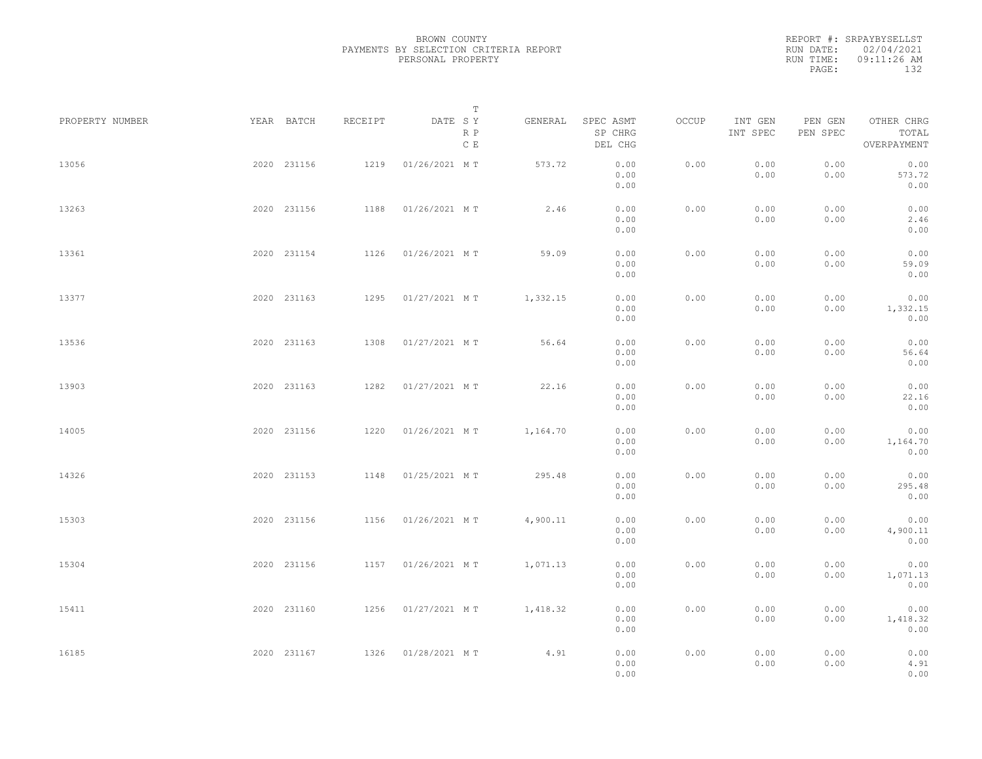REPORT #: SRPAYBYSELLST RUN DATE: 02/04/2021 RUN TIME: 09:11:26 AM PAGE: 132

|                 |             |         |               | $\mathbb T$           |                                 |       |                     |                     |                                    |  |
|-----------------|-------------|---------|---------------|-----------------------|---------------------------------|-------|---------------------|---------------------|------------------------------------|--|
| PROPERTY NUMBER | YEAR BATCH  | RECEIPT | DATE SY       | GENERAL<br>R P<br>C E | SPEC ASMT<br>SP CHRG<br>DEL CHG | OCCUP | INT GEN<br>INT SPEC | PEN GEN<br>PEN SPEC | OTHER CHRG<br>TOTAL<br>OVERPAYMENT |  |
| 13056           | 2020 231156 | 1219    | 01/26/2021 MT | 573.72                | 0.00<br>0.00<br>0.00            | 0.00  | 0.00<br>0.00        | 0.00<br>0.00        | 0.00<br>573.72<br>0.00             |  |
| 13263           | 2020 231156 | 1188    | 01/26/2021 MT | 2.46                  | 0.00<br>0.00<br>0.00            | 0.00  | 0.00<br>0.00        | 0.00<br>0.00        | 0.00<br>2.46<br>0.00               |  |
| 13361           | 2020 231154 | 1126    | 01/26/2021 MT | 59.09                 | 0.00<br>0.00<br>0.00            | 0.00  | 0.00<br>0.00        | 0.00<br>0.00        | 0.00<br>59.09<br>0.00              |  |
| 13377           | 2020 231163 | 1295    | 01/27/2021 MT | 1,332.15              | 0.00<br>0.00<br>0.00            | 0.00  | 0.00<br>0.00        | 0.00<br>0.00        | 0.00<br>1,332.15<br>0.00           |  |
| 13536           | 2020 231163 | 1308    | 01/27/2021 MT | 56.64                 | 0.00<br>0.00<br>0.00            | 0.00  | 0.00<br>0.00        | 0.00<br>0.00        | 0.00<br>56.64<br>0.00              |  |
| 13903           | 2020 231163 | 1282    | 01/27/2021 MT | 22.16                 | 0.00<br>0.00<br>0.00            | 0.00  | 0.00<br>0.00        | 0.00<br>0.00        | 0.00<br>22.16<br>0.00              |  |
| 14005           | 2020 231156 | 1220    | 01/26/2021 MT | 1,164.70              | 0.00<br>0.00<br>0.00            | 0.00  | 0.00<br>0.00        | 0.00<br>0.00        | 0.00<br>1,164.70<br>0.00           |  |
| 14326           | 2020 231153 | 1148    | 01/25/2021 MT | 295.48                | 0.00<br>0.00<br>0.00            | 0.00  | 0.00<br>0.00        | 0.00<br>0.00        | 0.00<br>295.48<br>0.00             |  |
| 15303           | 2020 231156 | 1156    | 01/26/2021 MT | 4,900.11              | 0.00<br>0.00<br>0.00            | 0.00  | 0.00<br>0.00        | 0.00<br>0.00        | 0.00<br>4,900.11<br>0.00           |  |
| 15304           | 2020 231156 | 1157    | 01/26/2021 MT | 1,071.13              | 0.00<br>0.00<br>0.00            | 0.00  | 0.00<br>0.00        | 0.00<br>0.00        | 0.00<br>1,071.13<br>0.00           |  |
| 15411           | 2020 231160 | 1256    | 01/27/2021 MT | 1,418.32              | 0.00<br>0.00<br>0.00            | 0.00  | 0.00<br>0.00        | 0.00<br>0.00        | 0.00<br>1,418.32<br>0.00           |  |
| 16185           | 2020 231167 | 1326    | 01/28/2021 MT | 4.91                  | 0.00<br>0.00<br>0.00            | 0.00  | 0.00<br>0.00        | 0.00<br>0.00        | 0.00<br>4.91<br>0.00               |  |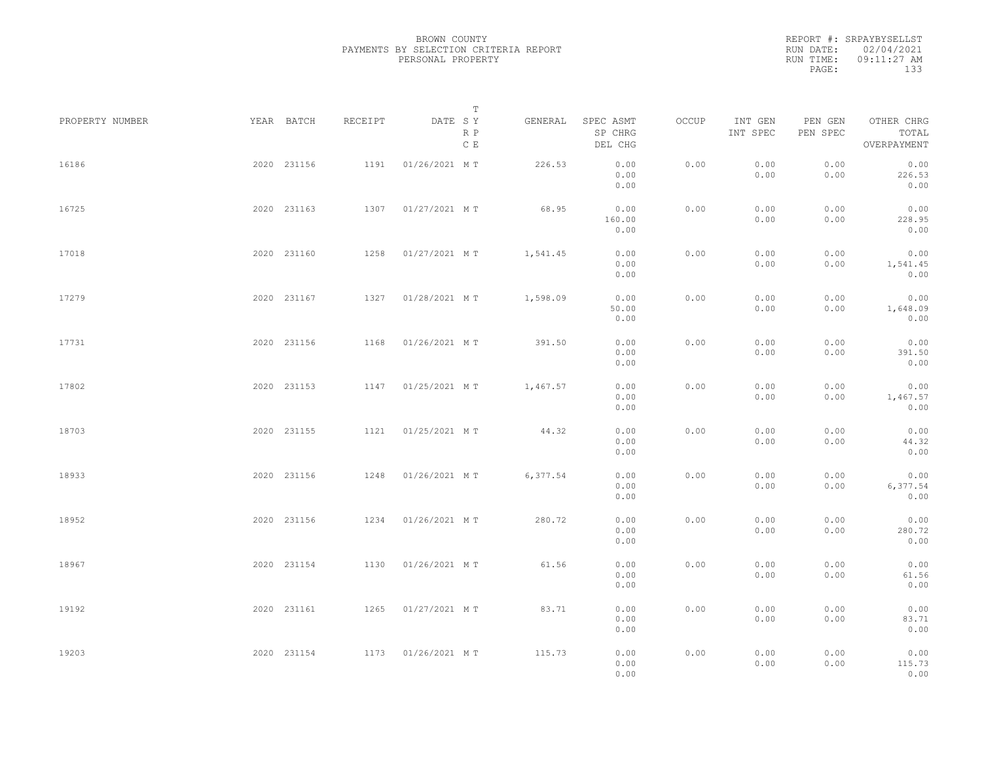REPORT #: SRPAYBYSELLST RUN DATE: 02/04/2021 RUN TIME: 09:11:27 AM PAGE: 133

|                 |             |             |         | T                     |          |                                 |       |                     |                     |                                    |  |
|-----------------|-------------|-------------|---------|-----------------------|----------|---------------------------------|-------|---------------------|---------------------|------------------------------------|--|
| PROPERTY NUMBER | YEAR BATCH  |             | RECEIPT | DATE SY<br>R P<br>C E | GENERAL  | SPEC ASMT<br>SP CHRG<br>DEL CHG | OCCUP | INT GEN<br>INT SPEC | PEN GEN<br>PEN SPEC | OTHER CHRG<br>TOTAL<br>OVERPAYMENT |  |
| 16186           |             | 2020 231156 | 1191    | 01/26/2021 MT         | 226.53   | 0.00<br>0.00<br>0.00            | 0.00  | 0.00<br>0.00        | 0.00<br>0.00        | 0.00<br>226.53<br>0.00             |  |
| 16725           |             | 2020 231163 |         | 1307 01/27/2021 MT    | 68.95    | 0.00<br>160.00<br>0.00          | 0.00  | 0.00<br>0.00        | 0.00<br>0.00        | 0.00<br>228.95<br>0.00             |  |
| 17018           |             | 2020 231160 |         | 1258 01/27/2021 MT    | 1,541.45 | 0.00<br>0.00<br>0.00            | 0.00  | 0.00<br>0.00        | 0.00<br>0.00        | 0.00<br>1,541.45<br>0.00           |  |
| 17279           |             | 2020 231167 |         | 1327 01/28/2021 MT    | 1,598.09 | 0.00<br>50.00<br>0.00           | 0.00  | 0.00<br>0.00        | 0.00<br>0.00        | 0.00<br>1,648.09<br>0.00           |  |
| 17731           |             | 2020 231156 | 1168    | 01/26/2021 MT         | 391.50   | 0.00<br>0.00<br>0.00            | 0.00  | 0.00<br>0.00        | 0.00<br>0.00        | 0.00<br>391.50<br>0.00             |  |
| 17802           |             | 2020 231153 | 1147    | 01/25/2021 MT         | 1,467.57 | 0.00<br>0.00<br>0.00            | 0.00  | 0.00<br>0.00        | 0.00<br>0.00        | 0.00<br>1,467.57<br>0.00           |  |
| 18703           |             | 2020 231155 | 1121    | 01/25/2021 MT         | 44.32    | 0.00<br>0.00<br>0.00            | 0.00  | 0.00<br>0.00        | 0.00<br>0.00        | 0.00<br>44.32<br>0.00              |  |
| 18933           |             | 2020 231156 | 1248    | 01/26/2021 MT         | 6,377.54 | 0.00<br>0.00<br>0.00            | 0.00  | 0.00<br>0.00        | 0.00<br>0.00        | 0.00<br>6,377.54<br>0.00           |  |
| 18952           |             | 2020 231156 |         | 1234 01/26/2021 MT    | 280.72   | 0.00<br>0.00<br>0.00            | 0.00  | 0.00<br>0.00        | 0.00<br>0.00        | 0.00<br>280.72<br>0.00             |  |
| 18967           |             | 2020 231154 |         | 1130 01/26/2021 MT    | 61.56    | 0.00<br>0.00<br>0.00            | 0.00  | 0.00<br>0.00        | 0.00<br>0.00        | 0.00<br>61.56<br>0.00              |  |
| 19192           |             | 2020 231161 |         | 1265 01/27/2021 MT    | 83.71    | 0.00<br>0.00                    | 0.00  | 0.00<br>0.00        | 0.00<br>0.00        | 0.00<br>83.71                      |  |
| 19203           | 2020 231154 |             |         | 1173  01/26/2021 MT   | 115.73   | 0.00<br>0.00<br>0.00<br>0.00    | 0.00  | 0.00<br>0.00        | 0.00<br>0.00        | 0.00<br>0.00<br>115.73<br>0.00     |  |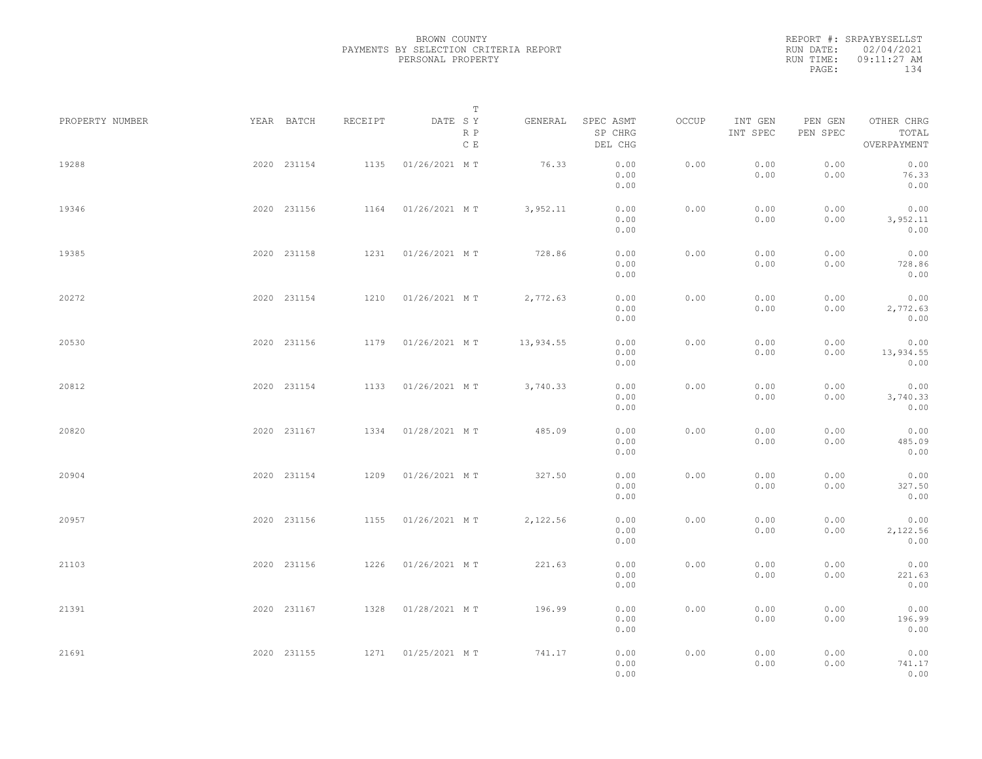REPORT #: SRPAYBYSELLST RUN DATE: 02/04/2021 RUN TIME: 09:11:27 AM PAGE: 134

|                 |             |             |         | T                               |           |                                 |       |                     |                     |                                    |  |
|-----------------|-------------|-------------|---------|---------------------------------|-----------|---------------------------------|-------|---------------------|---------------------|------------------------------------|--|
| PROPERTY NUMBER | YEAR BATCH  |             | RECEIPT | DATE SY<br>R P<br>$\,$ C $\,$ E | GENERAL   | SPEC ASMT<br>SP CHRG<br>DEL CHG | OCCUP | INT GEN<br>INT SPEC | PEN GEN<br>PEN SPEC | OTHER CHRG<br>TOTAL<br>OVERPAYMENT |  |
| 19288           | 2020 231154 |             | 1135    | 01/26/2021 MT                   | 76.33     | 0.00<br>0.00<br>0.00            | 0.00  | 0.00<br>0.00        | 0.00<br>0.00        | 0.00<br>76.33<br>0.00              |  |
| 19346           | 2020 231156 |             |         | 1164 01/26/2021 MT              | 3,952.11  | 0.00<br>0.00<br>0.00            | 0.00  | 0.00<br>0.00        | 0.00<br>0.00        | 0.00<br>3,952.11<br>0.00           |  |
| 19385           | 2020 231158 |             |         | 1231 01/26/2021 MT              | 728.86    | 0.00<br>0.00<br>0.00            | 0.00  | 0.00<br>0.00        | 0.00<br>0.00        | 0.00<br>728.86<br>0.00             |  |
| 20272           | 2020 231154 |             |         | 1210 01/26/2021 MT              | 2,772.63  | 0.00<br>0.00<br>0.00            | 0.00  | 0.00<br>0.00        | 0.00<br>0.00        | 0.00<br>2,772.63<br>0.00           |  |
| 20530           | 2020 231156 |             | 1179    | 01/26/2021 MT                   | 13,934.55 | 0.00<br>0.00<br>0.00            | 0.00  | 0.00<br>0.00        | 0.00<br>0.00        | 0.00<br>13,934.55<br>0.00          |  |
| 20812           | 2020 231154 |             | 1133    | 01/26/2021 MT                   | 3,740.33  | 0.00<br>0.00<br>0.00            | 0.00  | 0.00<br>0.00        | 0.00<br>0.00        | 0.00<br>3,740.33<br>0.00           |  |
| 20820           | 2020 231167 |             | 1334    | 01/28/2021 MT                   | 485.09    | 0.00<br>0.00<br>0.00            | 0.00  | 0.00<br>0.00        | 0.00<br>0.00        | 0.00<br>485.09<br>0.00             |  |
| 20904           | 2020 231154 |             | 1209    | 01/26/2021 MT                   | 327.50    | 0.00<br>0.00<br>0.00            | 0.00  | 0.00<br>0.00        | 0.00<br>0.00        | 0.00<br>327.50<br>0.00             |  |
| 20957           | 2020 231156 |             |         | 1155 01/26/2021 MT              | 2,122.56  | 0.00<br>0.00<br>0.00            | 0.00  | 0.00<br>0.00        | 0.00<br>0.00        | 0.00<br>2,122.56<br>0.00           |  |
| 21103           |             | 2020 231156 |         | 1226 01/26/2021 MT              | 221.63    | 0.00<br>0.00<br>0.00            | 0.00  | 0.00<br>0.00        | 0.00<br>0.00        | 0.00<br>221.63<br>0.00             |  |
| 21391           | 2020 231167 |             |         | 1328  01/28/2021 MT             | 196.99    | 0.00<br>0.00                    | 0.00  | 0.00<br>0.00        | 0.00<br>0.00        | 0.00<br>196.99                     |  |
| 21691           | 2020 231155 |             |         | 1271  01/25/2021 MT             | 741.17    | 0.00<br>0.00<br>0.00<br>0.00    | 0.00  | 0.00<br>0.00        | 0.00<br>0.00        | 0.00<br>0.00<br>741.17<br>0.00     |  |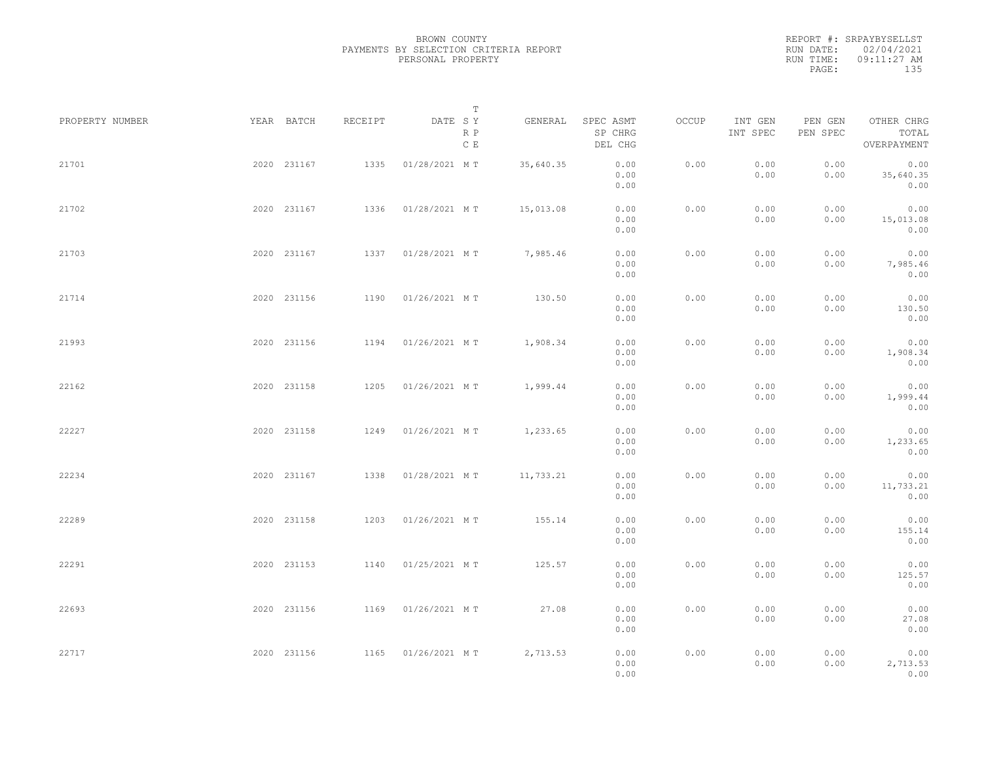REPORT #: SRPAYBYSELLST RUN DATE: 02/04/2021 RUN TIME: 09:11:27 AM PAGE: 135

|                 |             |         |                    | $\mathbb T$           |                                 |       |                     |                     |                                    |  |
|-----------------|-------------|---------|--------------------|-----------------------|---------------------------------|-------|---------------------|---------------------|------------------------------------|--|
| PROPERTY NUMBER | YEAR BATCH  | RECEIPT | DATE SY            | GENERAL<br>R P<br>C E | SPEC ASMT<br>SP CHRG<br>DEL CHG | OCCUP | INT GEN<br>INT SPEC | PEN GEN<br>PEN SPEC | OTHER CHRG<br>TOTAL<br>OVERPAYMENT |  |
| 21701           | 2020 231167 | 1335    | 01/28/2021 MT      | 35,640.35             | 0.00<br>0.00<br>0.00            | 0.00  | 0.00<br>0.00        | 0.00<br>0.00        | 0.00<br>35,640.35<br>0.00          |  |
| 21702           | 2020 231167 | 1336    | 01/28/2021 MT      | 15,013.08             | 0.00<br>0.00<br>0.00            | 0.00  | 0.00<br>0.00        | 0.00<br>0.00        | 0.00<br>15,013.08<br>0.00          |  |
| 21703           | 2020 231167 |         | 1337 01/28/2021 MT | 7,985.46              | 0.00<br>0.00<br>0.00            | 0.00  | 0.00<br>0.00        | 0.00<br>0.00        | 0.00<br>7,985.46<br>0.00           |  |
| 21714           | 2020 231156 | 1190    | 01/26/2021 MT      | 130.50                | 0.00<br>0.00<br>0.00            | 0.00  | 0.00<br>0.00        | 0.00<br>0.00        | 0.00<br>130.50<br>0.00             |  |
| 21993           | 2020 231156 | 1194    | 01/26/2021 MT      | 1,908.34              | 0.00<br>0.00<br>0.00            | 0.00  | 0.00<br>0.00        | 0.00<br>0.00        | 0.00<br>1,908.34<br>0.00           |  |
| 22162           | 2020 231158 | 1205    | 01/26/2021 MT      | 1,999.44              | 0.00<br>0.00<br>0.00            | 0.00  | 0.00<br>0.00        | 0.00<br>0.00        | 0.00<br>1,999.44<br>0.00           |  |
| 22227           | 2020 231158 | 1249    | 01/26/2021 MT      | 1,233.65              | 0.00<br>0.00<br>0.00            | 0.00  | 0.00<br>0.00        | 0.00<br>0.00        | 0.00<br>1,233.65<br>0.00           |  |
| 22234           | 2020 231167 | 1338    | 01/28/2021 MT      | 11,733.21             | 0.00<br>0.00<br>0.00            | 0.00  | 0.00<br>0.00        | 0.00<br>0.00        | 0.00<br>11,733.21<br>0.00          |  |
| 22289           | 2020 231158 | 1203    | 01/26/2021 MT      | 155.14                | 0.00<br>0.00<br>0.00            | 0.00  | 0.00<br>0.00        | 0.00<br>0.00        | 0.00<br>155.14<br>0.00             |  |
| 22291           | 2020 231153 | 1140    | 01/25/2021 MT      | 125.57                | 0.00<br>0.00<br>0.00            | 0.00  | 0.00<br>0.00        | 0.00<br>0.00        | 0.00<br>125.57<br>0.00             |  |
| 22693           | 2020 231156 |         | 1169 01/26/2021 MT | 27.08                 | 0.00<br>0.00                    | 0.00  | 0.00<br>0.00        | 0.00<br>0.00        | 0.00<br>27.08                      |  |
| 22717           | 2020 231156 |         | 1165 01/26/2021 MT | 2,713.53              | 0.00<br>0.00<br>0.00<br>0.00    | 0.00  | 0.00<br>0.00        | 0.00<br>0.00        | 0.00<br>0.00<br>2,713.53<br>0.00   |  |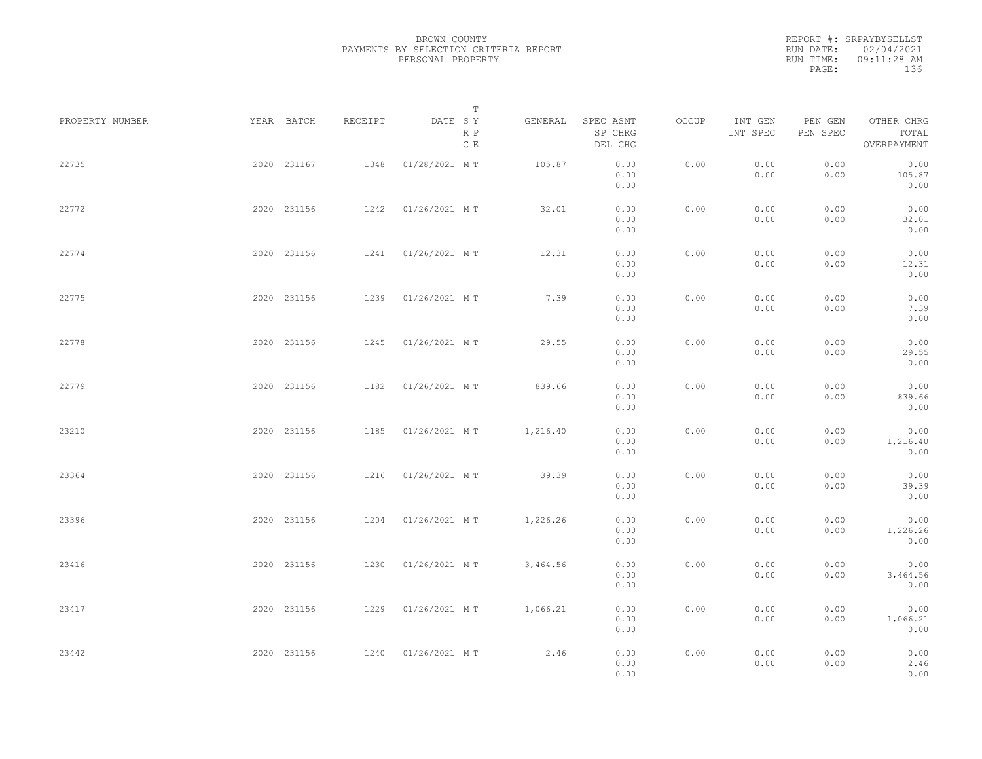REPORT #: SRPAYBYSELLST RUN DATE: 02/04/2021 RUN TIME: 09:11:28 AM PAGE: 136

|                 |             |             |         |                    | $\mathbb T$ |          |                                 |       |                     |                     |                                    |  |
|-----------------|-------------|-------------|---------|--------------------|-------------|----------|---------------------------------|-------|---------------------|---------------------|------------------------------------|--|
| PROPERTY NUMBER |             | YEAR BATCH  | RECEIPT | DATE SY            | R P<br>C E  | GENERAL  | SPEC ASMT<br>SP CHRG<br>DEL CHG | OCCUP | INT GEN<br>INT SPEC | PEN GEN<br>PEN SPEC | OTHER CHRG<br>TOTAL<br>OVERPAYMENT |  |
| 22735           |             | 2020 231167 | 1348    | 01/28/2021 MT      |             | 105.87   | 0.00<br>0.00<br>0.00            | 0.00  | 0.00<br>0.00        | 0.00<br>0.00        | 0.00<br>105.87<br>0.00             |  |
| 22772           |             | 2020 231156 | 1242    | 01/26/2021 MT      |             | 32.01    | 0.00<br>0.00<br>0.00            | 0.00  | 0.00<br>0.00        | 0.00<br>0.00        | 0.00<br>32.01<br>0.00              |  |
| 22774           |             | 2020 231156 | 1241    | 01/26/2021 MT      |             | 12.31    | 0.00<br>0.00<br>0.00            | 0.00  | 0.00<br>0.00        | 0.00<br>0.00        | 0.00<br>12.31<br>0.00              |  |
| 22775           |             | 2020 231156 | 1239    | 01/26/2021 MT      |             | 7.39     | 0.00<br>0.00<br>0.00            | 0.00  | 0.00<br>0.00        | 0.00<br>0.00        | 0.00<br>7.39<br>0.00               |  |
| 22778           |             | 2020 231156 | 1245    | 01/26/2021 MT      |             | 29.55    | 0.00<br>0.00<br>0.00            | 0.00  | 0.00<br>0.00        | 0.00<br>0.00        | 0.00<br>29.55<br>0.00              |  |
| 22779           |             | 2020 231156 | 1182    | 01/26/2021 MT      |             | 839.66   | 0.00<br>0.00<br>0.00            | 0.00  | 0.00<br>0.00        | 0.00<br>0.00        | 0.00<br>839.66<br>0.00             |  |
| 23210           |             | 2020 231156 | 1185    | 01/26/2021 MT      |             | 1,216.40 | 0.00<br>0.00<br>0.00            | 0.00  | 0.00<br>0.00        | 0.00<br>0.00        | 0.00<br>1,216.40<br>0.00           |  |
| 23364           |             | 2020 231156 | 1216    | 01/26/2021 MT      |             | 39.39    | 0.00<br>0.00<br>0.00            | 0.00  | 0.00<br>0.00        | 0.00<br>0.00        | 0.00<br>39.39<br>0.00              |  |
| 23396           |             | 2020 231156 | 1204    | 01/26/2021 MT      |             | 1,226.26 | 0.00<br>0.00                    | 0.00  | 0.00<br>0.00        | 0.00<br>0.00        | 0.00<br>1,226.26                   |  |
| 23416           |             | 2020 231156 | 1230    | 01/26/2021 MT      |             | 3,464.56 | 0.00<br>0.00<br>0.00            | 0.00  | 0.00<br>0.00        | 0.00<br>0.00        | 0.00<br>0.00<br>3,464.56<br>0.00   |  |
| 23417           |             | 2020 231156 | 1229    | 01/26/2021 MT      |             | 1,066.21 | 0.00<br>0.00<br>0.00            | 0.00  | 0.00<br>0.00        | 0.00<br>0.00        | 0.00<br>1,066.21                   |  |
| 23442           | 2020 231156 |             |         | 1240 01/26/2021 MT |             | 2.46     | 0.00<br>0.00<br>0.00<br>0.00    | 0.00  | 0.00<br>0.00        | 0.00<br>0.00        | 0.00<br>0.00<br>2.46<br>0.00       |  |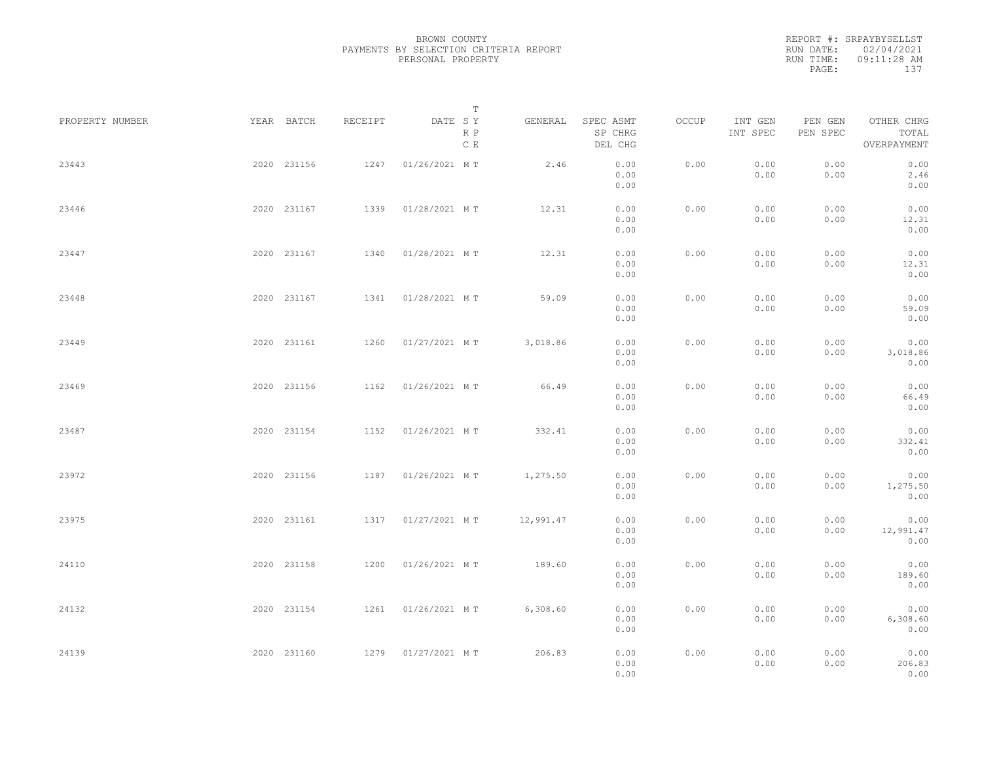|           | REPORT #: SRPAYBYSELLST |
|-----------|-------------------------|
|           | RUN DATE: 02/04/2021    |
| RUN TIME: | $09:11:28$ AM           |
| PAGE:     | 137                     |
|           |                         |

| PROPERTY NUMBER | YEAR BATCH  | RECEIPT | DATE SY       | T<br>R P<br>C E | GENERAL   | SPEC ASMT<br>SP CHRG<br>DEL CHG                                                                | OCCUP | INT GEN<br>INT SPEC | PEN GEN<br>PEN SPEC | OTHER CHRG<br>TOTAL<br>OVERPAYMENT |  |
|-----------------|-------------|---------|---------------|-----------------|-----------|------------------------------------------------------------------------------------------------|-------|---------------------|---------------------|------------------------------------|--|
| 23443           | 2020 231156 | 1247    | 01/26/2021 MT |                 | 2.46      | 0.00<br>0.00<br>0.00                                                                           | 0.00  | 0.00<br>0.00        | 0.00<br>0.00        | 0.00<br>2.46<br>0.00               |  |
| 23446           | 2020 231167 | 1339    | 01/28/2021 MT |                 | 12.31     | 0.00<br>0.00<br>0.00                                                                           | 0.00  | 0.00<br>0.00        | 0.00<br>0.00        | 0.00<br>12.31<br>0.00              |  |
| 23447           | 2020 231167 | 1340    | 01/28/2021 MT |                 | 12.31     | 0.00<br>0.00<br>0.00                                                                           | 0.00  | 0.00<br>0.00        | 0.00<br>0.00        | 0.00<br>12.31<br>0.00              |  |
| 23448           | 2020 231167 | 1341    | 01/28/2021 MT |                 | 59.09     | 0.00<br>0.00<br>0.00                                                                           | 0.00  | 0.00<br>0.00        | 0.00<br>0.00        | 0.00<br>59.09<br>0.00              |  |
| 23449           | 2020 231161 | 1260    | 01/27/2021 MT |                 | 3,018.86  | 0.00<br>0.00<br>0.00                                                                           | 0.00  | 0.00<br>0.00        | 0.00<br>0.00        | 0.00<br>3,018.86<br>0.00           |  |
| 23469           | 2020 231156 | 1162    | 01/26/2021 MT |                 | 66.49     | 0.00<br>0.00<br>0.00                                                                           | 0.00  | 0.00<br>0.00        | 0.00<br>0.00        | 0.00<br>66.49<br>0.00              |  |
| 23487           | 2020 231154 | 1152    | 01/26/2021 MT |                 | 332.41    | 0.00<br>0.00<br>0.00                                                                           | 0.00  | 0.00<br>0.00        | 0.00<br>0.00        | 0.00<br>332.41<br>0.00             |  |
| 23972           | 2020 231156 | 1187    | 01/26/2021 MT |                 | 1,275.50  | 0.00<br>0.00<br>0.00                                                                           | 0.00  | 0.00<br>0.00        | 0.00<br>0.00        | 0.00<br>1,275.50<br>0.00           |  |
| 23975           | 2020 231161 | 1317    | 01/27/2021 MT |                 | 12,991.47 | 0.00<br>0.00<br>0.00                                                                           | 0.00  | 0.00<br>0.00        | 0.00<br>0.00        | 0.00<br>12,991.47<br>0.00          |  |
| 24110           | 2020 231158 | 1200    | 01/26/2021 MT |                 | 189.60    | 0.00<br>0.00<br>0.00                                                                           | 0.00  | 0.00<br>0.00        | 0.00<br>0.00        | 0.00<br>189.60<br>0.00             |  |
| 24132           | 2020 231154 | 1261    | 01/26/2021 MT |                 | 6,308.60  | 0.00<br>0.00<br>0.00                                                                           | 0.00  | 0.00<br>0.00        | 0.00<br>0.00        | 0.00<br>6,308.60<br>0.00           |  |
| 24139           | 2020 231160 | 1279    | 01/27/2021 MT |                 | 206.83    | $\ensuremath{\mathbf{0}}$ . $\ensuremath{\mathbf{0}}\,\ensuremath{\mathbf{0}}$<br>0.00<br>0.00 | 0.00  | 0.00<br>0.00        | 0.00<br>0.00        | 0.00<br>206.83<br>0.00             |  |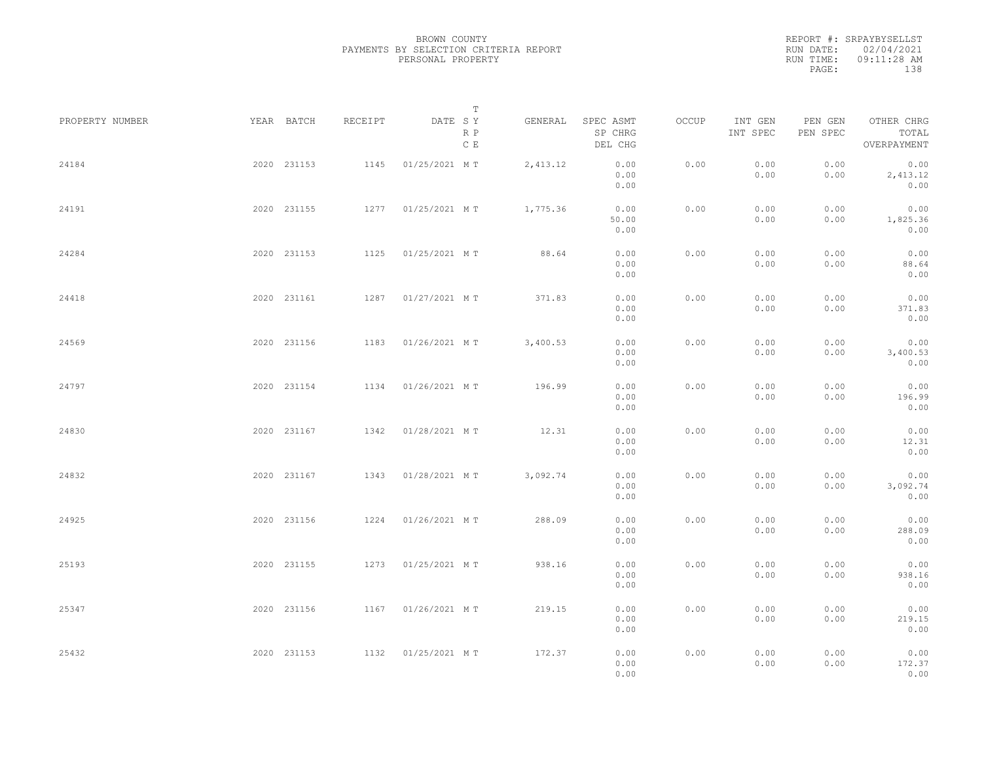REPORT #: SRPAYBYSELLST RUN DATE: 02/04/2021 RUN TIME: 09:11:28 AM PAGE: 138

|                 |             |             |         | T                     |          |                                 |       |                     |                     |                                    |  |
|-----------------|-------------|-------------|---------|-----------------------|----------|---------------------------------|-------|---------------------|---------------------|------------------------------------|--|
| PROPERTY NUMBER | YEAR BATCH  |             | RECEIPT | DATE SY<br>R P<br>C E | GENERAL  | SPEC ASMT<br>SP CHRG<br>DEL CHG | OCCUP | INT GEN<br>INT SPEC | PEN GEN<br>PEN SPEC | OTHER CHRG<br>TOTAL<br>OVERPAYMENT |  |
| 24184           | 2020 231153 |             | 1145    | 01/25/2021 MT         | 2,413.12 | 0.00<br>0.00<br>0.00            | 0.00  | 0.00<br>0.00        | 0.00<br>0.00        | 0.00<br>2,413.12<br>0.00           |  |
| 24191           | 2020 231155 |             |         | 1277 01/25/2021 MT    | 1,775.36 | 0.00<br>50.00<br>0.00           | 0.00  | 0.00<br>0.00        | 0.00<br>0.00        | 0.00<br>1,825.36<br>0.00           |  |
| 24284           | 2020 231153 |             |         | 1125 01/25/2021 MT    | 88.64    | 0.00<br>0.00<br>0.00            | 0.00  | 0.00<br>0.00        | 0.00<br>0.00        | 0.00<br>88.64<br>0.00              |  |
| 24418           | 2020 231161 |             |         | 1287 01/27/2021 MT    | 371.83   | 0.00<br>0.00<br>0.00            | 0.00  | 0.00<br>0.00        | 0.00<br>0.00        | 0.00<br>371.83<br>0.00             |  |
| 24569           | 2020 231156 |             | 1183    | 01/26/2021 MT         | 3,400.53 | 0.00<br>0.00<br>0.00            | 0.00  | 0.00<br>0.00        | 0.00<br>0.00        | 0.00<br>3,400.53<br>0.00           |  |
| 24797           | 2020 231154 |             | 1134    | 01/26/2021 MT         | 196.99   | 0.00<br>0.00<br>0.00            | 0.00  | 0.00<br>0.00        | 0.00<br>0.00        | 0.00<br>196.99<br>0.00             |  |
| 24830           | 2020 231167 |             | 1342    | 01/28/2021 MT         | 12.31    | 0.00<br>0.00<br>0.00            | 0.00  | 0.00<br>0.00        | 0.00<br>0.00        | 0.00<br>12.31<br>0.00              |  |
| 24832           | 2020 231167 |             | 1343    | 01/28/2021 MT         | 3,092.74 | 0.00<br>0.00<br>0.00            | 0.00  | 0.00<br>0.00        | 0.00<br>0.00        | 0.00<br>3,092.74<br>0.00           |  |
| 24925           |             | 2020 231156 |         | 1224 01/26/2021 MT    | 288.09   | 0.00<br>0.00<br>0.00            | 0.00  | 0.00<br>0.00        | 0.00<br>0.00        | 0.00<br>288.09<br>0.00             |  |
| 25193           |             | 2020 231155 |         | 1273  01/25/2021 MT   | 938.16   | 0.00<br>0.00<br>0.00            | 0.00  | 0.00<br>0.00        | 0.00<br>0.00        | 0.00<br>938.16<br>0.00             |  |
| 25347           | 2020 231156 |             |         | 1167 01/26/2021 MT    | 219.15   | 0.00<br>0.00<br>0.00            | 0.00  | 0.00<br>0.00        | 0.00<br>0.00        | 0.00<br>219.15<br>0.00             |  |
| 25432           | 2020 231153 |             |         | 1132  01/25/2021 MT   | 172.37   | 0.00<br>0.00<br>0.00            | 0.00  | 0.00<br>0.00        | 0.00<br>0.00        | 0.00<br>172.37<br>0.00             |  |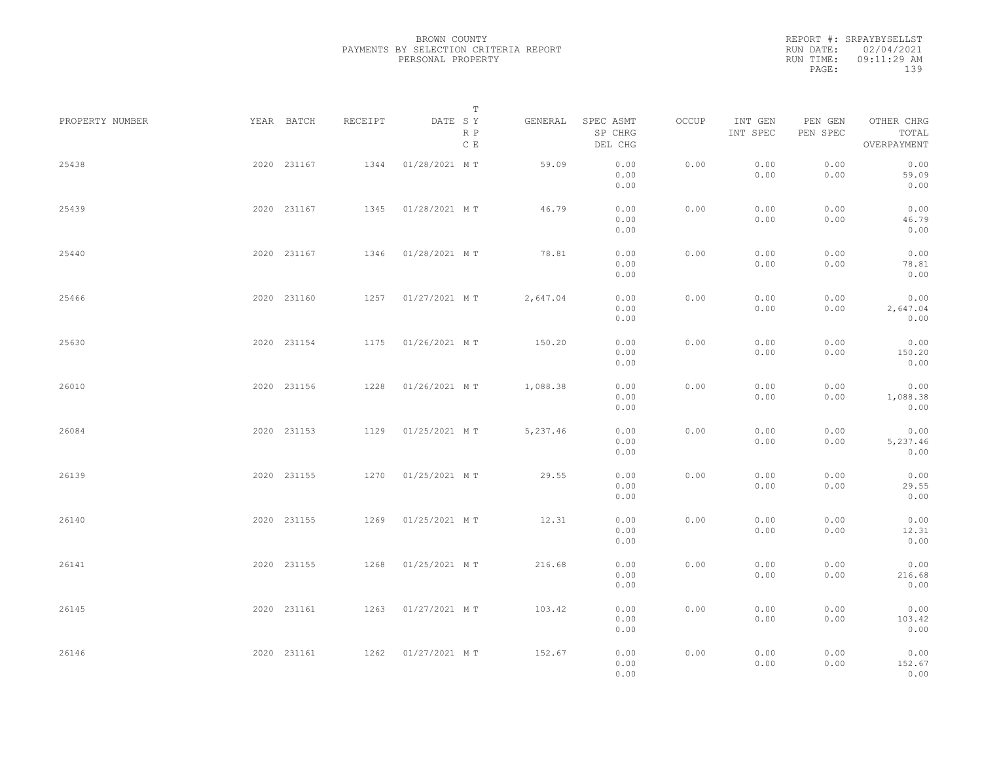|           | REPORT #: SRPAYBYSELLST |
|-----------|-------------------------|
|           | RUN DATE: 02/04/2021    |
| RUN TIME: | $09:11:29$ AM           |
| PAGE:     | 139                     |
|           |                         |

| PROPERTY NUMBER |             | YEAR BATCH  | RECEIPT | DATE SY            | Т                    | GENERAL  | SPEC ASMT            | OCCUP | INT GEN      | PEN GEN      | OTHER CHRG               |  |
|-----------------|-------------|-------------|---------|--------------------|----------------------|----------|----------------------|-------|--------------|--------------|--------------------------|--|
|                 |             |             |         |                    | R P<br>$\,$ C $\,$ E |          | SP CHRG<br>DEL CHG   |       | INT SPEC     | PEN SPEC     | TOTAL<br>OVERPAYMENT     |  |
| 25438           |             | 2020 231167 | 1344    | 01/28/2021 MT      |                      | 59.09    | 0.00<br>0.00<br>0.00 | 0.00  | 0.00<br>0.00 | 0.00<br>0.00 | 0.00<br>59.09<br>0.00    |  |
| 25439           |             | 2020 231167 | 1345    | 01/28/2021 MT      |                      | 46.79    | 0.00<br>0.00<br>0.00 | 0.00  | 0.00<br>0.00 | 0.00<br>0.00 | 0.00<br>46.79<br>0.00    |  |
| 25440           |             | 2020 231167 | 1346    | 01/28/2021 MT      |                      | 78.81    | 0.00<br>0.00<br>0.00 | 0.00  | 0.00<br>0.00 | 0.00<br>0.00 | 0.00<br>78.81<br>0.00    |  |
| 25466           |             | 2020 231160 | 1257    | 01/27/2021 MT      |                      | 2,647.04 | 0.00<br>0.00<br>0.00 | 0.00  | 0.00<br>0.00 | 0.00<br>0.00 | 0.00<br>2,647.04<br>0.00 |  |
| 25630           |             | 2020 231154 | 1175    | 01/26/2021 MT      |                      | 150.20   | 0.00<br>0.00<br>0.00 | 0.00  | 0.00<br>0.00 | 0.00<br>0.00 | 0.00<br>150.20<br>0.00   |  |
| 26010           |             | 2020 231156 | 1228    | 01/26/2021 MT      |                      | 1,088.38 | 0.00<br>0.00<br>0.00 | 0.00  | 0.00<br>0.00 | 0.00<br>0.00 | 0.00<br>1,088.38<br>0.00 |  |
| 26084           |             | 2020 231153 | 1129    | 01/25/2021 MT      |                      | 5,237.46 | 0.00<br>0.00<br>0.00 | 0.00  | 0.00<br>0.00 | 0.00<br>0.00 | 0.00<br>5,237.46<br>0.00 |  |
| 26139           |             | 2020 231155 | 1270    | 01/25/2021 MT      |                      | 29.55    | 0.00<br>0.00<br>0.00 | 0.00  | 0.00<br>0.00 | 0.00<br>0.00 | 0.00<br>29.55<br>0.00    |  |
| 26140           |             | 2020 231155 | 1269    | 01/25/2021 MT      |                      | 12.31    | 0.00<br>0.00<br>0.00 | 0.00  | 0.00<br>0.00 | 0.00<br>0.00 | 0.00<br>12.31<br>0.00    |  |
| 26141           |             | 2020 231155 | 1268    | 01/25/2021 MT      |                      | 216.68   | 0.00<br>0.00<br>0.00 | 0.00  | 0.00<br>0.00 | 0.00<br>0.00 | 0.00<br>216.68<br>0.00   |  |
| 26145           |             | 2020 231161 | 1263    | 01/27/2021 MT      |                      | 103.42   | 0.00<br>0.00<br>0.00 | 0.00  | 0.00<br>0.00 | 0.00<br>0.00 | 0.00<br>103.42<br>0.00   |  |
| 26146           | 2020 231161 |             |         | 1262 01/27/2021 MT |                      | 152.67   | 0.00<br>0.00<br>0.00 | 0.00  | 0.00<br>0.00 | 0.00<br>0.00 | 0.00<br>152.67<br>0.00   |  |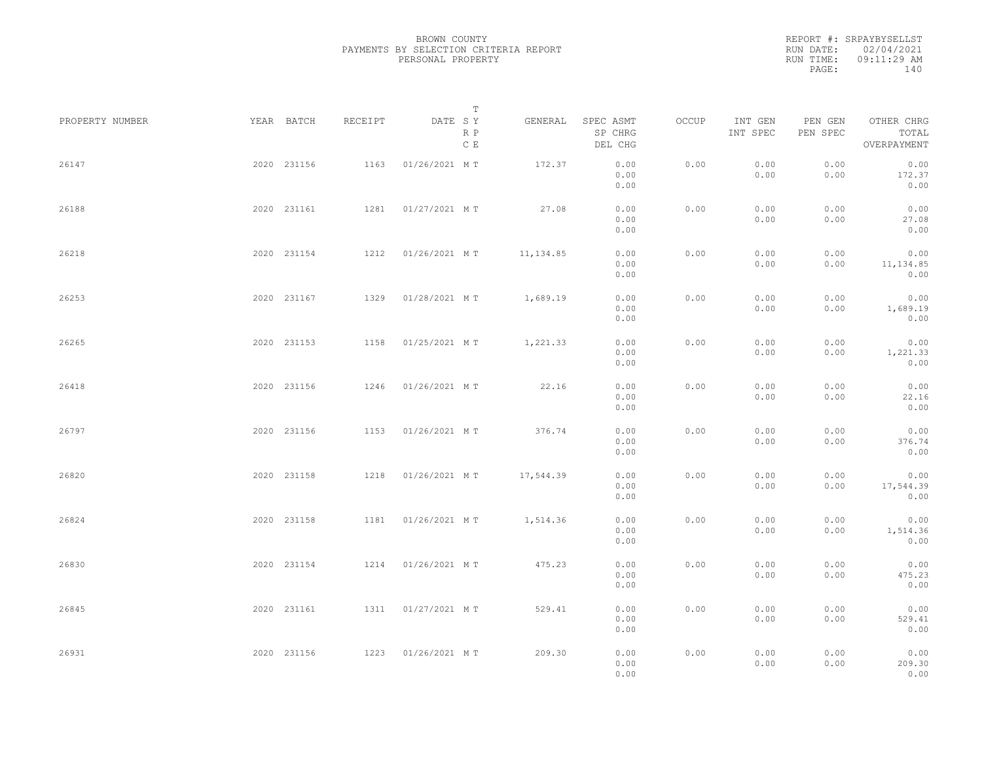|           | REPORT #: SRPAYBYSELLST |
|-----------|-------------------------|
|           | RUN DATE: 02/04/2021    |
| RUN TIME: | $09:11:29$ AM           |
| PAGE:     | 140                     |
|           |                         |

| PROPERTY NUMBER |             | YEAR BATCH  | RECEIPT | DATE SY            | T<br>R P<br>C E | GENERAL    | SPEC ASMT<br>SP CHRG<br>DEL CHG | OCCUP | INT GEN<br>INT SPEC | PEN GEN<br>PEN SPEC | OTHER CHRG<br>TOTAL<br>OVERPAYMENT |  |
|-----------------|-------------|-------------|---------|--------------------|-----------------|------------|---------------------------------|-------|---------------------|---------------------|------------------------------------|--|
| 26147           |             | 2020 231156 | 1163    | 01/26/2021 MT      |                 | 172.37     | 0.00<br>0.00<br>0.00            | 0.00  | 0.00<br>0.00        | 0.00<br>0.00        | 0.00<br>172.37<br>0.00             |  |
| 26188           |             | 2020 231161 | 1281    | 01/27/2021 MT      |                 | 27.08      | 0.00<br>0.00<br>0.00            | 0.00  | 0.00<br>0.00        | 0.00<br>0.00        | 0.00<br>27.08<br>0.00              |  |
| 26218           |             | 2020 231154 | 1212    | 01/26/2021 MT      |                 | 11, 134.85 | 0.00<br>0.00<br>0.00            | 0.00  | 0.00<br>0.00        | 0.00<br>0.00        | 0.00<br>11,134.85<br>0.00          |  |
| 26253           |             | 2020 231167 | 1329    | 01/28/2021 MT      |                 | 1,689.19   | 0.00<br>0.00<br>0.00            | 0.00  | 0.00<br>0.00        | 0.00<br>0.00        | 0.00<br>1,689.19<br>0.00           |  |
| 26265           |             | 2020 231153 | 1158    | 01/25/2021 MT      |                 | 1,221.33   | 0.00<br>0.00<br>0.00            | 0.00  | 0.00<br>0.00        | 0.00<br>0.00        | 0.00<br>1,221.33<br>0.00           |  |
| 26418           |             | 2020 231156 | 1246    | 01/26/2021 MT      |                 | 22.16      | 0.00<br>0.00<br>0.00            | 0.00  | 0.00<br>0.00        | 0.00<br>0.00        | 0.00<br>22.16<br>0.00              |  |
| 26797           |             | 2020 231156 | 1153    | 01/26/2021 MT      |                 | 376.74     | 0.00<br>0.00<br>0.00            | 0.00  | 0.00<br>0.00        | 0.00<br>0.00        | 0.00<br>376.74<br>0.00             |  |
| 26820           |             | 2020 231158 | 1218    | 01/26/2021 MT      |                 | 17,544.39  | 0.00<br>0.00<br>0.00            | 0.00  | 0.00<br>0.00        | 0.00<br>0.00        | 0.00<br>17,544.39<br>0.00          |  |
| 26824           |             | 2020 231158 | 1181    | 01/26/2021 MT      |                 | 1,514.36   | 0.00<br>0.00<br>0.00            | 0.00  | 0.00<br>0.00        | 0.00<br>0.00        | 0.00<br>1,514.36<br>0.00           |  |
| 26830           |             | 2020 231154 |         | 1214 01/26/2021 MT |                 | 475.23     | 0.00<br>0.00<br>0.00            | 0.00  | 0.00<br>0.00        | 0.00<br>0.00        | 0.00<br>475.23<br>0.00             |  |
| 26845           |             | 2020 231161 |         | 1311 01/27/2021 MT |                 | 529.41     | 0.00<br>0.00<br>0.00            | 0.00  | 0.00<br>0.00        | 0.00<br>0.00        | 0.00<br>529.41<br>0.00             |  |
| 26931           | 2020 231156 |             |         | 1223 01/26/2021 MT |                 | 209.30     | 0.00<br>0.00<br>0.00            | 0.00  | 0.00<br>0.00        | 0.00<br>0.00        | 0.00<br>209.30<br>0.00             |  |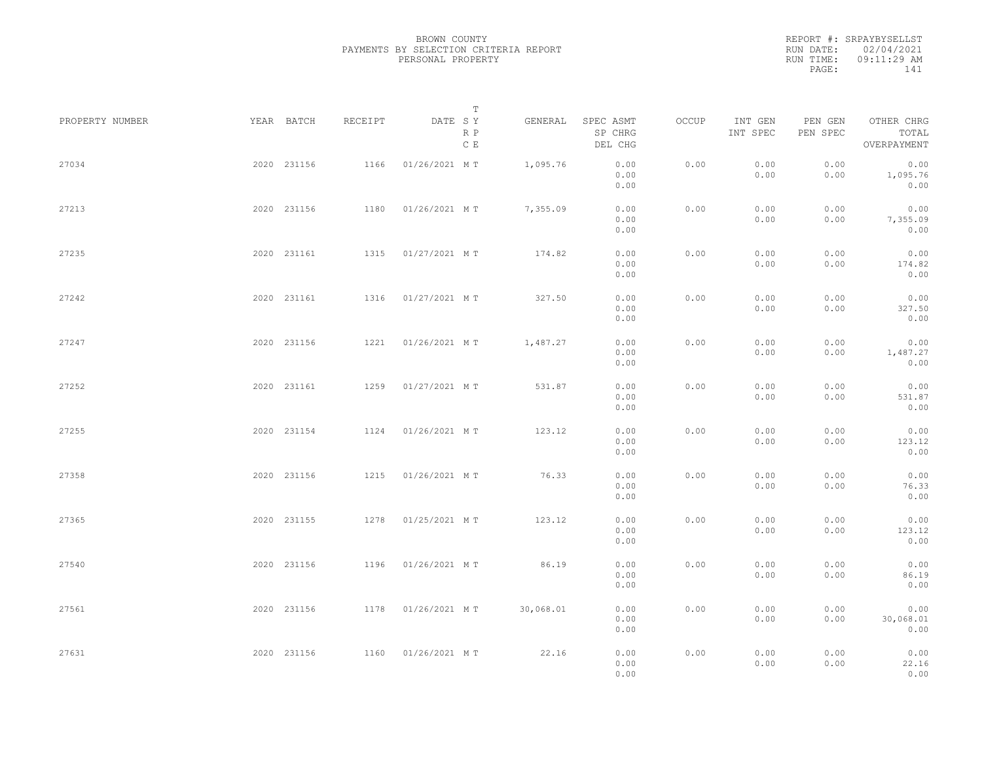REPORT #: SRPAYBYSELLST RUN DATE: 02/04/2021 RUN TIME: 09:11:29 AM PAGE: 141

|                 |             |             |         |                    | $\mathbb T$ |           |                                 |       |                     |                     |                                    |  |
|-----------------|-------------|-------------|---------|--------------------|-------------|-----------|---------------------------------|-------|---------------------|---------------------|------------------------------------|--|
| PROPERTY NUMBER |             | YEAR BATCH  | RECEIPT | DATE SY            | R P<br>C E  | GENERAL   | SPEC ASMT<br>SP CHRG<br>DEL CHG | OCCUP | INT GEN<br>INT SPEC | PEN GEN<br>PEN SPEC | OTHER CHRG<br>TOTAL<br>OVERPAYMENT |  |
| 27034           |             | 2020 231156 | 1166    | 01/26/2021 MT      |             | 1,095.76  | 0.00<br>0.00<br>0.00            | 0.00  | 0.00<br>0.00        | 0.00<br>0.00        | 0.00<br>1,095.76<br>0.00           |  |
| 27213           |             | 2020 231156 | 1180    | 01/26/2021 MT      |             | 7,355.09  | 0.00<br>0.00<br>0.00            | 0.00  | 0.00<br>0.00        | 0.00<br>0.00        | 0.00<br>7,355.09<br>0.00           |  |
| 27235           |             | 2020 231161 | 1315    | 01/27/2021 MT      |             | 174.82    | 0.00<br>0.00<br>0.00            | 0.00  | 0.00<br>0.00        | 0.00<br>0.00        | 0.00<br>174.82<br>0.00             |  |
| 27242           |             | 2020 231161 |         | 1316 01/27/2021 MT |             | 327.50    | 0.00<br>0.00<br>0.00            | 0.00  | 0.00<br>0.00        | 0.00<br>0.00        | 0.00<br>327.50<br>0.00             |  |
| 27247           |             | 2020 231156 |         | 1221 01/26/2021 MT |             | 1,487.27  | 0.00<br>0.00<br>0.00            | 0.00  | 0.00<br>0.00        | 0.00<br>0.00        | 0.00<br>1,487.27<br>0.00           |  |
| 27252           |             | 2020 231161 | 1259    | 01/27/2021 MT      |             | 531.87    | 0.00<br>0.00<br>0.00            | 0.00  | 0.00<br>0.00        | 0.00<br>0.00        | 0.00<br>531.87<br>0.00             |  |
| 27255           |             | 2020 231154 | 1124    | 01/26/2021 MT      |             | 123.12    | 0.00<br>0.00<br>0.00            | 0.00  | 0.00<br>0.00        | 0.00<br>0.00        | 0.00<br>123.12<br>0.00             |  |
| 27358           |             | 2020 231156 | 1215    | 01/26/2021 MT      |             | 76.33     | 0.00<br>0.00<br>0.00            | 0.00  | 0.00<br>0.00        | 0.00<br>0.00        | 0.00<br>76.33<br>0.00              |  |
| 27365           |             | 2020 231155 | 1278    | 01/25/2021 MT      |             | 123.12    | 0.00<br>0.00<br>0.00            | 0.00  | 0.00<br>0.00        | 0.00<br>0.00        | 0.00<br>123.12<br>0.00             |  |
| 27540           |             | 2020 231156 | 1196    | 01/26/2021 MT      |             | 86.19     | 0.00<br>0.00<br>0.00            | 0.00  | 0.00<br>0.00        | 0.00<br>0.00        | 0.00<br>86.19<br>0.00              |  |
| 27561           |             | 2020 231156 | 1178    | 01/26/2021 MT      |             | 30,068.01 | 0.00<br>0.00<br>0.00            | 0.00  | 0.00<br>0.00        | 0.00<br>0.00        | 0.00<br>30,068.01<br>0.00          |  |
| 27631           | 2020 231156 |             |         | 1160 01/26/2021 MT |             | 22.16     | 0.00<br>0.00<br>0.00            | 0.00  | 0.00<br>0.00        | 0.00<br>0.00        | 0.00<br>22.16<br>0.00              |  |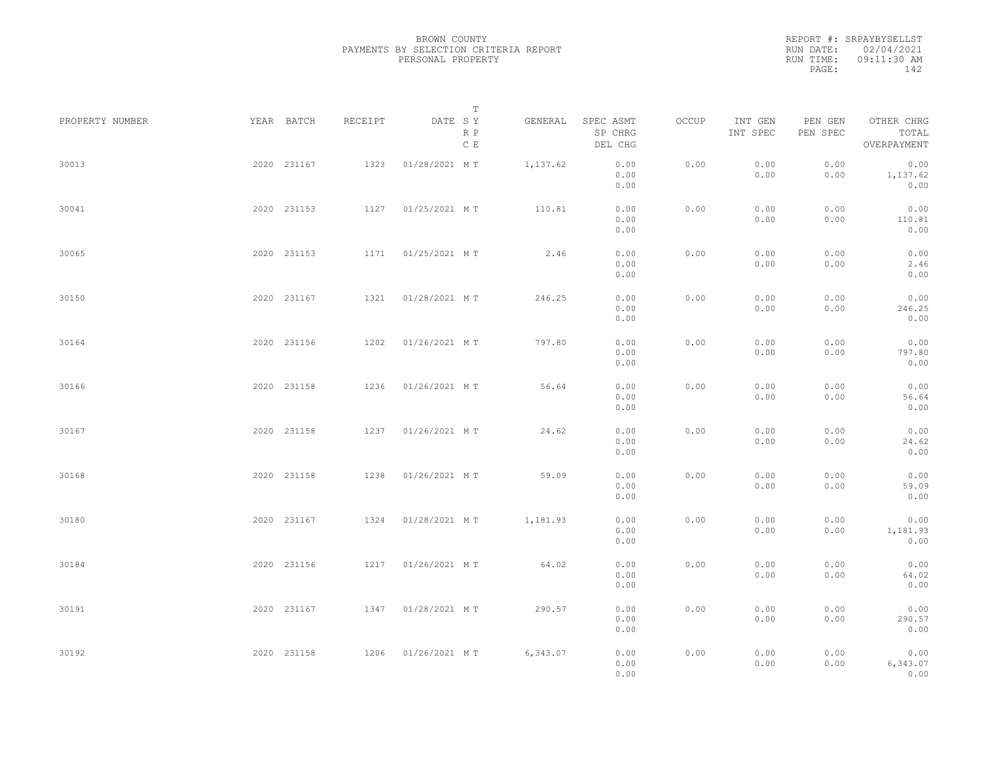REPORT #: SRPAYBYSELLST RUN DATE: 02/04/2021 RUN TIME: 09:11:30 AM PAGE: 142

|                 |             |         | T                     |          |                                 |       |                     |                     |                                    |  |
|-----------------|-------------|---------|-----------------------|----------|---------------------------------|-------|---------------------|---------------------|------------------------------------|--|
| PROPERTY NUMBER | YEAR BATCH  | RECEIPT | DATE SY<br>R P<br>C E | GENERAL  | SPEC ASMT<br>SP CHRG<br>DEL CHG | OCCUP | INT GEN<br>INT SPEC | PEN GEN<br>PEN SPEC | OTHER CHRG<br>TOTAL<br>OVERPAYMENT |  |
| 30013           | 2020 231167 | 1323    | 01/28/2021 MT         | 1,137.62 | 0.00<br>0.00<br>0.00            | 0.00  | 0.00<br>0.00        | 0.00<br>0.00        | 0.00<br>1,137.62<br>0.00           |  |
| 30041           | 2020 231153 |         | 1127 01/25/2021 MT    | 110.81   | 0.00<br>0.00<br>0.00            | 0.00  | 0.00<br>0.00        | 0.00<br>0.00        | 0.00<br>110.81<br>0.00             |  |
| 30065           | 2020 231153 |         | 1171  01/25/2021 MT   | 2.46     | 0.00<br>0.00<br>0.00            | 0.00  | 0.00<br>0.00        | 0.00<br>0.00        | 0.00<br>2.46<br>0.00               |  |
| 30150           | 2020 231167 |         | 1321 01/28/2021 MT    | 246.25   | 0.00<br>0.00<br>0.00            | 0.00  | 0.00<br>0.00        | 0.00<br>0.00        | 0.00<br>246.25<br>0.00             |  |
| 30164           | 2020 231156 | 1202    | 01/26/2021 MT         | 797.80   | 0.00<br>0.00<br>0.00            | 0.00  | 0.00<br>0.00        | 0.00<br>0.00        | 0.00<br>797.80<br>0.00             |  |
| 30166           | 2020 231158 | 1236    | 01/26/2021 MT         | 56.64    | 0.00<br>0.00<br>0.00            | 0.00  | 0.00<br>0.00        | 0.00<br>0.00        | 0.00<br>56.64<br>0.00              |  |
| 30167           | 2020 231158 | 1237    | 01/26/2021 MT         | 24.62    | 0.00<br>0.00                    | 0.00  | 0.00<br>0.00        | 0.00<br>0.00        | 0.00<br>24.62                      |  |
| 30168           | 2020 231158 | 1238    | 01/26/2021 MT         | 59.09    | 0.00<br>0.00<br>0.00            | 0.00  | 0.00<br>0.00        | 0.00<br>0.00        | 0.00<br>0.00<br>59.09              |  |
| 30180           | 2020 231167 |         | 1324 01/28/2021 MT    | 1,181.93 | 0.00<br>0.00<br>0.00            | 0.00  | 0.00<br>0.00        | 0.00<br>0.00        | 0.00<br>0.00<br>1,181.93           |  |
| 30184           | 2020 231156 |         | 1217 01/26/2021 MT    | 64.02    | 0.00<br>0.00<br>0.00            | 0.00  | 0.00<br>0.00        | 0.00<br>0.00        | 0.00<br>0.00<br>64.02              |  |
| 30191           | 2020 231167 |         | 1347 01/28/2021 MT    | 290.57   | 0.00<br>0.00<br>0.00            | 0.00  | 0.00<br>0.00        | 0.00<br>0.00        | 0.00<br>0.00<br>290.57             |  |
| 30192           | 2020 231158 |         | 1206 01/26/2021 MT    | 6,343.07 | 0.00<br>0.00                    | 0.00  | 0.00                | 0.00                | 0.00<br>0.00                       |  |
|                 |             |         |                       |          | 0.00<br>0.00                    |       | 0.00                | 0.00                | 6,343.07<br>0.00                   |  |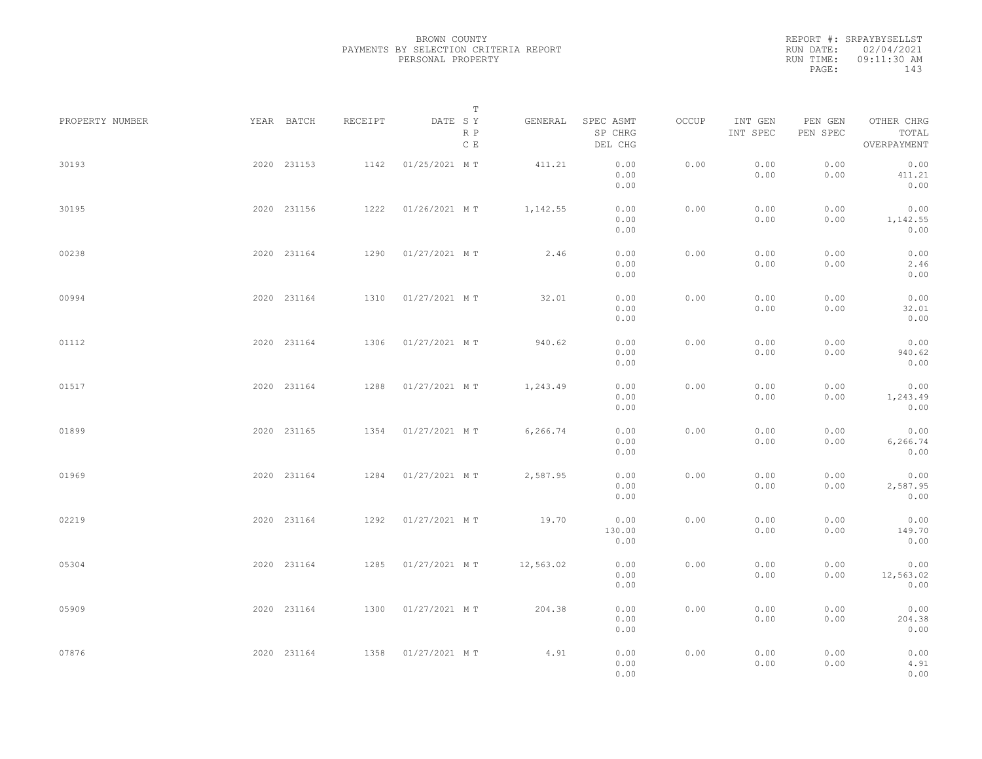REPORT #: SRPAYBYSELLST RUN DATE: 02/04/2021 RUN TIME: 09:11:30 AM PAGE: 143

|                 |             |         | T                               |           |                                 |       |                     |                     |                                    |  |
|-----------------|-------------|---------|---------------------------------|-----------|---------------------------------|-------|---------------------|---------------------|------------------------------------|--|
| PROPERTY NUMBER | YEAR BATCH  | RECEIPT | DATE SY<br>R P<br>$\,$ C $\,$ E | GENERAL   | SPEC ASMT<br>SP CHRG<br>DEL CHG | OCCUP | INT GEN<br>INT SPEC | PEN GEN<br>PEN SPEC | OTHER CHRG<br>TOTAL<br>OVERPAYMENT |  |
| 30193           | 2020 231153 | 1142    | 01/25/2021 MT                   | 411.21    | 0.00<br>0.00<br>0.00            | 0.00  | 0.00<br>0.00        | 0.00<br>0.00        | 0.00<br>411.21<br>0.00             |  |
| 30195           | 2020 231156 | 1222    | 01/26/2021 MT                   | 1,142.55  | 0.00<br>0.00<br>0.00            | 0.00  | 0.00<br>0.00        | 0.00<br>0.00        | 0.00<br>1,142.55<br>0.00           |  |
| 00238           | 2020 231164 |         | 1290 01/27/2021 MT              | 2.46      | 0.00<br>0.00<br>0.00            | 0.00  | 0.00<br>0.00        | 0.00<br>0.00        | 0.00<br>2.46<br>0.00               |  |
| 00994           | 2020 231164 | 1310    | 01/27/2021 MT                   | 32.01     | 0.00<br>0.00<br>0.00            | 0.00  | 0.00<br>0.00        | 0.00<br>0.00        | 0.00<br>32.01<br>0.00              |  |
| 01112           | 2020 231164 | 1306    | 01/27/2021 MT                   | 940.62    | 0.00<br>0.00<br>0.00            | 0.00  | 0.00<br>0.00        | 0.00<br>0.00        | 0.00<br>940.62<br>0.00             |  |
| 01517           | 2020 231164 | 1288    | 01/27/2021 MT                   | 1,243.49  | 0.00<br>0.00<br>0.00            | 0.00  | 0.00<br>0.00        | 0.00<br>0.00        | 0.00<br>1,243.49<br>0.00           |  |
| 01899           | 2020 231165 | 1354    | 01/27/2021 MT                   | 6,266.74  | 0.00<br>0.00                    | 0.00  | 0.00<br>0.00        | 0.00<br>0.00        | 0.00<br>6,266.74                   |  |
| 01969           | 2020 231164 | 1284    | 01/27/2021 MT                   | 2,587.95  | 0.00<br>0.00<br>0.00            | 0.00  | 0.00<br>0.00        | 0.00<br>0.00        | 0.00<br>0.00<br>2,587.95           |  |
| 02219           | 2020 231164 | 1292    | 01/27/2021 MT                   | 19.70     | 0.00<br>0.00<br>130.00          | 0.00  | 0.00<br>0.00        | 0.00<br>0.00        | 0.00<br>0.00<br>149.70             |  |
| 05304           | 2020 231164 |         | 1285 01/27/2021 MT              | 12,563.02 | 0.00<br>0.00<br>0.00            | 0.00  | 0.00<br>0.00        | 0.00<br>0.00        | 0.00<br>0.00<br>12,563.02          |  |
| 05909           | 2020 231164 |         | 1300 01/27/2021 MT              | 204.38    | 0.00<br>0.00<br>0.00            | 0.00  | 0.00<br>0.00        | 0.00<br>0.00        | 0.00<br>0.00<br>204.38             |  |
| 07876           | 2020 231164 |         | 1358 01/27/2021 MT              | 4.91      | 0.00<br>0.00                    | 0.00  | 0.00                | 0.00                | 0.00<br>0.00                       |  |
|                 |             |         |                                 |           | 0.00<br>0.00                    |       | 0.00                | 0.00                | 4.91<br>0.00                       |  |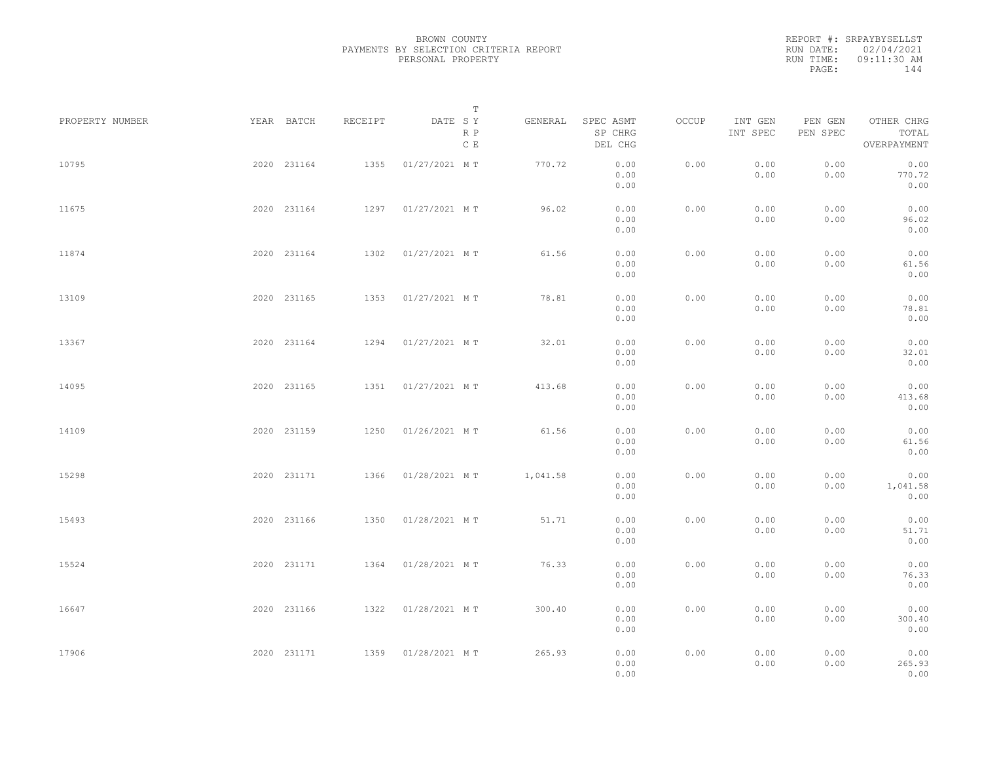REPORT #: SRPAYBYSELLST RUN DATE: 02/04/2021 RUN TIME: 09:11:30 AM PAGE: 144

|                 |             |             |         |               | $\mathbb T$ |          |                                 |       |                     |                     |                                    |  |
|-----------------|-------------|-------------|---------|---------------|-------------|----------|---------------------------------|-------|---------------------|---------------------|------------------------------------|--|
| PROPERTY NUMBER | YEAR BATCH  |             | RECEIPT | DATE SY       | R P<br>C E  | GENERAL  | SPEC ASMT<br>SP CHRG<br>DEL CHG | OCCUP | INT GEN<br>INT SPEC | PEN GEN<br>PEN SPEC | OTHER CHRG<br>TOTAL<br>OVERPAYMENT |  |
| 10795           |             | 2020 231164 | 1355    | 01/27/2021 MT |             | 770.72   | 0.00<br>0.00<br>0.00            | 0.00  | 0.00<br>0.00        | 0.00<br>0.00        | 0.00<br>770.72<br>0.00             |  |
| 11675           |             | 2020 231164 | 1297    | 01/27/2021 MT |             | 96.02    | 0.00<br>0.00<br>0.00            | 0.00  | 0.00<br>0.00        | 0.00<br>0.00        | 0.00<br>96.02<br>0.00              |  |
| 11874           |             | 2020 231164 | 1302    | 01/27/2021 MT |             | 61.56    | 0.00<br>0.00<br>0.00            | 0.00  | 0.00<br>0.00        | 0.00<br>0.00        | 0.00<br>61.56<br>0.00              |  |
| 13109           |             | 2020 231165 | 1353    | 01/27/2021 MT |             | 78.81    | 0.00<br>0.00<br>0.00            | 0.00  | 0.00<br>0.00        | 0.00<br>0.00        | 0.00<br>78.81<br>0.00              |  |
| 13367           |             | 2020 231164 | 1294    | 01/27/2021 MT |             | 32.01    | 0.00<br>0.00<br>0.00            | 0.00  | 0.00<br>0.00        | 0.00<br>0.00        | 0.00<br>32.01<br>0.00              |  |
| 14095           |             | 2020 231165 | 1351    | 01/27/2021 MT |             | 413.68   | 0.00<br>0.00<br>0.00            | 0.00  | 0.00<br>0.00        | 0.00<br>0.00        | 0.00<br>413.68<br>0.00             |  |
| 14109           |             | 2020 231159 | 1250    | 01/26/2021 MT |             | 61.56    | 0.00<br>0.00                    | 0.00  | 0.00<br>0.00        | 0.00<br>0.00        | 0.00<br>61.56                      |  |
| 15298           |             | 2020 231171 | 1366    | 01/28/2021 MT |             | 1,041.58 | 0.00<br>0.00<br>0.00            | 0.00  | 0.00<br>0.00        | 0.00<br>0.00        | 0.00<br>0.00<br>1,041.58           |  |
| 15493           |             | 2020 231166 | 1350    | 01/28/2021 MT |             | 51.71    | 0.00<br>0.00<br>0.00            | 0.00  | 0.00<br>0.00        | 0.00<br>0.00        | 0.00<br>0.00<br>51.71              |  |
| 15524           |             | 2020 231171 | 1364    | 01/28/2021 MT |             | 76.33    | 0.00<br>0.00<br>0.00            | 0.00  | 0.00<br>0.00        | 0.00<br>0.00        | 0.00<br>0.00<br>76.33              |  |
| 16647           |             | 2020 231166 | 1322    | 01/28/2021 MT |             | 300.40   | 0.00<br>0.00<br>0.00            | 0.00  | 0.00<br>0.00        | 0.00<br>0.00        | 0.00<br>0.00<br>300.40             |  |
| 17906           | 2020 231171 |             | 1359    | 01/28/2021 MT |             | 265.93   | 0.00<br>0.00<br>0.00<br>0.00    | 0.00  | 0.00<br>0.00        | 0.00<br>0.00        | 0.00<br>0.00<br>265.93<br>0.00     |  |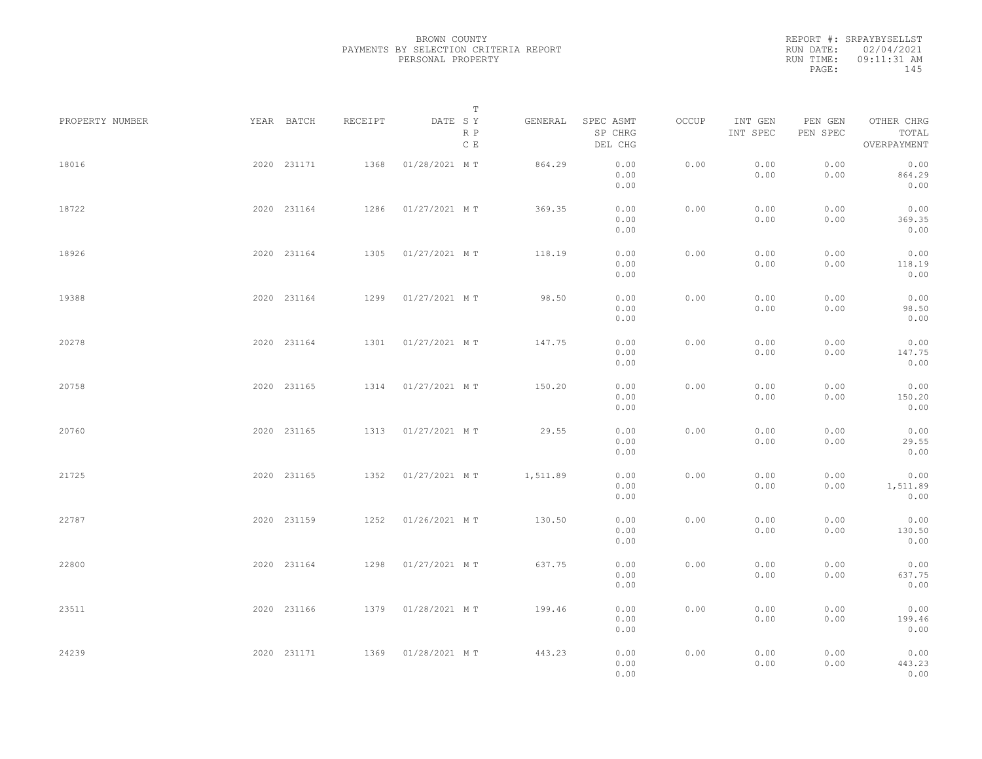REPORT #: SRPAYBYSELLST RUN DATE: 02/04/2021 RUN TIME: 09:11:31 AM PAGE: 145

|                 |             |         |               | $\mathbb T$ |          |                                 |       |                     |                     |                                    |  |
|-----------------|-------------|---------|---------------|-------------|----------|---------------------------------|-------|---------------------|---------------------|------------------------------------|--|
| PROPERTY NUMBER | YEAR BATCH  | RECEIPT | DATE SY       | R P<br>C E  | GENERAL  | SPEC ASMT<br>SP CHRG<br>DEL CHG | OCCUP | INT GEN<br>INT SPEC | PEN GEN<br>PEN SPEC | OTHER CHRG<br>TOTAL<br>OVERPAYMENT |  |
| 18016           | 2020 231171 | 1368    | 01/28/2021 MT |             | 864.29   | 0.00<br>0.00<br>0.00            | 0.00  | 0.00<br>0.00        | 0.00<br>0.00        | 0.00<br>864.29<br>0.00             |  |
| 18722           | 2020 231164 | 1286    | 01/27/2021 MT |             | 369.35   | 0.00<br>0.00<br>0.00            | 0.00  | 0.00<br>0.00        | 0.00<br>0.00        | 0.00<br>369.35<br>0.00             |  |
| 18926           | 2020 231164 | 1305    | 01/27/2021 MT |             | 118.19   | 0.00<br>0.00<br>0.00            | 0.00  | 0.00<br>0.00        | 0.00<br>0.00        | 0.00<br>118.19<br>0.00             |  |
| 19388           | 2020 231164 | 1299    | 01/27/2021 MT |             | 98.50    | 0.00<br>0.00<br>0.00            | 0.00  | 0.00<br>0.00        | 0.00<br>0.00        | 0.00<br>98.50<br>0.00              |  |
| 20278           | 2020 231164 | 1301    | 01/27/2021 MT |             | 147.75   | 0.00<br>0.00<br>0.00            | 0.00  | 0.00<br>0.00        | 0.00<br>0.00        | 0.00<br>147.75<br>0.00             |  |
| 20758           | 2020 231165 | 1314    | 01/27/2021 MT |             | 150.20   | 0.00<br>0.00<br>0.00            | 0.00  | 0.00<br>0.00        | 0.00<br>0.00        | 0.00<br>150.20<br>0.00             |  |
| 20760           | 2020 231165 | 1313    | 01/27/2021 MT |             | 29.55    | 0.00<br>0.00<br>0.00            | 0.00  | 0.00<br>0.00        | 0.00<br>0.00        | 0.00<br>29.55<br>0.00              |  |
| 21725           | 2020 231165 | 1352    | 01/27/2021 MT |             | 1,511.89 | 0.00<br>0.00<br>0.00            | 0.00  | 0.00<br>0.00        | 0.00<br>0.00        | 0.00<br>1,511.89<br>0.00           |  |
| 22787           | 2020 231159 | 1252    | 01/26/2021 MT |             | 130.50   | 0.00<br>0.00<br>0.00            | 0.00  | 0.00<br>0.00        | 0.00<br>0.00        | 0.00<br>130.50<br>0.00             |  |
| 22800           | 2020 231164 | 1298    | 01/27/2021 MT |             | 637.75   | 0.00<br>0.00<br>0.00            | 0.00  | 0.00<br>0.00        | 0.00<br>0.00        | 0.00<br>637.75<br>0.00             |  |
| 23511           | 2020 231166 | 1379    | 01/28/2021 MT |             | 199.46   | 0.00<br>0.00                    | 0.00  | 0.00<br>0.00        | 0.00<br>0.00        | 0.00<br>199.46<br>0.00             |  |
| 24239           | 2020 231171 | 1369    | 01/28/2021 MT |             | 443.23   | 0.00<br>0.00<br>0.00<br>0.00    | 0.00  | 0.00<br>0.00        | 0.00<br>0.00        | 0.00<br>443.23<br>0.00             |  |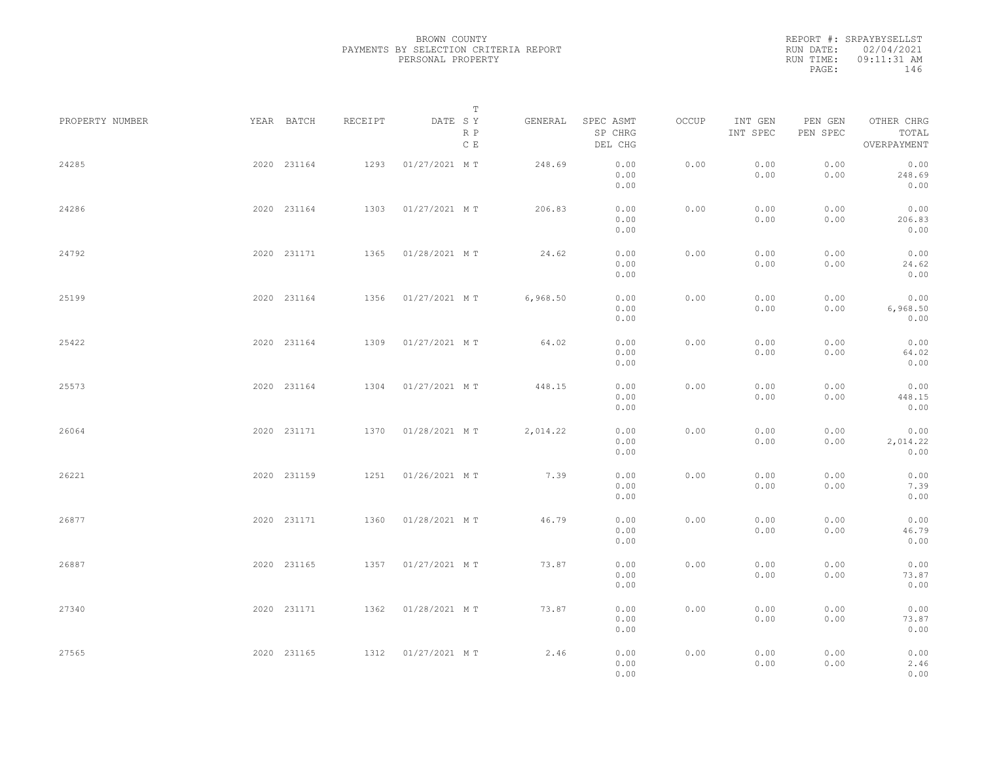|           | REPORT #: SRPAYBYSELLST |
|-----------|-------------------------|
|           | RUN DATE: 02/04/2021    |
| RUN TIME: | $09:11:31$ AM           |
| PAGE:     | 146                     |
|           |                         |

| PROPERTY NUMBER | YEAR BATCH  | RECEIPT | DATE SY            | Т                    | GENERAL  | SPEC ASMT            | OCCUP | INT GEN      | PEN GEN      | OTHER CHRG               |  |
|-----------------|-------------|---------|--------------------|----------------------|----------|----------------------|-------|--------------|--------------|--------------------------|--|
|                 |             |         |                    | R P<br>$\,$ C $\,$ E |          | SP CHRG<br>DEL CHG   |       | INT SPEC     | PEN SPEC     | TOTAL<br>OVERPAYMENT     |  |
| 24285           | 2020 231164 | 1293    | 01/27/2021 MT      |                      | 248.69   | 0.00<br>0.00<br>0.00 | 0.00  | 0.00<br>0.00 | 0.00<br>0.00 | 0.00<br>248.69<br>0.00   |  |
| 24286           | 2020 231164 | 1303    | 01/27/2021 MT      |                      | 206.83   | 0.00<br>0.00<br>0.00 | 0.00  | 0.00<br>0.00 | 0.00<br>0.00 | 0.00<br>206.83<br>0.00   |  |
| 24792           | 2020 231171 | 1365    | 01/28/2021 MT      |                      | 24.62    | 0.00<br>0.00<br>0.00 | 0.00  | 0.00<br>0.00 | 0.00<br>0.00 | 0.00<br>24.62<br>0.00    |  |
| 25199           | 2020 231164 | 1356    | 01/27/2021 MT      |                      | 6,968.50 | 0.00<br>0.00<br>0.00 | 0.00  | 0.00<br>0.00 | 0.00<br>0.00 | 0.00<br>6,968.50<br>0.00 |  |
| 25422           | 2020 231164 | 1309    | 01/27/2021 MT      |                      | 64.02    | 0.00<br>0.00<br>0.00 | 0.00  | 0.00<br>0.00 | 0.00<br>0.00 | 0.00<br>64.02<br>0.00    |  |
| 25573           | 2020 231164 | 1304    | 01/27/2021 MT      |                      | 448.15   | 0.00<br>0.00<br>0.00 | 0.00  | 0.00<br>0.00 | 0.00<br>0.00 | 0.00<br>448.15<br>0.00   |  |
| 26064           | 2020 231171 | 1370    | 01/28/2021 MT      |                      | 2,014.22 | 0.00<br>0.00<br>0.00 | 0.00  | 0.00<br>0.00 | 0.00<br>0.00 | 0.00<br>2,014.22<br>0.00 |  |
| 26221           | 2020 231159 | 1251    | 01/26/2021 MT      |                      | 7.39     | 0.00<br>0.00<br>0.00 | 0.00  | 0.00<br>0.00 | 0.00<br>0.00 | 0.00<br>7.39<br>0.00     |  |
| 26877           | 2020 231171 | 1360    | 01/28/2021 MT      |                      | 46.79    | 0.00<br>0.00<br>0.00 | 0.00  | 0.00<br>0.00 | 0.00<br>0.00 | 0.00<br>46.79<br>0.00    |  |
| 26887           | 2020 231165 | 1357    | 01/27/2021 MT      |                      | 73.87    | 0.00<br>0.00<br>0.00 | 0.00  | 0.00<br>0.00 | 0.00<br>0.00 | 0.00<br>73.87<br>0.00    |  |
| 27340           | 2020 231171 | 1362    | 01/28/2021 MT      |                      | 73.87    | 0.00<br>0.00<br>0.00 | 0.00  | 0.00<br>0.00 | 0.00<br>0.00 | 0.00<br>73.87<br>0.00    |  |
| 27565           | 2020 231165 |         | 1312 01/27/2021 MT |                      | 2.46     | 0.00<br>0.00<br>0.00 | 0.00  | 0.00<br>0.00 | 0.00<br>0.00 | 0.00<br>2.46<br>0.00     |  |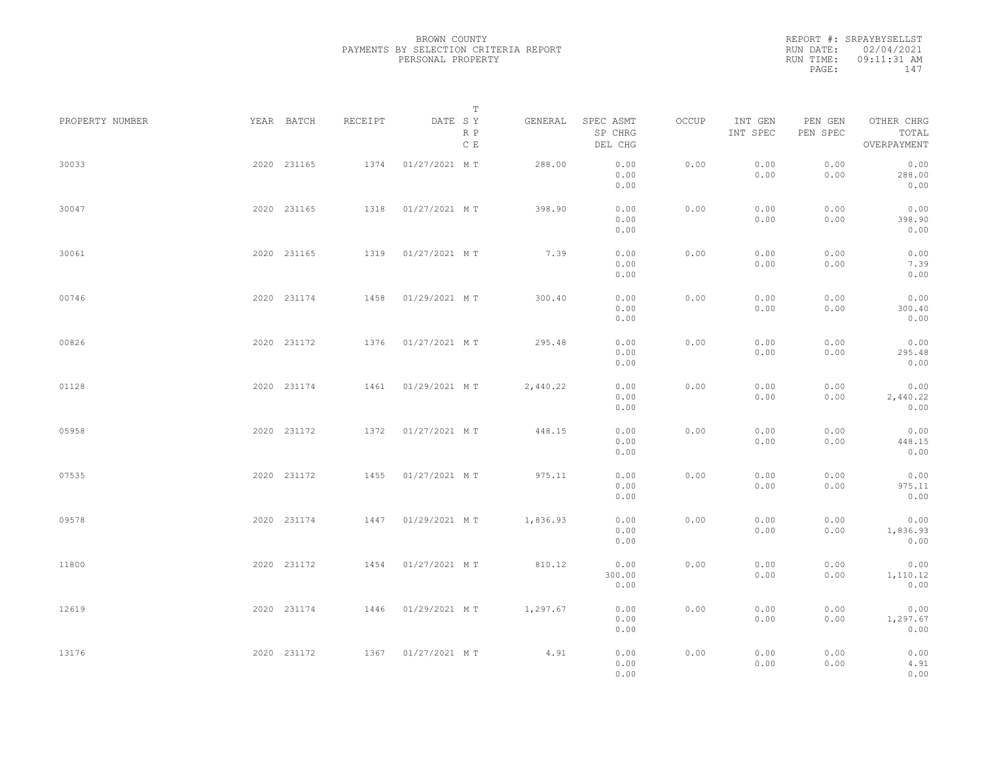REPORT #: SRPAYBYSELLST RUN DATE: 02/04/2021 RUN TIME: 09:11:31 AM PAGE: 147

|                 |             |         |                    | $\mathbb T$ |          |                                 |       |                     |                     |                                    |  |
|-----------------|-------------|---------|--------------------|-------------|----------|---------------------------------|-------|---------------------|---------------------|------------------------------------|--|
| PROPERTY NUMBER | YEAR BATCH  | RECEIPT | DATE SY            | R P<br>C E  | GENERAL  | SPEC ASMT<br>SP CHRG<br>DEL CHG | OCCUP | INT GEN<br>INT SPEC | PEN GEN<br>PEN SPEC | OTHER CHRG<br>TOTAL<br>OVERPAYMENT |  |
| 30033           | 2020 231165 | 1374    | 01/27/2021 MT      |             | 288.00   | 0.00<br>0.00<br>0.00            | 0.00  | 0.00<br>0.00        | 0.00<br>0.00        | 0.00<br>288.00<br>0.00             |  |
| 30047           | 2020 231165 | 1318    | 01/27/2021 MT      |             | 398.90   | 0.00<br>0.00<br>0.00            | 0.00  | 0.00<br>0.00        | 0.00<br>0.00        | 0.00<br>398.90<br>0.00             |  |
| 30061           | 2020 231165 | 1319    | 01/27/2021 MT      |             | 7.39     | 0.00<br>0.00<br>0.00            | 0.00  | 0.00<br>0.00        | 0.00<br>0.00        | 0.00<br>7.39<br>0.00               |  |
| 00746           | 2020 231174 |         | 1458 01/29/2021 MT |             | 300.40   | 0.00<br>0.00<br>0.00            | 0.00  | 0.00<br>0.00        | 0.00<br>0.00        | 0.00<br>300.40<br>0.00             |  |
| 00826           | 2020 231172 |         | 1376 01/27/2021 MT |             | 295.48   | 0.00<br>0.00<br>0.00            | 0.00  | 0.00<br>0.00        | 0.00<br>0.00        | 0.00<br>295.48<br>0.00             |  |
| 01128           | 2020 231174 | 1461    | 01/29/2021 MT      |             | 2,440.22 | 0.00<br>0.00<br>0.00            | 0.00  | 0.00<br>0.00        | 0.00<br>0.00        | 0.00<br>2,440.22<br>0.00           |  |
| 05958           | 2020 231172 | 1372    | 01/27/2021 MT      |             | 448.15   | 0.00<br>0.00<br>0.00            | 0.00  | 0.00<br>0.00        | 0.00<br>0.00        | 0.00<br>448.15<br>0.00             |  |
| 07535           | 2020 231172 | 1455    | 01/27/2021 MT      |             | 975.11   | 0.00<br>0.00<br>0.00            | 0.00  | 0.00<br>0.00        | 0.00<br>0.00        | 0.00<br>975.11<br>0.00             |  |
| 09578           | 2020 231174 | 1447    | 01/29/2021 MT      |             | 1,836.93 | 0.00<br>0.00<br>0.00            | 0.00  | 0.00<br>0.00        | 0.00<br>0.00        | 0.00<br>1,836.93<br>0.00           |  |
| 11800           | 2020 231172 | 1454    | 01/27/2021 MT      |             | 810.12   | 0.00<br>300.00<br>0.00          | 0.00  | 0.00<br>0.00        | 0.00<br>0.00        | 0.00<br>1,110.12<br>0.00           |  |
| 12619           | 2020 231174 |         | 1446 01/29/2021 MT |             | 1,297.67 | 0.00<br>0.00<br>0.00            | 0.00  | 0.00<br>0.00        | 0.00<br>0.00        | 0.00<br>1,297.67<br>0.00           |  |
| 13176           | 2020 231172 |         | 1367 01/27/2021 MT |             | 4.91     | 0.00<br>0.00<br>0.00            | 0.00  | 0.00<br>0.00        | 0.00<br>0.00        | 0.00<br>4.91<br>0.00               |  |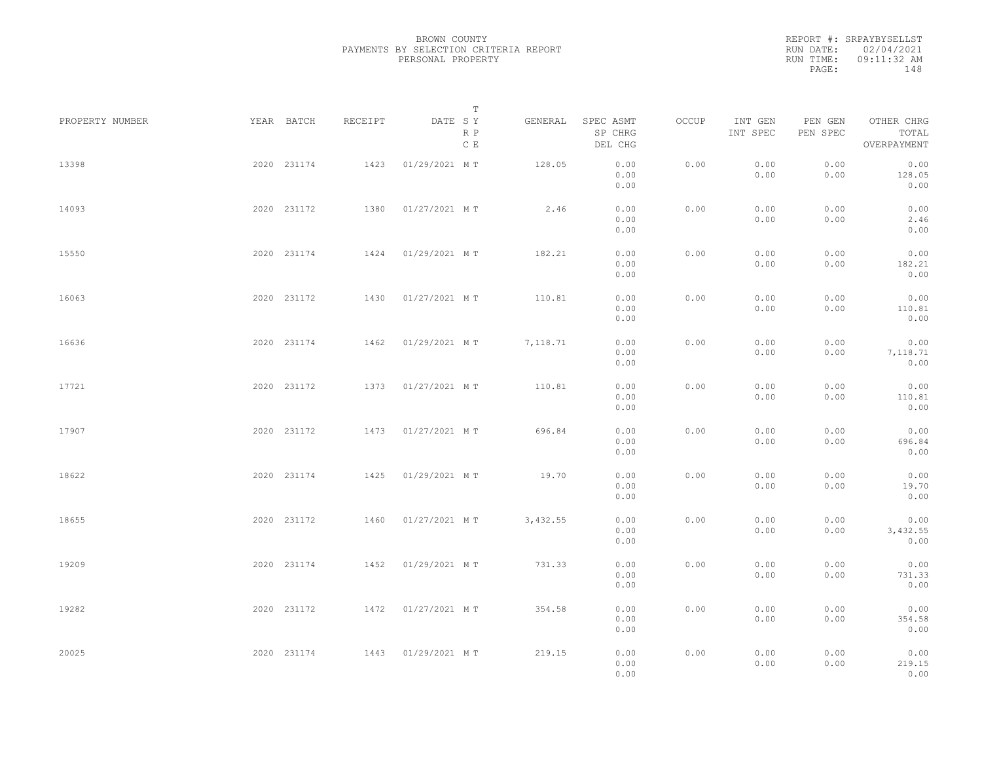REPORT #: SRPAYBYSELLST RUN DATE: 02/04/2021 RUN TIME: 09:11:32 AM PAGE: 148

|                 |             |         | $\mathbb T$           |          |                                 |       |                     |                     |                                    |  |
|-----------------|-------------|---------|-----------------------|----------|---------------------------------|-------|---------------------|---------------------|------------------------------------|--|
| PROPERTY NUMBER | YEAR BATCH  | RECEIPT | DATE SY<br>R P<br>C E | GENERAL  | SPEC ASMT<br>SP CHRG<br>DEL CHG | OCCUP | INT GEN<br>INT SPEC | PEN GEN<br>PEN SPEC | OTHER CHRG<br>TOTAL<br>OVERPAYMENT |  |
| 13398           | 2020 231174 | 1423    | 01/29/2021 MT         | 128.05   | 0.00<br>0.00<br>0.00            | 0.00  | 0.00<br>0.00        | 0.00<br>0.00        | 0.00<br>128.05<br>0.00             |  |
| 14093           | 2020 231172 | 1380    | 01/27/2021 MT         | 2.46     | 0.00<br>0.00<br>0.00            | 0.00  | 0.00<br>0.00        | 0.00<br>0.00        | 0.00<br>2.46<br>0.00               |  |
| 15550           | 2020 231174 | 1424    | 01/29/2021 MT         | 182.21   | 0.00<br>0.00<br>0.00            | 0.00  | 0.00<br>0.00        | 0.00<br>0.00        | 0.00<br>182.21<br>0.00             |  |
| 16063           | 2020 231172 | 1430    | 01/27/2021 MT         | 110.81   | 0.00<br>0.00<br>0.00            | 0.00  | 0.00<br>0.00        | 0.00<br>0.00        | 0.00<br>110.81<br>0.00             |  |
| 16636           | 2020 231174 | 1462    | 01/29/2021 MT         | 7,118.71 | 0.00<br>0.00<br>0.00            | 0.00  | 0.00<br>0.00        | 0.00<br>0.00        | 0.00<br>7,118.71<br>0.00           |  |
| 17721           | 2020 231172 | 1373    | 01/27/2021 MT         | 110.81   | 0.00<br>0.00<br>0.00            | 0.00  | 0.00<br>0.00        | 0.00<br>0.00        | 0.00<br>110.81<br>0.00             |  |
| 17907           | 2020 231172 | 1473    | 01/27/2021 MT         | 696.84   | 0.00<br>0.00<br>0.00            | 0.00  | 0.00<br>0.00        | 0.00<br>0.00        | 0.00<br>696.84<br>0.00             |  |
| 18622           | 2020 231174 | 1425    | 01/29/2021 MT         | 19.70    | 0.00<br>0.00<br>0.00            | 0.00  | 0.00<br>0.00        | 0.00<br>0.00        | 0.00<br>19.70<br>0.00              |  |
| 18655           | 2020 231172 | 1460    | 01/27/2021 MT         | 3,432.55 | 0.00<br>0.00<br>0.00            | 0.00  | 0.00<br>0.00        | 0.00<br>0.00        | 0.00<br>3,432.55<br>0.00           |  |
| 19209           | 2020 231174 | 1452    | 01/29/2021 MT         | 731.33   | 0.00<br>0.00<br>0.00            | 0.00  | 0.00<br>0.00        | 0.00<br>0.00        | 0.00<br>731.33<br>0.00             |  |
| 19282           | 2020 231172 |         | 1472 01/27/2021 MT    | 354.58   | 0.00<br>0.00                    | 0.00  | 0.00<br>0.00        | 0.00<br>0.00        | 0.00<br>354.58                     |  |
| 20025           | 2020 231174 |         | 1443 01/29/2021 MT    | 219.15   | 0.00<br>0.00<br>0.00<br>0.00    | 0.00  | 0.00<br>0.00        | 0.00<br>0.00        | 0.00<br>0.00<br>219.15<br>0.00     |  |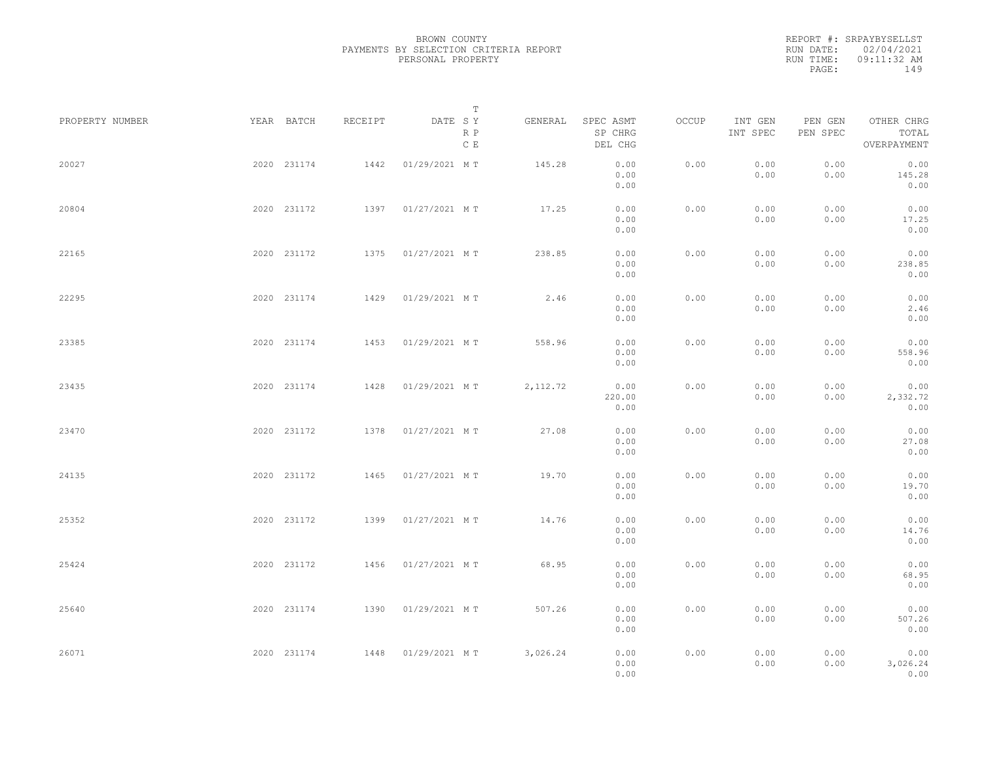REPORT #: SRPAYBYSELLST RUN DATE: 02/04/2021 RUN TIME: 09:11:32 AM PAGE: 149

|                 |             |             |         |               | $\mathbb T$ |           |                                 |       |                     |                     |                                    |  |
|-----------------|-------------|-------------|---------|---------------|-------------|-----------|---------------------------------|-------|---------------------|---------------------|------------------------------------|--|
| PROPERTY NUMBER | YEAR BATCH  |             | RECEIPT | DATE SY       | R P<br>C E  | GENERAL   | SPEC ASMT<br>SP CHRG<br>DEL CHG | OCCUP | INT GEN<br>INT SPEC | PEN GEN<br>PEN SPEC | OTHER CHRG<br>TOTAL<br>OVERPAYMENT |  |
| 20027           |             | 2020 231174 | 1442    | 01/29/2021 MT |             | 145.28    | 0.00<br>0.00<br>0.00            | 0.00  | 0.00<br>0.00        | 0.00<br>0.00        | 0.00<br>145.28<br>0.00             |  |
| 20804           |             | 2020 231172 | 1397    | 01/27/2021 MT |             | 17.25     | 0.00<br>0.00<br>0.00            | 0.00  | 0.00<br>0.00        | 0.00<br>0.00        | 0.00<br>17.25<br>0.00              |  |
| 22165           |             | 2020 231172 | 1375    | 01/27/2021 MT |             | 238.85    | 0.00<br>0.00<br>0.00            | 0.00  | 0.00<br>0.00        | 0.00<br>0.00        | 0.00<br>238.85<br>0.00             |  |
| 22295           |             | 2020 231174 | 1429    | 01/29/2021 MT |             | 2.46      | 0.00<br>0.00<br>0.00            | 0.00  | 0.00<br>0.00        | 0.00<br>0.00        | 0.00<br>2.46<br>0.00               |  |
| 23385           |             | 2020 231174 | 1453    | 01/29/2021 MT |             | 558.96    | 0.00<br>0.00<br>0.00            | 0.00  | 0.00<br>0.00        | 0.00<br>0.00        | 0.00<br>558.96<br>0.00             |  |
| 23435           |             | 2020 231174 | 1428    | 01/29/2021 MT |             | 2, 112.72 | 0.00<br>220.00<br>0.00          | 0.00  | 0.00<br>0.00        | 0.00<br>0.00        | 0.00<br>2,332.72<br>0.00           |  |
| 23470           |             | 2020 231172 | 1378    | 01/27/2021 MT |             | 27.08     | 0.00<br>0.00<br>0.00            | 0.00  | 0.00<br>0.00        | 0.00<br>0.00        | 0.00<br>27.08<br>0.00              |  |
| 24135           |             | 2020 231172 | 1465    | 01/27/2021 MT |             | 19.70     | 0.00<br>0.00<br>0.00            | 0.00  | 0.00<br>0.00        | 0.00<br>0.00        | 0.00<br>19.70<br>0.00              |  |
| 25352           |             | 2020 231172 | 1399    | 01/27/2021 MT |             | 14.76     | 0.00<br>0.00<br>0.00            | 0.00  | 0.00<br>0.00        | 0.00<br>0.00        | 0.00<br>14.76<br>0.00              |  |
| 25424           |             | 2020 231172 | 1456    | 01/27/2021 MT |             | 68.95     | 0.00<br>0.00<br>0.00            | 0.00  | 0.00<br>0.00        | 0.00<br>0.00        | 0.00<br>68.95<br>0.00              |  |
| 25640           |             | 2020 231174 | 1390    | 01/29/2021 MT |             | 507.26    | 0.00<br>0.00<br>0.00            | 0.00  | 0.00<br>0.00        | 0.00<br>0.00        | 0.00<br>507.26<br>0.00             |  |
| 26071           | 2020 231174 |             | 1448    | 01/29/2021 MT |             | 3,026.24  | 0.00<br>0.00<br>0.00            | 0.00  | 0.00<br>0.00        | 0.00<br>0.00        | 0.00<br>3,026.24<br>0.00           |  |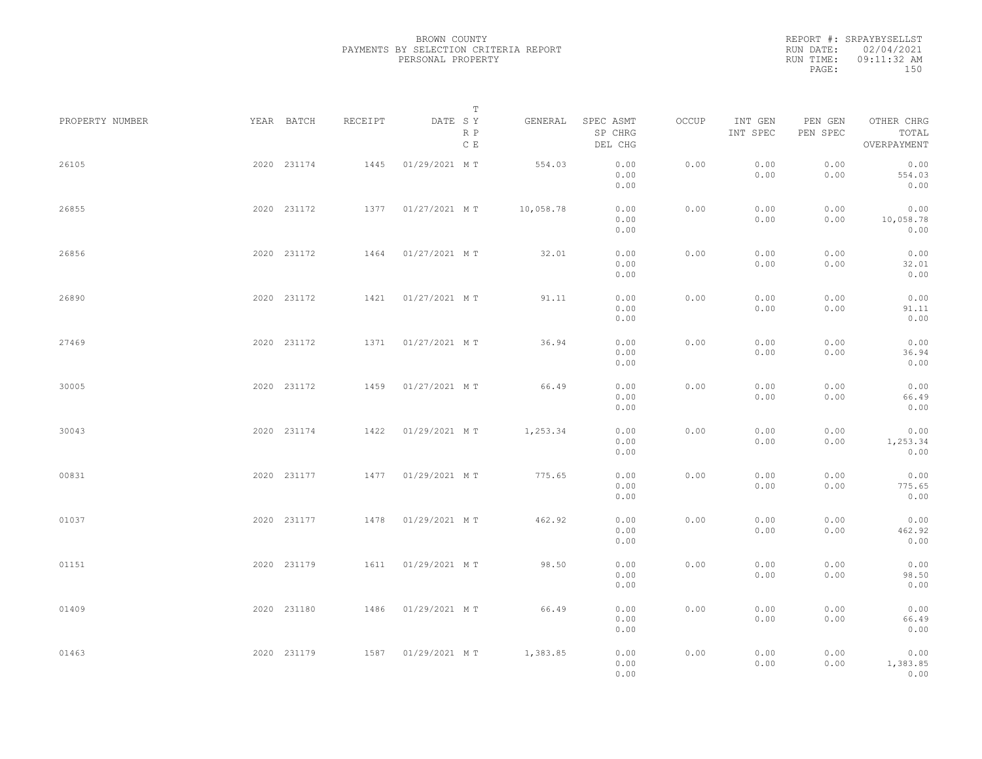REPORT #: SRPAYBYSELLST RUN DATE: 02/04/2021 RUN TIME: 09:11:32 AM PAGE: 150

|                 |            |             |         | T                           |           |                                 |       |                     |                     |                                    |  |
|-----------------|------------|-------------|---------|-----------------------------|-----------|---------------------------------|-------|---------------------|---------------------|------------------------------------|--|
| PROPERTY NUMBER | YEAR BATCH |             | RECEIPT | DATE SY<br>R P<br>C E       | GENERAL   | SPEC ASMT<br>SP CHRG<br>DEL CHG | OCCUP | INT GEN<br>INT SPEC | PEN GEN<br>PEN SPEC | OTHER CHRG<br>TOTAL<br>OVERPAYMENT |  |
| 26105           |            | 2020 231174 | 1445    | 01/29/2021 MT               | 554.03    | 0.00<br>0.00<br>0.00            | 0.00  | 0.00<br>0.00        | 0.00<br>0.00        | 0.00<br>554.03<br>0.00             |  |
| 26855           |            | 2020 231172 |         | 1377 01/27/2021 MT          | 10,058.78 | 0.00<br>0.00<br>0.00            | 0.00  | 0.00<br>0.00        | 0.00<br>0.00        | 0.00<br>10,058.78<br>0.00          |  |
| 26856           |            | 2020 231172 | 1464    | 01/27/2021 MT               | 32.01     | 0.00<br>0.00<br>0.00            | 0.00  | 0.00<br>0.00        | 0.00<br>0.00        | 0.00<br>32.01<br>0.00              |  |
| 26890           |            | 2020 231172 | 1421    | 01/27/2021 MT               | 91.11     | 0.00<br>0.00<br>0.00            | 0.00  | 0.00<br>0.00        | 0.00<br>0.00        | 0.00<br>91.11<br>0.00              |  |
| 27469           |            | 2020 231172 | 1371    | 01/27/2021 MT               | 36.94     | 0.00<br>0.00<br>0.00            | 0.00  | 0.00<br>0.00        | 0.00<br>0.00        | 0.00<br>36.94<br>0.00              |  |
| 30005           |            | 2020 231172 | 1459    | 01/27/2021 MT               | 66.49     | 0.00<br>0.00<br>0.00            | 0.00  | 0.00<br>0.00        | 0.00<br>0.00        | 0.00<br>66.49<br>0.00              |  |
| 30043           |            | 2020 231174 | 1422    | 01/29/2021 MT               | 1,253.34  | 0.00<br>0.00<br>0.00            | 0.00  | 0.00<br>0.00        | 0.00<br>0.00        | 0.00<br>1,253.34<br>0.00           |  |
| 00831           |            | 2020 231177 | 1477    | 01/29/2021 MT               | 775.65    | 0.00<br>0.00<br>0.00            | 0.00  | 0.00<br>0.00        | 0.00<br>0.00        | 0.00<br>775.65<br>0.00             |  |
| 01037           |            | 2020 231177 |         | 1478  01/29/2021 MT         | 462.92    | 0.00<br>0.00<br>0.00            | 0.00  | 0.00<br>0.00        | 0.00<br>0.00        | 0.00<br>462.92<br>0.00             |  |
| 01151           |            | 2020 231179 |         | 1611  01/29/2021 MT         | 98.50     | 0.00<br>0.00<br>0.00            | 0.00  | 0.00<br>0.00        | 0.00<br>0.00        | 0.00<br>98.50<br>0.00              |  |
| 01409           |            | 2020 231180 |         | 1486 01/29/2021 MT          | 66.49     | 0.00<br>0.00<br>0.00            | 0.00  | 0.00<br>0.00        | 0.00<br>0.00        | 0.00<br>66.49<br>0.00              |  |
| 01463           |            | 2020 231179 |         | 1587 01/29/2021 MT 1,383.85 |           | 0.00<br>0.00<br>0.00            | 0.00  | 0.00<br>0.00        | 0.00<br>0.00        | 0.00<br>1,383.85<br>0.00           |  |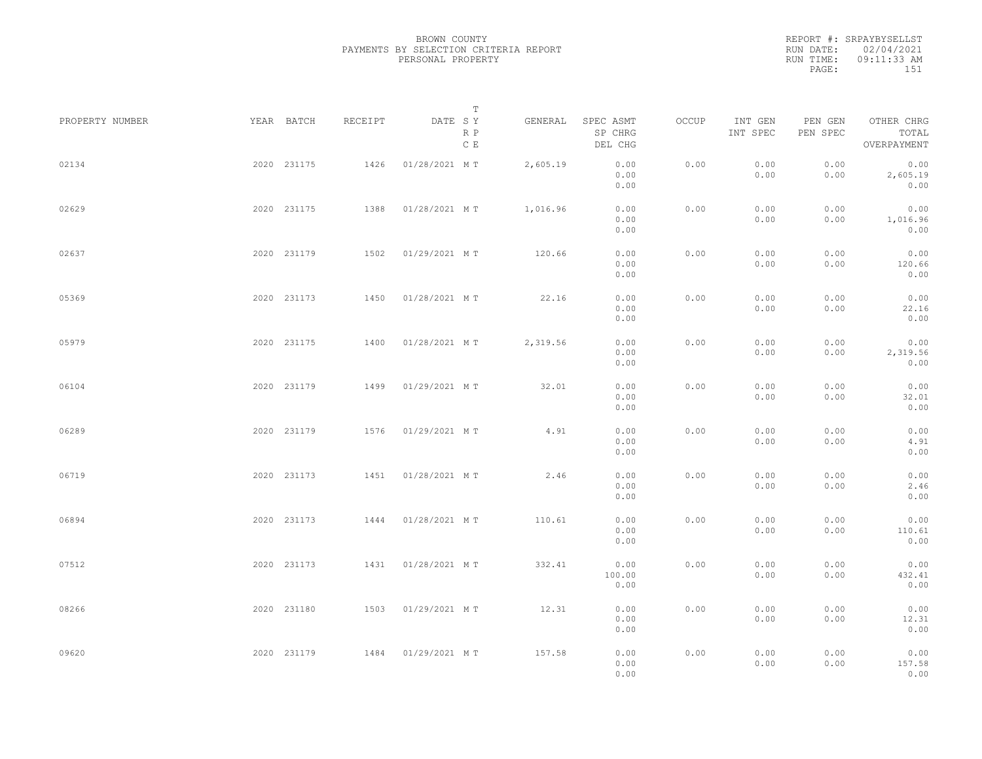REPORT #: SRPAYBYSELLST RUN DATE: 02/04/2021 RUN TIME: 09:11:33 AM PAGE: 151

|                 |             |         | T                     |          |                                 |       |                     |                     |                                    |  |
|-----------------|-------------|---------|-----------------------|----------|---------------------------------|-------|---------------------|---------------------|------------------------------------|--|
| PROPERTY NUMBER | YEAR BATCH  | RECEIPT | DATE SY<br>R P<br>C E | GENERAL  | SPEC ASMT<br>SP CHRG<br>DEL CHG | OCCUP | INT GEN<br>INT SPEC | PEN GEN<br>PEN SPEC | OTHER CHRG<br>TOTAL<br>OVERPAYMENT |  |
| 02134           | 2020 231175 | 1426    | 01/28/2021 MT         | 2,605.19 | 0.00<br>0.00<br>0.00            | 0.00  | 0.00<br>0.00        | 0.00<br>0.00        | 0.00<br>2,605.19<br>0.00           |  |
| 02629           | 2020 231175 | 1388    | 01/28/2021 MT         | 1,016.96 | 0.00<br>0.00<br>0.00            | 0.00  | 0.00<br>0.00        | 0.00<br>0.00        | 0.00<br>1,016.96<br>0.00           |  |
| 02637           | 2020 231179 |         | 1502 01/29/2021 MT    | 120.66   | 0.00<br>0.00<br>0.00            | 0.00  | 0.00<br>0.00        | 0.00<br>0.00        | 0.00<br>120.66<br>0.00             |  |
| 05369           | 2020 231173 | 1450    | 01/28/2021 MT         | 22.16    | 0.00<br>0.00<br>0.00            | 0.00  | 0.00<br>0.00        | 0.00<br>0.00        | 0.00<br>22.16<br>0.00              |  |
| 05979           | 2020 231175 | 1400    | 01/28/2021 MT         | 2,319.56 | 0.00<br>0.00<br>0.00            | 0.00  | 0.00<br>0.00        | 0.00<br>0.00        | 0.00<br>2,319.56<br>0.00           |  |
| 06104           | 2020 231179 | 1499    | 01/29/2021 MT         | 32.01    | 0.00<br>0.00<br>0.00            | 0.00  | 0.00<br>0.00        | 0.00<br>0.00        | 0.00<br>32.01<br>0.00              |  |
| 06289           | 2020 231179 | 1576    | 01/29/2021 MT         | 4.91     | 0.00<br>0.00<br>0.00            | 0.00  | 0.00<br>0.00        | 0.00<br>0.00        | 0.00<br>4.91<br>0.00               |  |
| 06719           | 2020 231173 | 1451    | 01/28/2021 MT         | 2.46     | 0.00<br>0.00<br>0.00            | 0.00  | 0.00<br>0.00        | 0.00<br>0.00        | 0.00<br>2.46<br>0.00               |  |
| 06894           | 2020 231173 |         | 1444 01/28/2021 MT    | 110.61   | 0.00<br>0.00<br>0.00            | 0.00  | 0.00<br>0.00        | 0.00<br>0.00        | 0.00<br>110.61<br>0.00             |  |
| 07512           | 2020 231173 |         | 1431  01/28/2021 MT   | 332.41   | 0.00<br>100.00<br>0.00          | 0.00  | 0.00<br>0.00        | 0.00<br>0.00        | 0.00<br>432.41<br>0.00             |  |
| 08266           | 2020 231180 |         | 1503 01/29/2021 MT    | 12.31    | 0.00<br>0.00<br>0.00            | 0.00  | 0.00<br>0.00        | 0.00<br>0.00        | 0.00<br>12.31<br>0.00              |  |
| 09620           | 2020 231179 |         | 1484 01/29/2021 MT    | 157.58   | 0.00<br>0.00<br>0.00            | 0.00  | 0.00<br>0.00        | 0.00<br>0.00        | 0.00<br>157.58<br>0.00             |  |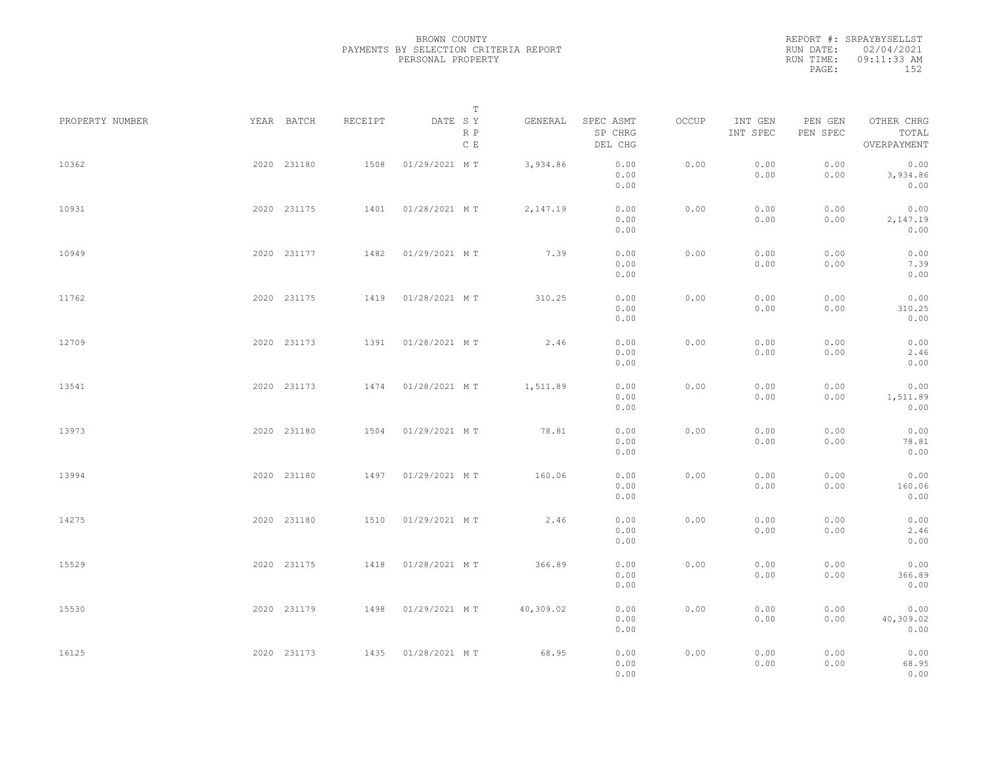REPORT #: SRPAYBYSELLST RUN DATE: 02/04/2021 RUN TIME: 09:11:33 AM PAGE: 152

|                 |             |             |         | T                     |           |                                 |       |                     |                     |                                    |  |
|-----------------|-------------|-------------|---------|-----------------------|-----------|---------------------------------|-------|---------------------|---------------------|------------------------------------|--|
| PROPERTY NUMBER | YEAR BATCH  |             | RECEIPT | DATE SY<br>R P<br>C E | GENERAL   | SPEC ASMT<br>SP CHRG<br>DEL CHG | OCCUP | INT GEN<br>INT SPEC | PEN GEN<br>PEN SPEC | OTHER CHRG<br>TOTAL<br>OVERPAYMENT |  |
| 10362           | 2020 231180 |             | 1508    | 01/29/2021 MT         | 3,934.86  | 0.00<br>0.00<br>0.00            | 0.00  | 0.00<br>0.00        | 0.00<br>0.00        | 0.00<br>3,934.86<br>0.00           |  |
| 10931           | 2020 231175 |             |         | 1401  01/28/2021 MT   | 2,147.19  | 0.00<br>0.00<br>0.00            | 0.00  | 0.00<br>0.00        | 0.00<br>0.00        | 0.00<br>2,147.19<br>0.00           |  |
| 10949           |             | 2020 231177 |         | 1482  01/29/2021 MT   | 7.39      | 0.00<br>0.00<br>0.00            | 0.00  | 0.00<br>0.00        | 0.00<br>0.00        | 0.00<br>7.39<br>0.00               |  |
| 11762           |             | 2020 231175 |         | 1419  01/28/2021 MT   | 310.25    | 0.00<br>0.00<br>0.00            | 0.00  | 0.00<br>0.00        | 0.00<br>0.00        | 0.00<br>310.25<br>0.00             |  |
| 12709           |             | 2020 231173 | 1391    | 01/28/2021 MT         | 2.46      | 0.00<br>0.00<br>0.00            | 0.00  | 0.00<br>0.00        | 0.00<br>0.00        | 0.00<br>2.46<br>0.00               |  |
| 13541           |             | 2020 231173 | 1474    | 01/28/2021 MT         | 1,511.89  | 0.00<br>0.00<br>0.00            | 0.00  | 0.00<br>0.00        | 0.00<br>0.00        | 0.00<br>1,511.89<br>0.00           |  |
| 13973           | 2020 231180 |             | 1504    | 01/29/2021 MT         | 78.81     | 0.00<br>0.00<br>0.00            | 0.00  | 0.00<br>0.00        | 0.00<br>0.00        | 0.00<br>78.81<br>0.00              |  |
| 13994           | 2020 231180 |             |         | 1497 01/29/2021 MT    | 160.06    | 0.00<br>0.00<br>0.00            | 0.00  | 0.00<br>0.00        | 0.00<br>0.00        | 0.00<br>160.06<br>0.00             |  |
| 14275           |             | 2020 231180 | 1510    | 01/29/2021 MT         | 2.46      | 0.00<br>0.00<br>0.00            | 0.00  | 0.00<br>0.00        | 0.00<br>0.00        | 0.00<br>2.46<br>0.00               |  |
| 15529           |             | 2020 231175 |         | 1418  01/28/2021 MT   | 366.89    | 0.00<br>0.00<br>0.00            | 0.00  | 0.00<br>0.00        | 0.00<br>0.00        | 0.00<br>366.89<br>0.00             |  |
| 15530           |             | 2020 231179 |         | 1498 01/29/2021 MT    | 40,309.02 | 0.00<br>0.00                    | 0.00  | 0.00<br>0.00        | 0.00<br>0.00        | 0.00<br>40,309.02                  |  |
| 16125           | 2020 231173 |             |         | 1435 01/28/2021 MT    | 68.95     | 0.00<br>0.00<br>0.00<br>0.00    | 0.00  | 0.00<br>0.00        | 0.00<br>0.00        | 0.00<br>0.00<br>68.95<br>0.00      |  |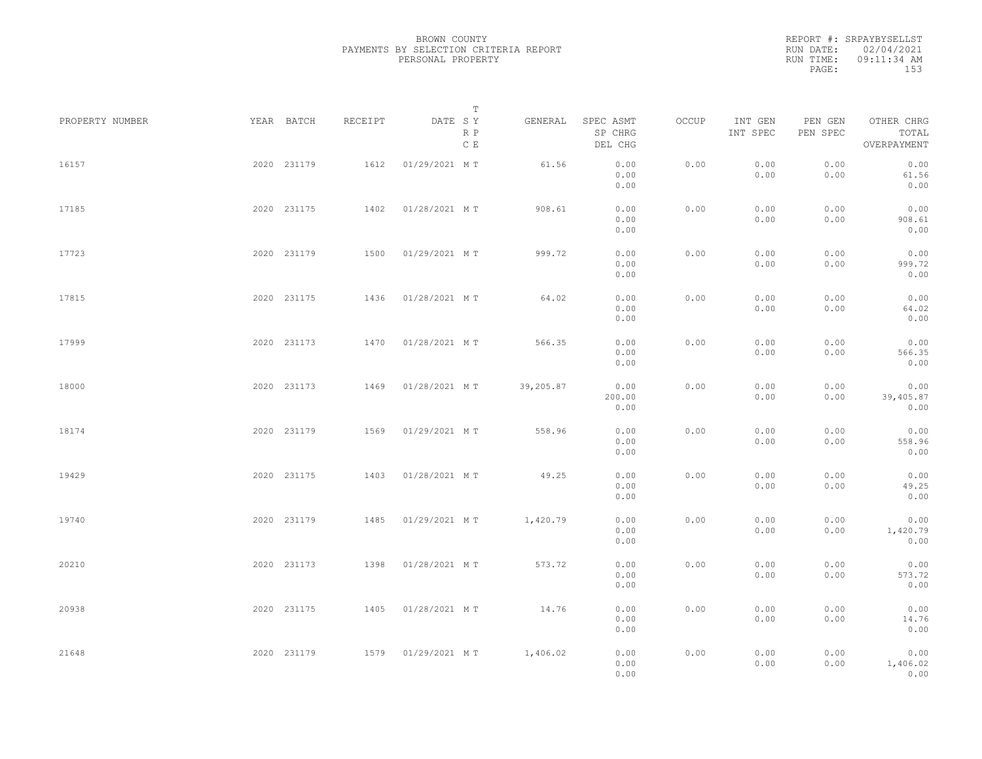|           | REPORT #: SRPAYBYSELLST |
|-----------|-------------------------|
|           | RUN DATE: 02/04/2021    |
| RUN TIME: | $09:11:34$ AM           |
| PAGE:     | 153                     |

|                 |             |         |               | $\mathbb T$ |           |                                 |       |                     |                     |                                    |  |
|-----------------|-------------|---------|---------------|-------------|-----------|---------------------------------|-------|---------------------|---------------------|------------------------------------|--|
| PROPERTY NUMBER | YEAR BATCH  | RECEIPT | DATE SY       | R P<br>C E  | GENERAL   | SPEC ASMT<br>SP CHRG<br>DEL CHG | OCCUP | INT GEN<br>INT SPEC | PEN GEN<br>PEN SPEC | OTHER CHRG<br>TOTAL<br>OVERPAYMENT |  |
| 16157           | 2020 231179 | 1612    | 01/29/2021 MT |             | 61.56     | 0.00<br>0.00<br>0.00            | 0.00  | 0.00<br>0.00        | 0.00<br>0.00        | 0.00<br>61.56<br>0.00              |  |
| 17185           | 2020 231175 | 1402    | 01/28/2021 MT |             | 908.61    | 0.00<br>0.00<br>0.00            | 0.00  | 0.00<br>0.00        | 0.00<br>0.00        | 0.00<br>908.61<br>0.00             |  |
| 17723           | 2020 231179 | 1500    | 01/29/2021 MT |             | 999.72    | 0.00<br>0.00<br>0.00            | 0.00  | 0.00<br>0.00        | 0.00<br>0.00        | 0.00<br>999.72<br>0.00             |  |
| 17815           | 2020 231175 | 1436    | 01/28/2021 MT |             | 64.02     | 0.00<br>0.00<br>0.00            | 0.00  | 0.00<br>0.00        | 0.00<br>0.00        | 0.00<br>64.02<br>0.00              |  |
| 17999           | 2020 231173 | 1470    | 01/28/2021 MT |             | 566.35    | 0.00<br>0.00<br>0.00            | 0.00  | 0.00<br>0.00        | 0.00<br>0.00        | 0.00<br>566.35<br>0.00             |  |
| 18000           | 2020 231173 | 1469    | 01/28/2021 MT |             | 39,205.87 | 0.00<br>200.00<br>0.00          | 0.00  | 0.00<br>0.00        | 0.00<br>0.00        | 0.00<br>39,405.87<br>0.00          |  |
| 18174           | 2020 231179 | 1569    | 01/29/2021 MT |             | 558.96    | 0.00<br>0.00<br>0.00            | 0.00  | 0.00<br>0.00        | 0.00<br>0.00        | 0.00<br>558.96<br>0.00             |  |
| 19429           | 2020 231175 | 1403    | 01/28/2021 MT |             | 49.25     | 0.00<br>0.00<br>0.00            | 0.00  | 0.00<br>0.00        | 0.00<br>0.00        | 0.00<br>49.25<br>0.00              |  |
| 19740           | 2020 231179 | 1485    | 01/29/2021 MT |             | 1,420.79  | 0.00<br>0.00<br>0.00            | 0.00  | 0.00<br>0.00        | 0.00<br>0.00        | 0.00<br>1,420.79<br>0.00           |  |
| 20210           | 2020 231173 | 1398    | 01/28/2021 MT |             | 573.72    | 0.00<br>0.00<br>0.00            | 0.00  | 0.00<br>0.00        | 0.00<br>0.00        | 0.00<br>573.72<br>0.00             |  |
| 20938           | 2020 231175 | 1405    | 01/28/2021 MT |             | 14.76     | 0.00<br>0.00<br>0.00            | 0.00  | 0.00<br>0.00        | 0.00<br>0.00        | 0.00<br>14.76<br>0.00              |  |
| 21648           | 2020 231179 | 1579    | 01/29/2021 MT |             | 1,406.02  | 0.00<br>0.00<br>0.00            | 0.00  | 0.00<br>0.00        | 0.00<br>0.00        | 0.00<br>1,406.02<br>0.00           |  |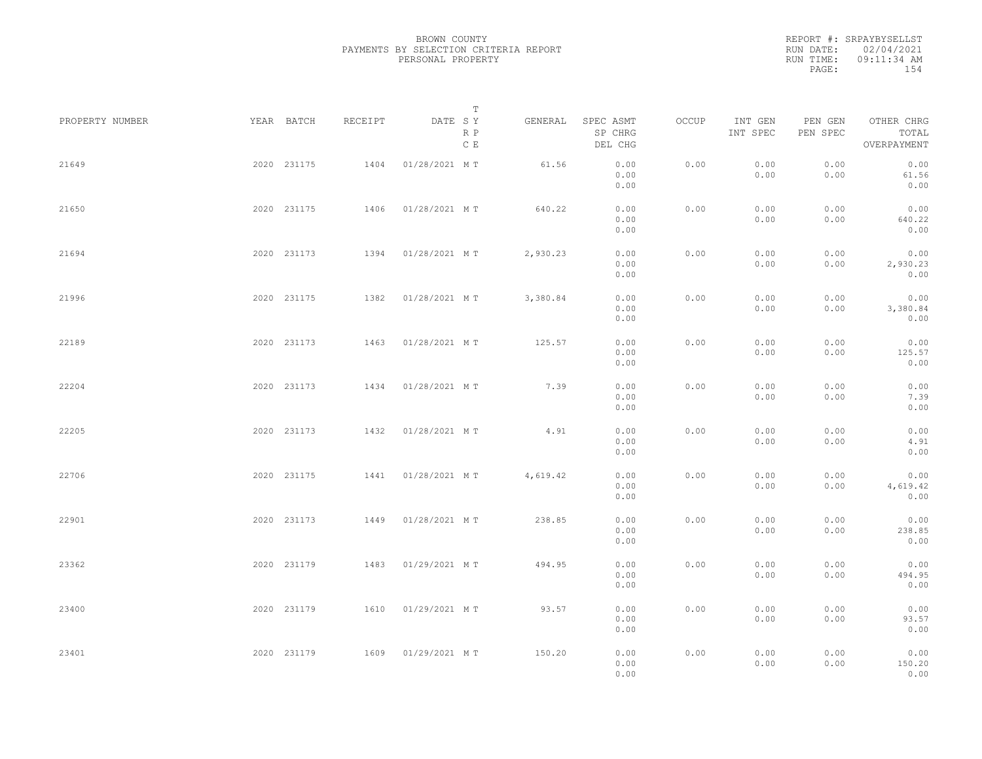REPORT #: SRPAYBYSELLST RUN DATE: 02/04/2021 RUN TIME: 09:11:34 AM PAGE: 154

|                 |             |         |                    | $\mathbb T$           |                                 |       |                     |                     |                                    |  |
|-----------------|-------------|---------|--------------------|-----------------------|---------------------------------|-------|---------------------|---------------------|------------------------------------|--|
| PROPERTY NUMBER | YEAR BATCH  | RECEIPT | DATE SY            | GENERAL<br>R P<br>C E | SPEC ASMT<br>SP CHRG<br>DEL CHG | OCCUP | INT GEN<br>INT SPEC | PEN GEN<br>PEN SPEC | OTHER CHRG<br>TOTAL<br>OVERPAYMENT |  |
| 21649           | 2020 231175 | 1404    | 01/28/2021 MT      | 61.56                 | 0.00<br>0.00<br>0.00            | 0.00  | 0.00<br>0.00        | 0.00<br>0.00        | 0.00<br>61.56<br>0.00              |  |
| 21650           | 2020 231175 | 1406    | 01/28/2021 MT      | 640.22                | 0.00<br>0.00<br>0.00            | 0.00  | 0.00<br>0.00        | 0.00<br>0.00        | 0.00<br>640.22<br>0.00             |  |
| 21694           | 2020 231173 | 1394    | 01/28/2021 MT      | 2,930.23              | 0.00<br>0.00<br>0.00            | 0.00  | 0.00<br>0.00        | 0.00<br>0.00        | 0.00<br>2,930.23<br>0.00           |  |
| 21996           | 2020 231175 | 1382    | 01/28/2021 MT      | 3,380.84              | 0.00<br>0.00<br>0.00            | 0.00  | 0.00<br>0.00        | 0.00<br>0.00        | 0.00<br>3,380.84<br>0.00           |  |
| 22189           | 2020 231173 | 1463    | 01/28/2021 MT      | 125.57                | 0.00<br>0.00<br>0.00            | 0.00  | 0.00<br>0.00        | 0.00<br>0.00        | 0.00<br>125.57<br>0.00             |  |
| 22204           | 2020 231173 | 1434    | 01/28/2021 MT      | 7.39                  | 0.00<br>0.00<br>0.00            | 0.00  | 0.00<br>0.00        | 0.00<br>0.00        | 0.00<br>7.39<br>0.00               |  |
| 22205           | 2020 231173 | 1432    | 01/28/2021 MT      | 4.91                  | 0.00<br>0.00<br>0.00            | 0.00  | 0.00<br>0.00        | 0.00<br>0.00        | 0.00<br>4.91<br>0.00               |  |
| 22706           | 2020 231175 | 1441    | 01/28/2021 MT      | 4,619.42              | 0.00<br>0.00<br>0.00            | 0.00  | 0.00<br>0.00        | 0.00<br>0.00        | 0.00<br>4,619.42<br>0.00           |  |
| 22901           | 2020 231173 | 1449    | 01/28/2021 MT      | 238.85                | 0.00<br>0.00<br>0.00            | 0.00  | 0.00<br>0.00        | 0.00<br>0.00        | 0.00<br>238.85<br>0.00             |  |
| 23362           | 2020 231179 | 1483    | 01/29/2021 MT      | 494.95                | 0.00<br>0.00<br>0.00            | 0.00  | 0.00<br>0.00        | 0.00<br>0.00        | 0.00<br>494.95<br>0.00             |  |
| 23400           | 2020 231179 | 1610    | 01/29/2021 MT      | 93.57                 | 0.00<br>0.00<br>0.00            | 0.00  | 0.00<br>0.00        | 0.00<br>0.00        | 0.00<br>93.57<br>0.00              |  |
| 23401           | 2020 231179 |         | 1609 01/29/2021 MT | 150.20                | 0.00<br>0.00<br>0.00            | 0.00  | 0.00<br>0.00        | 0.00<br>0.00        | 0.00<br>150.20<br>0.00             |  |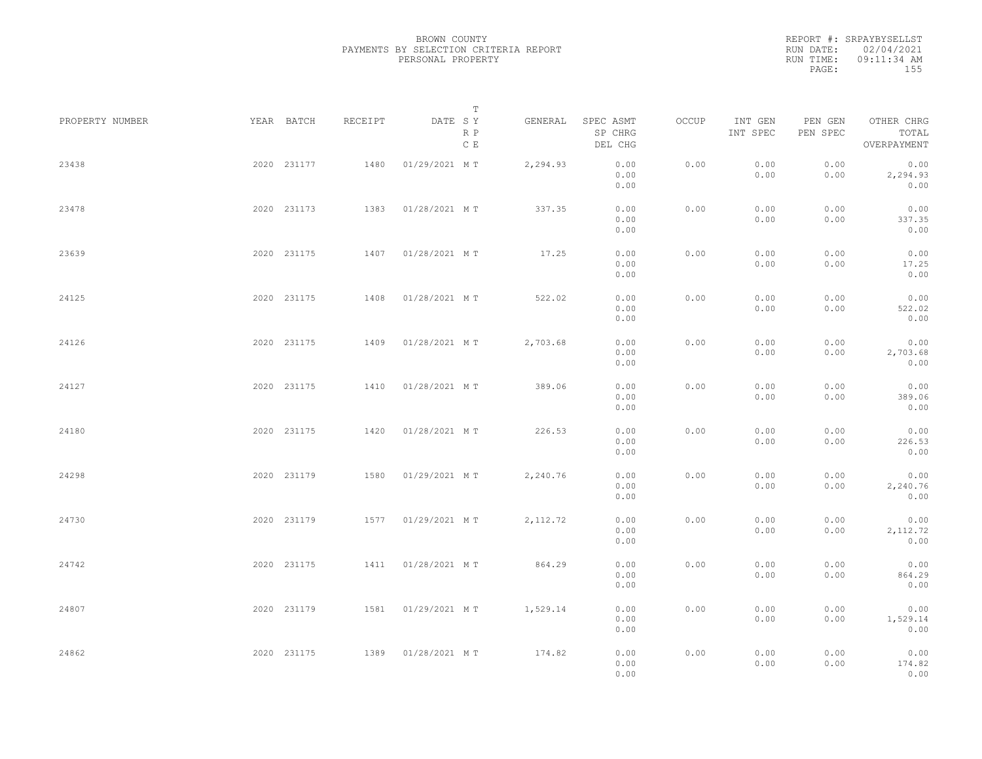REPORT #: SRPAYBYSELLST RUN DATE: 02/04/2021 RUN TIME: 09:11:34 AM PAGE: 155

|                 |             |         | T                     |           |                                 |       |                     |                     |                                    |  |
|-----------------|-------------|---------|-----------------------|-----------|---------------------------------|-------|---------------------|---------------------|------------------------------------|--|
| PROPERTY NUMBER | YEAR BATCH  | RECEIPT | DATE SY<br>R P<br>C E | GENERAL   | SPEC ASMT<br>SP CHRG<br>DEL CHG | OCCUP | INT GEN<br>INT SPEC | PEN GEN<br>PEN SPEC | OTHER CHRG<br>TOTAL<br>OVERPAYMENT |  |
| 23438           | 2020 231177 | 1480    | 01/29/2021 MT         | 2,294.93  | 0.00<br>0.00<br>0.00            | 0.00  | 0.00<br>0.00        | 0.00<br>0.00        | 0.00<br>2,294.93<br>0.00           |  |
| 23478           | 2020 231173 | 1383    | 01/28/2021 MT         | 337.35    | 0.00<br>0.00<br>0.00            | 0.00  | 0.00<br>0.00        | 0.00<br>0.00        | 0.00<br>337.35<br>0.00             |  |
| 23639           | 2020 231175 |         | 1407 01/28/2021 MT    | 17.25     | 0.00<br>0.00<br>0.00            | 0.00  | 0.00<br>0.00        | 0.00<br>0.00        | 0.00<br>17.25<br>0.00              |  |
| 24125           | 2020 231175 |         | 1408  01/28/2021 MT   | 522.02    | 0.00<br>0.00<br>0.00            | 0.00  | 0.00<br>0.00        | 0.00<br>0.00        | 0.00<br>522.02<br>0.00             |  |
| 24126           | 2020 231175 | 1409    | 01/28/2021 MT         | 2,703.68  | 0.00<br>0.00<br>0.00            | 0.00  | 0.00<br>0.00        | 0.00<br>0.00        | 0.00<br>2,703.68<br>0.00           |  |
| 24127           | 2020 231175 | 1410    | 01/28/2021 MT         | 389.06    | 0.00<br>0.00<br>0.00            | 0.00  | 0.00<br>0.00        | 0.00<br>0.00        | 0.00<br>389.06<br>0.00             |  |
| 24180           | 2020 231175 | 1420    | 01/28/2021 MT         | 226.53    | 0.00<br>0.00<br>0.00            | 0.00  | 0.00<br>0.00        | 0.00<br>0.00        | 0.00<br>226.53<br>0.00             |  |
| 24298           | 2020 231179 | 1580    | 01/29/2021 MT         | 2,240.76  | 0.00<br>0.00<br>0.00            | 0.00  | 0.00<br>0.00        | 0.00<br>0.00        | 0.00<br>2,240.76<br>0.00           |  |
| 24730           | 2020 231179 |         | 1577 01/29/2021 MT    | 2, 112.72 | 0.00<br>0.00<br>0.00            | 0.00  | 0.00<br>0.00        | 0.00<br>0.00        | 0.00<br>2, 112.72<br>0.00          |  |
| 24742           | 2020 231175 |         | 1411  01/28/2021 MT   | 864.29    | 0.00<br>0.00<br>0.00            | 0.00  | 0.00<br>0.00        | 0.00<br>0.00        | 0.00<br>864.29<br>0.00             |  |
| 24807           | 2020 231179 |         | 1581 01/29/2021 MT    | 1,529.14  | 0.00<br>0.00                    | 0.00  | 0.00<br>0.00        | 0.00<br>0.00        | 0.00<br>1,529.14                   |  |
| 24862           | 2020 231175 |         | 1389 01/28/2021 MT    | 174.82    | 0.00<br>0.00<br>0.00<br>0.00    | 0.00  | 0.00<br>0.00        | 0.00<br>0.00        | 0.00<br>0.00<br>174.82<br>0.00     |  |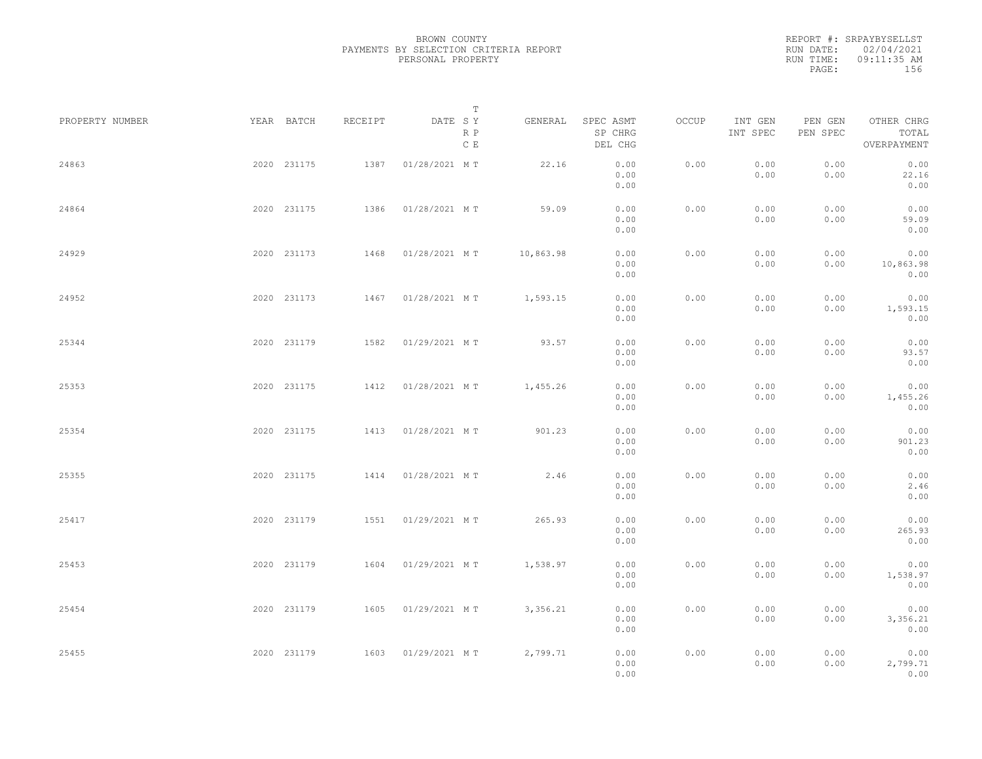| RUN DATE: 02/04/2021<br>$09:11:35$ AM<br>RUN TIME: |       | REPORT #: SRPAYBYSELLST |  |
|----------------------------------------------------|-------|-------------------------|--|
|                                                    |       |                         |  |
|                                                    |       |                         |  |
|                                                    | PAGE: | 156                     |  |

|                 |             |             |         |               | $\mathbb T$ |           |                                 |       |                     |                     |                                    |  |
|-----------------|-------------|-------------|---------|---------------|-------------|-----------|---------------------------------|-------|---------------------|---------------------|------------------------------------|--|
| PROPERTY NUMBER |             | YEAR BATCH  | RECEIPT | DATE SY       | R P<br>C E  | GENERAL   | SPEC ASMT<br>SP CHRG<br>DEL CHG | OCCUP | INT GEN<br>INT SPEC | PEN GEN<br>PEN SPEC | OTHER CHRG<br>TOTAL<br>OVERPAYMENT |  |
| 24863           |             | 2020 231175 | 1387    | 01/28/2021 MT |             | 22.16     | 0.00<br>0.00<br>0.00            | 0.00  | 0.00<br>0.00        | 0.00<br>0.00        | 0.00<br>22.16<br>0.00              |  |
| 24864           |             | 2020 231175 | 1386    | 01/28/2021 MT |             | 59.09     | 0.00<br>0.00<br>0.00            | 0.00  | 0.00<br>0.00        | 0.00<br>0.00        | 0.00<br>59.09<br>0.00              |  |
| 24929           |             | 2020 231173 | 1468    | 01/28/2021 MT |             | 10,863.98 | 0.00<br>0.00<br>0.00            | 0.00  | 0.00<br>0.00        | 0.00<br>0.00        | 0.00<br>10,863.98<br>0.00          |  |
| 24952           |             | 2020 231173 | 1467    | 01/28/2021 MT |             | 1,593.15  | 0.00<br>0.00<br>0.00            | 0.00  | 0.00<br>0.00        | 0.00<br>0.00        | 0.00<br>1,593.15<br>0.00           |  |
| 25344           |             | 2020 231179 | 1582    | 01/29/2021 MT |             | 93.57     | 0.00<br>0.00<br>0.00            | 0.00  | 0.00<br>0.00        | 0.00<br>0.00        | 0.00<br>93.57<br>0.00              |  |
| 25353           |             | 2020 231175 | 1412    | 01/28/2021 MT |             | 1,455.26  | 0.00<br>0.00<br>0.00            | 0.00  | 0.00<br>0.00        | 0.00<br>0.00        | 0.00<br>1,455.26<br>0.00           |  |
| 25354           |             | 2020 231175 | 1413    | 01/28/2021 MT |             | 901.23    | 0.00<br>0.00<br>0.00            | 0.00  | 0.00<br>0.00        | 0.00<br>0.00        | 0.00<br>901.23<br>0.00             |  |
| 25355           |             | 2020 231175 | 1414    | 01/28/2021 MT |             | 2.46      | 0.00<br>0.00                    | 0.00  | 0.00<br>0.00        | 0.00<br>0.00        | 0.00<br>2.46                       |  |
| 25417           |             | 2020 231179 | 1551    | 01/29/2021 MT |             | 265.93    | 0.00<br>0.00<br>0.00            | 0.00  | 0.00<br>0.00        | 0.00<br>0.00        | 0.00<br>0.00<br>265.93             |  |
| 25453           |             | 2020 231179 | 1604    | 01/29/2021 MT |             | 1,538.97  | 0.00<br>0.00<br>0.00            | 0.00  | 0.00<br>0.00        | 0.00<br>0.00        | 0.00<br>0.00<br>1,538.97           |  |
| 25454           |             | 2020 231179 | 1605    | 01/29/2021 MT |             | 3,356.21  | 0.00<br>0.00<br>0.00            | 0.00  | 0.00<br>0.00        | 0.00<br>0.00        | 0.00<br>0.00<br>3,356.21           |  |
| 25455           | 2020 231179 |             | 1603    | 01/29/2021 MT |             | 2,799.71  | 0.00<br>0.00<br>0.00<br>0.00    | 0.00  | 0.00<br>0.00        | 0.00<br>0.00        | 0.00<br>0.00<br>2,799.71<br>0.00   |  |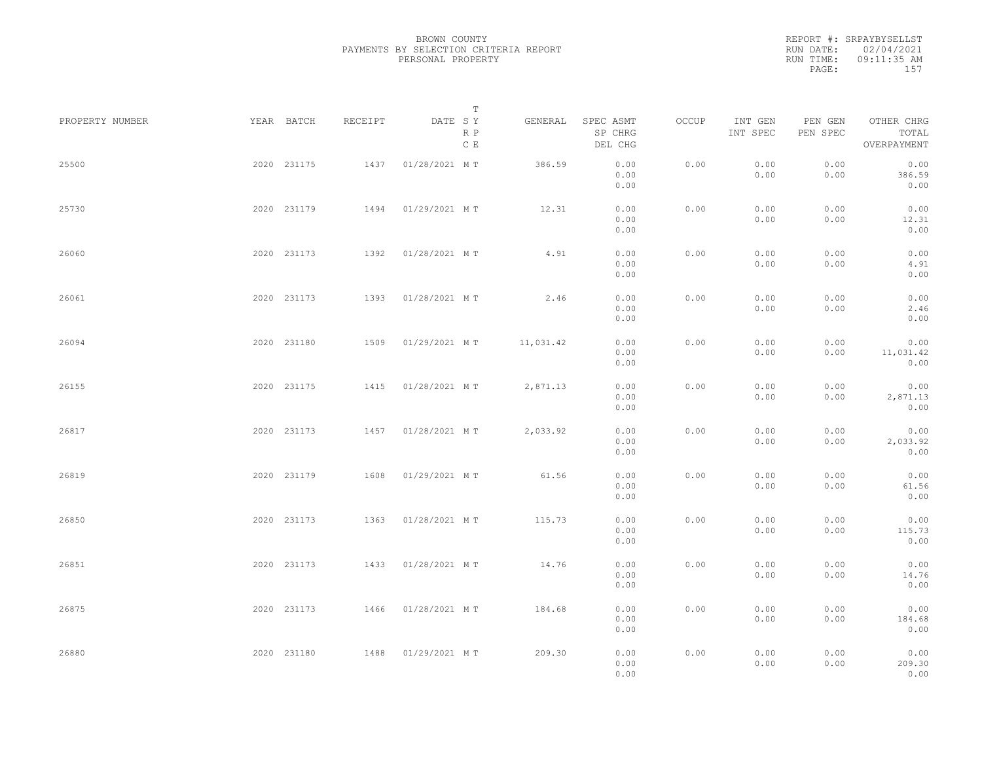REPORT #: SRPAYBYSELLST RUN DATE: 02/04/2021 RUN TIME: 09:11:35 AM PAGE: 157

|                 |             |         |               | $\mathbb T$ |           |                                                                                                |       |                     |                     |                                    |  |
|-----------------|-------------|---------|---------------|-------------|-----------|------------------------------------------------------------------------------------------------|-------|---------------------|---------------------|------------------------------------|--|
| PROPERTY NUMBER | YEAR BATCH  | RECEIPT | DATE SY       | R P<br>C E  | GENERAL   | SPEC ASMT<br>SP CHRG<br>DEL CHG                                                                | OCCUP | INT GEN<br>INT SPEC | PEN GEN<br>PEN SPEC | OTHER CHRG<br>TOTAL<br>OVERPAYMENT |  |
| 25500           | 2020 231175 | 1437    | 01/28/2021 MT |             | 386.59    | 0.00<br>0.00<br>0.00                                                                           | 0.00  | 0.00<br>0.00        | 0.00<br>0.00        | 0.00<br>386.59<br>0.00             |  |
| 25730           | 2020 231179 | 1494    | 01/29/2021 MT |             | 12.31     | 0.00<br>0.00<br>0.00                                                                           | 0.00  | 0.00<br>0.00        | 0.00<br>0.00        | 0.00<br>12.31<br>0.00              |  |
| 26060           | 2020 231173 | 1392    | 01/28/2021 MT |             | 4.91      | 0.00<br>0.00<br>0.00                                                                           | 0.00  | 0.00<br>0.00        | 0.00<br>0.00        | 0.00<br>4.91<br>0.00               |  |
| 26061           | 2020 231173 | 1393    | 01/28/2021 MT |             | 2.46      | 0.00<br>0.00<br>0.00                                                                           | 0.00  | 0.00<br>0.00        | 0.00<br>0.00        | 0.00<br>2.46<br>0.00               |  |
| 26094           | 2020 231180 | 1509    | 01/29/2021 MT |             | 11,031.42 | 0.00<br>0.00<br>0.00                                                                           | 0.00  | 0.00<br>0.00        | 0.00<br>0.00        | 0.00<br>11,031.42<br>0.00          |  |
| 26155           | 2020 231175 | 1415    | 01/28/2021 MT |             | 2,871.13  | 0.00<br>0.00<br>0.00                                                                           | 0.00  | 0.00<br>0.00        | 0.00<br>0.00        | 0.00<br>2,871.13<br>0.00           |  |
| 26817           | 2020 231173 | 1457    | 01/28/2021 MT |             | 2,033.92  | 0.00<br>0.00<br>0.00                                                                           | 0.00  | 0.00<br>0.00        | 0.00<br>0.00        | 0.00<br>2,033.92<br>0.00           |  |
| 26819           | 2020 231179 | 1608    | 01/29/2021 MT |             | 61.56     | 0.00<br>0.00<br>0.00                                                                           | 0.00  | 0.00<br>0.00        | 0.00<br>0.00        | 0.00<br>61.56<br>0.00              |  |
| 26850           | 2020 231173 | 1363    | 01/28/2021 MT |             | 115.73    | 0.00<br>0.00<br>0.00                                                                           | 0.00  | 0.00<br>0.00        | 0.00<br>0.00        | 0.00<br>115.73<br>0.00             |  |
| 26851           | 2020 231173 | 1433    | 01/28/2021 MT |             | 14.76     | 0.00<br>0.00<br>0.00                                                                           | 0.00  | 0.00<br>0.00        | 0.00<br>0.00        | 0.00<br>14.76<br>0.00              |  |
| 26875           | 2020 231173 | 1466    | 01/28/2021 MT |             | 184.68    | 0.00<br>0.00<br>0.00                                                                           | 0.00  | 0.00<br>0.00        | 0.00<br>0.00        | 0.00<br>184.68<br>0.00             |  |
| 26880           | 2020 231180 | 1488    | 01/29/2021 MT |             | 209.30    | $\ensuremath{\mathbf{0}}$ . $\ensuremath{\mathbf{0}}\,\ensuremath{\mathbf{0}}$<br>0.00<br>0.00 | 0.00  | 0.00<br>0.00        | 0.00<br>0.00        | 0.00<br>209.30<br>0.00             |  |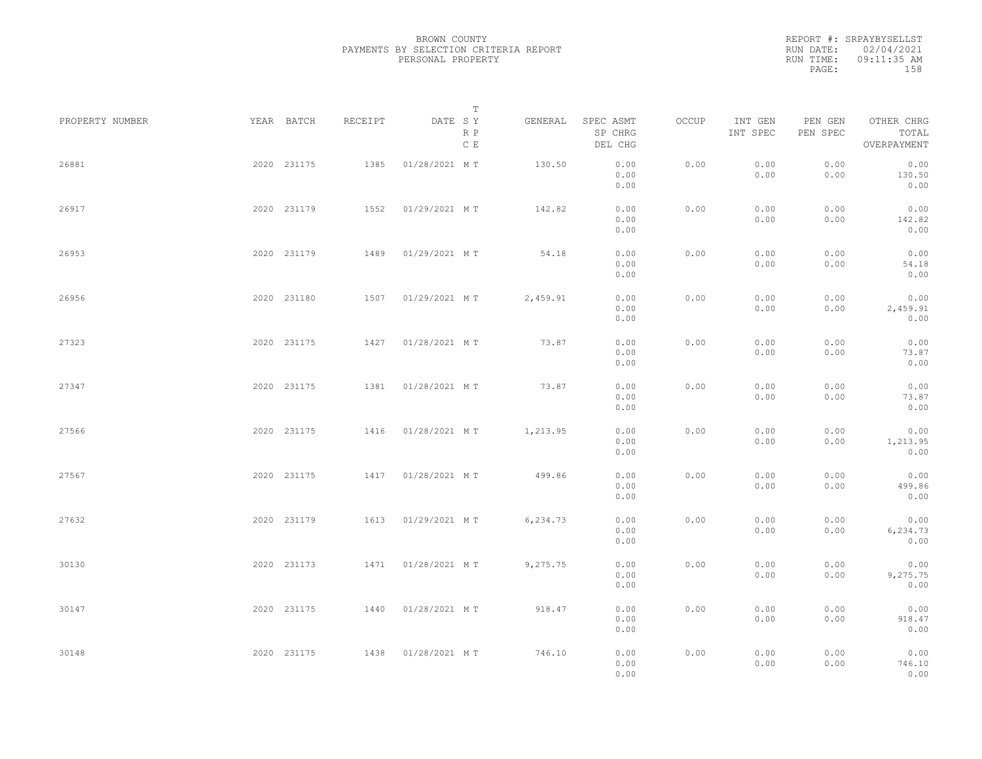REPORT #: SRPAYBYSELLST RUN DATE: 02/04/2021 RUN TIME: 09:11:35 AM PAGE: 158

|                 |             |         | $\mathbb T$           |          |                                 |       |                     |                     |                                    |  |
|-----------------|-------------|---------|-----------------------|----------|---------------------------------|-------|---------------------|---------------------|------------------------------------|--|
| PROPERTY NUMBER | YEAR BATCH  | RECEIPT | DATE SY<br>R P<br>C E | GENERAL  | SPEC ASMT<br>SP CHRG<br>DEL CHG | OCCUP | INT GEN<br>INT SPEC | PEN GEN<br>PEN SPEC | OTHER CHRG<br>TOTAL<br>OVERPAYMENT |  |
| 26881           | 2020 231175 | 1385    | 01/28/2021 MT         | 130.50   | 0.00<br>0.00<br>0.00            | 0.00  | 0.00<br>0.00        | 0.00<br>0.00        | 0.00<br>130.50<br>0.00             |  |
| 26917           | 2020 231179 | 1552    | 01/29/2021 MT         | 142.82   | 0.00<br>0.00<br>0.00            | 0.00  | 0.00<br>0.00        | 0.00<br>0.00        | 0.00<br>142.82<br>0.00             |  |
| 26953           | 2020 231179 | 1489    | 01/29/2021 MT         | 54.18    | 0.00<br>0.00<br>0.00            | 0.00  | 0.00<br>0.00        | 0.00<br>0.00        | 0.00<br>54.18<br>0.00              |  |
| 26956           | 2020 231180 |         | 1507 01/29/2021 MT    | 2,459.91 | 0.00<br>0.00<br>0.00            | 0.00  | 0.00<br>0.00        | 0.00<br>0.00        | 0.00<br>2,459.91<br>0.00           |  |
| 27323           | 2020 231175 | 1427    | 01/28/2021 MT         | 73.87    | 0.00<br>0.00<br>0.00            | 0.00  | 0.00<br>0.00        | 0.00<br>0.00        | 0.00<br>73.87<br>0.00              |  |
| 27347           | 2020 231175 | 1381    | 01/28/2021 MT         | 73.87    | 0.00<br>0.00<br>0.00            | 0.00  | 0.00<br>0.00        | 0.00<br>0.00        | 0.00<br>73.87<br>0.00              |  |
| 27566           | 2020 231175 | 1416    | 01/28/2021 MT         | 1,213.95 | 0.00<br>0.00<br>0.00            | 0.00  | 0.00<br>0.00        | 0.00<br>0.00        | 0.00<br>1,213.95<br>0.00           |  |
| 27567           | 2020 231175 | 1417    | 01/28/2021 MT         | 499.86   | 0.00<br>0.00<br>0.00            | 0.00  | 0.00<br>0.00        | 0.00<br>0.00        | 0.00<br>499.86<br>0.00             |  |
| 27632           | 2020 231179 |         | 1613 01/29/2021 MT    | 6,234.73 | 0.00<br>0.00<br>0.00            | 0.00  | 0.00<br>0.00        | 0.00<br>0.00        | 0.00<br>6,234.73<br>0.00           |  |
| 30130           | 2020 231173 |         | 1471  01/28/2021 MT   | 9,275.75 | 0.00<br>0.00<br>0.00            | 0.00  | 0.00<br>0.00        | 0.00<br>0.00        | 0.00<br>9,275.75<br>0.00           |  |
| 30147           | 2020 231175 |         | 1440 01/28/2021 MT    | 918.47   | 0.00<br>0.00                    | 0.00  | 0.00<br>0.00        | 0.00<br>0.00        | 0.00<br>918.47                     |  |
| 30148           | 2020 231175 |         | 1438 01/28/2021 MT    | 746.10   | 0.00<br>0.00<br>0.00<br>0.00    | 0.00  | 0.00<br>0.00        | 0.00<br>0.00        | 0.00<br>0.00<br>746.10<br>0.00     |  |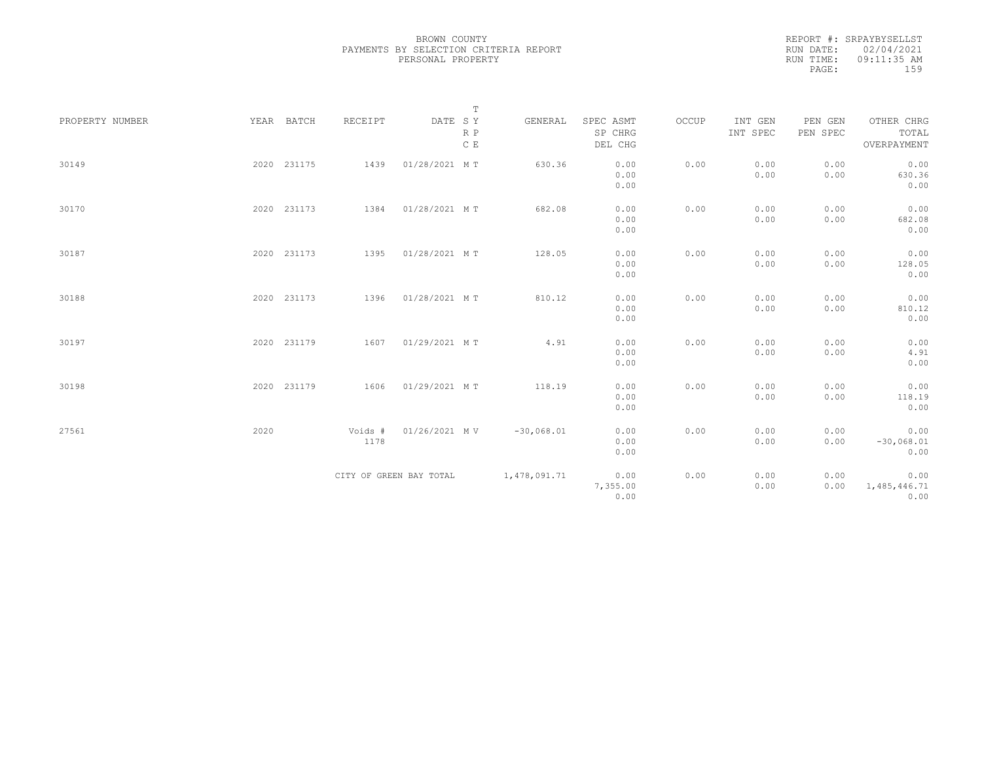REPORT #: SRPAYBYSELLST RUN DATE: 02/04/2021 RUN TIME: 09:11:35 AM PAGE: 159

|                 |             |         | $\mathbb T$                                                             |              |                      |       |                     |                     |                     |
|-----------------|-------------|---------|-------------------------------------------------------------------------|--------------|----------------------|-------|---------------------|---------------------|---------------------|
| PROPERTY NUMBER | YEAR BATCH  | RECEIPT | $\begin{tabular}{lllll} \bf{DATE} & \tt S & \tt Y \end{tabular}$<br>R P | GENERAL      | SPEC ASMT<br>SP CHRG | OCCUP | INT GEN<br>INT SPEC | PEN GEN<br>PEN SPEC | OTHER CHRG<br>TOTAL |
|                 |             |         | C E                                                                     |              | DEL CHG              |       |                     |                     | OVERPAYMENT         |
| 30149           | 2020 231175 | 1439    | 01/28/2021 MT                                                           | 630.36       | 0.00                 | 0.00  | 0.00                | 0.00                | 0.00                |
|                 |             |         |                                                                         |              | 0.00                 |       | 0.00                | 0.00                | 630.36              |
|                 |             |         |                                                                         |              | 0.00                 |       |                     |                     | 0.00                |
| 30170           | 2020 231173 | 1384    | 01/28/2021 MT                                                           | 682.08       | 0.00                 | 0.00  | 0.00                | 0.00                | 0.00                |
|                 |             |         |                                                                         |              | 0.00                 |       | 0.00                | 0.00                | 682.08              |
|                 |             |         |                                                                         |              | 0.00                 |       |                     |                     | 0.00                |
| 30187           | 2020 231173 |         | 1395 01/28/2021 MT                                                      | 128.05       | 0.00                 | 0.00  | 0.00                | 0.00                | 0.00                |
|                 |             |         |                                                                         |              | 0.00                 |       | 0.00                | 0.00                | 128.05              |
|                 |             |         |                                                                         |              | 0.00                 |       |                     |                     | 0.00                |
| 30188           | 2020 231173 | 1396    | 01/28/2021 MT                                                           | 810.12       | 0.00                 | 0.00  | 0.00                | 0.00                | 0.00                |
|                 |             |         |                                                                         |              | 0.00                 |       | 0.00                | 0.00                | 810.12              |
|                 |             |         |                                                                         |              | 0.00                 |       |                     |                     | 0.00                |
| 30197           | 2020 231179 |         | 1607 01/29/2021 MT                                                      | 4.91         | 0.00                 | 0.00  | 0.00                | 0.00                | 0.00                |
|                 |             |         |                                                                         |              | 0.00                 |       | 0.00                | 0.00                | 4.91                |
|                 |             |         |                                                                         |              | 0.00                 |       |                     |                     | 0.00                |
| 30198           | 2020 231179 | 1606    | 01/29/2021 MT                                                           | 118.19       | 0.00                 | 0.00  | 0.00                | 0.00                | 0.00                |
|                 |             |         |                                                                         |              | 0.00                 |       | 0.00                | 0.00                | 118.19              |
|                 |             |         |                                                                         |              | 0.00                 |       |                     |                     | 0.00                |
| 27561           | 2020        | Voids # | 01/26/2021 MV                                                           | $-30,068.01$ | 0.00                 | 0.00  | 0.00                | 0.00                | 0.00                |
|                 |             | 1178    |                                                                         |              | 0.00                 |       | 0.00                | 0.00                | $-30,068.01$        |
|                 |             |         |                                                                         |              | 0.00                 |       |                     |                     | 0.00                |
|                 |             |         | CITY OF GREEN BAY TOTAL                                                 | 1,478,091.71 | 0.00                 | 0.00  | 0.00                | 0.00                | 0.00                |
|                 |             |         |                                                                         |              | 7,355.00             |       | 0.00                | 0.00                | 1,485,446.71        |
|                 |             |         |                                                                         |              | 0.00                 |       |                     |                     | 0.00                |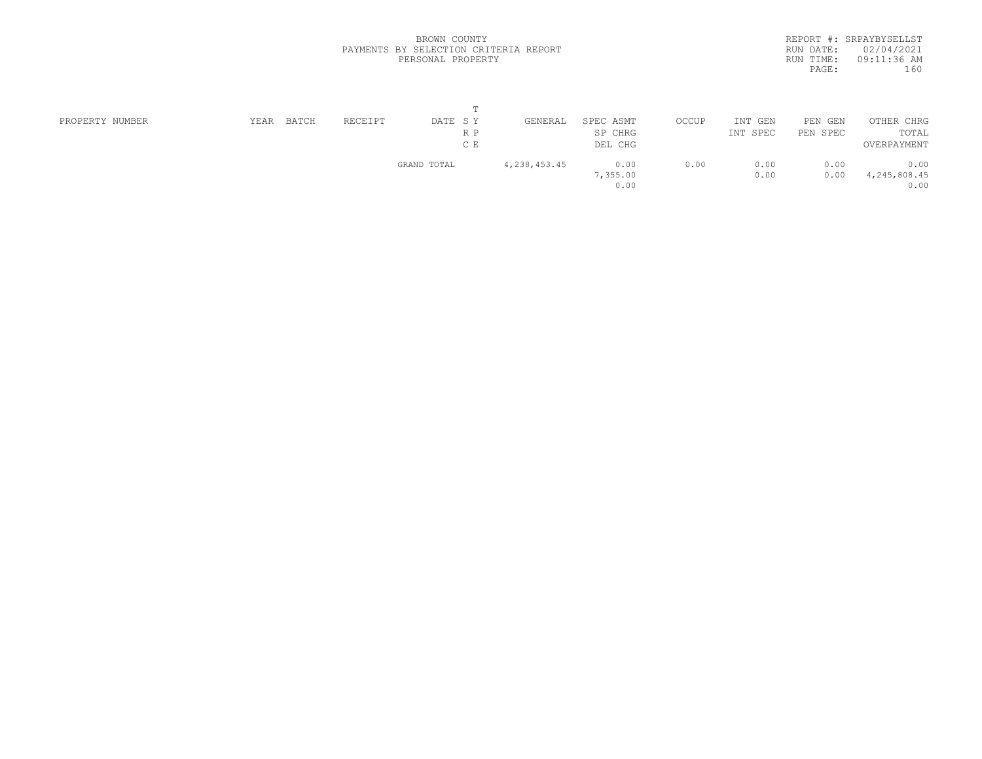|           | REPORT #: SRPAYBYSELLST |  |
|-----------|-------------------------|--|
|           | RUN DATE: 02/04/2021    |  |
| RUN TIME: | 09:11:36 AM             |  |
| PAGE:     | 160                     |  |
|           |                         |  |

| PROPERTY NUMBER | YEAR | BATCH | RECEIPT | DATE SY     | GENERAL      | SPEC ASMT | OCCUP | INT<br>GEN | PEN GEN  | OTHER CHRG     |  |
|-----------------|------|-------|---------|-------------|--------------|-----------|-------|------------|----------|----------------|--|
|                 |      |       |         | R P         |              | SP CHRG   |       | INT SPEC   | PEN SPEC | TOTAL          |  |
|                 |      |       |         | C E         |              | DEL CHG   |       |            |          | OVERPAYMENT    |  |
|                 |      |       |         | GRAND TOTAL | 4,238,453.45 | 0.00      | 0.00  | 0.00       | 0.00     | 0.00           |  |
|                 |      |       |         |             |              | 7,355.00  |       | 0.00       | 0.00     | 4, 245, 808.45 |  |
|                 |      |       |         |             |              | 0.00      |       |            |          | 0.00           |  |